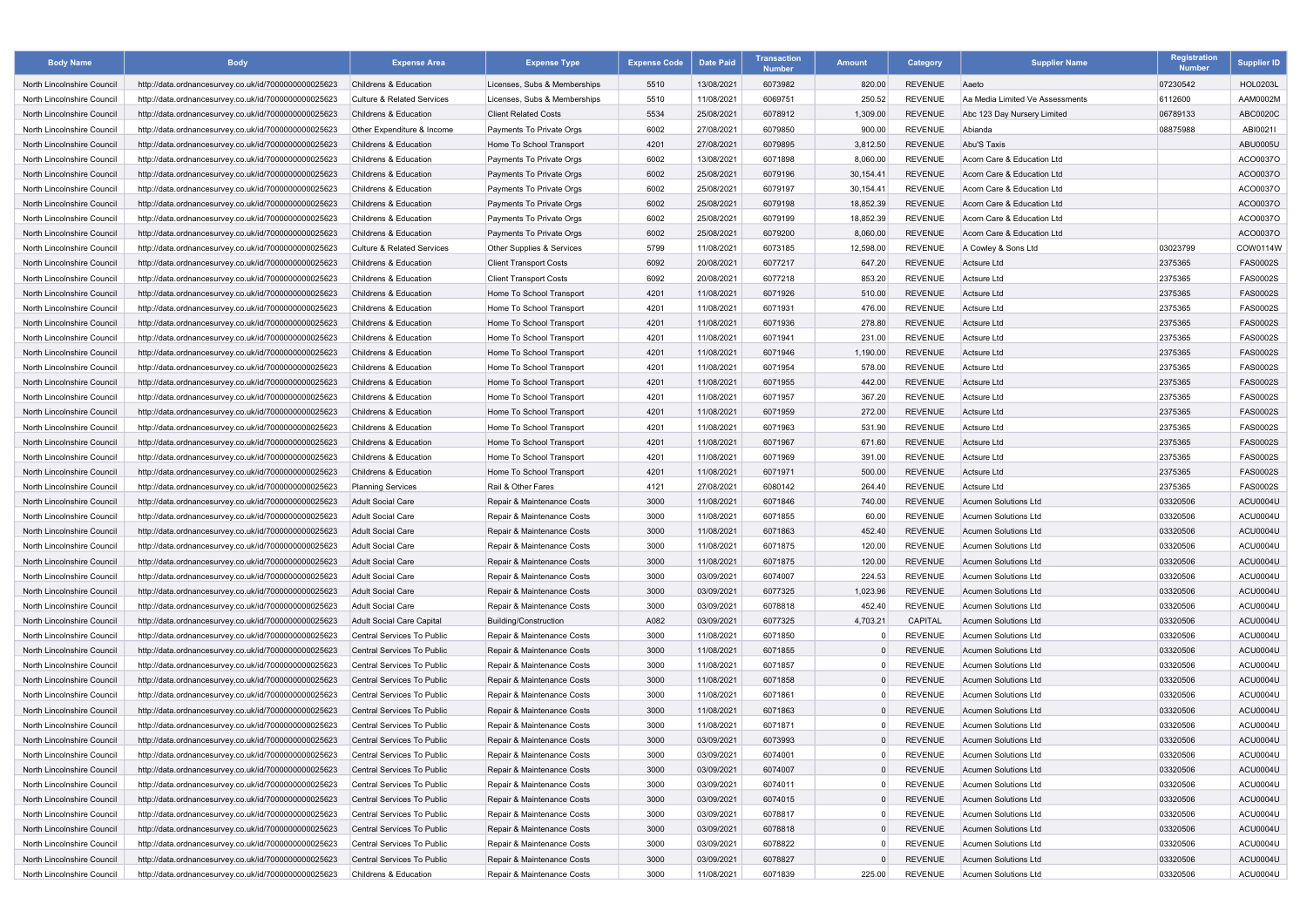| <b>Body Name</b>           | <b>Body</b>                                          | <b>Expense Area</b>                   | <b>Expense Type</b>           | <b>Expense Code</b> | <b>Date Paid</b> | <b>Transaction</b><br><b>Number</b> | <b>Amount</b>  | Category       | <b>Supplier Name</b>            | <b>Registration</b><br><b>Number</b> | <b>Supplier ID</b> |
|----------------------------|------------------------------------------------------|---------------------------------------|-------------------------------|---------------------|------------------|-------------------------------------|----------------|----------------|---------------------------------|--------------------------------------|--------------------|
| North Lincolnshire Council | http://data.ordnancesurvey.co.uk/id/7000000000025623 | Childrens & Education                 | Licenses, Subs & Memberships  | 5510                | 13/08/2021       | 6073982                             | 820.00         | <b>REVENUE</b> | Aaeto                           | 07230542                             | <b>HOL0203L</b>    |
| North Lincolnshire Council | http://data.ordnancesurvey.co.uk/id/7000000000025623 | <b>Culture &amp; Related Services</b> | Licenses, Subs & Memberships  | 5510                | 11/08/2021       | 6069751                             | 250.52         | <b>REVENUE</b> | Aa Media Limited Ve Assessments | 6112600                              | AAM0002M           |
| North Lincolnshire Council | http://data.ordnancesurvey.co.uk/id/7000000000025623 | Childrens & Education                 | <b>Client Related Costs</b>   | 5534                | 25/08/2021       | 6078912                             | 1,309.00       | <b>REVENUE</b> | Abc 123 Day Nursery Limited     | 06789133                             | ABC0020C           |
| North Lincolnshire Council | http://data.ordnancesurvey.co.uk/id/7000000000025623 | Other Expenditure & Income            | Payments To Private Oras      | 6002                | 27/08/2021       | 6079850                             | 900.00         | <b>REVENUE</b> | Abianda                         | 08875988                             | ABI0021I           |
| North Lincolnshire Council | http://data.ordnancesurvey.co.uk/id/7000000000025623 | Childrens & Education                 | Home To School Transport      | 4201                | 27/08/2021       | 6079895                             | 3,812.50       | <b>REVENUE</b> | Abu'S Taxis                     |                                      | ABU0005U           |
| North Lincolnshire Council | http://data.ordnancesurvey.co.uk/id/7000000000025623 | Childrens & Education                 | Payments To Private Orgs      | 6002                | 13/08/2021       | 6071898                             | 8,060.00       | <b>REVENUE</b> | Acorn Care & Education Ltd      |                                      | ACO0037O           |
| North Lincolnshire Council | http://data.ordnancesurvey.co.uk/id/7000000000025623 | Childrens & Education                 | Payments To Private Orgs      | 6002                | 25/08/2021       | 6079196                             | 30,154.41      | <b>REVENUE</b> | Acorn Care & Education Ltd      |                                      | ACO0037O           |
| North Lincolnshire Council | http://data.ordnancesurvey.co.uk/id/7000000000025623 | Childrens & Education                 | Payments To Private Orgs      | 6002                | 25/08/2021       | 6079197                             | 30,154.41      | <b>REVENUE</b> | Acorn Care & Education Ltd      |                                      | ACO0037O           |
| North Lincolnshire Council | http://data.ordnancesurvey.co.uk/id/7000000000025623 | Childrens & Education                 | Payments To Private Oras      | 6002                | 25/08/2021       | 6079198                             | 18,852.39      | <b>REVENUE</b> | Acorn Care & Education Ltd      |                                      | ACO0037O           |
| North Lincolnshire Council | http://data.ordnancesurvey.co.uk/id/7000000000025623 | Childrens & Education                 | Payments To Private Orgs      | 6002                | 25/08/2021       | 6079199                             | 18,852.39      | <b>REVENUE</b> | Acorn Care & Education Ltd      |                                      | ACO0037O           |
| North Lincolnshire Council | http://data.ordnancesurvey.co.uk/id/7000000000025623 | Childrens & Education                 | Payments To Private Orgs      | 6002                | 25/08/2021       | 6079200                             | 8,060.00       | <b>REVENUE</b> | Acorn Care & Education Ltd      |                                      | ACO0037O           |
| North Lincolnshire Council | http://data.ordnancesurvey.co.uk/id/7000000000025623 | <b>Culture &amp; Related Services</b> | Other Supplies & Services     | 5799                | 11/08/2021       | 6073185                             | 12,598.00      | <b>REVENUE</b> | A Cowley & Sons Ltd             | 03023799                             | COW0114W           |
| North Lincolnshire Council | http://data.ordnancesurvey.co.uk/id/7000000000025623 | Childrens & Education                 | <b>Client Transport Costs</b> | 6092                | 20/08/2021       | 6077217                             | 647.20         | <b>REVENUE</b> | Actsure Ltd                     | 2375365                              | <b>FAS0002S</b>    |
| North Lincolnshire Council | http://data.ordnancesurvey.co.uk/id/7000000000025623 | Childrens & Education                 | <b>Client Transport Costs</b> | 6092                | 20/08/2021       | 6077218                             | 853.20         | <b>REVENUE</b> | Actsure Ltd                     | 2375365                              | FAS0002S           |
| North Lincolnshire Council | http://data.ordnancesurvey.co.uk/id/7000000000025623 | Childrens & Education                 | Home To School Transport      | 4201                | 11/08/2021       | 6071926                             | 510.00         | <b>REVENUE</b> | Actsure Ltd                     | 2375365                              | <b>FAS0002S</b>    |
| North Lincolnshire Council | http://data.ordnancesurvey.co.uk/id/7000000000025623 | Childrens & Education                 | Home To School Transport      | 4201                | 11/08/2021       | 6071931                             | 476.00         | <b>REVENUE</b> | Actsure Ltd                     | 2375365                              | <b>FAS0002S</b>    |
| North Lincolnshire Council | http://data.ordnancesurvey.co.uk/id/7000000000025623 | Childrens & Education                 | Home To School Transport      | 4201                | 11/08/2021       | 6071936                             | 278.80         | <b>REVENUE</b> | Actsure Ltd                     | 2375365                              | FAS0002S           |
| North Lincolnshire Council | http://data.ordnancesurvey.co.uk/id/7000000000025623 | Childrens & Education                 | Home To School Transport      | 4201                | 11/08/2021       | 6071941                             | 231.00         | <b>REVENUE</b> | Actsure Ltd                     | 2375365                              | <b>FAS0002S</b>    |
| North Lincolnshire Council | http://data.ordnancesurvey.co.uk/id/7000000000025623 | Childrens & Education                 | Home To School Transport      | 4201                | 11/08/2021       | 6071946                             | 1,190.00       | <b>REVENUE</b> | Actsure Ltd                     | 2375365                              | FAS0002S           |
| North Lincolnshire Council | http://data.ordnancesurvey.co.uk/id/7000000000025623 | Childrens & Education                 | Home To School Transport      | 4201                | 11/08/2021       | 6071954                             | 578.00         | <b>REVENUE</b> | Actsure Ltd                     | 2375365                              | FAS0002S           |
| North Lincolnshire Council | http://data.ordnancesurvey.co.uk/id/7000000000025623 | Childrens & Education                 | Home To School Transport      | 4201                | 11/08/2021       | 6071955                             | 442.00         | <b>REVENUE</b> | Actsure Ltd                     | 2375365                              | <b>FAS0002S</b>    |
| North Lincolnshire Council | http://data.ordnancesurvey.co.uk/id/7000000000025623 | Childrens & Education                 | Home To School Transport      | 4201                | 11/08/2021       | 6071957                             | 367.20         | <b>REVENUE</b> | Actsure Ltd                     | 2375365                              | <b>FAS0002S</b>    |
| North Lincolnshire Council | http://data.ordnancesurvey.co.uk/id/7000000000025623 | Childrens & Education                 | Home To School Transport      | 4201                | 11/08/2021       | 6071959                             | 272.00         | <b>REVENUE</b> | Actsure Ltd                     | 2375365                              | <b>FAS0002S</b>    |
| North Lincolnshire Council | http://data.ordnancesurvey.co.uk/id/7000000000025623 | Childrens & Education                 | Home To School Transport      | 4201                | 11/08/2021       | 6071963                             | 531.90         | <b>REVENUE</b> | Actsure Ltd                     | 2375365                              | FAS0002S           |
| North Lincolnshire Council | http://data.ordnancesurvey.co.uk/id/7000000000025623 | Childrens & Education                 | Home To School Transport      | 4201                | 11/08/2021       | 6071967                             | 671.60         | <b>REVENUE</b> | Actsure Ltd                     | 2375365                              | FAS0002S           |
| North Lincolnshire Council | http://data.ordnancesurvey.co.uk/id/7000000000025623 | Childrens & Education                 | Home To School Transport      | 4201                | 11/08/2021       | 6071969                             | 391.00         | <b>REVENUE</b> | Actsure Ltd                     | 2375365                              | <b>FAS0002S</b>    |
| North Lincolnshire Council | http://data.ordnancesurvey.co.uk/id/7000000000025623 | Childrens & Education                 | Home To School Transport      | 4201                | 11/08/2021       | 6071971                             | 500.00         | <b>REVENUE</b> | Actsure Ltd                     | 2375365                              | FAS0002S           |
| North Lincolnshire Council | http://data.ordnancesurvey.co.uk/id/7000000000025623 | <b>Planning Services</b>              | Rail & Other Fares            | 4121                | 27/08/2021       | 6080142                             | 264.40         | <b>REVENUE</b> | Actsure Ltd                     | 2375365                              | <b>FAS0002S</b>    |
| North Lincolnshire Council | http://data.ordnancesurvey.co.uk/id/7000000000025623 | <b>Adult Social Care</b>              | Repair & Maintenance Costs    | 3000                | 11/08/2021       | 6071846                             | 740.00         | <b>REVENUE</b> | Acumen Solutions Ltd            | 03320506                             | ACU0004U           |
| North Lincolnshire Council | http://data.ordnancesurvey.co.uk/id/7000000000025623 | <b>Adult Social Care</b>              | Repair & Maintenance Costs    | 3000                | 11/08/2021       | 6071855                             | 60.00          | <b>REVENUE</b> | <b>Acumen Solutions Ltd</b>     | 03320506                             | ACU0004U           |
| North Lincolnshire Council | http://data.ordnancesurvey.co.uk/id/7000000000025623 | Adult Social Care                     | Repair & Maintenance Costs    | 3000                | 11/08/2021       | 6071863                             | 452.40         | <b>REVENUE</b> | Acumen Solutions Ltd            | 03320506                             | <b>ACU0004U</b>    |
| North Lincolnshire Council | http://data.ordnancesurvey.co.uk/id/7000000000025623 | <b>Adult Social Care</b>              | Repair & Maintenance Costs    | 3000                | 11/08/2021       | 6071875                             | 120.00         | <b>REVENUE</b> | <b>Acumen Solutions Ltd</b>     | 03320506                             | ACU0004U           |
| North Lincolnshire Council | http://data.ordnancesurvey.co.uk/id/7000000000025623 | <b>Adult Social Care</b>              | Repair & Maintenance Costs    | 3000                | 11/08/2021       | 6071875                             | 120.00         | <b>REVENUE</b> | <b>Acumen Solutions Ltd</b>     | 03320506                             | <b>ACU0004U</b>    |
| North Lincolnshire Council | http://data.ordnancesurvey.co.uk/id/7000000000025623 | <b>Adult Social Care</b>              | Repair & Maintenance Costs    | 3000                | 03/09/2021       | 6074007                             | 224.53         | <b>REVENUE</b> | Acumen Solutions Ltd            | 03320506                             | ACU0004U           |
| North Lincolnshire Council | http://data.ordnancesurvey.co.uk/id/7000000000025623 | <b>Adult Social Care</b>              | Repair & Maintenance Costs    | 3000                | 03/09/2021       | 6077325                             | 1,023.96       | <b>REVENUE</b> | <b>Acumen Solutions Ltd</b>     | 03320506                             | <b>ACU0004U</b>    |
| North Lincolnshire Council | http://data.ordnancesurvey.co.uk/id/7000000000025623 | <b>Adult Social Care</b>              | Repair & Maintenance Costs    | 3000                | 03/09/2021       | 6078818                             | 452.40         | <b>REVENUE</b> | Acumen Solutions Ltd            | 03320506                             | ACU0004U           |
| North Lincolnshire Council | http://data.ordnancesurvey.co.uk/id/7000000000025623 | <b>Adult Social Care Capital</b>      | Building/Construction         | A082                | 03/09/2021       | 6077325                             | 4,703.21       | CAPITAL        | <b>Acumen Solutions Ltd</b>     | 03320506                             | ACU0004U           |
| North Lincolnshire Council | http://data.ordnancesurvey.co.uk/id/7000000000025623 | Central Services To Public            | Repair & Maintenance Costs    | 3000                | 11/08/2021       | 6071850                             | $\Omega$       | <b>REVENUE</b> | Acumen Solutions Ltd            | 03320506                             | ACU0004U           |
| North Lincolnshire Council | http://data.ordnancesurvey.co.uk/id/7000000000025623 | Central Services To Public            | Repair & Maintenance Costs    | 3000                | 11/08/2021       | 6071855                             | $\Omega$       | <b>REVENUE</b> | Acumen Solutions Ltd            | 03320506                             | ACU0004U           |
| North Lincolnshire Council | http://data.ordnancesurvey.co.uk/id/7000000000025623 | Central Services To Public            | Repair & Maintenance Costs    | 3000                | 11/08/2021       | 6071857                             | $\Omega$       | <b>REVENUE</b> | <b>Acumen Solutions Ltd</b>     | 03320506                             | <b>ACU0004U</b>    |
| North Lincolnshire Council | http://data.ordnancesurvey.co.uk/id/7000000000025623 | Central Services To Public            | Repair & Maintenance Costs    | 3000                | 11/08/2021       | 6071858                             | $\Omega$       | <b>REVENUE</b> | Acumen Solutions Ltd            | 03320506                             | ACU0004U           |
| North Lincolnshire Council | http://data.ordnancesurvey.co.uk/id/7000000000025623 | Central Services To Public            | Repair & Maintenance Costs    | 3000                | 11/08/2021       | 6071861                             | $\Omega$       | <b>REVENUE</b> | <b>Acumen Solutions Ltd</b>     | 03320506                             | <b>ACU0004U</b>    |
| North Lincolnshire Council | http://data.ordnancesurvey.co.uk/id/7000000000025623 | Central Services To Public            | Repair & Maintenance Costs    | 3000                | 11/08/2021       | 6071863                             | $\Omega$       | <b>REVENUE</b> | Acumen Solutions Ltd            | 03320506                             | ACU0004U           |
| North Lincolnshire Council | http://data.ordnancesurvey.co.uk/id/7000000000025623 | Central Services To Public            | Repair & Maintenance Costs    | 3000                | 11/08/2021       | 6071871                             | $\Omega$       | <b>REVENUE</b> | Acumen Solutions Ltd            | 03320506                             | <b>ACU0004U</b>    |
| North Lincolnshire Council | http://data.ordnancesurvey.co.uk/id/7000000000025623 | Central Services To Public            | Repair & Maintenance Costs    | 3000                | 03/09/2021       | 6073993                             | $\Omega$       | <b>REVENUE</b> | Acumen Solutions Ltd            | 03320506                             | <b>ACU0004U</b>    |
| North Lincolnshire Council | http://data.ordnancesurvey.co.uk/id/7000000000025623 | Central Services To Public            | Repair & Maintenance Costs    | 3000                | 03/09/2021       | 6074001                             | $\overline{0}$ | <b>REVENUE</b> | Acumen Solutions Ltd            | 03320506                             | ACU0004U           |
| North Lincolnshire Council | http://data.ordnancesurvey.co.uk/id/7000000000025623 | Central Services To Public            | Repair & Maintenance Costs    | 3000                | 03/09/2021       | 6074007                             | $\Omega$       | <b>REVENUE</b> | Acumen Solutions Ltd            | 03320506                             | ACU0004U           |
| North Lincolnshire Council | http://data.ordnancesurvey.co.uk/id/7000000000025623 | Central Services To Public            | Repair & Maintenance Costs    | 3000                | 03/09/2021       | 6074011                             | $\Omega$       | <b>REVENUE</b> | Acumen Solutions Ltd            | 03320506                             | ACU0004U           |
| North Lincolnshire Council | http://data.ordnancesurvey.co.uk/id/7000000000025623 | Central Services To Public            | Repair & Maintenance Costs    | 3000                | 03/09/2021       | 6074015                             | $\mathbf{0}$   | <b>REVENUE</b> | Acumen Solutions Ltd            | 03320506                             | <b>ACU0004U</b>    |
| North Lincolnshire Council | http://data.ordnancesurvey.co.uk/id/7000000000025623 | Central Services To Public            | Repair & Maintenance Costs    | 3000                | 03/09/2021       | 6078817                             | $\Omega$       | <b>REVENUE</b> | Acumen Solutions Ltd            | 03320506                             | ACU0004U           |
| North Lincolnshire Council | http://data.ordnancesurvey.co.uk/id/7000000000025623 | Central Services To Public            | Repair & Maintenance Costs    | 3000                | 03/09/2021       | 6078818                             | $\Omega$       | <b>REVENUE</b> | Acumen Solutions Ltd            | 03320506                             | <b>ACU0004U</b>    |
| North Lincolnshire Council | http://data.ordnancesurvey.co.uk/id/7000000000025623 | Central Services To Public            | Repair & Maintenance Costs    | 3000                | 03/09/2021       | 6078822                             | $\Omega$       | <b>REVENUE</b> | Acumen Solutions Ltd            | 03320506                             | ACU0004U           |
| North Lincolnshire Council | http://data.ordnancesurvey.co.uk/id/7000000000025623 | Central Services To Public            | Repair & Maintenance Costs    | 3000                | 03/09/2021       | 6078827                             | $\Omega$       | <b>REVENUE</b> | Acumen Solutions Ltd            | 03320506                             | <b>ACU0004U</b>    |
| North Lincolnshire Council | http://data.ordnancesurvey.co.uk/id/7000000000025623 | Childrens & Education                 | Repair & Maintenance Costs    | 3000                | 11/08/2021       | 6071839                             | 225.00         | <b>REVENUE</b> | Acumen Solutions Ltd            | 03320506                             | ACU0004U           |
|                            |                                                      |                                       |                               |                     |                  |                                     |                |                |                                 |                                      |                    |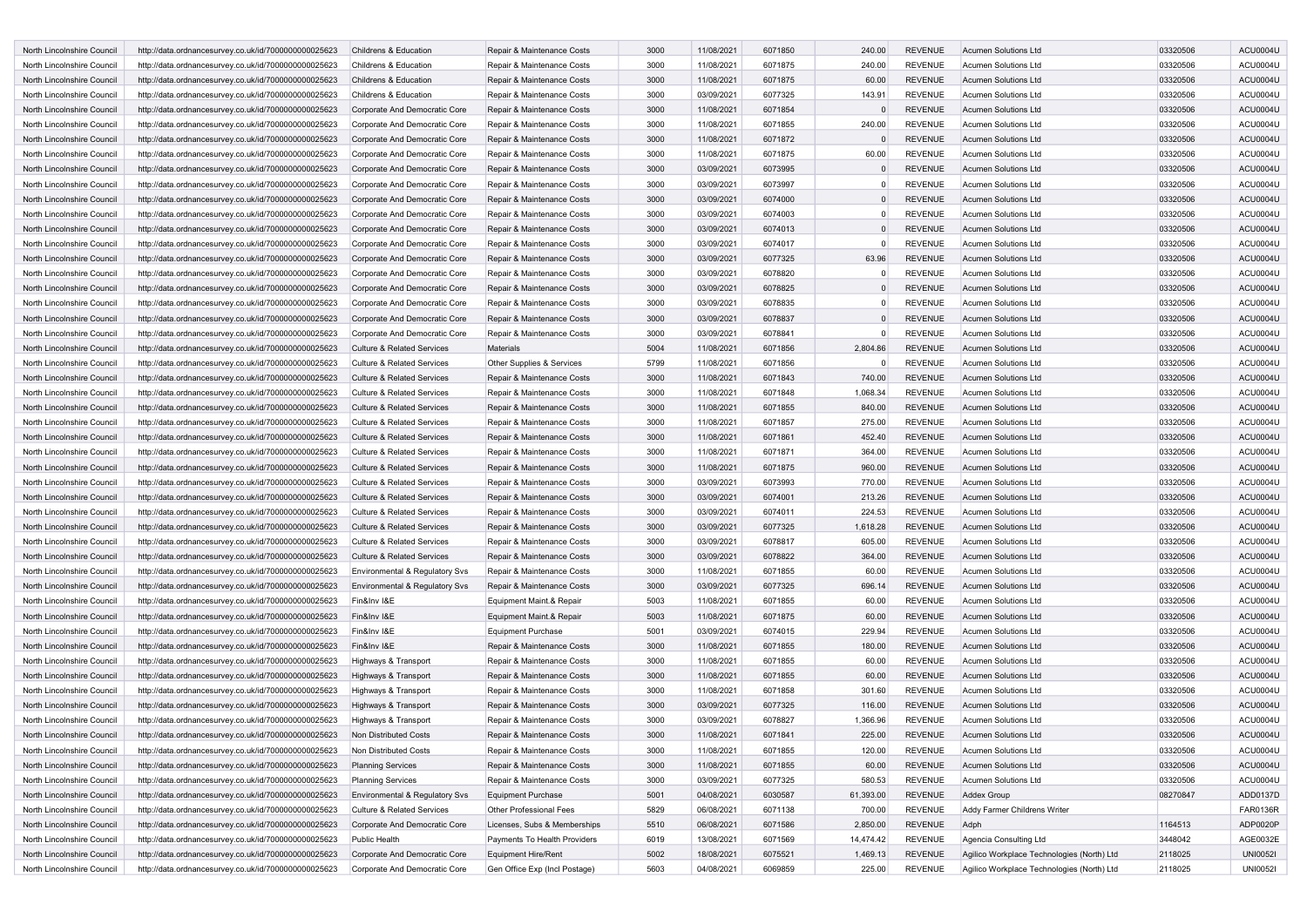| North Lincolnshire Council | http://data.ordnancesurvey.co.uk/id/7000000000025623 | Childrens & Education                 | Repair & Maintenance Costs    | 3000 | 11/08/2021 | 6071850 | 240.00    | <b>REVENUE</b> | <b>Acumen Solutions Ltd</b>                | 03320506 | <b>ACU0004U</b> |
|----------------------------|------------------------------------------------------|---------------------------------------|-------------------------------|------|------------|---------|-----------|----------------|--------------------------------------------|----------|-----------------|
| North Lincolnshire Council | http://data.ordnancesurvey.co.uk/id/7000000000025623 | Childrens & Education                 | Repair & Maintenance Costs    | 3000 | 11/08/2021 | 6071875 | 240.00    | <b>REVENUE</b> | <b>Acumen Solutions Ltd</b>                | 03320506 | <b>ACU0004U</b> |
| North Lincolnshire Council | http://data.ordnancesurvey.co.uk/id/7000000000025623 | Childrens & Education                 | Repair & Maintenance Costs    | 3000 | 11/08/2021 | 6071875 | 60.00     | <b>REVENUE</b> | <b>Acumen Solutions Ltd</b>                | 03320506 | <b>ACU0004U</b> |
| North Lincolnshire Council | http://data.ordnancesurvey.co.uk/id/7000000000025623 | Childrens & Education                 | Repair & Maintenance Costs    | 3000 | 03/09/2021 | 6077325 | 143.91    | <b>REVENUE</b> | Acumen Solutions Ltd                       | 03320506 | <b>ACU0004U</b> |
| North Lincolnshire Council | http://data.ordnancesurvey.co.uk/id/7000000000025623 | Corporate And Democratic Core         | Repair & Maintenance Costs    | 3000 | 11/08/2021 | 6071854 |           | <b>REVENUE</b> | Acumen Solutions Ltd                       | 03320506 | <b>ACU0004U</b> |
| North Lincolnshire Council | http://data.ordnancesurvey.co.uk/id/7000000000025623 | Corporate And Democratic Core         | Repair & Maintenance Costs    | 3000 | 11/08/2021 | 6071855 | 240.00    | <b>REVENUE</b> | Acumen Solutions Ltd                       | 03320506 | ACU0004U        |
| North Lincolnshire Council | http://data.ordnancesurvey.co.uk/id/7000000000025623 | Corporate And Democratic Core         | Repair & Maintenance Costs    | 3000 | 11/08/2021 | 6071872 |           | <b>REVENUE</b> | <b>Acumen Solutions Ltd</b>                | 03320506 | <b>ACU0004U</b> |
| North Lincolnshire Council | http://data.ordnancesurvey.co.uk/id/7000000000025623 | Corporate And Democratic Core         | Repair & Maintenance Costs    | 3000 | 11/08/2021 | 6071875 | 60.00     | <b>REVENUE</b> | Acumen Solutions Ltd                       | 03320506 | ACU0004U        |
| North Lincolnshire Council |                                                      |                                       |                               | 3000 | 03/09/2021 | 6073995 | $\Omega$  | <b>REVENUE</b> | <b>Acumen Solutions Ltd</b>                | 03320506 | <b>ACU0004U</b> |
|                            | http://data.ordnancesurvey.co.uk/id/7000000000025623 | Corporate And Democratic Core         | Repair & Maintenance Costs    |      |            |         |           |                |                                            |          |                 |
| North Lincolnshire Council | http://data.ordnancesurvey.co.uk/id/7000000000025623 | Corporate And Democratic Core         | Repair & Maintenance Costs    | 3000 | 03/09/2021 | 6073997 |           | <b>REVENUE</b> | Acumen Solutions Ltd                       | 03320506 | <b>ACU0004U</b> |
| North Lincolnshire Council | http://data.ordnancesurvey.co.uk/id/7000000000025623 | Corporate And Democratic Core         | Repair & Maintenance Costs    | 3000 | 03/09/2021 | 6074000 | $\Omega$  | <b>REVENUE</b> | <b>Acumen Solutions Ltd</b>                | 03320506 | <b>ACU0004U</b> |
| North Lincolnshire Council | http://data.ordnancesurvey.co.uk/id/7000000000025623 | Corporate And Democratic Core         | Repair & Maintenance Costs    | 3000 | 03/09/2021 | 6074003 | $\Omega$  | <b>REVENUE</b> | <b>Acumen Solutions Ltd</b>                | 03320506 | ACU0004U        |
| North Lincolnshire Council | http://data.ordnancesurvey.co.uk/id/7000000000025623 | Corporate And Democratic Core         | Repair & Maintenance Costs    | 3000 | 03/09/2021 | 6074013 | $\Omega$  | <b>REVENUE</b> | <b>Acumen Solutions Ltd</b>                | 03320506 | <b>ACU0004U</b> |
| North Lincolnshire Council | http://data.ordnancesurvey.co.uk/id/7000000000025623 | Corporate And Democratic Core         | Repair & Maintenance Costs    | 3000 | 03/09/2021 | 6074017 | $\Omega$  | <b>REVENUE</b> | Acumen Solutions Ltd                       | 03320506 | <b>ACU0004U</b> |
| North Lincolnshire Council | http://data.ordnancesurvey.co.uk/id/7000000000025623 | Corporate And Democratic Core         | Repair & Maintenance Costs    | 3000 | 03/09/2021 | 6077325 | 63.96     | <b>REVENUE</b> | Acumen Solutions Ltd                       | 03320506 | <b>ACU0004U</b> |
| North Lincolnshire Council | http://data.ordnancesurvey.co.uk/id/7000000000025623 | Corporate And Democratic Core         | Repair & Maintenance Costs    | 3000 | 03/09/2021 | 6078820 | $\Omega$  | <b>REVENUE</b> | Acumen Solutions Ltd                       | 03320506 | <b>ACU0004U</b> |
| North Lincolnshire Council | http://data.ordnancesurvey.co.uk/id/7000000000025623 | Corporate And Democratic Core         | Repair & Maintenance Costs    | 3000 | 03/09/2021 | 6078825 | $\Omega$  | <b>REVENUE</b> | <b>Acumen Solutions Ltd</b>                | 03320506 | ACU0004U        |
| North Lincolnshire Council | http://data.ordnancesurvey.co.uk/id/7000000000025623 | Corporate And Democratic Core         | Repair & Maintenance Costs    | 3000 | 03/09/2021 | 6078835 | $\Omega$  | <b>REVENUE</b> | Acumen Solutions Ltd                       | 03320506 | <b>ACU0004U</b> |
| North Lincolnshire Council | http://data.ordnancesurvey.co.uk/id/7000000000025623 | Corporate And Democratic Core         | Repair & Maintenance Costs    | 3000 | 03/09/2021 | 6078837 | $\Omega$  | <b>REVENUE</b> | <b>Acumen Solutions Ltd</b>                | 03320506 | <b>ACU0004U</b> |
| North Lincolnshire Council | http://data.ordnancesurvey.co.uk/id/7000000000025623 | Corporate And Democratic Core         | Repair & Maintenance Costs    | 3000 | 03/09/2021 | 6078841 | $\Omega$  | <b>REVENUE</b> | Acumen Solutions Ltd                       | 03320506 | <b>ACU0004U</b> |
| North Lincolnshire Council | http://data.ordnancesurvey.co.uk/id/7000000000025623 | <b>Culture &amp; Related Services</b> | Materials                     | 5004 | 11/08/2021 | 6071856 | 2,804.86  | <b>REVENUE</b> | <b>Acumen Solutions Ltd</b>                | 03320506 | <b>ACU0004U</b> |
| North Lincolnshire Council | http://data.ordnancesurvey.co.uk/id/7000000000025623 | <b>Culture &amp; Related Services</b> | Other Supplies & Services     | 5799 | 11/08/2021 | 6071856 | 0         | <b>REVENUE</b> | <b>Acumen Solutions Ltd</b>                | 03320506 | ACU0004U        |
| North Lincolnshire Council | http://data.ordnancesurvey.co.uk/id/7000000000025623 | <b>Culture &amp; Related Services</b> | Repair & Maintenance Costs    | 3000 | 11/08/2021 | 6071843 | 740.00    | <b>REVENUE</b> | <b>Acumen Solutions Ltd</b>                | 03320506 | ACU0004U        |
| North Lincolnshire Council | http://data.ordnancesurvey.co.uk/id/7000000000025623 | <b>Culture &amp; Related Services</b> | Repair & Maintenance Costs    | 3000 | 11/08/2021 | 6071848 | 1,068.34  | <b>REVENUE</b> | <b>Acumen Solutions Ltd</b>                | 03320506 | <b>ACU0004U</b> |
| North Lincolnshire Council | http://data.ordnancesurvey.co.uk/id/7000000000025623 | <b>Culture &amp; Related Services</b> | Repair & Maintenance Costs    | 3000 | 11/08/2021 | 6071855 | 840.00    | <b>REVENUE</b> | Acumen Solutions Ltd                       | 03320506 | <b>ACU0004U</b> |
| North Lincolnshire Council | http://data.ordnancesurvey.co.uk/id/7000000000025623 | <b>Culture &amp; Related Services</b> | Repair & Maintenance Costs    | 3000 | 11/08/2021 | 6071857 | 275.00    | <b>REVENUE</b> | Acumen Solutions Ltd                       | 03320506 | <b>ACU0004U</b> |
| North Lincolnshire Council | http://data.ordnancesurvey.co.uk/id/7000000000025623 | <b>Culture &amp; Related Services</b> | Repair & Maintenance Costs    | 3000 | 11/08/2021 | 6071861 | 452.40    | <b>REVENUE</b> | Acumen Solutions Ltd                       | 03320506 | ACU0004U        |
| North Lincolnshire Council | http://data.ordnancesurvey.co.uk/id/7000000000025623 | <b>Culture &amp; Related Services</b> | Repair & Maintenance Costs    | 3000 | 11/08/2021 | 6071871 | 364.00    | <b>REVENUE</b> | <b>Acumen Solutions Ltd</b>                | 03320506 | <b>ACU0004U</b> |
|                            |                                                      |                                       |                               | 3000 |            | 6071875 |           | <b>REVENUE</b> |                                            |          |                 |
| North Lincolnshire Council | http://data.ordnancesurvey.co.uk/id/7000000000025623 | <b>Culture &amp; Related Services</b> | Repair & Maintenance Costs    |      | 11/08/2021 |         | 960.00    |                | <b>Acumen Solutions Ltd</b>                | 03320506 | <b>ACU0004U</b> |
| North Lincolnshire Council | http://data.ordnancesurvey.co.uk/id/7000000000025623 | <b>Culture &amp; Related Services</b> | Repair & Maintenance Costs    | 3000 | 03/09/2021 | 6073993 | 770.00    | <b>REVENUE</b> | Acumen Solutions Ltd                       | 03320506 | <b>ACU0004U</b> |
| North Lincolnshire Council | http://data.ordnancesurvey.co.uk/id/7000000000025623 | <b>Culture &amp; Related Services</b> | Repair & Maintenance Costs    | 3000 | 03/09/2021 | 6074001 | 213.26    | <b>REVENUE</b> | Acumen Solutions Ltd                       | 03320506 | <b>ACU0004U</b> |
| North Lincolnshire Council | http://data.ordnancesurvey.co.uk/id/7000000000025623 | <b>Culture &amp; Related Services</b> | Repair & Maintenance Costs    | 3000 | 03/09/2021 | 6074011 | 224.53    | <b>REVENUE</b> | <b>Acumen Solutions Ltd</b>                | 03320506 | ACU0004U        |
| North Lincolnshire Council | http://data.ordnancesurvey.co.uk/id/7000000000025623 | <b>Culture &amp; Related Services</b> | Repair & Maintenance Costs    | 3000 | 03/09/2021 | 6077325 | 1,618.28  | <b>REVENUE</b> | <b>Acumen Solutions Ltd</b>                | 03320506 | <b>ACU0004U</b> |
| North Lincolnshire Council | http://data.ordnancesurvey.co.uk/id/7000000000025623 | <b>Culture &amp; Related Services</b> | Repair & Maintenance Costs    | 3000 | 03/09/2021 | 6078817 | 605.00    | <b>REVENUE</b> | Acumen Solutions Ltd                       | 03320506 | <b>ACU0004U</b> |
| North Lincolnshire Council | http://data.ordnancesurvey.co.uk/id/7000000000025623 | <b>Culture &amp; Related Services</b> | Repair & Maintenance Costs    | 3000 | 03/09/2021 | 6078822 | 364.00    | <b>REVENUE</b> | Acumen Solutions Ltd                       | 03320506 | <b>ACU0004U</b> |
| North Lincolnshire Council | http://data.ordnancesurvey.co.uk/id/7000000000025623 | Environmental & Regulatory Svs        | Repair & Maintenance Costs    | 3000 | 11/08/2021 | 6071855 | 60.00     | <b>REVENUE</b> | Acumen Solutions Ltd                       | 03320506 | <b>ACU0004U</b> |
| North Lincolnshire Council | http://data.ordnancesurvey.co.uk/id/7000000000025623 | Environmental & Regulatory Svs        | Repair & Maintenance Costs    | 3000 | 03/09/2021 | 6077325 | 696.14    | <b>REVENUE</b> | Acumen Solutions Ltd                       | 03320506 | <b>ACU0004U</b> |
| North Lincolnshire Council | http://data.ordnancesurvey.co.uk/id/7000000000025623 | Fin&Inv I&E                           | Equipment Maint.& Repair      | 5003 | 11/08/2021 | 6071855 | 60.00     | <b>REVENUE</b> | Acumen Solutions Ltd                       | 03320506 | <b>ACU0004U</b> |
| North Lincolnshire Council | http://data.ordnancesurvey.co.uk/id/7000000000025623 | Fin&Inv I&E                           | Equipment Maint.& Repair      | 5003 | 11/08/2021 | 6071875 | 60.00     | <b>REVENUE</b> | <b>Acumen Solutions Ltd</b>                | 03320506 | <b>ACU0004U</b> |
| North Lincolnshire Council | http://data.ordnancesurvey.co.uk/id/7000000000025623 | Fin&Inv I&E                           | <b>Equipment Purchase</b>     | 5001 | 03/09/2021 | 6074015 | 229.94    | <b>REVENUE</b> | Acumen Solutions Ltd                       | 03320506 | <b>ACU0004U</b> |
| North Lincolnshire Council | http://data.ordnancesurvey.co.uk/id/7000000000025623 | Fin&Inv I&E                           | Repair & Maintenance Costs    | 3000 | 11/08/2021 | 6071855 | 180.00    | <b>REVENUE</b> | Acumen Solutions Ltd                       | 03320506 | <b>ACU0004U</b> |
| North Lincolnshire Council | http://data.ordnancesurvey.co.uk/id/7000000000025623 | Highways & Transport                  | Repair & Maintenance Costs    | 3000 | 11/08/2021 | 6071855 | 60.00     | <b>REVENUE</b> | Acumen Solutions Ltd                       | 03320506 | ACU0004U        |
| North Lincolnshire Council | http://data.ordnancesurvey.co.uk/id/7000000000025623 | Highways & Transport                  | Repair & Maintenance Costs    | 3000 | 11/08/2021 | 6071855 | 60.00     | <b>REVENUE</b> | <b>Acumen Solutions Ltd</b>                | 03320506 | <b>ACU0004U</b> |
| North Lincolnshire Council | http://data.ordnancesurvey.co.uk/id/7000000000025623 | Highways & Transport                  | Repair & Maintenance Costs    | 3000 | 11/08/2021 | 6071858 | 301.60    | <b>REVENUE</b> | <b>Acumen Solutions Ltd</b>                | 03320506 | ACU0004U        |
| North Lincolnshire Council | http://data.ordnancesurvey.co.uk/id/7000000000025623 | Highways & Transport                  | Repair & Maintenance Costs    | 3000 | 03/09/2021 | 6077325 | 116.00    | <b>REVENUE</b> | Acumen Solutions Ltd                       | 03320506 | <b>ACU0004U</b> |
| North Lincolnshire Council | http://data.ordnancesurvey.co.uk/id/7000000000025623 | Highways & Transport                  | Repair & Maintenance Costs    | 3000 | 03/09/2021 | 6078827 | 1,366.96  | <b>REVENUE</b> | Acumen Solutions Ltd                       | 03320506 | <b>ACU0004U</b> |
| North Lincolnshire Council | http://data.ordnancesurvey.co.uk/id/7000000000025623 | Non Distributed Costs                 | Repair & Maintenance Costs    | 3000 | 11/08/2021 | 6071841 | 225.00    | <b>REVENUE</b> | Acumen Solutions Ltd                       | 03320506 | <b>ACU0004U</b> |
| North Lincolnshire Council | http://data.ordnancesurvey.co.uk/id/7000000000025623 | Non Distributed Costs                 | Repair & Maintenance Costs    | 3000 | 11/08/2021 | 6071855 | 120.00    | <b>REVENUE</b> | Acumen Solutions Ltd                       | 03320506 | ACU0004U        |
| North Lincolnshire Council | http://data.ordnancesurvey.co.uk/id/7000000000025623 | <b>Planning Services</b>              | Repair & Maintenance Costs    | 3000 | 11/08/2021 | 6071855 | 60.00     | <b>REVENUE</b> | <b>Acumen Solutions Ltd</b>                | 03320506 | <b>ACU0004U</b> |
| North Lincolnshire Council | http://data.ordnancesurvey.co.uk/id/7000000000025623 | <b>Planning Services</b>              | Repair & Maintenance Costs    | 3000 | 03/09/2021 | 6077325 | 580.53    | <b>REVENUE</b> | Acumen Solutions Ltd                       | 03320506 | <b>ACU0004U</b> |
|                            | http://data.ordnancesurvey.co.uk/id/7000000000025623 |                                       |                               | 5001 |            | 6030587 |           | <b>REVENUE</b> |                                            | 08270847 | ADD0137D        |
| North Lincolnshire Council |                                                      | Environmental & Regulatory Svs        | Equipment Purchase            |      | 04/08/2021 |         | 61,393.00 |                | <b>Addex Group</b>                         |          |                 |
| North Lincolnshire Council | http://data.ordnancesurvey.co.uk/id/7000000000025623 | <b>Culture &amp; Related Services</b> | Other Professional Fees       | 5829 | 06/08/2021 | 6071138 | 700.00    | <b>REVENUE</b> | Addy Farmer Childrens Writer               |          | FAR0136R        |
| North Lincolnshire Council | http://data.ordnancesurvey.co.uk/id/7000000000025623 | Corporate And Democratic Core         | Licenses, Subs & Memberships  | 5510 | 06/08/2021 | 6071586 | 2,850.00  | <b>REVENUE</b> | Adph                                       | 1164513  | ADP0020P        |
| North Lincolnshire Council | http://data.ordnancesurvey.co.uk/id/7000000000025623 | Public Health                         | Payments To Health Providers  | 6019 | 13/08/2021 | 6071569 | 14,474.42 | <b>REVENUE</b> | Agencia Consulting Ltd                     | 3448042  | AGE0032E        |
| North Lincolnshire Council | http://data.ordnancesurvey.co.uk/id/7000000000025623 | Corporate And Democratic Core         | <b>Equipment Hire/Rent</b>    | 5002 | 18/08/2021 | 6075521 | 1,469.13  | <b>REVENUE</b> | Agilico Workplace Technologies (North) Ltd | 2118025  | <b>UNI00521</b> |
| North Lincolnshire Council | http://data.ordnancesurvey.co.uk/id/7000000000025623 | Corporate And Democratic Core         | Gen Office Exp (Incl Postage) | 5603 | 04/08/2021 | 6069859 | 225.00    | <b>REVENUE</b> | Agilico Workplace Technologies (North) Ltd | 2118025  | <b>UNI0052I</b> |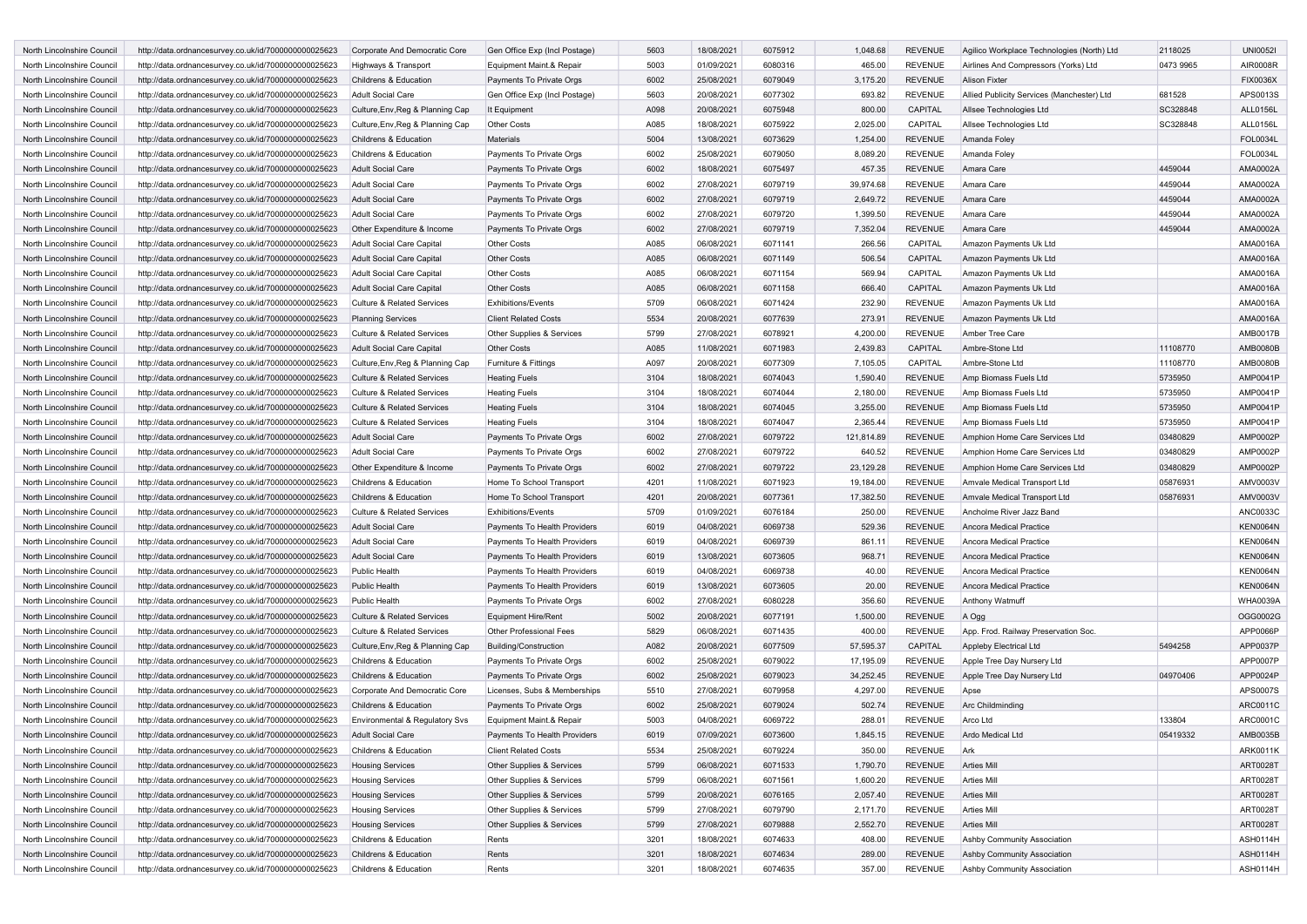| http://data.ordnancesurvey.co.uk/id/7000000000025623 | Corporate And Democratic Core                                                                                                                                                                                                                                                                                                                                                                                                                                                                                                                                                                                                                                                                                                                                                                                                                                        | Gen Office Exp (Incl Postage)                                                                                                                                                                                                                                                                                                                                                                                                             | 5603                                                                                                                                                                                                                                                                                                                                                                              | 18/08/2021                                                                                                           | 6075912                                                                                                                                                                                                                      | 1,048.68                                                                                                                                                          | <b>REVENUE</b>                                                                                                                                                                  | Agilico Workplace Technologies (North) Ltd                                                                                                                                                                                       | 2118025                                                                                                                                                                                                                                                                                                                                    | <b>UNI00521</b>                                                             |
|------------------------------------------------------|----------------------------------------------------------------------------------------------------------------------------------------------------------------------------------------------------------------------------------------------------------------------------------------------------------------------------------------------------------------------------------------------------------------------------------------------------------------------------------------------------------------------------------------------------------------------------------------------------------------------------------------------------------------------------------------------------------------------------------------------------------------------------------------------------------------------------------------------------------------------|-------------------------------------------------------------------------------------------------------------------------------------------------------------------------------------------------------------------------------------------------------------------------------------------------------------------------------------------------------------------------------------------------------------------------------------------|-----------------------------------------------------------------------------------------------------------------------------------------------------------------------------------------------------------------------------------------------------------------------------------------------------------------------------------------------------------------------------------|----------------------------------------------------------------------------------------------------------------------|------------------------------------------------------------------------------------------------------------------------------------------------------------------------------------------------------------------------------|-------------------------------------------------------------------------------------------------------------------------------------------------------------------|---------------------------------------------------------------------------------------------------------------------------------------------------------------------------------|----------------------------------------------------------------------------------------------------------------------------------------------------------------------------------------------------------------------------------|--------------------------------------------------------------------------------------------------------------------------------------------------------------------------------------------------------------------------------------------------------------------------------------------------------------------------------------------|-----------------------------------------------------------------------------|
| http://data.ordnancesurvey.co.uk/id/7000000000025623 | Highways & Transport                                                                                                                                                                                                                                                                                                                                                                                                                                                                                                                                                                                                                                                                                                                                                                                                                                                 | Equipment Maint.& Repair                                                                                                                                                                                                                                                                                                                                                                                                                  | 5003                                                                                                                                                                                                                                                                                                                                                                              | 01/09/2021                                                                                                           | 6080316                                                                                                                                                                                                                      | 465.00                                                                                                                                                            | <b>REVENUE</b>                                                                                                                                                                  | Airlines And Compressors (Yorks) Ltd                                                                                                                                                                                             | 0473 9965                                                                                                                                                                                                                                                                                                                                  | AIR0008R                                                                    |
| http://data.ordnancesurvey.co.uk/id/7000000000025623 | Childrens & Education                                                                                                                                                                                                                                                                                                                                                                                                                                                                                                                                                                                                                                                                                                                                                                                                                                                | Payments To Private Orgs                                                                                                                                                                                                                                                                                                                                                                                                                  | 6002                                                                                                                                                                                                                                                                                                                                                                              | 25/08/2021                                                                                                           | 6079049                                                                                                                                                                                                                      | 3,175.20                                                                                                                                                          | <b>REVENUE</b>                                                                                                                                                                  | <b>Alison Fixter</b>                                                                                                                                                                                                             |                                                                                                                                                                                                                                                                                                                                            | <b>FIX0036X</b>                                                             |
| http://data.ordnancesurvey.co.uk/id/7000000000025623 | <b>Adult Social Care</b>                                                                                                                                                                                                                                                                                                                                                                                                                                                                                                                                                                                                                                                                                                                                                                                                                                             | Gen Office Exp (Incl Postage)                                                                                                                                                                                                                                                                                                                                                                                                             | 5603                                                                                                                                                                                                                                                                                                                                                                              | 20/08/2021                                                                                                           | 6077302                                                                                                                                                                                                                      | 693.82                                                                                                                                                            | REVENUE                                                                                                                                                                         | Allied Publicity Services (Manchester) Ltd                                                                                                                                                                                       | 681528                                                                                                                                                                                                                                                                                                                                     | APS0013S                                                                    |
| http://data.ordnancesurvey.co.uk/id/7000000000025623 | Culture, Env, Reg & Planning Cap                                                                                                                                                                                                                                                                                                                                                                                                                                                                                                                                                                                                                                                                                                                                                                                                                                     | It Equipment                                                                                                                                                                                                                                                                                                                                                                                                                              | A098                                                                                                                                                                                                                                                                                                                                                                              | 20/08/2021                                                                                                           | 6075948                                                                                                                                                                                                                      | 800.00                                                                                                                                                            | CAPITAL                                                                                                                                                                         | Allsee Technologies Ltd                                                                                                                                                                                                          | SC328848                                                                                                                                                                                                                                                                                                                                   | ALL0156L                                                                    |
| http://data.ordnancesurvey.co.uk/id/7000000000025623 | Culture, Env, Reg & Planning Cap                                                                                                                                                                                                                                                                                                                                                                                                                                                                                                                                                                                                                                                                                                                                                                                                                                     | <b>Other Costs</b>                                                                                                                                                                                                                                                                                                                                                                                                                        | A085                                                                                                                                                                                                                                                                                                                                                                              | 18/08/2021                                                                                                           | 6075922                                                                                                                                                                                                                      | 2,025.00                                                                                                                                                          | CAPITAL                                                                                                                                                                         | Allsee Technologies Ltd                                                                                                                                                                                                          | SC328848                                                                                                                                                                                                                                                                                                                                   | ALL0156L                                                                    |
| http://data.ordnancesurvey.co.uk/id/7000000000025623 | Childrens & Education                                                                                                                                                                                                                                                                                                                                                                                                                                                                                                                                                                                                                                                                                                                                                                                                                                                | <b>Materials</b>                                                                                                                                                                                                                                                                                                                                                                                                                          | 5004                                                                                                                                                                                                                                                                                                                                                                              |                                                                                                                      | 6073629                                                                                                                                                                                                                      |                                                                                                                                                                   | <b>REVENUE</b>                                                                                                                                                                  | Amanda Foley                                                                                                                                                                                                                     |                                                                                                                                                                                                                                                                                                                                            | <b>FOL0034L</b>                                                             |
|                                                      |                                                                                                                                                                                                                                                                                                                                                                                                                                                                                                                                                                                                                                                                                                                                                                                                                                                                      |                                                                                                                                                                                                                                                                                                                                                                                                                                           |                                                                                                                                                                                                                                                                                                                                                                                   |                                                                                                                      |                                                                                                                                                                                                                              |                                                                                                                                                                   |                                                                                                                                                                                 |                                                                                                                                                                                                                                  |                                                                                                                                                                                                                                                                                                                                            | <b>FOL0034L</b>                                                             |
|                                                      |                                                                                                                                                                                                                                                                                                                                                                                                                                                                                                                                                                                                                                                                                                                                                                                                                                                                      |                                                                                                                                                                                                                                                                                                                                                                                                                                           |                                                                                                                                                                                                                                                                                                                                                                                   |                                                                                                                      |                                                                                                                                                                                                                              |                                                                                                                                                                   |                                                                                                                                                                                 |                                                                                                                                                                                                                                  |                                                                                                                                                                                                                                                                                                                                            | AMA0002A                                                                    |
|                                                      |                                                                                                                                                                                                                                                                                                                                                                                                                                                                                                                                                                                                                                                                                                                                                                                                                                                                      |                                                                                                                                                                                                                                                                                                                                                                                                                                           |                                                                                                                                                                                                                                                                                                                                                                                   |                                                                                                                      |                                                                                                                                                                                                                              |                                                                                                                                                                   |                                                                                                                                                                                 |                                                                                                                                                                                                                                  |                                                                                                                                                                                                                                                                                                                                            | AMA0002A                                                                    |
|                                                      |                                                                                                                                                                                                                                                                                                                                                                                                                                                                                                                                                                                                                                                                                                                                                                                                                                                                      |                                                                                                                                                                                                                                                                                                                                                                                                                                           |                                                                                                                                                                                                                                                                                                                                                                                   |                                                                                                                      |                                                                                                                                                                                                                              |                                                                                                                                                                   |                                                                                                                                                                                 |                                                                                                                                                                                                                                  |                                                                                                                                                                                                                                                                                                                                            | AMA0002A                                                                    |
|                                                      |                                                                                                                                                                                                                                                                                                                                                                                                                                                                                                                                                                                                                                                                                                                                                                                                                                                                      |                                                                                                                                                                                                                                                                                                                                                                                                                                           |                                                                                                                                                                                                                                                                                                                                                                                   |                                                                                                                      |                                                                                                                                                                                                                              |                                                                                                                                                                   |                                                                                                                                                                                 |                                                                                                                                                                                                                                  |                                                                                                                                                                                                                                                                                                                                            | AMA0002A                                                                    |
|                                                      |                                                                                                                                                                                                                                                                                                                                                                                                                                                                                                                                                                                                                                                                                                                                                                                                                                                                      |                                                                                                                                                                                                                                                                                                                                                                                                                                           |                                                                                                                                                                                                                                                                                                                                                                                   |                                                                                                                      |                                                                                                                                                                                                                              |                                                                                                                                                                   |                                                                                                                                                                                 |                                                                                                                                                                                                                                  |                                                                                                                                                                                                                                                                                                                                            | AMA0002A                                                                    |
|                                                      |                                                                                                                                                                                                                                                                                                                                                                                                                                                                                                                                                                                                                                                                                                                                                                                                                                                                      |                                                                                                                                                                                                                                                                                                                                                                                                                                           |                                                                                                                                                                                                                                                                                                                                                                                   |                                                                                                                      |                                                                                                                                                                                                                              |                                                                                                                                                                   |                                                                                                                                                                                 |                                                                                                                                                                                                                                  |                                                                                                                                                                                                                                                                                                                                            |                                                                             |
|                                                      |                                                                                                                                                                                                                                                                                                                                                                                                                                                                                                                                                                                                                                                                                                                                                                                                                                                                      |                                                                                                                                                                                                                                                                                                                                                                                                                                           |                                                                                                                                                                                                                                                                                                                                                                                   |                                                                                                                      |                                                                                                                                                                                                                              |                                                                                                                                                                   |                                                                                                                                                                                 |                                                                                                                                                                                                                                  |                                                                                                                                                                                                                                                                                                                                            | AMA0016A                                                                    |
|                                                      |                                                                                                                                                                                                                                                                                                                                                                                                                                                                                                                                                                                                                                                                                                                                                                                                                                                                      |                                                                                                                                                                                                                                                                                                                                                                                                                                           |                                                                                                                                                                                                                                                                                                                                                                                   |                                                                                                                      |                                                                                                                                                                                                                              |                                                                                                                                                                   |                                                                                                                                                                                 |                                                                                                                                                                                                                                  |                                                                                                                                                                                                                                                                                                                                            | AMA0016A                                                                    |
|                                                      |                                                                                                                                                                                                                                                                                                                                                                                                                                                                                                                                                                                                                                                                                                                                                                                                                                                                      |                                                                                                                                                                                                                                                                                                                                                                                                                                           |                                                                                                                                                                                                                                                                                                                                                                                   |                                                                                                                      |                                                                                                                                                                                                                              |                                                                                                                                                                   |                                                                                                                                                                                 |                                                                                                                                                                                                                                  |                                                                                                                                                                                                                                                                                                                                            | AMA0016A                                                                    |
|                                                      |                                                                                                                                                                                                                                                                                                                                                                                                                                                                                                                                                                                                                                                                                                                                                                                                                                                                      |                                                                                                                                                                                                                                                                                                                                                                                                                                           |                                                                                                                                                                                                                                                                                                                                                                                   |                                                                                                                      |                                                                                                                                                                                                                              |                                                                                                                                                                   |                                                                                                                                                                                 |                                                                                                                                                                                                                                  |                                                                                                                                                                                                                                                                                                                                            | AMA0016A                                                                    |
|                                                      |                                                                                                                                                                                                                                                                                                                                                                                                                                                                                                                                                                                                                                                                                                                                                                                                                                                                      |                                                                                                                                                                                                                                                                                                                                                                                                                                           |                                                                                                                                                                                                                                                                                                                                                                                   |                                                                                                                      |                                                                                                                                                                                                                              |                                                                                                                                                                   |                                                                                                                                                                                 |                                                                                                                                                                                                                                  |                                                                                                                                                                                                                                                                                                                                            | AMA0016A                                                                    |
|                                                      | <b>Planning Services</b>                                                                                                                                                                                                                                                                                                                                                                                                                                                                                                                                                                                                                                                                                                                                                                                                                                             |                                                                                                                                                                                                                                                                                                                                                                                                                                           |                                                                                                                                                                                                                                                                                                                                                                                   |                                                                                                                      |                                                                                                                                                                                                                              |                                                                                                                                                                   |                                                                                                                                                                                 |                                                                                                                                                                                                                                  |                                                                                                                                                                                                                                                                                                                                            | AMA0016A                                                                    |
| http://data.ordnancesurvey.co.uk/id/7000000000025623 | <b>Culture &amp; Related Services</b>                                                                                                                                                                                                                                                                                                                                                                                                                                                                                                                                                                                                                                                                                                                                                                                                                                | Other Supplies & Services                                                                                                                                                                                                                                                                                                                                                                                                                 | 5799                                                                                                                                                                                                                                                                                                                                                                              | 27/08/2021                                                                                                           | 6078921                                                                                                                                                                                                                      | 4,200.00                                                                                                                                                          | <b>REVENUE</b>                                                                                                                                                                  | Amber Tree Care                                                                                                                                                                                                                  |                                                                                                                                                                                                                                                                                                                                            | <b>AMB0017B</b>                                                             |
| http://data.ordnancesurvey.co.uk/id/7000000000025623 | <b>Adult Social Care Capital</b>                                                                                                                                                                                                                                                                                                                                                                                                                                                                                                                                                                                                                                                                                                                                                                                                                                     | <b>Other Costs</b>                                                                                                                                                                                                                                                                                                                                                                                                                        | A085                                                                                                                                                                                                                                                                                                                                                                              | 11/08/2021                                                                                                           | 6071983                                                                                                                                                                                                                      | 2,439.83                                                                                                                                                          | CAPITAL                                                                                                                                                                         | Ambre-Stone Ltd                                                                                                                                                                                                                  | 11108770                                                                                                                                                                                                                                                                                                                                   | <b>AMB0080B</b>                                                             |
| http://data.ordnancesurvey.co.uk/id/7000000000025623 | Culture, Env, Reg & Planning Cap                                                                                                                                                                                                                                                                                                                                                                                                                                                                                                                                                                                                                                                                                                                                                                                                                                     | Furniture & Fittings                                                                                                                                                                                                                                                                                                                                                                                                                      | A097                                                                                                                                                                                                                                                                                                                                                                              | 20/08/2021                                                                                                           | 6077309                                                                                                                                                                                                                      | 7,105.05                                                                                                                                                          | CAPITAL                                                                                                                                                                         | Ambre-Stone Ltd                                                                                                                                                                                                                  | 11108770                                                                                                                                                                                                                                                                                                                                   | <b>AMB0080B</b>                                                             |
| http://data.ordnancesurvey.co.uk/id/7000000000025623 | <b>Culture &amp; Related Services</b>                                                                                                                                                                                                                                                                                                                                                                                                                                                                                                                                                                                                                                                                                                                                                                                                                                | <b>Heating Fuels</b>                                                                                                                                                                                                                                                                                                                                                                                                                      | 3104                                                                                                                                                                                                                                                                                                                                                                              | 18/08/2021                                                                                                           | 6074043                                                                                                                                                                                                                      | 1,590.40                                                                                                                                                          | <b>REVENUE</b>                                                                                                                                                                  | Amp Biomass Fuels Ltd                                                                                                                                                                                                            | 5735950                                                                                                                                                                                                                                                                                                                                    | AMP0041P                                                                    |
| http://data.ordnancesurvey.co.uk/id/7000000000025623 | <b>Culture &amp; Related Services</b>                                                                                                                                                                                                                                                                                                                                                                                                                                                                                                                                                                                                                                                                                                                                                                                                                                | <b>Heating Fuels</b>                                                                                                                                                                                                                                                                                                                                                                                                                      | 3104                                                                                                                                                                                                                                                                                                                                                                              | 18/08/2021                                                                                                           | 6074044                                                                                                                                                                                                                      | 2,180.00                                                                                                                                                          | <b>REVENUE</b>                                                                                                                                                                  | Amp Biomass Fuels Ltd                                                                                                                                                                                                            | 5735950                                                                                                                                                                                                                                                                                                                                    | AMP0041P                                                                    |
| http://data.ordnancesurvey.co.uk/id/7000000000025623 | <b>Culture &amp; Related Services</b>                                                                                                                                                                                                                                                                                                                                                                                                                                                                                                                                                                                                                                                                                                                                                                                                                                | <b>Heating Fuels</b>                                                                                                                                                                                                                                                                                                                                                                                                                      | 3104                                                                                                                                                                                                                                                                                                                                                                              | 18/08/2021                                                                                                           | 6074045                                                                                                                                                                                                                      | 3,255.00                                                                                                                                                          | <b>REVENUE</b>                                                                                                                                                                  | Amp Biomass Fuels Ltd                                                                                                                                                                                                            | 5735950                                                                                                                                                                                                                                                                                                                                    | AMP0041P                                                                    |
| http://data.ordnancesurvey.co.uk/id/7000000000025623 | <b>Culture &amp; Related Services</b>                                                                                                                                                                                                                                                                                                                                                                                                                                                                                                                                                                                                                                                                                                                                                                                                                                | <b>Heating Fuels</b>                                                                                                                                                                                                                                                                                                                                                                                                                      | 3104                                                                                                                                                                                                                                                                                                                                                                              | 18/08/2021                                                                                                           | 6074047                                                                                                                                                                                                                      | 2,365.44                                                                                                                                                          | REVENUE                                                                                                                                                                         | Amp Biomass Fuels Ltd                                                                                                                                                                                                            | 5735950                                                                                                                                                                                                                                                                                                                                    | AMP0041P                                                                    |
| http://data.ordnancesurvey.co.uk/id/7000000000025623 | Adult Social Care                                                                                                                                                                                                                                                                                                                                                                                                                                                                                                                                                                                                                                                                                                                                                                                                                                                    | Payments To Private Orgs                                                                                                                                                                                                                                                                                                                                                                                                                  | 6002                                                                                                                                                                                                                                                                                                                                                                              | 27/08/2021                                                                                                           | 6079722                                                                                                                                                                                                                      | 121,814.89                                                                                                                                                        | <b>REVENUE</b>                                                                                                                                                                  | Amphion Home Care Services Ltd                                                                                                                                                                                                   | 03480829                                                                                                                                                                                                                                                                                                                                   | AMP0002P                                                                    |
| http://data.ordnancesurvey.co.uk/id/7000000000025623 | <b>Adult Social Care</b>                                                                                                                                                                                                                                                                                                                                                                                                                                                                                                                                                                                                                                                                                                                                                                                                                                             | Payments To Private Orgs                                                                                                                                                                                                                                                                                                                                                                                                                  | 6002                                                                                                                                                                                                                                                                                                                                                                              | 27/08/2021                                                                                                           | 6079722                                                                                                                                                                                                                      | 640.52                                                                                                                                                            | REVENUE                                                                                                                                                                         | Amphion Home Care Services Ltd                                                                                                                                                                                                   | 03480829                                                                                                                                                                                                                                                                                                                                   | AMP0002P                                                                    |
| http://data.ordnancesurvey.co.uk/id/7000000000025623 | Other Expenditure & Income                                                                                                                                                                                                                                                                                                                                                                                                                                                                                                                                                                                                                                                                                                                                                                                                                                           | Payments To Private Orgs                                                                                                                                                                                                                                                                                                                                                                                                                  | 6002                                                                                                                                                                                                                                                                                                                                                                              | 27/08/2021                                                                                                           | 6079722                                                                                                                                                                                                                      | 23,129.28                                                                                                                                                         | <b>REVENUE</b>                                                                                                                                                                  | Amphion Home Care Services Ltd                                                                                                                                                                                                   | 03480829                                                                                                                                                                                                                                                                                                                                   | AMP0002P                                                                    |
|                                                      |                                                                                                                                                                                                                                                                                                                                                                                                                                                                                                                                                                                                                                                                                                                                                                                                                                                                      | Home To School Transport                                                                                                                                                                                                                                                                                                                                                                                                                  |                                                                                                                                                                                                                                                                                                                                                                                   |                                                                                                                      |                                                                                                                                                                                                                              |                                                                                                                                                                   |                                                                                                                                                                                 |                                                                                                                                                                                                                                  |                                                                                                                                                                                                                                                                                                                                            | AMV0003V                                                                    |
|                                                      |                                                                                                                                                                                                                                                                                                                                                                                                                                                                                                                                                                                                                                                                                                                                                                                                                                                                      |                                                                                                                                                                                                                                                                                                                                                                                                                                           |                                                                                                                                                                                                                                                                                                                                                                                   |                                                                                                                      |                                                                                                                                                                                                                              |                                                                                                                                                                   |                                                                                                                                                                                 |                                                                                                                                                                                                                                  |                                                                                                                                                                                                                                                                                                                                            | <b>AMV0003V</b>                                                             |
|                                                      |                                                                                                                                                                                                                                                                                                                                                                                                                                                                                                                                                                                                                                                                                                                                                                                                                                                                      |                                                                                                                                                                                                                                                                                                                                                                                                                                           |                                                                                                                                                                                                                                                                                                                                                                                   |                                                                                                                      |                                                                                                                                                                                                                              |                                                                                                                                                                   |                                                                                                                                                                                 |                                                                                                                                                                                                                                  |                                                                                                                                                                                                                                                                                                                                            | ANC0033C                                                                    |
|                                                      |                                                                                                                                                                                                                                                                                                                                                                                                                                                                                                                                                                                                                                                                                                                                                                                                                                                                      |                                                                                                                                                                                                                                                                                                                                                                                                                                           |                                                                                                                                                                                                                                                                                                                                                                                   |                                                                                                                      |                                                                                                                                                                                                                              |                                                                                                                                                                   |                                                                                                                                                                                 | Ancora Medical Practice                                                                                                                                                                                                          |                                                                                                                                                                                                                                                                                                                                            | <b>KEN0064N</b>                                                             |
|                                                      |                                                                                                                                                                                                                                                                                                                                                                                                                                                                                                                                                                                                                                                                                                                                                                                                                                                                      |                                                                                                                                                                                                                                                                                                                                                                                                                                           |                                                                                                                                                                                                                                                                                                                                                                                   |                                                                                                                      |                                                                                                                                                                                                                              |                                                                                                                                                                   |                                                                                                                                                                                 | Ancora Medical Practice                                                                                                                                                                                                          |                                                                                                                                                                                                                                                                                                                                            |                                                                             |
| http://data.ordnancesurvey.co.uk/id/7000000000025623 | <b>Adult Social Care</b>                                                                                                                                                                                                                                                                                                                                                                                                                                                                                                                                                                                                                                                                                                                                                                                                                                             | Payments To Health Providers                                                                                                                                                                                                                                                                                                                                                                                                              | 6019                                                                                                                                                                                                                                                                                                                                                                              | 04/08/2021                                                                                                           | 6069738                                                                                                                                                                                                                      | 529.36                                                                                                                                                            | <b>REVENUE</b>                                                                                                                                                                  | Ancora Medical Practice                                                                                                                                                                                                          |                                                                                                                                                                                                                                                                                                                                            |                                                                             |
| http://data.ordnancesurvey.co.uk/id/7000000000025623 | <b>Adult Social Care</b>                                                                                                                                                                                                                                                                                                                                                                                                                                                                                                                                                                                                                                                                                                                                                                                                                                             | Payments To Health Providers                                                                                                                                                                                                                                                                                                                                                                                                              | 6019                                                                                                                                                                                                                                                                                                                                                                              | 04/08/2021                                                                                                           | 6069739                                                                                                                                                                                                                      | 861.11                                                                                                                                                            | <b>REVENUE</b>                                                                                                                                                                  |                                                                                                                                                                                                                                  |                                                                                                                                                                                                                                                                                                                                            | <b>KEN0064N</b>                                                             |
| http://data.ordnancesurvey.co.uk/id/7000000000025623 | <b>Adult Social Care</b>                                                                                                                                                                                                                                                                                                                                                                                                                                                                                                                                                                                                                                                                                                                                                                                                                                             | Payments To Health Providers                                                                                                                                                                                                                                                                                                                                                                                                              | 6019                                                                                                                                                                                                                                                                                                                                                                              | 13/08/2021                                                                                                           | 6073605                                                                                                                                                                                                                      | 968.71                                                                                                                                                            | <b>REVENUE</b>                                                                                                                                                                  |                                                                                                                                                                                                                                  |                                                                                                                                                                                                                                                                                                                                            | <b>KEN0064N</b>                                                             |
| http://data.ordnancesurvey.co.uk/id/7000000000025623 | Public Health                                                                                                                                                                                                                                                                                                                                                                                                                                                                                                                                                                                                                                                                                                                                                                                                                                                        | Payments To Health Providers                                                                                                                                                                                                                                                                                                                                                                                                              | 6019                                                                                                                                                                                                                                                                                                                                                                              | 04/08/2021                                                                                                           | 6069738                                                                                                                                                                                                                      | 40.00                                                                                                                                                             | REVENUE                                                                                                                                                                         | Ancora Medical Practice                                                                                                                                                                                                          |                                                                                                                                                                                                                                                                                                                                            | <b>KEN0064N</b>                                                             |
| http://data.ordnancesurvey.co.uk/id/7000000000025623 | <b>Public Health</b>                                                                                                                                                                                                                                                                                                                                                                                                                                                                                                                                                                                                                                                                                                                                                                                                                                                 | Payments To Health Providers                                                                                                                                                                                                                                                                                                                                                                                                              | 6019                                                                                                                                                                                                                                                                                                                                                                              | 13/08/2021                                                                                                           | 6073605                                                                                                                                                                                                                      | 20.00                                                                                                                                                             | <b>REVENUE</b>                                                                                                                                                                  | Ancora Medical Practice                                                                                                                                                                                                          |                                                                                                                                                                                                                                                                                                                                            | <b>KEN0064N</b>                                                             |
| http://data.ordnancesurvey.co.uk/id/7000000000025623 | Public Health                                                                                                                                                                                                                                                                                                                                                                                                                                                                                                                                                                                                                                                                                                                                                                                                                                                        | Payments To Private Orgs                                                                                                                                                                                                                                                                                                                                                                                                                  | 6002                                                                                                                                                                                                                                                                                                                                                                              | 27/08/2021                                                                                                           | 6080228                                                                                                                                                                                                                      | 356.60                                                                                                                                                            | <b>REVENUE</b>                                                                                                                                                                  | Anthony Watmuff                                                                                                                                                                                                                  |                                                                                                                                                                                                                                                                                                                                            | WHA0039A                                                                    |
| http://data.ordnancesurvey.co.uk/id/7000000000025623 | <b>Culture &amp; Related Services</b>                                                                                                                                                                                                                                                                                                                                                                                                                                                                                                                                                                                                                                                                                                                                                                                                                                | <b>Equipment Hire/Rent</b>                                                                                                                                                                                                                                                                                                                                                                                                                | 5002                                                                                                                                                                                                                                                                                                                                                                              | 20/08/2021                                                                                                           | 6077191                                                                                                                                                                                                                      | 1,500.00                                                                                                                                                          | <b>REVENUE</b>                                                                                                                                                                  | A Ogg                                                                                                                                                                                                                            |                                                                                                                                                                                                                                                                                                                                            | OGG0002G                                                                    |
| http://data.ordnancesurvey.co.uk/id/7000000000025623 | <b>Culture &amp; Related Services</b>                                                                                                                                                                                                                                                                                                                                                                                                                                                                                                                                                                                                                                                                                                                                                                                                                                | <b>Other Professional Fees</b>                                                                                                                                                                                                                                                                                                                                                                                                            | 5829                                                                                                                                                                                                                                                                                                                                                                              | 06/08/2021                                                                                                           | 6071435                                                                                                                                                                                                                      | 400.00                                                                                                                                                            | <b>REVENUE</b>                                                                                                                                                                  | App. Frod. Railway Preservation Soc                                                                                                                                                                                              |                                                                                                                                                                                                                                                                                                                                            | APP0066P                                                                    |
| http://data.ordnancesurvey.co.uk/id/7000000000025623 | Culture, Env, Reg & Planning Cap                                                                                                                                                                                                                                                                                                                                                                                                                                                                                                                                                                                                                                                                                                                                                                                                                                     | Building/Construction                                                                                                                                                                                                                                                                                                                                                                                                                     | A082                                                                                                                                                                                                                                                                                                                                                                              | 20/08/2021                                                                                                           | 6077509                                                                                                                                                                                                                      | 57,595.37                                                                                                                                                         | CAPITAL                                                                                                                                                                         | Appleby Electrical Ltd                                                                                                                                                                                                           | 5494258                                                                                                                                                                                                                                                                                                                                    | APP0037P                                                                    |
| http://data.ordnancesurvey.co.uk/id/7000000000025623 | Childrens & Education                                                                                                                                                                                                                                                                                                                                                                                                                                                                                                                                                                                                                                                                                                                                                                                                                                                | Payments To Private Orgs                                                                                                                                                                                                                                                                                                                                                                                                                  | 6002                                                                                                                                                                                                                                                                                                                                                                              | 25/08/2021                                                                                                           | 6079022                                                                                                                                                                                                                      | 17,195.09                                                                                                                                                         | <b>REVENUE</b>                                                                                                                                                                  | Apple Tree Day Nursery Ltd                                                                                                                                                                                                       |                                                                                                                                                                                                                                                                                                                                            | APP0007P                                                                    |
| http://data.ordnancesurvey.co.uk/id/7000000000025623 | Childrens & Education                                                                                                                                                                                                                                                                                                                                                                                                                                                                                                                                                                                                                                                                                                                                                                                                                                                | Payments To Private Orgs                                                                                                                                                                                                                                                                                                                                                                                                                  | 6002                                                                                                                                                                                                                                                                                                                                                                              | 25/08/2021                                                                                                           | 6079023                                                                                                                                                                                                                      | 34,252.45                                                                                                                                                         | <b>REVENUE</b>                                                                                                                                                                  | Apple Tree Day Nursery Ltd                                                                                                                                                                                                       | 04970406                                                                                                                                                                                                                                                                                                                                   | APP0024P                                                                    |
| http://data.ordnancesurvey.co.uk/id/7000000000025623 | Corporate And Democratic Core                                                                                                                                                                                                                                                                                                                                                                                                                                                                                                                                                                                                                                                                                                                                                                                                                                        | Licenses, Subs & Memberships                                                                                                                                                                                                                                                                                                                                                                                                              | 5510                                                                                                                                                                                                                                                                                                                                                                              | 27/08/2021                                                                                                           | 6079958                                                                                                                                                                                                                      | 4,297.00                                                                                                                                                          | <b>REVENUE</b>                                                                                                                                                                  | Apse                                                                                                                                                                                                                             |                                                                                                                                                                                                                                                                                                                                            | APS0007S                                                                    |
| http://data.ordnancesurvey.co.uk/id/7000000000025623 | Childrens & Education                                                                                                                                                                                                                                                                                                                                                                                                                                                                                                                                                                                                                                                                                                                                                                                                                                                | Payments To Private Orgs                                                                                                                                                                                                                                                                                                                                                                                                                  | 6002                                                                                                                                                                                                                                                                                                                                                                              | 25/08/2021                                                                                                           | 6079024                                                                                                                                                                                                                      | 502.74                                                                                                                                                            | <b>REVENUE</b>                                                                                                                                                                  | Arc Childminding                                                                                                                                                                                                                 |                                                                                                                                                                                                                                                                                                                                            | ARC0011C                                                                    |
| http://data.ordnancesurvey.co.uk/id/7000000000025623 | Environmental & Regulatory Sys                                                                                                                                                                                                                                                                                                                                                                                                                                                                                                                                                                                                                                                                                                                                                                                                                                       | Equipment Maint.& Repair                                                                                                                                                                                                                                                                                                                                                                                                                  | 5003                                                                                                                                                                                                                                                                                                                                                                              | 04/08/2021                                                                                                           | 6069722                                                                                                                                                                                                                      | 288.01                                                                                                                                                            | REVENUE                                                                                                                                                                         | Arco Ltd                                                                                                                                                                                                                         | 133804                                                                                                                                                                                                                                                                                                                                     | ARC0001C                                                                    |
| http://data.ordnancesurvey.co.uk/id/7000000000025623 | <b>Adult Social Care</b>                                                                                                                                                                                                                                                                                                                                                                                                                                                                                                                                                                                                                                                                                                                                                                                                                                             | Payments To Health Providers                                                                                                                                                                                                                                                                                                                                                                                                              | 6019                                                                                                                                                                                                                                                                                                                                                                              | 07/09/2021                                                                                                           | 6073600                                                                                                                                                                                                                      | 1,845.15                                                                                                                                                          | <b>REVENUE</b>                                                                                                                                                                  | Ardo Medical Ltd                                                                                                                                                                                                                 | 05419332                                                                                                                                                                                                                                                                                                                                   | AMB0035B                                                                    |
| http://data.ordnancesurvey.co.uk/id/7000000000025623 | Childrens & Education                                                                                                                                                                                                                                                                                                                                                                                                                                                                                                                                                                                                                                                                                                                                                                                                                                                | <b>Client Related Costs</b>                                                                                                                                                                                                                                                                                                                                                                                                               | 5534                                                                                                                                                                                                                                                                                                                                                                              | 25/08/2021                                                                                                           | 6079224                                                                                                                                                                                                                      | 350.00                                                                                                                                                            | <b>REVENUE</b>                                                                                                                                                                  | Ark                                                                                                                                                                                                                              |                                                                                                                                                                                                                                                                                                                                            | ARK0011K                                                                    |
| http://data.ordnancesurvey.co.uk/id/7000000000025623 | <b>Housing Services</b>                                                                                                                                                                                                                                                                                                                                                                                                                                                                                                                                                                                                                                                                                                                                                                                                                                              | Other Supplies & Services                                                                                                                                                                                                                                                                                                                                                                                                                 | 5799                                                                                                                                                                                                                                                                                                                                                                              | 06/08/2021                                                                                                           | 6071533                                                                                                                                                                                                                      | 1,790.70                                                                                                                                                          | <b>REVENUE</b>                                                                                                                                                                  | <b>Arties Mill</b>                                                                                                                                                                                                               |                                                                                                                                                                                                                                                                                                                                            | ART0028T                                                                    |
| http://data.ordnancesurvey.co.uk/id/7000000000025623 | <b>Housing Services</b>                                                                                                                                                                                                                                                                                                                                                                                                                                                                                                                                                                                                                                                                                                                                                                                                                                              | Other Supplies & Services                                                                                                                                                                                                                                                                                                                                                                                                                 | 5799                                                                                                                                                                                                                                                                                                                                                                              | 06/08/2021                                                                                                           | 6071561                                                                                                                                                                                                                      | 1,600.20                                                                                                                                                          | <b>REVENUE</b>                                                                                                                                                                  | <b>Arties Mill</b>                                                                                                                                                                                                               |                                                                                                                                                                                                                                                                                                                                            | ART0028T                                                                    |
| http://data.ordnancesurvey.co.uk/id/7000000000025623 | <b>Housing Services</b>                                                                                                                                                                                                                                                                                                                                                                                                                                                                                                                                                                                                                                                                                                                                                                                                                                              | Other Supplies & Services                                                                                                                                                                                                                                                                                                                                                                                                                 | 5799                                                                                                                                                                                                                                                                                                                                                                              | 20/08/2021                                                                                                           | 6076165                                                                                                                                                                                                                      | 2,057.40                                                                                                                                                          | <b>REVENUE</b>                                                                                                                                                                  | <b>Arties Mill</b>                                                                                                                                                                                                               |                                                                                                                                                                                                                                                                                                                                            | <b>ART0028T</b>                                                             |
| http://data.ordnancesurvey.co.uk/id/7000000000025623 | <b>Housing Services</b>                                                                                                                                                                                                                                                                                                                                                                                                                                                                                                                                                                                                                                                                                                                                                                                                                                              | Other Supplies & Services                                                                                                                                                                                                                                                                                                                                                                                                                 | 5799                                                                                                                                                                                                                                                                                                                                                                              | 27/08/2021                                                                                                           | 6079790                                                                                                                                                                                                                      | 2,171.70                                                                                                                                                          | <b>REVENUE</b>                                                                                                                                                                  | <b>Arties Mill</b>                                                                                                                                                                                                               |                                                                                                                                                                                                                                                                                                                                            | ART0028T                                                                    |
| http://data.ordnancesurvey.co.uk/id/7000000000025623 | <b>Housing Services</b>                                                                                                                                                                                                                                                                                                                                                                                                                                                                                                                                                                                                                                                                                                                                                                                                                                              | Other Supplies & Services                                                                                                                                                                                                                                                                                                                                                                                                                 | 5799                                                                                                                                                                                                                                                                                                                                                                              | 27/08/2021                                                                                                           | 6079888                                                                                                                                                                                                                      | 2,552.70                                                                                                                                                          | <b>REVENUE</b>                                                                                                                                                                  | <b>Arties Mill</b>                                                                                                                                                                                                               |                                                                                                                                                                                                                                                                                                                                            | ART0028T                                                                    |
| http://data.ordnancesurvey.co.uk/id/7000000000025623 | Childrens & Education                                                                                                                                                                                                                                                                                                                                                                                                                                                                                                                                                                                                                                                                                                                                                                                                                                                | Rents                                                                                                                                                                                                                                                                                                                                                                                                                                     | 3201                                                                                                                                                                                                                                                                                                                                                                              | 18/08/2021                                                                                                           | 6074633                                                                                                                                                                                                                      | 408.00                                                                                                                                                            | <b>REVENUE</b>                                                                                                                                                                  | Ashby Community Association                                                                                                                                                                                                      |                                                                                                                                                                                                                                                                                                                                            | ASH0114H                                                                    |
| http://data.ordnancesurvey.co.uk/id/7000000000025623 | Childrens & Education                                                                                                                                                                                                                                                                                                                                                                                                                                                                                                                                                                                                                                                                                                                                                                                                                                                | Rents                                                                                                                                                                                                                                                                                                                                                                                                                                     | 3201                                                                                                                                                                                                                                                                                                                                                                              | 18/08/2021                                                                                                           | 6074634                                                                                                                                                                                                                      | 289.00                                                                                                                                                            | <b>REVENUE</b>                                                                                                                                                                  | Ashby Community Association                                                                                                                                                                                                      |                                                                                                                                                                                                                                                                                                                                            | ASH0114H                                                                    |
|                                                      | http://data.ordnancesurvey.co.uk/id/7000000000025623<br>http://data.ordnancesurvey.co.uk/id/7000000000025623<br>http://data.ordnancesurvey.co.uk/id/7000000000025623<br>http://data.ordnancesurvey.co.uk/id/7000000000025623<br>http://data.ordnancesurvey.co.uk/id/7000000000025623<br>http://data.ordnancesurvey.co.uk/id/7000000000025623<br>http://data.ordnancesurvey.co.uk/id/7000000000025623<br>http://data.ordnancesurvey.co.uk/id/7000000000025623<br>http://data.ordnancesurvey.co.uk/id/7000000000025623<br>http://data.ordnancesurvey.co.uk/id/7000000000025623<br>http://data.ordnancesurvey.co.uk/id/7000000000025623<br>http://data.ordnancesurvey.co.uk/id/7000000000025623<br>http://data.ordnancesurvey.co.uk/id/7000000000025623<br>http://data.ordnancesurvey.co.uk/id/7000000000025623<br>http://data.ordnancesurvey.co.uk/id/7000000000025623 | Childrens & Education<br><b>Adult Social Care</b><br><b>Adult Social Care</b><br><b>Adult Social Care</b><br><b>Adult Social Care</b><br>Other Expenditure & Income<br>Adult Social Care Capital<br><b>Adult Social Care Capital</b><br><b>Adult Social Care Capital</b><br>Adult Social Care Capital<br><b>Culture &amp; Related Services</b><br>Childrens & Education<br>Childrens & Education<br><b>Culture &amp; Related Services</b> | Payments To Private Orgs<br>Payments To Private Orgs<br>Payments To Private Orgs<br>Payments To Private Orgs<br>Payments To Private Orgs<br>Payments To Private Orgs<br><b>Other Costs</b><br><b>Other Costs</b><br><b>Other Costs</b><br><b>Other Costs</b><br><b>Exhibitions/Events</b><br><b>Client Related Costs</b><br>Home To School Transport<br><b>Exhibitions/Events</b> | 6002<br>6002<br>6002<br>6002<br>6002<br>6002<br>A085<br>A085<br>A085<br>A085<br>5709<br>5534<br>4201<br>4201<br>5709 | 13/08/2021<br>25/08/2021<br>18/08/2021<br>27/08/2021<br>27/08/2021<br>27/08/2021<br>27/08/2021<br>06/08/2021<br>06/08/2021<br>06/08/2021<br>06/08/2021<br>06/08/2021<br>20/08/2021<br>11/08/2021<br>20/08/2021<br>01/09/2021 | 6079050<br>6075497<br>6079719<br>6079719<br>6079720<br>6079719<br>6071141<br>6071149<br>6071154<br>6071158<br>6071424<br>6077639<br>6071923<br>6077361<br>6076184 | 1,254.00<br>8,089.20<br>457.35<br>39,974.68<br>2,649.72<br>1,399.50<br>7,352.04<br>266.56<br>506.54<br>569.94<br>666.40<br>232.90<br>273.91<br>19,184.00<br>17,382.50<br>250.00 | REVENUE<br><b>REVENUE</b><br><b>REVENUE</b><br><b>REVENUE</b><br><b>REVENUE</b><br><b>REVENUE</b><br>CAPITAL<br>CAPITAL<br>CAPITAL<br>CAPITAL<br><b>REVENUE</b><br><b>REVENUE</b><br><b>REVENUE</b><br><b>REVENUE</b><br>REVENUE | Amanda Foley<br>Amara Care<br>Amara Care<br>Amara Care<br>Amara Care<br>Amara Care<br>Amazon Payments Uk Ltd<br>Amazon Payments Uk Ltd<br>Amazon Payments Uk Ltd<br>Amazon Payments Uk Ltd<br>Amazon Payments Uk Ltd<br>Amazon Payments Uk Ltd<br>Amvale Medical Transport Ltd<br>Amvale Medical Transport Ltd<br>Ancholme River Jazz Band | 4459044<br>4459044<br>4459044<br>4459044<br>4459044<br>05876931<br>05876931 |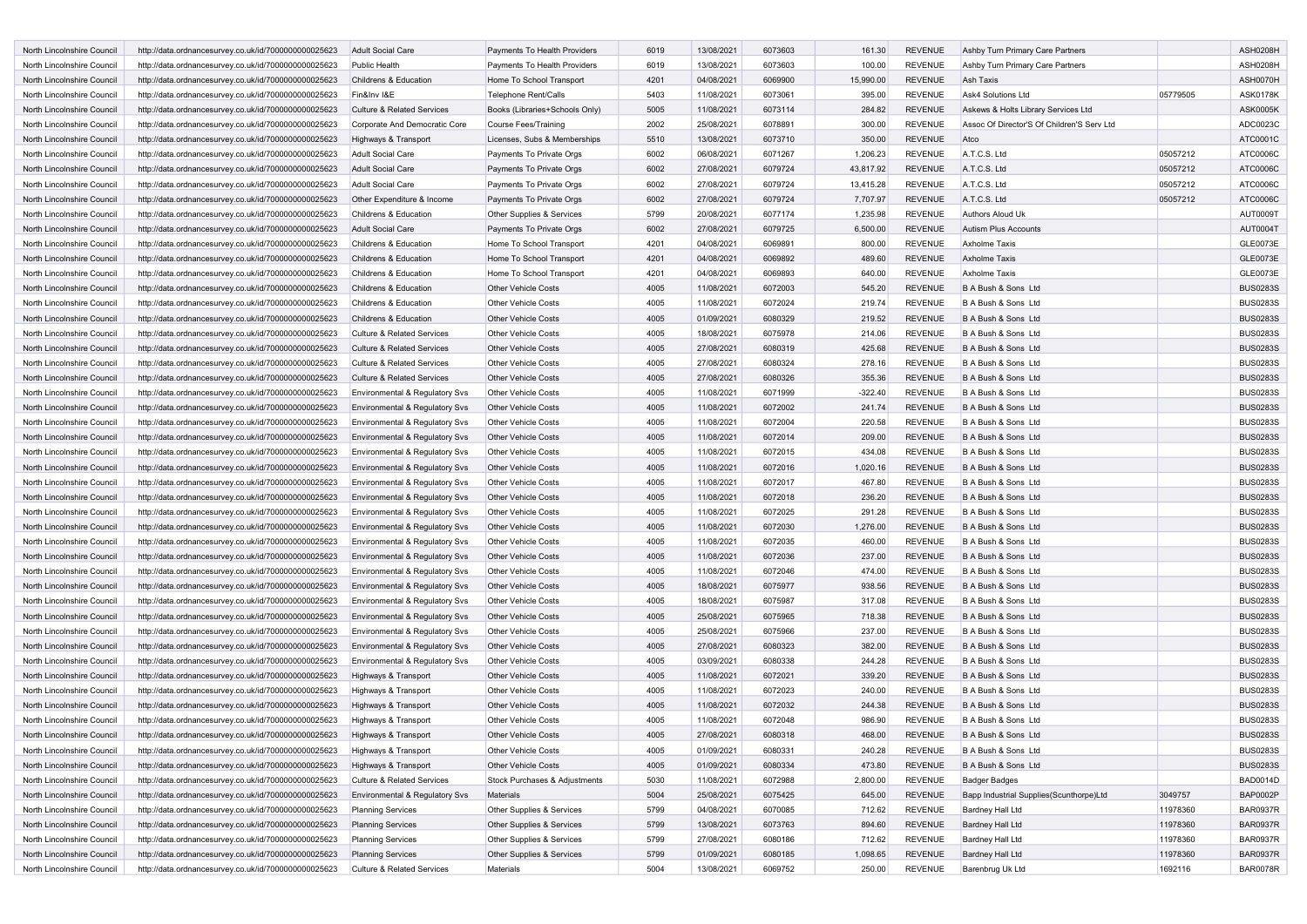| North Lincolnshire Council | http://data.ordnancesurvey.co.uk/id/7000000000025623                                                         | <b>Adult Social Care</b>                                         | Payments To Health Providers                             | 6019         | 13/08/2021               | 6073603            | 161.30           | <b>REVENUE</b> | Ashby Turn Primary Care Partners           |          | ASH0208H                           |
|----------------------------|--------------------------------------------------------------------------------------------------------------|------------------------------------------------------------------|----------------------------------------------------------|--------------|--------------------------|--------------------|------------------|----------------|--------------------------------------------|----------|------------------------------------|
| North Lincolnshire Council | http://data.ordnancesurvey.co.uk/id/7000000000025623                                                         | Public Health                                                    | Payments To Health Providers                             | 6019         | 13/08/2021               | 6073603            | 100.00           | <b>REVENUE</b> | Ashby Turn Primary Care Partners           |          | ASH0208H                           |
| North Lincolnshire Council | http://data.ordnancesurvey.co.uk/id/7000000000025623                                                         | Childrens & Education                                            | Home To School Transport                                 | 4201         | 04/08/2021               | 6069900            | 15,990.00        | <b>REVENUE</b> | Ash Taxis                                  |          | ASH0070H                           |
| North Lincolnshire Council | http://data.ordnancesurvey.co.uk/id/7000000000025623                                                         | Fin&Inv I&E                                                      | <b>Telephone Rent/Calls</b>                              | 5403         | 11/08/2021               | 6073061            | 395.00           | <b>REVENUE</b> | <b>Ask4 Solutions Ltd</b>                  | 05779505 | ASK0178K                           |
| North Lincolnshire Council | http://data.ordnancesurvey.co.uk/id/7000000000025623                                                         | <b>Culture &amp; Related Services</b>                            | Books (Libraries+Schools Only)                           | 5005         | 11/08/2021               | 6073114            | 284.82           | <b>REVENUE</b> | Askews & Holts Library Services Ltd        |          | <b>ASK0005K</b>                    |
| North Lincolnshire Council | http://data.ordnancesurvey.co.uk/id/7000000000025623                                                         | Corporate And Democratic Core                                    | Course Fees/Training                                     | 2002         | 25/08/2021               | 6078891            | 300.00           | <b>REVENUE</b> | Assoc Of Director'S Of Children'S Serv Ltd |          | ADC0023C                           |
| North Lincolnshire Council | http://data.ordnancesurvey.co.uk/id/7000000000025623                                                         | Highways & Transport                                             | Licenses, Subs & Memberships                             | 5510         | 13/08/2021               | 6073710            | 350.00           | <b>REVENUE</b> | Atco                                       |          | ATC0001C                           |
| North Lincolnshire Council | http://data.ordnancesurvey.co.uk/id/7000000000025623                                                         | Adult Social Care                                                | Payments To Private Orgs                                 | 6002         | 06/08/2021               | 6071267            | 1,206.23         | <b>REVENUE</b> | A.T.C.S. Ltd                               | 05057212 | ATC0006C                           |
| North Lincolnshire Council | http://data.ordnancesurvey.co.uk/id/7000000000025623                                                         | <b>Adult Social Care</b>                                         | Payments To Private Orgs                                 | 6002         | 27/08/2021               | 6079724            | 43,817.92        | <b>REVENUE</b> | A.T.C.S. Ltd                               | 05057212 | ATC0006C                           |
| North Lincolnshire Council | http://data.ordnancesurvey.co.uk/id/7000000000025623                                                         | Adult Social Care                                                | Payments To Private Orgs                                 | 6002         | 27/08/2021               | 6079724            | 13,415.28        | REVENUE        | A.T.C.S. Ltd                               | 05057212 | ATC0006C                           |
| North Lincolnshire Council | http://data.ordnancesurvey.co.uk/id/7000000000025623                                                         | Other Expenditure & Income                                       | Payments To Private Orgs                                 | 6002         | 27/08/2021               | 6079724            | 7,707.97         | <b>REVENUE</b> | A.T.C.S. Ltd                               | 05057212 | ATC0006C                           |
| North Lincolnshire Council | http://data.ordnancesurvey.co.uk/id/7000000000025623                                                         | Childrens & Education                                            | Other Supplies & Services                                | 5799         | 20/08/2021               | 6077174            | 1,235.98         | <b>REVENUE</b> | Authors Aloud Uk                           |          | AUT0009T                           |
| North Lincolnshire Council | http://data.ordnancesurvey.co.uk/id/7000000000025623                                                         | <b>Adult Social Care</b>                                         | Payments To Private Orgs                                 | 6002         | 27/08/2021               | 6079725            | 6,500.00         | <b>REVENUE</b> | Autism Plus Accounts                       |          | AUT0004T                           |
| North Lincolnshire Council | http://data.ordnancesurvey.co.uk/id/7000000000025623                                                         | Childrens & Education                                            | Home To School Transport                                 | 4201         | 04/08/2021               | 6069891            | 800.00           | <b>REVENUE</b> | <b>Axholme Taxis</b>                       |          | GLE0073E                           |
| North Lincolnshire Council | http://data.ordnancesurvey.co.uk/id/7000000000025623                                                         | Childrens & Education                                            | Home To School Transport                                 | 4201         | 04/08/2021               | 6069892            | 489.60           | REVENUE        | <b>Axholme Taxis</b>                       |          | GLE0073E                           |
| North Lincolnshire Council | http://data.ordnancesurvey.co.uk/id/7000000000025623                                                         | Childrens & Education                                            | Home To School Transport                                 | 4201         | 04/08/2021               | 6069893            | 640.00           | REVENUE        | <b>Axholme Taxis</b>                       |          | GLE0073E                           |
| North Lincolnshire Council | http://data.ordnancesurvey.co.uk/id/7000000000025623                                                         | Childrens & Education                                            | <b>Other Vehicle Costs</b>                               | 4005         | 11/08/2021               | 6072003            | 545.20           | <b>REVENUE</b> | B A Bush & Sons Ltd                        |          | <b>BUS0283S</b>                    |
| North Lincolnshire Council | http://data.ordnancesurvey.co.uk/id/7000000000025623                                                         | Childrens & Education                                            | <b>Other Vehicle Costs</b>                               | 4005         | 11/08/2021               | 6072024            | 219.74           | <b>REVENUE</b> | B A Bush & Sons Ltd                        |          | <b>BUS0283S</b>                    |
| North Lincolnshire Council | http://data.ordnancesurvey.co.uk/id/7000000000025623                                                         | Childrens & Education                                            | <b>Other Vehicle Costs</b>                               | 4005         | 01/09/2021               | 6080329            | 219.52           | <b>REVENUE</b> | B A Bush & Sons Ltd                        |          | <b>BUS0283S</b>                    |
| North Lincolnshire Council | http://data.ordnancesurvey.co.uk/id/7000000000025623                                                         | <b>Culture &amp; Related Services</b>                            | <b>Other Vehicle Costs</b>                               | 4005         | 18/08/2021               | 6075978            | 214.06           | <b>REVENUE</b> | B A Bush & Sons Ltd                        |          | <b>BUS0283S</b>                    |
| North Lincolnshire Council | http://data.ordnancesurvey.co.uk/id/7000000000025623                                                         | <b>Culture &amp; Related Services</b>                            | <b>Other Vehicle Costs</b>                               | 4005         | 27/08/2021               | 6080319            | 425.68           | <b>REVENUE</b> | B A Bush & Sons Ltd                        |          | <b>BUS0283S</b>                    |
| North Lincolnshire Council | http://data.ordnancesurvey.co.uk/id/7000000000025623                                                         | <b>Culture &amp; Related Services</b>                            | <b>Other Vehicle Costs</b>                               | 4005         | 27/08/2021               | 6080324            | 278.16           | <b>REVENUE</b> | B A Bush & Sons Ltd                        |          | <b>BUS0283S</b>                    |
| North Lincolnshire Council | http://data.ordnancesurvey.co.uk/id/7000000000025623                                                         | <b>Culture &amp; Related Services</b>                            | <b>Other Vehicle Costs</b>                               | 4005         | 27/08/2021               | 6080326            | 355.36           | <b>REVENUE</b> | B A Bush & Sons Ltd                        |          | <b>BUS0283S</b>                    |
| North Lincolnshire Council | http://data.ordnancesurvey.co.uk/id/7000000000025623                                                         | Environmental & Regulatory Svs                                   | <b>Other Vehicle Costs</b>                               | 4005         | 11/08/2021               | 6071999            | $-322.40$        | <b>REVENUE</b> | B A Bush & Sons Ltd                        |          | <b>BUS0283S</b>                    |
| North Lincolnshire Council | http://data.ordnancesurvey.co.uk/id/7000000000025623                                                         | Environmental & Regulatory Svs                                   | <b>Other Vehicle Costs</b>                               | 4005         | 11/08/2021               | 6072002            | 241.74           | <b>REVENUE</b> | B A Bush & Sons Ltd                        |          | <b>BUS0283S</b>                    |
| North Lincolnshire Council | http://data.ordnancesurvey.co.uk/id/7000000000025623                                                         | Environmental & Regulatory Svs                                   | <b>Other Vehicle Costs</b>                               | 4005         | 11/08/2021               | 6072004            | 220.58           | <b>REVENUE</b> | B A Bush & Sons Ltd                        |          | <b>BUS0283S</b>                    |
| North Lincolnshire Council | http://data.ordnancesurvey.co.uk/id/7000000000025623                                                         | Environmental & Regulatory Svs                                   | <b>Other Vehicle Costs</b>                               | 4005         | 11/08/2021               | 6072014            | 209.00           | <b>REVENUE</b> | B A Bush & Sons Ltd                        |          | <b>BUS0283S</b>                    |
| North Lincolnshire Council | http://data.ordnancesurvey.co.uk/id/7000000000025623                                                         | Environmental & Regulatory Svs                                   | <b>Other Vehicle Costs</b>                               | 4005         | 11/08/2021               | 6072015            | 434.08           | <b>REVENUE</b> | B A Bush & Sons Ltd                        |          | <b>BUS0283S</b>                    |
| North Lincolnshire Council | http://data.ordnancesurvey.co.uk/id/7000000000025623                                                         | Environmental & Regulatory Svs                                   | <b>Other Vehicle Costs</b>                               | 4005         | 11/08/2021               | 6072016            | 1,020.16         | <b>REVENUE</b> | B A Bush & Sons Ltd                        |          | <b>BUS0283S</b>                    |
| North Lincolnshire Council | http://data.ordnancesurvey.co.uk/id/7000000000025623                                                         | Environmental & Regulatory Svs                                   | <b>Other Vehicle Costs</b>                               | 4005         | 11/08/2021               | 6072017            | 467.80           | <b>REVENUE</b> | B A Bush & Sons Ltd                        |          | <b>BUS0283S</b>                    |
| North Lincolnshire Council | http://data.ordnancesurvey.co.uk/id/7000000000025623                                                         | Environmental & Regulatory Svs                                   | <b>Other Vehicle Costs</b>                               | 4005         | 11/08/2021               | 6072018            | 236.20           | <b>REVENUE</b> | B A Bush & Sons Ltd                        |          | <b>BUS0283S</b>                    |
| North Lincolnshire Council | http://data.ordnancesurvey.co.uk/id/7000000000025623                                                         | Environmental & Regulatory Svs                                   | <b>Other Vehicle Costs</b>                               | 4005         | 11/08/2021               | 6072025            | 291.28           | <b>REVENUE</b> | B A Bush & Sons Ltd                        |          | <b>BUS0283S</b>                    |
| North Lincolnshire Council | http://data.ordnancesurvey.co.uk/id/7000000000025623                                                         | Environmental & Regulatory Svs                                   | <b>Other Vehicle Costs</b>                               | 4005         | 11/08/2021               | 6072030            | 1,276.00         | <b>REVENUE</b> | B A Bush & Sons Ltd                        |          | <b>BUS0283S</b>                    |
| North Lincolnshire Council | http://data.ordnancesurvey.co.uk/id/7000000000025623                                                         | Environmental & Regulatory Svs                                   | <b>Other Vehicle Costs</b>                               | 4005         | 11/08/2021               | 6072035            | 460.00           | <b>REVENUE</b> | B A Bush & Sons Ltd                        |          | <b>BUS0283S</b>                    |
| North Lincolnshire Council | http://data.ordnancesurvey.co.uk/id/7000000000025623                                                         | Environmental & Regulatory Svs                                   | <b>Other Vehicle Costs</b>                               | 4005         | 11/08/2021               | 6072036            | 237.00           | <b>REVENUE</b> | B A Bush & Sons Ltd                        |          | <b>BUS0283S</b>                    |
| North Lincolnshire Council | http://data.ordnancesurvey.co.uk/id/7000000000025623                                                         | Environmental & Regulatory Svs                                   | <b>Other Vehicle Costs</b>                               | 4005         | 11/08/2021               | 6072046            | 474.00           | <b>REVENUE</b> | B A Bush & Sons Ltd                        |          | <b>BUS0283S</b>                    |
| North Lincolnshire Council | http://data.ordnancesurvey.co.uk/id/7000000000025623                                                         | Environmental & Regulatory Svs                                   | <b>Other Vehicle Costs</b>                               | 4005         | 18/08/2021               | 6075977            | 938.56           | <b>REVENUE</b> | B A Bush & Sons Ltd                        |          | <b>BUS0283S</b>                    |
| North Lincolnshire Council |                                                                                                              |                                                                  | <b>Other Vehicle Costs</b>                               | 4005         | 18/08/2021               | 6075987            | 317.08           | <b>REVENUE</b> | B A Bush & Sons Ltd                        |          | <b>BUS0283S</b>                    |
| North Lincolnshire Council | http://data.ordnancesurvey.co.uk/id/7000000000025623                                                         | Environmental & Regulatory Svs                                   | <b>Other Vehicle Costs</b>                               | 4005         |                          |                    |                  | <b>REVENUE</b> | B A Bush & Sons Ltd                        |          | <b>BUS0283S</b>                    |
| North Lincolnshire Council | http://data.ordnancesurvey.co.uk/id/7000000000025623<br>http://data.ordnancesurvey.co.uk/id/7000000000025623 | Environmental & Regulatory Svs<br>Environmental & Regulatory Svs | <b>Other Vehicle Costs</b>                               | 4005         | 25/08/2021<br>25/08/2021 | 6075965<br>6075966 | 718.38<br>237.00 | <b>REVENUE</b> | B A Bush & Sons Ltd                        |          | <b>BUS0283S</b>                    |
| North Lincolnshire Council | http://data.ordnancesurvey.co.uk/id/7000000000025623                                                         | Environmental & Regulatory Svs                                   | <b>Other Vehicle Costs</b>                               | 4005         | 27/08/2021               | 6080323            | 382.00           | <b>REVENUE</b> | B A Bush & Sons Ltd                        |          | <b>BUS0283S</b>                    |
| North Lincolnshire Council | http://data.ordnancesurvey.co.uk/id/7000000000025623                                                         | Environmental & Regulatory Svs                                   | <b>Other Vehicle Costs</b>                               | 4005         | 03/09/2021               | 6080338            | 244.28           | <b>REVENUE</b> | B A Bush & Sons Ltd                        |          | <b>BUS0283S</b>                    |
|                            | http://data.ordnancesurvey.co.uk/id/7000000000025623                                                         |                                                                  |                                                          | 4005         |                          | 6072021            |                  | <b>REVENUE</b> | B A Bush & Sons Ltd                        |          | <b>BUS0283S</b>                    |
| North Lincolnshire Council | http://data.ordnancesurvey.co.uk/id/7000000000025623                                                         | Highways & Transport                                             | <b>Other Vehicle Costs</b>                               |              | 11/08/2021               |                    | 339.20           |                |                                            |          |                                    |
| North Lincolnshire Council |                                                                                                              | Highways & Transport                                             | <b>Other Vehicle Costs</b><br><b>Other Vehicle Costs</b> | 4005<br>4005 | 11/08/2021               | 6072023<br>6072032 | 240.00           | <b>REVENUE</b> | B A Bush & Sons Ltd<br>B A Bush & Sons Ltd |          | <b>BUS0283S</b><br><b>BUS0283S</b> |
| North Lincolnshire Council | http://data.ordnancesurvey.co.uk/id/7000000000025623                                                         | Highways & Transport                                             |                                                          |              | 11/08/2021               |                    | 244.38           | <b>REVENUE</b> |                                            |          |                                    |
| North Lincolnshire Council | http://data.ordnancesurvey.co.uk/id/7000000000025623                                                         | Highways & Transport                                             | <b>Other Vehicle Costs</b>                               | 4005         | 11/08/2021               | 6072048            | 986.90           | REVENUE        | B A Bush & Sons Ltd                        |          | <b>BUS0283S</b>                    |
| North Lincolnshire Council | http://data.ordnancesurvey.co.uk/id/7000000000025623                                                         | Highways & Transport                                             | <b>Other Vehicle Costs</b>                               | 4005         | 27/08/2021               | 6080318            | 468.00           | REVENUE        | B A Bush & Sons Ltd                        |          | <b>BUS0283S</b>                    |
| North Lincolnshire Council | http://data.ordnancesurvey.co.uk/id/7000000000025623                                                         | Highways & Transport                                             | Other Vehicle Costs                                      | 4005         | 01/09/2021               | 6080331            | 240.28           | <b>REVENUE</b> | B A Bush & Sons Ltd                        |          | <b>BUS0283S</b>                    |
| North Lincolnshire Council | http://data.ordnancesurvey.co.uk/id/7000000000025623                                                         | Highways & Transport                                             | <b>Other Vehicle Costs</b>                               | 4005         | 01/09/2021               | 6080334            | 473.80           | <b>REVENUE</b> | B A Bush & Sons Ltd                        |          | <b>BUS0283S</b>                    |
| North Lincolnshire Council | http://data.ordnancesurvey.co.uk/id/7000000000025623                                                         | Culture & Related Services                                       | Stock Purchases & Adjustments                            | 5030         | 11/08/2021               | 6072988            | 2,800.00         | <b>REVENUE</b> | <b>Badger Badges</b>                       |          | <b>BAD0014D</b>                    |
| North Lincolnshire Council | http://data.ordnancesurvey.co.uk/id/7000000000025623                                                         | Environmental & Regulatory Svs                                   | Materials                                                | 5004         | 25/08/2021               | 6075425            | 645.00           | <b>REVENUE</b> | Bapp Industrial Supplies(Scunthorpe)Ltd    | 3049757  | <b>BAP0002P</b>                    |
| North Lincolnshire Council | http://data.ordnancesurvey.co.uk/id/7000000000025623                                                         | Planning Services                                                | Other Supplies & Services                                | 5799         | 04/08/2021               | 6070085            | 712.62           | <b>REVENUE</b> | Bardney Hall Ltd                           | 11978360 | <b>BAR0937R</b>                    |
| North Lincolnshire Council | http://data.ordnancesurvey.co.uk/id/7000000000025623                                                         | <b>Planning Services</b>                                         | Other Supplies & Services                                | 5799         | 13/08/2021               | 6073763            | 894.60           | <b>REVENUE</b> | Bardney Hall Ltd                           | 11978360 | <b>BAR0937R</b>                    |
| North Lincolnshire Council | http://data.ordnancesurvey.co.uk/id/7000000000025623                                                         | <b>Planning Services</b>                                         | Other Supplies & Services                                | 5799         | 27/08/2021               | 6080186            | 712.62           | <b>REVENUE</b> | Bardney Hall Ltd                           | 11978360 | <b>BAR0937R</b>                    |
| North Lincolnshire Council | http://data.ordnancesurvey.co.uk/id/7000000000025623                                                         | <b>Planning Services</b>                                         | Other Supplies & Services                                | 5799         | 01/09/2021               | 6080185            | 1,098.65         | <b>REVENUE</b> | Bardney Hall Ltd                           | 11978360 | <b>BAR0937R</b>                    |
| North Lincolnshire Council | http://data.ordnancesurvey.co.uk/id/7000000000025623                                                         | Culture & Related Services                                       | Materials                                                | 5004         | 13/08/2021               | 6069752            | 250.00           | REVENUE        | Barenbrug Uk Ltd                           | 1692116  | <b>BAR0078R</b>                    |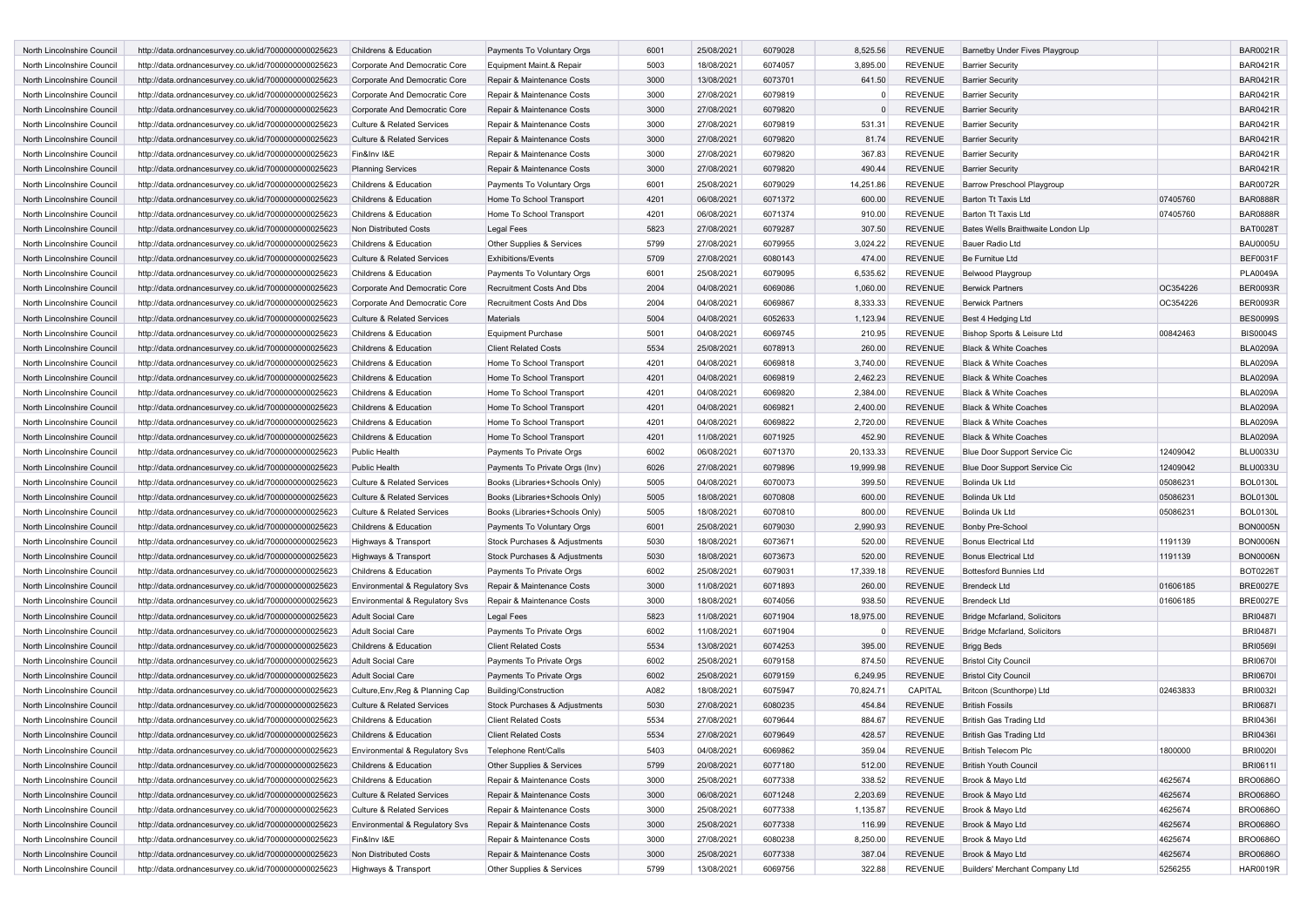| North Lincolnshire Council | http://data.ordnancesurvey.co.uk/id/7000000000025623 | Childrens & Education                 | Payments To Voluntary Orgs       | 6001 | 25/08/2021 | 6079028 | 8,525.56       | <b>REVENUE</b> | <b>Barnetby Under Fives Playgroup</b> |          | <b>BAR0021R</b> |
|----------------------------|------------------------------------------------------|---------------------------------------|----------------------------------|------|------------|---------|----------------|----------------|---------------------------------------|----------|-----------------|
| North Lincolnshire Council | http://data.ordnancesurvey.co.uk/id/7000000000025623 | Corporate And Democratic Core         | Equipment Maint.& Repair         | 5003 | 18/08/2021 | 6074057 | 3,895.00       | REVENUE        | <b>Barrier Security</b>               |          | <b>BAR0421R</b> |
| North Lincolnshire Council | http://data.ordnancesurvey.co.uk/id/7000000000025623 | Corporate And Democratic Core         | Repair & Maintenance Costs       | 3000 | 13/08/2021 | 6073701 | 641.50         | <b>REVENUE</b> | <b>Barrier Security</b>               |          | <b>BAR0421R</b> |
| North Lincolnshire Council | http://data.ordnancesurvey.co.uk/id/7000000000025623 | Corporate And Democratic Core         | Repair & Maintenance Costs       | 3000 | 27/08/2021 | 6079819 |                | <b>REVENUE</b> | <b>Barrier Security</b>               |          | <b>BAR0421R</b> |
| North Lincolnshire Council | http://data.ordnancesurvey.co.uk/id/7000000000025623 | Corporate And Democratic Core         | Repair & Maintenance Costs       | 3000 | 27/08/2021 | 6079820 | $\Omega$       | REVENUE        | <b>Barrier Security</b>               |          | <b>BAR0421R</b> |
| North Lincolnshire Council | http://data.ordnancesurvey.co.uk/id/7000000000025623 | <b>Culture &amp; Related Services</b> | Repair & Maintenance Costs       | 3000 | 27/08/2021 | 6079819 | 531.31         | REVENUE        | <b>Barrier Security</b>               |          | <b>BAR0421R</b> |
| North Lincolnshire Council | http://data.ordnancesurvey.co.uk/id/7000000000025623 | <b>Culture &amp; Related Services</b> | Repair & Maintenance Costs       | 3000 | 27/08/2021 | 6079820 | 81.74          | <b>REVENUE</b> | <b>Barrier Security</b>               |          | <b>BAR0421R</b> |
| North Lincolnshire Council | http://data.ordnancesurvey.co.uk/id/7000000000025623 | Fin&Inv I&E                           | Repair & Maintenance Costs       | 3000 | 27/08/2021 | 6079820 | 367.83         | <b>REVENUE</b> | <b>Barrier Security</b>               |          | <b>BAR0421R</b> |
| North Lincolnshire Council | http://data.ordnancesurvey.co.uk/id/7000000000025623 | <b>Planning Services</b>              | Repair & Maintenance Costs       | 3000 | 27/08/2021 | 6079820 | 490.44         | <b>REVENUE</b> | <b>Barrier Security</b>               |          | <b>BAR0421R</b> |
| North Lincolnshire Council | http://data.ordnancesurvey.co.uk/id/7000000000025623 | Childrens & Education                 | Payments To Voluntary Orgs       | 6001 | 25/08/2021 | 6079029 | 14,251.86      | <b>REVENUE</b> | Barrow Preschool Playgroup            |          | <b>BAR0072R</b> |
| North Lincolnshire Council |                                                      | Childrens & Education                 | Home To School Transport         | 4201 | 06/08/2021 | 6071372 | 600.00         | <b>REVENUE</b> | Barton Tt Taxis Ltd                   | 07405760 | <b>BAR0888R</b> |
| North Lincolnshire Council | http://data.ordnancesurvey.co.uk/id/7000000000025623 | Childrens & Education                 |                                  | 4201 |            | 6071374 | 910.00         | <b>REVENUE</b> | Barton Tt Taxis Ltd                   |          | <b>BAR0888R</b> |
|                            | http://data.ordnancesurvey.co.uk/id/7000000000025623 |                                       | Home To School Transport         |      | 06/08/2021 |         |                |                |                                       | 07405760 |                 |
| North Lincolnshire Council | http://data.ordnancesurvey.co.uk/id/7000000000025623 | Non Distributed Costs                 | <b>Legal Fees</b>                | 5823 | 27/08/2021 | 6079287 | 307.50         | <b>REVENUE</b> | Bates Wells Braithwaite London Llp    |          | <b>BAT0028T</b> |
| North Lincolnshire Council | http://data.ordnancesurvey.co.uk/id/7000000000025623 | Childrens & Education                 | Other Supplies & Services        | 5799 | 27/08/2021 | 6079955 | 3,024.22       | <b>REVENUE</b> | Bauer Radio Ltd                       |          | <b>BAU0005U</b> |
| North Lincolnshire Council | http://data.ordnancesurvey.co.uk/id/7000000000025623 | Culture & Related Services            | <b>Exhibitions/Events</b>        | 5709 | 27/08/2021 | 6080143 | 474.00         | <b>REVENUE</b> | Be Furnitue Ltd                       |          | BEF0031F        |
| North Lincolnshire Council | http://data.ordnancesurvey.co.uk/id/7000000000025623 | Childrens & Education                 | Payments To Voluntary Orgs       | 6001 | 25/08/2021 | 6079095 | 6,535.62       | REVENUE        | Belwood Playgroup                     |          | <b>PLA0049A</b> |
| North Lincolnshire Council | http://data.ordnancesurvey.co.uk/id/7000000000025623 | Corporate And Democratic Core         | <b>Recruitment Costs And Dbs</b> | 2004 | 04/08/2021 | 6069086 | 1,060.00       | <b>REVENUE</b> | <b>Berwick Partners</b>               | OC354226 | <b>BER0093R</b> |
| North Lincolnshire Council | http://data.ordnancesurvey.co.uk/id/7000000000025623 | Corporate And Democratic Core         | Recruitment Costs And Dbs        | 2004 | 04/08/2021 | 6069867 | 8,333.33       | <b>REVENUE</b> | <b>Berwick Partners</b>               | OC354226 | <b>BER0093R</b> |
| North Lincolnshire Council | http://data.ordnancesurvey.co.uk/id/7000000000025623 | <b>Culture &amp; Related Services</b> | Materials                        | 5004 | 04/08/2021 | 6052633 | 1,123.94       | <b>REVENUE</b> | Best 4 Hedging Ltd                    |          | <b>BES0099S</b> |
| North Lincolnshire Council | http://data.ordnancesurvey.co.uk/id/7000000000025623 | Childrens & Education                 | <b>Equipment Purchase</b>        | 5001 | 04/08/2021 | 6069745 | 210.95         | <b>REVENUE</b> | Bishop Sports & Leisure Ltd           | 00842463 | <b>BIS0004S</b> |
| North Lincolnshire Council | http://data.ordnancesurvey.co.uk/id/7000000000025623 | Childrens & Education                 | <b>Client Related Costs</b>      | 5534 | 25/08/2021 | 6078913 | 260.00         | <b>REVENUE</b> | <b>Black &amp; White Coaches</b>      |          | <b>BLA0209A</b> |
| North Lincolnshire Council | http://data.ordnancesurvey.co.uk/id/7000000000025623 | Childrens & Education                 | Home To School Transport         | 4201 | 04/08/2021 | 6069818 | 3,740.00       | <b>REVENUE</b> | Black & White Coaches                 |          | <b>BLA0209A</b> |
| North Lincolnshire Council | http://data.ordnancesurvey.co.uk/id/7000000000025623 | Childrens & Education                 | Home To School Transport         | 4201 | 04/08/2021 | 6069819 | 2,462.23       | <b>REVENUE</b> | <b>Black &amp; White Coaches</b>      |          | <b>BLA0209A</b> |
| North Lincolnshire Council | http://data.ordnancesurvey.co.uk/id/7000000000025623 | Childrens & Education                 | Home To School Transport         | 4201 | 04/08/2021 | 6069820 | 2,384.00       | <b>REVENUE</b> | <b>Black &amp; White Coaches</b>      |          | <b>BLA0209A</b> |
| North Lincolnshire Council | http://data.ordnancesurvey.co.uk/id/7000000000025623 | Childrens & Education                 | Home To School Transport         | 4201 | 04/08/2021 | 6069821 | 2,400.00       | <b>REVENUE</b> | <b>Black &amp; White Coaches</b>      |          | <b>BLA0209A</b> |
| North Lincolnshire Council | http://data.ordnancesurvey.co.uk/id/7000000000025623 | Childrens & Education                 | Home To School Transport         | 4201 | 04/08/2021 | 6069822 | 2,720.00       | <b>REVENUE</b> | Black & White Coaches                 |          | <b>BLA0209A</b> |
| North Lincolnshire Council | http://data.ordnancesurvey.co.uk/id/7000000000025623 | Childrens & Education                 | Home To School Transport         | 4201 | 11/08/2021 | 6071925 | 452.90         | <b>REVENUE</b> | <b>Black &amp; White Coaches</b>      |          | <b>BLA0209A</b> |
| North Lincolnshire Council | http://data.ordnancesurvey.co.uk/id/7000000000025623 | <b>Public Health</b>                  | Payments To Private Orgs         | 6002 | 06/08/2021 | 6071370 | 20,133.33      | <b>REVENUE</b> | Blue Door Support Service Cic         | 12409042 | <b>BLU0033U</b> |
| North Lincolnshire Council | http://data.ordnancesurvey.co.uk/id/7000000000025623 | <b>Public Health</b>                  | Payments To Private Orgs (Inv)   | 6026 | 27/08/2021 | 6079896 | 19,999.98      | <b>REVENUE</b> | Blue Door Support Service Cic         | 12409042 | <b>BLU0033U</b> |
| North Lincolnshire Council | http://data.ordnancesurvey.co.uk/id/7000000000025623 | <b>Culture &amp; Related Services</b> | Books (Libraries+Schools Only)   | 5005 | 04/08/2021 | 6070073 | 399.50         | <b>REVENUE</b> | Bolinda Uk Ltd                        | 05086231 | <b>BOL0130L</b> |
|                            |                                                      |                                       |                                  |      |            |         |                |                |                                       |          |                 |
| North Lincolnshire Council | http://data.ordnancesurvey.co.uk/id/7000000000025623 | <b>Culture &amp; Related Services</b> | Books (Libraries+Schools Only)   | 5005 | 18/08/2021 | 6070808 | 600.00         | <b>REVENUE</b> | Bolinda Uk Ltd                        | 05086231 | <b>BOL0130L</b> |
| North Lincolnshire Council | http://data.ordnancesurvey.co.uk/id/7000000000025623 | Culture & Related Services            | Books (Libraries+Schools Only)   | 5005 | 18/08/2021 | 6070810 | 800.00         | <b>REVENUE</b> | <b>Bolinda Uk Ltd</b>                 | 05086231 | <b>BOL0130L</b> |
| North Lincolnshire Council | http://data.ordnancesurvey.co.uk/id/7000000000025623 | Childrens & Education                 | Payments To Voluntary Orgs       | 6001 | 25/08/2021 | 6079030 | 2,990.93       | <b>REVENUE</b> | Bonby Pre-School                      |          | <b>BON0005N</b> |
| North Lincolnshire Council | http://data.ordnancesurvey.co.uk/id/7000000000025623 | Highways & Transport                  | Stock Purchases & Adjustments    | 5030 | 18/08/2021 | 6073671 | 520.00         | <b>REVENUE</b> | <b>Bonus Electrical Ltd</b>           | 1191139  | <b>BON0006N</b> |
| North Lincolnshire Council | http://data.ordnancesurvey.co.uk/id/7000000000025623 | Highways & Transport                  | Stock Purchases & Adjustments    | 5030 | 18/08/2021 | 6073673 | 520.00         | <b>REVENUE</b> | <b>Bonus Electrical Ltd</b>           | 1191139  | <b>BON0006N</b> |
| North Lincolnshire Council | http://data.ordnancesurvey.co.uk/id/7000000000025623 | Childrens & Education                 | Payments To Private Orgs         | 6002 | 25/08/2021 | 6079031 | 17,339.18      | <b>REVENUE</b> | <b>Bottesford Bunnies Ltd</b>         |          | <b>BOT0226T</b> |
| North Lincolnshire Council | http://data.ordnancesurvey.co.uk/id/7000000000025623 | Environmental & Regulatory Svs        | Repair & Maintenance Costs       | 3000 | 11/08/2021 | 6071893 | 260.00         | <b>REVENUE</b> | <b>Brendeck Ltd</b>                   | 01606185 | <b>BRE0027E</b> |
| North Lincolnshire Council | http://data.ordnancesurvey.co.uk/id/7000000000025623 | Environmental & Regulatory Svs        | Repair & Maintenance Costs       | 3000 | 18/08/2021 | 6074056 | 938.50         | REVENUE        | <b>Brendeck Ltd</b>                   | 01606185 | <b>BRE0027E</b> |
| North Lincolnshire Council | http://data.ordnancesurvey.co.uk/id/7000000000025623 | <b>Adult Social Care</b>              | <b>Legal Fees</b>                | 5823 | 11/08/2021 | 6071904 | 18,975.00      | <b>REVENUE</b> | <b>Bridge Mcfarland, Solicitors</b>   |          | <b>BRI0487I</b> |
| North Lincolnshire Council | http://data.ordnancesurvey.co.uk/id/7000000000025623 | <b>Adult Social Care</b>              | Payments To Private Orgs         | 6002 | 11/08/2021 | 6071904 | $\overline{0}$ | <b>REVENUE</b> | <b>Bridge Mcfarland, Solicitors</b>   |          | <b>BRI0487I</b> |
| North Lincolnshire Council | http://data.ordnancesurvey.co.uk/id/7000000000025623 | Childrens & Education                 | <b>Client Related Costs</b>      | 5534 | 13/08/2021 | 6074253 | 395.00         | <b>REVENUE</b> | <b>Brigg Beds</b>                     |          | <b>BRI05691</b> |
| North Lincolnshire Council | http://data.ordnancesurvey.co.uk/id/7000000000025623 | Adult Social Care                     | Payments To Private Orgs         | 6002 | 25/08/2021 | 6079158 | 874.50         | <b>REVENUE</b> | <b>Bristol City Council</b>           |          | <b>BRI0670I</b> |
| North Lincolnshire Council | http://data.ordnancesurvey.co.uk/id/7000000000025623 | <b>Adult Social Care</b>              | Payments To Private Orgs         | 6002 | 25/08/2021 | 6079159 | 6,249.95       | <b>REVENUE</b> | <b>Bristol City Council</b>           |          | <b>BRI0670</b>  |
| North Lincolnshire Council | http://data.ordnancesurvey.co.uk/id/7000000000025623 | Culture, Env, Reg & Planning Cap      | <b>Building/Construction</b>     | A082 | 18/08/2021 | 6075947 | 70,824.71      | CAPITAL        | Britcon (Scunthorpe) Ltd              | 02463833 | <b>BRI0032I</b> |
| North Lincolnshire Council | http://data.ordnancesurvey.co.uk/id/7000000000025623 | <b>Culture &amp; Related Services</b> | Stock Purchases & Adjustments    | 5030 | 27/08/2021 | 6080235 | 454.84         | <b>REVENUE</b> | <b>British Fossils</b>                |          | <b>BRI0687I</b> |
| North Lincolnshire Council | http://data.ordnancesurvey.co.uk/id/7000000000025623 | Childrens & Education                 | <b>Client Related Costs</b>      | 5534 | 27/08/2021 | 6079644 | 884.67         | <b>REVENUE</b> | <b>British Gas Trading Ltd</b>        |          | <b>BRI04361</b> |
| North Lincolnshire Council | http://data.ordnancesurvey.co.uk/id/7000000000025623 | Childrens & Education                 | <b>Client Related Costs</b>      | 5534 | 27/08/2021 | 6079649 | 428.57         | REVENUE        | <b>British Gas Trading Ltd</b>        |          | <b>BRI0436I</b> |
| North Lincolnshire Council | http://data.ordnancesurvey.co.uk/id/7000000000025623 | Environmental & Regulatory Svs        | Telephone Rent/Calls             | 5403 | 04/08/2021 | 6069862 | 359.04         | <b>REVENUE</b> | <b>British Telecom Plc</b>            | 1800000  | <b>BRI00201</b> |
| North Lincolnshire Council | http://data.ordnancesurvey.co.uk/id/7000000000025623 | Childrens & Education                 | Other Supplies & Services        | 5799 | 20/08/2021 | 6077180 | 512.00         | <b>REVENUE</b> | <b>British Youth Council</b>          |          | BRI0611I        |
| North Lincolnshire Council | http://data.ordnancesurvey.co.uk/id/7000000000025623 | Childrens & Education                 | Repair & Maintenance Costs       | 3000 | 25/08/2021 | 6077338 | 338.52         | <b>REVENUE</b> | Brook & Mayo Ltd                      | 4625674  | <b>BRO0686O</b> |
|                            |                                                      |                                       |                                  |      |            |         |                |                |                                       |          |                 |
| North Lincolnshire Council | http://data.ordnancesurvey.co.uk/id/7000000000025623 | <b>Culture &amp; Related Services</b> | Repair & Maintenance Costs       | 3000 | 06/08/2021 | 6071248 | 2,203.69       | <b>REVENUE</b> | Brook & Mayo Ltd                      | 4625674  | <b>BRO0686O</b> |
| North Lincolnshire Council | http://data.ordnancesurvey.co.uk/id/7000000000025623 | Culture & Related Services            | Repair & Maintenance Costs       | 3000 | 25/08/2021 | 6077338 | 1,135.87       | <b>REVENUE</b> | Brook & Mayo Ltd                      | 4625674  | <b>BRO0686O</b> |
| North Lincolnshire Council | http://data.ordnancesurvey.co.uk/id/7000000000025623 | Environmental & Regulatory Svs        | Repair & Maintenance Costs       | 3000 | 25/08/2021 | 6077338 | 116.99         | <b>REVENUE</b> | Brook & Mayo Ltd                      | 4625674  | <b>BRO0686O</b> |
| North Lincolnshire Council | http://data.ordnancesurvey.co.uk/id/7000000000025623 | Fin&Inv I&E                           | Repair & Maintenance Costs       | 3000 | 27/08/2021 | 6080238 | 8,250.00       | <b>REVENUE</b> | Brook & Mayo Ltd                      | 4625674  | <b>BRO0686O</b> |
| North Lincolnshire Council | http://data.ordnancesurvey.co.uk/id/7000000000025623 | Non Distributed Costs                 | Repair & Maintenance Costs       | 3000 | 25/08/2021 | 6077338 | 387.04         | <b>REVENUE</b> | Brook & Mayo Ltd                      | 4625674  | <b>BRO0686O</b> |
| North Lincolnshire Council | http://data.ordnancesurvey.co.uk/id/7000000000025623 | Highways & Transport                  | Other Supplies & Services        | 5799 | 13/08/2021 | 6069756 | 322.88         | REVENUE        | Builders' Merchant Company Ltd        | 5256255  | <b>HAR0019R</b> |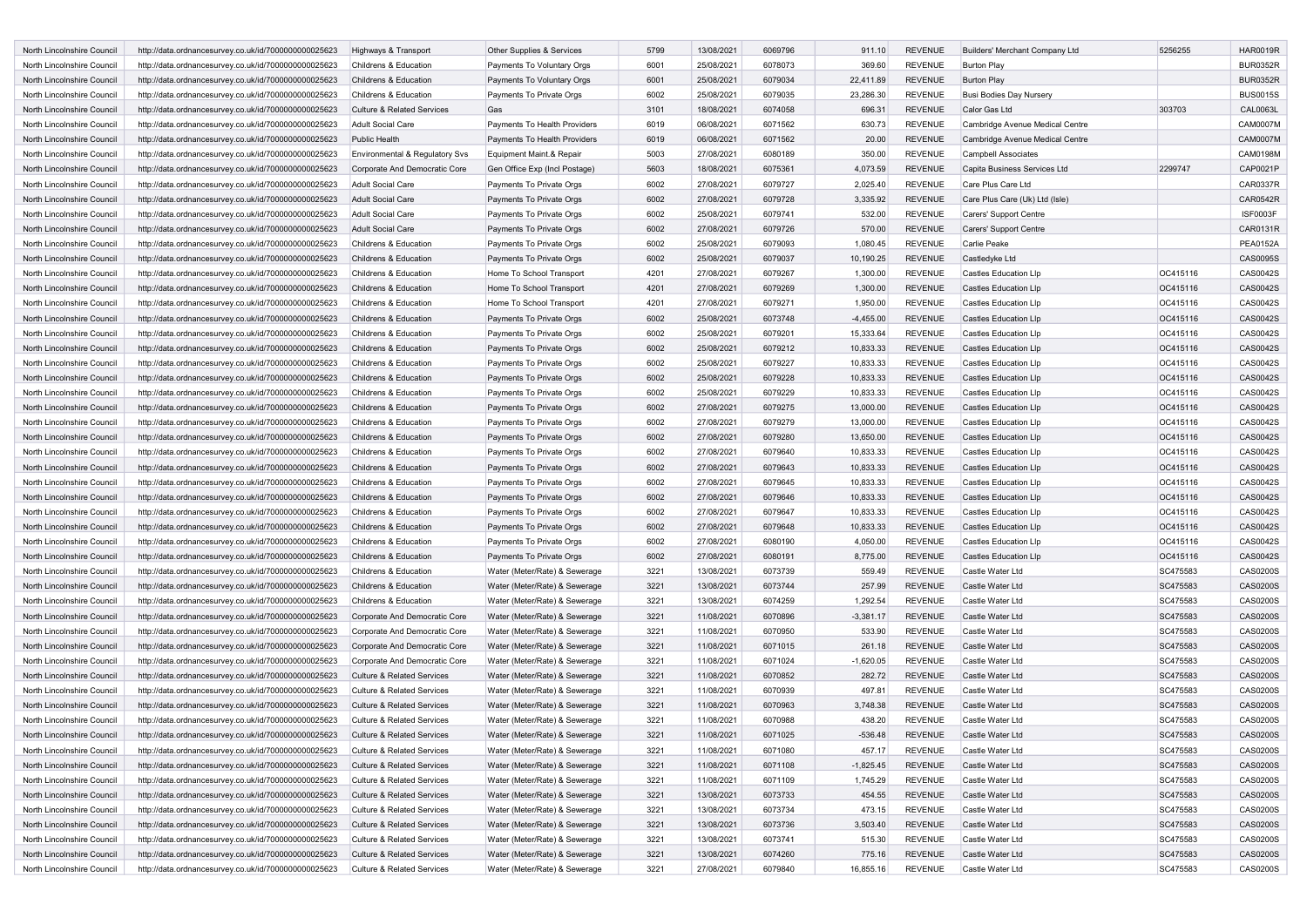| North Lincolnshire Council | http://data.ordnancesurvey.co.uk/id/7000000000025623 | Highways & Transport                  | Other Supplies & Services     | 5799 | 13/08/2021 | 6069796 | 911.10      | <b>REVENUE</b> | Builders' Merchant Company Ltd  | 5256255  | <b>HAR0019R</b> |
|----------------------------|------------------------------------------------------|---------------------------------------|-------------------------------|------|------------|---------|-------------|----------------|---------------------------------|----------|-----------------|
| North Lincolnshire Council | http://data.ordnancesurvey.co.uk/id/7000000000025623 | Childrens & Education                 | Payments To Voluntary Orgs    | 6001 | 25/08/2021 | 6078073 | 369.60      | REVENUE        | <b>Burton Play</b>              |          | <b>BUR0352R</b> |
| North Lincolnshire Council | http://data.ordnancesurvey.co.uk/id/7000000000025623 | Childrens & Education                 | Payments To Voluntary Orgs    | 6001 | 25/08/2021 | 6079034 | 22,411.89   | <b>REVENUE</b> | <b>Burton Play</b>              |          | <b>BUR0352R</b> |
| North Lincolnshire Council | http://data.ordnancesurvey.co.uk/id/7000000000025623 | Childrens & Education                 | Payments To Private Orgs      | 6002 | 25/08/2021 | 6079035 | 23,286.30   | <b>REVENUE</b> | <b>Busi Bodies Day Nursery</b>  |          | <b>BUS0015S</b> |
| North Lincolnshire Council | http://data.ordnancesurvey.co.uk/id/7000000000025623 | Culture & Related Services            | Gas                           | 3101 | 18/08/2021 | 6074058 | 696.31      | <b>REVENUE</b> | Calor Gas Ltd                   | 303703   | <b>CAL0063L</b> |
| North Lincolnshire Council | http://data.ordnancesurvey.co.uk/id/7000000000025623 | <b>Adult Social Care</b>              | Payments To Health Providers  | 6019 | 06/08/2021 | 6071562 | 630.73      | <b>REVENUE</b> | Cambridge Avenue Medical Centre |          | <b>CAM0007M</b> |
| North Lincolnshire Council | http://data.ordnancesurvey.co.uk/id/7000000000025623 | <b>Public Health</b>                  | Payments To Health Providers  | 6019 | 06/08/2021 | 6071562 | 20.00       | <b>REVENUE</b> | Cambridge Avenue Medical Centre |          | <b>CAM0007M</b> |
| North Lincolnshire Council | http://data.ordnancesurvey.co.uk/id/7000000000025623 | Environmental & Regulatory Svs        | Equipment Maint.& Repair      | 5003 | 27/08/2021 | 6080189 | 350.00      | REVENUE        | <b>Campbell Associates</b>      |          | CAM0198M        |
| North Lincolnshire Council | http://data.ordnancesurvey.co.uk/id/7000000000025623 | Corporate And Democratic Core         | Gen Office Exp (Incl Postage) | 5603 | 18/08/2021 | 6075361 | 4,073.59    | <b>REVENUE</b> | Capita Business Services Ltd    | 2299747  | CAP0021P        |
|                            |                                                      |                                       |                               |      |            |         |             |                |                                 |          | <b>CAR0337R</b> |
| North Lincolnshire Council | http://data.ordnancesurvey.co.uk/id/7000000000025623 | <b>Adult Social Care</b>              | Payments To Private Orgs      | 6002 | 27/08/2021 | 6079727 | 2,025.40    | <b>REVENUE</b> | Care Plus Care Ltd              |          |                 |
| North Lincolnshire Council | http://data.ordnancesurvey.co.uk/id/7000000000025623 | <b>Adult Social Care</b>              | Payments To Private Orgs      | 6002 | 27/08/2021 | 6079728 | 3,335.92    | <b>REVENUE</b> | Care Plus Care (Uk) Ltd (Isle)  |          | CAR0542R        |
| North Lincolnshire Council | http://data.ordnancesurvey.co.uk/id/7000000000025623 | Adult Social Care                     | Payments To Private Orgs      | 6002 | 25/08/2021 | 6079741 | 532.00      | <b>REVENUE</b> | Carers' Support Centre          |          | <b>ISF0003F</b> |
| North Lincolnshire Council | http://data.ordnancesurvey.co.uk/id/7000000000025623 | <b>Adult Social Care</b>              | Payments To Private Orgs      | 6002 | 27/08/2021 | 6079726 | 570.00      | <b>REVENUE</b> | Carers' Support Centre          |          | CAR0131R        |
| North Lincolnshire Council | http://data.ordnancesurvey.co.uk/id/7000000000025623 | Childrens & Education                 | Payments To Private Orgs      | 6002 | 25/08/2021 | 6079093 | 1,080.45    | <b>REVENUE</b> | <b>Carlie Peake</b>             |          | <b>PEA0152A</b> |
| North Lincolnshire Council | http://data.ordnancesurvey.co.uk/id/7000000000025623 | Childrens & Education                 | Payments To Private Orgs      | 6002 | 25/08/2021 | 6079037 | 10,190.25   | <b>REVENUE</b> | Castledyke Ltd                  |          | CAS0095S        |
| North Lincolnshire Council | http://data.ordnancesurvey.co.uk/id/7000000000025623 | Childrens & Education                 | Home To School Transport      | 4201 | 27/08/2021 | 6079267 | 1,300.00    | <b>REVENUE</b> | <b>Castles Education LIp</b>    | OC415116 | CAS0042S        |
| North Lincolnshire Council | http://data.ordnancesurvey.co.uk/id/7000000000025623 | Childrens & Education                 | Home To School Transport      | 4201 | 27/08/2021 | 6079269 | 1,300.00    | <b>REVENUE</b> | <b>Castles Education LIp</b>    | OC415116 | CAS0042S        |
| North Lincolnshire Council | http://data.ordnancesurvey.co.uk/id/7000000000025623 | Childrens & Education                 | Home To School Transport      | 4201 | 27/08/2021 | 6079271 | 1,950.00    | REVENUE        | <b>Castles Education Llp</b>    | OC415116 | CAS0042S        |
| North Lincolnshire Council | http://data.ordnancesurvey.co.uk/id/7000000000025623 | Childrens & Education                 | Payments To Private Orgs      | 6002 | 25/08/2021 | 6073748 | $-4,455.00$ | <b>REVENUE</b> | <b>Castles Education LIp</b>    | OC415116 | CAS0042S        |
| North Lincolnshire Council | http://data.ordnancesurvey.co.uk/id/7000000000025623 | Childrens & Education                 | Payments To Private Orgs      | 6002 | 25/08/2021 | 6079201 | 15,333.64   | <b>REVENUE</b> | <b>Castles Education LIp</b>    | OC415116 | CAS0042S        |
| North Lincolnshire Council | http://data.ordnancesurvey.co.uk/id/7000000000025623 | Childrens & Education                 | Payments To Private Orgs      | 6002 | 25/08/2021 | 6079212 | 10,833.33   | <b>REVENUE</b> | <b>Castles Education LIp</b>    | OC415116 | CAS0042S        |
| North Lincolnshire Council | http://data.ordnancesurvey.co.uk/id/7000000000025623 | Childrens & Education                 | Payments To Private Orgs      | 6002 | 25/08/2021 | 6079227 | 10,833.33   | <b>REVENUE</b> | <b>Castles Education LIp</b>    | OC415116 | CAS0042S        |
| North Lincolnshire Council |                                                      | Childrens & Education                 | Payments To Private Orgs      | 6002 | 25/08/2021 | 6079228 | 10,833.33   | <b>REVENUE</b> | <b>Castles Education LIp</b>    | OC415116 | CAS0042S        |
|                            | http://data.ordnancesurvey.co.uk/id/7000000000025623 | Childrens & Education                 |                               |      |            |         |             |                | <b>Castles Education Llp</b>    |          |                 |
| North Lincolnshire Council | http://data.ordnancesurvey.co.uk/id/7000000000025623 |                                       | Payments To Private Orgs      | 6002 | 25/08/2021 | 6079229 | 10,833.33   | <b>REVENUE</b> |                                 | OC415116 | CAS0042S        |
| North Lincolnshire Council | http://data.ordnancesurvey.co.uk/id/7000000000025623 | Childrens & Education                 | Payments To Private Orgs      | 6002 | 27/08/2021 | 6079275 | 13,000.00   | <b>REVENUE</b> | <b>Castles Education LIp</b>    | OC415116 | CAS0042S        |
| North Lincolnshire Council | http://data.ordnancesurvey.co.uk/id/7000000000025623 | Childrens & Education                 | Payments To Private Orgs      | 6002 | 27/08/2021 | 6079279 | 13,000.00   | <b>REVENUE</b> | <b>Castles Education LIp</b>    | OC415116 | CAS0042S        |
| North Lincolnshire Council | http://data.ordnancesurvey.co.uk/id/7000000000025623 | Childrens & Education                 | Payments To Private Orgs      | 6002 | 27/08/2021 | 6079280 | 13,650.00   | <b>REVENUE</b> | <b>Castles Education LIp</b>    | OC415116 | CAS0042S        |
| North Lincolnshire Council | http://data.ordnancesurvey.co.uk/id/7000000000025623 | Childrens & Education                 | Payments To Private Orgs      | 6002 | 27/08/2021 | 6079640 | 10,833.33   | REVENUE        | <b>Castles Education LIp</b>    | OC415116 | CAS0042S        |
| North Lincolnshire Council | http://data.ordnancesurvey.co.uk/id/7000000000025623 | Childrens & Education                 | Payments To Private Orgs      | 6002 | 27/08/2021 | 6079643 | 10,833.33   | <b>REVENUE</b> | <b>Castles Education LIp</b>    | OC415116 | CAS0042S        |
| North Lincolnshire Council | http://data.ordnancesurvey.co.uk/id/7000000000025623 | Childrens & Education                 | Payments To Private Orgs      | 6002 | 27/08/2021 | 6079645 | 10,833.33   | <b>REVENUE</b> | <b>Castles Education LIp</b>    | OC415116 | CAS0042S        |
| North Lincolnshire Council | http://data.ordnancesurvey.co.uk/id/7000000000025623 | Childrens & Education                 | Payments To Private Orgs      | 6002 | 27/08/2021 | 6079646 | 10,833.33   | <b>REVENUE</b> | <b>Castles Education LIp</b>    | OC415116 | CAS0042S        |
| North Lincolnshire Council | http://data.ordnancesurvey.co.uk/id/7000000000025623 | Childrens & Education                 | Payments To Private Orgs      | 6002 | 27/08/2021 | 6079647 | 10,833.33   | <b>REVENUE</b> | <b>Castles Education LIp</b>    | OC415116 | CAS0042S        |
| North Lincolnshire Council | http://data.ordnancesurvey.co.uk/id/7000000000025623 | Childrens & Education                 | Payments To Private Orgs      | 6002 | 27/08/2021 | 6079648 | 10,833.33   | <b>REVENUE</b> | <b>Castles Education LIp</b>    | OC415116 | CAS0042S        |
| North Lincolnshire Council | http://data.ordnancesurvey.co.uk/id/7000000000025623 | Childrens & Education                 | Payments To Private Orgs      | 6002 | 27/08/2021 | 6080190 | 4,050.00    | <b>REVENUE</b> | <b>Castles Education LIp</b>    | OC415116 | CAS0042S        |
| North Lincolnshire Council | http://data.ordnancesurvey.co.uk/id/7000000000025623 | Childrens & Education                 | Payments To Private Orgs      | 6002 | 27/08/2021 | 6080191 | 8,775.00    | <b>REVENUE</b> | <b>Castles Education LIp</b>    | OC415116 | CAS0042S        |
| North Lincolnshire Council | http://data.ordnancesurvey.co.uk/id/7000000000025623 | Childrens & Education                 | Water (Meter/Rate) & Sewerage | 3221 | 13/08/2021 | 6073739 | 559.49      | <b>REVENUE</b> | Castle Water Ltd                | SC475583 | CAS0200S        |
| North Lincolnshire Council | http://data.ordnancesurvey.co.uk/id/7000000000025623 | Childrens & Education                 | Water (Meter/Rate) & Sewerage | 3221 | 13/08/2021 | 6073744 | 257.99      | <b>REVENUE</b> | Castle Water Ltd                | SC475583 | <b>CAS0200S</b> |
| North Lincolnshire Council | http://data.ordnancesurvey.co.uk/id/7000000000025623 | Childrens & Education                 | Water (Meter/Rate) & Sewerage | 3221 | 13/08/2021 | 6074259 | 1,292.54    | REVENUE        | Castle Water Ltd                | SC475583 | CAS0200S        |
| North Lincolnshire Council | http://data.ordnancesurvey.co.uk/id/7000000000025623 | Corporate And Democratic Core         | Water (Meter/Rate) & Sewerage | 3221 | 11/08/2021 | 6070896 | $-3,381.17$ | <b>REVENUE</b> | Castle Water Ltd                | SC475583 | <b>CAS0200S</b> |
| North Lincolnshire Council | http://data.ordnancesurvey.co.uk/id/7000000000025623 | Corporate And Democratic Core         | Water (Meter/Rate) & Sewerage | 3221 | 11/08/2021 | 6070950 | 533.90      | <b>REVENUE</b> | Castle Water Ltd                | SC475583 | CAS0200S        |
| North Lincolnshire Council |                                                      |                                       |                               | 3221 | 11/08/2021 | 6071015 | 261.18      | <b>REVENUE</b> | Castle Water Ltd                | SC475583 | <b>CAS0200S</b> |
|                            | http://data.ordnancesurvey.co.uk/id/7000000000025623 | Corporate And Democratic Core         | Water (Meter/Rate) & Sewerage |      |            |         |             |                |                                 |          |                 |
| North Lincolnshire Council | http://data.ordnancesurvey.co.uk/id/7000000000025623 | Corporate And Democratic Core         | Water (Meter/Rate) & Sewerage | 3221 | 11/08/2021 | 6071024 | $-1,620.05$ | <b>REVENUE</b> | Castle Water Ltd                | SC475583 | <b>CAS0200S</b> |
| North Lincolnshire Council | http://data.ordnancesurvey.co.uk/id/7000000000025623 | Culture & Related Services            | Water (Meter/Rate) & Sewerage | 3221 | 11/08/2021 | 6070852 | 282.72      | <b>REVENUE</b> | Castle Water Ltd                | SC475583 | CAS0200S        |
| North Lincolnshire Council | http://data.ordnancesurvey.co.uk/id/7000000000025623 | <b>Culture &amp; Related Services</b> | Water (Meter/Rate) & Sewerage | 3221 | 11/08/2021 | 6070939 | 497.81      | <b>REVENUE</b> | Castle Water Ltd                | SC475583 | <b>CAS0200S</b> |
| North Lincolnshire Council | http://data.ordnancesurvey.co.uk/id/7000000000025623 | <b>Culture &amp; Related Services</b> | Water (Meter/Rate) & Sewerage | 3221 | 11/08/2021 | 6070963 | 3,748.38    | <b>REVENUE</b> | Castle Water Ltd                | SC475583 | <b>CAS0200S</b> |
| North Lincolnshire Council | http://data.ordnancesurvey.co.uk/id/7000000000025623 | Culture & Related Services            | Water (Meter/Rate) & Sewerage | 3221 | 11/08/2021 | 6070988 | 438.20      | <b>REVENUE</b> | Castle Water Ltd                | SC475583 | CAS0200S        |
| North Lincolnshire Council | http://data.ordnancesurvey.co.uk/id/7000000000025623 | <b>Culture &amp; Related Services</b> | Water (Meter/Rate) & Sewerage | 3221 | 11/08/2021 | 6071025 | $-536.48$   | <b>REVENUE</b> | Castle Water Ltd                | SC475583 | <b>CAS0200S</b> |
| North Lincolnshire Council | http://data.ordnancesurvey.co.uk/id/7000000000025623 | Culture & Related Services            | Water (Meter/Rate) & Sewerage | 3221 | 11/08/2021 | 6071080 | 457.17      | REVENUE        | Castle Water Ltd                | SC475583 | CAS0200S        |
| North Lincolnshire Council | http://data.ordnancesurvey.co.uk/id/7000000000025623 | <b>Culture &amp; Related Services</b> | Water (Meter/Rate) & Sewerage | 3221 | 11/08/2021 | 6071108 | $-1,825.45$ | <b>REVENUE</b> | Castle Water Ltd                | SC475583 | CAS0200S        |
| North Lincolnshire Council | http://data.ordnancesurvey.co.uk/id/7000000000025623 | <b>Culture &amp; Related Services</b> | Water (Meter/Rate) & Sewerage | 3221 | 11/08/2021 | 6071109 | 1,745.29    | REVENUE        | Castle Water Ltd                | SC475583 | CAS0200S        |
| North Lincolnshire Council | http://data.ordnancesurvey.co.uk/id/7000000000025623 | Culture & Related Services            | Water (Meter/Rate) & Sewerage | 3221 | 13/08/2021 | 6073733 | 454.55      | REVENUE        | Castle Water Ltd                | SC475583 | CAS0200S        |
| North Lincolnshire Council | http://data.ordnancesurvey.co.uk/id/7000000000025623 | Culture & Related Services            | Water (Meter/Rate) & Sewerage | 3221 | 13/08/2021 | 6073734 | 473.15      | REVENUE        | Castle Water Ltd                | SC475583 | CAS0200S        |
| North Lincolnshire Council | http://data.ordnancesurvey.co.uk/id/7000000000025623 | Culture & Related Services            | Water (Meter/Rate) & Sewerage | 3221 | 13/08/2021 | 6073736 | 3,503.40    | REVENUE        | Castle Water Ltd                | SC475583 | CAS0200S        |
| North Lincolnshire Council | http://data.ordnancesurvey.co.uk/id/7000000000025623 | Culture & Related Services            | Water (Meter/Rate) & Sewerage | 3221 | 13/08/2021 | 6073741 | 515.30      | REVENUE        | Castle Water Ltd                | SC475583 | CAS0200S        |
| North Lincolnshire Council | http://data.ordnancesurvey.co.uk/id/7000000000025623 | <b>Culture &amp; Related Services</b> | Water (Meter/Rate) & Sewerage | 3221 | 13/08/2021 | 6074260 | 775.16      | REVENUE        | Castle Water Ltd                | SC475583 | CAS0200S        |
| North Lincolnshire Council | http://data.ordnancesurvey.co.uk/id/7000000000025623 | Culture & Related Services            | Water (Meter/Rate) & Sewerage | 3221 | 27/08/2021 | 6079840 | 16,855.16   | REVENUE        | Castle Water Ltd                | SC475583 | CAS0200S        |
|                            |                                                      |                                       |                               |      |            |         |             |                |                                 |          |                 |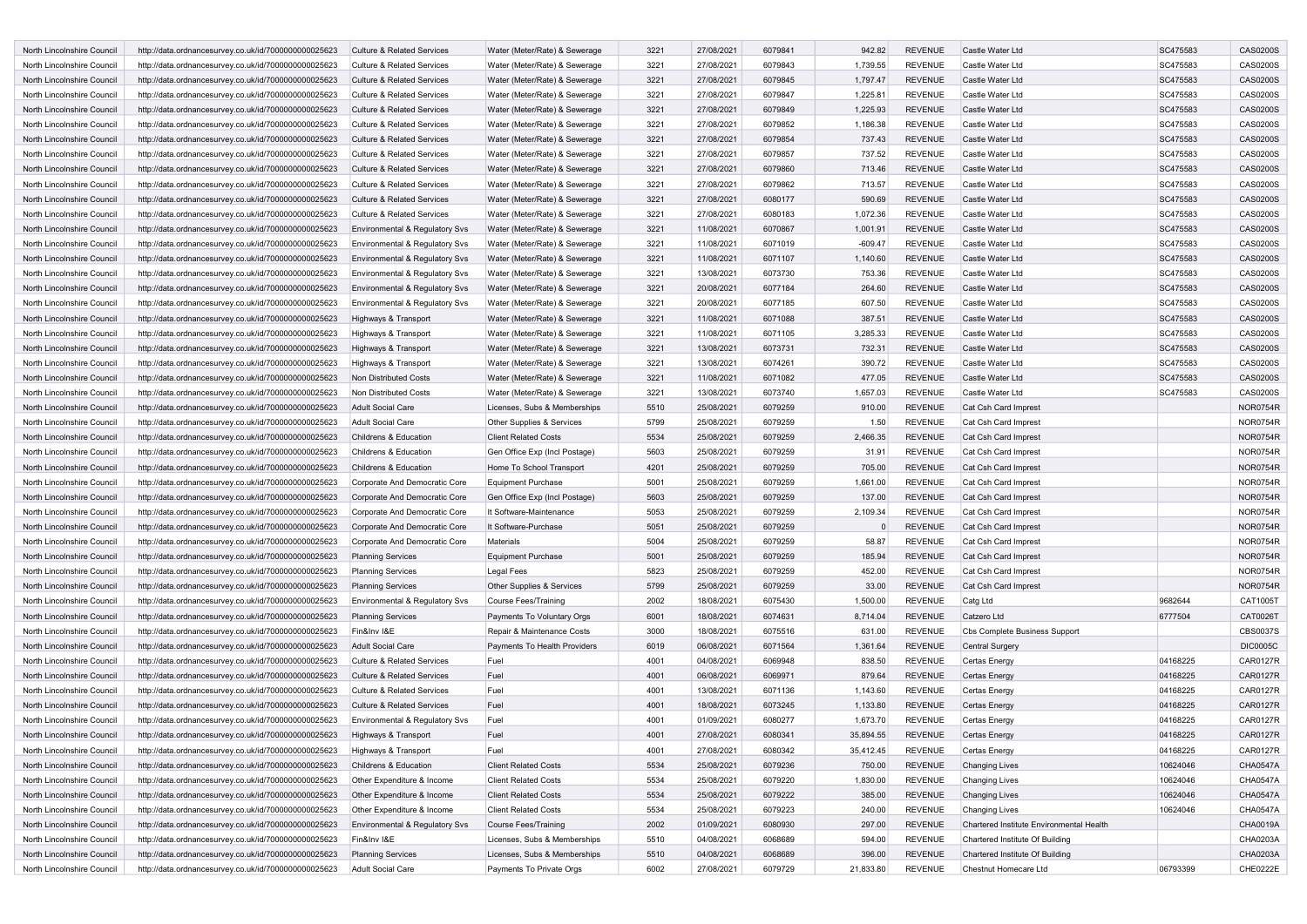| <b>North Lincolnshire Council</b>                        | http://data.ordnancesurvey.co.uk/id/7000000000025623 | <b>Culture &amp; Related Services</b>                             | Water (Meter/Rate) & Sewerage                            | 3221         | 27/08/2021               | 6079841            | 942.82             | <b>REVENUE</b>                   | Castle Water Ltd                         | SC475583 | <b>CAS0200S</b>      |
|----------------------------------------------------------|------------------------------------------------------|-------------------------------------------------------------------|----------------------------------------------------------|--------------|--------------------------|--------------------|--------------------|----------------------------------|------------------------------------------|----------|----------------------|
| North Lincolnshire Council                               | http://data.ordnancesurvey.co.uk/id/7000000000025623 | <b>Culture &amp; Related Services</b>                             | Water (Meter/Rate) & Sewerage                            | 3221         | 27/08/2021               | 6079843            | 1,739.55           | <b>REVENUE</b>                   | Castle Water Ltd                         | SC475583 | CAS0200S             |
| North Lincolnshire Council                               | http://data.ordnancesurvey.co.uk/id/7000000000025623 | <b>Culture &amp; Related Services</b>                             | Water (Meter/Rate) & Sewerage                            | 3221         | 27/08/2021               | 6079845            | 1,797.47           | <b>REVENUE</b>                   | Castle Water Ltd                         | SC475583 | <b>CAS0200S</b>      |
| North Lincolnshire Council                               | http://data.ordnancesurvey.co.uk/id/7000000000025623 | Culture & Related Services                                        | Water (Meter/Rate) & Sewerage                            | 3221         | 27/08/2021               | 6079847            | 1,225.81           | <b>REVENUE</b>                   | Castle Water Ltd                         | SC475583 | CAS0200S             |
| North Lincolnshire Council                               | http://data.ordnancesurvey.co.uk/id/7000000000025623 | <b>Culture &amp; Related Services</b>                             | Water (Meter/Rate) & Sewerage                            | 3221         | 27/08/2021               | 6079849            | 1,225.93           | <b>REVENUE</b>                   | Castle Water Ltd                         | SC475583 | <b>CAS0200S</b>      |
| North Lincolnshire Council                               | http://data.ordnancesurvey.co.uk/id/7000000000025623 | <b>Culture &amp; Related Services</b>                             | Water (Meter/Rate) & Sewerage                            | 3221         | 27/08/2021               | 6079852            | 1,186.38           | <b>REVENUE</b>                   | Castle Water Ltd                         | SC475583 | CAS0200S             |
| North Lincolnshire Council                               | http://data.ordnancesurvey.co.uk/id/7000000000025623 | <b>Culture &amp; Related Services</b>                             | Water (Meter/Rate) & Sewerage                            | 3221         | 27/08/2021               | 6079854            | 737.43             | <b>REVENUE</b>                   | Castle Water Ltd                         | SC475583 | <b>CAS0200S</b>      |
| North Lincolnshire Council                               | http://data.ordnancesurvey.co.uk/id/7000000000025623 | <b>Culture &amp; Related Services</b>                             | Water (Meter/Rate) & Sewerage                            | 3221         | 27/08/2021               | 6079857            | 737.52             | <b>REVENUE</b>                   | Castle Water Ltd                         | SC475583 | CAS0200S             |
| North Lincolnshire Council                               | http://data.ordnancesurvey.co.uk/id/7000000000025623 | <b>Culture &amp; Related Services</b>                             | Water (Meter/Rate) & Sewerage                            | 3221         | 27/08/2021               | 6079860            | 713.46             | <b>REVENUE</b>                   | Castle Water Ltd                         | SC475583 | <b>CAS0200S</b>      |
| North Lincolnshire Council                               | http://data.ordnancesurvey.co.uk/id/7000000000025623 | <b>Culture &amp; Related Services</b>                             | Water (Meter/Rate) & Sewerage                            | 3221         | 27/08/2021               | 6079862            | 713.57             | <b>REVENUE</b>                   | Castle Water Ltd                         | SC475583 | CAS0200S             |
| North Lincolnshire Council                               | http://data.ordnancesurvey.co.uk/id/7000000000025623 | <b>Culture &amp; Related Services</b>                             | Water (Meter/Rate) & Sewerage                            | 3221         | 27/08/2021               | 6080177            | 590.69             | <b>REVENUE</b>                   | Castle Water Ltd                         | SC475583 | CAS0200S             |
| North Lincolnshire Council                               | http://data.ordnancesurvey.co.uk/id/7000000000025623 | <b>Culture &amp; Related Services</b>                             | Water (Meter/Rate) & Sewerage                            | 3221         | 27/08/2021               | 6080183            | 1,072.36           | <b>REVENUE</b>                   | Castle Water Ltd                         | SC475583 | CAS0200S             |
| North Lincolnshire Council                               | http://data.ordnancesurvey.co.uk/id/7000000000025623 | Environmental & Regulatory Svs                                    | Water (Meter/Rate) & Sewerage                            | 3221         | 11/08/2021               | 6070867            | 1,001.91           | <b>REVENUE</b>                   | Castle Water Ltd                         | SC475583 | <b>CAS0200S</b>      |
| North Lincolnshire Council                               | http://data.ordnancesurvey.co.uk/id/7000000000025623 | Environmental & Regulatory Svs                                    | Water (Meter/Rate) & Sewerage                            | 3221         | 11/08/2021               | 6071019            | $-609.47$          | <b>REVENUE</b>                   | Castle Water Ltd                         | SC475583 | CAS0200S             |
| North Lincolnshire Council                               | http://data.ordnancesurvey.co.uk/id/7000000000025623 | Environmental & Regulatory Svs                                    | Water (Meter/Rate) & Sewerage                            | 3221         | 11/08/2021               | 6071107            | 1,140.60           | <b>REVENUE</b>                   | Castle Water Ltd                         | SC475583 | <b>CAS0200S</b>      |
| North Lincolnshire Council                               | http://data.ordnancesurvey.co.uk/id/7000000000025623 | Environmental & Regulatory Svs                                    | Water (Meter/Rate) & Sewerage                            | 3221         | 13/08/2021               | 6073730            | 753.36             | <b>REVENUE</b>                   | Castle Water Ltd                         | SC475583 | CAS0200S             |
| North Lincolnshire Council                               | http://data.ordnancesurvey.co.uk/id/7000000000025623 | Environmental & Regulatory Svs                                    | Water (Meter/Rate) & Sewerage                            | 3221         | 20/08/2021               | 6077184            | 264.60             | <b>REVENUE</b>                   | Castle Water Ltd                         | SC475583 | <b>CAS0200S</b>      |
| North Lincolnshire Council                               | http://data.ordnancesurvey.co.uk/id/7000000000025623 | Environmental & Regulatory Svs                                    | Water (Meter/Rate) & Sewerage                            | 3221         | 20/08/2021               | 6077185            | 607.50             | <b>REVENUE</b>                   | Castle Water Ltd                         | SC475583 | CAS0200S             |
| North Lincolnshire Council                               | http://data.ordnancesurvey.co.uk/id/7000000000025623 | Highways & Transport                                              | Water (Meter/Rate) & Sewerage                            | 3221         | 11/08/2021               | 6071088            | 387.51             | <b>REVENUE</b>                   | Castle Water Ltd                         | SC475583 | <b>CAS0200S</b>      |
| North Lincolnshire Council                               | http://data.ordnancesurvey.co.uk/id/7000000000025623 | Highways & Transport                                              | Water (Meter/Rate) & Sewerage                            | 3221         | 11/08/2021               | 6071105            | 3,285.33           | <b>REVENUE</b>                   | Castle Water Ltd                         | SC475583 | CAS0200S             |
| North Lincolnshire Council                               | http://data.ordnancesurvey.co.uk/id/7000000000025623 | Highways & Transport                                              | Water (Meter/Rate) & Sewerage                            | 3221         | 13/08/2021               | 6073731            | 732.31             | <b>REVENUE</b>                   | Castle Water Ltd                         | SC475583 | CAS0200S             |
| North Lincolnshire Council                               | http://data.ordnancesurvey.co.uk/id/7000000000025623 | Highways & Transport                                              | Water (Meter/Rate) & Sewerage                            | 3221         | 13/08/2021               | 6074261            | 390.72             | <b>REVENUE</b>                   | Castle Water Ltd                         | SC475583 | CAS0200S             |
| North Lincolnshire Council                               | http://data.ordnancesurvey.co.uk/id/7000000000025623 | <b>Non Distributed Costs</b>                                      | Water (Meter/Rate) & Sewerage                            | 3221         | 11/08/2021               | 6071082            | 477.05             | <b>REVENUE</b>                   | Castle Water Ltd                         | SC475583 | CAS0200S             |
| North Lincolnshire Council                               | http://data.ordnancesurvey.co.uk/id/7000000000025623 | Non Distributed Costs                                             | Water (Meter/Rate) & Sewerage                            | 3221         | 13/08/2021               | 6073740            | 1,657.03           | <b>REVENUE</b>                   | Castle Water Ltd                         | SC475583 | CAS0200S             |
| North Lincolnshire Council                               | http://data.ordnancesurvey.co.uk/id/7000000000025623 | <b>Adult Social Care</b>                                          | Licenses, Subs & Memberships                             | 5510         | 25/08/2021               | 6079259            | 910.00             | <b>REVENUE</b>                   | Cat Csh Card Imprest                     |          | <b>NOR0754R</b>      |
| North Lincolnshire Council                               | http://data.ordnancesurvey.co.uk/id/7000000000025623 | Adult Social Care                                                 | Other Supplies & Services                                | 5799         | 25/08/2021               | 6079259            | 1.50               | <b>REVENUE</b>                   | Cat Csh Card Imprest                     |          | <b>NOR0754R</b>      |
| North Lincolnshire Council                               | http://data.ordnancesurvey.co.uk/id/7000000000025623 | Childrens & Education                                             | <b>Client Related Costs</b>                              | 5534         | 25/08/2021               | 6079259            | 2,466.35           | <b>REVENUE</b>                   | Cat Csh Card Imprest                     |          | <b>NOR0754R</b>      |
| North Lincolnshire Council                               | http://data.ordnancesurvey.co.uk/id/7000000000025623 | Childrens & Education                                             | Gen Office Exp (Incl Postage)                            | 5603         | 25/08/2021               | 6079259            | 31.91              | <b>REVENUE</b>                   | Cat Csh Card Imprest                     |          | <b>NOR0754R</b>      |
| North Lincolnshire Council                               | http://data.ordnancesurvey.co.uk/id/7000000000025623 | Childrens & Education                                             | Home To School Transport                                 | 4201         | 25/08/2021               | 6079259            | 705.00             | <b>REVENUE</b>                   | Cat Csh Card Imprest                     |          | <b>NOR0754R</b>      |
| North Lincolnshire Council                               | http://data.ordnancesurvey.co.uk/id/7000000000025623 | Corporate And Democratic Core                                     | <b>Equipment Purchase</b>                                | 5001         | 25/08/2021               | 6079259            | 1,661.00           | <b>REVENUE</b>                   | Cat Csh Card Imprest                     |          | <b>NOR0754R</b>      |
| North Lincolnshire Council                               | http://data.ordnancesurvey.co.uk/id/7000000000025623 | Corporate And Democratic Core                                     | Gen Office Exp (Incl Postage)                            | 5603         | 25/08/2021               | 6079259            | 137.00             | <b>REVENUE</b>                   | Cat Csh Card Imprest                     |          | NOR0754R             |
| North Lincolnshire Council                               | http://data.ordnancesurvey.co.uk/id/7000000000025623 | Corporate And Democratic Core                                     | It Software-Maintenance                                  | 5053         | 25/08/2021               | 6079259            | 2,109.34           | <b>REVENUE</b>                   | Cat Csh Card Imprest                     |          | <b>NOR0754R</b>      |
| North Lincolnshire Council                               | http://data.ordnancesurvey.co.uk/id/7000000000025623 | Corporate And Democratic Core                                     | It Software-Purchase                                     | 5051         | 25/08/2021               | 6079259            |                    | <b>REVENUE</b>                   | Cat Csh Card Imprest                     |          | NOR0754R             |
| North Lincolnshire Council                               | http://data.ordnancesurvey.co.uk/id/7000000000025623 | Corporate And Democratic Core                                     | Materials                                                | 5004         | 25/08/2021               | 6079259            | 58.87              | <b>REVENUE</b>                   | Cat Csh Card Imprest                     |          | <b>NOR0754R</b>      |
| North Lincolnshire Council                               | http://data.ordnancesurvey.co.uk/id/7000000000025623 | <b>Planning Services</b>                                          | <b>Equipment Purchase</b>                                | 5001         | 25/08/2021               | 6079259            | 185.94             | <b>REVENUE</b>                   | Cat Csh Card Imprest                     |          | <b>NOR0754R</b>      |
| North Lincolnshire Council                               |                                                      |                                                                   | <b>Legal Fees</b>                                        | 5823         | 25/08/2021               | 6079259            | 452.00             | <b>REVENUE</b>                   | Cat Csh Card Imprest                     |          | <b>NOR0754R</b>      |
| North Lincolnshire Council                               | http://data.ordnancesurvey.co.uk/id/7000000000025623 | <b>Planning Services</b>                                          | Other Supplies & Services                                | 5799         | 25/08/2021               | 6079259            | 33.00              | <b>REVENUE</b>                   | Cat Csh Card Imprest                     |          | <b>NOR0754R</b>      |
|                                                          | http://data.ordnancesurvey.co.uk/id/7000000000025623 | <b>Planning Services</b>                                          |                                                          |              |                          | 6075430            |                    | <b>REVENUE</b>                   |                                          |          |                      |
| North Lincolnshire Council                               | http://data.ordnancesurvey.co.uk/id/7000000000025623 | Environmental & Regulatory Svs                                    | <b>Course Fees/Training</b>                              | 2002         | 18/08/2021               |                    | 1,500.00           |                                  | Catg Ltd                                 | 9682644  | CAT1005T             |
| North Lincolnshire Council<br>North Lincolnshire Council | http://data.ordnancesurvey.co.uk/id/7000000000025623 | <b>Planning Services</b><br>Fin&Inv I&E                           | Payments To Voluntary Orgs<br>Repair & Maintenance Costs | 6001<br>3000 | 18/08/2021               | 6074631<br>6075516 | 8,714.04           | <b>REVENUE</b><br><b>REVENUE</b> | Catzero Ltd                              | 6777504  | CAT0026T<br>CBS0037S |
|                                                          | http://data.ordnancesurvey.co.uk/id/7000000000025623 |                                                                   |                                                          | 6019         | 18/08/2021               | 6071564            | 631.00             |                                  | Cbs Complete Business Support            |          | <b>DIC0005C</b>      |
| North Lincolnshire Council<br>North Lincolnshire Council | http://data.ordnancesurvey.co.uk/id/7000000000025623 | <b>Adult Social Care</b><br><b>Culture &amp; Related Services</b> | Payments To Health Providers<br>Fuel                     | 4001         | 06/08/2021<br>04/08/2021 | 6069948            | 1,361.64<br>838.50 | <b>REVENUE</b><br><b>REVENUE</b> | <b>Central Surger</b>                    | 04168225 | CAR0127R             |
|                                                          | http://data.ordnancesurvey.co.uk/id/7000000000025623 |                                                                   |                                                          |              |                          |                    |                    |                                  | Certas Energy                            |          |                      |
| North Lincolnshire Council                               | http://data.ordnancesurvey.co.uk/id/7000000000025623 | <b>Culture &amp; Related Services</b>                             | Fuel                                                     | 4001         | 06/08/2021               | 6069971            | 879.64             | <b>REVENUE</b>                   | Certas Energy                            | 04168225 | CAR0127R             |
| North Lincolnshire Council                               | http://data.ordnancesurvey.co.uk/id/7000000000025623 | <b>Culture &amp; Related Services</b>                             | Fuel                                                     | 4001         | 13/08/2021               | 6071136            | 1,143.60           | <b>REVENUE</b>                   | Certas Energy                            | 04168225 | <b>CAR0127R</b>      |
| North Lincolnshire Council                               | http://data.ordnancesurvey.co.uk/id/7000000000025623 | <b>Culture &amp; Related Services</b>                             | Fuel                                                     | 4001         | 18/08/2021               | 6073245            | 1,133.80           | <b>REVENUE</b>                   | <b>Certas Energy</b>                     | 04168225 | CAR0127R             |
| North Lincolnshire Council                               | http://data.ordnancesurvey.co.uk/id/7000000000025623 | Environmental & Regulatory Svs                                    | Fuel                                                     | 4001         | 01/09/2021               | 6080277            | 1,673.70           | <b>REVENUE</b>                   | <b>Certas Energy</b>                     | 04168225 | CAR0127R             |
| North Lincolnshire Council                               | http://data.ordnancesurvey.co.uk/id/7000000000025623 | Highways & Transport                                              | Fuel                                                     | 4001         | 27/08/2021               | 6080341            | 35,894.55          | <b>REVENUE</b>                   | Certas Energy                            | 04168225 | <b>CAR0127R</b>      |
| North Lincolnshire Council                               | http://data.ordnancesurvey.co.uk/id/7000000000025623 | Highways & Transport                                              | Fuel                                                     | 4001         | 27/08/2021               | 6080342            | 35,412.45          | REVENUE                          | Certas Energy                            | 04168225 | CAR0127R             |
| North Lincolnshire Council                               | http://data.ordnancesurvey.co.uk/id/7000000000025623 | Childrens & Education                                             | <b>Client Related Costs</b>                              | 5534         | 25/08/2021               | 6079236            | 750.00             | REVENUE                          | <b>Changing Lives</b>                    | 10624046 | <b>CHA0547A</b>      |
| North Lincolnshire Council                               | http://data.ordnancesurvey.co.uk/id/7000000000025623 | Other Expenditure & Income                                        | <b>Client Related Costs</b>                              | 5534         | 25/08/2021               | 6079220            | 1,830.00           | <b>REVENUE</b>                   | <b>Changing Lives</b>                    | 10624046 | CHA0547A             |
| North Lincolnshire Council                               | http://data.ordnancesurvey.co.uk/id/7000000000025623 | Other Expenditure & Income                                        | <b>Client Related Costs</b>                              | 5534         | 25/08/2021               | 6079222            | 385.00             | REVENUE                          | <b>Changing Lives</b>                    | 10624046 | CHA0547A             |
| North Lincolnshire Council                               | http://data.ordnancesurvey.co.uk/id/7000000000025623 | Other Expenditure & Income                                        | <b>Client Related Costs</b>                              | 5534         | 25/08/2021               | 6079223            | 240.00             | <b>REVENUE</b>                   | <b>Changing Lives</b>                    | 10624046 | CHA0547A             |
| North Lincolnshire Council                               | http://data.ordnancesurvey.co.uk/id/7000000000025623 | Environmental & Regulatory Svs                                    | <b>Course Fees/Training</b>                              | 2002         | 01/09/2021               | 6080930            | 297.00             | REVENUE                          | Chartered Institute Environmental Health |          | CHA0019A             |
| North Lincolnshire Council                               | http://data.ordnancesurvey.co.uk/id/7000000000025623 | Fin&Inv I&E                                                       | Licenses, Subs & Memberships                             | 5510         | 04/08/2021               | 6068689            | 594.00             | REVENUE                          | Chartered Institute Of Building          |          | CHA0203A             |
| North Lincolnshire Council                               | http://data.ordnancesurvey.co.uk/id/7000000000025623 | <b>Planning Services</b>                                          | Licenses, Subs & Memberships                             | 5510         | 04/08/2021               | 6068689            | 396.00             | REVENUE                          | Chartered Institute Of Building          |          | CHA0203A             |
| North Lincolnshire Council                               | http://data.ordnancesurvey.co.uk/id/7000000000025623 | Adult Social Care                                                 | Payments To Private Orgs                                 | 6002         | 27/08/2021               | 6079729            | 21,833.80          | REVENUE                          | Chestnut Homecare Ltd                    | 06793399 | CHE0222E             |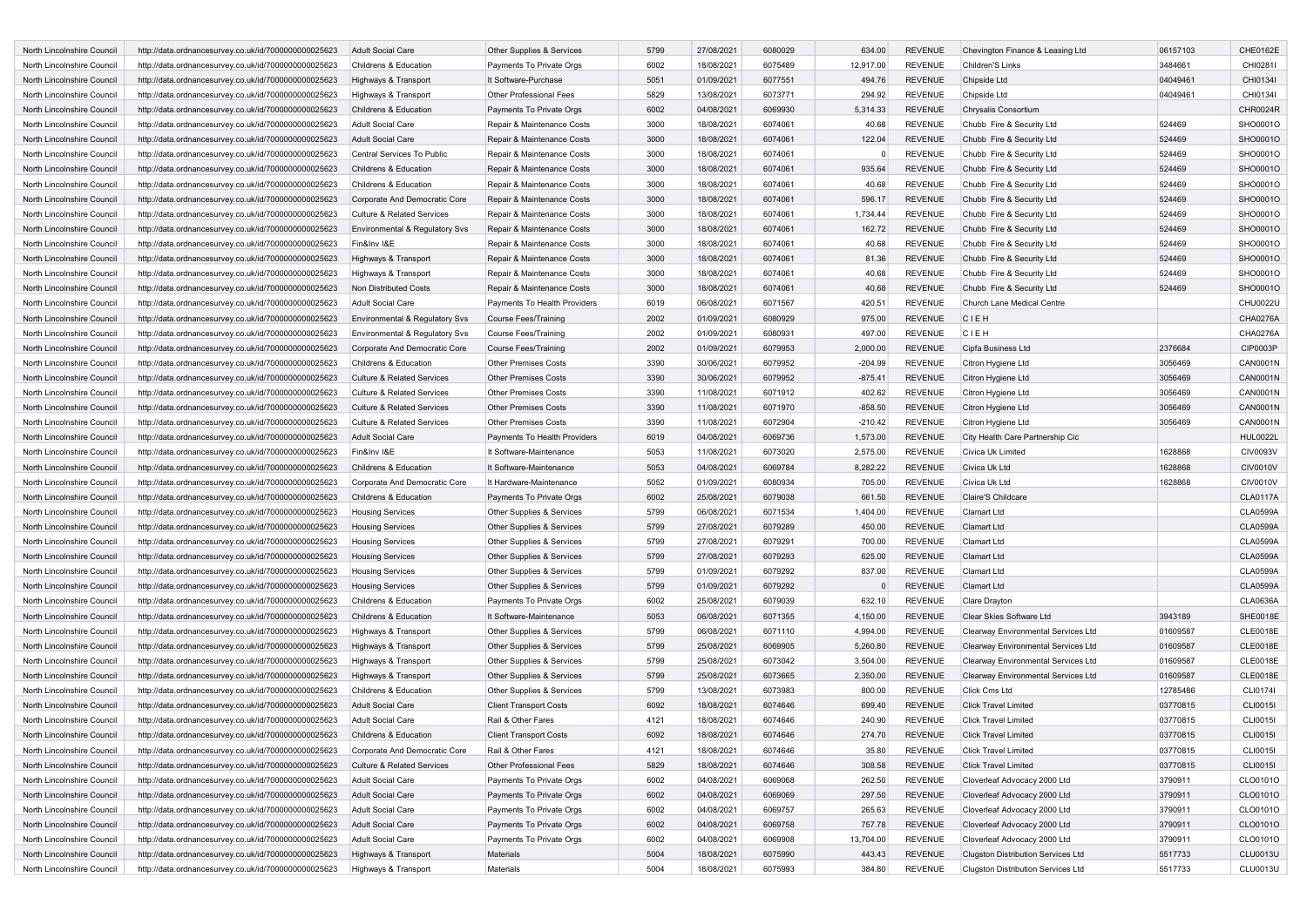| North Lincolnshire Council | http://data.ordnancesurvey.co.uk/id/7000000000025623 | <b>Adult Social Care</b>                                            | Other Supplies & Services                                  | 5799         | 27/08/2021 | 6080029            | 634.00              | <b>REVENUE</b>                   | Chevington Finance & Leasing Ltd                       | 06157103 | CHE0162E                           |
|----------------------------|------------------------------------------------------|---------------------------------------------------------------------|------------------------------------------------------------|--------------|------------|--------------------|---------------------|----------------------------------|--------------------------------------------------------|----------|------------------------------------|
| North Lincolnshire Council | http://data.ordnancesurvey.co.uk/id/7000000000025623 | Childrens & Education                                               | Payments To Private Orgs                                   | 6002         | 18/08/2021 | 6075489            | 12,917.00           | <b>REVENUE</b>                   | Children'S Links                                       | 3484661  | CHI0281I                           |
| North Lincolnshire Council | http://data.ordnancesurvey.co.uk/id/7000000000025623 | Highways & Transport                                                | It Software-Purchase                                       | 5051         | 01/09/2021 | 6077551            | 494.76              | <b>REVENUE</b>                   | Chipside Ltd                                           | 04049461 | CHI0134I                           |
| North Lincolnshire Council | http://data.ordnancesurvey.co.uk/id/7000000000025623 | Highways & Transport                                                | <b>Other Professional Fees</b>                             | 5829         | 13/08/2021 | 6073771            | 294.92              | <b>REVENUE</b>                   | Chipside Ltd                                           | 04049461 | CHI01341                           |
| North Lincolnshire Council | http://data.ordnancesurvey.co.uk/id/7000000000025623 | Childrens & Education                                               | Payments To Private Orgs                                   | 6002         | 04/08/2021 | 6069930            | 5,314.33            | <b>REVENUE</b>                   | Chrysalis Consortium                                   |          | CHR0024R                           |
| North Lincolnshire Council | http://data.ordnancesurvey.co.uk/id/7000000000025623 | <b>Adult Social Care</b>                                            | Repair & Maintenance Costs                                 | 3000         | 18/08/2021 | 6074061            | 40.68               | <b>REVENUE</b>                   | Chubb Fire & Security Ltd                              | 524469   | SHO0001O                           |
| North Lincolnshire Council | http://data.ordnancesurvey.co.uk/id/7000000000025623 | <b>Adult Social Care</b>                                            | Repair & Maintenance Costs                                 | 3000         | 18/08/2021 | 6074061            | 122.04              | <b>REVENUE</b>                   | Chubb Fire & Security Ltd                              | 524469   | SHO0001O                           |
| North Lincolnshire Council | http://data.ordnancesurvey.co.uk/id/7000000000025623 | Central Services To Public                                          | Repair & Maintenance Costs                                 | 3000         | 18/08/2021 | 6074061            |                     | <b>REVENUE</b>                   | Chubb Fire & Security Ltd                              | 524469   | SHO0001O                           |
| North Lincolnshire Council | http://data.ordnancesurvey.co.uk/id/7000000000025623 | Childrens & Education                                               | Repair & Maintenance Costs                                 | 3000         | 18/08/2021 | 6074061            | 935.64              | <b>REVENUE</b>                   | Chubb Fire & Security Ltd                              | 524469   | SHO0001O                           |
| North Lincolnshire Council | http://data.ordnancesurvey.co.uk/id/7000000000025623 | Childrens & Education                                               | Repair & Maintenance Costs                                 | 3000         | 18/08/2021 | 6074061            | 40.68               | <b>REVENUE</b>                   | Chubb Fire & Security Ltd                              | 524469   | SHO0001O                           |
| North Lincolnshire Council | http://data.ordnancesurvey.co.uk/id/7000000000025623 | Corporate And Democratic Core                                       | Repair & Maintenance Costs                                 | 3000         | 18/08/2021 | 6074061            | 596.17              | <b>REVENUE</b>                   | Chubb Fire & Security Ltd                              | 524469   | SHO0001O                           |
| North Lincolnshire Council | http://data.ordnancesurvey.co.uk/id/7000000000025623 | <b>Culture &amp; Related Services</b>                               | Repair & Maintenance Costs                                 | 3000         | 18/08/2021 | 6074061            | 1,734.44            | <b>REVENUE</b>                   | Chubb Fire & Security Ltd                              | 524469   | SHO0001O                           |
| North Lincolnshire Council | http://data.ordnancesurvey.co.uk/id/7000000000025623 | Environmental & Regulatory Svs                                      | Repair & Maintenance Costs                                 | 3000         | 18/08/2021 | 6074061            | 162.72              | <b>REVENUE</b>                   | Chubb Fire & Security Ltd                              | 524469   | SHO0001O                           |
| North Lincolnshire Council | http://data.ordnancesurvey.co.uk/id/7000000000025623 | Fin&Inv I&E                                                         | Repair & Maintenance Costs                                 | 3000         | 18/08/2021 | 6074061            | 40.68               | <b>REVENUE</b>                   | Chubb Fire & Security Ltd                              | 524469   | SHO0001O                           |
| North Lincolnshire Council | http://data.ordnancesurvey.co.uk/id/7000000000025623 | Highways & Transport                                                | Repair & Maintenance Costs                                 | 3000         | 18/08/2021 | 6074061            | 81.36               | <b>REVENUE</b>                   | Chubb Fire & Security Ltd                              | 524469   | SHO0001O                           |
| North Lincolnshire Council | http://data.ordnancesurvey.co.uk/id/7000000000025623 | Highways & Transport                                                | Repair & Maintenance Costs                                 | 3000         | 18/08/2021 | 6074061            | 40.68               | <b>REVENUE</b>                   | Chubb Fire & Security Ltd                              | 524469   | SHO0001O                           |
| North Lincolnshire Council | http://data.ordnancesurvey.co.uk/id/7000000000025623 | Non Distributed Costs                                               | Repair & Maintenance Costs                                 | 3000         | 18/08/2021 | 6074061            | 40.68               | <b>REVENUE</b>                   | Chubb Fire & Security Ltd                              | 524469   | SHO0001O                           |
| North Lincolnshire Council | http://data.ordnancesurvey.co.uk/id/7000000000025623 | Adult Social Care                                                   | Payments To Health Providers                               | 6019         | 06/08/2021 | 6071567            | 420.51              | <b>REVENUE</b>                   | Church Lane Medical Centre                             |          | CHU0022U                           |
| North Lincolnshire Council | http://data.ordnancesurvey.co.uk/id/7000000000025623 | Environmental & Regulatory Svs                                      | <b>Course Fees/Training</b>                                | 2002         | 01/09/2021 | 6080929            | 975.00              | <b>REVENUE</b>                   | CIEH                                                   |          | CHA0276A                           |
| North Lincolnshire Council | http://data.ordnancesurvey.co.uk/id/7000000000025623 | Environmental & Regulatory Svs                                      | <b>Course Fees/Training</b>                                | 2002         | 01/09/2021 | 6080931            | 497.00              | <b>REVENUE</b>                   | CIEH                                                   |          | CHA0276A                           |
| North Lincolnshire Council | http://data.ordnancesurvey.co.uk/id/7000000000025623 | Corporate And Democratic Core                                       | <b>Course Fees/Training</b>                                | 2002         | 01/09/2021 | 6079953            | 2,000.00            | <b>REVENUE</b>                   | Cipfa Business Ltd                                     | 2376684  | CIP0003P                           |
| North Lincolnshire Council | http://data.ordnancesurvey.co.uk/id/7000000000025623 | Childrens & Education                                               | <b>Other Premises Costs</b>                                | 3390         | 30/06/2021 | 6079952            | $-204.99$           | <b>REVENUE</b>                   | Citron Hygiene Ltd                                     | 3056469  | <b>CAN0001N</b>                    |
| North Lincolnshire Council | http://data.ordnancesurvey.co.uk/id/7000000000025623 | <b>Culture &amp; Related Services</b>                               | <b>Other Premises Costs</b>                                | 3390         | 30/06/2021 | 6079952            | $-875.41$           | <b>REVENUE</b>                   | Citron Hygiene Ltd                                     | 3056469  | CAN0001N                           |
| North Lincolnshire Council |                                                      | <b>Culture &amp; Related Services</b>                               | <b>Other Premises Costs</b>                                | 3390         |            | 6071912            |                     | <b>REVENUE</b>                   |                                                        |          | <b>CAN0001N</b>                    |
| North Lincolnshire Council | http://data.ordnancesurvey.co.uk/id/7000000000025623 |                                                                     |                                                            | 3390         | 11/08/2021 | 6071970            | 402.62<br>$-858.50$ |                                  | Citron Hygiene Ltd                                     | 3056469  | <b>CAN0001N</b>                    |
| North Lincolnshire Council | http://data.ordnancesurvey.co.uk/id/7000000000025623 | Culture & Related Services<br><b>Culture &amp; Related Services</b> | <b>Other Premises Costs</b><br><b>Other Premises Costs</b> |              | 11/08/2021 |                    |                     | <b>REVENUE</b>                   | Citron Hygiene Ltd                                     | 3056469  | <b>CAN0001N</b>                    |
|                            | http://data.ordnancesurvey.co.uk/id/7000000000025623 |                                                                     |                                                            | 3390<br>6019 | 11/08/2021 | 6072904            | $-210.42$           | <b>REVENUE</b>                   | Citron Hygiene Ltd<br>City Health Care Partnership Cic | 3056469  |                                    |
| North Lincolnshire Council | http://data.ordnancesurvey.co.uk/id/7000000000025623 | <b>Adult Social Care</b>                                            | Payments To Health Providers                               |              | 04/08/2021 | 6069736            | 1,573.00            | <b>REVENUE</b>                   | Civica Uk Limited                                      |          | <b>HUL0022L</b>                    |
| North Lincolnshire Council | http://data.ordnancesurvey.co.uk/id/7000000000025623 | Fin&Inv I&E                                                         | It Software-Maintenance                                    | 5053         | 11/08/2021 | 6073020            | 2,575.00            | <b>REVENUE</b>                   |                                                        | 1628868  | CIV0093V                           |
| North Lincolnshire Council | http://data.ordnancesurvey.co.uk/id/7000000000025623 | Childrens & Education                                               | It Software-Maintenance                                    | 5053         | 04/08/2021 | 6069784<br>6080934 | 8,282.22            | <b>REVENUE</b><br><b>REVENUE</b> | Civica Uk Ltd                                          | 1628868  | <b>CIV0010V</b><br><b>CIV0010V</b> |
| North Lincolnshire Council | http://data.ordnancesurvey.co.uk/id/7000000000025623 | Corporate And Democratic Core                                       | It Hardware-Maintenance                                    | 5052         | 01/09/2021 |                    | 705.00              |                                  | Civica Uk Ltd                                          | 1628868  |                                    |
| North Lincolnshire Council | http://data.ordnancesurvey.co.uk/id/7000000000025623 | Childrens & Education                                               | Payments To Private Orgs                                   | 6002         | 25/08/2021 | 6079038            | 661.50              | <b>REVENUE</b>                   | Claire'S Childcare                                     |          | <b>CLA0117A</b>                    |
| North Lincolnshire Council | http://data.ordnancesurvey.co.uk/id/7000000000025623 | <b>Housing Services</b>                                             | Other Supplies & Services                                  | 5799         | 06/08/2021 | 6071534            | 1,404.00            | <b>REVENUE</b>                   | Clamart Ltd                                            |          | <b>CLA0599A</b>                    |
| North Lincolnshire Council | http://data.ordnancesurvey.co.uk/id/7000000000025623 | <b>Housing Services</b>                                             | Other Supplies & Services                                  | 5799         | 27/08/2021 | 6079289            | 450.00              | <b>REVENUE</b>                   | <b>Clamart Ltd</b>                                     |          | <b>CLA0599A</b>                    |
| North Lincolnshire Council | http://data.ordnancesurvey.co.uk/id/7000000000025623 | <b>Housing Services</b>                                             | Other Supplies & Services                                  | 5799         | 27/08/2021 | 6079291            | 700.00              | <b>REVENUE</b>                   | Clamart Ltd                                            |          | <b>CLA0599A</b>                    |
| North Lincolnshire Council | http://data.ordnancesurvey.co.uk/id/7000000000025623 | <b>Housing Services</b>                                             | Other Supplies & Services                                  | 5799         | 27/08/2021 | 6079293            | 625.00              | <b>REVENUE</b>                   | <b>Clamart Ltd</b>                                     |          | <b>CLA0599A</b>                    |
| North Lincolnshire Council | http://data.ordnancesurvey.co.uk/id/7000000000025623 | <b>Housing Services</b>                                             | Other Supplies & Services                                  | 5799         | 01/09/2021 | 6079292            | 837.00              | <b>REVENUE</b>                   | Clamart Ltd                                            |          | <b>CLA0599A</b>                    |
| North Lincolnshire Council | http://data.ordnancesurvey.co.uk/id/7000000000025623 | <b>Housing Services</b>                                             | Other Supplies & Services                                  | 5799         | 01/09/2021 | 6079292            |                     | <b>REVENUE</b>                   | <b>Clamart Ltd</b>                                     |          | <b>CLA0599A</b>                    |
| North Lincolnshire Council | http://data.ordnancesurvey.co.uk/id/7000000000025623 | Childrens & Education                                               | Payments To Private Orgs                                   | 6002         | 25/08/2021 | 6079039            | 632.10              | <b>REVENUE</b>                   | Clare Drayton                                          |          | <b>CLA0636A</b>                    |
| North Lincolnshire Council | http://data.ordnancesurvey.co.uk/id/7000000000025623 | Childrens & Education                                               | It Software-Maintenance                                    | 5053         | 06/08/2021 | 6071355            | 4,150.00            | <b>REVENUE</b>                   | Clear Skies Software Ltd                               | 3943189  | SHE0018E                           |
| North Lincolnshire Council | http://data.ordnancesurvey.co.uk/id/7000000000025623 | Highways & Transport                                                | Other Supplies & Services                                  | 5799         | 06/08/2021 | 6071110            | 4,994.00            | <b>REVENUE</b>                   | Clearway Environmental Services Ltd                    | 01609587 | <b>CLE0018E</b>                    |
| North Lincolnshire Council | http://data.ordnancesurvey.co.uk/id/7000000000025623 | Highways & Transport                                                | Other Supplies & Services                                  | 5799         | 25/08/2021 | 6069905            | 5,260.80            | <b>REVENUE</b>                   | Clearway Environmental Services Ltd                    | 01609587 | <b>CLE0018E</b>                    |
| North Lincolnshire Council | http://data.ordnancesurvey.co.uk/id/7000000000025623 | Highways & Transport                                                | Other Supplies & Services                                  | 5799         | 25/08/2021 | 6073042            | 3,504.00            | <b>REVENUE</b>                   | Clearway Environmental Services Ltd                    | 01609587 | <b>CLE0018E</b>                    |
| North Lincolnshire Council | http://data.ordnancesurvey.co.uk/id/7000000000025623 | Highways & Transport                                                | Other Supplies & Services                                  | 5799         | 25/08/2021 | 6073665            | 2,350.00            | <b>REVENUE</b>                   | Clearway Environmental Services Ltd                    | 01609587 | <b>CLE0018E</b>                    |
| North Lincolnshire Council | http://data.ordnancesurvey.co.uk/id/7000000000025623 | Childrens & Education                                               | Other Supplies & Services                                  | 5799         | 13/08/2021 | 6073983            | 800.00              | <b>REVENUE</b>                   | Click Cms Ltd                                          | 12785486 | CLI0174                            |
| North Lincolnshire Council | http://data.ordnancesurvey.co.uk/id/7000000000025623 | <b>Adult Social Care</b>                                            | <b>Client Transport Costs</b>                              | 6092         | 18/08/2021 | 6074646            | 699.40              | <b>REVENUE</b>                   | <b>Click Travel Limited</b>                            | 03770815 | <b>CLI0015I</b>                    |
| North Lincolnshire Council | http://data.ordnancesurvey.co.uk/id/7000000000025623 | Adult Social Care                                                   | Rail & Other Fares                                         | 4121         | 18/08/2021 | 6074646            | 240.90              | <b>REVENUE</b>                   | <b>Click Travel Limited</b>                            | 03770815 | CLI0015I                           |
| North Lincolnshire Council | http://data.ordnancesurvey.co.uk/id/7000000000025623 | Childrens & Education                                               | <b>Client Transport Costs</b>                              | 6092         | 18/08/2021 | 6074646            | 274.70              | <b>REVENUE</b>                   | <b>Click Travel Limited</b>                            | 03770815 | CLI0015I                           |
| North Lincolnshire Council | http://data.ordnancesurvey.co.uk/id/7000000000025623 | Corporate And Democratic Core                                       | Rail & Other Fares                                         | 4121         | 18/08/2021 | 6074646            | 35.80               | <b>REVENUE</b>                   | <b>Click Travel Limited</b>                            | 03770815 | CLI0015I                           |
| North Lincolnshire Council | http://data.ordnancesurvey.co.uk/id/7000000000025623 | <b>Culture &amp; Related Services</b>                               | Other Professional Fees                                    | 5829         | 18/08/2021 | 6074646            | 308.58              | <b>REVENUE</b>                   | <b>Click Travel Limited</b>                            | 03770815 | <b>CLI0015I</b>                    |
| North Lincolnshire Council | http://data.ordnancesurvey.co.uk/id/7000000000025623 | Adult Social Care                                                   | Payments To Private Orgs                                   | 6002         | 04/08/2021 | 6069068            | 262.50              | <b>REVENUE</b>                   | Cloverleaf Advocacy 2000 Ltd                           | 3790911  | CLO0101O                           |
| North Lincolnshire Council | http://data.ordnancesurvey.co.uk/id/7000000000025623 | Adult Social Care                                                   | Payments To Private Orgs                                   | 6002         | 04/08/2021 | 6069069            | 297.50              | <b>REVENUE</b>                   | Cloverleaf Advocacy 2000 Ltd                           | 3790911  | CLO0101O                           |
| North Lincolnshire Council | http://data.ordnancesurvey.co.uk/id/7000000000025623 | Adult Social Care                                                   | Payments To Private Orgs                                   | 6002         | 04/08/2021 | 6069757            | 265.63              | <b>REVENUE</b>                   | Cloverleaf Advocacy 2000 Ltd                           | 3790911  | CLO0101O                           |
| North Lincolnshire Council | http://data.ordnancesurvey.co.uk/id/7000000000025623 | Adult Social Care                                                   | Payments To Private Orgs                                   | 6002         | 04/08/2021 | 6069758            | 757.78              | <b>REVENUE</b>                   | Cloverleaf Advocacy 2000 Ltd                           | 3790911  | CLO0101O                           |
| North Lincolnshire Council | http://data.ordnancesurvey.co.uk/id/7000000000025623 | Adult Social Care                                                   | Payments To Private Orgs                                   | 6002         | 04/08/2021 | 6069908            | 13,704.00           | <b>REVENUE</b>                   | Cloverleaf Advocacy 2000 Ltd                           | 3790911  | CLO0101O                           |
| North Lincolnshire Council | http://data.ordnancesurvey.co.uk/id/7000000000025623 | Highways & Transport                                                | Materials                                                  | 5004         | 18/08/2021 | 6075990            | 443.43              | <b>REVENUE</b>                   | <b>Clugston Distribution Services Ltd</b>              | 5517733  | <b>CLU0013U</b>                    |
| North Lincolnshire Council | http://data.ordnancesurvey.co.uk/id/7000000000025623 | Highways & Transport                                                | Materials                                                  | 5004         | 18/08/2021 | 6075993            | 384.80              | REVENUE                          | <b>Clugston Distribution Services Ltd</b>              | 5517733  | <b>CLU0013U</b>                    |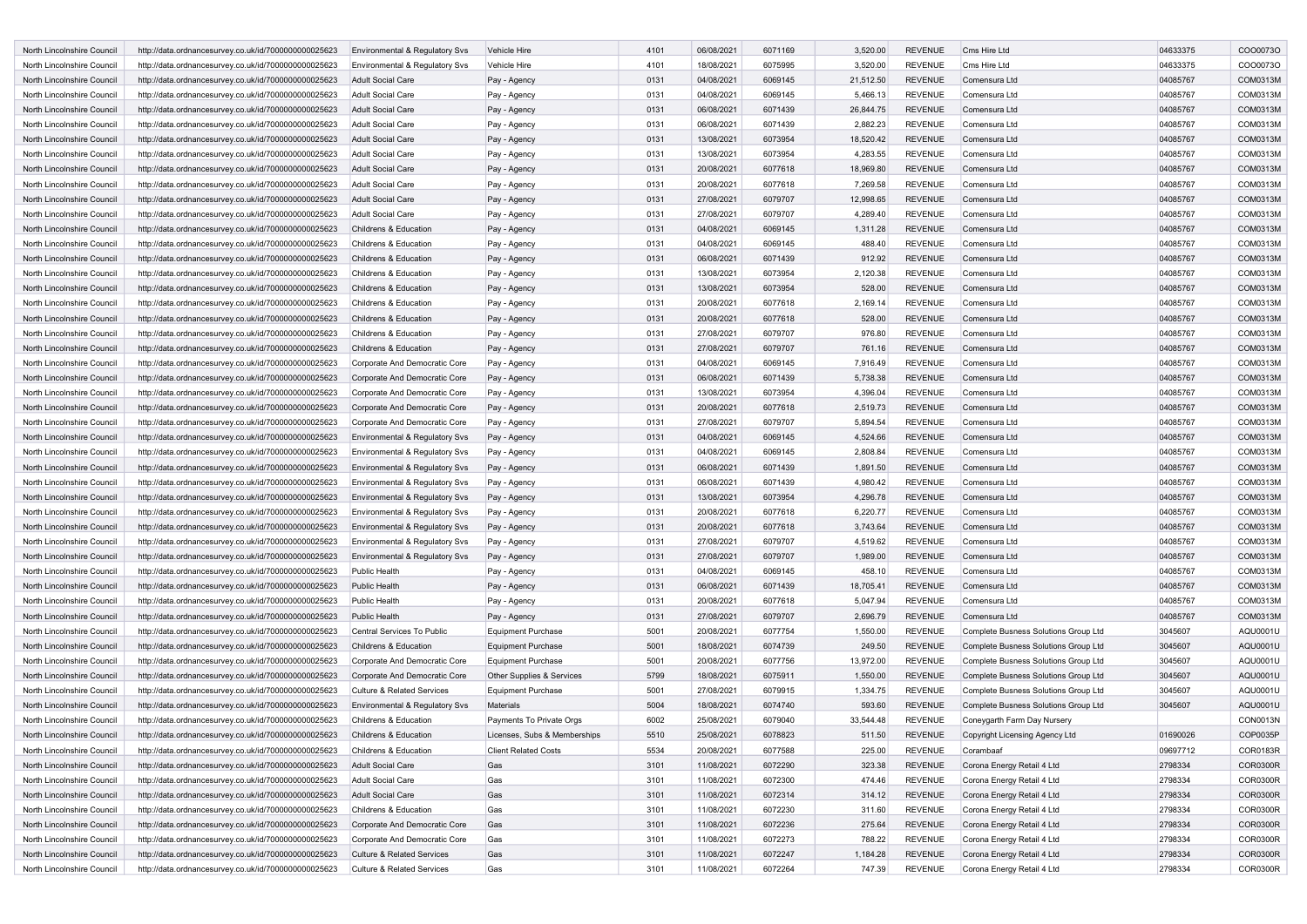| North Lincolnshire Council | http://data.ordnancesurvey.co.uk/id/7000000000025623 | <b>Environmental &amp; Regulatory Svs</b> | Vehicle Hire                 | 4101         | 06/08/2021 | 6071169 | 3,520.00  | <b>REVENUE</b>                   | Cms Hire Ltd                         | 04633375 | CO000730             |
|----------------------------|------------------------------------------------------|-------------------------------------------|------------------------------|--------------|------------|---------|-----------|----------------------------------|--------------------------------------|----------|----------------------|
| North Lincolnshire Council | http://data.ordnancesurvey.co.uk/id/7000000000025623 | Environmental & Regulatory Svs            | Vehicle Hire                 | 4101         | 18/08/2021 | 6075995 | 3,520.00  | <b>REVENUE</b>                   | Cms Hire Ltd                         | 04633375 | CO000730             |
| North Lincolnshire Council | http://data.ordnancesurvey.co.uk/id/7000000000025623 | <b>Adult Social Care</b>                  | Pay - Agency                 | 0131         | 04/08/2021 | 6069145 | 21,512.50 | <b>REVENUE</b>                   | Comensura Ltd                        | 04085767 | COM0313M             |
| North Lincolnshire Council | http://data.ordnancesurvey.co.uk/id/7000000000025623 | <b>Adult Social Care</b>                  | Pay - Agency                 | 0131         | 04/08/2021 | 6069145 | 5,466.13  | <b>REVENUE</b>                   | Comensura Ltd                        | 04085767 | COM0313M             |
| North Lincolnshire Council | http://data.ordnancesurvey.co.uk/id/7000000000025623 | <b>Adult Social Care</b>                  | Pay - Agency                 | 0131         | 06/08/2021 | 6071439 | 26,844.75 | <b>REVENUE</b>                   | Comensura Ltd                        | 04085767 | COM0313M             |
| North Lincolnshire Council | http://data.ordnancesurvey.co.uk/id/7000000000025623 | <b>Adult Social Care</b>                  | Pay - Agency                 | 0131         | 06/08/2021 | 6071439 | 2,882.23  | <b>REVENUE</b>                   | Comensura Ltd                        | 04085767 | COM0313M             |
| North Lincolnshire Council | http://data.ordnancesurvey.co.uk/id/7000000000025623 | Adult Social Care                         | Pay - Agency                 | 0131         | 13/08/2021 | 6073954 | 18,520.42 | <b>REVENUE</b>                   | Comensura Ltd                        | 04085767 | COM0313M             |
| North Lincolnshire Council | http://data.ordnancesurvey.co.uk/id/7000000000025623 | <b>Adult Social Care</b>                  | Pay - Agency                 | 0131         | 13/08/2021 | 6073954 | 4,283.55  | <b>REVENUE</b>                   | Comensura Ltd                        | 04085767 | COM0313M             |
| North Lincolnshire Council | http://data.ordnancesurvey.co.uk/id/7000000000025623 | <b>Adult Social Care</b>                  | Pay - Agency                 | 0131         | 20/08/2021 | 6077618 | 18,969.80 | <b>REVENUE</b>                   | Comensura Ltd                        | 04085767 | COM0313M             |
| North Lincolnshire Council | http://data.ordnancesurvey.co.uk/id/7000000000025623 | <b>Adult Social Care</b>                  | Pay - Agency                 | 0131         | 20/08/2021 | 6077618 | 7,269.58  | <b>REVENUE</b>                   | Comensura Ltd                        | 04085767 | COM0313M             |
| North Lincolnshire Council | http://data.ordnancesurvey.co.uk/id/7000000000025623 | <b>Adult Social Care</b>                  | Pay - Agency                 | 0131         | 27/08/2021 | 6079707 | 12,998.65 | <b>REVENUE</b>                   | Comensura Ltd                        | 04085767 | COM0313M             |
| North Lincolnshire Council | http://data.ordnancesurvey.co.uk/id/7000000000025623 | <b>Adult Social Care</b>                  | Pay - Agency                 | 0131         | 27/08/2021 | 6079707 | 4,289.40  | <b>REVENUE</b>                   | Comensura Ltd                        | 04085767 | COM0313M             |
| North Lincolnshire Council | http://data.ordnancesurvey.co.uk/id/7000000000025623 | Childrens & Education                     | Pay - Agency                 | 0131         | 04/08/2021 | 6069145 | 1,311.28  | <b>REVENUE</b>                   | Comensura Ltd                        | 04085767 | COM0313M             |
| North Lincolnshire Council | http://data.ordnancesurvey.co.uk/id/7000000000025623 | Childrens & Education                     | Pay - Agency                 | 0131         | 04/08/2021 | 6069145 | 488.40    | <b>REVENUE</b>                   | Comensura Ltd                        | 04085767 | COM0313M             |
| North Lincolnshire Council | http://data.ordnancesurvey.co.uk/id/7000000000025623 | Childrens & Education                     | Pay - Agency                 | 0131         | 06/08/2021 | 6071439 | 912.92    | <b>REVENUE</b>                   | Comensura Ltd                        | 04085767 | COM0313M             |
| North Lincolnshire Council | http://data.ordnancesurvey.co.uk/id/7000000000025623 | Childrens & Education                     | Pay - Agency                 | 0131         | 13/08/2021 | 6073954 | 2,120.38  | <b>REVENUE</b>                   | Comensura Ltd                        | 04085767 | COM0313M             |
| North Lincolnshire Council | http://data.ordnancesurvey.co.uk/id/7000000000025623 | Childrens & Education                     | Pay - Agency                 | 0131         | 13/08/2021 | 6073954 | 528.00    | <b>REVENUE</b>                   | Comensura Ltd                        | 04085767 | COM0313M             |
| North Lincolnshire Council | http://data.ordnancesurvey.co.uk/id/7000000000025623 | Childrens & Education                     | Pay - Agency                 | 0131         | 20/08/2021 | 6077618 | 2,169.14  | <b>REVENUE</b>                   | Comensura Ltd                        | 04085767 | COM0313M             |
| North Lincolnshire Council | http://data.ordnancesurvey.co.uk/id/7000000000025623 | Childrens & Education                     | Pay - Agency                 | 0131         | 20/08/2021 | 6077618 | 528.00    | <b>REVENUE</b>                   | Comensura Ltd                        | 04085767 | COM0313M             |
| North Lincolnshire Council | http://data.ordnancesurvey.co.uk/id/7000000000025623 | Childrens & Education                     | Pay - Agency                 | 0131         | 27/08/2021 | 6079707 | 976.80    | <b>REVENUE</b>                   | Comensura Ltd                        | 04085767 | COM0313M             |
| North Lincolnshire Council | http://data.ordnancesurvey.co.uk/id/7000000000025623 | Childrens & Education                     | Pay - Agency                 | 0131         | 27/08/2021 | 6079707 | 761.16    | <b>REVENUE</b>                   | Comensura Ltd                        | 04085767 | COM0313M             |
| North Lincolnshire Council | http://data.ordnancesurvey.co.uk/id/7000000000025623 | Corporate And Democratic Core             |                              | 0131         | 04/08/2021 | 6069145 | 7,916.49  | <b>REVENUE</b>                   | Comensura Ltd                        | 04085767 | COM0313M             |
| North Lincolnshire Council |                                                      |                                           | Pay - Agency                 | 0131         | 06/08/2021 | 6071439 |           | <b>REVENUE</b>                   | Comensura Ltd                        | 04085767 | COM0313M             |
|                            | http://data.ordnancesurvey.co.uk/id/7000000000025623 | Corporate And Democratic Core             | Pay - Agency                 | 0131         |            |         | 5,738.38  |                                  |                                      |          | COM0313M             |
| North Lincolnshire Council | http://data.ordnancesurvey.co.uk/id/7000000000025623 | Corporate And Democratic Core             | Pay - Agency                 | 0131         | 13/08/2021 | 6073954 | 4,396.04  | <b>REVENUE</b><br><b>REVENUE</b> | Comensura Ltd<br>Comensura Ltd       | 04085767 | COM0313M             |
| North Lincolnshire Council | http://data.ordnancesurvey.co.uk/id/7000000000025623 | Corporate And Democratic Core             | Pay - Agency                 |              | 20/08/2021 | 6077618 | 2,519.73  |                                  |                                      | 04085767 |                      |
| North Lincolnshire Council | http://data.ordnancesurvey.co.uk/id/7000000000025623 | Corporate And Democratic Core             | Pay - Agency                 | 0131<br>0131 | 27/08/2021 | 6079707 | 5,894.54  | <b>REVENUE</b>                   | Comensura Ltd                        | 04085767 | COM0313M<br>COM0313M |
| North Lincolnshire Council | http://data.ordnancesurvey.co.uk/id/7000000000025623 | Environmental & Regulatory Svs            | Pay - Agency                 |              | 04/08/2021 | 6069145 | 4,524.66  | <b>REVENUE</b>                   | Comensura Ltd                        | 04085767 |                      |
| North Lincolnshire Council | http://data.ordnancesurvey.co.uk/id/7000000000025623 | Environmental & Regulatory Svs            | Pay - Agency                 | 0131         | 04/08/2021 | 6069145 | 2,808.84  | <b>REVENUE</b>                   | Comensura Ltd                        | 04085767 | COM0313M             |
| North Lincolnshire Council | http://data.ordnancesurvey.co.uk/id/7000000000025623 | Environmental & Regulatory Svs            | Pay - Agency                 | 0131         | 06/08/2021 | 6071439 | 1,891.50  | <b>REVENUE</b>                   | Comensura Ltd                        | 04085767 | COM0313M             |
| North Lincolnshire Council | http://data.ordnancesurvey.co.uk/id/7000000000025623 | Environmental & Regulatory Svs            | Pay - Agency                 | 0131         | 06/08/2021 | 6071439 | 4,980.42  | <b>REVENUE</b>                   | Comensura Ltd                        | 04085767 | COM0313M             |
| North Lincolnshire Council | http://data.ordnancesurvey.co.uk/id/7000000000025623 | Environmental & Regulatory Svs            | Pay - Agency                 | 0131         | 13/08/2021 | 6073954 | 4,296.78  | <b>REVENUE</b>                   | Comensura Ltd                        | 04085767 | COM0313M             |
| North Lincolnshire Council | http://data.ordnancesurvey.co.uk/id/7000000000025623 | Environmental & Regulatory Svs            | Pay - Agency                 | 0131         | 20/08/2021 | 6077618 | 6,220.77  | <b>REVENUE</b>                   | Comensura Ltd                        | 04085767 | COM0313M             |
| North Lincolnshire Council | http://data.ordnancesurvey.co.uk/id/7000000000025623 | Environmental & Regulatory Svs            | Pay - Agency                 | 0131         | 20/08/2021 | 6077618 | 3,743.64  | <b>REVENUE</b>                   | Comensura Ltd                        | 04085767 | COM0313M             |
| North Lincolnshire Council | http://data.ordnancesurvey.co.uk/id/7000000000025623 | Environmental & Regulatory Svs            | Pay - Agency                 | 0131         | 27/08/2021 | 6079707 | 4,519.62  | <b>REVENUE</b>                   | Comensura Ltd                        | 04085767 | COM0313M             |
| North Lincolnshire Council | http://data.ordnancesurvey.co.uk/id/7000000000025623 | Environmental & Regulatory Svs            | Pay - Agency                 | 0131         | 27/08/2021 | 6079707 | 1,989.00  | <b>REVENUE</b>                   | Comensura Ltd                        | 04085767 | COM0313M             |
| North Lincolnshire Council | http://data.ordnancesurvey.co.uk/id/7000000000025623 | Public Health                             | Pay - Agency                 | 0131         | 04/08/2021 | 6069145 | 458.10    | <b>REVENUE</b>                   | Comensura Ltd                        | 04085767 | COM0313M             |
| North Lincolnshire Council | http://data.ordnancesurvey.co.uk/id/7000000000025623 | <b>Public Health</b>                      | Pay - Agency                 | 0131         | 06/08/2021 | 6071439 | 18,705.41 | <b>REVENUE</b>                   | Comensura Ltd                        | 04085767 | COM0313M             |
| North Lincolnshire Council | http://data.ordnancesurvey.co.uk/id/7000000000025623 | Public Health                             | Pay - Agency                 | 0131         | 20/08/2021 | 6077618 | 5,047.94  | <b>REVENUE</b>                   | Comensura Ltd                        | 04085767 | COM0313M             |
| North Lincolnshire Council | http://data.ordnancesurvey.co.uk/id/7000000000025623 | <b>Public Health</b>                      | Pay - Agency                 | 0131         | 27/08/2021 | 6079707 | 2,696.79  | <b>REVENUE</b>                   | Comensura Ltd                        | 04085767 | COM0313M             |
| North Lincolnshire Council | http://data.ordnancesurvey.co.uk/id/7000000000025623 | Central Services To Public                | <b>Equipment Purchase</b>    | 5001         | 20/08/2021 | 6077754 | 1,550.00  | <b>REVENUE</b>                   | Complete Busness Solutions Group Ltd | 3045607  | AQU0001U             |
| North Lincolnshire Council | http://data.ordnancesurvey.co.uk/id/7000000000025623 | Childrens & Education                     | <b>Equipment Purchase</b>    | 5001         | 18/08/2021 | 6074739 | 249.50    | <b>REVENUE</b>                   | Complete Busness Solutions Group Ltd | 3045607  | AQU0001U             |
| North Lincolnshire Council | http://data.ordnancesurvey.co.uk/id/7000000000025623 | Corporate And Democratic Core             | <b>Equipment Purchase</b>    | 5001         | 20/08/2021 | 6077756 | 13,972.00 | <b>REVENUE</b>                   | Complete Busness Solutions Group Ltd | 3045607  | AQU0001U             |
| North Lincolnshire Council | http://data.ordnancesurvey.co.uk/id/7000000000025623 | Corporate And Democratic Core             | Other Supplies & Services    | 5799         | 18/08/2021 | 6075911 | 1,550.00  | <b>REVENUE</b>                   | Complete Busness Solutions Group Ltd | 3045607  | AQU0001U             |
| North Lincolnshire Council | http://data.ordnancesurvey.co.uk/id/7000000000025623 | <b>Culture &amp; Related Services</b>     | <b>Equipment Purchase</b>    | 5001         | 27/08/2021 | 6079915 | 1,334.75  | <b>REVENUE</b>                   | Complete Busness Solutions Group Ltd | 3045607  | AQU0001U             |
| North Lincolnshire Council | http://data.ordnancesurvey.co.uk/id/7000000000025623 | Environmental & Regulatory Svs            | Materials                    | 5004         | 18/08/2021 | 6074740 | 593.60    | <b>REVENUE</b>                   | Complete Busness Solutions Group Ltd | 3045607  | AQU0001U             |
| North Lincolnshire Council | http://data.ordnancesurvey.co.uk/id/7000000000025623 | Childrens & Education                     | Payments To Private Orgs     | 6002         | 25/08/2021 | 6079040 | 33,544.48 | <b>REVENUE</b>                   | Coneygarth Farm Day Nursery          |          | CON0013N             |
| North Lincolnshire Council | http://data.ordnancesurvey.co.uk/id/7000000000025623 | Childrens & Education                     | Licenses, Subs & Memberships | 5510         | 25/08/2021 | 6078823 | 511.50    | <b>REVENUE</b>                   | Copyright Licensing Agency Ltd       | 01690026 | COP0035P             |
| North Lincolnshire Council | http://data.ordnancesurvey.co.uk/id/7000000000025623 | Childrens & Education                     | <b>Client Related Costs</b>  | 5534         | 20/08/2021 | 6077588 | 225.00    | <b>REVENUE</b>                   | Corambaaf                            | 09697712 | COR0183R             |
| North Lincolnshire Council | http://data.ordnancesurvey.co.uk/id/7000000000025623 | <b>Adult Social Care</b>                  | Gas                          | 3101         | 11/08/2021 | 6072290 | 323.38    | <b>REVENUE</b>                   | Corona Energy Retail 4 Ltd           | 2798334  | <b>COR0300R</b>      |
| North Lincolnshire Council | http://data.ordnancesurvey.co.uk/id/7000000000025623 | Adult Social Care                         | Gas                          | 3101         | 11/08/2021 | 6072300 | 474.46    | REVENUE                          | Corona Energy Retail 4 Ltd           | 2798334  | COR0300R             |
| North Lincolnshire Council | http://data.ordnancesurvey.co.uk/id/7000000000025623 | <b>Adult Social Care</b>                  | Gas                          | 3101         | 11/08/2021 | 6072314 | 314.12    | <b>REVENUE</b>                   | Corona Energy Retail 4 Ltd           | 2798334  | <b>COR0300R</b>      |
| North Lincolnshire Council | http://data.ordnancesurvey.co.uk/id/7000000000025623 | Childrens & Education                     | Gas                          | 3101         | 11/08/2021 | 6072230 | 311.60    | <b>REVENUE</b>                   | Corona Energy Retail 4 Ltd           | 2798334  | COR0300R             |
| North Lincolnshire Council | http://data.ordnancesurvey.co.uk/id/7000000000025623 | Corporate And Democratic Core             | Gas                          | 3101         | 11/08/2021 | 6072236 | 275.64    | <b>REVENUE</b>                   | Corona Energy Retail 4 Ltd           | 2798334  | <b>COR0300R</b>      |
| North Lincolnshire Council | http://data.ordnancesurvey.co.uk/id/7000000000025623 | Corporate And Democratic Core             | Gas                          | 3101         | 11/08/2021 | 6072273 | 788.22    | <b>REVENUE</b>                   | Corona Energy Retail 4 Ltd           | 2798334  | COR0300R             |
| North Lincolnshire Council | http://data.ordnancesurvey.co.uk/id/7000000000025623 | <b>Culture &amp; Related Services</b>     | Gas                          | 3101         | 11/08/2021 | 6072247 | 1,184.28  | <b>REVENUE</b>                   | Corona Energy Retail 4 Ltd           | 2798334  | <b>COR0300R</b>      |
| North Lincolnshire Council | http://data.ordnancesurvey.co.uk/id/7000000000025623 | Culture & Related Services                | Gas                          | 3101         | 11/08/2021 | 6072264 | 747.39    | REVENUE                          | Corona Energy Retail 4 Ltd           | 2798334  | COR0300R             |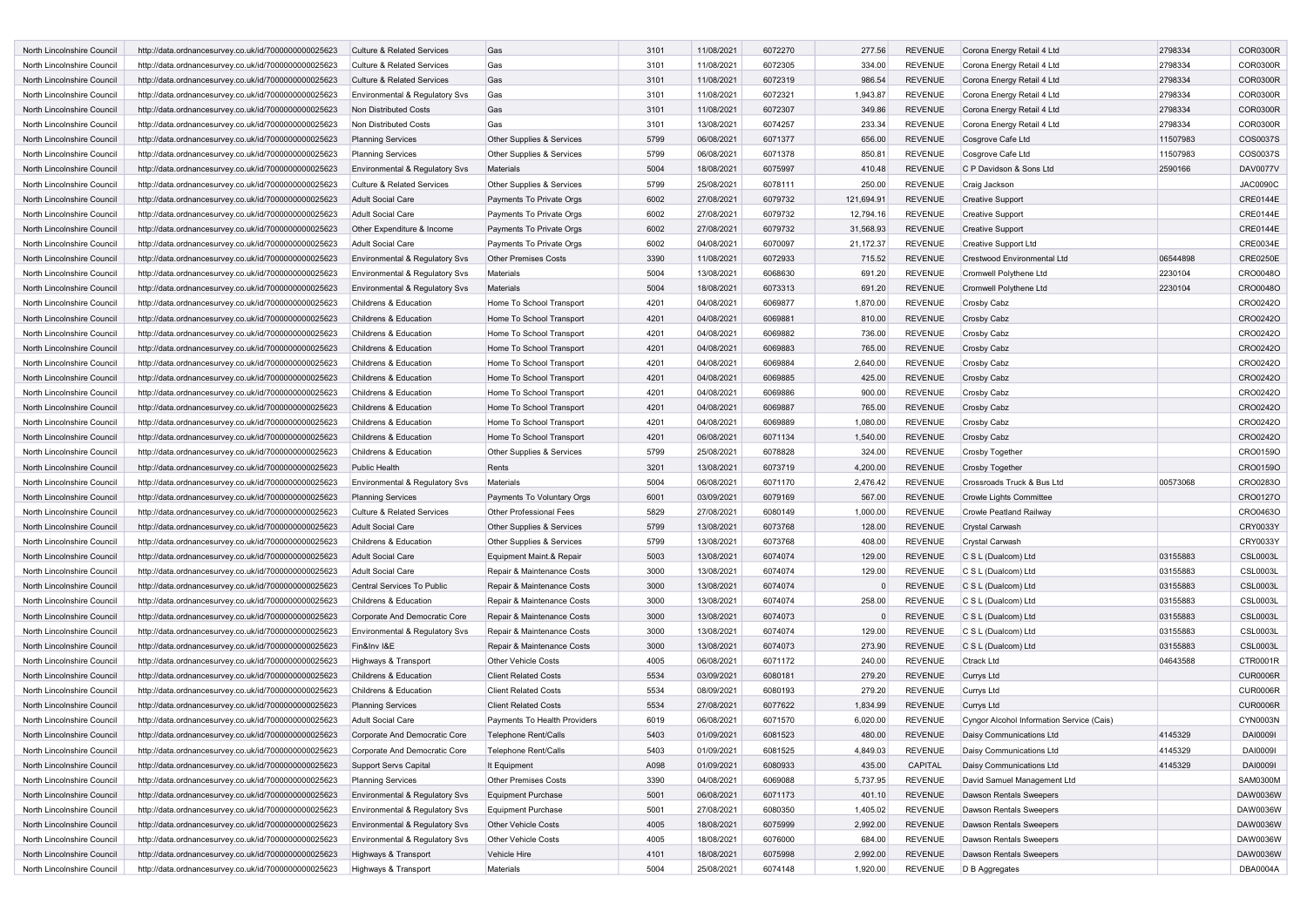| North Lincolnshire Council                               | http://data.ordnancesurvey.co.uk/id/7000000000025623                                                         | <b>Culture &amp; Related Services</b>        | Gas                            | 3101         | 11/08/2021               | 6072270            | 277.56               | <b>REVENUE</b>            | Corona Energy Retail 4 Ltd                | 2798334  | <b>COR0300R</b>             |
|----------------------------------------------------------|--------------------------------------------------------------------------------------------------------------|----------------------------------------------|--------------------------------|--------------|--------------------------|--------------------|----------------------|---------------------------|-------------------------------------------|----------|-----------------------------|
| North Lincolnshire Council                               | http://data.ordnancesurvey.co.uk/id/7000000000025623                                                         | Culture & Related Services                   | Gas                            | 3101         | 11/08/2021               | 6072305            | 334.00               | <b>REVENUE</b>            | Corona Energy Retail 4 Ltd                | 2798334  | <b>COR0300R</b>             |
| North Lincolnshire Council                               | http://data.ordnancesurvey.co.uk/id/7000000000025623                                                         | <b>Culture &amp; Related Services</b>        | Gas                            | 3101         | 11/08/2021               | 6072319            | 986.54               | <b>REVENUE</b>            | Corona Energy Retail 4 Ltd                | 2798334  | <b>COR0300R</b>             |
| North Lincolnshire Council                               | http://data.ordnancesurvey.co.uk/id/7000000000025623                                                         | Environmental & Regulatory Svs               | Gas                            | 3101         | 11/08/2021               | 6072321            | 1,943.87             | <b>REVENUE</b>            | Corona Energy Retail 4 Ltd                | 2798334  | <b>COR0300R</b>             |
| North Lincolnshire Council                               | http://data.ordnancesurvey.co.uk/id/7000000000025623                                                         | Non Distributed Costs                        | Gas                            | 3101         | 11/08/2021               | 6072307            | 349.86               | <b>REVENUE</b>            | Corona Energy Retail 4 Ltd                | 2798334  | <b>COR0300R</b>             |
| North Lincolnshire Council                               | http://data.ordnancesurvey.co.uk/id/7000000000025623                                                         | Non Distributed Costs                        | Gas                            | 3101         | 13/08/2021               | 6074257            | 233.34               | <b>REVENUE</b>            | Corona Energy Retail 4 Ltd                | 2798334  | <b>COR0300R</b>             |
| North Lincolnshire Council                               | http://data.ordnancesurvey.co.uk/id/7000000000025623                                                         | <b>Planning Services</b>                     | Other Supplies & Services      | 5799         | 06/08/2021               | 6071377            | 656.00               | <b>REVENUE</b>            | Cosgrove Cafe Ltd                         | 11507983 | COS0037S                    |
| North Lincolnshire Council                               | http://data.ordnancesurvey.co.uk/id/7000000000025623                                                         | <b>Planning Services</b>                     | Other Supplies & Services      | 5799         | 06/08/2021               | 6071378            | 850.81               | <b>REVENUE</b>            | Cosgrove Cafe Ltd                         | 11507983 | COS0037S                    |
| North Lincolnshire Council                               | http://data.ordnancesurvey.co.uk/id/7000000000025623                                                         | Environmental & Regulatory Svs               | Materials                      | 5004         | 18/08/2021               | 6075997            | 410.48               | <b>REVENUE</b>            | C P Davidson & Sons Ltd                   | 2590166  | <b>DAV0077V</b>             |
| North Lincolnshire Council                               | http://data.ordnancesurvey.co.uk/id/7000000000025623                                                         | <b>Culture &amp; Related Services</b>        | Other Supplies & Services      | 5799         | 25/08/2021               | 6078111            | 250.00               | <b>REVENUE</b>            | Craig Jackson                             |          | <b>JAC0090C</b>             |
| North Lincolnshire Council                               | http://data.ordnancesurvey.co.uk/id/7000000000025623                                                         | <b>Adult Social Care</b>                     | Payments To Private Orgs       | 6002         | 27/08/2021               | 6079732            | 121,694.91           | <b>REVENUE</b>            | <b>Creative Support</b>                   |          | <b>CRE0144E</b>             |
| North Lincolnshire Council                               | http://data.ordnancesurvey.co.uk/id/7000000000025623                                                         | <b>Adult Social Care</b>                     | Payments To Private Orgs       | 6002         | 27/08/2021               | 6079732            | 12,794.16            | <b>REVENUE</b>            | <b>Creative Support</b>                   |          | <b>CRE0144E</b>             |
| North Lincolnshire Council                               | http://data.ordnancesurvey.co.uk/id/7000000000025623                                                         | Other Expenditure & Income                   | Payments To Private Orgs       | 6002         | 27/08/2021               | 6079732            | 31,568.93            | <b>REVENUE</b>            | <b>Creative Support</b>                   |          | <b>CRE0144E</b>             |
| North Lincolnshire Council                               | http://data.ordnancesurvey.co.uk/id/7000000000025623                                                         | Adult Social Care                            | Payments To Private Orgs       | 6002         | 04/08/2021               | 6070097            | 21,172.37            | <b>REVENUE</b>            | Creative Support Ltd                      |          | <b>CRE0034E</b>             |
| North Lincolnshire Council                               | http://data.ordnancesurvey.co.uk/id/7000000000025623                                                         | Environmental & Regulatory Svs               | <b>Other Premises Costs</b>    | 3390         | 11/08/2021               | 6072933            | 715.52               | <b>REVENUE</b>            | Crestwood Environmental Ltd               | 06544898 | <b>CRE0250E</b>             |
| North Lincolnshire Council                               | http://data.ordnancesurvey.co.uk/id/7000000000025623                                                         | Environmental & Regulatory Svs               | Materials                      | 5004         | 13/08/2021               | 6068630            | 691.20               | <b>REVENUE</b>            | Cromwell Polythene Ltd                    | 2230104  | CRO0048O                    |
| North Lincolnshire Council                               | http://data.ordnancesurvey.co.uk/id/7000000000025623                                                         | Environmental & Regulatory Svs               | Materials                      | 5004         | 18/08/2021               | 6073313            | 691.20               | <b>REVENUE</b>            | Cromwell Polythene Ltd                    | 2230104  | CRO0048O                    |
| North Lincolnshire Council                               | http://data.ordnancesurvey.co.uk/id/7000000000025623                                                         | Childrens & Education                        | Home To School Transport       | 4201         | 04/08/2021               | 6069877            | 1,870.00             | <b>REVENUE</b>            | Crosby Cabz                               |          | CRO0242O                    |
| North Lincolnshire Council                               | http://data.ordnancesurvey.co.uk/id/7000000000025623                                                         | Childrens & Education                        | Home To School Transport       | 4201         | 04/08/2021               | 6069881            | 810.00               | <b>REVENUE</b>            | Crosby Cabz                               |          | CRO0242O                    |
| North Lincolnshire Council                               | http://data.ordnancesurvey.co.uk/id/7000000000025623                                                         | Childrens & Education                        | Home To School Transport       | 4201         | 04/08/2021               | 6069882            | 736.00               | <b>REVENUE</b>            | Crosby Cabz                               |          | CRO0242O                    |
| North Lincolnshire Council                               | http://data.ordnancesurvey.co.uk/id/7000000000025623                                                         | Childrens & Education                        | Home To School Transport       | 4201         | 04/08/2021               | 6069883            | 765.00               | <b>REVENUE</b>            | Crosby Cabz                               |          | CRO0242O                    |
| North Lincolnshire Council                               | http://data.ordnancesurvey.co.uk/id/7000000000025623                                                         | Childrens & Education                        | Home To School Transport       | 4201         | 04/08/2021               | 6069884            | 2,640.00             | <b>REVENUE</b>            | Crosby Cabz                               |          | CR002420                    |
| North Lincolnshire Council                               | http://data.ordnancesurvey.co.uk/id/7000000000025623                                                         | Childrens & Education                        | Home To School Transport       | 4201         | 04/08/2021               | 6069885            | 425.00               | <b>REVENUE</b>            | Crosby Cabz                               |          | CRO0242O                    |
| North Lincolnshire Council                               | http://data.ordnancesurvey.co.uk/id/7000000000025623                                                         | Childrens & Education                        | Home To School Transport       | 4201         | 04/08/2021               | 6069886            | 900.00               | <b>REVENUE</b>            | Crosby Cabz                               |          | CRO0242O                    |
| North Lincolnshire Council                               | http://data.ordnancesurvey.co.uk/id/7000000000025623                                                         | Childrens & Education                        | Home To School Transport       | 4201         | 04/08/2021               | 6069887            | 765.00               | <b>REVENUE</b>            | Crosby Cabz                               |          | CRO0242O                    |
| North Lincolnshire Council                               | http://data.ordnancesurvey.co.uk/id/7000000000025623                                                         | Childrens & Education                        | Home To School Transport       | 4201         | 04/08/2021               | 6069889            | 1,080.00             | <b>REVENUE</b>            | Crosby Cabz                               |          | CRO0242O                    |
| North Lincolnshire Council                               | http://data.ordnancesurvey.co.uk/id/7000000000025623                                                         | Childrens & Education                        | Home To School Transport       | 4201         | 06/08/2021               | 6071134            | 1,540.00             | <b>REVENUE</b>            | Crosby Cabz                               |          | CRO0242O                    |
|                                                          |                                                                                                              |                                              | Other Supplies & Services      | 5799         |                          |                    | 324.00               | <b>REVENUE</b>            | Crosby Together                           |          | CRO0159O                    |
|                                                          |                                                                                                              |                                              |                                |              |                          |                    |                      |                           |                                           |          |                             |
| North Lincolnshire Council                               | http://data.ordnancesurvey.co.uk/id/7000000000025623                                                         | Childrens & Education                        |                                |              | 25/08/2021               | 6078828            |                      |                           |                                           |          |                             |
| North Lincolnshire Council                               | http://data.ordnancesurvey.co.uk/id/7000000000025623                                                         | <b>Public Health</b>                         | Rents                          | 3201         | 13/08/2021               | 6073719            | 4,200.00             | <b>REVENUE</b>            | <b>Crosby Together</b>                    |          | CRO0159O                    |
| North Lincolnshire Council                               | http://data.ordnancesurvey.co.uk/id/7000000000025623                                                         | Environmental & Regulatory Svs               | Materials                      | 5004         | 06/08/2021               | 6071170            | 2,476.42             | <b>REVENUE</b>            | Crossroads Truck & Bus Ltd                | 00573068 | CRO0283O                    |
| North Lincolnshire Council                               | http://data.ordnancesurvey.co.uk/id/7000000000025623                                                         | <b>Planning Services</b>                     | Payments To Voluntary Orgs     | 6001         | 03/09/2021               | 6079169            | 567.00               | <b>REVENUE</b>            | <b>Crowle Lights Committee</b>            |          | CRO0127O                    |
| North Lincolnshire Council                               | http://data.ordnancesurvey.co.uk/id/7000000000025623                                                         | <b>Culture &amp; Related Services</b>        | <b>Other Professional Fees</b> | 5829         | 27/08/2021               | 6080149            | 1,000.00             | <b>REVENUE</b>            | Crowle Peatland Railway                   |          | CRO0463O                    |
| North Lincolnshire Council                               | http://data.ordnancesurvey.co.uk/id/7000000000025623                                                         | <b>Adult Social Care</b>                     | Other Supplies & Services      | 5799         | 13/08/2021               | 6073768            | 128.00               | <b>REVENUE</b>            | Crystal Carwash                           |          | CRY0033Y                    |
| North Lincolnshire Council                               | http://data.ordnancesurvey.co.uk/id/7000000000025623                                                         | Childrens & Education                        | Other Supplies & Services      | 5799         | 13/08/2021               | 6073768            | 408.00               | <b>REVENUE</b>            | Crystal Carwash                           |          | CRY0033Y                    |
| North Lincolnshire Council                               | http://data.ordnancesurvey.co.uk/id/7000000000025623                                                         | <b>Adult Social Care</b>                     | Equipment Maint.& Repair       | 5003         | 13/08/2021               | 6074074            | 129.00               | <b>REVENUE</b>            | C S L (Dualcom) Ltd                       | 03155883 | <b>CSL0003L</b>             |
| North Lincolnshire Council                               | http://data.ordnancesurvey.co.uk/id/7000000000025623                                                         | Adult Social Care                            | Repair & Maintenance Costs     | 3000         | 13/08/2021               | 6074074            | 129.00               | <b>REVENUE</b>            | C S L (Dualcom) Ltd                       | 03155883 | <b>CSL0003L</b>             |
| North Lincolnshire Council                               | http://data.ordnancesurvey.co.uk/id/7000000000025623                                                         | Central Services To Public                   | Repair & Maintenance Costs     | 3000         | 13/08/2021               | 6074074            |                      | <b>REVENUE</b>            | C S L (Dualcom) Ltd                       | 03155883 | <b>CSL0003L</b>             |
| North Lincolnshire Council                               | http://data.ordnancesurvey.co.uk/id/7000000000025623                                                         | Childrens & Education                        | Repair & Maintenance Costs     | 3000         | 13/08/2021               | 6074074            | 258.00               | <b>REVENUE</b>            | C S L (Dualcom) Ltd                       | 03155883 | <b>CSL0003L</b>             |
| North Lincolnshire Council                               | http://data.ordnancesurvey.co.uk/id/7000000000025623                                                         | Corporate And Democratic Core                | Repair & Maintenance Costs     | 3000         | 13/08/2021               | 6074073            |                      | <b>REVENUE</b>            | C S L (Dualcom) Ltd                       | 03155883 | <b>CSL0003L</b>             |
| North Lincolnshire Council                               | http://data.ordnancesurvey.co.uk/id/7000000000025623                                                         | Environmental & Regulatory Svs               | Repair & Maintenance Costs     | 3000         | 13/08/2021               | 6074074            | 129.00               | <b>REVENUE</b>            | C S L (Dualcom) Ltd                       | 03155883 | <b>CSL0003L</b>             |
| North Lincolnshire Council                               | http://data.ordnancesurvey.co.uk/id/7000000000025623                                                         | Fin&Inv I&E                                  | Repair & Maintenance Costs     | 3000         | 13/08/2021               | 6074073            | 273.90               | <b>REVENUE</b>            | C S L (Dualcom) Ltd                       | 03155883 | <b>CSL0003L</b>             |
| North Lincolnshire Council                               | http://data.ordnancesurvey.co.uk/id/7000000000025623                                                         | Highways & Transport                         | <b>Other Vehicle Costs</b>     | 4005         | 06/08/2021               | 6071172            | 240.00               | <b>REVENUE</b>            | Ctrack Ltd                                | 04643588 | CTR0001R                    |
| North Lincolnshire Council                               | http://data.ordnancesurvey.co.uk/id/7000000000025623                                                         | Childrens & Education                        | <b>Client Related Costs</b>    | 5534         | 03/09/2021               | 6080181            | 279.20               | REVENUE                   | Currys Ltd                                |          | <b>CUR0006R</b>             |
| North Lincolnshire Council                               | http://data.ordnancesurvey.co.uk/id/7000000000025623                                                         | Childrens & Education                        | <b>Client Related Costs</b>    | 5534         | 08/09/2021               | 6080193            | 279.20               | <b>REVENUE</b>            | Currys Ltd                                |          | <b>CUR0006R</b>             |
| North Lincolnshire Council                               | http://data.ordnancesurvey.co.uk/id/7000000000025623                                                         | <b>Planning Services</b>                     | <b>Client Related Costs</b>    | 5534         | 27/08/2021               | 6077622            | 1,834.99             | <b>REVENUE</b>            | Currys Ltd                                |          | <b>CUR0006R</b>             |
| North Lincolnshire Council                               | http://data.ordnancesurvey.co.uk/id/7000000000025623                                                         | <b>Adult Social Care</b>                     | Payments To Health Providers   | 6019         | 06/08/2021               | 6071570            | 6,020.00             | <b>REVENUE</b>            | Cyngor Alcohol Information Service (Cais) |          | CYN0003N                    |
| North Lincolnshire Council                               | http://data.ordnancesurvey.co.uk/id/7000000000025623                                                         | Corporate And Democratic Core                | Telephone Rent/Calls           | 5403         | 01/09/2021               | 6081523            | 480.00               | <b>REVENUE</b>            | Daisy Communications Ltd                  | 4145329  | DAI0009I                    |
| North Lincolnshire Council                               | http://data.ordnancesurvey.co.uk/id/7000000000025623                                                         | Corporate And Democratic Core                | Telephone Rent/Calls           | 5403         | 01/09/2021               | 6081525            | 4,849.03             | REVENUE                   | Daisy Communications Ltd                  | 4145329  | DAI00091                    |
| North Lincolnshire Council                               | http://data.ordnancesurvey.co.uk/id/7000000000025623                                                         | Support Servs Capital                        | It Equipment                   | A098         | 01/09/2021               | 6080933            | 435.00               | CAPITAL                   | Daisy Communications Ltd                  | 4145329  | DAI00091                    |
| North Lincolnshire Council                               | http://data.ordnancesurvey.co.uk/id/7000000000025623                                                         | <b>Planning Services</b>                     | <b>Other Premises Costs</b>    | 3390         | 04/08/2021               | 6069088            | 5,737.95             | <b>REVENUE</b>            | David Samuel Management Ltd               |          | SAM0300M                    |
| North Lincolnshire Council                               | http://data.ordnancesurvey.co.uk/id/7000000000025623                                                         | Environmental & Regulatory Svs               | <b>Equipment Purchase</b>      | 5001         | 06/08/2021               | 6071173            | 401.10               | <b>REVENUE</b>            | Dawson Rentals Sweepers                   |          | DAW0036W                    |
| North Lincolnshire Council                               | http://data.ordnancesurvey.co.uk/id/7000000000025623                                                         | Environmental & Regulatory Svs               | Equipment Purchase             | 5001         | 27/08/2021               | 6080350            | 1,405.02             | <b>REVENUE</b>            | Dawson Rentals Sweepers                   |          | DAW0036W                    |
| North Lincolnshire Council                               | http://data.ordnancesurvey.co.uk/id/7000000000025623                                                         | <b>Environmental &amp; Regulatory Svs</b>    | Other Vehicle Costs            | 4005         | 18/08/2021               | 6075999            | 2,992.00             | REVENUE                   | Dawson Rentals Sweepers                   |          | DAW0036W                    |
| North Lincolnshire Council                               | http://data.ordnancesurvey.co.uk/id/7000000000025623                                                         | Environmental & Regulatory Svs               | <b>Other Vehicle Costs</b>     | 4005         | 18/08/2021               | 6076000            | 684.00               | <b>REVENUE</b>            | Dawson Rentals Sweepers                   |          | DAW0036W                    |
| North Lincolnshire Council<br>North Lincolnshire Council | http://data.ordnancesurvey.co.uk/id/7000000000025623<br>http://data.ordnancesurvey.co.uk/id/7000000000025623 | Highways & Transport<br>Highways & Transport | Vehicle Hire<br>Materials      | 4101<br>5004 | 18/08/2021<br>25/08/2021 | 6075998<br>6074148 | 2,992.00<br>1,920.00 | <b>REVENUE</b><br>REVENUE | Dawson Rentals Sweepers<br>D B Aggregates |          | DAW0036W<br><b>DBA0004A</b> |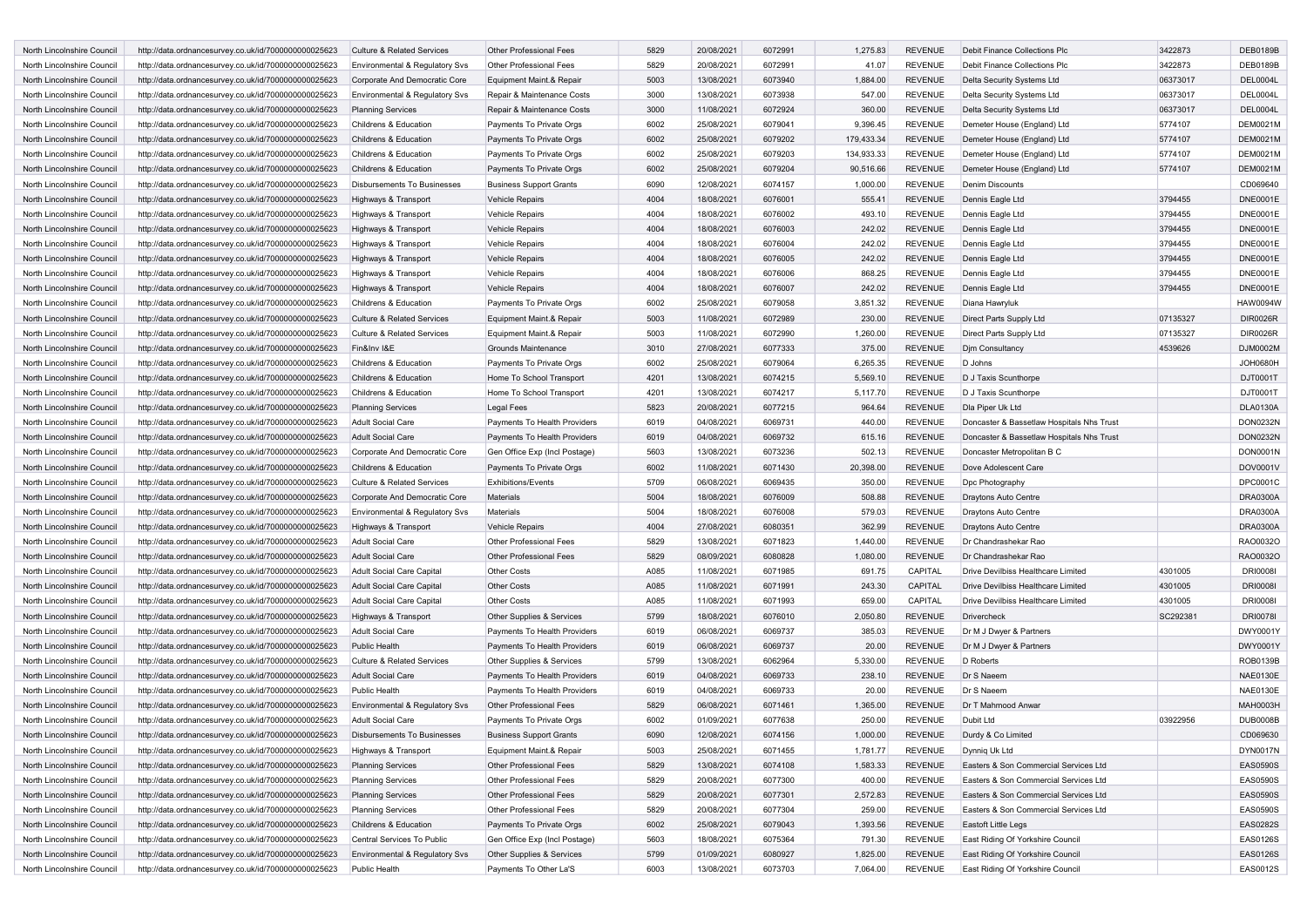| North Lincolnshire Council | http://data.ordnancesurvey.co.uk/id/7000000000025623 | Culture & Related Services            | <b>Other Professional Fees</b> | 5829 | 20/08/2021 | 6072991 | 1,275.83   | <b>REVENUE</b> | <b>Debit Finance Collections Plo</b>      | 3422873  | <b>DEB0189B</b> |
|----------------------------|------------------------------------------------------|---------------------------------------|--------------------------------|------|------------|---------|------------|----------------|-------------------------------------------|----------|-----------------|
| North Lincolnshire Council | http://data.ordnancesurvey.co.uk/id/7000000000025623 | Environmental & Regulatory Svs        | <b>Other Professional Fees</b> | 5829 | 20/08/2021 | 6072991 | 41.07      | REVENUE        | Debit Finance Collections Plc             | 3422873  | <b>DEB0189B</b> |
|                            |                                                      |                                       |                                |      |            |         |            |                |                                           |          |                 |
| North Lincolnshire Council | http://data.ordnancesurvey.co.uk/id/7000000000025623 | Corporate And Democratic Core         | Equipment Maint.& Repair       | 5003 | 13/08/2021 | 6073940 | 1,884.00   | <b>REVENUE</b> | Delta Security Systems Ltd                | 06373017 | DEL0004L        |
| North Lincolnshire Council | http://data.ordnancesurvey.co.uk/id/7000000000025623 | Environmental & Regulatory Svs        | Repair & Maintenance Costs     | 3000 | 13/08/2021 | 6073938 | 547.00     | <b>REVENUE</b> | Delta Security Systems Ltd                | 06373017 | <b>DEL0004L</b> |
| North Lincolnshire Council | http://data.ordnancesurvey.co.uk/id/7000000000025623 | <b>Planning Services</b>              | Repair & Maintenance Costs     | 3000 | 11/08/2021 | 6072924 | 360.00     | <b>REVENUE</b> | Delta Security Systems Ltd                | 06373017 | <b>DEL0004L</b> |
| North Lincolnshire Council | http://data.ordnancesurvey.co.uk/id/7000000000025623 | Childrens & Education                 | Payments To Private Orgs       | 6002 | 25/08/2021 | 6079041 | 9,396.45   | <b>REVENUE</b> | Demeter House (England) Ltd               | 5774107  | <b>DEM0021M</b> |
| North Lincolnshire Council | http://data.ordnancesurvey.co.uk/id/7000000000025623 | Childrens & Education                 | Payments To Private Orgs       | 6002 | 25/08/2021 | 6079202 | 179,433.34 | <b>REVENUE</b> | Demeter House (England) Ltd               | 5774107  | <b>DEM0021M</b> |
| North Lincolnshire Council | http://data.ordnancesurvey.co.uk/id/7000000000025623 | Childrens & Education                 | Payments To Private Orgs       | 6002 | 25/08/2021 | 6079203 | 134,933.33 | <b>REVENUE</b> | Demeter House (England) Ltd               | 5774107  | <b>DEM0021M</b> |
| North Lincolnshire Council | http://data.ordnancesurvey.co.uk/id/7000000000025623 | Childrens & Education                 | Payments To Private Orgs       | 6002 | 25/08/2021 | 6079204 | 90,516.66  | <b>REVENUE</b> | Demeter House (England) Ltd               | 5774107  | <b>DEM0021M</b> |
| North Lincolnshire Council | http://data.ordnancesurvey.co.uk/id/7000000000025623 | <b>Disbursements To Businesses</b>    | <b>Business Support Grants</b> | 6090 | 12/08/2021 | 6074157 | 1,000.00   | <b>REVENUE</b> | <b>Denim Discounts</b>                    |          | CD069640        |
| North Lincolnshire Council | http://data.ordnancesurvey.co.uk/id/7000000000025623 | Highways & Transport                  | <b>Vehicle Repairs</b>         | 4004 | 18/08/2021 | 6076001 | 555.41     | <b>REVENUE</b> | Dennis Eagle Ltd                          | 3794455  | <b>DNE0001E</b> |
| North Lincolnshire Council | http://data.ordnancesurvey.co.uk/id/7000000000025623 | Highways & Transport                  | Vehicle Repairs                | 4004 | 18/08/2021 | 6076002 | 493.10     | <b>REVENUE</b> | Dennis Eagle Ltd                          | 3794455  | <b>DNE0001E</b> |
| North Lincolnshire Council | http://data.ordnancesurvey.co.uk/id/7000000000025623 | Highways & Transport                  | <b>Vehicle Repairs</b>         | 4004 | 18/08/2021 | 6076003 | 242.02     | <b>REVENUE</b> | Dennis Eagle Ltd                          | 3794455  | <b>DNE0001E</b> |
| North Lincolnshire Council |                                                      |                                       |                                | 4004 |            |         |            | <b>REVENUE</b> |                                           |          | <b>DNE0001E</b> |
|                            | http://data.ordnancesurvey.co.uk/id/7000000000025623 | Highways & Transport                  | <b>Vehicle Repairs</b>         |      | 18/08/2021 | 6076004 | 242.02     |                | Dennis Eagle Ltd                          | 3794455  |                 |
| North Lincolnshire Council | http://data.ordnancesurvey.co.uk/id/7000000000025623 | Highways & Transport                  | <b>Vehicle Repairs</b>         | 4004 | 18/08/2021 | 6076005 | 242.02     | <b>REVENUE</b> | Dennis Eagle Ltd                          | 3794455  | <b>DNE0001E</b> |
| North Lincolnshire Council | http://data.ordnancesurvey.co.uk/id/7000000000025623 | Highways & Transport                  | Vehicle Repairs                | 4004 | 18/08/2021 | 6076006 | 868.25     | <b>REVENUE</b> | Dennis Eagle Ltd                          | 3794455  | <b>DNE0001E</b> |
| North Lincolnshire Council | http://data.ordnancesurvey.co.uk/id/7000000000025623 | Highways & Transport                  | Vehicle Repairs                | 4004 | 18/08/2021 | 6076007 | 242.02     | <b>REVENUE</b> | Dennis Eagle Ltd                          | 3794455  | <b>DNE0001E</b> |
| North Lincolnshire Council | http://data.ordnancesurvey.co.uk/id/7000000000025623 | Childrens & Education                 | Payments To Private Orgs       | 6002 | 25/08/2021 | 6079058 | 3,851.32   | <b>REVENUE</b> | Diana Hawryluk                            |          | <b>HAW0094W</b> |
| North Lincolnshire Council | http://data.ordnancesurvey.co.uk/id/7000000000025623 | Culture & Related Services            | Equipment Maint.& Repair       | 5003 | 11/08/2021 | 6072989 | 230.00     | <b>REVENUE</b> | Direct Parts Supply Ltd                   | 07135327 | <b>DIR0026R</b> |
| North Lincolnshire Council | http://data.ordnancesurvey.co.uk/id/7000000000025623 | <b>Culture &amp; Related Services</b> | Equipment Maint.& Repair       | 5003 | 11/08/2021 | 6072990 | 1,260.00   | <b>REVENUE</b> | Direct Parts Supply Ltd                   | 07135327 | <b>DIR0026R</b> |
| North Lincolnshire Council | http://data.ordnancesurvey.co.uk/id/7000000000025623 | Fin&Inv I&E                           | Grounds Maintenance            | 3010 | 27/08/2021 | 6077333 | 375.00     | <b>REVENUE</b> | Djm Consultancy                           | 4539626  | DJM0002M        |
| North Lincolnshire Council | http://data.ordnancesurvey.co.uk/id/7000000000025623 | Childrens & Education                 | Payments To Private Orgs       | 6002 | 25/08/2021 | 6079064 | 6,265.35   | <b>REVENUE</b> | D Johns                                   |          | <b>JOH0680H</b> |
| North Lincolnshire Council | http://data.ordnancesurvey.co.uk/id/7000000000025623 | Childrens & Education                 | Home To School Transport       | 4201 | 13/08/2021 | 6074215 | 5,569.10   | <b>REVENUE</b> | D J Taxis Scunthorpe                      |          | DJT0001T        |
| North Lincolnshire Council | http://data.ordnancesurvey.co.uk/id/7000000000025623 | Childrens & Education                 | Home To School Transport       | 4201 | 13/08/2021 | 6074217 | 5,117.70   | <b>REVENUE</b> | D J Taxis Scunthorpe                      |          | DJT0001T        |
| North Lincolnshire Council |                                                      |                                       |                                | 5823 |            | 6077215 |            | <b>REVENUE</b> | Dia Piper Uk Ltd                          |          | <b>DLA0130A</b> |
|                            | http://data.ordnancesurvey.co.uk/id/7000000000025623 | <b>Planning Services</b>              | <b>Legal Fees</b>              |      | 20/08/2021 |         | 964.64     |                |                                           |          |                 |
| North Lincolnshire Council | http://data.ordnancesurvey.co.uk/id/7000000000025623 | Adult Social Care                     | Payments To Health Providers   | 6019 | 04/08/2021 | 6069731 | 440.00     | <b>REVENUE</b> | Doncaster & Bassetlaw Hospitals Nhs Trust |          | <b>DON0232N</b> |
| North Lincolnshire Council | http://data.ordnancesurvey.co.uk/id/7000000000025623 | <b>Adult Social Care</b>              | Payments To Health Providers   | 6019 | 04/08/2021 | 6069732 | 615.16     | <b>REVENUE</b> | Doncaster & Bassetlaw Hospitals Nhs Trust |          | <b>DON0232N</b> |
| North Lincolnshire Council | http://data.ordnancesurvey.co.uk/id/7000000000025623 | Corporate And Democratic Core         | Gen Office Exp (Incl Postage)  | 5603 | 13/08/2021 | 6073236 | 502.13     | <b>REVENUE</b> | Doncaster Metropolitan B C                |          | DON0001N        |
| North Lincolnshire Council | http://data.ordnancesurvey.co.uk/id/7000000000025623 | Childrens & Education                 | Payments To Private Orgs       | 6002 | 11/08/2021 | 6071430 | 20,398.00  | <b>REVENUE</b> | Dove Adolescent Care                      |          | DOV0001V        |
| North Lincolnshire Council | http://data.ordnancesurvey.co.uk/id/7000000000025623 | <b>Culture &amp; Related Services</b> | <b>Exhibitions/Events</b>      | 5709 | 06/08/2021 | 6069435 | 350.00     | <b>REVENUE</b> | Dpc Photography                           |          | DPC0001C        |
| North Lincolnshire Council | http://data.ordnancesurvey.co.uk/id/7000000000025623 | Corporate And Democratic Core         | Materials                      | 5004 | 18/08/2021 | 6076009 | 508.88     | <b>REVENUE</b> | Draytons Auto Centre                      |          | <b>DRA0300A</b> |
| North Lincolnshire Council | http://data.ordnancesurvey.co.uk/id/7000000000025623 | Environmental & Regulatory Svs        | Materials                      | 5004 | 18/08/2021 | 6076008 | 579.03     | <b>REVENUE</b> | Draytons Auto Centre                      |          | <b>DRA0300A</b> |
| North Lincolnshire Council | http://data.ordnancesurvey.co.uk/id/7000000000025623 | Highways & Transport                  | <b>Vehicle Repairs</b>         | 4004 | 27/08/2021 | 6080351 | 362.99     | <b>REVENUE</b> | Draytons Auto Centre                      |          | <b>DRA0300A</b> |
| North Lincolnshire Council | http://data.ordnancesurvey.co.uk/id/7000000000025623 | <b>Adult Social Care</b>              | Other Professional Fees        | 5829 | 13/08/2021 | 6071823 | 1,440.00   | <b>REVENUE</b> | Dr Chandrashekar Rao                      |          | RAO0032O        |
| North Lincolnshire Council | http://data.ordnancesurvey.co.uk/id/7000000000025623 | <b>Adult Social Care</b>              | Other Professional Fees        | 5829 | 08/09/2021 | 6080828 | 1,080.00   | <b>REVENUE</b> | Dr Chandrashekar Rao                      |          | RAO0032O        |
| North Lincolnshire Council | http://data.ordnancesurvey.co.uk/id/7000000000025623 | Adult Social Care Capital             | <b>Other Costs</b>             | A085 | 11/08/2021 | 6071985 | 691.75     | CAPITAL        | Drive Devilbiss Healthcare Limited        | 4301005  | <b>DRI0008I</b> |
| North Lincolnshire Council | http://data.ordnancesurvey.co.uk/id/7000000000025623 | Adult Social Care Capital             | <b>Other Costs</b>             | A085 | 11/08/2021 | 6071991 | 243.30     | CAPITAL        | Drive Devilbiss Healthcare Limited        | 4301005  | <b>DRI0008I</b> |
| North Lincolnshire Council | http://data.ordnancesurvey.co.uk/id/7000000000025623 | Adult Social Care Capital             | <b>Other Costs</b>             | A085 | 11/08/2021 | 6071993 | 659.00     | CAPITAL        | Drive Devilbiss Healthcare Limited        | 4301005  | <b>DRI0008I</b> |
| North Lincolnshire Council | http://data.ordnancesurvey.co.uk/id/7000000000025623 | Highways & Transport                  | Other Supplies & Services      | 5799 | 18/08/2021 | 6076010 | 2,050.80   | <b>REVENUE</b> | <b>Drivercheck</b>                        | SC292381 | <b>DRI0078I</b> |
| North Lincolnshire Council |                                                      | <b>Adult Social Care</b>              | Payments To Health Providers   | 6019 | 06/08/2021 | 6069737 | 385.03     | <b>REVENUE</b> | Dr M J Dwyer & Partners                   |          | DWY0001Y        |
|                            | http://data.ordnancesurvey.co.uk/id/7000000000025623 |                                       |                                |      |            |         |            |                |                                           |          |                 |
| North Lincolnshire Council | http://data.ordnancesurvey.co.uk/id/7000000000025623 | <b>Public Health</b>                  | Payments To Health Providers   | 6019 | 06/08/2021 | 6069737 | 20.00      | <b>REVENUE</b> | Dr M J Dwyer & Partners                   |          | DWY0001Y        |
| North Lincolnshire Council | http://data.ordnancesurvey.co.uk/id/7000000000025623 | <b>Culture &amp; Related Services</b> | Other Supplies & Services      | 5799 | 13/08/2021 | 6062964 | 5,330.00   | <b>REVENUE</b> | D Roberts                                 |          | ROB0139B        |
| North Lincolnshire Council | http://data.ordnancesurvey.co.uk/id/7000000000025623 | <b>Adult Social Care</b>              | Payments To Health Providers   | 6019 | 04/08/2021 | 6069733 | 238.10     | <b>REVENUE</b> | Dr S Naeem                                |          | NAE0130E        |
| North Lincolnshire Council | http://data.ordnancesurvey.co.uk/id/7000000000025623 | Public Health                         | Payments To Health Providers   | 6019 | 04/08/2021 | 6069733 | 20.00      | <b>REVENUE</b> | Dr S Naeem                                |          | NAE0130E        |
| North Lincolnshire Council | http://data.ordnancesurvey.co.uk/id/7000000000025623 | Environmental & Regulatory Svs        | <b>Other Professional Fees</b> | 5829 | 06/08/202  | 6071461 | 1,365.00   | <b>REVENUE</b> | Dr T Mahmood Anwar                        |          | <b>MAH0003H</b> |
| North Lincolnshire Council | http://data.ordnancesurvey.co.uk/id/7000000000025623 | Adult Social Care                     | Payments To Private Orgs       | 6002 | 01/09/2021 | 6077638 | 250.00     | <b>REVENUE</b> | Dubit Ltd                                 | 03922956 | <b>DUB0008B</b> |
| North Lincolnshire Council | http://data.ordnancesurvey.co.uk/id/7000000000025623 | Disbursements To Businesses           | <b>Business Support Grants</b> | 6090 | 12/08/2021 | 6074156 | 1,000.00   | <b>REVENUE</b> | Durdy & Co Limited                        |          | CD069630        |
| North Lincolnshire Council | http://data.ordnancesurvey.co.uk/id/7000000000025623 | Highways & Transport                  | Equipment Maint.& Repair       | 5003 | 25/08/2021 | 6071455 | 1,781.77   | REVENUE        | Dynniq Uk Ltd                             |          | DYN0017N        |
| North Lincolnshire Council | http://data.ordnancesurvey.co.uk/id/7000000000025623 | <b>Planning Services</b>              | <b>Other Professional Fees</b> | 5829 | 13/08/2021 | 6074108 | 1,583.33   | <b>REVENUE</b> | Easters & Son Commercial Services Ltd     |          | <b>EAS0590S</b> |
| North Lincolnshire Council | http://data.ordnancesurvey.co.uk/id/7000000000025623 | <b>Planning Services</b>              | Other Professional Fees        | 5829 | 20/08/2021 | 6077300 | 400.00     | REVENUE        | Easters & Son Commercial Services Ltd     |          | <b>EAS0590S</b> |
| North Lincolnshire Council | http://data.ordnancesurvey.co.uk/id/7000000000025623 | <b>Planning Services</b>              | Other Professional Fees        | 5829 | 20/08/2021 | 6077301 | 2,572.83   | <b>REVENUE</b> | Easters & Son Commercial Services Ltd     |          | <b>EAS0590S</b> |
| North Lincolnshire Council | http://data.ordnancesurvey.co.uk/id/7000000000025623 | <b>Planning Services</b>              | Other Professional Fees        | 5829 | 20/08/2021 | 6077304 | 259.00     | <b>REVENUE</b> | Easters & Son Commercial Services Ltd     |          | <b>EAS0590S</b> |
| North Lincolnshire Council | http://data.ordnancesurvey.co.uk/id/7000000000025623 | Childrens & Education                 | Payments To Private Orgs       | 6002 | 25/08/2021 | 6079043 | 1,393.56   | REVENUE        | Eastoft Little Legs                       |          | EAS0282S        |
|                            |                                                      |                                       |                                |      |            |         |            |                |                                           |          |                 |
| North Lincolnshire Council | http://data.ordnancesurvey.co.uk/id/7000000000025623 | Central Services To Public            | Gen Office Exp (Incl Postage)  | 5603 | 18/08/2021 | 6075364 | 791.30     | REVENUE        | East Riding Of Yorkshire Council          |          | <b>EAS0126S</b> |
| North Lincolnshire Council | http://data.ordnancesurvey.co.uk/id/7000000000025623 | Environmental & Regulatory Svs        | Other Supplies & Services      | 5799 | 01/09/2021 | 6080927 | 1,825.00   | <b>REVENUE</b> | East Riding Of Yorkshire Council          |          | <b>EAS0126S</b> |
| North Lincolnshire Council | http://data.ordnancesurvey.co.uk/id/7000000000025623 | Public Health                         | Payments To Other La'S         | 6003 | 13/08/2021 | 6073703 | 7,064.00   | <b>REVENUE</b> | East Riding Of Yorkshire Council          |          | EAS0012S        |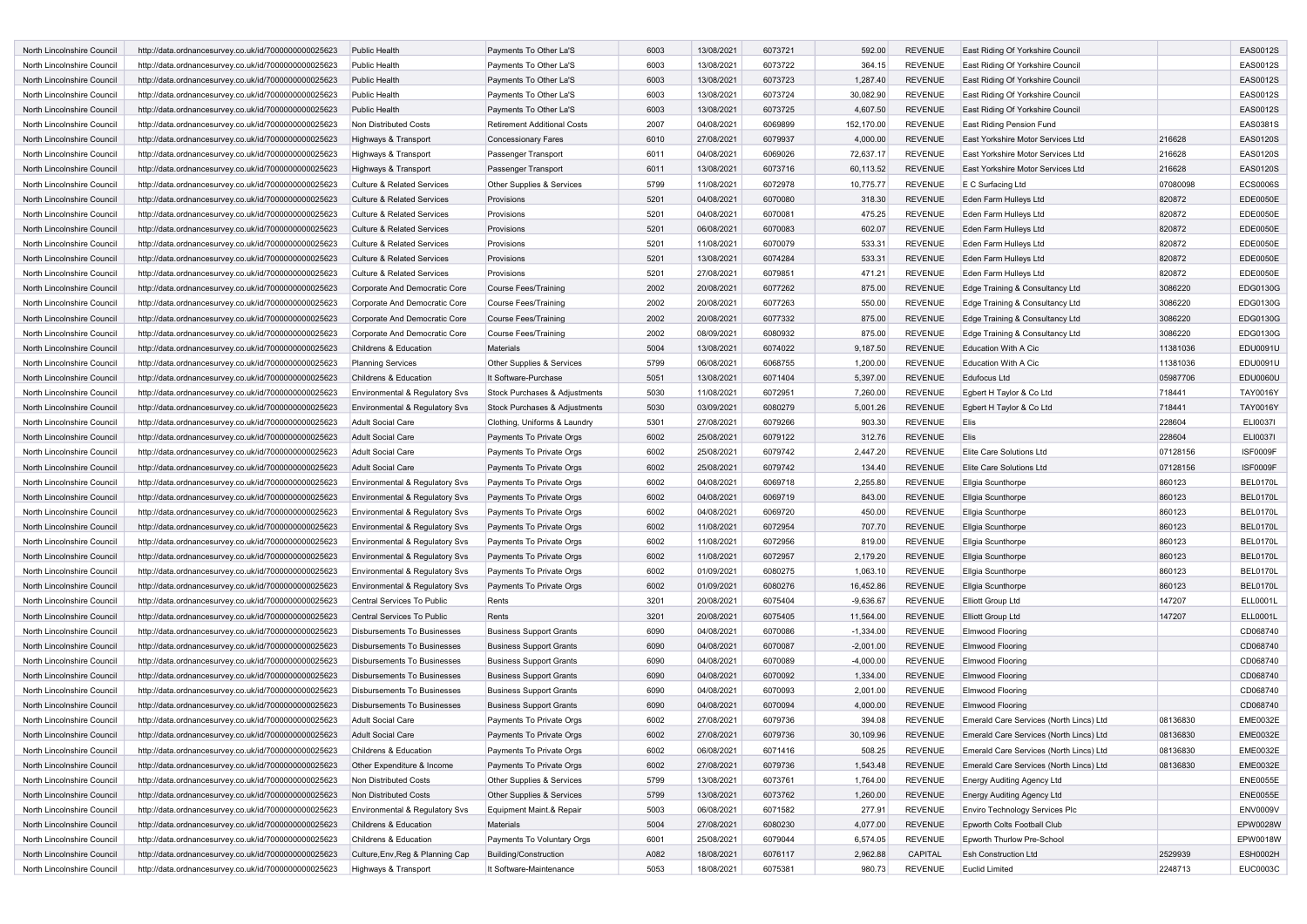| <b>North Lincolnshire Council</b> | http://data.ordnancesurvey.co.uk/id/7000000000025623 | <b>Public Health</b>                      | Payments To Other La'S             | 6003 | 13/08/2021 | 6073721 | 592.00      | <b>REVENUE</b> | East Riding Of Yorkshire Council        |          | <b>EAS0012S</b> |
|-----------------------------------|------------------------------------------------------|-------------------------------------------|------------------------------------|------|------------|---------|-------------|----------------|-----------------------------------------|----------|-----------------|
| North Lincolnshire Council        | http://data.ordnancesurvey.co.uk/id/7000000000025623 | Public Health                             | Payments To Other La'S             | 6003 | 13/08/2021 | 6073722 | 364.15      | <b>REVENUE</b> | East Riding Of Yorkshire Council        |          | EAS0012S        |
| North Lincolnshire Council        | http://data.ordnancesurvey.co.uk/id/7000000000025623 | <b>Public Health</b>                      | Payments To Other La'S             | 6003 | 13/08/2021 | 6073723 | 1,287.40    | <b>REVENUE</b> | East Riding Of Yorkshire Council        |          | EAS0012S        |
| North Lincolnshire Council        | http://data.ordnancesurvey.co.uk/id/7000000000025623 | Public Health                             | Payments To Other La'S             | 6003 | 13/08/2021 | 6073724 | 30,082.90   | <b>REVENUE</b> | East Riding Of Yorkshire Council        |          | <b>EAS0012S</b> |
| North Lincolnshire Council        | http://data.ordnancesurvey.co.uk/id/7000000000025623 | Public Health                             | Payments To Other La'S             | 6003 | 13/08/2021 | 6073725 | 4,607.50    | <b>REVENUE</b> | East Riding Of Yorkshire Council        |          | EAS0012S        |
| North Lincolnshire Council        | http://data.ordnancesurvey.co.uk/id/7000000000025623 | Non Distributed Costs                     | <b>Retirement Additional Costs</b> | 2007 | 04/08/2021 | 6069899 | 152,170.00  | <b>REVENUE</b> | East Riding Pension Fund                |          | EAS0381S        |
| North Lincolnshire Council        | http://data.ordnancesurvey.co.uk/id/7000000000025623 | Highways & Transport                      | <b>Concessionary Fares</b>         | 6010 | 27/08/2021 | 6079937 | 4,000.00    | <b>REVENUE</b> | East Yorkshire Motor Services Ltd       | 216628   | <b>EAS0120S</b> |
| North Lincolnshire Council        | http://data.ordnancesurvey.co.uk/id/7000000000025623 | Highways & Transport                      | Passenger Transport                | 6011 | 04/08/2021 | 6069026 | 72,637.17   | <b>REVENUE</b> | East Yorkshire Motor Services Ltd       | 216628   | <b>EAS0120S</b> |
| North Lincolnshire Council        | http://data.ordnancesurvey.co.uk/id/7000000000025623 | Highways & Transport                      | Passenger Transport                | 6011 | 13/08/2021 | 6073716 | 60,113.52   | <b>REVENUE</b> | East Yorkshire Motor Services Ltd       | 216628   | <b>EAS0120S</b> |
| North Lincolnshire Council        | http://data.ordnancesurvey.co.uk/id/7000000000025623 | <b>Culture &amp; Related Services</b>     | Other Supplies & Services          | 5799 | 11/08/2021 | 6072978 | 10,775.77   | <b>REVENUE</b> | E C Surfacing Ltd                       | 07080098 | <b>ECS0006S</b> |
|                                   |                                                      |                                           |                                    | 5201 | 04/08/2021 | 6070080 |             | <b>REVENUE</b> | Eden Farm Hulleys Ltd                   |          | <b>EDE0050E</b> |
| North Lincolnshire Council        | http://data.ordnancesurvey.co.uk/id/7000000000025623 | <b>Culture &amp; Related Services</b>     | Provisions                         |      |            |         | 318.30      |                |                                         | 820872   |                 |
| North Lincolnshire Council        | http://data.ordnancesurvey.co.uk/id/7000000000025623 | <b>Culture &amp; Related Services</b>     | Provisions                         | 5201 | 04/08/2021 | 6070081 | 475.25      | <b>REVENUE</b> | Eden Farm Hulleys Ltd                   | 820872   | EDE0050E        |
| North Lincolnshire Council        | http://data.ordnancesurvey.co.uk/id/7000000000025623 | <b>Culture &amp; Related Services</b>     | Provisions                         | 5201 | 06/08/2021 | 6070083 | 602.07      | <b>REVENUE</b> | Eden Farm Hulleys Ltd                   | 820872   | EDE0050E        |
| North Lincolnshire Council        | http://data.ordnancesurvey.co.uk/id/7000000000025623 | <b>Culture &amp; Related Services</b>     | Provisions                         | 5201 | 11/08/2021 | 6070079 | 533.31      | <b>REVENUE</b> | Eden Farm Hulleys Ltd                   | 820872   | EDE0050E        |
| North Lincolnshire Council        | http://data.ordnancesurvey.co.uk/id/7000000000025623 | <b>Culture &amp; Related Services</b>     | Provisions                         | 5201 | 13/08/2021 | 6074284 | 533.31      | <b>REVENUE</b> | Eden Farm Hulleys Ltd                   | 820872   | EDE0050E        |
| North Lincolnshire Council        | http://data.ordnancesurvey.co.uk/id/7000000000025623 | <b>Culture &amp; Related Services</b>     | Provisions                         | 5201 | 27/08/2021 | 6079851 | 471.21      | <b>REVENUE</b> | Eden Farm Hulleys Ltd                   | 820872   | <b>EDE0050E</b> |
| North Lincolnshire Council        | http://data.ordnancesurvey.co.uk/id/7000000000025623 | Corporate And Democratic Core             | <b>Course Fees/Training</b>        | 2002 | 20/08/2021 | 6077262 | 875.00      | <b>REVENUE</b> | Edge Training & Consultancy Ltd         | 3086220  | EDG0130G        |
| North Lincolnshire Council        | http://data.ordnancesurvey.co.uk/id/7000000000025623 | Corporate And Democratic Core             | <b>Course Fees/Training</b>        | 2002 | 20/08/2021 | 6077263 | 550.00      | <b>REVENUE</b> | Edge Training & Consultancy Ltd         | 3086220  | EDG0130G        |
| North Lincolnshire Council        | http://data.ordnancesurvey.co.uk/id/7000000000025623 | Corporate And Democratic Core             | <b>Course Fees/Training</b>        | 2002 | 20/08/2021 | 6077332 | 875.00      | <b>REVENUE</b> | Edge Training & Consultancy Ltd         | 3086220  | EDG0130G        |
| North Lincolnshire Council        | http://data.ordnancesurvey.co.uk/id/7000000000025623 | Corporate And Democratic Core             | <b>Course Fees/Training</b>        | 2002 | 08/09/2021 | 6080932 | 875.00      | <b>REVENUE</b> | Edge Training & Consultancy Ltd         | 3086220  | EDG0130G        |
| North Lincolnshire Council        | http://data.ordnancesurvey.co.uk/id/7000000000025623 | Childrens & Education                     | Materials                          | 5004 | 13/08/2021 | 6074022 | 9,187.50    | <b>REVENUE</b> | <b>Education With A Cic</b>             | 11381036 | EDU0091U        |
| North Lincolnshire Council        | http://data.ordnancesurvey.co.uk/id/7000000000025623 | <b>Planning Services</b>                  | Other Supplies & Services          | 5799 | 06/08/2021 | 6068755 | 1,200.00    | <b>REVENUE</b> | Education With A Cic                    | 11381036 | EDU0091U        |
| North Lincolnshire Council        | http://data.ordnancesurvey.co.uk/id/7000000000025623 | Childrens & Education                     | It Software-Purchase               | 5051 | 13/08/2021 | 6071404 | 5,397.00    | <b>REVENUE</b> | Edufocus Ltd                            | 05987706 | <b>EDU0060U</b> |
| North Lincolnshire Council        | http://data.ordnancesurvey.co.uk/id/7000000000025623 | Environmental & Regulatory Svs            | Stock Purchases & Adjustments      | 5030 | 11/08/2021 | 6072951 | 7,260.00    | <b>REVENUE</b> | Egbert H Taylor & Co Ltd                | 718441   | TAY0016Y        |
| North Lincolnshire Council        | http://data.ordnancesurvey.co.uk/id/7000000000025623 | Environmental & Regulatory Svs            | Stock Purchases & Adjustments      | 5030 | 03/09/2021 | 6080279 | 5,001.26    | <b>REVENUE</b> | Egbert H Taylor & Co Ltd                | 718441   | TAY0016Y        |
| North Lincolnshire Council        | http://data.ordnancesurvey.co.uk/id/7000000000025623 | <b>Adult Social Care</b>                  | Clothing, Uniforms & Laundry       | 5301 | 27/08/2021 | 6079266 | 903.30      | <b>REVENUE</b> | Elis                                    | 228604   | <b>ELI0037I</b> |
| North Lincolnshire Council        | http://data.ordnancesurvey.co.uk/id/7000000000025623 | <b>Adult Social Care</b>                  | Payments To Private Orgs           | 6002 | 25/08/2021 | 6079122 | 312.76      | REVENUE        | Elis                                    | 228604   | <b>ELI0037I</b> |
| North Lincolnshire Council        | http://data.ordnancesurvey.co.uk/id/7000000000025623 | Adult Social Care                         | Payments To Private Orgs           | 6002 | 25/08/2021 | 6079742 | 2,447.20    | <b>REVENUE</b> | Elite Care Solutions Ltd                | 07128156 | ISF0009F        |
| North Lincolnshire Council        |                                                      | <b>Adult Social Care</b>                  | Payments To Private Orgs           | 6002 | 25/08/2021 | 6079742 | 134.40      | <b>REVENUE</b> | Elite Care Solutions Ltd                | 07128156 | <b>ISF0009F</b> |
|                                   | http://data.ordnancesurvey.co.uk/id/7000000000025623 |                                           |                                    |      |            |         |             | <b>REVENUE</b> |                                         |          | BEL0170L        |
| North Lincolnshire Council        | http://data.ordnancesurvey.co.uk/id/7000000000025623 | Environmental & Regulatory Svs            | Payments To Private Orgs           | 6002 | 04/08/2021 | 6069718 | 2,255.80    |                | Ellgia Scunthorpe                       | 860123   |                 |
| North Lincolnshire Council        | http://data.ordnancesurvey.co.uk/id/7000000000025623 | <b>Environmental &amp; Regulatory Svs</b> | Payments To Private Orgs           | 6002 | 04/08/2021 | 6069719 | 843.00      | <b>REVENUE</b> | Ellgia Scunthorpe                       | 860123   | BEL0170L        |
| North Lincolnshire Council        | http://data.ordnancesurvey.co.uk/id/7000000000025623 | Environmental & Regulatory Svs            | Payments To Private Orgs           | 6002 | 04/08/2021 | 6069720 | 450.00      | <b>REVENUE</b> | Ellgia Scunthorpe                       | 860123   | BEL0170L        |
| North Lincolnshire Council        | http://data.ordnancesurvey.co.uk/id/7000000000025623 | <b>Environmental &amp; Regulatory Svs</b> | Payments To Private Orgs           | 6002 | 11/08/2021 | 6072954 | 707.70      | <b>REVENUE</b> | Ellgia Scunthorpe                       | 860123   | <b>BEL0170L</b> |
| North Lincolnshire Council        | http://data.ordnancesurvey.co.uk/id/7000000000025623 | Environmental & Regulatory Svs            | Payments To Private Orgs           | 6002 | 11/08/2021 | 6072956 | 819.00      | <b>REVENUE</b> | Ellgia Scunthorpe                       | 860123   | BEL0170L        |
| North Lincolnshire Council        | http://data.ordnancesurvey.co.uk/id/7000000000025623 | Environmental & Regulatory Svs            | Payments To Private Orgs           | 6002 | 11/08/2021 | 6072957 | 2,179.20    | <b>REVENUE</b> | <b>Ellgia Scunthorpe</b>                | 860123   | <b>BEL0170L</b> |
| North Lincolnshire Council        | http://data.ordnancesurvey.co.uk/id/7000000000025623 | Environmental & Regulatory Svs            | Payments To Private Orgs           | 6002 | 01/09/2021 | 6080275 | 1,063.10    | <b>REVENUE</b> | Ellgia Scunthorpe                       | 860123   | BEL0170L        |
| North Lincolnshire Council        | http://data.ordnancesurvey.co.uk/id/7000000000025623 | Environmental & Regulatory Svs            | Payments To Private Orgs           | 6002 | 01/09/2021 | 6080276 | 16,452.86   | <b>REVENUE</b> | Ellgia Scunthorpe                       | 860123   | <b>BEL0170L</b> |
| North Lincolnshire Council        | http://data.ordnancesurvey.co.uk/id/7000000000025623 | Central Services To Public                | Rents                              | 3201 | 20/08/2021 | 6075404 | $-9,636.67$ | <b>REVENUE</b> | <b>Elliott Group Ltd</b>                | 147207   | ELL0001L        |
| North Lincolnshire Council        | http://data.ordnancesurvey.co.uk/id/7000000000025623 | Central Services To Public                | Rents                              | 3201 | 20/08/2021 | 6075405 | 11,564.00   | <b>REVENUE</b> | <b>Elliott Group Ltd</b>                | 147207   | ELL0001L        |
| North Lincolnshire Council        | http://data.ordnancesurvey.co.uk/id/7000000000025623 | <b>Disbursements To Businesses</b>        | <b>Business Support Grants</b>     | 6090 | 04/08/2021 | 6070086 | $-1,334.00$ | <b>REVENUE</b> | <b>Elmwood Flooring</b>                 |          | CD068740        |
| North Lincolnshire Council        | http://data.ordnancesurvey.co.uk/id/7000000000025623 | <b>Disbursements To Businesses</b>        | <b>Business Support Grants</b>     | 6090 | 04/08/2021 | 6070087 | $-2,001.00$ | <b>REVENUE</b> | <b>Elmwood Flooring</b>                 |          | CD068740        |
| North Lincolnshire Council        | http://data.ordnancesurvey.co.uk/id/7000000000025623 | <b>Disbursements To Businesses</b>        | <b>Business Support Grants</b>     | 6090 | 04/08/2021 | 6070089 | $-4,000.00$ | <b>REVENUE</b> | <b>Elmwood Flooring</b>                 |          | CD068740        |
| North Lincolnshire Council        | http://data.ordnancesurvey.co.uk/id/7000000000025623 | <b>Disbursements To Businesses</b>        | <b>Business Support Grants</b>     | 6090 | 04/08/2021 | 6070092 | 1,334.00    | <b>REVENUE</b> | <b>Elmwood Flooring</b>                 |          | CD068740        |
| North Lincolnshire Council        | http://data.ordnancesurvey.co.uk/id/7000000000025623 | <b>Disbursements To Businesses</b>        | <b>Business Support Grants</b>     | 6090 | 04/08/2021 | 6070093 | 2,001.00    | <b>REVENUE</b> | Elmwood Flooring                        |          | CD068740        |
| North Lincolnshire Council        | http://data.ordnancesurvey.co.uk/id/7000000000025623 | <b>Disbursements To Businesses</b>        | <b>Business Support Grants</b>     | 6090 | 04/08/2021 | 6070094 | 4,000.00    | <b>REVENUE</b> | <b>Elmwood Flooring</b>                 |          | CD068740        |
| North Lincolnshire Council        | http://data.ordnancesurvey.co.uk/id/7000000000025623 | <b>Adult Social Care</b>                  | Payments To Private Orgs           | 6002 | 27/08/2021 | 6079736 | 394.08      | <b>REVENUE</b> | Emerald Care Services (North Lincs) Ltd | 08136830 | <b>EME0032E</b> |
| North Lincolnshire Council        | http://data.ordnancesurvey.co.uk/id/7000000000025623 | Adult Social Care                         | Payments To Private Orgs           | 6002 | 27/08/2021 | 6079736 | 30,109.96   | <b>REVENUE</b> | Emerald Care Services (North Lincs) Ltd | 08136830 | <b>EME0032E</b> |
| North Lincolnshire Council        | http://data.ordnancesurvey.co.uk/id/7000000000025623 | Childrens & Education                     | Payments To Private Orgs           | 6002 | 06/08/2021 | 6071416 | 508.25      | REVENUE        | Emerald Care Services (North Lincs) Ltd | 08136830 | <b>EME0032E</b> |
|                                   |                                                      |                                           |                                    |      |            |         |             |                |                                         |          |                 |
| North Lincolnshire Council        | http://data.ordnancesurvey.co.uk/id/7000000000025623 | Other Expenditure & Income                | Payments To Private Orgs           | 6002 | 27/08/2021 | 6079736 | 1,543.48    | REVENUE        | Emerald Care Services (North Lincs) Ltd | 08136830 | <b>EME0032E</b> |
| North Lincolnshire Council        | http://data.ordnancesurvey.co.uk/id/7000000000025623 | Non Distributed Costs                     | Other Supplies & Services          | 5799 | 13/08/2021 | 6073761 | 1,764.00    | REVENUE        | <b>Energy Auditing Agency Ltd</b>       |          | <b>ENE0055E</b> |
| North Lincolnshire Council        | http://data.ordnancesurvey.co.uk/id/7000000000025623 | Non Distributed Costs                     | Other Supplies & Services          | 5799 | 13/08/2021 | 6073762 | 1,260.00    | REVENUE        | <b>Energy Auditing Agency Ltd</b>       |          | <b>ENE0055E</b> |
| North Lincolnshire Council        | http://data.ordnancesurvey.co.uk/id/7000000000025623 | Environmental & Regulatory Svs            | Equipment Maint.& Repair           | 5003 | 06/08/2021 | 6071582 | 277.91      | REVENUE        | Enviro Technology Services Plc          |          | <b>ENV0009V</b> |
| North Lincolnshire Council        | http://data.ordnancesurvey.co.uk/id/7000000000025623 | Childrens & Education                     | Materials                          | 5004 | 27/08/2021 | 6080230 | 4,077.00    | REVENUE        | Epworth Colts Football Club             |          | EPW0028W        |
| North Lincolnshire Council        | http://data.ordnancesurvey.co.uk/id/7000000000025623 | Childrens & Education                     | Payments To Voluntary Orgs         | 6001 | 25/08/2021 | 6079044 | 6,574.05    | REVENUE        | Epworth Thurlow Pre-School              |          | EPW0018W        |
| North Lincolnshire Council        | http://data.ordnancesurvey.co.uk/id/7000000000025623 | Culture, Env, Reg & Planning Cap          | <b>Building/Construction</b>       | A082 | 18/08/2021 | 6076117 | 2,962.88    | CAPITAL        | <b>Esh Construction Ltd</b>             | 2529939  | <b>ESH0002H</b> |
| North Lincolnshire Council        | http://data.ordnancesurvey.co.uk/id/7000000000025623 | Highways & Transport                      | It Software-Maintenance            | 5053 | 18/08/2021 | 6075381 | 980.73      | REVENUE        | Euclid Limited                          | 2248713  | EUC0003C        |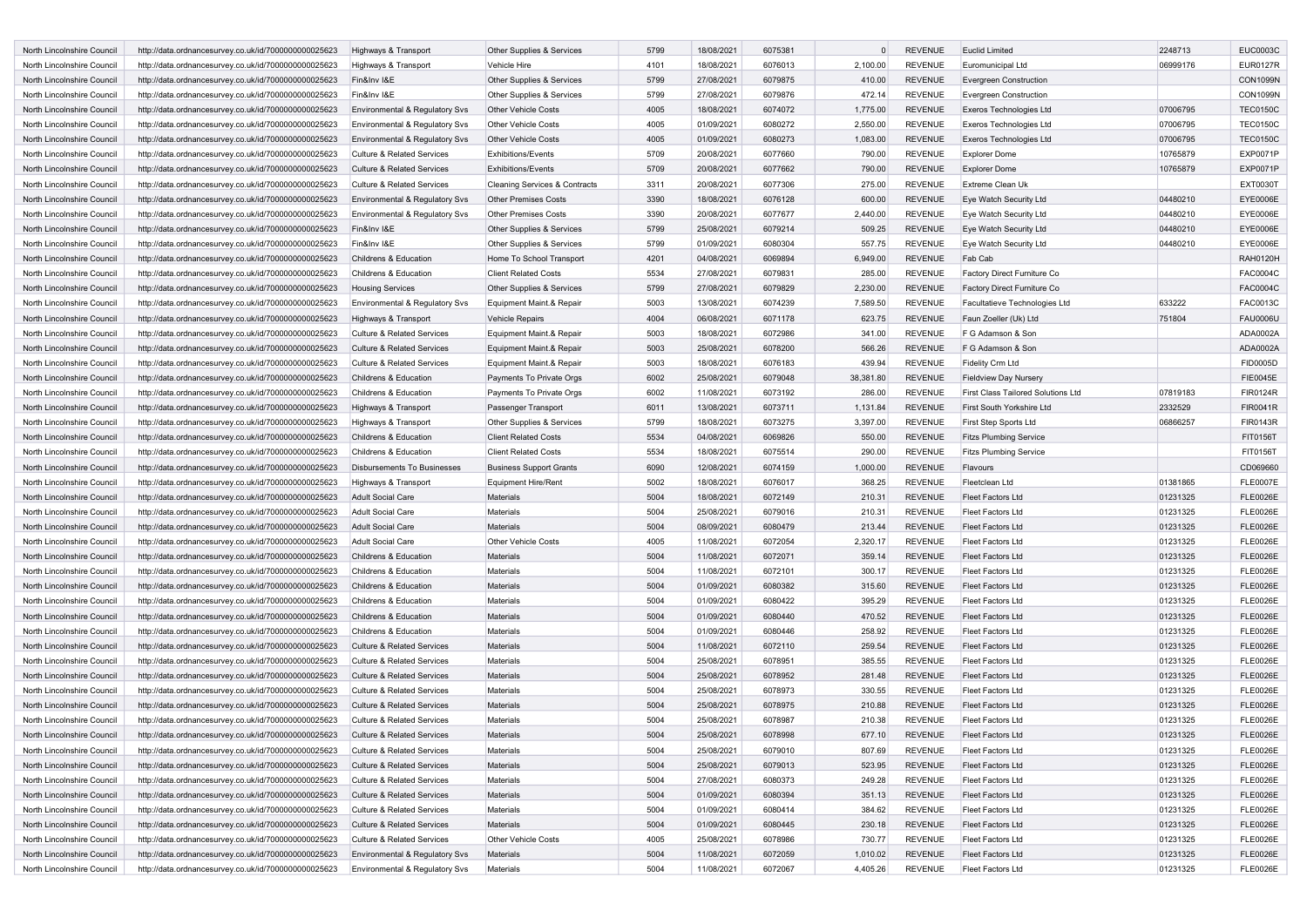| North Lincolnshire Council                               | http://data.ordnancesurvey.co.uk/id/7000000000025623                                                         | Highways & Transport                                             | Other Supplies & Services                | 5799         | 18/08/2021               | 6075381            |                      | <b>REVENUE</b>     | <b>Euclid Limited</b>                  | 2248713              | <b>EUC0003C</b>                    |
|----------------------------------------------------------|--------------------------------------------------------------------------------------------------------------|------------------------------------------------------------------|------------------------------------------|--------------|--------------------------|--------------------|----------------------|--------------------|----------------------------------------|----------------------|------------------------------------|
| North Lincolnshire Council                               | http://data.ordnancesurvey.co.uk/id/7000000000025623                                                         | Highways & Transport                                             | Vehicle Hire                             | 4101         | 18/08/2021               | 6076013            | 2,100.00             | <b>REVENUE</b>     | Euromunicipal Ltd                      | 06999176             | <b>EUR0127R</b>                    |
| North Lincolnshire Council                               | http://data.ordnancesurvey.co.uk/id/7000000000025623                                                         | Fin&Inv I&E                                                      | Other Supplies & Services                | 5799         | 27/08/2021               | 6079875            | 410.00               | <b>REVENUE</b>     | <b>Evergreen Construction</b>          |                      | <b>CON1099N</b>                    |
| North Lincolnshire Council                               | http://data.ordnancesurvey.co.uk/id/7000000000025623                                                         | Fin&Inv I&E                                                      | Other Supplies & Services                | 5799         | 27/08/2021               | 6079876            | 472.14               | <b>REVENUE</b>     | <b>Evergreen Construction</b>          |                      | <b>CON1099N</b>                    |
| North Lincolnshire Council                               | http://data.ordnancesurvey.co.uk/id/7000000000025623                                                         | Environmental & Regulatory Svs                                   | <b>Other Vehicle Costs</b>               | 4005         | 18/08/2021               | 6074072            | 1,775.00             | <b>REVENUE</b>     | Exeros Technologies Ltd                | 07006795             | <b>TEC0150C</b>                    |
| North Lincolnshire Council                               | http://data.ordnancesurvey.co.uk/id/7000000000025623                                                         | Environmental & Regulatory Svs                                   | <b>Other Vehicle Costs</b>               | 4005         | 01/09/2021               | 6080272            | 2,550.00             | <b>REVENUE</b>     | Exeros Technologies Ltd                | 07006795             | <b>TEC0150C</b>                    |
| North Lincolnshire Council                               | http://data.ordnancesurvey.co.uk/id/7000000000025623                                                         | Environmental & Regulatory Svs                                   | <b>Other Vehicle Costs</b>               | 4005         | 01/09/2021               | 6080273            | 1,083.00             | <b>REVENUE</b>     | Exeros Technologies Ltd                | 07006795             | <b>TEC0150C</b>                    |
| North Lincolnshire Council                               | http://data.ordnancesurvey.co.uk/id/7000000000025623                                                         | <b>Culture &amp; Related Services</b>                            | <b>Exhibitions/Events</b>                | 5709         | 20/08/2021               | 6077660            | 790.00               | <b>REVENUE</b>     | <b>Explorer Dome</b>                   | 10765879             | EXP0071P                           |
| North Lincolnshire Council                               | http://data.ordnancesurvey.co.uk/id/7000000000025623                                                         | <b>Culture &amp; Related Services</b>                            | <b>Exhibitions/Events</b>                | 5709         | 20/08/2021               | 6077662            | 790.00               | <b>REVENUE</b>     | <b>Explorer Dome</b>                   | 10765879             | EXP0071P                           |
| North Lincolnshire Council                               | http://data.ordnancesurvey.co.uk/id/7000000000025623                                                         | <b>Culture &amp; Related Services</b>                            | <b>Cleaning Services &amp; Contracts</b> | 3311         | 20/08/2021               | 6077306            | 275.00               | <b>REVENUE</b>     | <b>Extreme Clean Uk</b>                |                      | <b>EXT0030T</b>                    |
| North Lincolnshire Council                               |                                                                                                              | <b>Environmental &amp; Regulatory Sys</b>                        | <b>Other Premises Costs</b>              | 3390         | 18/08/2021               | 6076128            | 600.00               | <b>REVENUE</b>     | Eye Watch Security Ltd                 | 04480210             | EYE0006E                           |
| North Lincolnshire Council                               | http://data.ordnancesurvey.co.uk/id/7000000000025623<br>http://data.ordnancesurvey.co.uk/id/7000000000025623 | Environmental & Regulatory Svs                                   | <b>Other Premises Costs</b>              | 3390         | 20/08/2021               | 6077677            | 2,440.00             | <b>REVENUE</b>     | Eye Watch Security Ltd                 | 04480210             | EYE0006E                           |
|                                                          |                                                                                                              |                                                                  |                                          |              |                          |                    |                      |                    |                                        |                      |                                    |
| North Lincolnshire Council<br>North Lincolnshire Council | http://data.ordnancesurvey.co.uk/id/7000000000025623                                                         | Fin&Inv I&E                                                      | Other Supplies & Services                | 5799         | 25/08/2021               | 6079214            | 509.25               | <b>REVENUE</b>     | Eye Watch Security Ltd                 | 04480210             | EYE0006E                           |
|                                                          | http://data.ordnancesurvey.co.uk/id/7000000000025623                                                         | Fin&Inv I&E                                                      | Other Supplies & Services                | 5799         | 01/09/2021               | 6080304            | 557.75               | <b>REVENUE</b>     | Eye Watch Security Ltd                 | 04480210             | EYE0006E                           |
| North Lincolnshire Council                               | http://data.ordnancesurvey.co.uk/id/7000000000025623                                                         | Childrens & Education                                            | Home To School Transport                 | 4201         | 04/08/2021               | 6069894            | 6,949.00             | <b>REVENUE</b>     | Fab Cab                                |                      | <b>RAH0120H</b>                    |
| North Lincolnshire Council                               | http://data.ordnancesurvey.co.uk/id/7000000000025623                                                         | Childrens & Education                                            | <b>Client Related Costs</b>              | 5534         | 27/08/2021               | 6079831            | 285.00               | <b>REVENUE</b>     | Factory Direct Furniture Co            |                      | <b>FAC0004C</b>                    |
| North Lincolnshire Council                               | http://data.ordnancesurvey.co.uk/id/7000000000025623                                                         | <b>Housing Services</b>                                          | Other Supplies & Services                | 5799         | 27/08/2021               | 6079829            | 2,230.00             | <b>REVENUE</b>     | Factory Direct Furniture Co            |                      | <b>FAC0004C</b>                    |
| North Lincolnshire Council                               | http://data.ordnancesurvey.co.uk/id/7000000000025623                                                         | Environmental & Regulatory Svs                                   | Equipment Maint.& Repair                 | 5003         | 13/08/2021               | 6074239            | 7,589.50             | <b>REVENUE</b>     | Facultatieve Technologies Ltd          | 633222               | FAC0013C                           |
| North Lincolnshire Council                               | http://data.ordnancesurvey.co.uk/id/7000000000025623                                                         | Highways & Transport                                             | <b>Vehicle Repairs</b>                   | 4004         | 06/08/2021               | 6071178            | 623.75               | <b>REVENUE</b>     | Faun Zoeller (Uk) Ltd                  | 751804               | <b>FAU0006U</b>                    |
| North Lincolnshire Council                               | http://data.ordnancesurvey.co.uk/id/7000000000025623                                                         | <b>Culture &amp; Related Services</b>                            | Equipment Maint.& Repair                 | 5003         | 18/08/2021               | 6072986            | 341.00               | <b>REVENUE</b>     | F G Adamson & Son                      |                      | ADA0002A                           |
| North Lincolnshire Council                               | http://data.ordnancesurvey.co.uk/id/7000000000025623                                                         | <b>Culture &amp; Related Services</b>                            | Equipment Maint.& Repair                 | 5003         | 25/08/2021               | 6078200            | 566.26               | <b>REVENUE</b>     | F G Adamson & Son                      |                      | ADA0002A                           |
| North Lincolnshire Council                               | http://data.ordnancesurvey.co.uk/id/7000000000025623                                                         | <b>Culture &amp; Related Services</b>                            | Equipment Maint.& Repair                 | 5003         | 18/08/2021               | 6076183            | 439.94               | <b>REVENUE</b>     | Fidelity Crm Ltd                       |                      | FID0005D                           |
| North Lincolnshire Council                               | http://data.ordnancesurvey.co.uk/id/7000000000025623                                                         | Childrens & Education                                            | Payments To Private Orgs                 | 6002         | 25/08/2021               | 6079048            | 38,381.80            | <b>REVENUE</b>     | Fieldview Day Nursery                  |                      | <b>FIE0045E</b>                    |
| North Lincolnshire Council                               | http://data.ordnancesurvey.co.uk/id/7000000000025623                                                         | Childrens & Education                                            | Payments To Private Orgs                 | 6002         | 11/08/2021               | 6073192            | 286.00               | <b>REVENUE</b>     | First Class Tailored Solutions Ltd     | 07819183             | <b>FIR0124R</b>                    |
| North Lincolnshire Council                               | http://data.ordnancesurvey.co.uk/id/7000000000025623                                                         | Highways & Transport                                             | Passenger Transport                      | 6011         | 13/08/2021               | 6073711            | 1,131.84             | <b>REVENUE</b>     | First South Yorkshire Ltd              | 2332529              | <b>FIR0041R</b>                    |
| North Lincolnshire Council                               | http://data.ordnancesurvey.co.uk/id/7000000000025623                                                         | Highways & Transport                                             | Other Supplies & Services                | 5799         | 18/08/2021               | 6073275            | 3,397.00             | <b>REVENUE</b>     | First Step Sports Ltd                  | 06866257             | <b>FIR0143R</b>                    |
| North Lincolnshire Council                               | http://data.ordnancesurvey.co.uk/id/7000000000025623                                                         | Childrens & Education                                            | <b>Client Related Costs</b>              | 5534         | 04/08/2021               | 6069826            | 550.00               | <b>REVENUE</b>     | <b>Fitzs Plumbing Service</b>          |                      | FIT0156T                           |
| North Lincolnshire Council                               | http://data.ordnancesurvey.co.uk/id/7000000000025623                                                         | Childrens & Education                                            | <b>Client Related Costs</b>              | 5534         | 18/08/2021               | 6075514            | 290.00               | <b>REVENUE</b>     | <b>Fitzs Plumbing Service</b>          |                      | FIT0156T                           |
| North Lincolnshire Council                               | http://data.ordnancesurvey.co.uk/id/7000000000025623                                                         | <b>Disbursements To Businesses</b>                               | <b>Business Support Grants</b>           | 6090         | 12/08/2021               | 6074159            | 1,000.00             | <b>REVENUE</b>     | Flavours                               |                      | CD069660                           |
| North Lincolnshire Council                               | http://data.ordnancesurvey.co.uk/id/7000000000025623                                                         | Highways & Transport                                             | <b>Equipment Hire/Rent</b>               | 5002         | 18/08/2021               | 6076017            | 368.25               | <b>REVENUE</b>     | Fleetclean Ltd                         | 01381865             | <b>FLE0007E</b>                    |
| North Lincolnshire Council                               | http://data.ordnancesurvey.co.uk/id/7000000000025623                                                         | <b>Adult Social Care</b>                                         | <b>Materials</b>                         | 5004         | 18/08/2021               | 6072149            | 210.31               | <b>REVENUE</b>     | Fleet Factors Ltd                      | 01231325             | <b>FLE0026E</b>                    |
| North Lincolnshire Council                               | http://data.ordnancesurvey.co.uk/id/7000000000025623                                                         | <b>Adult Social Care</b>                                         | <b>Materials</b>                         | 5004         | 25/08/2021               | 6079016            | 210.31               | <b>REVENUE</b>     | <b>Fleet Factors Ltd</b>               | 01231325             | <b>FLE0026E</b>                    |
| North Lincolnshire Council                               | http://data.ordnancesurvey.co.uk/id/7000000000025623                                                         | <b>Adult Social Care</b>                                         | Materials                                | 5004         | 08/09/2021               | 6080479            | 213.44               | <b>REVENUE</b>     | Fleet Factors Ltd                      | 01231325             | <b>FLE0026E</b>                    |
| North Lincolnshire Council                               | http://data.ordnancesurvey.co.uk/id/7000000000025623                                                         | <b>Adult Social Care</b>                                         | <b>Other Vehicle Costs</b>               | 4005         | 11/08/2021               | 6072054            | 2,320.17             | <b>REVENUE</b>     | <b>Fleet Factors Ltd</b>               | 01231325             | <b>FLE0026E</b>                    |
| North Lincolnshire Council                               | http://data.ordnancesurvey.co.uk/id/7000000000025623                                                         | Childrens & Education                                            | <b>Materials</b>                         | 5004         | 11/08/2021               | 6072071            | 359.14               | <b>REVENUE</b>     | <b>Fleet Factors Ltd</b>               | 01231325             | <b>FLE0026E</b>                    |
| North Lincolnshire Council                               | http://data.ordnancesurvey.co.uk/id/7000000000025623                                                         | Childrens & Education                                            | <b>Materials</b>                         | 5004         | 11/08/2021               | 6072101            | 300.17               | <b>REVENUE</b>     | Fleet Factors Ltd                      | 01231325             | <b>FLE0026E</b>                    |
| North Lincolnshire Council                               | http://data.ordnancesurvey.co.uk/id/7000000000025623                                                         | Childrens & Education                                            | <b>Materials</b>                         | 5004         | 01/09/2021               | 6080382            | 315.60               | <b>REVENUE</b>     | Fleet Factors Ltd                      | 01231325             | <b>FLE0026E</b>                    |
| North Lincolnshire Council                               | http://data.ordnancesurvey.co.uk/id/7000000000025623                                                         | Childrens & Education                                            | Materials                                | 5004         | 01/09/2021               | 6080422            | 395.29               | <b>REVENUE</b>     | Fleet Factors Ltd                      | 01231325             | <b>FLE0026E</b>                    |
| North Lincolnshire Council                               | http://data.ordnancesurvey.co.uk/id/7000000000025623                                                         | Childrens & Education                                            | <b>Materials</b>                         | 5004         | 01/09/2021               | 6080440            | 470.52               | <b>REVENUE</b>     | Fleet Factors Ltd                      | 01231325             | <b>FLE0026E</b>                    |
| North Lincolnshire Council                               | http://data.ordnancesurvey.co.uk/id/7000000000025623                                                         | Childrens & Education                                            | <b>Materials</b>                         | 5004         | 01/09/2021               | 6080446            | 258.92               | <b>REVENUE</b>     | <b>Fleet Factors Ltd</b>               | 01231325             | <b>FLE0026E</b>                    |
| North Lincolnshire Council                               | http://data.ordnancesurvey.co.uk/id/7000000000025623                                                         | <b>Culture &amp; Related Services</b>                            | Materials                                | 5004         | 11/08/2021               | 6072110            | 259.54               | <b>REVENUE</b>     | Fleet Factors Ltd                      | 01231325             | <b>FLE0026E</b>                    |
| North Lincolnshire Council                               | http://data.ordnancesurvey.co.uk/id/7000000000025623                                                         | <b>Culture &amp; Related Services</b>                            | Materials                                | 5004         | 25/08/2021               | 6078951            | 385.55               | <b>REVENUE</b>     | Fleet Factors Ltd                      | 01231325             | <b>FLE0026E</b>                    |
| North Lincolnshire Council                               | http://data.ordnancesurvey.co.uk/id/7000000000025623                                                         | <b>Culture &amp; Related Services</b>                            | Materials                                | 5004         | 25/08/2021               | 6078952            | 281.48               | <b>REVENUE</b>     | Fleet Factors Ltd                      | 01231325             | <b>FLE0026E</b>                    |
| North Lincolnshire Council                               | http://data.ordnancesurvey.co.uk/id/7000000000025623                                                         | <b>Culture &amp; Related Services</b>                            | <b>Materials</b>                         | 5004         | 25/08/2021               | 6078973            | 330.55               | <b>REVENUE</b>     | Fleet Factors Ltd                      | 01231325             | <b>FLE0026E</b>                    |
| North Lincolnshire Council                               | http://data.ordnancesurvey.co.uk/id/7000000000025623                                                         | <b>Culture &amp; Related Services</b>                            | <b>Materials</b>                         | 5004         | 25/08/2021               | 6078975            | 210.88               | <b>REVENUE</b>     | Fleet Factors Ltd                      | 01231325             | <b>FLE0026E</b>                    |
| North Lincolnshire Council                               | http://data.ordnancesurvey.co.uk/id/7000000000025623                                                         | <b>Culture &amp; Related Services</b>                            | Materials                                | 5004         | 25/08/2021               | 6078987            | 210.38               | <b>REVENUE</b>     | <b>Fleet Factors Ltd</b>               | 01231325             | <b>FLE0026E</b>                    |
| North Lincolnshire Council                               | http://data.ordnancesurvey.co.uk/id/7000000000025623                                                         | <b>Culture &amp; Related Services</b>                            | Materials                                | 5004         | 25/08/2021               | 6078998            | 677.10               | REVENUE            | Fleet Factors Ltd                      | 01231325             | <b>FLE0026E</b>                    |
| North Lincolnshire Council                               | http://data.ordnancesurvey.co.uk/id/7000000000025623                                                         | <b>Culture &amp; Related Services</b>                            | Materials                                | 5004         | 25/08/2021               | 6079010            | 807.69               | REVENUE            | Fleet Factors Ltd                      | 01231325             | <b>FLE0026E</b>                    |
| North Lincolnshire Council                               | http://data.ordnancesurvey.co.uk/id/7000000000025623                                                         | <b>Culture &amp; Related Services</b>                            | Materials                                | 5004         | 25/08/2021               | 6079013            | 523.95               | REVENUE            | <b>Fleet Factors Ltd</b>               | 01231325             | <b>FLE0026E</b>                    |
|                                                          |                                                                                                              |                                                                  |                                          |              |                          | 6080373            | 249.28               | <b>REVENUE</b>     |                                        |                      |                                    |
|                                                          |                                                                                                              |                                                                  |                                          |              |                          |                    |                      |                    |                                        |                      |                                    |
| North Lincolnshire Council                               | http://data.ordnancesurvey.co.uk/id/7000000000025623                                                         | Culture & Related Services                                       | Materials                                | 5004         | 27/08/2021               |                    |                      |                    | Fleet Factors Ltd                      | 01231325             | <b>FLE0026E</b>                    |
| North Lincolnshire Council                               | http://data.ordnancesurvey.co.uk/id/7000000000025623                                                         | <b>Culture &amp; Related Services</b>                            | Materials                                | 5004         | 01/09/2021               | 6080394            | 351.13               | REVENUE            | Fleet Factors Ltd                      | 01231325             | <b>FLE0026E</b>                    |
| North Lincolnshire Council                               | http://data.ordnancesurvey.co.uk/id/7000000000025623                                                         | Culture & Related Services                                       | Materials                                | 5004         | 01/09/2021               | 6080414            | 384.62               | <b>REVENUE</b>     | Fleet Factors Ltd                      | 01231325             | <b>FLE0026E</b>                    |
| North Lincolnshire Council                               | http://data.ordnancesurvey.co.uk/id/7000000000025623                                                         | <b>Culture &amp; Related Services</b>                            | Materials                                | 5004         | 01/09/2021               | 6080445            | 230.18               | <b>REVENUE</b>     | <b>Fleet Factors Ltd</b>               | 01231325             | <b>FLE0026E</b>                    |
| North Lincolnshire Council                               | http://data.ordnancesurvey.co.uk/id/7000000000025623                                                         | <b>Culture &amp; Related Services</b>                            | Other Vehicle Costs                      | 4005         | 25/08/2021               | 6078986            | 730.77               | REVENUE            | Fleet Factors Ltd                      | 01231325             | <b>FLE0026E</b>                    |
| North Lincolnshire Council<br>North Lincolnshire Council | http://data.ordnancesurvey.co.uk/id/7000000000025623<br>http://data.ordnancesurvey.co.uk/id/7000000000025623 | Environmental & Regulatory Svs<br>Environmental & Regulatory Svs | Materials<br>Materials                   | 5004<br>5004 | 11/08/2021<br>11/08/2021 | 6072059<br>6072067 | 1,010.02<br>4,405.26 | REVENUE<br>REVENUE | Fleet Factors Ltd<br>Fleet Factors Ltd | 01231325<br>01231325 | <b>FLE0026E</b><br><b>FLE0026E</b> |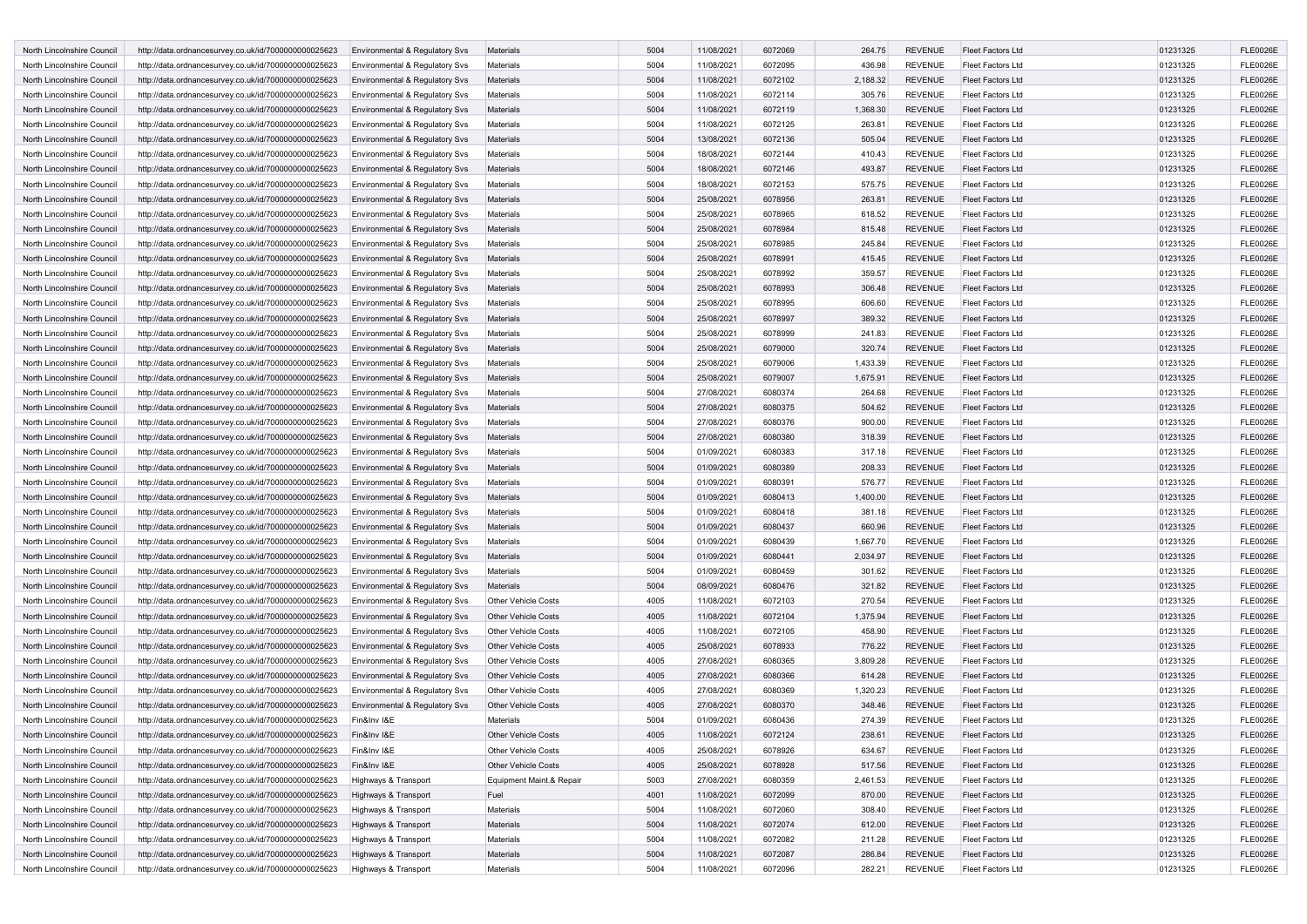| North Lincolnshire Council | http://data.ordnancesurvey.co.uk/id/7000000000025623                | Environmental & Regulatory Svs            | Materials                  | 5004         | 11/08/2021 | 6072069 | 264.75   | <b>REVENUE</b> | <b>Fleet Factors Ltd</b> | 01231325 | <b>FLE0026E</b>                    |
|----------------------------|---------------------------------------------------------------------|-------------------------------------------|----------------------------|--------------|------------|---------|----------|----------------|--------------------------|----------|------------------------------------|
| North Lincolnshire Council | http://data.ordnancesurvey.co.uk/id/7000000000025623                | Environmental & Regulatory Svs            | Materials                  | 5004         | 11/08/2021 | 6072095 | 436.98   | <b>REVENUE</b> | Fleet Factors Ltd        | 01231325 | <b>FLE0026E</b>                    |
| North Lincolnshire Council | http://data.ordnancesurvey.co.uk/id/7000000000025623                | <b>Environmental &amp; Regulatory Svs</b> | Materials                  | 5004         | 11/08/2021 | 6072102 | 2,188.32 | <b>REVENUE</b> | <b>Fleet Factors Ltd</b> | 01231325 | <b>FLE0026E</b>                    |
| North Lincolnshire Council | http://data.ordnancesurvey.co.uk/id/7000000000025623                | Environmental & Regulatory Svs            | Materials                  | 5004         | 11/08/2021 | 6072114 | 305.76   | <b>REVENUE</b> | Fleet Factors Ltd        | 01231325 | <b>FLE0026E</b>                    |
| North Lincolnshire Council | http://data.ordnancesurvey.co.uk/id/7000000000025623                | Environmental & Regulatory Svs            | <b>Materials</b>           | 5004         | 11/08/2021 | 6072119 | 1,368.30 | <b>REVENUE</b> | <b>Fleet Factors Ltd</b> | 01231325 | <b>FLE0026E</b>                    |
| North Lincolnshire Council | http://data.ordnancesurvey.co.uk/id/7000000000025623                | Environmental & Regulatory Svs            | Materials                  | 5004         | 11/08/2021 | 6072125 | 263.81   | <b>REVENUE</b> | Fleet Factors Ltd        | 01231325 | <b>FLE0026E</b>                    |
| North Lincolnshire Council | http://data.ordnancesurvey.co.uk/id/7000000000025623                | <b>Environmental &amp; Regulatory Svs</b> | Materials                  | 5004         | 13/08/2021 | 6072136 | 505.04   | <b>REVENUE</b> | <b>Fleet Factors Ltd</b> | 01231325 | <b>FLE0026E</b>                    |
| North Lincolnshire Council | http://data.ordnancesurvey.co.uk/id/7000000000025623                | Environmental & Regulatory Svs            | Materials                  | 5004         | 18/08/2021 | 6072144 | 410.43   | <b>REVENUE</b> | <b>Fleet Factors Ltd</b> | 01231325 | <b>FLE0026E</b>                    |
| North Lincolnshire Council | http://data.ordnancesurvey.co.uk/id/7000000000025623                | Environmental & Regulatory Svs            | Materials                  | 5004         | 18/08/2021 | 6072146 | 493.87   | <b>REVENUE</b> | <b>Fleet Factors Ltd</b> | 01231325 | <b>FLE0026E</b>                    |
| North Lincolnshire Council |                                                                     |                                           | Materials                  | 5004         | 18/08/2021 | 6072153 | 575.75   | <b>REVENUE</b> | Fleet Factors Ltd        | 01231325 | <b>FLE0026E</b>                    |
|                            | http://data.ordnancesurvey.co.uk/id/7000000000025623                | Environmental & Regulatory Svs            |                            | 5004         |            | 6078956 | 263.81   |                | <b>Fleet Factors Ltd</b> |          | <b>FLE0026E</b>                    |
| North Lincolnshire Council | http://data.ordnancesurvey.co.uk/id/7000000000025623                | Environmental & Regulatory Svs            | Materials                  |              | 25/08/2021 |         |          | <b>REVENUE</b> |                          | 01231325 |                                    |
| North Lincolnshire Council | http://data.ordnancesurvey.co.uk/id/7000000000025623                | Environmental & Regulatory Svs            | Materials                  | 5004         | 25/08/2021 | 6078965 | 618.52   | <b>REVENUE</b> | Fleet Factors Ltd        | 01231325 | <b>FLE0026E</b>                    |
| North Lincolnshire Council | http://data.ordnancesurvey.co.uk/id/7000000000025623                | <b>Environmental &amp; Regulatory Svs</b> | Materials                  | 5004         | 25/08/2021 | 6078984 | 815.48   | <b>REVENUE</b> | <b>Fleet Factors Ltd</b> | 01231325 | <b>FLE0026E</b>                    |
| North Lincolnshire Council | http://data.ordnancesurvey.co.uk/id/7000000000025623                | Environmental & Regulatory Svs            | Materials                  | 5004         | 25/08/2021 | 6078985 | 245.84   | <b>REVENUE</b> | Fleet Factors Ltd        | 01231325 | <b>FLE0026E</b>                    |
| North Lincolnshire Council | http://data.ordnancesurvey.co.uk/id/7000000000025623                | Environmental & Regulatory Svs            | <b>Materials</b>           | 5004         | 25/08/2021 | 6078991 | 415.45   | <b>REVENUE</b> | <b>Fleet Factors Ltd</b> | 01231325 | <b>FLE0026E</b>                    |
| North Lincolnshire Council | http://data.ordnancesurvey.co.uk/id/7000000000025623                | Environmental & Regulatory Svs            | Materials                  | 5004         | 25/08/2021 | 6078992 | 359.57   | <b>REVENUE</b> | Fleet Factors Ltd        | 01231325 | <b>FLE0026E</b>                    |
| North Lincolnshire Council | http://data.ordnancesurvey.co.uk/id/7000000000025623                | <b>Environmental &amp; Regulatory Svs</b> | Materials                  | 5004         | 25/08/2021 | 6078993 | 306.48   | <b>REVENUE</b> | <b>Fleet Factors Ltd</b> | 01231325 | <b>FLE0026E</b>                    |
| North Lincolnshire Council | http://data.ordnancesurvey.co.uk/id/7000000000025623                | Environmental & Regulatory Svs            | Materials                  | 5004         | 25/08/2021 | 6078995 | 606.60   | <b>REVENUE</b> | <b>Fleet Factors Ltd</b> | 01231325 | <b>FLE0026E</b>                    |
| North Lincolnshire Council | http://data.ordnancesurvey.co.uk/id/7000000000025623                | Environmental & Regulatory Svs            | Materials                  | 5004         | 25/08/2021 | 6078997 | 389.32   | <b>REVENUE</b> | <b>Fleet Factors Ltd</b> | 01231325 | <b>FLE0026E</b>                    |
| North Lincolnshire Council | http://data.ordnancesurvey.co.uk/id/7000000000025623                | Environmental & Regulatory Svs            | Materials                  | 5004         | 25/08/2021 | 6078999 | 241.83   | <b>REVENUE</b> | Fleet Factors Ltd        | 01231325 | <b>FLE0026E</b>                    |
| North Lincolnshire Council | http://data.ordnancesurvey.co.uk/id/7000000000025623                | Environmental & Regulatory Svs            | Materials                  | 5004         | 25/08/2021 | 6079000 | 320.74   | <b>REVENUE</b> | <b>Fleet Factors Ltd</b> | 01231325 | <b>FLE0026E</b>                    |
| North Lincolnshire Council | http://data.ordnancesurvey.co.uk/id/7000000000025623                | Environmental & Regulatory Svs            | Materials                  | 5004         | 25/08/2021 | 6079006 | 1,433.39 | <b>REVENUE</b> | Fleet Factors Ltd        | 01231325 | <b>FLE0026E</b>                    |
| North Lincolnshire Council | http://data.ordnancesurvey.co.uk/id/7000000000025623                | <b>Environmental &amp; Regulatory Svs</b> | Materials                  | 5004         | 25/08/2021 | 6079007 | 1,675.91 | <b>REVENUE</b> | <b>Fleet Factors Ltd</b> | 01231325 | <b>FLE0026E</b>                    |
| North Lincolnshire Council | http://data.ordnancesurvey.co.uk/id/7000000000025623                | Environmental & Regulatory Sys            | <b>Materials</b>           | 5004         | 27/08/2021 | 6080374 | 264.68   | <b>REVENUE</b> | Fleet Factors Ltd        | 01231325 | <b>FLE0026E</b>                    |
| North Lincolnshire Council | http://data.ordnancesurvey.co.uk/id/7000000000025623                | <b>Environmental &amp; Regulatory Svs</b> | Materials                  | 5004         | 27/08/2021 | 6080375 | 504.62   | <b>REVENUE</b> | <b>Fleet Factors Ltd</b> | 01231325 | <b>FLE0026E</b>                    |
| North Lincolnshire Council | http://data.ordnancesurvey.co.uk/id/7000000000025623                | Environmental & Regulatory Svs            | Materials                  | 5004         | 27/08/2021 | 6080376 | 900.00   | <b>REVENUE</b> | Fleet Factors Ltd        | 01231325 | <b>FLE0026E</b>                    |
| North Lincolnshire Council | http://data.ordnancesurvey.co.uk/id/7000000000025623                | Environmental & Regulatory Svs            | Materials                  | 5004         | 27/08/2021 | 6080380 | 318.39   | <b>REVENUE</b> | <b>Fleet Factors Ltd</b> | 01231325 | <b>FLE0026E</b>                    |
| North Lincolnshire Council | http://data.ordnancesurvey.co.uk/id/7000000000025623                | Environmental & Regulatory Svs            | <b>Materials</b>           | 5004         | 01/09/2021 | 6080383 | 317.18   | <b>REVENUE</b> | <b>Fleet Factors Ltd</b> | 01231325 | <b>FLE0026E</b>                    |
| North Lincolnshire Council | http://data.ordnancesurvey.co.uk/id/7000000000025623                | Environmental & Regulatory Sys            | Materials                  | 5004         | 01/09/2021 | 6080389 | 208.33   | <b>REVENUE</b> | <b>Fleet Factors Ltd</b> | 01231325 | <b>FLE0026E</b>                    |
| North Lincolnshire Council | http://data.ordnancesurvey.co.uk/id/7000000000025623                | Environmental & Regulatory Svs            | Materials                  | 5004         | 01/09/2021 | 6080391 | 576.77   | <b>REVENUE</b> | Fleet Factors Ltd        | 01231325 | <b>FLE0026E</b>                    |
| North Lincolnshire Council | http://data.ordnancesurvey.co.uk/id/7000000000025623                | Environmental & Regulatory Svs            | Materials                  | 5004         | 01/09/2021 | 6080413 | 1,400.00 | <b>REVENUE</b> | <b>Fleet Factors Ltd</b> | 01231325 | <b>FLE0026E</b>                    |
| North Lincolnshire Council | http://data.ordnancesurvey.co.uk/id/7000000000025623                | Environmental & Regulatory Svs            | Materials                  | 5004         | 01/09/2021 | 6080418 | 381.18   | <b>REVENUE</b> | Fleet Factors Ltd        | 01231325 | <b>FLE0026E</b>                    |
| North Lincolnshire Council | http://data.ordnancesurvey.co.uk/id/7000000000025623                | <b>Environmental &amp; Regulatory Svs</b> | Materials                  | 5004         | 01/09/2021 | 6080437 | 660.96   | <b>REVENUE</b> | <b>Fleet Factors Ltd</b> | 01231325 | <b>FLE0026E</b>                    |
| North Lincolnshire Council | http://data.ordnancesurvey.co.uk/id/7000000000025623                | Environmental & Regulatory Svs            | <b>Materials</b>           | 5004         | 01/09/2021 | 6080439 | 1,667.70 | <b>REVENUE</b> | Fleet Factors Ltd        | 01231325 | <b>FLE0026E</b>                    |
| North Lincolnshire Council | http://data.ordnancesurvey.co.uk/id/7000000000025623                | <b>Environmental &amp; Regulatory Svs</b> | Materials                  | 5004         | 01/09/2021 | 6080441 | 2,034.97 | <b>REVENUE</b> | <b>Fleet Factors Ltd</b> | 01231325 | <b>FLE0026E</b>                    |
| North Lincolnshire Council | http://data.ordnancesurvey.co.uk/id/7000000000025623                | Environmental & Regulatory Svs            | Materials                  | 5004         | 01/09/2021 | 6080459 | 301.62   | <b>REVENUE</b> | <b>Fleet Factors Ltd</b> | 01231325 | <b>FLE0026E</b>                    |
| North Lincolnshire Council | http://data.ordnancesurvey.co.uk/id/7000000000025623                | <b>Environmental &amp; Regulatory Svs</b> | Materials                  | 5004         | 08/09/2021 | 6080476 | 321.82   | <b>REVENUE</b> | <b>Fleet Factors Ltd</b> | 01231325 | <b>FLE0026E</b>                    |
| North Lincolnshire Council |                                                                     |                                           | <b>Other Vehicle Costs</b> | 4005         | 11/08/2021 | 6072103 | 270.54   | <b>REVENUE</b> | <b>Fleet Factors Ltd</b> | 01231325 | <b>FLE0026E</b>                    |
|                            | http://data.ordnancesurvey.co.uk/id/7000000000025623                | Environmental & Regulatory Svs            |                            | 4005         |            |         |          |                |                          |          |                                    |
| North Lincolnshire Council | http://data.ordnancesurvey.co.uk/id/7000000000025623                | Environmental & Regulatory Svs            | <b>Other Vehicle Costs</b> | 4005         | 11/08/2021 | 6072104 | 1,375.94 | <b>REVENUE</b> | <b>Fleet Factors Ltd</b> | 01231325 | <b>FLE0026E</b><br><b>FLE0026E</b> |
| North Lincolnshire Council | http://data.ordnancesurvey.co.uk/id/7000000000025623                | Environmental & Regulatory Svs            | <b>Other Vehicle Costs</b> |              | 11/08/2021 | 6072105 | 458.90   | <b>REVENUE</b> | <b>Fleet Factors Ltd</b> | 01231325 |                                    |
| North Lincolnshire Council | http://data.ordnancesurvey.co.uk/id/7000000000025623                | Environmental & Regulatory Svs            | <b>Other Vehicle Costs</b> | 4005<br>4005 | 25/08/2021 | 6078933 | 776.22   | <b>REVENUE</b> | <b>Fleet Factors Ltd</b> | 01231325 | <b>FLE0026E</b>                    |
| North Lincolnshire Council | http://data.ordnancesurvey.co.uk/id/7000000000025623                | Environmental & Regulatory Svs            | <b>Other Vehicle Costs</b> |              | 27/08/2021 | 6080365 | 3,809.28 | <b>REVENUE</b> | Fleet Factors Ltd        | 01231325 | <b>FLE0026E</b>                    |
| North Lincolnshire Council | http://data.ordnancesurvey.co.uk/id/7000000000025623                | <b>Environmental &amp; Regulatory Svs</b> | <b>Other Vehicle Costs</b> | 4005         | 27/08/2021 | 6080366 | 614.28   | <b>REVENUE</b> | Fleet Factors Ltd        | 01231325 | <b>FLE0026E</b>                    |
| North Lincolnshire Council | http://data.ordnancesurvey.co.uk/id/7000000000025623                | Environmental & Regulatory Sys            | <b>Other Vehicle Costs</b> | 4005         | 27/08/2021 | 6080369 | 1,320.23 | <b>REVENUE</b> | <b>Fleet Factors Ltd</b> | 01231325 | <b>FLE0026E</b>                    |
| North Lincolnshire Council | http://data.ordnancesurvey.co.uk/id/7000000000025623                | Environmental & Regulatory Svs            | <b>Other Vehicle Costs</b> | 4005         | 27/08/2021 | 6080370 | 348.46   | <b>REVENUE</b> | <b>Fleet Factors Ltd</b> | 01231325 | <b>FLE0026E</b>                    |
| North Lincolnshire Council | Fin&Inv I&E<br>http://data.ordnancesurvey.co.uk/id/7000000000025623 |                                           | Materials                  | 5004         | 01/09/2021 | 6080436 | 274.39   | <b>REVENUE</b> | <b>Fleet Factors Ltd</b> | 01231325 | <b>FLE0026E</b>                    |
| North Lincolnshire Council | http://data.ordnancesurvey.co.uk/id/7000000000025623<br>Fin&Inv I&E |                                           | <b>Other Vehicle Costs</b> | 4005         | 11/08/2021 | 6072124 | 238.61   | <b>REVENUE</b> | Fleet Factors Ltd        | 01231325 | <b>FLE0026E</b>                    |
| North Lincolnshire Council | http://data.ordnancesurvey.co.uk/id/7000000000025623<br>Fin&Inv I&E |                                           | <b>Other Vehicle Costs</b> | 4005         | 25/08/2021 | 6078926 | 634.67   | REVENUE        | Fleet Factors Ltd        | 01231325 | <b>FLE0026E</b>                    |
| North Lincolnshire Council | http://data.ordnancesurvey.co.uk/id/7000000000025623<br>Fin&Inv I&E |                                           | <b>Other Vehicle Costs</b> | 4005         | 25/08/2021 | 6078928 | 517.56   | <b>REVENUE</b> | <b>Fleet Factors Ltd</b> | 01231325 | <b>FLE0026E</b>                    |
| North Lincolnshire Council | http://data.ordnancesurvey.co.uk/id/7000000000025623                | Highways & Transport                      | Equipment Maint.& Repair   | 5003         | 27/08/2021 | 6080359 | 2,461.53 | <b>REVENUE</b> | Fleet Factors Ltd        | 01231325 | <b>FLE0026E</b>                    |
| North Lincolnshire Council | http://data.ordnancesurvey.co.uk/id/7000000000025623                | Highways & Transport                      | Fuel                       | 4001         | 11/08/2021 | 6072099 | 870.00   | <b>REVENUE</b> | Fleet Factors Ltd        | 01231325 | <b>FLE0026E</b>                    |
| North Lincolnshire Council | http://data.ordnancesurvey.co.uk/id/7000000000025623                | Highways & Transport                      | Materials                  | 5004         | 11/08/2021 | 6072060 | 308.40   | <b>REVENUE</b> | Fleet Factors Ltd        | 01231325 | <b>FLE0026E</b>                    |
| North Lincolnshire Council | http://data.ordnancesurvey.co.uk/id/7000000000025623                | Highways & Transport                      | Materials                  | 5004         | 11/08/2021 | 6072074 | 612.00   | REVENUE        | <b>Fleet Factors Ltd</b> | 01231325 | <b>FLE0026E</b>                    |
| North Lincolnshire Council | http://data.ordnancesurvey.co.uk/id/7000000000025623                | Highways & Transport                      | Materials                  | 5004         | 11/08/2021 | 6072082 | 211.28   | <b>REVENUE</b> | <b>Fleet Factors Ltd</b> | 01231325 | <b>FLE0026E</b>                    |
| North Lincolnshire Council | http://data.ordnancesurvey.co.uk/id/7000000000025623                | Highways & Transport                      | Materials                  | 5004         | 11/08/2021 | 6072087 | 286.84   | <b>REVENUE</b> | Fleet Factors Ltd        | 01231325 | <b>FLE0026E</b>                    |
| North Lincolnshire Council | http://data.ordnancesurvey.co.uk/id/7000000000025623                | Highways & Transport                      | Materials                  | 5004         | 11/08/2021 | 6072096 | 282.21   | REVENUE        | Fleet Factors Ltd        | 01231325 | <b>FLE0026E</b>                    |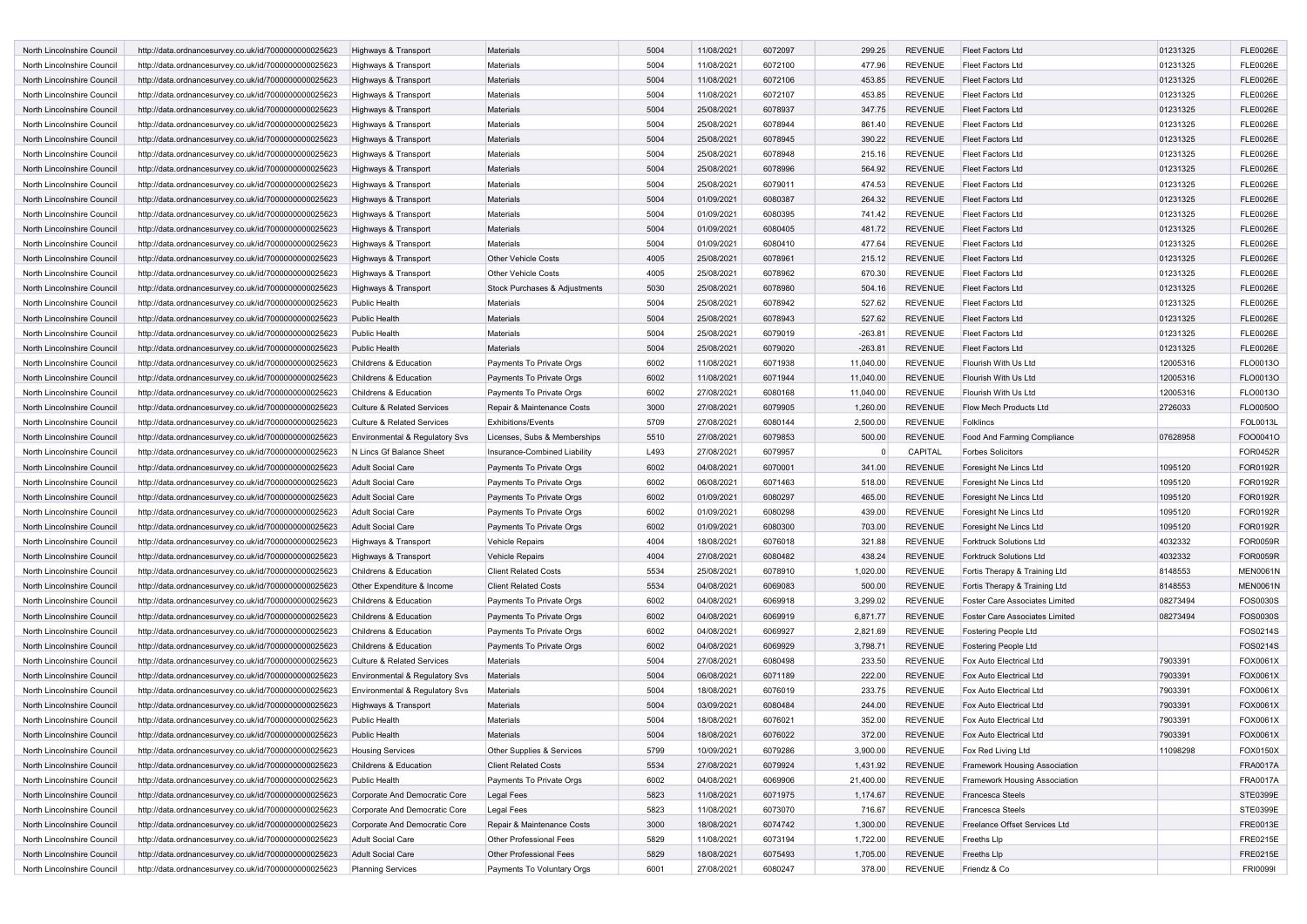| North Lincolnshire Council | http://data.ordnancesurvey.co.uk/id/7000000000025623 | Highways & Transport                  | Materials                     | 5004 | 11/08/2021 | 6072097 | 299.25    | <b>REVENUE</b> | <b>Fleet Factors Ltd</b>              | 01231325 | <b>FLE0026E</b> |
|----------------------------|------------------------------------------------------|---------------------------------------|-------------------------------|------|------------|---------|-----------|----------------|---------------------------------------|----------|-----------------|
| North Lincolnshire Council | http://data.ordnancesurvey.co.uk/id/7000000000025623 | Highways & Transport                  | <b>Materials</b>              | 5004 | 11/08/2021 | 6072100 | 477.96    | <b>REVENUE</b> | Fleet Factors Ltd                     | 01231325 | <b>FLE0026E</b> |
| North Lincolnshire Council | http://data.ordnancesurvey.co.uk/id/7000000000025623 | Highways & Transport                  | Materials                     | 5004 | 11/08/2021 | 6072106 | 453.85    | <b>REVENUE</b> | <b>Fleet Factors Ltd</b>              | 01231325 | <b>FLE0026E</b> |
| North Lincolnshire Council | http://data.ordnancesurvey.co.uk/id/7000000000025623 | Highways & Transport                  | Materials                     | 5004 | 11/08/2021 | 6072107 | 453.85    | <b>REVENUE</b> | Fleet Factors Ltd                     | 01231325 | <b>FLE0026E</b> |
| North Lincolnshire Council | http://data.ordnancesurvey.co.uk/id/7000000000025623 | Highways & Transport                  | Materials                     | 5004 | 25/08/2021 | 6078937 | 347.75    | <b>REVENUE</b> | Fleet Factors Ltd                     | 01231325 | <b>FLE0026E</b> |
| North Lincolnshire Council | http://data.ordnancesurvey.co.uk/id/7000000000025623 | Highways & Transport                  | Materials                     | 5004 | 25/08/2021 | 6078944 | 861.40    | <b>REVENUE</b> | Fleet Factors Ltd                     | 01231325 | <b>FLE0026E</b> |
| North Lincolnshire Council | http://data.ordnancesurvey.co.uk/id/7000000000025623 | Highways & Transport                  | <b>Materials</b>              | 5004 | 25/08/2021 | 6078945 | 390.22    | <b>REVENUE</b> | <b>Fleet Factors Ltd</b>              | 01231325 | <b>FLE0026E</b> |
| North Lincolnshire Council | http://data.ordnancesurvey.co.uk/id/7000000000025623 | Highways & Transport                  | Materials                     | 5004 | 25/08/2021 | 6078948 | 215.16    | <b>REVENUE</b> | Fleet Factors Ltd                     | 01231325 | <b>FLE0026E</b> |
| North Lincolnshire Council | http://data.ordnancesurvey.co.uk/id/7000000000025623 | Highways & Transport                  | Materials                     | 5004 | 25/08/2021 | 6078996 | 564.92    | <b>REVENUE</b> | <b>Fleet Factors Ltd</b>              | 01231325 | <b>FLE0026E</b> |
| North Lincolnshire Council | http://data.ordnancesurvey.co.uk/id/7000000000025623 | Highways & Transport                  | Materials                     | 5004 | 25/08/2021 | 6079011 | 474.53    | <b>REVENUE</b> | Fleet Factors Ltd                     | 01231325 | <b>FLE0026E</b> |
| North Lincolnshire Council | http://data.ordnancesurvey.co.uk/id/7000000000025623 | Highways & Transport                  | Materials                     | 5004 | 01/09/2021 | 6080387 | 264.32    | <b>REVENUE</b> | Fleet Factors Ltd                     | 01231325 | <b>FLE0026E</b> |
| North Lincolnshire Council | http://data.ordnancesurvey.co.uk/id/7000000000025623 | Highways & Transport                  | <b>Materials</b>              | 5004 | 01/09/2021 | 6080395 | 741.42    | <b>REVENUE</b> | Fleet Factors Ltd                     | 01231325 | <b>FLE0026E</b> |
| North Lincolnshire Council | http://data.ordnancesurvey.co.uk/id/7000000000025623 | Highways & Transport                  | Materials                     | 5004 | 01/09/2021 | 6080405 | 481.72    | <b>REVENUE</b> | <b>Fleet Factors Ltd</b>              | 01231325 | <b>FLE0026E</b> |
| North Lincolnshire Council | http://data.ordnancesurvey.co.uk/id/7000000000025623 | Highways & Transport                  | Materials                     | 5004 | 01/09/2021 | 6080410 | 477.64    | <b>REVENUE</b> | Fleet Factors Ltd                     | 01231325 | <b>FLE0026E</b> |
| North Lincolnshire Council | http://data.ordnancesurvey.co.uk/id/7000000000025623 | Highways & Transport                  | Other Vehicle Costs           | 4005 | 25/08/2021 | 6078961 | 215.12    | <b>REVENUE</b> | Fleet Factors Ltd                     | 01231325 | <b>FLE0026E</b> |
| North Lincolnshire Council | http://data.ordnancesurvey.co.uk/id/7000000000025623 | Highways & Transport                  | <b>Other Vehicle Costs</b>    | 4005 | 25/08/2021 | 6078962 | 670.30    | <b>REVENUE</b> | Fleet Factors Ltd                     | 01231325 | <b>FLE0026E</b> |
| North Lincolnshire Council | http://data.ordnancesurvey.co.uk/id/7000000000025623 | Highways & Transport                  | Stock Purchases & Adjustments | 5030 | 25/08/2021 | 6078980 | 504.16    | <b>REVENUE</b> | Fleet Factors Ltd                     | 01231325 | <b>FLE0026E</b> |
| North Lincolnshire Council | http://data.ordnancesurvey.co.uk/id/7000000000025623 | Public Health                         | Materials                     | 5004 | 25/08/2021 | 6078942 | 527.62    | <b>REVENUE</b> | Fleet Factors Ltd                     | 01231325 | <b>FLE0026E</b> |
| North Lincolnshire Council | http://data.ordnancesurvey.co.uk/id/7000000000025623 | <b>Public Health</b>                  | <b>Materials</b>              | 5004 | 25/08/2021 | 6078943 | 527.62    | <b>REVENUE</b> | <b>Fleet Factors Ltd</b>              | 01231325 | <b>FLE0026E</b> |
| North Lincolnshire Council | http://data.ordnancesurvey.co.uk/id/7000000000025623 | Public Health                         | <b>Materials</b>              | 5004 | 25/08/2021 | 6079019 | $-263.81$ | <b>REVENUE</b> | Fleet Factors Ltd                     | 01231325 | <b>FLE0026E</b> |
| North Lincolnshire Council | http://data.ordnancesurvey.co.uk/id/7000000000025623 | <b>Public Health</b>                  | Materials                     | 5004 | 25/08/2021 | 6079020 | $-263.81$ | <b>REVENUE</b> | Fleet Factors Ltd                     | 01231325 | <b>FLE0026E</b> |
| North Lincolnshire Council | http://data.ordnancesurvey.co.uk/id/7000000000025623 | Childrens & Education                 | Payments To Private Orgs      | 6002 | 11/08/2021 | 6071938 | 11,040.00 | <b>REVENUE</b> | Flourish With Us Ltd                  | 12005316 | FLO0013O        |
| North Lincolnshire Council | http://data.ordnancesurvey.co.uk/id/7000000000025623 | Childrens & Education                 | Payments To Private Orgs      | 6002 | 11/08/2021 | 6071944 | 11,040.00 | <b>REVENUE</b> | Flourish With Us Ltd                  | 12005316 | FLO0013O        |
| North Lincolnshire Council | http://data.ordnancesurvey.co.uk/id/7000000000025623 | Childrens & Education                 | Payments To Private Orgs      | 6002 | 27/08/2021 | 6080168 | 11,040.00 | <b>REVENUE</b> | Flourish With Us Ltd                  | 12005316 | FLO0013O        |
| North Lincolnshire Council | http://data.ordnancesurvey.co.uk/id/7000000000025623 | <b>Culture &amp; Related Services</b> | Repair & Maintenance Costs    | 3000 | 27/08/2021 | 6079905 | 1,260.00  | <b>REVENUE</b> | Flow Mech Products Ltd                | 2726033  | FLO0050O        |
| North Lincolnshire Council | http://data.ordnancesurvey.co.uk/id/7000000000025623 | <b>Culture &amp; Related Services</b> | <b>Exhibitions/Events</b>     | 5709 | 27/08/2021 | 6080144 | 2,500.00  | <b>REVENUE</b> | Folklincs                             |          | FOL0013L        |
| North Lincolnshire Council | http://data.ordnancesurvey.co.uk/id/7000000000025623 | Environmental & Regulatory Svs        | Licenses, Subs & Memberships  | 5510 | 27/08/2021 | 6079853 | 500.00    | <b>REVENUE</b> | Food And Farming Compliance           | 07628958 | FOO0041O        |
| North Lincolnshire Council | http://data.ordnancesurvey.co.uk/id/7000000000025623 | N Lincs Gf Balance Sheet              | Insurance-Combined Liability  | L493 | 27/08/2021 | 6079957 | $\Omega$  | CAPITAL        | <b>Forbes Solicitors</b>              |          | FOR0452R        |
| North Lincolnshire Council | http://data.ordnancesurvey.co.uk/id/7000000000025623 | <b>Adult Social Care</b>              | Payments To Private Orgs      | 6002 | 04/08/2021 | 6070001 | 341.00    | <b>REVENUE</b> | Foresight Ne Lincs Ltd                | 1095120  | FOR0192R        |
| North Lincolnshire Council | http://data.ordnancesurvey.co.uk/id/7000000000025623 | <b>Adult Social Care</b>              | Payments To Private Orgs      | 6002 | 06/08/2021 | 6071463 | 518.00    | <b>REVENUE</b> | Foresight Ne Lincs Ltd                | 1095120  | FOR0192R        |
| North Lincolnshire Council | http://data.ordnancesurvey.co.uk/id/7000000000025623 | <b>Adult Social Care</b>              | Payments To Private Orgs      | 6002 | 01/09/2021 | 6080297 | 465.00    | <b>REVENUE</b> | Foresight Ne Lincs Ltd                | 1095120  | FOR0192R        |
| North Lincolnshire Council | http://data.ordnancesurvey.co.uk/id/7000000000025623 | <b>Adult Social Care</b>              | Payments To Private Orgs      | 6002 | 01/09/2021 | 6080298 | 439.00    | <b>REVENUE</b> | Foresight Ne Lincs Ltd                | 1095120  | FOR0192R        |
| North Lincolnshire Council | http://data.ordnancesurvey.co.uk/id/7000000000025623 | <b>Adult Social Care</b>              | Payments To Private Orgs      | 6002 | 01/09/2021 | 6080300 | 703.00    | <b>REVENUE</b> | Foresight Ne Lincs Ltd                | 1095120  | FOR0192R        |
| North Lincolnshire Council | http://data.ordnancesurvey.co.uk/id/7000000000025623 | Highways & Transport                  | <b>Vehicle Repairs</b>        | 4004 | 18/08/2021 | 6076018 | 321.88    | <b>REVENUE</b> | <b>Forktruck Solutions Ltd</b>        | 4032332  | FOR0059R        |
| North Lincolnshire Council | http://data.ordnancesurvey.co.uk/id/7000000000025623 | Highways & Transport                  | <b>Vehicle Repairs</b>        | 4004 | 27/08/2021 | 6080482 | 438.24    | <b>REVENUE</b> | <b>Forktruck Solutions Ltd</b>        | 4032332  | FOR0059R        |
| North Lincolnshire Council | http://data.ordnancesurvey.co.uk/id/7000000000025623 | Childrens & Education                 | <b>Client Related Costs</b>   | 5534 | 25/08/2021 | 6078910 | 1,020.00  | <b>REVENUE</b> | Fortis Therapy & Training Ltd         | 8148553  | <b>MEN0061N</b> |
| North Lincolnshire Council | http://data.ordnancesurvey.co.uk/id/7000000000025623 | Other Expenditure & Income            | <b>Client Related Costs</b>   | 5534 | 04/08/2021 | 6069083 | 500.00    | <b>REVENUE</b> | Fortis Therapy & Training Ltd         | 8148553  | <b>MEN0061N</b> |
| North Lincolnshire Council | http://data.ordnancesurvey.co.uk/id/7000000000025623 | Childrens & Education                 | Payments To Private Orgs      | 6002 | 04/08/2021 | 6069918 | 3,299.02  | <b>REVENUE</b> | <b>Foster Care Associates Limited</b> | 08273494 | FOS0030S        |
| North Lincolnshire Council | http://data.ordnancesurvey.co.uk/id/7000000000025623 | Childrens & Education                 | Payments To Private Orgs      | 6002 | 04/08/2021 | 6069919 | 6,871.77  | <b>REVENUE</b> | <b>Foster Care Associates Limited</b> | 08273494 | FOS0030S        |
| North Lincolnshire Council | http://data.ordnancesurvey.co.uk/id/7000000000025623 | Childrens & Education                 | Payments To Private Orgs      | 6002 | 04/08/2021 | 6069927 | 2,821.69  | <b>REVENUE</b> | Fostering People Ltd                  |          | FOS0214S        |
| North Lincolnshire Council | http://data.ordnancesurvey.co.uk/id/7000000000025623 | Childrens & Education                 | Payments To Private Orgs      | 6002 | 04/08/2021 | 6069929 | 3,798.71  | <b>REVENUE</b> | <b>Fostering People Ltd</b>           |          | FOS0214S        |
| North Lincolnshire Council | http://data.ordnancesurvey.co.uk/id/7000000000025623 | Culture & Related Services            | <b>Materials</b>              | 5004 | 27/08/2021 | 6080498 | 233.50    | <b>REVENUE</b> | Fox Auto Electrical Ltd               | 7903391  | FOX0061X        |
| North Lincolnshire Council | http://data.ordnancesurvey.co.uk/id/7000000000025623 | Environmental & Regulatory Svs        | Materials                     | 5004 | 06/08/2021 | 6071189 | 222.00    | <b>REVENUE</b> | Fox Auto Electrical Ltd               | 7903391  | FOX0061X        |
| North Lincolnshire Council | http://data.ordnancesurvey.co.uk/id/7000000000025623 | Environmental & Regulatory Svs        | <b>Materials</b>              | 5004 | 18/08/2021 | 6076019 | 233.75    | <b>REVENUE</b> | Fox Auto Electrical Ltd               | 7903391  | FOX0061X        |
| North Lincolnshire Council | http://data.ordnancesurvey.co.uk/id/7000000000025623 | Highways & Transport                  | Materials                     | 5004 | 03/09/2021 | 6080484 | 244.00    | <b>REVENUE</b> | Fox Auto Electrical Ltd               | 7903391  | FOX0061X        |
| North Lincolnshire Council | http://data.ordnancesurvey.co.uk/id/7000000000025623 | Public Health                         | <b>Materials</b>              | 5004 | 18/08/2021 | 6076021 | 352.00    | <b>REVENUE</b> | Fox Auto Electrical Ltd               | 7903391  | FOX0061X        |
| North Lincolnshire Council | http://data.ordnancesurvey.co.uk/id/7000000000025623 | Public Health                         | <b>Materials</b>              | 5004 | 18/08/2021 | 6076022 | 372.00    | <b>REVENUE</b> | Fox Auto Electrical Ltd               | 7903391  | FOX0061X        |
| North Lincolnshire Council | http://data.ordnancesurvey.co.uk/id/7000000000025623 | <b>Housing Services</b>               | Other Supplies & Services     | 5799 | 10/09/2021 | 6079286 | 3,900.00  | <b>REVENUE</b> | Fox Red Living Ltd                    | 11098298 | FOX0150X        |
| North Lincolnshire Council | http://data.ordnancesurvey.co.uk/id/7000000000025623 | Childrens & Education                 | <b>Client Related Costs</b>   | 5534 | 27/08/2021 | 6079924 | 1,431.92  | <b>REVENUE</b> | Framework Housing Association         |          | <b>FRA0017A</b> |
| North Lincolnshire Council | http://data.ordnancesurvey.co.uk/id/7000000000025623 | Public Health                         | Payments To Private Orgs      | 6002 | 04/08/2021 | 6069906 | 21,400.00 | <b>REVENUE</b> | Framework Housing Association         |          | FRA0017A        |
| North Lincolnshire Council | http://data.ordnancesurvey.co.uk/id/7000000000025623 | Corporate And Democratic Core         | Legal Fees                    | 5823 | 11/08/2021 | 6071975 | 1,174.67  | <b>REVENUE</b> | <b>Francesca Steels</b>               |          | STE0399E        |
| North Lincolnshire Council | http://data.ordnancesurvey.co.uk/id/7000000000025623 | Corporate And Democratic Core         | Legal Fees                    | 5823 | 11/08/2021 | 6073070 | 716.67    | <b>REVENUE</b> | Francesca Steels                      |          | STE0399E        |
| North Lincolnshire Council | http://data.ordnancesurvey.co.uk/id/7000000000025623 | Corporate And Democratic Core         | Repair & Maintenance Costs    | 3000 | 18/08/2021 | 6074742 | 1,300.00  | <b>REVENUE</b> | Freelance Offset Services Ltd         |          | FRE0013E        |
| North Lincolnshire Council | http://data.ordnancesurvey.co.uk/id/7000000000025623 | Adult Social Care                     | Other Professional Fees       | 5829 | 11/08/2021 | 6073194 | 1,722.00  | <b>REVENUE</b> | <b>Freeths Llp</b>                    |          | FRE0215E        |
| North Lincolnshire Council | http://data.ordnancesurvey.co.uk/id/7000000000025623 | Adult Social Care                     | Other Professional Fees       | 5829 | 18/08/2021 | 6075493 | 1,705.00  | <b>REVENUE</b> | <b>Freeths Llp</b>                    |          | FRE0215E        |
| North Lincolnshire Council | http://data.ordnancesurvey.co.uk/id/7000000000025623 | <b>Planning Services</b>              | Payments To Voluntary Orgs    | 6001 | 27/08/2021 | 6080247 | 378.00    | <b>REVENUE</b> | Friendz & Co                          |          | <b>FRI0099I</b> |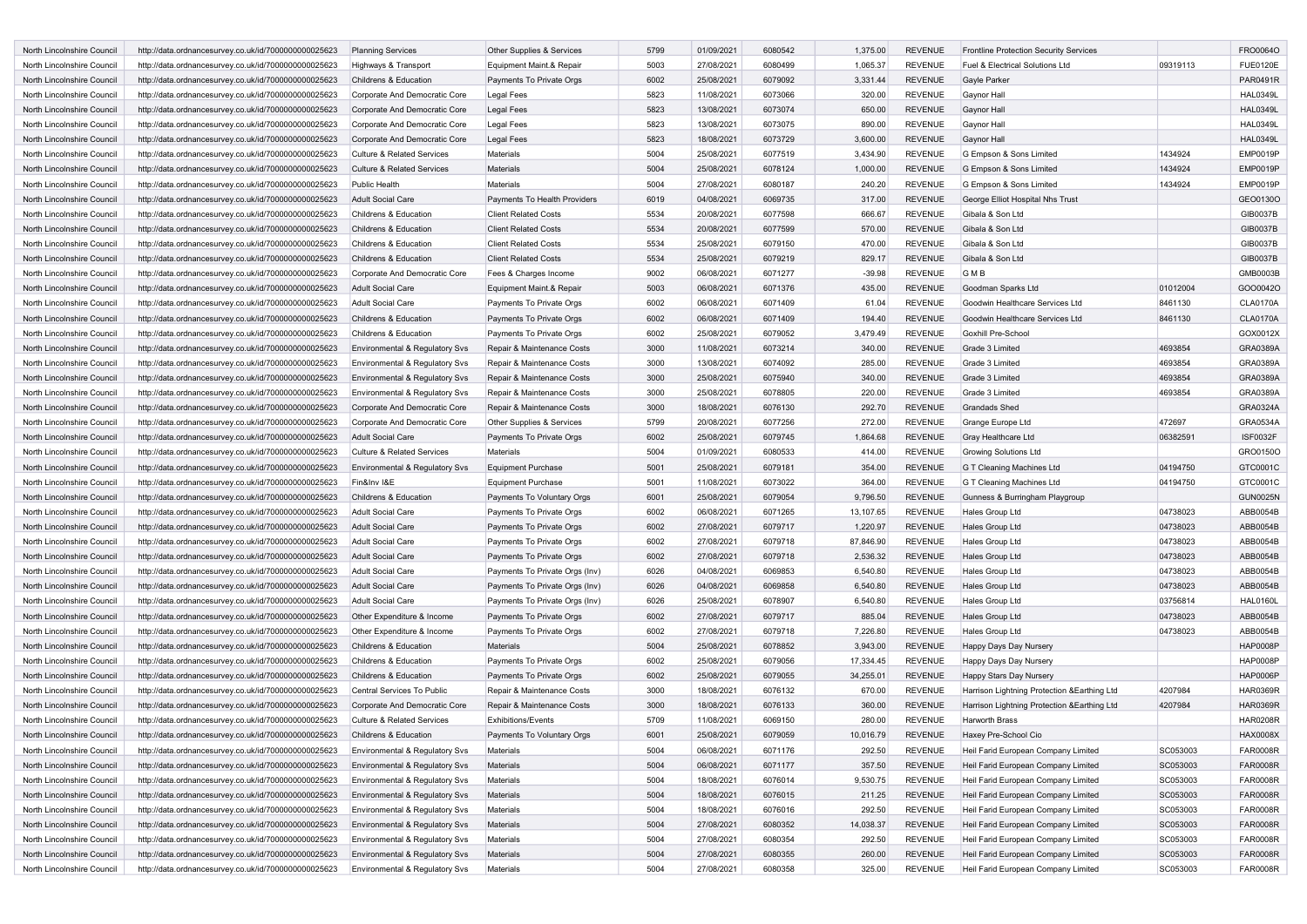| North Lincolnshire Council                               | http://data.ordnancesurvey.co.uk/id/7000000000025623                                                         | <b>Planning Services</b>                                        | Other Supplies & Services                                | 5799         | 01/09/2021 | 6080542 | 1,375.00         | <b>REVENUE</b> | <b>Frontline Protection Security Services</b> |                    | FRO0064O        |
|----------------------------------------------------------|--------------------------------------------------------------------------------------------------------------|-----------------------------------------------------------------|----------------------------------------------------------|--------------|------------|---------|------------------|----------------|-----------------------------------------------|--------------------|-----------------|
| North Lincolnshire Council                               | http://data.ordnancesurvey.co.uk/id/7000000000025623                                                         | Highways & Transport                                            | Equipment Maint.& Repair                                 | 5003         | 27/08/2021 | 6080499 | 1,065.37         | <b>REVENUE</b> | Fuel & Electrical Solutions Ltd               | 09319113           | <b>FUE0120E</b> |
| North Lincolnshire Council                               | http://data.ordnancesurvey.co.uk/id/7000000000025623                                                         | Childrens & Education                                           | Payments To Private Orgs                                 | 6002         | 25/08/2021 | 6079092 | 3,331.44         | <b>REVENUE</b> | Gayle Parker                                  |                    | PAR0491R        |
| North Lincolnshire Council                               | http://data.ordnancesurvey.co.uk/id/7000000000025623                                                         | Corporate And Democratic Core                                   | <b>Legal Fees</b>                                        | 5823         | 11/08/2021 | 6073066 | 320.00           | <b>REVENUE</b> | Gaynor Hall                                   |                    | <b>HAL0349L</b> |
| North Lincolnshire Council                               | http://data.ordnancesurvey.co.uk/id/7000000000025623                                                         | Corporate And Democratic Core                                   | <b>Legal Fees</b>                                        | 5823         | 13/08/2021 | 6073074 | 650.00           | <b>REVENUE</b> | Gaynor Hall                                   |                    | <b>HAL0349L</b> |
| North Lincolnshire Council                               | http://data.ordnancesurvey.co.uk/id/7000000000025623                                                         | Corporate And Democratic Core                                   | <b>Legal Fees</b>                                        | 5823         | 13/08/2021 | 6073075 | 890.00           | <b>REVENUE</b> | Gaynor Hall                                   |                    | <b>HAL0349L</b> |
| North Lincolnshire Council                               | http://data.ordnancesurvey.co.uk/id/7000000000025623                                                         | Corporate And Democratic Core                                   | <b>Legal Fees</b>                                        | 5823         | 18/08/2021 | 6073729 | 3,600.00         | <b>REVENUE</b> | <b>Gaynor Hall</b>                            |                    | <b>HAL0349L</b> |
| North Lincolnshire Council                               | http://data.ordnancesurvey.co.uk/id/7000000000025623                                                         | <b>Culture &amp; Related Services</b>                           | Materials                                                | 5004         | 25/08/2021 | 6077519 | 3,434.90         | <b>REVENUE</b> | G Empson & Sons Limited                       | 1434924            | <b>EMP0019P</b> |
| North Lincolnshire Council                               | http://data.ordnancesurvey.co.uk/id/7000000000025623                                                         | <b>Culture &amp; Related Services</b>                           | Materials                                                | 5004         | 25/08/2021 | 6078124 | 1,000.00         | <b>REVENUE</b> | G Empson & Sons Limited                       | 1434924            | <b>EMP0019P</b> |
| North Lincolnshire Council                               | http://data.ordnancesurvey.co.uk/id/7000000000025623                                                         | Public Health                                                   | Materials                                                | 5004         | 27/08/2021 | 6080187 | 240.20           | <b>REVENUE</b> | G Empson & Sons Limited                       | 1434924            | <b>EMP0019P</b> |
| North Lincolnshire Council                               | http://data.ordnancesurvey.co.uk/id/7000000000025623                                                         | <b>Adult Social Care</b>                                        | Payments To Health Providers                             | 6019         | 04/08/2021 | 6069735 | 317.00           | <b>REVENUE</b> | George Elliot Hospital Nhs Trust              |                    | GEO0130O        |
| North Lincolnshire Council                               | http://data.ordnancesurvey.co.uk/id/7000000000025623                                                         | Childrens & Education                                           | <b>Client Related Costs</b>                              | 5534         | 20/08/2021 | 6077598 | 666.67           | <b>REVENUE</b> | Gibala & Son Ltd                              |                    | GIB0037B        |
| North Lincolnshire Council                               | http://data.ordnancesurvey.co.uk/id/7000000000025623                                                         | Childrens & Education                                           | <b>Client Related Costs</b>                              | 5534         | 20/08/2021 | 6077599 | 570.00           | <b>REVENUE</b> | Gibala & Son Ltd                              |                    | GIB0037B        |
| North Lincolnshire Council                               | http://data.ordnancesurvey.co.uk/id/7000000000025623                                                         | Childrens & Education                                           | <b>Client Related Costs</b>                              | 5534         | 25/08/2021 | 6079150 | 470.00           | <b>REVENUE</b> | Gibala & Son Ltd                              |                    | GIB0037B        |
| North Lincolnshire Council                               | http://data.ordnancesurvey.co.uk/id/7000000000025623                                                         | Childrens & Education                                           | <b>Client Related Costs</b>                              | 5534         | 25/08/2021 | 6079219 | 829.17           | <b>REVENUE</b> | Gibala & Son Ltd                              |                    | GIB0037B        |
| North Lincolnshire Council                               | http://data.ordnancesurvey.co.uk/id/7000000000025623                                                         | Corporate And Democratic Core                                   | Fees & Charges Income                                    | 9002         | 06/08/2021 | 6071277 | $-39.98$         | <b>REVENUE</b> | <b>GMB</b>                                    |                    | GMB0003B        |
| North Lincolnshire Council                               | http://data.ordnancesurvey.co.uk/id/7000000000025623                                                         | <b>Adult Social Care</b>                                        | Equipment Maint.& Repair                                 | 5003         | 06/08/2021 | 6071376 | 435.00           | <b>REVENUE</b> | Goodman Sparks Ltd                            | 01012004           | GOO0042O        |
| North Lincolnshire Council                               | http://data.ordnancesurvey.co.uk/id/7000000000025623                                                         | Adult Social Care                                               | Payments To Private Orgs                                 | 6002         | 06/08/2021 | 6071409 | 61.04            | <b>REVENUE</b> | Goodwin Healthcare Services Ltd               | 8461130            | <b>CLA0170A</b> |
| North Lincolnshire Council                               | http://data.ordnancesurvey.co.uk/id/7000000000025623                                                         | Childrens & Education                                           | Payments To Private Orgs                                 | 6002         | 06/08/2021 | 6071409 | 194.40           | <b>REVENUE</b> | Goodwin Healthcare Services Ltd               | 8461130            | <b>CLA0170A</b> |
| North Lincolnshire Council                               | http://data.ordnancesurvey.co.uk/id/7000000000025623                                                         | Childrens & Education                                           | Payments To Private Orgs                                 | 6002         | 25/08/2021 | 6079052 | 3,479.49         | <b>REVENUE</b> | Goxhill Pre-School                            |                    | GOX0012X        |
| North Lincolnshire Council                               |                                                                                                              | Environmental & Regulatory Svs                                  | Repair & Maintenance Costs                               | 3000         | 11/08/2021 | 6073214 | 340.00           | <b>REVENUE</b> | Grade 3 Limited                               | 4693854            | GRA0389A        |
| North Lincolnshire Council                               | http://data.ordnancesurvey.co.uk/id/7000000000025623<br>http://data.ordnancesurvey.co.uk/id/7000000000025623 | Environmental & Regulatory Svs                                  | Repair & Maintenance Costs                               | 3000         | 13/08/2021 | 6074092 | 285.00           | <b>REVENUE</b> | Grade 3 Limited                               | 4693854            | GRA0389A        |
| North Lincolnshire Council                               |                                                                                                              |                                                                 |                                                          | 3000         | 25/08/2021 | 6075940 | 340.00           | <b>REVENUE</b> | Grade 3 Limited                               | 4693854            | GRA0389A        |
| North Lincolnshire Council                               | http://data.ordnancesurvey.co.uk/id/7000000000025623                                                         | Environmental & Regulatory Svs                                  | Repair & Maintenance Costs<br>Repair & Maintenance Costs | 3000         |            |         |                  | <b>REVENUE</b> | Grade 3 Limited                               |                    | GRA0389A        |
|                                                          | http://data.ordnancesurvey.co.uk/id/7000000000025623                                                         | Environmental & Regulatory Svs<br>Corporate And Democratic Core |                                                          | 3000         | 25/08/2021 | 6078805 | 220.00<br>292.70 | <b>REVENUE</b> | <b>Grandads Shed</b>                          | 4693854            | GRA0324A        |
| North Lincolnshire Council                               | http://data.ordnancesurvey.co.uk/id/7000000000025623                                                         | Corporate And Democratic Core                                   | Repair & Maintenance Costs                               |              | 18/08/2021 | 6076130 |                  |                | Grange Europe Ltd                             |                    | GRA0534A        |
| North Lincolnshire Council                               | http://data.ordnancesurvey.co.uk/id/7000000000025623                                                         |                                                                 | Other Supplies & Services                                | 5799<br>6002 | 20/08/2021 | 6077256 | 272.00           | <b>REVENUE</b> |                                               | 472697<br>06382591 | <b>ISF0032F</b> |
| North Lincolnshire Council<br>North Lincolnshire Council | http://data.ordnancesurvey.co.uk/id/7000000000025623                                                         | <b>Adult Social Care</b>                                        | Payments To Private Orgs                                 |              | 25/08/2021 | 6079745 | 1,864.68         | <b>REVENUE</b> | Gray Healthcare Ltd                           |                    | GRO0150O        |
|                                                          | http://data.ordnancesurvey.co.uk/id/7000000000025623                                                         | <b>Culture &amp; Related Services</b>                           | Materials                                                | 5004         | 01/09/2021 | 6080533 | 414.00           | <b>REVENUE</b> | <b>Growing Solutions Ltd</b>                  |                    |                 |
| North Lincolnshire Council                               | http://data.ordnancesurvey.co.uk/id/7000000000025623                                                         | Environmental & Regulatory Svs                                  | <b>Equipment Purchase</b>                                | 5001         | 25/08/2021 | 6079181 | 354.00           | <b>REVENUE</b> | G T Cleaning Machines Ltd                     | 04194750           | GTC0001C        |
| North Lincolnshire Council                               | http://data.ordnancesurvey.co.uk/id/7000000000025623                                                         | Fin&Inv I&E                                                     | <b>Equipment Purchase</b>                                | 5001         | 11/08/2021 | 6073022 | 364.00           | <b>REVENUE</b> | G T Cleaning Machines Ltd                     | 04194750           | GTC0001C        |
| North Lincolnshire Council                               | http://data.ordnancesurvey.co.uk/id/7000000000025623                                                         | Childrens & Education                                           | Payments To Voluntary Orgs                               | 6001         | 25/08/2021 | 6079054 | 9,796.50         | <b>REVENUE</b> | Gunness & Burringham Playgroup                |                    | <b>GUN0025N</b> |
| North Lincolnshire Council                               | http://data.ordnancesurvey.co.uk/id/7000000000025623                                                         | <b>Adult Social Care</b>                                        | Payments To Private Orgs                                 | 6002         | 06/08/2021 | 6071265 | 13,107.65        | <b>REVENUE</b> | <b>Hales Group Ltd</b>                        | 04738023           | ABB0054B        |
| North Lincolnshire Council                               | http://data.ordnancesurvey.co.uk/id/7000000000025623                                                         | <b>Adult Social Care</b>                                        | Payments To Private Orgs                                 | 6002         | 27/08/2021 | 6079717 | 1,220.97         | <b>REVENUE</b> | Hales Group Ltd                               | 04738023           | ABB0054B        |
| North Lincolnshire Council                               | http://data.ordnancesurvey.co.uk/id/7000000000025623                                                         | Adult Social Care                                               | Payments To Private Orgs                                 | 6002         | 27/08/2021 | 6079718 | 87,846.90        | <b>REVENUE</b> | <b>Hales Group Ltd</b>                        | 04738023           | ABB0054B        |
| North Lincolnshire Council                               | http://data.ordnancesurvey.co.uk/id/7000000000025623                                                         | <b>Adult Social Care</b>                                        | Payments To Private Orgs                                 | 6002         | 27/08/2021 | 6079718 | 2,536.32         | <b>REVENUE</b> | Hales Group Ltd                               | 04738023           | ABB0054B        |
| North Lincolnshire Council                               | http://data.ordnancesurvey.co.uk/id/7000000000025623                                                         | <b>Adult Social Care</b>                                        | Payments To Private Orgs (Inv)                           | 6026         | 04/08/2021 | 6069853 | 6,540.80         | <b>REVENUE</b> | Hales Group Ltd                               | 04738023           | ABB0054B        |
| North Lincolnshire Council                               | http://data.ordnancesurvey.co.uk/id/7000000000025623                                                         | Adult Social Care                                               | Payments To Private Orgs (Inv)                           | 6026         | 04/08/2021 | 6069858 | 6,540.80         | <b>REVENUE</b> | Hales Group Ltd                               | 04738023           | ABB0054B        |
| North Lincolnshire Council                               | http://data.ordnancesurvey.co.uk/id/7000000000025623                                                         | Adult Social Care                                               | Payments To Private Orgs (Inv)                           | 6026         | 25/08/2021 | 6078907 | 6,540.80         | <b>REVENUE</b> | Hales Group Ltd                               | 03756814           | <b>HAL0160L</b> |
| North Lincolnshire Council                               | http://data.ordnancesurvey.co.uk/id/7000000000025623                                                         | Other Expenditure & Income                                      | Payments To Private Orgs                                 | 6002         | 27/08/2021 | 6079717 | 885.04           | <b>REVENUE</b> | Hales Group Ltd                               | 04738023           | ABB0054B        |
| North Lincolnshire Council                               | http://data.ordnancesurvey.co.uk/id/7000000000025623                                                         | Other Expenditure & Income                                      | Payments To Private Orgs                                 | 6002         | 27/08/2021 | 6079718 | 7,226.80         | <b>REVENUE</b> | Hales Group Ltd                               | 04738023           | ABB0054B        |
| North Lincolnshire Council                               | http://data.ordnancesurvey.co.uk/id/7000000000025623                                                         | Childrens & Education                                           | Materials                                                | 5004         | 25/08/2021 | 6078852 | 3,943.00         | <b>REVENUE</b> | Happy Days Day Nursery                        |                    | <b>HAP0008P</b> |
| North Lincolnshire Council                               | http://data.ordnancesurvey.co.uk/id/7000000000025623                                                         | Childrens & Education                                           | Payments To Private Orgs                                 | 6002         | 25/08/2021 | 6079056 | 17,334.45        | <b>REVENUE</b> | Happy Days Day Nursery                        |                    | <b>HAP0008P</b> |
| North Lincolnshire Council                               | http://data.ordnancesurvey.co.uk/id/7000000000025623                                                         | Childrens & Education                                           | Payments To Private Orgs                                 | 6002         | 25/08/2021 | 6079055 | 34,255.01        | <b>REVENUE</b> | Happy Stars Day Nursery                       |                    | <b>HAP0006P</b> |
| North Lincolnshire Council                               | http://data.ordnancesurvey.co.uk/id/7000000000025623                                                         | Central Services To Public                                      | Repair & Maintenance Costs                               | 3000         | 18/08/2021 | 6076132 | 670.00           | <b>REVENUE</b> | Harrison Lightning Protection & Earthing Ltd  | 4207984            | <b>HAR0369R</b> |
| North Lincolnshire Council                               | http://data.ordnancesurvey.co.uk/id/7000000000025623                                                         | Corporate And Democratic Core                                   | Repair & Maintenance Costs                               | 3000         | 18/08/2021 | 6076133 | 360.00           | <b>REVENUE</b> | Harrison Lightning Protection & Earthing Ltd  | 4207984            | <b>HAR0369R</b> |
| North Lincolnshire Council                               | http://data.ordnancesurvey.co.uk/id/7000000000025623                                                         | <b>Culture &amp; Related Services</b>                           | <b>Exhibitions/Events</b>                                | 5709         | 11/08/2021 | 6069150 | 280.00           | <b>REVENUE</b> | Harworth Brass                                |                    | <b>HAR0208R</b> |
| North Lincolnshire Council                               | http://data.ordnancesurvey.co.uk/id/7000000000025623                                                         | Childrens & Education                                           | Payments To Voluntary Orgs                               | 6001         | 25/08/2021 | 6079059 | 10,016.79        | <b>REVENUE</b> | Haxey Pre-School Cio                          |                    | <b>HAX0008X</b> |
| North Lincolnshire Council                               | http://data.ordnancesurvey.co.uk/id/7000000000025623                                                         | Environmental & Regulatory Svs                                  | Materials                                                | 5004         | 06/08/2021 | 6071176 | 292.50           | <b>REVENUE</b> | Heil Farid European Company Limited           | SC053003           | FAR0008R        |
| North Lincolnshire Council                               | http://data.ordnancesurvey.co.uk/id/7000000000025623                                                         | <b>Environmental &amp; Regulatory Svs</b>                       | <b>Materials</b>                                         | 5004         | 06/08/2021 | 6071177 | 357.50           | <b>REVENUE</b> | Heil Farid European Company Limited           | SC053003           | FAR0008R        |
| North Lincolnshire Council                               | http://data.ordnancesurvey.co.uk/id/7000000000025623                                                         | Environmental & Regulatory Svs                                  | Materials                                                | 5004         | 18/08/2021 | 6076014 | 9,530.75         | <b>REVENUE</b> | Heil Farid European Company Limited           | SC053003           | FAR0008R        |
| North Lincolnshire Council                               | http://data.ordnancesurvey.co.uk/id/7000000000025623                                                         | Environmental & Regulatory Svs                                  | Materials                                                | 5004         | 18/08/2021 | 6076015 | 211.25           | <b>REVENUE</b> | Heil Farid European Company Limited           | SC053003           | FAR0008R        |
| North Lincolnshire Council                               | http://data.ordnancesurvey.co.uk/id/7000000000025623                                                         | Environmental & Regulatory Svs                                  | Materials                                                | 5004         | 18/08/2021 | 6076016 | 292.50           | <b>REVENUE</b> | Heil Farid European Company Limited           | SC053003           | FAR0008R        |
| North Lincolnshire Council                               | http://data.ordnancesurvey.co.uk/id/7000000000025623                                                         | Environmental & Regulatory Svs                                  | Materials                                                | 5004         | 27/08/2021 | 6080352 | 14,038.37        | <b>REVENUE</b> | Heil Farid European Company Limited           | SC053003           | FAR0008R        |
| North Lincolnshire Council                               | http://data.ordnancesurvey.co.uk/id/7000000000025623                                                         | Environmental & Regulatory Svs                                  | Materials                                                | 5004         | 27/08/2021 | 6080354 | 292.50           | <b>REVENUE</b> | Heil Farid European Company Limited           | SC053003           | FAR0008R        |
| North Lincolnshire Council                               | http://data.ordnancesurvey.co.uk/id/7000000000025623                                                         | Environmental & Regulatory Svs                                  | Materials                                                | 5004         | 27/08/2021 | 6080355 | 260.00           | <b>REVENUE</b> | Heil Farid European Company Limited           | SC053003           | FAR0008R        |
| North Lincolnshire Council                               | http://data.ordnancesurvey.co.uk/id/7000000000025623                                                         | Environmental & Regulatory Svs                                  | Materials                                                | 5004         | 27/08/2021 | 6080358 | 325.00           | <b>REVENUE</b> | Heil Farid European Company Limited           | SC053003           | <b>FAR0008R</b> |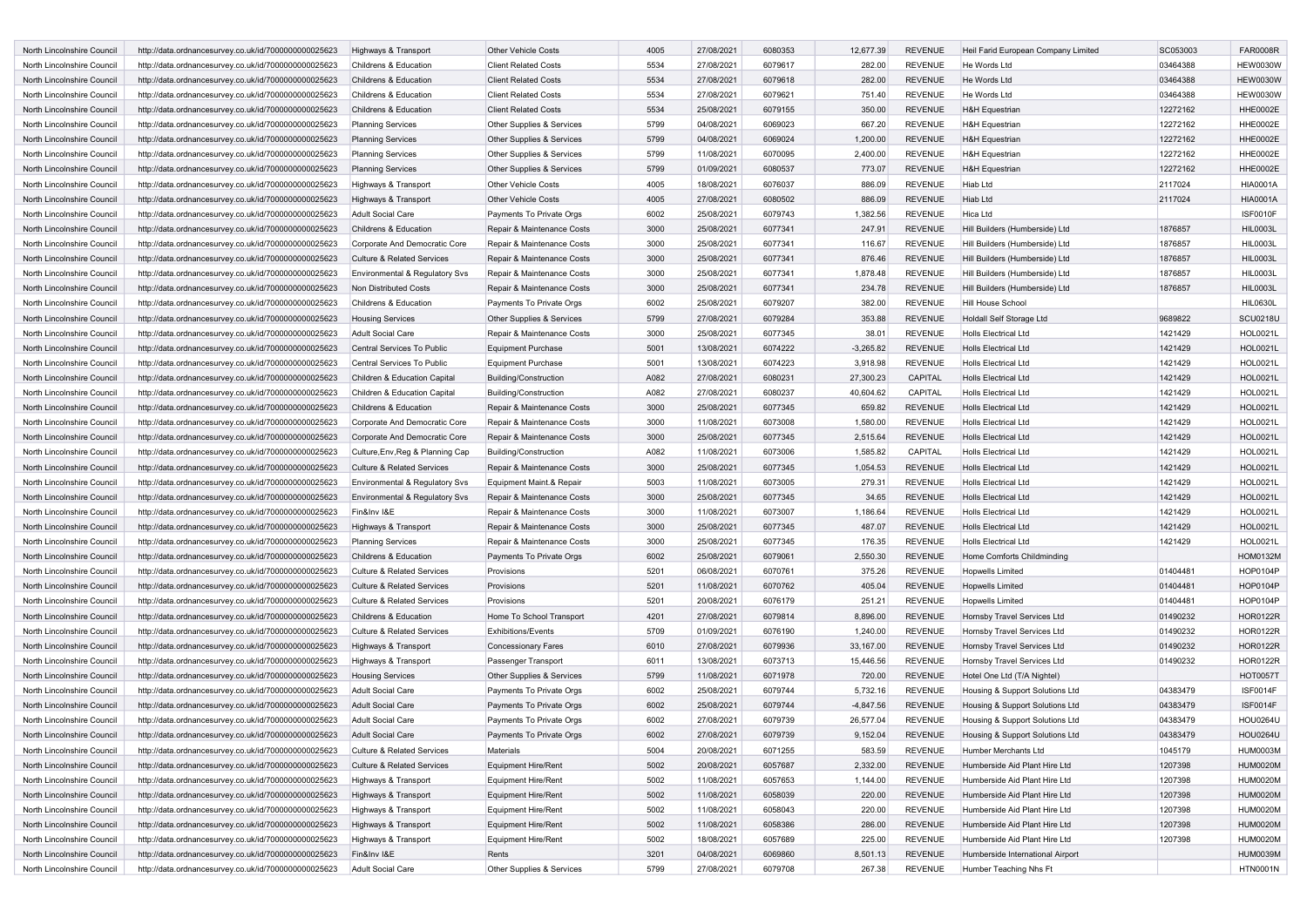| North Lincolnshire Council                               | http://data.ordnancesurvey.co.uk/id/7000000000025623 | Highways & Transport                  | <b>Other Vehicle Costs</b>           | 4005 | 27/08/2021 | 6080353 | 12,677.39   | <b>REVENUE</b> | Heil Farid European Company Limited | SC053003 | <b>FAR0008R</b> |
|----------------------------------------------------------|------------------------------------------------------|---------------------------------------|--------------------------------------|------|------------|---------|-------------|----------------|-------------------------------------|----------|-----------------|
| North Lincolnshire Council                               | http://data.ordnancesurvey.co.uk/id/7000000000025623 | Childrens & Education                 | <b>Client Related Costs</b>          | 5534 | 27/08/2021 | 6079617 | 282.00      | <b>REVENUE</b> | He Words Ltd                        | 03464388 | <b>HEW0030W</b> |
| North Lincolnshire Council                               | http://data.ordnancesurvey.co.uk/id/7000000000025623 | Childrens & Education                 | <b>Client Related Costs</b>          | 5534 | 27/08/2021 | 6079618 | 282.00      | <b>REVENUE</b> | He Words Ltd                        | 03464388 | <b>HEW0030W</b> |
| North Lincolnshire Council                               | http://data.ordnancesurvey.co.uk/id/7000000000025623 | Childrens & Education                 | <b>Client Related Costs</b>          | 5534 | 27/08/2021 | 6079621 | 751.40      | <b>REVENUE</b> | He Words Ltd                        | 03464388 | <b>HEW0030W</b> |
| North Lincolnshire Council                               | http://data.ordnancesurvey.co.uk/id/7000000000025623 | Childrens & Education                 | <b>Client Related Costs</b>          | 5534 | 25/08/2021 | 6079155 | 350.00      | <b>REVENUE</b> | <b>H&amp;H Equestrian</b>           | 12272162 | <b>HHE0002E</b> |
| North Lincolnshire Council                               | http://data.ordnancesurvey.co.uk/id/7000000000025623 | <b>Planning Services</b>              | Other Supplies & Services            | 5799 | 04/08/2021 | 6069023 | 667.20      | <b>REVENUE</b> | <b>H&amp;H Equestrian</b>           | 12272162 | HHE0002E        |
| North Lincolnshire Council                               | http://data.ordnancesurvey.co.uk/id/7000000000025623 | <b>Planning Services</b>              | Other Supplies & Services            | 5799 | 04/08/2021 | 6069024 | 1,200.00    | <b>REVENUE</b> | <b>H&amp;H Equestrian</b>           | 12272162 | <b>HHE0002E</b> |
| North Lincolnshire Council                               | http://data.ordnancesurvey.co.uk/id/7000000000025623 | <b>Planning Services</b>              | Other Supplies & Services            | 5799 | 11/08/2021 | 6070095 | 2,400.00    | <b>REVENUE</b> | <b>H&amp;H Equestrian</b>           | 12272162 | <b>HHE0002E</b> |
| North Lincolnshire Council                               | http://data.ordnancesurvey.co.uk/id/7000000000025623 | <b>Planning Services</b>              | Other Supplies & Services            | 5799 | 01/09/2021 | 6080537 | 773.07      | <b>REVENUE</b> | <b>H&amp;H Equestrian</b>           | 12272162 | <b>HHE0002E</b> |
| North Lincolnshire Council                               | http://data.ordnancesurvey.co.uk/id/7000000000025623 | Highways & Transport                  | <b>Other Vehicle Costs</b>           | 4005 | 18/08/2021 | 6076037 | 886.09      | <b>REVENUE</b> | Hiab Ltd                            | 2117024  | <b>HIA0001A</b> |
| North Lincolnshire Council                               | http://data.ordnancesurvey.co.uk/id/7000000000025623 | Highways & Transport                  | <b>Other Vehicle Costs</b>           | 4005 | 27/08/2021 | 6080502 | 886.09      | <b>REVENUE</b> | Hiab Ltd                            | 2117024  | <b>HIA0001A</b> |
| North Lincolnshire Council                               | http://data.ordnancesurvey.co.uk/id/7000000000025623 | Adult Social Care                     | Payments To Private Orgs             | 6002 | 25/08/2021 | 6079743 | 1,382.56    | <b>REVENUE</b> | Hica Ltd                            |          | <b>ISF0010F</b> |
| North Lincolnshire Council                               | http://data.ordnancesurvey.co.uk/id/7000000000025623 | Childrens & Education                 | Repair & Maintenance Costs           | 3000 | 25/08/2021 | 6077341 | 247.91      | <b>REVENUE</b> | Hill Builders (Humberside) Ltd      | 1876857  | <b>HIL0003L</b> |
| North Lincolnshire Council                               | http://data.ordnancesurvey.co.uk/id/7000000000025623 | Corporate And Democratic Core         | Repair & Maintenance Costs           | 3000 | 25/08/2021 | 6077341 | 116.67      | <b>REVENUE</b> | Hill Builders (Humberside) Ltd      | 1876857  | <b>HIL0003L</b> |
| North Lincolnshire Council                               | http://data.ordnancesurvey.co.uk/id/7000000000025623 | <b>Culture &amp; Related Services</b> | Repair & Maintenance Costs           | 3000 | 25/08/2021 | 6077341 | 876.46      | <b>REVENUE</b> | Hill Builders (Humberside) Ltd      | 1876857  | <b>HIL0003L</b> |
| North Lincolnshire Council                               | http://data.ordnancesurvey.co.uk/id/7000000000025623 | Environmental & Regulatory Svs        | Repair & Maintenance Costs           | 3000 | 25/08/2021 | 6077341 | 1,878.48    | <b>REVENUE</b> | Hill Builders (Humberside) Ltd      | 1876857  | <b>HIL0003L</b> |
| North Lincolnshire Council                               | http://data.ordnancesurvey.co.uk/id/7000000000025623 | Non Distributed Costs                 | Repair & Maintenance Costs           | 3000 | 25/08/2021 | 6077341 | 234.78      | <b>REVENUE</b> | Hill Builders (Humberside) Ltd      | 1876857  | <b>HIL0003L</b> |
| North Lincolnshire Council                               | http://data.ordnancesurvey.co.uk/id/7000000000025623 | Childrens & Education                 | Payments To Private Orgs             | 6002 | 25/08/2021 | 6079207 | 382.00      | <b>REVENUE</b> | Hill House School                   |          | <b>HIL0630L</b> |
| North Lincolnshire Council                               |                                                      |                                       |                                      | 5799 | 27/08/2021 | 6079284 | 353.88      | <b>REVENUE</b> | Holdall Self Storage Ltd            | 9689822  | <b>SCU0218U</b> |
|                                                          | http://data.ordnancesurvey.co.uk/id/7000000000025623 | <b>Housing Services</b>               | <b>Other Supplies &amp; Services</b> | 3000 | 25/08/2021 | 6077345 | 38.01       | <b>REVENUE</b> | <b>Holls Electrical Ltd</b>         | 1421429  | <b>HOL0021L</b> |
| North Lincolnshire Council<br>North Lincolnshire Council | http://data.ordnancesurvey.co.uk/id/7000000000025623 | <b>Adult Social Care</b>              | Repair & Maintenance Costs           |      |            |         |             |                |                                     |          |                 |
|                                                          | http://data.ordnancesurvey.co.uk/id/7000000000025623 | Central Services To Public            | <b>Equipment Purchase</b>            | 5001 | 13/08/2021 | 6074222 | $-3,265.82$ | <b>REVENUE</b> | <b>Holls Electrical Ltd</b>         | 1421429  | <b>HOL0021L</b> |
| North Lincolnshire Council                               | http://data.ordnancesurvey.co.uk/id/7000000000025623 | Central Services To Public            | Equipment Purchase                   | 5001 | 13/08/2021 | 6074223 | 3,918.98    | <b>REVENUE</b> | <b>Holls Electrical Ltd</b>         | 1421429  | <b>HOL0021L</b> |
| North Lincolnshire Council                               | http://data.ordnancesurvey.co.uk/id/7000000000025623 | Children & Education Capital          | <b>Building/Construction</b>         | A082 | 27/08/2021 | 6080231 | 27,300.23   | CAPITAL        | <b>Holls Electrical Ltd</b>         | 1421429  | HOL0021L        |
| North Lincolnshire Council                               | http://data.ordnancesurvey.co.uk/id/7000000000025623 | Children & Education Capital          | <b>Building/Construction</b>         | A082 | 27/08/2021 | 6080237 | 40,604.62   | CAPITAL        | <b>Holls Electrical Ltd</b>         | 1421429  | HOL0021L        |
| North Lincolnshire Council                               | http://data.ordnancesurvey.co.uk/id/7000000000025623 | Childrens & Education                 | Repair & Maintenance Costs           | 3000 | 25/08/2021 | 6077345 | 659.82      | <b>REVENUE</b> | <b>Holls Electrical Ltd</b>         | 1421429  | <b>HOL0021L</b> |
| North Lincolnshire Council                               | http://data.ordnancesurvey.co.uk/id/7000000000025623 | Corporate And Democratic Core         | Repair & Maintenance Costs           | 3000 | 11/08/2021 | 6073008 | 1,580.00    | <b>REVENUE</b> | <b>Holls Electrical Ltd</b>         | 1421429  | <b>HOL0021L</b> |
| North Lincolnshire Council                               | http://data.ordnancesurvey.co.uk/id/7000000000025623 | Corporate And Democratic Core         | Repair & Maintenance Costs           | 3000 | 25/08/2021 | 6077345 | 2,515.64    | <b>REVENUE</b> | <b>Holls Electrical Ltd</b>         | 1421429  | <b>HOL0021L</b> |
| North Lincolnshire Council                               | http://data.ordnancesurvey.co.uk/id/7000000000025623 | Culture, Env, Reg & Planning Cap      | Building/Construction                | A082 | 11/08/2021 | 6073006 | 1,585.82    | CAPITAL        | <b>Holls Electrical Ltd</b>         | 1421429  | HOL0021L        |
| North Lincolnshire Council                               | http://data.ordnancesurvey.co.uk/id/7000000000025623 | <b>Culture &amp; Related Services</b> | Repair & Maintenance Costs           | 3000 | 25/08/2021 | 6077345 | 1,054.53    | <b>REVENUE</b> | <b>Holls Electrical Ltd</b>         | 1421429  | <b>HOL0021L</b> |
| North Lincolnshire Council                               | http://data.ordnancesurvey.co.uk/id/7000000000025623 | Environmental & Regulatory Svs        | Equipment Maint.& Repair             | 5003 | 11/08/2021 | 6073005 | 279.31      | <b>REVENUE</b> | <b>Holls Electrical Ltd</b>         | 1421429  | <b>HOL0021L</b> |
| North Lincolnshire Council                               | http://data.ordnancesurvey.co.uk/id/7000000000025623 | Environmental & Regulatory Svs        | Repair & Maintenance Costs           | 3000 | 25/08/2021 | 6077345 | 34.65       | <b>REVENUE</b> | <b>Holls Electrical Ltd</b>         | 1421429  | <b>HOL0021L</b> |
| North Lincolnshire Council                               | http://data.ordnancesurvey.co.uk/id/7000000000025623 | Fin&Inv I&E                           | Repair & Maintenance Costs           | 3000 | 11/08/2021 | 6073007 | 1,186.64    | <b>REVENUE</b> | <b>Holls Electrical Ltd</b>         | 1421429  | <b>HOL0021L</b> |
| North Lincolnshire Council                               | http://data.ordnancesurvey.co.uk/id/7000000000025623 | Highways & Transport                  | Repair & Maintenance Costs           | 3000 | 25/08/2021 | 6077345 | 487.07      | <b>REVENUE</b> | <b>Holls Electrical Ltd</b>         | 1421429  | HOL0021L        |
| North Lincolnshire Council                               | http://data.ordnancesurvey.co.uk/id/7000000000025623 | <b>Planning Services</b>              | Repair & Maintenance Costs           | 3000 | 25/08/2021 | 6077345 | 176.35      | <b>REVENUE</b> | <b>Holls Electrical Ltd</b>         | 1421429  | HOL0021L        |
| North Lincolnshire Council                               | http://data.ordnancesurvey.co.uk/id/7000000000025623 | Childrens & Education                 | Payments To Private Orgs             | 6002 | 25/08/2021 | 6079061 | 2,550.30    | <b>REVENUE</b> | Home Comforts Childminding          |          | <b>HOM0132M</b> |
| North Lincolnshire Council                               | http://data.ordnancesurvey.co.uk/id/7000000000025623 | <b>Culture &amp; Related Services</b> | Provisions                           | 5201 | 06/08/2021 | 6070761 | 375.26      | <b>REVENUE</b> | Hopwells Limited                    | 01404481 | <b>HOP0104P</b> |
| North Lincolnshire Council                               | http://data.ordnancesurvey.co.uk/id/7000000000025623 | <b>Culture &amp; Related Services</b> | Provisions                           | 5201 | 11/08/2021 | 6070762 | 405.04      | <b>REVENUE</b> | Hopwells Limited                    | 01404481 | <b>HOP0104P</b> |
| North Lincolnshire Council                               | http://data.ordnancesurvey.co.uk/id/7000000000025623 | <b>Culture &amp; Related Services</b> | Provisions                           | 5201 | 20/08/2021 | 6076179 | 251.21      | <b>REVENUE</b> | Hopwells Limited                    | 01404481 | HOP0104P        |
| North Lincolnshire Council                               | http://data.ordnancesurvey.co.uk/id/7000000000025623 | Childrens & Education                 | Home To School Transport             | 4201 | 27/08/2021 | 6079814 | 8,896.00    | <b>REVENUE</b> | <b>Hornsby Travel Services Ltd</b>  | 01490232 | <b>HOR0122R</b> |
| North Lincolnshire Council                               | http://data.ordnancesurvey.co.uk/id/7000000000025623 | Culture & Related Services            | <b>Exhibitions/Events</b>            | 5709 | 01/09/2021 | 6076190 | 1,240.00    | <b>REVENUE</b> | Hornsby Travel Services Ltd         | 01490232 | <b>HOR0122R</b> |
| North Lincolnshire Council                               | http://data.ordnancesurvey.co.uk/id/7000000000025623 | Highways & Transport                  | <b>Concessionary Fares</b>           | 6010 | 27/08/2021 | 6079936 | 33,167.00   | <b>REVENUE</b> | Hornsby Travel Services Ltd         | 01490232 | <b>HOR0122R</b> |
| North Lincolnshire Council                               | http://data.ordnancesurvey.co.uk/id/7000000000025623 | Highways & Transport                  | Passenger Transport                  | 6011 | 13/08/2021 | 6073713 | 15,446.56   | <b>REVENUE</b> | Hornsby Travel Services Ltd         | 01490232 | <b>HOR0122R</b> |
| North Lincolnshire Council                               | http://data.ordnancesurvey.co.uk/id/7000000000025623 | <b>Housing Services</b>               | <b>Other Supplies &amp; Services</b> | 5799 | 11/08/2021 | 6071978 | 720.00      | <b>REVENUE</b> | Hotel One Ltd (T/A Nightel)         |          | <b>HOT0057T</b> |
| North Lincolnshire Council                               | http://data.ordnancesurvey.co.uk/id/7000000000025623 | <b>Adult Social Care</b>              | Payments To Private Orgs             | 6002 | 25/08/2021 | 6079744 | 5,732.16    | <b>REVENUE</b> | Housing & Support Solutions Ltd     | 04383479 | <b>ISF0014F</b> |
| North Lincolnshire Council                               | http://data.ordnancesurvey.co.uk/id/7000000000025623 | <b>Adult Social Care</b>              | Payments To Private Orgs             | 6002 | 25/08/2021 | 6079744 | $-4,847.56$ | <b>REVENUE</b> | Housing & Support Solutions Ltd     | 04383479 | <b>ISF0014F</b> |
| North Lincolnshire Council                               | http://data.ordnancesurvey.co.uk/id/7000000000025623 | <b>Adult Social Care</b>              | Payments To Private Orgs             | 6002 | 27/08/2021 | 6079739 | 26,577.04   | <b>REVENUE</b> | Housing & Support Solutions Ltd     | 04383479 | <b>HOU0264U</b> |
| North Lincolnshire Council                               | http://data.ordnancesurvey.co.uk/id/7000000000025623 | Adult Social Care                     | Payments To Private Orgs             | 6002 | 27/08/2021 | 6079739 | 9,152.04    | <b>REVENUE</b> | Housing & Support Solutions Ltd     | 04383479 | <b>HOU0264U</b> |
| North Lincolnshire Council                               | http://data.ordnancesurvey.co.uk/id/7000000000025623 | Culture & Related Services            | Materials                            | 5004 | 20/08/2021 | 6071255 | 583.59      | <b>REVENUE</b> | Humber Merchants Ltd                | 1045179  | <b>HUM0003M</b> |
| North Lincolnshire Council                               | http://data.ordnancesurvey.co.uk/id/7000000000025623 | <b>Culture &amp; Related Services</b> | <b>Equipment Hire/Rent</b>           | 5002 | 20/08/2021 | 6057687 | 2,332.00    | <b>REVENUE</b> | Humberside Aid Plant Hire Ltd       | 1207398  | <b>HUM0020M</b> |
| North Lincolnshire Council                               | http://data.ordnancesurvey.co.uk/id/7000000000025623 | Highways & Transport                  | Equipment Hire/Rent                  | 5002 | 11/08/2021 | 6057653 | 1,144.00    | <b>REVENUE</b> | Humberside Aid Plant Hire Ltd       | 1207398  | <b>HUM0020M</b> |
| North Lincolnshire Council                               | http://data.ordnancesurvey.co.uk/id/7000000000025623 | Highways & Transport                  | <b>Equipment Hire/Rent</b>           | 5002 | 11/08/2021 | 6058039 | 220.00      | <b>REVENUE</b> | Humberside Aid Plant Hire Ltd       | 1207398  | <b>HUM0020M</b> |
| North Lincolnshire Council                               | http://data.ordnancesurvey.co.uk/id/7000000000025623 | Highways & Transport                  | <b>Equipment Hire/Rent</b>           | 5002 | 11/08/2021 | 6058043 | 220.00      | <b>REVENUE</b> | Humberside Aid Plant Hire Ltd       | 1207398  | <b>HUM0020M</b> |
| North Lincolnshire Council                               | http://data.ordnancesurvey.co.uk/id/7000000000025623 | Highways & Transport                  | <b>Equipment Hire/Rent</b>           | 5002 | 11/08/2021 | 6058386 | 286.00      | <b>REVENUE</b> | Humberside Aid Plant Hire Ltd       | 1207398  | <b>HUM0020M</b> |
| North Lincolnshire Council                               | http://data.ordnancesurvey.co.uk/id/7000000000025623 | Highways & Transport                  | Equipment Hire/Rent                  | 5002 | 18/08/2021 | 6057689 | 225.00      | <b>REVENUE</b> | Humberside Aid Plant Hire Ltd       | 1207398  | <b>HUM0020M</b> |
| North Lincolnshire Council                               | http://data.ordnancesurvey.co.uk/id/7000000000025623 | Fin&Inv I&E                           | Rents                                | 3201 | 04/08/2021 | 6069860 | 8,501.13    | <b>REVENUE</b> | Humberside International Airport    |          | <b>HUM0039M</b> |
| North Lincolnshire Council                               | http://data.ordnancesurvey.co.uk/id/7000000000025623 | Adult Social Care                     | Other Supplies & Services            | 5799 | 27/08/2021 | 6079708 | 267.38      | <b>REVENUE</b> | Humber Teaching Nhs Ft              |          | <b>HTN0001N</b> |
|                                                          |                                                      |                                       |                                      |      |            |         |             |                |                                     |          |                 |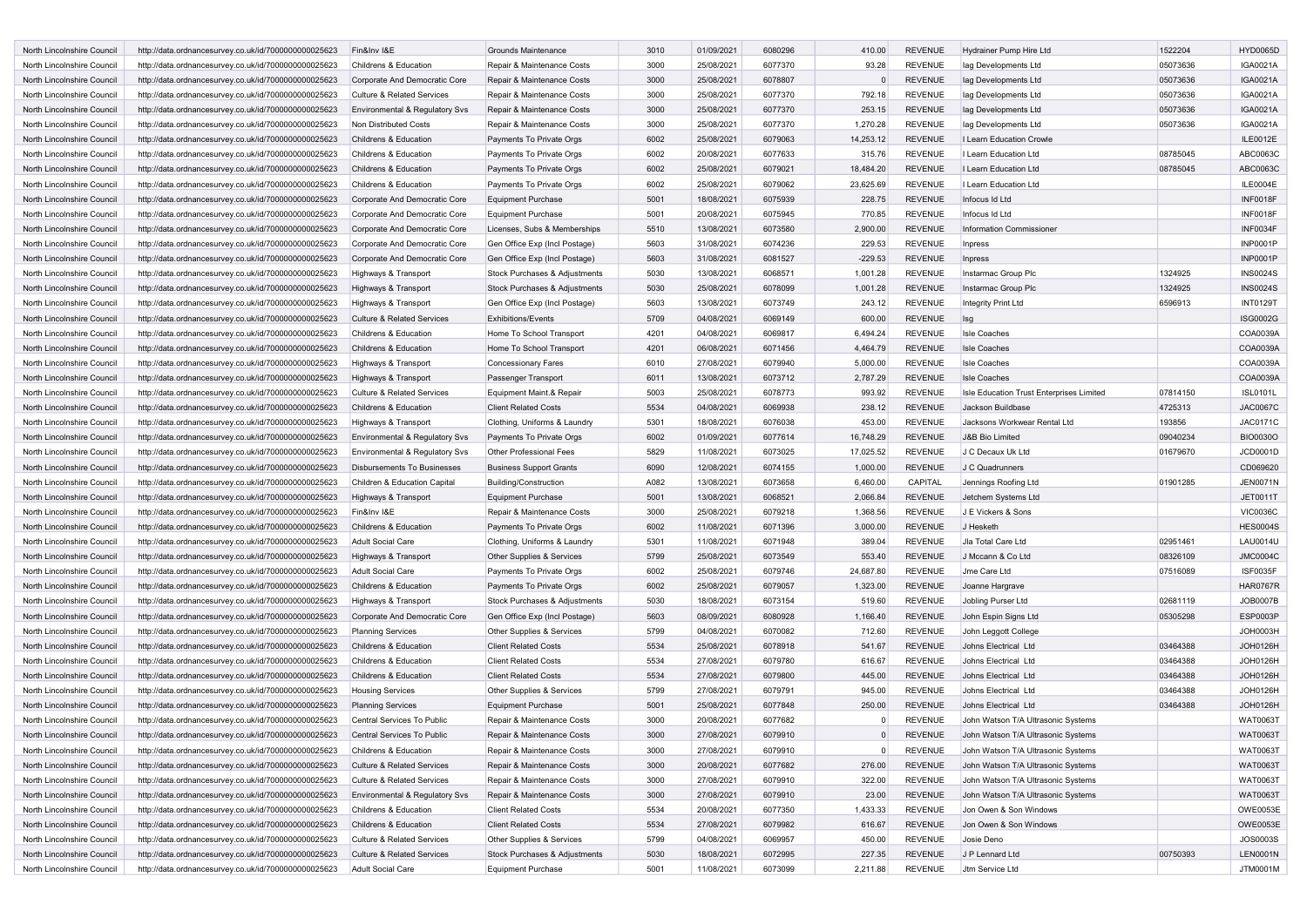| <b>North Lincolnshire Council</b>                        | http://data.ordnancesurvey.co.uk/id/7000000000025623                                                         | Fin&Inv I&E                                     | Grounds Maintenance                                        | 3010         | 01/09/2021               | 6080296            | 410.00             | <b>REVENUE</b>                   | Hydrainer Pump Hire Ltd                      | 1522204              | <b>HYD0065D</b>                    |
|----------------------------------------------------------|--------------------------------------------------------------------------------------------------------------|-------------------------------------------------|------------------------------------------------------------|--------------|--------------------------|--------------------|--------------------|----------------------------------|----------------------------------------------|----------------------|------------------------------------|
| North Lincolnshire Council                               | http://data.ordnancesurvey.co.uk/id/7000000000025623                                                         | Childrens & Education                           | Repair & Maintenance Costs                                 | 3000         | 25/08/2021               | 6077370            | 93.28              | REVENUE                          | lag Developments Ltd                         | 05073636             | IGA0021A                           |
| North Lincolnshire Council                               | http://data.ordnancesurvey.co.uk/id/7000000000025623                                                         | Corporate And Democratic Core                   | Repair & Maintenance Costs                                 | 3000         | 25/08/2021               | 6078807            | $\Omega$           | <b>REVENUE</b>                   | lag Developments Ltd                         | 05073636             | IGA0021A                           |
| North Lincolnshire Council                               | http://data.ordnancesurvey.co.uk/id/7000000000025623                                                         | <b>Culture &amp; Related Services</b>           | Repair & Maintenance Costs                                 | 3000         | 25/08/2021               | 6077370            | 792.18             | <b>REVENUE</b>                   | lag Developments Ltd                         | 05073636             | IGA0021A                           |
| North Lincolnshire Council                               | http://data.ordnancesurvey.co.uk/id/7000000000025623                                                         | Environmental & Regulatory Svs                  | Repair & Maintenance Costs                                 | 3000         | 25/08/2021               | 6077370            | 253.15             | <b>REVENUE</b>                   | lag Developments Ltd                         | 05073636             | IGA0021A                           |
| North Lincolnshire Council                               | http://data.ordnancesurvey.co.uk/id/7000000000025623                                                         | Non Distributed Costs                           | Repair & Maintenance Costs                                 | 3000         | 25/08/2021               | 6077370            | 1,270.28           | <b>REVENUE</b>                   | lag Developments Ltd                         | 05073636             | IGA0021A                           |
| North Lincolnshire Council                               | http://data.ordnancesurvey.co.uk/id/7000000000025623                                                         | Childrens & Education                           | Payments To Private Orgs                                   | 6002         | 25/08/2021               | 6079063            | 14,253.12          | <b>REVENUE</b>                   | I Learn Education Crowle                     |                      | ILE0012E                           |
| North Lincolnshire Council                               | http://data.ordnancesurvey.co.uk/id/7000000000025623                                                         | Childrens & Education                           | Payments To Private Orgs                                   | 6002         | 20/08/2021               | 6077633            | 315.76             | <b>REVENUE</b>                   | I Learn Education Ltd                        | 08785045             | ABC0063C                           |
| North Lincolnshire Council                               | http://data.ordnancesurvey.co.uk/id/7000000000025623                                                         | Childrens & Education                           | Payments To Private Orgs                                   | 6002         | 25/08/2021               | 6079021            | 18,484.20          | <b>REVENUE</b>                   | I Learn Education Ltd                        | 08785045             | ABC0063C                           |
| North Lincolnshire Council                               | http://data.ordnancesurvey.co.uk/id/7000000000025623                                                         | Childrens & Education                           | Payments To Private Orgs                                   | 6002         | 25/08/2021               | 6079062            | 23,625.69          | <b>REVENUE</b>                   | I Learn Education Ltd                        |                      | ILE0004E                           |
| North Lincolnshire Council                               | http://data.ordnancesurvey.co.uk/id/7000000000025623                                                         | Corporate And Democratic Core                   | <b>Equipment Purchase</b>                                  | 5001         | 18/08/2021               | 6075939            | 228.75             | <b>REVENUE</b>                   | Infocus Id Ltd                               |                      | <b>INF0018F</b>                    |
| North Lincolnshire Council                               | http://data.ordnancesurvey.co.uk/id/7000000000025623                                                         | Corporate And Democratic Core                   | <b>Equipment Purchase</b>                                  | 5001         | 20/08/2021               | 6075945            | 770.85             | <b>REVENUE</b>                   | Infocus Id Ltd                               |                      | <b>INF0018F</b>                    |
| North Lincolnshire Council                               | http://data.ordnancesurvey.co.uk/id/7000000000025623                                                         | Corporate And Democratic Core                   | Licenses, Subs & Memberships                               | 5510         | 13/08/2021               | 6073580            | 2,900.00           | <b>REVENUE</b>                   | <b>Information Commissioner</b>              |                      | INF0034F                           |
| North Lincolnshire Council                               | http://data.ordnancesurvey.co.uk/id/7000000000025623                                                         | Corporate And Democratic Core                   | Gen Office Exp (Incl Postage)                              | 5603         | 31/08/2021               | 6074236            | 229.53             | <b>REVENUE</b>                   | Inpress                                      |                      | <b>INP0001P</b>                    |
| North Lincolnshire Council                               | http://data.ordnancesurvey.co.uk/id/7000000000025623                                                         | Corporate And Democratic Core                   | Gen Office Exp (Incl Postage)                              | 5603         | 31/08/2021               | 6081527            | $-229.53$          | <b>REVENUE</b>                   | Inpress                                      |                      | <b>INP0001P</b>                    |
| North Lincolnshire Council                               | http://data.ordnancesurvey.co.uk/id/7000000000025623                                                         | Highways & Transport                            | Stock Purchases & Adjustments                              | 5030         | 13/08/2021               | 6068571            | 1,001.28           | <b>REVENUE</b>                   | Instarmac Group Plc                          | 1324925              | <b>INS0024S</b>                    |
| North Lincolnshire Council                               | http://data.ordnancesurvey.co.uk/id/7000000000025623                                                         | Highways & Transport                            | Stock Purchases & Adjustments                              | 5030         | 25/08/2021               | 6078099            | 1,001.28           | <b>REVENUE</b>                   | Instarmac Group Plc                          | 1324925              | <b>INS0024S</b>                    |
| North Lincolnshire Council                               | http://data.ordnancesurvey.co.uk/id/7000000000025623                                                         | Highways & Transport                            | Gen Office Exp (Incl Postage)                              | 5603         | 13/08/2021               | 6073749            | 243.12             | <b>REVENUE</b>                   | Integrity Print Ltd                          | 6596913              | <b>INT0129T</b>                    |
| North Lincolnshire Council                               | http://data.ordnancesurvey.co.uk/id/7000000000025623                                                         | Culture & Related Services                      | <b>Exhibitions/Events</b>                                  | 5709         | 04/08/2021               | 6069149            | 600.00             | <b>REVENUE</b>                   | Isg                                          |                      | <b>ISG0002G</b>                    |
| North Lincolnshire Council                               | http://data.ordnancesurvey.co.uk/id/7000000000025623                                                         | Childrens & Education                           | Home To School Transport                                   | 4201         | 04/08/2021               | 6069817            | 6,494.24           | <b>REVENUE</b>                   | <b>Isle Coaches</b>                          |                      | COA0039A                           |
| North Lincolnshire Council                               | http://data.ordnancesurvey.co.uk/id/7000000000025623                                                         | Childrens & Education                           | Home To School Transport                                   | 4201         | 06/08/2021               | 6071456            | 4,464.79           | <b>REVENUE</b>                   | <b>Isle Coaches</b>                          |                      | COA0039A                           |
| North Lincolnshire Council                               | http://data.ordnancesurvey.co.uk/id/7000000000025623                                                         | Highways & Transport                            | <b>Concessionary Fares</b>                                 | 6010         | 27/08/2021               | 6079940            | 5,000.00           | <b>REVENUE</b>                   | <b>Isle Coaches</b>                          |                      | COA0039A                           |
| North Lincolnshire Council                               | http://data.ordnancesurvey.co.uk/id/7000000000025623                                                         | Highways & Transport                            | Passenger Transport                                        | 6011         | 13/08/2021               | 6073712            | 2,787.29           | <b>REVENUE</b>                   | <b>Isle Coaches</b>                          |                      | COA0039A                           |
| North Lincolnshire Council                               | http://data.ordnancesurvey.co.uk/id/7000000000025623                                                         | <b>Culture &amp; Related Services</b>           | Equipment Maint.& Repair                                   | 5003         | 25/08/2021               | 6078773            | 993.92             | <b>REVENUE</b>                   | Isle Education Trust Enterprises Limited     | 07814150             | <b>ISL0101L</b>                    |
| North Lincolnshire Council                               | http://data.ordnancesurvey.co.uk/id/7000000000025623                                                         | Childrens & Education                           | <b>Client Related Costs</b>                                | 5534         | 04/08/2021               | 6069938            | 238.12             | <b>REVENUE</b>                   | Jackson Buildbase                            | 4725313              | <b>JAC0067C</b>                    |
| North Lincolnshire Council                               | http://data.ordnancesurvey.co.uk/id/7000000000025623                                                         | Highways & Transport                            | Clothing, Uniforms & Laundry                               | 5301         | 18/08/2021               | 6076038            | 453.00             | <b>REVENUE</b>                   | Jacksons Workwear Rental Ltd                 | 193856               | <b>JAC0171C</b>                    |
| North Lincolnshire Council                               | http://data.ordnancesurvey.co.uk/id/7000000000025623                                                         | Environmental & Regulatory Svs                  | Payments To Private Orgs                                   | 6002         | 01/09/2021               | 6077614            | 16,748.29          | <b>REVENUE</b>                   | <b>J&amp;B Bio Limited</b>                   | 09040234             | <b>BIO0030O</b>                    |
| North Lincolnshire Council                               | http://data.ordnancesurvey.co.uk/id/7000000000025623                                                         | Environmental & Regulatory Svs                  | <b>Other Professional Fees</b>                             | 5829         | 11/08/2021               | 6073025            | 17,025.52          | <b>REVENUE</b>                   | J C Decaux Uk Ltd                            | 01679670             | JCD0001D                           |
| North Lincolnshire Council                               | http://data.ordnancesurvey.co.uk/id/7000000000025623                                                         | <b>Disbursements To Businesses</b>              | <b>Business Support Grants</b>                             | 6090         | 12/08/2021               | 6074155            | 1,000.00           | <b>REVENUE</b>                   | J C Quadrunners                              |                      | CD069620                           |
| North Lincolnshire Council                               | http://data.ordnancesurvey.co.uk/id/7000000000025623                                                         | Children & Education Capital                    | <b>Building/Construction</b>                               | A082         | 13/08/2021               | 6073658            | 6,460.00           | CAPITAL                          | Jennings Roofing Ltd                         | 01901285             | <b>JEN0071N</b>                    |
| North Lincolnshire Council                               | http://data.ordnancesurvey.co.uk/id/7000000000025623                                                         | Highways & Transport                            | <b>Equipment Purchase</b>                                  | 5001         | 13/08/2021               | 6068521            | 2,066.84           | <b>REVENUE</b>                   | Jetchem Systems Ltd                          |                      | <b>JET0011T</b>                    |
| North Lincolnshire Council                               | http://data.ordnancesurvey.co.uk/id/7000000000025623                                                         | Fin&Inv I&E                                     | Repair & Maintenance Costs                                 | 3000         | 25/08/2021               | 6079218            | 1,368.56           | <b>REVENUE</b>                   | J E Vickers & Sons                           |                      | <b>VIC0036C</b>                    |
| North Lincolnshire Council                               | http://data.ordnancesurvey.co.uk/id/7000000000025623                                                         | Childrens & Education                           | Payments To Private Orgs                                   | 6002         | 11/08/2021               | 6071396            | 3,000.00           | <b>REVENUE</b>                   | J Hesketh                                    |                      | <b>HES0004S</b>                    |
| North Lincolnshire Council                               | http://data.ordnancesurvey.co.uk/id/7000000000025623                                                         | <b>Adult Social Care</b>                        | Clothing, Uniforms & Laundry                               | 5301         | 11/08/2021               | 6071948            | 389.04             | <b>REVENUE</b>                   | Jla Total Care Ltd                           | 02951461             | <b>LAU0014U</b>                    |
| North Lincolnshire Council                               | http://data.ordnancesurvey.co.uk/id/7000000000025623                                                         | Highways & Transport                            | Other Supplies & Services                                  | 5799         | 25/08/2021               | 6073549            | 553.40             | <b>REVENUE</b>                   | J Mccann & Co Ltd                            | 08326109             | <b>JMC0004C</b>                    |
| North Lincolnshire Council                               | http://data.ordnancesurvey.co.uk/id/7000000000025623                                                         | Adult Social Care                               | Payments To Private Orgs                                   | 6002         | 25/08/2021               | 6079746            | 24,687.80          | <b>REVENUE</b>                   | Jme Care Ltd                                 | 07516089             | <b>ISF0035F</b>                    |
| North Lincolnshire Council                               | http://data.ordnancesurvey.co.uk/id/7000000000025623                                                         | Childrens & Education                           | Payments To Private Orgs                                   | 6002         | 25/08/2021               | 6079057            | 1,323.00           | <b>REVENUE</b>                   | Joanne Hargrave                              |                      | <b>HAR0767R</b>                    |
| North Lincolnshire Council                               | http://data.ordnancesurvey.co.uk/id/7000000000025623                                                         | Highways & Transport                            | Stock Purchases & Adjustments                              | 5030         | 18/08/2021               | 6073154            | 519.60             | <b>REVENUE</b>                   | Jobling Purser Ltd                           | 02681119             | JOB0007B                           |
| North Lincolnshire Council                               | http://data.ordnancesurvey.co.uk/id/7000000000025623                                                         | Corporate And Democratic Core                   | Gen Office Exp (Incl Postage)                              | 5603         | 08/09/2021               | 6080928            | 1,166.40           | <b>REVENUE</b>                   | John Espin Signs Ltd                         | 05305298             | ESP0003P                           |
| North Lincolnshire Council                               | http://data.ordnancesurvey.co.uk/id/7000000000025623                                                         | <b>Planning Services</b>                        | Other Supplies & Services                                  | 5799         | 04/08/2021               | 6070082            | 712.60             | <b>REVENUE</b>                   | John Leggott College                         |                      | <b>JOH0003H</b>                    |
| North Lincolnshire Council                               | http://data.ordnancesurvey.co.uk/id/7000000000025623                                                         | Childrens & Education                           | <b>Client Related Costs</b>                                | 5534         | 25/08/2021               | 6078918            | 541.67             | <b>REVENUE</b>                   | Johns Electrical Ltd                         | 03464388             | <b>JOH0126H</b>                    |
| North Lincolnshire Council                               | http://data.ordnancesurvey.co.uk/id/7000000000025623                                                         | Childrens & Education                           | <b>Client Related Costs</b>                                | 5534         | 27/08/2021               | 6079780            | 616.67             | <b>REVENUE</b>                   | Johns Electrical Ltd                         | 03464388             | <b>JOH0126H</b>                    |
| North Lincolnshire Council                               |                                                                                                              |                                                 | <b>Client Related Costs</b>                                | 5534         | 27/08/2021               | 6079800            | 445.00             | <b>REVENUE</b>                   | Johns Electrical Ltd                         | 03464388             | <b>JOH0126H</b>                    |
|                                                          | http://data.ordnancesurvey.co.uk/id/7000000000025623                                                         | Childrens & Education                           |                                                            |              |                          |                    |                    |                                  |                                              |                      |                                    |
| North Lincolnshire Council<br>North Lincolnshire Council | http://data.ordnancesurvey.co.uk/id/7000000000025623                                                         | <b>Housing Services</b>                         | Other Supplies & Services<br><b>Equipment Purchase</b>     | 5799<br>5001 | 27/08/2021               | 6079791<br>6077848 | 945.00             | <b>REVENUE</b><br><b>REVENUE</b> | Johns Electrical Ltd<br>Johns Electrical Ltd | 03464388<br>03464388 | <b>JOH0126H</b><br><b>JOH0126H</b> |
|                                                          | http://data.ordnancesurvey.co.uk/id/7000000000025623                                                         | <b>Planning Services</b>                        |                                                            |              | 25/08/202                |                    | 250.00             |                                  |                                              |                      |                                    |
| North Lincolnshire Council                               | http://data.ordnancesurvey.co.uk/id/7000000000025623                                                         | Central Services To Public                      | Repair & Maintenance Costs                                 | 3000         | 20/08/2021               | 6077682            | $\Omega$           | <b>REVENUE</b>                   | John Watson T/A Ultrasonic Systems           |                      | <b>WAT0063T</b>                    |
| North Lincolnshire Council                               | http://data.ordnancesurvey.co.uk/id/7000000000025623                                                         | Central Services To Public                      | Repair & Maintenance Costs                                 | 3000         | 27/08/2021               | 6079910            | $\Omega$           | <b>REVENUE</b>                   | John Watson T/A Ultrasonic Systems           |                      | <b>WAT0063T</b>                    |
| North Lincolnshire Council                               | http://data.ordnancesurvey.co.uk/id/7000000000025623                                                         | Childrens & Education                           | Repair & Maintenance Costs                                 | 3000         | 27/08/2021               | 6079910            | 0                  | REVENUE                          | John Watson T/A Ultrasonic Systems           |                      | <b>WAT0063T</b>                    |
| North Lincolnshire Council                               | http://data.ordnancesurvey.co.uk/id/7000000000025623                                                         | <b>Culture &amp; Related Services</b>           | Repair & Maintenance Costs                                 | 3000         | 20/08/2021               | 6077682            | 276.00             | <b>REVENUE</b>                   | John Watson T/A Ultrasonic Systems           |                      | <b>WAT0063T</b>                    |
| North Lincolnshire Council                               | http://data.ordnancesurvey.co.uk/id/7000000000025623                                                         | <b>Culture &amp; Related Services</b>           | Repair & Maintenance Costs                                 | 3000         | 27/08/2021               | 6079910            | 322.00             | REVENUE                          | John Watson T/A Ultrasonic Systems           |                      | <b>WAT0063T</b>                    |
| North Lincolnshire Council                               | http://data.ordnancesurvey.co.uk/id/7000000000025623                                                         | Environmental & Regulatory Svs                  | Repair & Maintenance Costs                                 | 3000         | 27/08/2021               | 6079910            | 23.00              | <b>REVENUE</b>                   | John Watson T/A Ultrasonic Systems           |                      | <b>WAT0063T</b>                    |
| North Lincolnshire Council                               | http://data.ordnancesurvey.co.uk/id/7000000000025623                                                         | Childrens & Education                           | <b>Client Related Costs</b>                                | 5534         | 20/08/2021               | 6077350            | 1,433.33           | <b>REVENUE</b>                   | Jon Owen & Son Windows                       |                      | OWE0053E                           |
| North Lincolnshire Council                               | http://data.ordnancesurvey.co.uk/id/7000000000025623                                                         | Childrens & Education                           | <b>Client Related Costs</b>                                | 5534         | 27/08/2021               | 6079982            | 616.67             | REVENUE                          | Jon Owen & Son Windows                       |                      | OWE0053E                           |
| North Lincolnshire Council                               |                                                                                                              |                                                 |                                                            |              |                          |                    |                    |                                  |                                              |                      |                                    |
|                                                          | http://data.ordnancesurvey.co.uk/id/7000000000025623                                                         | <b>Culture &amp; Related Services</b>           | Other Supplies & Services                                  | 5799         | 04/08/2021               | 6069957            | 450.00             | REVENUE                          | Josie Deno                                   |                      | JOS0003S                           |
| North Lincolnshire Council<br>North Lincolnshire Council | http://data.ordnancesurvey.co.uk/id/7000000000025623<br>http://data.ordnancesurvey.co.uk/id/7000000000025623 | Culture & Related Services<br>Adult Social Care | Stock Purchases & Adjustments<br><b>Equipment Purchase</b> | 5030<br>5001 | 18/08/2021<br>11/08/2021 | 6072995<br>6073099 | 227.35<br>2,211.88 | <b>REVENUE</b><br><b>REVENUE</b> | J P Lennard Ltd<br>Jtm Service Ltd           | 00750393             | <b>LEN0001N</b><br>JTM0001M        |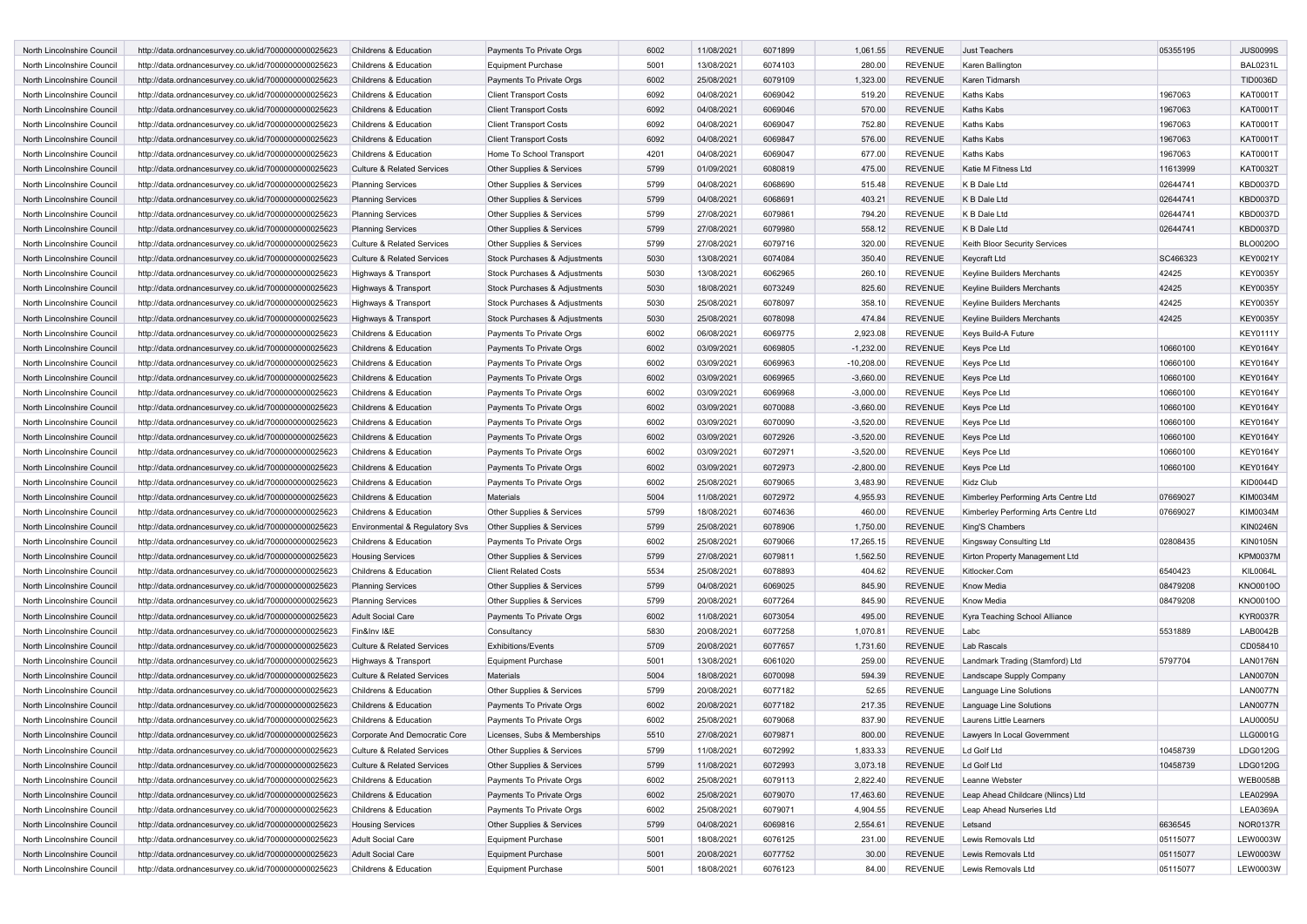| North Lincolnshire Council | http://data.ordnancesurvey.co.uk/id/7000000000025623 | Childrens & Education                 | Payments To Private Orgs      | 6002 | 11/08/2021 | 6071899 | 1,061.55     | <b>REVENUE</b> | <b>Just Teachers</b>                 | 05355195 | <b>JUS0099S</b> |
|----------------------------|------------------------------------------------------|---------------------------------------|-------------------------------|------|------------|---------|--------------|----------------|--------------------------------------|----------|-----------------|
| North Lincolnshire Council | http://data.ordnancesurvey.co.uk/id/7000000000025623 | Childrens & Education                 | <b>Equipment Purchase</b>     | 5001 | 13/08/2021 | 6074103 | 280.00       | <b>REVENUE</b> | Karen Ballington                     |          | <b>BAL0231L</b> |
| North Lincolnshire Council | http://data.ordnancesurvey.co.uk/id/7000000000025623 | Childrens & Education                 | Payments To Private Orgs      | 6002 | 25/08/2021 | 6079109 | 1,323.00     | <b>REVENUE</b> | Karen Tidmarsh                       |          | TID0036D        |
| North Lincolnshire Council | http://data.ordnancesurvey.co.uk/id/7000000000025623 | Childrens & Education                 | <b>Client Transport Costs</b> | 6092 | 04/08/2021 | 6069042 | 519.20       | <b>REVENUE</b> | Kaths Kabs                           | 1967063  | KAT0001T        |
| North Lincolnshire Council | http://data.ordnancesurvey.co.uk/id/7000000000025623 | Childrens & Education                 | <b>Client Transport Costs</b> | 6092 | 04/08/2021 | 6069046 | 570.00       | <b>REVENUE</b> | Kaths Kabs                           | 1967063  | KAT0001T        |
| North Lincolnshire Council | http://data.ordnancesurvey.co.uk/id/7000000000025623 | Childrens & Education                 | <b>Client Transport Costs</b> | 6092 | 04/08/2021 | 6069047 | 752.80       | <b>REVENUE</b> | Kaths Kabs                           | 1967063  | KAT0001T        |
| North Lincolnshire Council | http://data.ordnancesurvey.co.uk/id/7000000000025623 | Childrens & Education                 | <b>Client Transport Costs</b> | 6092 | 04/08/2021 | 6069847 | 576.00       | <b>REVENUE</b> | Kaths Kabs                           | 1967063  | <b>KAT0001T</b> |
| North Lincolnshire Council | http://data.ordnancesurvey.co.uk/id/7000000000025623 | Childrens & Education                 | Home To School Transport      | 4201 | 04/08/2021 | 6069047 | 677.00       | <b>REVENUE</b> | Kaths Kabs                           | 1967063  | KAT0001T        |
| North Lincolnshire Council | http://data.ordnancesurvey.co.uk/id/7000000000025623 | Culture & Related Services            | Other Supplies & Services     | 5799 | 01/09/2021 | 6080819 | 475.00       | <b>REVENUE</b> | Katie M Fitness Ltd                  | 11613999 | <b>KAT0032T</b> |
| North Lincolnshire Council | http://data.ordnancesurvey.co.uk/id/7000000000025623 | <b>Planning Services</b>              | Other Supplies & Services     | 5799 | 04/08/2021 | 6068690 | 515.48       | <b>REVENUE</b> | K B Dale Ltd                         | 02644741 | <b>KBD0037D</b> |
| North Lincolnshire Council | http://data.ordnancesurvey.co.uk/id/7000000000025623 | <b>Planning Services</b>              | Other Supplies & Services     | 5799 | 04/08/2021 | 6068691 | 403.21       | <b>REVENUE</b> | K B Dale Ltd                         | 02644741 | <b>KBD0037D</b> |
| North Lincolnshire Council | http://data.ordnancesurvey.co.uk/id/7000000000025623 | <b>Planning Services</b>              | Other Supplies & Services     | 5799 | 27/08/2021 | 6079861 | 794.20       | <b>REVENUE</b> | K B Dale Ltd                         | 02644741 | <b>KBD0037D</b> |
| North Lincolnshire Council | http://data.ordnancesurvey.co.uk/id/7000000000025623 | <b>Planning Services</b>              | Other Supplies & Services     | 5799 | 27/08/2021 | 6079980 | 558.12       | <b>REVENUE</b> | K B Dale Ltd                         | 02644741 | <b>KBD0037D</b> |
| North Lincolnshire Council | http://data.ordnancesurvey.co.uk/id/7000000000025623 | <b>Culture &amp; Related Services</b> | Other Supplies & Services     | 5799 | 27/08/2021 | 6079716 | 320.00       | <b>REVENUE</b> | Keith Bloor Security Services        |          | BLO0020O        |
| North Lincolnshire Council | http://data.ordnancesurvey.co.uk/id/7000000000025623 | <b>Culture &amp; Related Services</b> | Stock Purchases & Adjustments | 5030 | 13/08/2021 | 6074084 | 350.40       | <b>REVENUE</b> | Keycraft Ltd                         | SC466323 | <b>KEY0021Y</b> |
| North Lincolnshire Council | http://data.ordnancesurvey.co.uk/id/7000000000025623 | Highways & Transport                  | Stock Purchases & Adjustments | 5030 | 13/08/2021 | 6062965 | 260.10       | <b>REVENUE</b> | Keyline Builders Merchants           | 42425    | <b>KEY0035Y</b> |
| North Lincolnshire Council | http://data.ordnancesurvey.co.uk/id/7000000000025623 | Highways & Transport                  | Stock Purchases & Adjustments | 5030 | 18/08/2021 | 6073249 | 825.60       | <b>REVENUE</b> | Keyline Builders Merchants           | 42425    | <b>KEY0035Y</b> |
| North Lincolnshire Council |                                                      |                                       | Stock Purchases & Adjustments | 5030 | 25/08/2021 | 6078097 | 358.10       | <b>REVENUE</b> | Keyline Builders Merchants           | 42425    | <b>KEY0035Y</b> |
| North Lincolnshire Council | http://data.ordnancesurvey.co.uk/id/7000000000025623 | Highways & Transport                  |                               | 5030 | 25/08/2021 | 6078098 | 474.84       | <b>REVENUE</b> |                                      | 42425    | <b>KEY0035Y</b> |
| North Lincolnshire Council | http://data.ordnancesurvey.co.uk/id/7000000000025623 | Highways & Transport                  | Stock Purchases & Adjustments |      |            | 6069775 | 2,923.08     | <b>REVENUE</b> | Keyline Builders Merchants           |          | <b>KEY0111Y</b> |
|                            | http://data.ordnancesurvey.co.uk/id/7000000000025623 | Childrens & Education                 | Payments To Private Orgs      | 6002 | 06/08/2021 |         |              |                | Keys Build-A Future                  |          |                 |
| North Lincolnshire Council | http://data.ordnancesurvey.co.uk/id/7000000000025623 | Childrens & Education                 | Payments To Private Orgs      | 6002 | 03/09/2021 | 6069805 | $-1,232.00$  | <b>REVENUE</b> | Keys Pce Ltd                         | 10660100 | <b>KEY0164Y</b> |
| North Lincolnshire Council | http://data.ordnancesurvey.co.uk/id/7000000000025623 | Childrens & Education                 | Payments To Private Orgs      | 6002 | 03/09/2021 | 6069963 | $-10,208.00$ | <b>REVENUE</b> | Keys Pce Ltd                         | 10660100 | <b>KEY0164Y</b> |
| North Lincolnshire Council | http://data.ordnancesurvey.co.uk/id/7000000000025623 | Childrens & Education                 | Payments To Private Orgs      | 6002 | 03/09/2021 | 6069965 | $-3,660.00$  | <b>REVENUE</b> | Keys Pce Ltd                         | 10660100 | <b>KEY0164Y</b> |
| North Lincolnshire Council | http://data.ordnancesurvey.co.uk/id/7000000000025623 | Childrens & Education                 | Payments To Private Orgs      | 6002 | 03/09/2021 | 6069968 | $-3,000.00$  | <b>REVENUE</b> | Keys Pce Ltd                         | 10660100 | <b>KEY0164Y</b> |
| North Lincolnshire Council | http://data.ordnancesurvey.co.uk/id/7000000000025623 | Childrens & Education                 | Payments To Private Orgs      | 6002 | 03/09/2021 | 6070088 | $-3,660.00$  | <b>REVENUE</b> | Keys Pce Ltd                         | 10660100 | <b>KEY0164Y</b> |
| North Lincolnshire Council | http://data.ordnancesurvey.co.uk/id/7000000000025623 | Childrens & Education                 | Payments To Private Orgs      | 6002 | 03/09/2021 | 6070090 | $-3,520.00$  | <b>REVENUE</b> | Keys Pce Ltd                         | 10660100 | <b>KEY0164Y</b> |
| North Lincolnshire Council | http://data.ordnancesurvey.co.uk/id/7000000000025623 | Childrens & Education                 | Payments To Private Orgs      | 6002 | 03/09/2021 | 6072926 | $-3,520.00$  | <b>REVENUE</b> | Keys Pce Ltd                         | 10660100 | <b>KEY0164Y</b> |
| North Lincolnshire Council | http://data.ordnancesurvey.co.uk/id/7000000000025623 | Childrens & Education                 | Payments To Private Orgs      | 6002 | 03/09/2021 | 6072971 | $-3,520.00$  | <b>REVENUE</b> | Keys Pce Ltd                         | 10660100 | <b>KEY0164Y</b> |
| North Lincolnshire Council | http://data.ordnancesurvey.co.uk/id/7000000000025623 | Childrens & Education                 | Payments To Private Orgs      | 6002 | 03/09/2021 | 6072973 | $-2,800.00$  | <b>REVENUE</b> | Keys Pce Ltd                         | 10660100 | <b>KEY0164Y</b> |
| North Lincolnshire Council | http://data.ordnancesurvey.co.uk/id/7000000000025623 | Childrens & Education                 | Payments To Private Orgs      | 6002 | 25/08/2021 | 6079065 | 3,483.90     | <b>REVENUE</b> | Kidz Club                            |          | KID0044D        |
| North Lincolnshire Council | http://data.ordnancesurvey.co.uk/id/7000000000025623 | Childrens & Education                 | Materials                     | 5004 | 11/08/2021 | 6072972 | 4,955.93     | <b>REVENUE</b> | Kimberley Performing Arts Centre Ltd | 07669027 | <b>KIM0034M</b> |
| North Lincolnshire Council | http://data.ordnancesurvey.co.uk/id/7000000000025623 | Childrens & Education                 | Other Supplies & Services     | 5799 | 18/08/2021 | 6074636 | 460.00       | <b>REVENUE</b> | Kimberley Performing Arts Centre Ltd | 07669027 | <b>KIM0034M</b> |
| North Lincolnshire Council | http://data.ordnancesurvey.co.uk/id/7000000000025623 | Environmental & Regulatory Svs        | Other Supplies & Services     | 5799 | 25/08/2021 | 6078906 | 1,750.00     | <b>REVENUE</b> | King'S Chambers                      |          | <b>KIN0246N</b> |
| North Lincolnshire Council | http://data.ordnancesurvey.co.uk/id/7000000000025623 | Childrens & Education                 | Payments To Private Orgs      | 6002 | 25/08/2021 | 6079066 | 17,265.15    | <b>REVENUE</b> | Kingsway Consulting Ltd              | 02808435 | <b>KIN0105N</b> |
| North Lincolnshire Council | http://data.ordnancesurvey.co.uk/id/7000000000025623 | <b>Housing Services</b>               | Other Supplies & Services     | 5799 | 27/08/2021 | 6079811 | 1,562.50     | <b>REVENUE</b> | Kirton Property Management Ltd       |          | <b>KPM0037M</b> |
| North Lincolnshire Council | http://data.ordnancesurvey.co.uk/id/7000000000025623 | Childrens & Education                 | <b>Client Related Costs</b>   | 5534 | 25/08/2021 | 6078893 | 404.62       | <b>REVENUE</b> | Kitlocker.Com                        | 6540423  | <b>KIL0064L</b> |
| North Lincolnshire Council | http://data.ordnancesurvey.co.uk/id/7000000000025623 | <b>Planning Services</b>              | Other Supplies & Services     | 5799 | 04/08/2021 | 6069025 | 845.90       | <b>REVENUE</b> | Know Media                           | 08479208 | <b>KNO0010O</b> |
| North Lincolnshire Council | http://data.ordnancesurvey.co.uk/id/7000000000025623 | <b>Planning Services</b>              | Other Supplies & Services     | 5799 | 20/08/2021 | 6077264 | 845.90       | <b>REVENUE</b> | Know Media                           | 08479208 | KNO0010O        |
| North Lincolnshire Council | http://data.ordnancesurvey.co.uk/id/7000000000025623 | <b>Adult Social Care</b>              | Payments To Private Orgs      | 6002 | 11/08/2021 | 6073054 | 495.00       | <b>REVENUE</b> | Kyra Teaching School Alliance        |          | <b>KYR0037R</b> |
| North Lincolnshire Council | http://data.ordnancesurvey.co.uk/id/7000000000025623 | Fin&Inv I&E                           | Consultancy                   | 5830 | 20/08/2021 | 6077258 | 1,070.81     | <b>REVENUE</b> | Labc                                 | 5531889  | LAB0042B        |
| North Lincolnshire Council | http://data.ordnancesurvey.co.uk/id/7000000000025623 | <b>Culture &amp; Related Services</b> | Exhibitions/Events            | 5709 | 20/08/2021 | 6077657 | 1,731.60     | <b>REVENUE</b> | Lab Rascals                          |          | CD058410        |
| North Lincolnshire Council | http://data.ordnancesurvey.co.uk/id/7000000000025623 | Highways & Transport                  | <b>Equipment Purchase</b>     | 5001 | 13/08/2021 | 6061020 | 259.00       | <b>REVENUE</b> | Landmark Trading (Stamford) Ltd      | 5797704  | <b>LAN0176N</b> |
| North Lincolnshire Council | http://data.ordnancesurvey.co.uk/id/7000000000025623 | <b>Culture &amp; Related Services</b> | Materials                     | 5004 | 18/08/2021 | 6070098 | 594.39       | <b>REVENUE</b> | Landscape Supply Company             |          | LAN0070N        |
| North Lincolnshire Council | http://data.ordnancesurvey.co.uk/id/7000000000025623 | Childrens & Education                 | Other Supplies & Services     | 5799 | 20/08/2021 | 6077182 | 52.65        | <b>REVENUE</b> | Language Line Solutions              |          | <b>LAN0077N</b> |
| North Lincolnshire Council | http://data.ordnancesurvey.co.uk/id/7000000000025623 | Childrens & Education                 | Payments To Private Orgs      | 6002 | 20/08/2021 | 6077182 | 217.35       | <b>REVENUE</b> | Language Line Solutions              |          | <b>LAN0077N</b> |
| North Lincolnshire Council | http://data.ordnancesurvey.co.uk/id/7000000000025623 | Childrens & Education                 | Payments To Private Orgs      | 6002 | 25/08/2021 | 6079068 | 837.90       | <b>REVENUE</b> | <b>Laurens Little Learners</b>       |          | <b>LAU0005U</b> |
| North Lincolnshire Council | http://data.ordnancesurvey.co.uk/id/7000000000025623 | Corporate And Democratic Core         | Licenses, Subs & Memberships  | 5510 | 27/08/2021 | 6079871 | 800.00       | <b>REVENUE</b> | Lawyers In Local Government          |          | LLG0001G        |
| North Lincolnshire Council | http://data.ordnancesurvey.co.uk/id/7000000000025623 | Culture & Related Services            | Other Supplies & Services     | 5799 | 11/08/2021 | 6072992 | 1,833.33     | REVENUE        | Ld Golf Ltd                          | 10458739 | LDG0120G        |
| North Lincolnshire Council | http://data.ordnancesurvey.co.uk/id/7000000000025623 | <b>Culture &amp; Related Services</b> | Other Supplies & Services     | 5799 | 11/08/2021 | 6072993 | 3,073.18     | <b>REVENUE</b> | Ld Golf Ltd                          | 10458739 | LDG0120G        |
| North Lincolnshire Council | http://data.ordnancesurvey.co.uk/id/7000000000025623 | Childrens & Education                 | Payments To Private Orgs      | 6002 | 25/08/2021 | 6079113 | 2,822.40     | <b>REVENUE</b> | Leanne Webster                       |          | <b>WEB0058B</b> |
| North Lincolnshire Council | http://data.ordnancesurvey.co.uk/id/7000000000025623 | Childrens & Education                 | Payments To Private Orgs      | 6002 | 25/08/2021 | 6079070 | 17,463.60    | <b>REVENUE</b> | Leap Ahead Childcare (Nlincs) Ltd    |          | LEA0299A        |
| North Lincolnshire Council | http://data.ordnancesurvey.co.uk/id/7000000000025623 | Childrens & Education                 | Payments To Private Orgs      | 6002 | 25/08/2021 | 6079071 | 4,904.55     | <b>REVENUE</b> | Leap Ahead Nurseries Ltd             |          | <b>LEA0369A</b> |
| North Lincolnshire Council | http://data.ordnancesurvey.co.uk/id/7000000000025623 | <b>Housing Services</b>               | Other Supplies & Services     | 5799 | 04/08/2021 | 6069816 | 2,554.61     | REVENUE        | Letsand                              | 6636545  | <b>NOR0137R</b> |
| North Lincolnshire Council | http://data.ordnancesurvey.co.uk/id/7000000000025623 | Adult Social Care                     | <b>Equipment Purchase</b>     | 5001 | 18/08/2021 | 6076125 | 231.00       | <b>REVENUE</b> | Lewis Removals Ltd                   | 05115077 | <b>LEW0003W</b> |
| North Lincolnshire Council | http://data.ordnancesurvey.co.uk/id/7000000000025623 | Adult Social Care                     | <b>Equipment Purchase</b>     | 5001 | 20/08/2021 | 6077752 | 30.00        | <b>REVENUE</b> | Lewis Removals Ltd                   | 05115077 | <b>LEW0003W</b> |
| North Lincolnshire Council | http://data.ordnancesurvey.co.uk/id/7000000000025623 | Childrens & Education                 | <b>Equipment Purchase</b>     | 5001 | 18/08/2021 | 6076123 | 84.00        | <b>REVENUE</b> | Lewis Removals Ltd                   | 05115077 | LEW0003W        |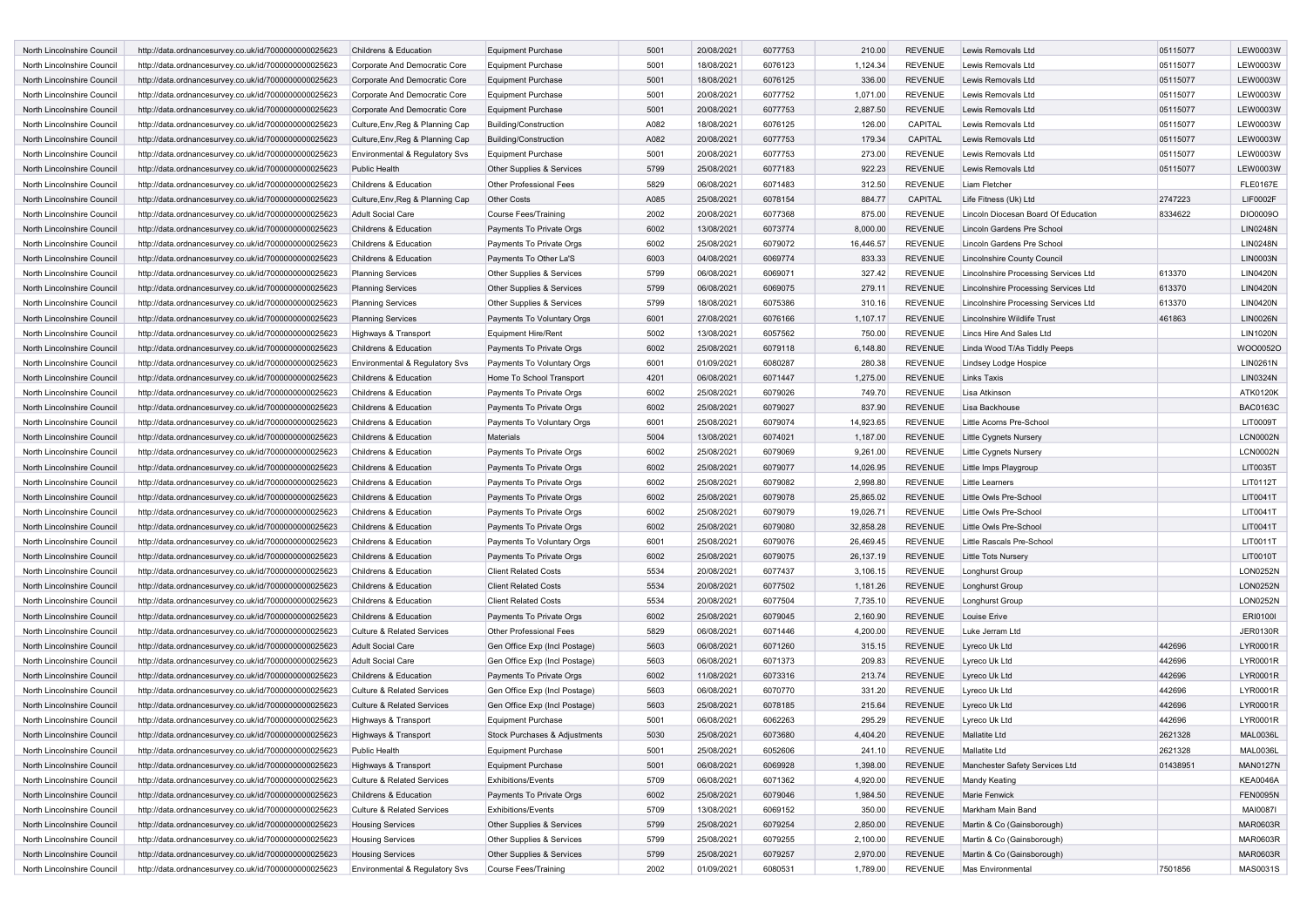| North Lincolnshire Council | http://data.ordnancesurvey.co.uk/id/7000000000025623 | Childrens & Education                 | <b>Equipment Purchase</b>      | 5001 | 20/08/2021 | 6077753 | 210.00    | <b>REVENUE</b> | Lewis Removals Ltd                   | 05115077 | <b>LEW0003W</b> |
|----------------------------|------------------------------------------------------|---------------------------------------|--------------------------------|------|------------|---------|-----------|----------------|--------------------------------------|----------|-----------------|
| North Lincolnshire Council | http://data.ordnancesurvey.co.uk/id/7000000000025623 | Corporate And Democratic Core         | Equipment Purchase             | 5001 | 18/08/2021 | 6076123 | 1,124.34  | <b>REVENUE</b> | Lewis Removals Ltd                   | 05115077 | <b>LEW0003W</b> |
| North Lincolnshire Council | http://data.ordnancesurvey.co.uk/id/7000000000025623 | Corporate And Democratic Core         | <b>Equipment Purchase</b>      | 5001 | 18/08/2021 | 6076125 | 336.00    | <b>REVENUE</b> | Lewis Removals Ltd                   | 05115077 | <b>LEW0003W</b> |
| North Lincolnshire Council | http://data.ordnancesurvey.co.uk/id/7000000000025623 | Corporate And Democratic Core         | <b>Equipment Purchase</b>      | 5001 | 20/08/2021 | 6077752 | 1,071.00  | <b>REVENUE</b> | Lewis Removals Ltd                   | 05115077 | <b>LEW0003W</b> |
|                            |                                                      |                                       |                                |      |            |         |           |                |                                      |          |                 |
| North Lincolnshire Council | http://data.ordnancesurvey.co.uk/id/7000000000025623 | Corporate And Democratic Core         | <b>Equipment Purchase</b>      | 5001 | 20/08/2021 | 6077753 | 2,887.50  | <b>REVENUE</b> | Lewis Removals Ltd                   | 05115077 | <b>LEW0003W</b> |
| North Lincolnshire Council | http://data.ordnancesurvey.co.uk/id/7000000000025623 | Culture, Env, Reg & Planning Cap      | <b>Building/Construction</b>   | A082 | 18/08/2021 | 6076125 | 126.00    | CAPITAL        | Lewis Removals Ltd                   | 05115077 | <b>LEW0003W</b> |
| North Lincolnshire Council | http://data.ordnancesurvey.co.uk/id/7000000000025623 | Culture, Env, Reg & Planning Cap      | <b>Building/Construction</b>   | A082 | 20/08/2021 | 6077753 | 179.34    | CAPITAL        | Lewis Removals Ltd                   | 05115077 | <b>LEW0003W</b> |
| North Lincolnshire Council | http://data.ordnancesurvey.co.uk/id/7000000000025623 | Environmental & Regulatory Svs        | <b>Equipment Purchase</b>      | 5001 | 20/08/2021 | 6077753 | 273.00    | <b>REVENUE</b> | Lewis Removals Ltd                   | 05115077 | <b>LEW0003W</b> |
| North Lincolnshire Council | http://data.ordnancesurvey.co.uk/id/7000000000025623 | <b>Public Health</b>                  | Other Supplies & Services      | 5799 | 25/08/2021 | 6077183 | 922.23    | <b>REVENUE</b> | Lewis Removals Ltd                   | 05115077 | <b>LEW0003W</b> |
| North Lincolnshire Council | http://data.ordnancesurvey.co.uk/id/7000000000025623 | Childrens & Education                 | <b>Other Professional Fees</b> | 5829 | 06/08/2021 | 6071483 | 312.50    | <b>REVENUE</b> | Liam Fletcher                        |          | <b>FLE0167E</b> |
| North Lincolnshire Council | http://data.ordnancesurvey.co.uk/id/7000000000025623 | Culture, Env, Reg & Planning Cap      | <b>Other Costs</b>             | A085 | 25/08/2021 | 6078154 | 884.77    | CAPITAL        | Life Fitness (Uk) Ltd                | 2747223  | <b>LIF0002F</b> |
| North Lincolnshire Council | http://data.ordnancesurvey.co.uk/id/7000000000025623 | Adult Social Care                     | <b>Course Fees/Training</b>    | 2002 | 20/08/2021 | 6077368 | 875.00    | <b>REVENUE</b> | Lincoln Diocesan Board Of Education  | 8334622  | DIO0009O        |
| North Lincolnshire Council | http://data.ordnancesurvey.co.uk/id/7000000000025623 | Childrens & Education                 | Payments To Private Orgs       | 6002 | 13/08/2021 | 6073774 | 8,000.00  | <b>REVENUE</b> | Lincoln Gardens Pre School           |          | <b>LIN0248N</b> |
| North Lincolnshire Council | http://data.ordnancesurvey.co.uk/id/7000000000025623 | Childrens & Education                 | Payments To Private Orgs       | 6002 | 25/08/2021 | 6079072 | 16,446.57 | <b>REVENUE</b> | Lincoln Gardens Pre School           |          | <b>LIN0248N</b> |
| North Lincolnshire Council | http://data.ordnancesurvey.co.uk/id/7000000000025623 | Childrens & Education                 | Payments To Other La'S         | 6003 | 04/08/2021 | 6069774 | 833.33    | <b>REVENUE</b> | Lincolnshire County Council          |          | <b>LIN0003N</b> |
| North Lincolnshire Council | http://data.ordnancesurvey.co.uk/id/7000000000025623 | <b>Planning Services</b>              | Other Supplies & Services      | 5799 | 06/08/2021 | 6069071 | 327.42    | <b>REVENUE</b> | Lincolnshire Processing Services Ltd | 613370   | <b>LIN0420N</b> |
| North Lincolnshire Council | http://data.ordnancesurvey.co.uk/id/7000000000025623 | <b>Planning Services</b>              | Other Supplies & Services      | 5799 | 06/08/2021 | 6069075 | 279.11    | <b>REVENUE</b> | Lincolnshire Processing Services Ltd | 613370   | <b>LIN0420N</b> |
| North Lincolnshire Council | http://data.ordnancesurvey.co.uk/id/7000000000025623 | <b>Planning Services</b>              | Other Supplies & Services      | 5799 | 18/08/2021 | 6075386 | 310.16    | <b>REVENUE</b> | Lincolnshire Processing Services Ltd | 613370   | <b>LIN0420N</b> |
| North Lincolnshire Council | http://data.ordnancesurvey.co.uk/id/7000000000025623 |                                       | Payments To Voluntary Orgs     | 6001 | 27/08/2021 | 6076166 | 1,107.17  | <b>REVENUE</b> | Lincolnshire Wildlife Trust          | 461863   | <b>LIN0026N</b> |
|                            |                                                      | <b>Planning Services</b>              |                                |      |            |         |           |                |                                      |          |                 |
| North Lincolnshire Council | http://data.ordnancesurvey.co.uk/id/7000000000025623 | Highways & Transport                  | <b>Equipment Hire/Rent</b>     | 5002 | 13/08/2021 | 6057562 | 750.00    | <b>REVENUE</b> | Lincs Hire And Sales Ltd             |          | <b>LIN1020N</b> |
| North Lincolnshire Council | http://data.ordnancesurvey.co.uk/id/7000000000025623 | Childrens & Education                 | Payments To Private Orgs       | 6002 | 25/08/2021 | 6079118 | 6,148.80  | <b>REVENUE</b> | Linda Wood T/As Tiddly Peeps         |          | WOO0052O        |
| North Lincolnshire Council | http://data.ordnancesurvey.co.uk/id/7000000000025623 | Environmental & Regulatory Svs        | Payments To Voluntary Orgs     | 6001 | 01/09/2021 | 6080287 | 280.38    | <b>REVENUE</b> | Lindsey Lodge Hospice                |          | LIN0261N        |
| North Lincolnshire Council | http://data.ordnancesurvey.co.uk/id/7000000000025623 | Childrens & Education                 | Home To School Transport       | 4201 | 06/08/2021 | 6071447 | 1,275.00  | <b>REVENUE</b> | Links Taxis                          |          | <b>LIN0324N</b> |
| North Lincolnshire Council | http://data.ordnancesurvey.co.uk/id/7000000000025623 | Childrens & Education                 | Payments To Private Orgs       | 6002 | 25/08/2021 | 6079026 | 749.70    | <b>REVENUE</b> | Lisa Atkinson                        |          | ATK0120K        |
| North Lincolnshire Council | http://data.ordnancesurvey.co.uk/id/7000000000025623 | Childrens & Education                 | Payments To Private Orgs       | 6002 | 25/08/2021 | 6079027 | 837.90    | <b>REVENUE</b> | Lisa Backhouse                       |          | <b>BAC0163C</b> |
| North Lincolnshire Council | http://data.ordnancesurvey.co.uk/id/7000000000025623 | Childrens & Education                 | Payments To Voluntary Orgs     | 6001 | 25/08/2021 | 6079074 | 14,923.65 | <b>REVENUE</b> | Little Acorns Pre-School             |          | LIT0009T        |
| North Lincolnshire Council | http://data.ordnancesurvey.co.uk/id/7000000000025623 | Childrens & Education                 | <b>Materials</b>               | 5004 | 13/08/2021 | 6074021 | 1,187.00  | <b>REVENUE</b> | Little Cygnets Nursery               |          | <b>LCN0002N</b> |
| North Lincolnshire Council | http://data.ordnancesurvey.co.uk/id/7000000000025623 | Childrens & Education                 | Payments To Private Orgs       | 6002 | 25/08/2021 | 6079069 | 9,261.00  | <b>REVENUE</b> | <b>Little Cygnets Nursery</b>        |          | <b>LCN0002N</b> |
| North Lincolnshire Council | http://data.ordnancesurvey.co.uk/id/7000000000025623 | Childrens & Education                 | Payments To Private Orgs       | 6002 | 25/08/2021 | 6079077 | 14,026.95 | <b>REVENUE</b> | Little Imps Playgroup                |          | LIT0035T        |
| North Lincolnshire Council | http://data.ordnancesurvey.co.uk/id/7000000000025623 | Childrens & Education                 | Payments To Private Orgs       | 6002 | 25/08/2021 | 6079082 | 2,998.80  | <b>REVENUE</b> | <b>Little Learners</b>               |          | LIT0112T        |
| North Lincolnshire Council | http://data.ordnancesurvey.co.uk/id/7000000000025623 | Childrens & Education                 | Payments To Private Orgs       | 6002 | 25/08/2021 | 6079078 | 25,865.02 | <b>REVENUE</b> | Little Owls Pre-School               |          | LIT0041T        |
| North Lincolnshire Council | http://data.ordnancesurvey.co.uk/id/7000000000025623 | Childrens & Education                 | Payments To Private Orgs       | 6002 | 25/08/2021 | 6079079 | 19,026.71 | <b>REVENUE</b> | Little Owls Pre-School               |          | LIT0041T        |
| North Lincolnshire Council | http://data.ordnancesurvey.co.uk/id/7000000000025623 | Childrens & Education                 | Payments To Private Orgs       | 6002 | 25/08/2021 | 6079080 | 32,858.28 | <b>REVENUE</b> | Little Owls Pre-School               |          | LIT0041T        |
| North Lincolnshire Council | http://data.ordnancesurvey.co.uk/id/7000000000025623 | Childrens & Education                 | Payments To Voluntary Orgs     | 6001 | 25/08/2021 | 6079076 | 26,469.45 | <b>REVENUE</b> | Little Rascals Pre-School            |          | LIT0011T        |
| North Lincolnshire Council | http://data.ordnancesurvey.co.uk/id/7000000000025623 | Childrens & Education                 | Payments To Private Orgs       | 6002 | 25/08/2021 | 6079075 | 26,137.19 | <b>REVENUE</b> | Little Tots Nursery                  |          | LIT0010T        |
| North Lincolnshire Council | http://data.ordnancesurvey.co.uk/id/7000000000025623 | Childrens & Education                 | <b>Client Related Costs</b>    | 5534 | 20/08/2021 | 6077437 | 3,106.15  | <b>REVENUE</b> | Longhurst Group                      |          | LON0252N        |
| North Lincolnshire Council | http://data.ordnancesurvey.co.uk/id/7000000000025623 | Childrens & Education                 | <b>Client Related Costs</b>    | 5534 | 20/08/2021 | 6077502 | 1,181.26  | <b>REVENUE</b> | Longhurst Group                      |          | LON0252N        |
| North Lincolnshire Council | http://data.ordnancesurvey.co.uk/id/7000000000025623 | Childrens & Education                 | <b>Client Related Costs</b>    | 5534 | 20/08/2021 | 6077504 | 7,735.10  | <b>REVENUE</b> | Longhurst Group                      |          | LON0252N        |
|                            |                                                      |                                       |                                | 6002 |            |         |           | <b>REVENUE</b> |                                      |          | <b>ERI0100I</b> |
| North Lincolnshire Council | http://data.ordnancesurvey.co.uk/id/7000000000025623 | Childrens & Education                 | Payments To Private Orgs       |      | 25/08/2021 | 6079045 | 2,160.90  |                | Louise Erive                         |          |                 |
| North Lincolnshire Council | http://data.ordnancesurvey.co.uk/id/7000000000025623 | Culture & Related Services            | Other Professional Fees        | 5829 | 06/08/2021 | 6071446 | 4,200.00  | <b>REVENUE</b> | Luke Jerram Ltd                      |          | <b>JER0130R</b> |
| North Lincolnshire Council | http://data.ordnancesurvey.co.uk/id/7000000000025623 | <b>Adult Social Care</b>              | Gen Office Exp (Incl Postage)  | 5603 | 06/08/2021 | 6071260 | 315.15    | <b>REVENUE</b> | Lyreco Uk Ltd                        | 442696   | LYR0001R        |
| North Lincolnshire Council | http://data.ordnancesurvey.co.uk/id/7000000000025623 | Adult Social Care                     | Gen Office Exp (Incl Postage)  | 5603 | 06/08/2021 | 6071373 | 209.83    | <b>REVENUE</b> | Lyreco Uk Ltd                        | 442696   | LYR0001R        |
| North Lincolnshire Council | http://data.ordnancesurvey.co.uk/id/7000000000025623 | Childrens & Education                 | Payments To Private Orgs       | 6002 | 11/08/2021 | 6073316 | 213.74    | <b>REVENUE</b> | Lyreco Uk Ltd                        | 442696   | LYR0001R        |
| North Lincolnshire Council | http://data.ordnancesurvey.co.uk/id/7000000000025623 | <b>Culture &amp; Related Services</b> | Gen Office Exp (Incl Postage)  | 5603 | 06/08/2021 | 6070770 | 331.20    | <b>REVENUE</b> | Lyreco Uk Ltd                        | 442696   | LYR0001R        |
| North Lincolnshire Council | http://data.ordnancesurvey.co.uk/id/7000000000025623 | <b>Culture &amp; Related Services</b> | Gen Office Exp (Incl Postage)  | 5603 | 25/08/2021 | 6078185 | 215.64    | <b>REVENUE</b> | Lyreco Uk Ltd                        | 442696   | LYR0001R        |
| North Lincolnshire Council | http://data.ordnancesurvey.co.uk/id/7000000000025623 | Highways & Transport                  | <b>Equipment Purchase</b>      | 5001 | 06/08/2021 | 6062263 | 295.29    | <b>REVENUE</b> | Lyreco Uk Ltd                        | 442696   | LYR0001R        |
| North Lincolnshire Council | http://data.ordnancesurvey.co.uk/id/7000000000025623 | Highways & Transport                  | Stock Purchases & Adjustments  | 5030 | 25/08/2021 | 6073680 | 4,404.20  | <b>REVENUE</b> | Mallatite Ltd                        | 2621328  | <b>MAL0036L</b> |
| North Lincolnshire Council | http://data.ordnancesurvey.co.uk/id/7000000000025623 | Public Health                         | <b>Equipment Purchase</b>      | 5001 | 25/08/2021 | 6052606 | 241.10    | REVENUE        | Mallatite Ltd                        | 2621328  | <b>MAL0036L</b> |
| North Lincolnshire Council | http://data.ordnancesurvey.co.uk/id/7000000000025623 | Highways & Transport                  | <b>Equipment Purchase</b>      | 5001 | 06/08/2021 | 6069928 | 1,398.00  | <b>REVENUE</b> | Manchester Safety Services Ltd       | 01438951 | <b>MAN0127N</b> |
| North Lincolnshire Council | http://data.ordnancesurvey.co.uk/id/7000000000025623 | Culture & Related Services            | Exhibitions/Events             | 5709 | 06/08/2021 | 6071362 | 4,920.00  | <b>REVENUE</b> | Mandy Keating                        |          | KEA0046A        |
| North Lincolnshire Council | http://data.ordnancesurvey.co.uk/id/7000000000025623 | Childrens & Education                 | Payments To Private Orgs       | 6002 | 25/08/2021 | 6079046 | 1,984.50  | <b>REVENUE</b> | Marie Fenwick                        |          | <b>FEN0095N</b> |
| North Lincolnshire Council | http://data.ordnancesurvey.co.uk/id/7000000000025623 | Culture & Related Services            | Exhibitions/Events             | 5709 | 13/08/2021 | 6069152 | 350.00    | <b>REVENUE</b> | Markham Main Band                    |          | <b>MAI0087I</b> |
| North Lincolnshire Council | http://data.ordnancesurvey.co.uk/id/7000000000025623 | <b>Housing Services</b>               | Other Supplies & Services      | 5799 | 25/08/2021 | 6079254 | 2,850.00  | <b>REVENUE</b> | Martin & Co (Gainsborough)           |          | MAR0603R        |
| North Lincolnshire Council | http://data.ordnancesurvey.co.uk/id/7000000000025623 | <b>Housing Services</b>               | Other Supplies & Services      | 5799 | 25/08/2021 | 6079255 | 2,100.00  | <b>REVENUE</b> | Martin & Co (Gainsborough)           |          | MAR0603R        |
| North Lincolnshire Council | http://data.ordnancesurvey.co.uk/id/7000000000025623 | <b>Housing Services</b>               | Other Supplies & Services      | 5799 | 25/08/2021 | 6079257 | 2,970.00  | <b>REVENUE</b> | Martin & Co (Gainsborough)           |          | MAR0603R        |
| North Lincolnshire Council | http://data.ordnancesurvey.co.uk/id/7000000000025623 | Environmental & Regulatory Svs        | Course Fees/Training           | 2002 | 01/09/2021 | 6080531 | 1,789.00  | REVENUE        | Mas Environmental                    | 7501856  | MAS0031S        |
|                            |                                                      |                                       |                                |      |            |         |           |                |                                      |          |                 |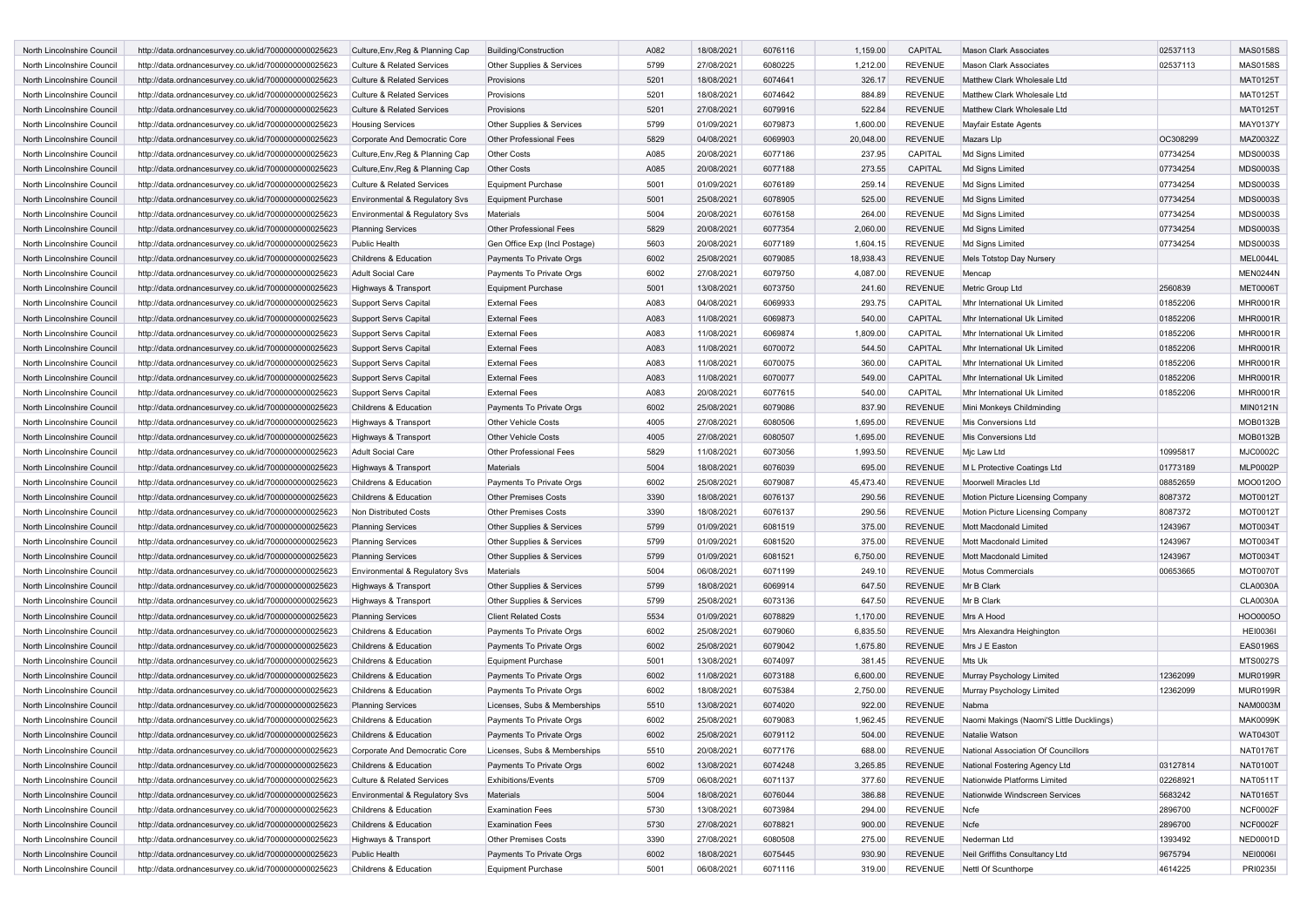| <b>North Lincolnshire Council</b> | http://data.ordnancesurvey.co.uk/id/7000000000025623 | Culture, Env, Reg & Planning Cap      | Building/Construction          | A082 | 18/08/2021 | 6076116 | 1,159.00  | CAPITAL        | <b>Mason Clark Associates</b>                    | 02537113 | <b>MAS0158S</b> |
|-----------------------------------|------------------------------------------------------|---------------------------------------|--------------------------------|------|------------|---------|-----------|----------------|--------------------------------------------------|----------|-----------------|
| North Lincolnshire Council        | http://data.ordnancesurvey.co.uk/id/7000000000025623 | <b>Culture &amp; Related Services</b> | Other Supplies & Services      | 5799 | 27/08/2021 | 6080225 | 1,212.00  | <b>REVENUE</b> | <b>Mason Clark Associates</b>                    | 02537113 | <b>MAS0158S</b> |
| North Lincolnshire Council        | http://data.ordnancesurvey.co.uk/id/7000000000025623 | <b>Culture &amp; Related Services</b> | Provisions                     | 5201 | 18/08/2021 | 6074641 | 326.17    | <b>REVENUE</b> | Matthew Clark Wholesale Ltd                      |          | <b>MAT0125T</b> |
| North Lincolnshire Council        | http://data.ordnancesurvey.co.uk/id/7000000000025623 | Culture & Related Services            | Provisions                     | 5201 | 18/08/2021 | 6074642 | 884.89    | <b>REVENUE</b> | Matthew Clark Wholesale Ltd                      |          | <b>MAT0125T</b> |
| North Lincolnshire Council        | http://data.ordnancesurvey.co.uk/id/7000000000025623 | <b>Culture &amp; Related Services</b> | Provisions                     | 5201 | 27/08/2021 | 6079916 | 522.84    | <b>REVENUE</b> | Matthew Clark Wholesale Ltd                      |          | <b>MAT0125T</b> |
| North Lincolnshire Council        | http://data.ordnancesurvey.co.uk/id/7000000000025623 | <b>Housing Services</b>               | Other Supplies & Services      | 5799 | 01/09/2021 | 6079873 | 1,600.00  | <b>REVENUE</b> | Mayfair Estate Agents                            |          | MAY0137Y        |
| North Lincolnshire Council        | http://data.ordnancesurvey.co.uk/id/7000000000025623 | Corporate And Democratic Core         | <b>Other Professional Fees</b> | 5829 | 04/08/2021 | 6069903 | 20,048.00 | <b>REVENUE</b> | Mazars Llp                                       | OC308299 | MAZ0032Z        |
| North Lincolnshire Council        | http://data.ordnancesurvey.co.uk/id/7000000000025623 | Culture, Env, Reg & Planning Cap      | Other Costs                    | A085 | 20/08/2021 | 6077186 | 237.95    | CAPITAL        | Md Signs Limited                                 | 07734254 | MDS0003S        |
| North Lincolnshire Council        | http://data.ordnancesurvey.co.uk/id/7000000000025623 | Culture, Env, Reg & Planning Cap      | <b>Other Costs</b>             | A085 | 20/08/2021 | 6077188 | 273.55    | CAPITAL        | Md Signs Limited                                 | 07734254 | <b>MDS0003S</b> |
|                                   |                                                      |                                       |                                | 5001 |            | 6076189 | 259.14    |                |                                                  |          | MDS0003S        |
| North Lincolnshire Council        | http://data.ordnancesurvey.co.uk/id/7000000000025623 | <b>Culture &amp; Related Services</b> | <b>Equipment Purchase</b>      |      | 01/09/2021 |         |           | <b>REVENUE</b> | Md Signs Limited                                 | 07734254 |                 |
| North Lincolnshire Council        | http://data.ordnancesurvey.co.uk/id/7000000000025623 | Environmental & Regulatory Svs        | <b>Equipment Purchase</b>      | 5001 | 25/08/2021 | 6078905 | 525.00    | <b>REVENUE</b> | Md Signs Limited                                 | 07734254 | <b>MDS0003S</b> |
| North Lincolnshire Council        | http://data.ordnancesurvey.co.uk/id/7000000000025623 | Environmental & Regulatory Svs        | Materials                      | 5004 | 20/08/2021 | 6076158 | 264.00    | <b>REVENUE</b> | Md Signs Limited                                 | 07734254 | <b>MDS0003S</b> |
| North Lincolnshire Council        | http://data.ordnancesurvey.co.uk/id/7000000000025623 | <b>Planning Services</b>              | <b>Other Professional Fees</b> | 5829 | 20/08/2021 | 6077354 | 2,060.00  | <b>REVENUE</b> | Md Signs Limited                                 | 07734254 | <b>MDS0003S</b> |
| North Lincolnshire Council        | http://data.ordnancesurvey.co.uk/id/7000000000025623 | Public Health                         | Gen Office Exp (Incl Postage)  | 5603 | 20/08/2021 | 6077189 | 1,604.15  | <b>REVENUE</b> | Md Signs Limited                                 | 07734254 | MDS0003S        |
| North Lincolnshire Council        | http://data.ordnancesurvey.co.uk/id/7000000000025623 | Childrens & Education                 | Payments To Private Orgs       | 6002 | 25/08/2021 | 6079085 | 18,938.43 | <b>REVENUE</b> | Mels Totstop Day Nursery                         |          | MEL0044L        |
| North Lincolnshire Council        | http://data.ordnancesurvey.co.uk/id/7000000000025623 | <b>Adult Social Care</b>              | Payments To Private Orgs       | 6002 | 27/08/2021 | 6079750 | 4,087.00  | <b>REVENUE</b> | Mencap                                           |          | <b>MEN0244N</b> |
| North Lincolnshire Council        | http://data.ordnancesurvey.co.uk/id/7000000000025623 | Highways & Transport                  | <b>Equipment Purchase</b>      | 5001 | 13/08/2021 | 6073750 | 241.60    | <b>REVENUE</b> | Metric Group Ltd                                 | 2560839  | <b>MET0006T</b> |
| North Lincolnshire Council        | http://data.ordnancesurvey.co.uk/id/7000000000025623 | Support Servs Capital                 | <b>External Fees</b>           | A083 | 04/08/2021 | 6069933 | 293.75    | CAPITAL        | Mhr International Uk Limited                     | 01852206 | <b>MHR0001R</b> |
| North Lincolnshire Council        | http://data.ordnancesurvey.co.uk/id/7000000000025623 | <b>Support Servs Capital</b>          | <b>External Fees</b>           | A083 | 11/08/2021 | 6069873 | 540.00    | CAPITAL        | Mhr International Uk Limited                     | 01852206 | <b>MHR0001R</b> |
| North Lincolnshire Council        | http://data.ordnancesurvey.co.uk/id/7000000000025623 | <b>Support Servs Capital</b>          | <b>External Fees</b>           | A083 | 11/08/2021 | 6069874 | 1,809.00  | CAPITAL        | Mhr International Uk Limited                     | 01852206 | <b>MHR0001R</b> |
| North Lincolnshire Council        | http://data.ordnancesurvey.co.uk/id/7000000000025623 | <b>Support Servs Capital</b>          | <b>External Fees</b>           | A083 | 11/08/2021 | 6070072 | 544.50    | CAPITAL        | Mhr International Uk Limited                     | 01852206 | <b>MHR0001R</b> |
| North Lincolnshire Council        | http://data.ordnancesurvey.co.uk/id/7000000000025623 | Support Servs Capital                 | <b>External Fees</b>           | A083 | 11/08/2021 | 6070075 | 360.00    | CAPITAL        | Mhr International Uk Limited                     | 01852206 | <b>MHR0001R</b> |
| North Lincolnshire Council        | http://data.ordnancesurvey.co.uk/id/7000000000025623 | Support Servs Capital                 | <b>External Fees</b>           | A083 | 11/08/2021 | 6070077 | 549.00    | CAPITAL        | Mhr International Uk Limited                     | 01852206 | <b>MHR0001R</b> |
| North Lincolnshire Council        | http://data.ordnancesurvey.co.uk/id/7000000000025623 | <b>Support Servs Capital</b>          | <b>External Fees</b>           | A083 | 20/08/2021 | 6077615 | 540.00    | CAPITAL        | Mhr International Uk Limited                     | 01852206 | <b>MHR0001R</b> |
| North Lincolnshire Council        | http://data.ordnancesurvey.co.uk/id/7000000000025623 | Childrens & Education                 | Payments To Private Orgs       | 6002 | 25/08/2021 | 6079086 | 837.90    | <b>REVENUE</b> | Mini Monkeys Childminding                        |          | <b>MIN0121N</b> |
| North Lincolnshire Council        | http://data.ordnancesurvey.co.uk/id/7000000000025623 | Highways & Transport                  | <b>Other Vehicle Costs</b>     | 4005 | 27/08/2021 | 6080506 | 1,695.00  | <b>REVENUE</b> | Mis Conversions Ltd                              |          | <b>MOB0132B</b> |
| North Lincolnshire Council        | http://data.ordnancesurvey.co.uk/id/7000000000025623 | Highways & Transport                  | <b>Other Vehicle Costs</b>     | 4005 | 27/08/2021 | 6080507 | 1,695.00  | <b>REVENUE</b> | Mis Conversions Ltd                              |          | <b>MOB0132B</b> |
| North Lincolnshire Council        | http://data.ordnancesurvey.co.uk/id/7000000000025623 | <b>Adult Social Care</b>              | Other Professional Fees        | 5829 | 11/08/2021 | 6073056 | 1,993.50  | <b>REVENUE</b> | Mjc Law Ltd                                      | 10995817 | <b>MJC0002C</b> |
| North Lincolnshire Council        | http://data.ordnancesurvey.co.uk/id/7000000000025623 | Highways & Transport                  | Materials                      | 5004 | 18/08/2021 | 6076039 | 695.00    | <b>REVENUE</b> | M L Protective Coatings Ltd                      | 01773189 | <b>MLP0002P</b> |
| North Lincolnshire Council        | http://data.ordnancesurvey.co.uk/id/7000000000025623 | Childrens & Education                 | Payments To Private Orgs       | 6002 | 25/08/2021 | 6079087 | 45,473.40 | <b>REVENUE</b> | Moorwell Miracles Ltd                            | 08852659 | MOO0120O        |
| North Lincolnshire Council        | http://data.ordnancesurvey.co.uk/id/7000000000025623 | Childrens & Education                 | <b>Other Premises Costs</b>    | 3390 | 18/08/2021 | 6076137 | 290.56    | <b>REVENUE</b> | Motion Picture Licensing Company                 | 8087372  | MOT0012T        |
| North Lincolnshire Council        | http://data.ordnancesurvey.co.uk/id/7000000000025623 | Non Distributed Costs                 | <b>Other Premises Costs</b>    | 3390 | 18/08/2021 | 6076137 | 290.56    | <b>REVENUE</b> | Motion Picture Licensing Company                 | 8087372  | MOT0012T        |
| North Lincolnshire Council        | http://data.ordnancesurvey.co.uk/id/7000000000025623 | <b>Planning Services</b>              | Other Supplies & Services      | 5799 | 01/09/2021 | 6081519 | 375.00    | <b>REVENUE</b> | Mott Macdonald Limited                           | 1243967  | <b>MOT0034T</b> |
|                                   |                                                      |                                       |                                |      |            |         |           |                |                                                  |          | MOT0034T        |
| North Lincolnshire Council        | http://data.ordnancesurvey.co.uk/id/7000000000025623 | <b>Planning Services</b>              | Other Supplies & Services      | 5799 | 01/09/2021 | 6081520 | 375.00    | <b>REVENUE</b> | Mott Macdonald Limited<br>Mott Macdonald Limited | 1243967  | MOT0034T        |
| North Lincolnshire Council        | http://data.ordnancesurvey.co.uk/id/7000000000025623 | <b>Planning Services</b>              | Other Supplies & Services      | 5799 | 01/09/2021 | 6081521 | 6,750.00  | <b>REVENUE</b> |                                                  | 1243967  |                 |
| North Lincolnshire Council        | http://data.ordnancesurvey.co.uk/id/7000000000025623 | Environmental & Regulatory Svs        | Materials                      | 5004 | 06/08/2021 | 6071199 | 249.10    | <b>REVENUE</b> | Motus Commercials                                | 00653665 | <b>MOT0070T</b> |
| North Lincolnshire Council        | http://data.ordnancesurvey.co.uk/id/7000000000025623 | Highways & Transport                  | Other Supplies & Services      | 5799 | 18/08/2021 | 6069914 | 647.50    | <b>REVENUE</b> | Mr B Clark                                       |          | <b>CLA0030A</b> |
| North Lincolnshire Council        | http://data.ordnancesurvey.co.uk/id/7000000000025623 | Highways & Transport                  | Other Supplies & Services      | 5799 | 25/08/2021 | 6073136 | 647.50    | <b>REVENUE</b> | Mr B Clark                                       |          | <b>CLA0030A</b> |
| North Lincolnshire Council        | http://data.ordnancesurvey.co.uk/id/7000000000025623 | <b>Planning Services</b>              | <b>Client Related Costs</b>    | 5534 | 01/09/2021 | 6078829 | 1,170.00  | <b>REVENUE</b> | Mrs A Hood                                       |          | HOO0005O        |
| North Lincolnshire Council        | http://data.ordnancesurvey.co.uk/id/7000000000025623 | Childrens & Education                 | Payments To Private Orgs       | 6002 | 25/08/2021 | 6079060 | 6,835.50  | <b>REVENUE</b> | Mrs Alexandra Heighington                        |          | <b>HEI0036I</b> |
| North Lincolnshire Council        | http://data.ordnancesurvey.co.uk/id/7000000000025623 | Childrens & Education                 | Payments To Private Orgs       | 6002 | 25/08/2021 | 6079042 | 1,675.80  | <b>REVENUE</b> | Mrs J E Easton                                   |          | <b>EAS0196S</b> |
| North Lincolnshire Council        | http://data.ordnancesurvey.co.uk/id/7000000000025623 | Childrens & Education                 | <b>Equipment Purchase</b>      | 5001 | 13/08/2021 | 6074097 | 381.45    | <b>REVENUE</b> | Mts Uk                                           |          | MTS0027S        |
| North Lincolnshire Council        | http://data.ordnancesurvey.co.uk/id/7000000000025623 | Childrens & Education                 | Payments To Private Orgs       | 6002 | 11/08/2021 | 6073188 | 6,600.00  | <b>REVENUE</b> | Murray Psychology Limited                        | 12362099 | <b>MUR0199R</b> |
| North Lincolnshire Council        | http://data.ordnancesurvey.co.uk/id/7000000000025623 | Childrens & Education                 | Payments To Private Orgs       | 6002 | 18/08/2021 | 6075384 | 2,750.00  | <b>REVENUE</b> | Murray Psychology Limited                        | 12362099 | <b>MUR0199R</b> |
| North Lincolnshire Council        | http://data.ordnancesurvey.co.uk/id/7000000000025623 | <b>Planning Services</b>              | Licenses, Subs & Memberships   | 5510 | 13/08/2021 | 6074020 | 922.00    | <b>REVENUE</b> | Nabma                                            |          | <b>NAM0003M</b> |
| North Lincolnshire Council        | http://data.ordnancesurvey.co.uk/id/7000000000025623 | Childrens & Education                 | Payments To Private Orgs       | 6002 | 25/08/2021 | 6079083 | 1,962.45  | <b>REVENUE</b> | Naomi Makings (Naomi'S Little Ducklings)         |          | <b>MAK0099K</b> |
| North Lincolnshire Council        | http://data.ordnancesurvey.co.uk/id/7000000000025623 | Childrens & Education                 | Payments To Private Orgs       | 6002 | 25/08/2021 | 6079112 | 504.00    | <b>REVENUE</b> | Natalie Watson                                   |          | <b>WAT0430T</b> |
| North Lincolnshire Council        | http://data.ordnancesurvey.co.uk/id/7000000000025623 | Corporate And Democratic Core         | Licenses, Subs & Memberships   | 5510 | 20/08/2021 | 6077176 | 688.00    | REVENUE        | National Association Of Councillors              |          | <b>NAT0176T</b> |
| North Lincolnshire Council        | http://data.ordnancesurvey.co.uk/id/7000000000025623 | Childrens & Education                 | Payments To Private Oras       | 6002 | 13/08/2021 | 6074248 | 3,265.85  | <b>REVENUE</b> | National Fostering Agency Ltd                    | 03127814 | <b>NAT0100T</b> |
| North Lincolnshire Council        | http://data.ordnancesurvey.co.uk/id/7000000000025623 | <b>Culture &amp; Related Services</b> | <b>Exhibitions/Events</b>      | 5709 | 06/08/2021 | 6071137 | 377.60    | REVENUE        | Nationwide Platforms Limited                     | 02268921 | NAT0511T        |
| North Lincolnshire Council        | http://data.ordnancesurvey.co.uk/id/7000000000025623 | Environmental & Regulatory Svs        | Materials                      | 5004 | 18/08/2021 | 6076044 | 386.88    | <b>REVENUE</b> | Nationwide Windscreen Services                   | 5683242  | <b>NAT0165T</b> |
| North Lincolnshire Council        | http://data.ordnancesurvey.co.uk/id/7000000000025623 | Childrens & Education                 | <b>Examination Fees</b>        | 5730 | 13/08/2021 | 6073984 | 294.00    | <b>REVENUE</b> | Ncfe                                             | 2896700  | NCF0002F        |
| North Lincolnshire Council        | http://data.ordnancesurvey.co.uk/id/7000000000025623 | Childrens & Education                 | <b>Examination Fees</b>        | 5730 | 27/08/2021 | 6078821 | 900.00    | REVENUE        | Ncfe                                             | 2896700  | NCF0002F        |
| North Lincolnshire Council        | http://data.ordnancesurvey.co.uk/id/7000000000025623 | Highways & Transport                  | <b>Other Premises Costs</b>    | 3390 | 27/08/2021 | 6080508 | 275.00    | REVENUE        | Nederman Ltd                                     | 1393492  | NED0001D        |
| North Lincolnshire Council        | http://data.ordnancesurvey.co.uk/id/7000000000025623 | Public Health                         | Payments To Private Orgs       | 6002 | 18/08/2021 | 6075445 | 930.90    | REVENUE        | Neil Griffiths Consultancy Ltd                   | 9675794  | <b>NEI00061</b> |
| North Lincolnshire Council        | http://data.ordnancesurvey.co.uk/id/7000000000025623 | Childrens & Education                 | <b>Equipment Purchase</b>      | 5001 | 06/08/2021 | 6071116 | 319.00    | <b>REVENUE</b> | Nettl Of Scunthorpe                              | 4614225  | PRI0235I        |
|                                   |                                                      |                                       |                                |      |            |         |           |                |                                                  |          |                 |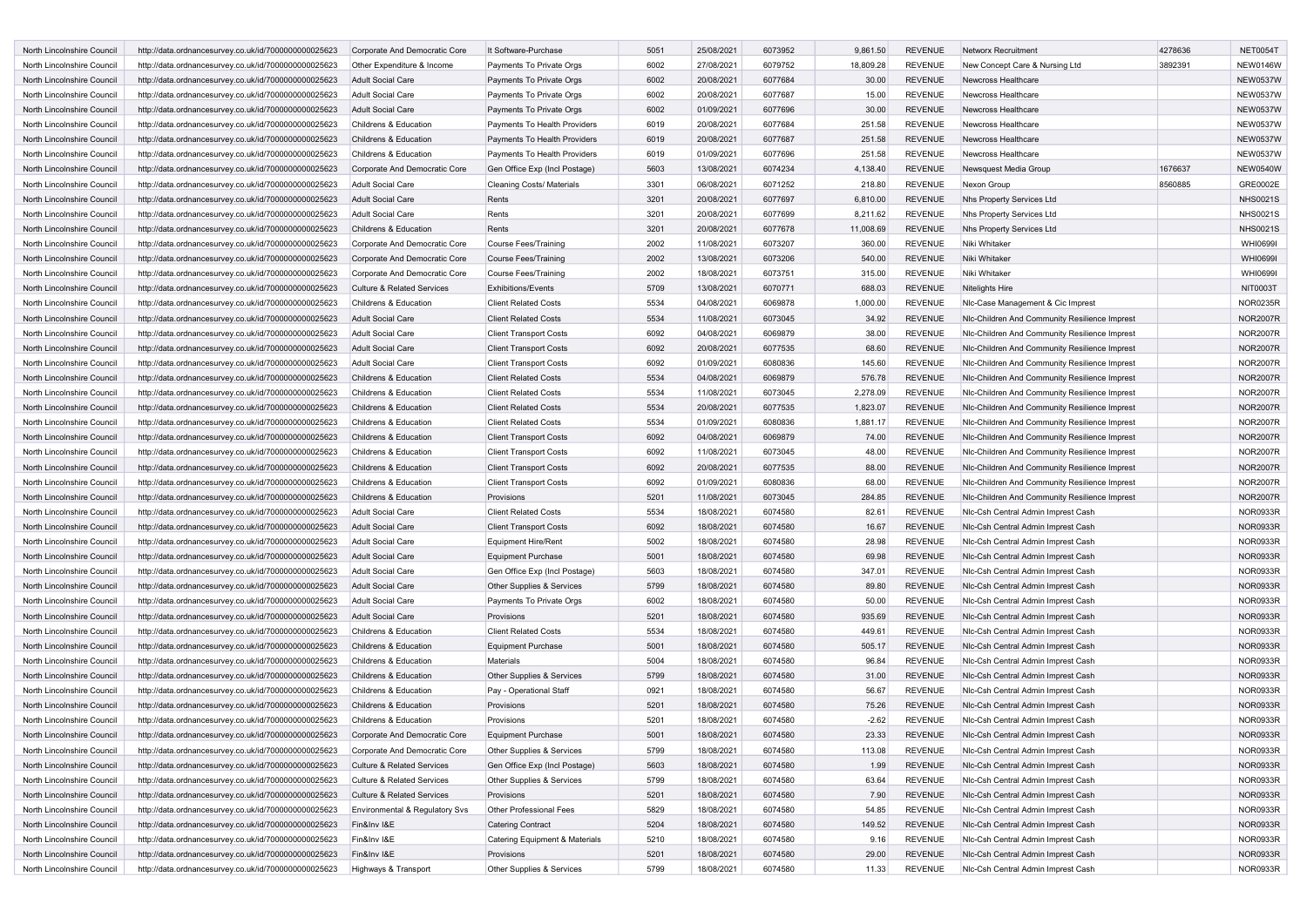| North Lincolnshire Council | http://data.ordnancesurvey.co.uk/id/7000000000025623 | Corporate And Democratic Core         | It Software-Purchase             | 5051 | 25/08/2021 | 6073952 | 9,861.50  | <b>REVENUE</b> | <b>Networx Recruitment</b>                    | 4278636 | <b>NET0054T</b> |
|----------------------------|------------------------------------------------------|---------------------------------------|----------------------------------|------|------------|---------|-----------|----------------|-----------------------------------------------|---------|-----------------|
| North Lincolnshire Council | http://data.ordnancesurvey.co.uk/id/7000000000025623 | Other Expenditure & Income            | Payments To Private Orgs         | 6002 | 27/08/2021 | 6079752 | 18,809.28 | <b>REVENUE</b> | New Concept Care & Nursing Ltd                | 3892391 | <b>NEW0146W</b> |
| North Lincolnshire Council | http://data.ordnancesurvey.co.uk/id/7000000000025623 | Adult Social Care                     | Payments To Private Orgs         | 6002 | 20/08/2021 | 6077684 | 30.00     | <b>REVENUE</b> | Newcross Healthcare                           |         | <b>NEW0537W</b> |
| North Lincolnshire Council | http://data.ordnancesurvey.co.uk/id/7000000000025623 | <b>Adult Social Care</b>              | Payments To Private Orgs         | 6002 | 20/08/2021 | 6077687 | 15.00     | REVENUE        | Newcross Healthcare                           |         | <b>NEW0537W</b> |
| North Lincolnshire Council | http://data.ordnancesurvey.co.uk/id/7000000000025623 | <b>Adult Social Care</b>              | Payments To Private Orgs         | 6002 | 01/09/2021 | 6077696 | 30.00     | <b>REVENUE</b> | Newcross Healthcare                           |         | <b>NEW0537W</b> |
| North Lincolnshire Council | http://data.ordnancesurvey.co.uk/id/7000000000025623 | Childrens & Education                 | Payments To Health Providers     | 6019 | 20/08/2021 | 6077684 | 251.58    | REVENUE        | Newcross Healthcare                           |         | <b>NEW0537W</b> |
| North Lincolnshire Council | http://data.ordnancesurvey.co.uk/id/7000000000025623 | Childrens & Education                 | Payments To Health Providers     | 6019 | 20/08/2021 | 6077687 | 251.58    | <b>REVENUE</b> | Newcross Healthcare                           |         | <b>NEW0537W</b> |
| North Lincolnshire Council | http://data.ordnancesurvey.co.uk/id/7000000000025623 | Childrens & Education                 | Payments To Health Providers     | 6019 | 01/09/2021 | 6077696 | 251.58    | REVENUE        | Newcross Healthcare                           |         | <b>NEW0537W</b> |
|                            |                                                      |                                       |                                  |      |            |         |           |                |                                               |         |                 |
| North Lincolnshire Council | http://data.ordnancesurvey.co.uk/id/7000000000025623 | Corporate And Democratic Core         | Gen Office Exp (Incl Postage)    | 5603 | 13/08/2021 | 6074234 | 4,138.40  | <b>REVENUE</b> | Newsquest Media Group                         | 1676637 | <b>NEW0540W</b> |
| North Lincolnshire Council | http://data.ordnancesurvey.co.uk/id/7000000000025623 | Adult Social Care                     | <b>Cleaning Costs/ Materials</b> | 3301 | 06/08/2021 | 6071252 | 218.80    | <b>REVENUE</b> | Nexon Group                                   | 8560885 | GRE0002E        |
| North Lincolnshire Council | http://data.ordnancesurvey.co.uk/id/7000000000025623 | <b>Adult Social Care</b>              | Rents                            | 3201 | 20/08/2021 | 6077697 | 6,810.00  | <b>REVENUE</b> | Nhs Property Services Ltd                     |         | <b>NHS0021S</b> |
| North Lincolnshire Council | http://data.ordnancesurvey.co.uk/id/7000000000025623 | Adult Social Care                     | Rents                            | 3201 | 20/08/2021 | 6077699 | 8,211.62  | <b>REVENUE</b> | Nhs Property Services Ltd                     |         | <b>NHS0021S</b> |
| North Lincolnshire Council | http://data.ordnancesurvey.co.uk/id/7000000000025623 | Childrens & Education                 | Rents                            | 3201 | 20/08/2021 | 6077678 | 11,008.69 | <b>REVENUE</b> | Nhs Property Services Ltd                     |         | <b>NHS0021S</b> |
| North Lincolnshire Council | http://data.ordnancesurvey.co.uk/id/7000000000025623 | Corporate And Democratic Core         | <b>Course Fees/Training</b>      | 2002 | 11/08/2021 | 6073207 | 360.00    | REVENUE        | Niki Whitaker                                 |         | <b>WHI0699I</b> |
| North Lincolnshire Council | http://data.ordnancesurvey.co.uk/id/7000000000025623 | Corporate And Democratic Core         | <b>Course Fees/Training</b>      | 2002 | 13/08/2021 | 6073206 | 540.00    | <b>REVENUE</b> | Niki Whitaker                                 |         | <b>WHI0699I</b> |
| North Lincolnshire Council | http://data.ordnancesurvey.co.uk/id/7000000000025623 | Corporate And Democratic Core         | <b>Course Fees/Training</b>      | 2002 | 18/08/2021 | 6073751 | 315.00    | REVENUE        | Niki Whitaker                                 |         | <b>WHI0699I</b> |
| North Lincolnshire Council | http://data.ordnancesurvey.co.uk/id/7000000000025623 | <b>Culture &amp; Related Services</b> | <b>Exhibitions/Events</b>        | 5709 | 13/08/2021 | 6070771 | 688.03    | <b>REVENUE</b> | Nitelights Hire                               |         | NIT0003T        |
| North Lincolnshire Council | http://data.ordnancesurvey.co.uk/id/7000000000025623 | Childrens & Education                 | <b>Client Related Costs</b>      | 5534 | 04/08/2021 | 6069878 | 1,000.00  | <b>REVENUE</b> | NIc-Case Management & Cic Imprest             |         | <b>NOR0235R</b> |
| North Lincolnshire Council | http://data.ordnancesurvey.co.uk/id/7000000000025623 | <b>Adult Social Care</b>              | <b>Client Related Costs</b>      | 5534 | 11/08/2021 | 6073045 | 34.92     | <b>REVENUE</b> | Nic-Children And Community Resilience Imprest |         | <b>NOR2007R</b> |
|                            |                                                      |                                       |                                  |      |            |         |           |                |                                               |         |                 |
| North Lincolnshire Council | http://data.ordnancesurvey.co.uk/id/7000000000025623 | Adult Social Care                     | <b>Client Transport Costs</b>    | 6092 | 04/08/2021 | 6069879 | 38.00     | <b>REVENUE</b> | Nic-Children And Community Resilience Imprest |         | <b>NOR2007R</b> |
| North Lincolnshire Council | http://data.ordnancesurvey.co.uk/id/7000000000025623 | <b>Adult Social Care</b>              | <b>Client Transport Costs</b>    | 6092 | 20/08/2021 | 6077535 | 68.60     | <b>REVENUE</b> | NIc-Children And Community Resilience Imprest |         | <b>NOR2007R</b> |
| North Lincolnshire Council | http://data.ordnancesurvey.co.uk/id/7000000000025623 | <b>Adult Social Care</b>              | <b>Client Transport Costs</b>    | 6092 | 01/09/2021 | 6080836 | 145.60    | <b>REVENUE</b> | NIc-Children And Community Resilience Imprest |         | <b>NOR2007R</b> |
| North Lincolnshire Council | http://data.ordnancesurvey.co.uk/id/7000000000025623 | Childrens & Education                 | <b>Client Related Costs</b>      | 5534 | 04/08/2021 | 6069879 | 576.78    | <b>REVENUE</b> | NIc-Children And Community Resilience Imprest |         | <b>NOR2007R</b> |
| North Lincolnshire Council | http://data.ordnancesurvey.co.uk/id/7000000000025623 | Childrens & Education                 | <b>Client Related Costs</b>      | 5534 | 11/08/2021 | 6073045 | 2,278.09  | <b>REVENUE</b> | NIc-Children And Community Resilience Imprest |         | <b>NOR2007R</b> |
| North Lincolnshire Council | http://data.ordnancesurvey.co.uk/id/7000000000025623 | Childrens & Education                 | <b>Client Related Costs</b>      | 5534 | 20/08/2021 | 6077535 | 1,823.07  | <b>REVENUE</b> | Nic-Children And Community Resilience Imprest |         | <b>NOR2007R</b> |
| North Lincolnshire Council | http://data.ordnancesurvey.co.uk/id/7000000000025623 | Childrens & Education                 | <b>Client Related Costs</b>      | 5534 | 01/09/2021 | 6080836 | 1,881.17  | <b>REVENUE</b> | NIc-Children And Community Resilience Imprest |         | <b>NOR2007R</b> |
| North Lincolnshire Council | http://data.ordnancesurvey.co.uk/id/7000000000025623 | Childrens & Education                 | <b>Client Transport Costs</b>    | 6092 | 04/08/2021 | 6069879 | 74.00     | <b>REVENUE</b> | Nic-Children And Community Resilience Imprest |         | <b>NOR2007R</b> |
| North Lincolnshire Council | http://data.ordnancesurvey.co.uk/id/7000000000025623 | Childrens & Education                 | <b>Client Transport Costs</b>    | 6092 | 11/08/2021 | 6073045 | 48.00     | REVENUE        | Nic-Children And Community Resilience Imprest |         | <b>NOR2007R</b> |
| North Lincolnshire Council | http://data.ordnancesurvey.co.uk/id/7000000000025623 | Childrens & Education                 | <b>Client Transport Costs</b>    | 6092 | 20/08/2021 | 6077535 | 88.00     | <b>REVENUE</b> | NIc-Children And Community Resilience Imprest |         | <b>NOR2007R</b> |
| North Lincolnshire Council | http://data.ordnancesurvey.co.uk/id/7000000000025623 | Childrens & Education                 | <b>Client Transport Costs</b>    | 6092 | 01/09/2021 | 6080836 | 68.00     | <b>REVENUE</b> | NIc-Children And Community Resilience Imprest |         | <b>NOR2007R</b> |
|                            |                                                      |                                       |                                  | 5201 |            |         | 284.85    |                |                                               |         | <b>NOR2007R</b> |
| North Lincolnshire Council | http://data.ordnancesurvey.co.uk/id/7000000000025623 | Childrens & Education                 | Provisions                       |      | 11/08/2021 | 6073045 |           | <b>REVENUE</b> | NIc-Children And Community Resilience Imprest |         |                 |
| North Lincolnshire Council | http://data.ordnancesurvey.co.uk/id/7000000000025623 | <b>Adult Social Care</b>              | <b>Client Related Costs</b>      | 5534 | 18/08/2021 | 6074580 | 82.61     | <b>REVENUE</b> | Nic-Csh Central Admin Imprest Cash            |         | NOR0933R        |
| North Lincolnshire Council | http://data.ordnancesurvey.co.uk/id/7000000000025623 | Adult Social Care                     | <b>Client Transport Costs</b>    | 6092 | 18/08/2021 | 6074580 | 16.67     | <b>REVENUE</b> | Nic-Csh Central Admin Imprest Cash            |         | <b>NOR0933R</b> |
| North Lincolnshire Council | http://data.ordnancesurvey.co.uk/id/7000000000025623 | <b>Adult Social Care</b>              | <b>Equipment Hire/Rent</b>       | 5002 | 18/08/2021 | 6074580 | 28.98     | <b>REVENUE</b> | Nic-Csh Central Admin Imprest Cash            |         | NOR0933R        |
| North Lincolnshire Council | http://data.ordnancesurvey.co.uk/id/7000000000025623 | <b>Adult Social Care</b>              | <b>Equipment Purchase</b>        | 5001 | 18/08/2021 | 6074580 | 69.98     | <b>REVENUE</b> | NIc-Csh Central Admin Imprest Cash            |         | <b>NOR0933R</b> |
| North Lincolnshire Council | http://data.ordnancesurvey.co.uk/id/7000000000025623 | Adult Social Care                     | Gen Office Exp (Incl Postage)    | 5603 | 18/08/2021 | 6074580 | 347.01    | REVENUE        | Nic-Csh Central Admin Imprest Cash            |         | NOR0933R        |
| North Lincolnshire Council | http://data.ordnancesurvey.co.uk/id/7000000000025623 | <b>Adult Social Care</b>              | Other Supplies & Services        | 5799 | 18/08/2021 | 6074580 | 89.80     | <b>REVENUE</b> | NIc-Csh Central Admin Imprest Cash            |         | <b>NOR0933R</b> |
| North Lincolnshire Council | http://data.ordnancesurvey.co.uk/id/7000000000025623 | <b>Adult Social Care</b>              | Payments To Private Orgs         | 6002 | 18/08/2021 | 6074580 | 50.00     | <b>REVENUE</b> | Nic-Csh Central Admin Imprest Cash            |         | NOR0933R        |
| North Lincolnshire Council | http://data.ordnancesurvey.co.uk/id/7000000000025623 | <b>Adult Social Care</b>              | Provisions                       | 5201 | 18/08/2021 | 6074580 | 935.69    | <b>REVENUE</b> | Nic-Csh Central Admin Imprest Cash            |         | <b>NOR0933R</b> |
| North Lincolnshire Council | http://data.ordnancesurvey.co.uk/id/7000000000025623 | Childrens & Education                 | <b>Client Related Costs</b>      | 5534 | 18/08/2021 | 6074580 | 449.61    | <b>REVENUE</b> | NIc-Csh Central Admin Imprest Cash            |         | NOR0933R        |
| North Lincolnshire Council | http://data.ordnancesurvey.co.uk/id/7000000000025623 | Childrens & Education                 | <b>Equipment Purchase</b>        | 5001 | 18/08/2021 | 6074580 | 505.17    | <b>REVENUE</b> | Nic-Csh Central Admin Imprest Cash            |         | <b>NOR0933R</b> |
| North Lincolnshire Council | http://data.ordnancesurvey.co.uk/id/7000000000025623 | Childrens & Education                 | Materials                        | 5004 | 18/08/2021 | 6074580 | 96.84     | <b>REVENUE</b> | Nic-Csh Central Admin Imprest Cash            |         | <b>NOR0933R</b> |
|                            |                                                      |                                       |                                  | 5799 | 18/08/2021 | 6074580 | 31.00     | <b>REVENUE</b> |                                               |         | <b>NOR0933R</b> |
| North Lincolnshire Council | http://data.ordnancesurvey.co.uk/id/7000000000025623 | Childrens & Education                 | Other Supplies & Services        |      |            |         |           |                | Nic-Csh Central Admin Imprest Cash            |         |                 |
| North Lincolnshire Council | http://data.ordnancesurvey.co.uk/id/7000000000025623 | Childrens & Education                 | Pay - Operational Staff          | 0921 | 18/08/2021 | 6074580 | 56.67     | <b>REVENUE</b> | Nic-Csh Central Admin Imprest Cash            |         | NOR0933R        |
| North Lincolnshire Council | http://data.ordnancesurvey.co.uk/id/7000000000025623 | Childrens & Education                 | Provisions                       | 5201 | 18/08/2021 | 6074580 | 75.26     | <b>REVENUE</b> | Nic-Csh Central Admin Imprest Cash            |         | <b>NOR0933R</b> |
| North Lincolnshire Council | http://data.ordnancesurvey.co.uk/id/7000000000025623 | Childrens & Education                 | Provisions                       | 5201 | 18/08/2021 | 6074580 | $-2.62$   | REVENUE        | Nic-Csh Central Admin Imprest Cash            |         | <b>NOR0933R</b> |
| North Lincolnshire Council | http://data.ordnancesurvey.co.uk/id/7000000000025623 | Corporate And Democratic Core         | <b>Equipment Purchase</b>        | 5001 | 18/08/2021 | 6074580 | 23.33     | <b>REVENUE</b> | Nic-Csh Central Admin Imprest Cash            |         | <b>NOR0933R</b> |
| North Lincolnshire Council | http://data.ordnancesurvey.co.uk/id/7000000000025623 | Corporate And Democratic Core         | Other Supplies & Services        | 5799 | 18/08/2021 | 6074580 | 113.08    | REVENUE        | NIc-Csh Central Admin Imprest Cash            |         | <b>NOR0933R</b> |
| North Lincolnshire Council | http://data.ordnancesurvey.co.uk/id/7000000000025623 | <b>Culture &amp; Related Services</b> | Gen Office Exp (Incl Postage)    | 5603 | 18/08/2021 | 6074580 | 1.99      | <b>REVENUE</b> | NIc-Csh Central Admin Imprest Cash            |         | <b>NOR0933R</b> |
| North Lincolnshire Council | http://data.ordnancesurvey.co.uk/id/7000000000025623 | Culture & Related Services            | Other Supplies & Services        | 5799 | 18/08/2021 | 6074580 | 63.64     | <b>REVENUE</b> | NIc-Csh Central Admin Imprest Cash            |         | <b>NOR0933R</b> |
| North Lincolnshire Council | http://data.ordnancesurvey.co.uk/id/7000000000025623 | <b>Culture &amp; Related Services</b> | Provisions                       | 5201 | 18/08/2021 | 6074580 | 7.90      | <b>REVENUE</b> | Nic-Csh Central Admin Imprest Cash            |         | <b>NOR0933R</b> |
| North Lincolnshire Council | http://data.ordnancesurvey.co.uk/id/7000000000025623 | Environmental & Regulatory Svs        | Other Professional Fees          | 5829 | 18/08/2021 | 6074580 | 54.85     | <b>REVENUE</b> | NIc-Csh Central Admin Imprest Cash            |         | <b>NOR0933R</b> |
| North Lincolnshire Council | http://data.ordnancesurvey.co.uk/id/7000000000025623 | Fin&Inv I&E                           | <b>Catering Contract</b>         | 5204 | 18/08/2021 | 6074580 | 149.52    | <b>REVENUE</b> | NIc-Csh Central Admin Imprest Cash            |         | <b>NOR0933R</b> |
| North Lincolnshire Council | http://data.ordnancesurvey.co.uk/id/7000000000025623 | Fin&Inv I&E                           |                                  |      |            |         |           |                |                                               |         | <b>NOR0933R</b> |
|                            |                                                      |                                       | Catering Equipment & Materials   | 5210 | 18/08/2021 | 6074580 | 9.16      | REVENUE        | NIc-Csh Central Admin Imprest Cash            |         |                 |
| North Lincolnshire Council | http://data.ordnancesurvey.co.uk/id/7000000000025623 | Fin&Inv I&E                           | Provisions                       | 5201 | 18/08/2021 | 6074580 | 29.00     | <b>REVENUE</b> | NIc-Csh Central Admin Imprest Cash            |         | <b>NOR0933R</b> |
| North Lincolnshire Council | http://data.ordnancesurvey.co.uk/id/7000000000025623 | Highways & Transport                  | Other Supplies & Services        | 5799 | 18/08/2021 | 6074580 | 11.33     | REVENUE        | Nic-Csh Central Admin Imprest Cash            |         | <b>NOR0933R</b> |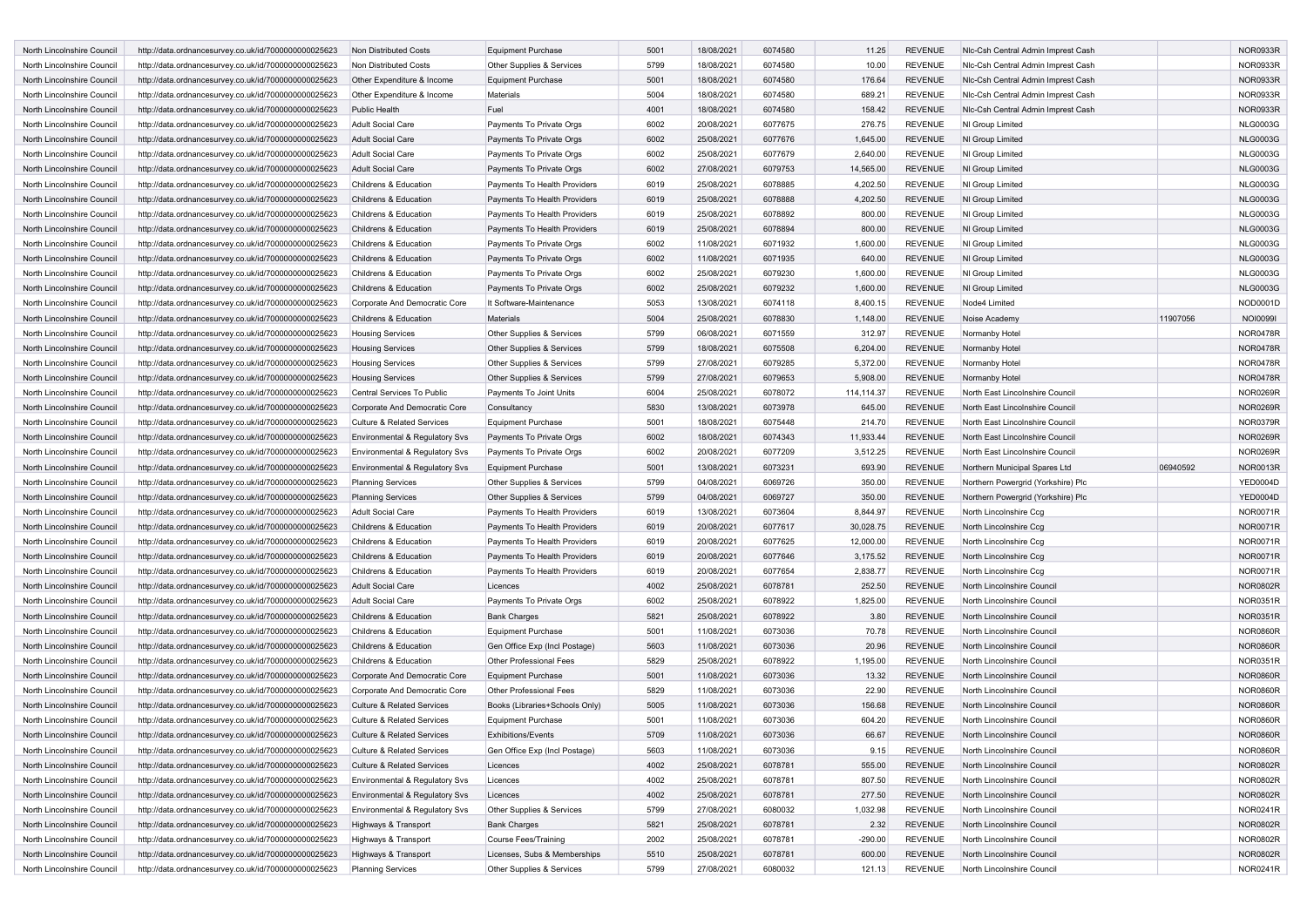| North Lincolnshire Council | http://data.ordnancesurvey.co.uk/id/7000000000025623 | Non Distributed Costs                 | <b>Equipment Purchase</b>      | 5001 | 18/08/2021 | 6074580 | 11.25      | <b>REVENUE</b> | Nic-Csh Central Admin Imprest Cash |          | <b>NOR0933R</b> |
|----------------------------|------------------------------------------------------|---------------------------------------|--------------------------------|------|------------|---------|------------|----------------|------------------------------------|----------|-----------------|
| North Lincolnshire Council | http://data.ordnancesurvey.co.uk/id/7000000000025623 | Non Distributed Costs                 | Other Supplies & Services      | 5799 | 18/08/2021 | 6074580 | 10.00      | <b>REVENUE</b> | NIc-Csh Central Admin Imprest Cash |          | <b>NOR0933R</b> |
| North Lincolnshire Council | http://data.ordnancesurvey.co.uk/id/7000000000025623 | Other Expenditure & Income            | <b>Equipment Purchase</b>      | 5001 | 18/08/2021 | 6074580 | 176.64     | <b>REVENUE</b> | Nic-Csh Central Admin Imprest Cash |          | <b>NOR0933R</b> |
| North Lincolnshire Council | http://data.ordnancesurvey.co.uk/id/7000000000025623 | Other Expenditure & Income            | Materials                      | 5004 | 18/08/2021 | 6074580 | 689.21     | <b>REVENUE</b> | Nic-Csh Central Admin Imprest Cash |          | NOR0933R        |
| North Lincolnshire Council | http://data.ordnancesurvey.co.uk/id/7000000000025623 | <b>Public Health</b>                  | Fuel                           | 4001 | 18/08/2021 | 6074580 | 158.42     | <b>REVENUE</b> | Nic-Csh Central Admin Imprest Cash |          | <b>NOR0933R</b> |
| North Lincolnshire Council | http://data.ordnancesurvey.co.uk/id/7000000000025623 | Adult Social Care                     | Payments To Private Orgs       | 6002 | 20/08/2021 | 6077675 | 276.75     | <b>REVENUE</b> | NI Group Limited                   |          | <b>NLG0003G</b> |
| North Lincolnshire Council |                                                      | <b>Adult Social Care</b>              |                                | 6002 |            | 6077676 |            | <b>REVENUE</b> |                                    |          | <b>NLG0003G</b> |
|                            | http://data.ordnancesurvey.co.uk/id/7000000000025623 |                                       | Payments To Private Orgs       |      | 25/08/2021 |         | 1,645.00   |                | NI Group Limited                   |          |                 |
| North Lincolnshire Council | http://data.ordnancesurvey.co.uk/id/7000000000025623 | Adult Social Care                     | Payments To Private Orgs       | 6002 | 25/08/2021 | 6077679 | 2,640.00   | <b>REVENUE</b> | NI Group Limited                   |          | <b>NLG0003G</b> |
| North Lincolnshire Council | http://data.ordnancesurvey.co.uk/id/7000000000025623 | <b>Adult Social Care</b>              | Payments To Private Orgs       | 6002 | 27/08/2021 | 6079753 | 14,565.00  | <b>REVENUE</b> | NI Group Limited                   |          | <b>NLG0003G</b> |
| North Lincolnshire Council | http://data.ordnancesurvey.co.uk/id/7000000000025623 | Childrens & Education                 | Payments To Health Providers   | 6019 | 25/08/2021 | 6078885 | 4,202.50   | <b>REVENUE</b> | NI Group Limited                   |          | <b>NLG0003G</b> |
| North Lincolnshire Council | http://data.ordnancesurvey.co.uk/id/7000000000025623 | Childrens & Education                 | Payments To Health Providers   | 6019 | 25/08/2021 | 6078888 | 4,202.50   | <b>REVENUE</b> | NI Group Limited                   |          | <b>NLG0003G</b> |
| North Lincolnshire Council | http://data.ordnancesurvey.co.uk/id/7000000000025623 | Childrens & Education                 | Payments To Health Providers   | 6019 | 25/08/2021 | 6078892 | 800.00     | <b>REVENUE</b> | NI Group Limited                   |          | <b>NLG0003G</b> |
| North Lincolnshire Council | http://data.ordnancesurvey.co.uk/id/7000000000025623 | Childrens & Education                 | Payments To Health Providers   | 6019 | 25/08/2021 | 6078894 | 800.00     | <b>REVENUE</b> | NI Group Limited                   |          | <b>NLG0003G</b> |
| North Lincolnshire Council | http://data.ordnancesurvey.co.uk/id/7000000000025623 | Childrens & Education                 | Payments To Private Orgs       | 6002 | 11/08/2021 | 6071932 | 1,600.00   | <b>REVENUE</b> | NI Group Limited                   |          | <b>NLG0003G</b> |
| North Lincolnshire Council | http://data.ordnancesurvey.co.uk/id/7000000000025623 | Childrens & Education                 | Payments To Private Orgs       | 6002 | 11/08/2021 | 6071935 | 640.00     | <b>REVENUE</b> | NI Group Limited                   |          | <b>NLG0003G</b> |
| North Lincolnshire Council | http://data.ordnancesurvey.co.uk/id/7000000000025623 | Childrens & Education                 | Payments To Private Orgs       | 6002 | 25/08/2021 | 6079230 | 1,600.00   | <b>REVENUE</b> | NI Group Limited                   |          | <b>NLG0003G</b> |
| North Lincolnshire Council | http://data.ordnancesurvey.co.uk/id/7000000000025623 | Childrens & Education                 | Payments To Private Orgs       | 6002 | 25/08/2021 | 6079232 | 1,600.00   | <b>REVENUE</b> | NI Group Limited                   |          | <b>NLG0003G</b> |
| North Lincolnshire Council | http://data.ordnancesurvey.co.uk/id/7000000000025623 | Corporate And Democratic Core         | It Software-Maintenance        | 5053 | 13/08/2021 | 6074118 | 8,400.15   | <b>REVENUE</b> | Node4 Limited                      |          | NOD0001D        |
| North Lincolnshire Council | http://data.ordnancesurvey.co.uk/id/7000000000025623 | Childrens & Education                 | Materials                      | 5004 | 25/08/2021 | 6078830 | 1,148.00   | <b>REVENUE</b> | Noise Academy                      | 11907056 | <b>NOI0099I</b> |
| North Lincolnshire Council | http://data.ordnancesurvey.co.uk/id/7000000000025623 | <b>Housing Services</b>               | Other Supplies & Services      | 5799 | 06/08/2021 | 6071559 | 312.97     | <b>REVENUE</b> | Normanby Hotel                     |          | <b>NOR0478R</b> |
| North Lincolnshire Council | http://data.ordnancesurvey.co.uk/id/7000000000025623 | <b>Housing Services</b>               | Other Supplies & Services      | 5799 | 18/08/2021 | 6075508 | 6,204.00   | <b>REVENUE</b> | Normanby Hotel                     |          | <b>NOR0478R</b> |
| North Lincolnshire Council | http://data.ordnancesurvey.co.uk/id/7000000000025623 | <b>Housing Services</b>               | Other Supplies & Services      | 5799 | 27/08/2021 | 6079285 | 5,372.00   | <b>REVENUE</b> | Normanby Hotel                     |          | <b>NOR0478R</b> |
| North Lincolnshire Council | http://data.ordnancesurvey.co.uk/id/7000000000025623 | <b>Housing Services</b>               | Other Supplies & Services      | 5799 | 27/08/2021 | 6079653 | 5,908.00   | <b>REVENUE</b> | Normanby Hotel                     |          | <b>NOR0478R</b> |
|                            |                                                      |                                       |                                |      |            |         |            |                |                                    |          |                 |
| North Lincolnshire Council | http://data.ordnancesurvey.co.uk/id/7000000000025623 | Central Services To Public            | Payments To Joint Units        | 6004 | 25/08/2021 | 6078072 | 114,114.37 | <b>REVENUE</b> | North East Lincolnshire Council    |          | <b>NOR0269R</b> |
| North Lincolnshire Council | http://data.ordnancesurvey.co.uk/id/7000000000025623 | Corporate And Democratic Core         | Consultancy                    | 5830 | 13/08/2021 | 6073978 | 645.00     | <b>REVENUE</b> | North East Lincolnshire Council    |          | <b>NOR0269R</b> |
| North Lincolnshire Council | http://data.ordnancesurvey.co.uk/id/7000000000025623 | <b>Culture &amp; Related Services</b> | <b>Equipment Purchase</b>      | 5001 | 18/08/2021 | 6075448 | 214.70     | <b>REVENUE</b> | North East Lincolnshire Council    |          | NOR0379R        |
| North Lincolnshire Council | http://data.ordnancesurvey.co.uk/id/7000000000025623 | Environmental & Regulatory Svs        | Payments To Private Orgs       | 6002 | 18/08/2021 | 6074343 | 11,933.44  | <b>REVENUE</b> | North East Lincolnshire Council    |          | <b>NOR0269R</b> |
| North Lincolnshire Council | http://data.ordnancesurvey.co.uk/id/7000000000025623 | Environmental & Regulatory Svs        | Payments To Private Orgs       | 6002 | 20/08/2021 | 6077209 | 3,512.25   | <b>REVENUE</b> | North East Lincolnshire Council    |          | <b>NOR0269R</b> |
| North Lincolnshire Council | http://data.ordnancesurvey.co.uk/id/7000000000025623 | Environmental & Regulatory Svs        | <b>Equipment Purchase</b>      | 5001 | 13/08/2021 | 6073231 | 693.90     | <b>REVENUE</b> | Northern Municipal Spares Ltd      | 06940592 | <b>NOR0013R</b> |
| North Lincolnshire Council | http://data.ordnancesurvey.co.uk/id/7000000000025623 | <b>Planning Services</b>              | Other Supplies & Services      | 5799 | 04/08/2021 | 6069726 | 350.00     | <b>REVENUE</b> | Northern Powergrid (Yorkshire) Plc |          | <b>YED0004D</b> |
| North Lincolnshire Council | http://data.ordnancesurvey.co.uk/id/7000000000025623 | <b>Planning Services</b>              | Other Supplies & Services      | 5799 | 04/08/2021 | 6069727 | 350.00     | <b>REVENUE</b> | Northern Powergrid (Yorkshire) Plc |          | <b>YED0004D</b> |
| North Lincolnshire Council | http://data.ordnancesurvey.co.uk/id/7000000000025623 | Adult Social Care                     | Payments To Health Providers   | 6019 | 13/08/2021 | 6073604 | 8,844.97   | <b>REVENUE</b> | North Lincolnshire Ccg             |          | <b>NOR0071R</b> |
| North Lincolnshire Council | http://data.ordnancesurvey.co.uk/id/7000000000025623 | Childrens & Education                 | Payments To Health Providers   | 6019 | 20/08/2021 | 6077617 | 30,028.75  | <b>REVENUE</b> | North Lincolnshire Ccg             |          | <b>NOR0071R</b> |
| North Lincolnshire Council | http://data.ordnancesurvey.co.uk/id/7000000000025623 | Childrens & Education                 | Payments To Health Providers   | 6019 | 20/08/2021 | 6077625 | 12,000.00  | <b>REVENUE</b> | North Lincolnshire Ccg             |          | NOR0071R        |
| North Lincolnshire Council | http://data.ordnancesurvey.co.uk/id/7000000000025623 | Childrens & Education                 | Payments To Health Providers   | 6019 | 20/08/2021 | 6077646 | 3,175.52   | <b>REVENUE</b> | North Lincolnshire Ccg             |          | <b>NOR0071R</b> |
| North Lincolnshire Council | http://data.ordnancesurvey.co.uk/id/7000000000025623 | Childrens & Education                 | Payments To Health Providers   | 6019 | 20/08/2021 | 6077654 | 2,838.77   | <b>REVENUE</b> | North Lincolnshire Ccg             |          | NOR0071R        |
| North Lincolnshire Council | http://data.ordnancesurvey.co.uk/id/7000000000025623 | <b>Adult Social Care</b>              | Licences                       | 4002 | 25/08/2021 | 6078781 | 252.50     | <b>REVENUE</b> | North Lincolnshire Council         |          | <b>NOR0802R</b> |
| North Lincolnshire Council | http://data.ordnancesurvey.co.uk/id/7000000000025623 | Adult Social Care                     | Payments To Private Orgs       | 6002 | 25/08/2021 | 6078922 | 1,825.00   | <b>REVENUE</b> | North Lincolnshire Council         |          | <b>NOR0351R</b> |
| North Lincolnshire Council | http://data.ordnancesurvey.co.uk/id/7000000000025623 | Childrens & Education                 | <b>Bank Charges</b>            | 5821 | 25/08/2021 | 6078922 | 3.80       | <b>REVENUE</b> | North Lincolnshire Council         |          | <b>NOR0351R</b> |
| North Lincolnshire Council | http://data.ordnancesurvey.co.uk/id/7000000000025623 | Childrens & Education                 | <b>Equipment Purchase</b>      | 5001 | 11/08/2021 | 6073036 | 70.78      | <b>REVENUE</b> | North Lincolnshire Council         |          | <b>NOR0860R</b> |
| North Lincolnshire Council | http://data.ordnancesurvey.co.uk/id/7000000000025623 | Childrens & Education                 | Gen Office Exp (Incl Postage)  | 5603 | 11/08/2021 | 6073036 | 20.96      | <b>REVENUE</b> | North Lincolnshire Council         |          | <b>NOR0860R</b> |
| North Lincolnshire Council | http://data.ordnancesurvey.co.uk/id/7000000000025623 | Childrens & Education                 | <b>Other Professional Fees</b> | 5829 | 25/08/2021 | 6078922 | 1,195.00   | <b>REVENUE</b> | North Lincolnshire Council         |          | <b>NOR0351R</b> |
|                            |                                                      |                                       |                                |      |            |         |            |                |                                    |          |                 |
| North Lincolnshire Council | http://data.ordnancesurvey.co.uk/id/7000000000025623 | Corporate And Democratic Core         | <b>Equipment Purchase</b>      | 5001 | 11/08/2021 | 6073036 | 13.32      | <b>REVENUE</b> | North Lincolnshire Council         |          | <b>NOR0860R</b> |
| North Lincolnshire Council | http://data.ordnancesurvey.co.uk/id/7000000000025623 | Corporate And Democratic Core         | <b>Other Professional Fees</b> | 5829 | 11/08/2021 | 6073036 | 22.90      | <b>REVENUE</b> | North Lincolnshire Council         |          | <b>NOR0860R</b> |
| North Lincolnshire Council | http://data.ordnancesurvey.co.uk/id/7000000000025623 | <b>Culture &amp; Related Services</b> | Books (Libraries+Schools Only) | 5005 | 11/08/2021 | 6073036 | 156.68     | <b>REVENUE</b> | North Lincolnshire Council         |          | <b>NOR0860R</b> |
| North Lincolnshire Council | http://data.ordnancesurvey.co.uk/id/7000000000025623 | <b>Culture &amp; Related Services</b> | <b>Equipment Purchase</b>      | 5001 | 11/08/2021 | 6073036 | 604.20     | <b>REVENUE</b> | North Lincolnshire Council         |          | <b>NOR0860R</b> |
| North Lincolnshire Council | http://data.ordnancesurvey.co.uk/id/7000000000025623 | Culture & Related Services            | Exhibitions/Events             | 5709 | 11/08/2021 | 6073036 | 66.67      | <b>REVENUE</b> | North Lincolnshire Council         |          | <b>NOR0860R</b> |
| North Lincolnshire Council | http://data.ordnancesurvey.co.uk/id/7000000000025623 | Culture & Related Services            | Gen Office Exp (Incl Postage)  | 5603 | 11/08/2021 | 6073036 | 9.15       | <b>REVENUE</b> | North Lincolnshire Council         |          | <b>NOR0860R</b> |
| North Lincolnshire Council | http://data.ordnancesurvey.co.uk/id/7000000000025623 | <b>Culture &amp; Related Services</b> | Licences                       | 4002 | 25/08/2021 | 6078781 | 555.00     | <b>REVENUE</b> | North Lincolnshire Council         |          | <b>NOR0802R</b> |
| North Lincolnshire Council | http://data.ordnancesurvey.co.uk/id/7000000000025623 | Environmental & Regulatory Svs        | Licences                       | 4002 | 25/08/2021 | 6078781 | 807.50     | <b>REVENUE</b> | North Lincolnshire Council         |          | <b>NOR0802R</b> |
| North Lincolnshire Council | http://data.ordnancesurvey.co.uk/id/7000000000025623 | Environmental & Regulatory Svs        | Licences                       | 4002 | 25/08/2021 | 6078781 | 277.50     | <b>REVENUE</b> | North Lincolnshire Council         |          | <b>NOR0802R</b> |
| North Lincolnshire Council | http://data.ordnancesurvey.co.uk/id/7000000000025623 | Environmental & Regulatory Svs        | Other Supplies & Services      | 5799 | 27/08/2021 | 6080032 | 1,032.98   | <b>REVENUE</b> | North Lincolnshire Council         |          | NOR0241R        |
| North Lincolnshire Council | http://data.ordnancesurvey.co.uk/id/7000000000025623 | Highways & Transport                  | <b>Bank Charges</b>            | 5821 | 25/08/2021 | 6078781 | 2.32       | <b>REVENUE</b> | North Lincolnshire Council         |          | <b>NOR0802R</b> |
| North Lincolnshire Council | http://data.ordnancesurvey.co.uk/id/7000000000025623 | Highways & Transport                  | <b>Course Fees/Training</b>    | 2002 | 25/08/2021 | 6078781 | $-290.00$  | <b>REVENUE</b> | North Lincolnshire Council         |          | <b>NOR0802R</b> |
| North Lincolnshire Council | http://data.ordnancesurvey.co.uk/id/7000000000025623 | Highways & Transport                  | Licenses, Subs & Memberships   | 5510 | 25/08/2021 | 6078781 | 600.00     | <b>REVENUE</b> | North Lincolnshire Council         |          | <b>NOR0802R</b> |
| North Lincolnshire Council | http://data.ordnancesurvey.co.uk/id/7000000000025623 | <b>Planning Services</b>              | Other Supplies & Services      | 5799 | 27/08/2021 | 6080032 | 121.13     | <b>REVENUE</b> | North Lincolnshire Council         |          | NOR0241R        |
|                            |                                                      |                                       |                                |      |            |         |            |                |                                    |          |                 |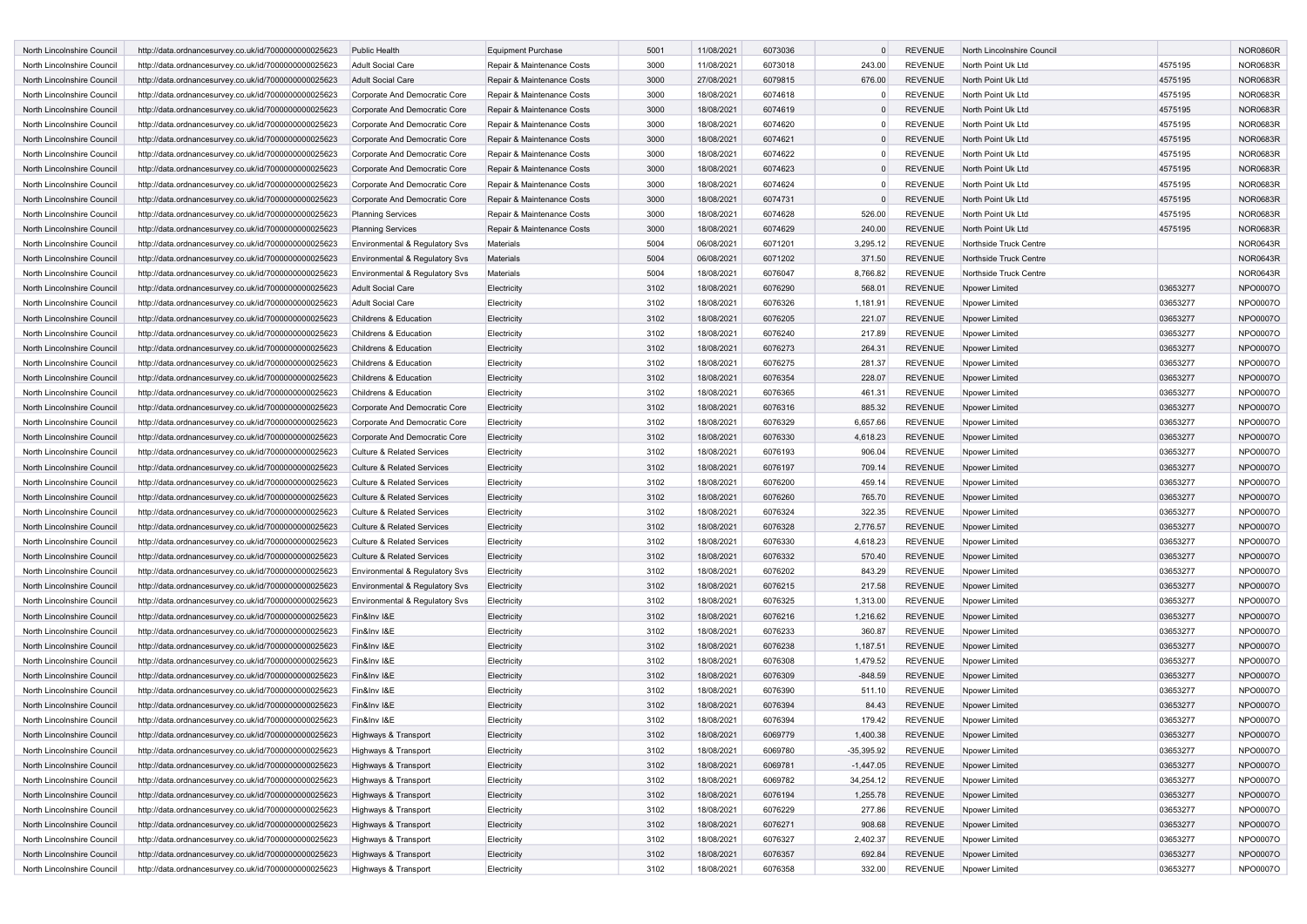| North Lincolnshire Council | http://data.ordnancesurvey.co.uk/id/7000000000025623 | <b>Public Health</b>                  | <b>Equipment Purchase</b>  | 5001         | 11/08/2021               | 6073036            |                    | <b>REVENUE</b> | North Lincolnshire Council |                      | <b>NOR0860R</b> |
|----------------------------|------------------------------------------------------|---------------------------------------|----------------------------|--------------|--------------------------|--------------------|--------------------|----------------|----------------------------|----------------------|-----------------|
| North Lincolnshire Council | http://data.ordnancesurvey.co.uk/id/7000000000025623 | Adult Social Care                     | Repair & Maintenance Costs | 3000         | 11/08/2021               | 6073018            | 243.00             | <b>REVENUE</b> | North Point Uk Ltd         | 4575195              | <b>NOR0683R</b> |
| North Lincolnshire Council | http://data.ordnancesurvey.co.uk/id/7000000000025623 | <b>Adult Social Care</b>              | Repair & Maintenance Costs | 3000         | 27/08/2021               | 6079815            | 676.00             | <b>REVENUE</b> | North Point Uk Ltd         | 4575195              | <b>NOR0683R</b> |
| North Lincolnshire Council | http://data.ordnancesurvey.co.uk/id/7000000000025623 | Corporate And Democratic Core         | Repair & Maintenance Costs | 3000         | 18/08/2021               | 6074618            |                    | <b>REVENUE</b> | North Point Uk Ltd         | 4575195              | <b>NOR0683R</b> |
| North Lincolnshire Council | http://data.ordnancesurvey.co.uk/id/7000000000025623 | Corporate And Democratic Core         | Repair & Maintenance Costs | 3000         | 18/08/2021               | 6074619            |                    | <b>REVENUE</b> | North Point Uk Ltd         | 4575195              | <b>NOR0683R</b> |
| North Lincolnshire Council | http://data.ordnancesurvey.co.uk/id/7000000000025623 | Corporate And Democratic Core         | Repair & Maintenance Costs | 3000         | 18/08/2021               | 6074620            |                    | <b>REVENUE</b> | North Point Uk Ltd         | 4575195              | <b>NOR0683R</b> |
| North Lincolnshire Council | http://data.ordnancesurvey.co.uk/id/7000000000025623 | Corporate And Democratic Core         | Repair & Maintenance Costs | 3000         | 18/08/2021               | 6074621            | $\Omega$           | <b>REVENUE</b> | North Point Uk Ltd         | 4575195              | <b>NOR0683R</b> |
| North Lincolnshire Council | http://data.ordnancesurvey.co.uk/id/7000000000025623 | Corporate And Democratic Core         | Repair & Maintenance Costs | 3000         | 18/08/2021               | 6074622            |                    | <b>REVENUE</b> | North Point Uk Ltd         | 4575195              | <b>NOR0683R</b> |
| North Lincolnshire Council | http://data.ordnancesurvey.co.uk/id/7000000000025623 | Corporate And Democratic Core         | Repair & Maintenance Costs | 3000         | 18/08/2021               | 6074623            |                    | <b>REVENUE</b> | North Point Uk Ltd         | 4575195              | <b>NOR0683R</b> |
| North Lincolnshire Council | http://data.ordnancesurvey.co.uk/id/7000000000025623 | Corporate And Democratic Core         | Repair & Maintenance Costs | 3000         | 18/08/2021               | 6074624            | $\Omega$           | <b>REVENUE</b> | North Point Uk Ltd         | 4575195              | <b>NOR0683R</b> |
| North Lincolnshire Council | http://data.ordnancesurvey.co.uk/id/7000000000025623 | Corporate And Democratic Core         | Repair & Maintenance Costs | 3000         | 18/08/2021               | 6074731            |                    | <b>REVENUE</b> | North Point Uk Ltd         | 4575195              | <b>NOR0683R</b> |
| North Lincolnshire Council | http://data.ordnancesurvey.co.uk/id/7000000000025623 | <b>Planning Services</b>              | Repair & Maintenance Costs | 3000         | 18/08/2021               | 6074628            | 526.00             | <b>REVENUE</b> | North Point Uk Ltd         | 4575195              | <b>NOR0683R</b> |
| North Lincolnshire Council | http://data.ordnancesurvey.co.uk/id/7000000000025623 | <b>Planning Services</b>              | Repair & Maintenance Costs | 3000         | 18/08/2021               | 6074629            | 240.00             | <b>REVENUE</b> | North Point Uk Ltd         | 4575195              | <b>NOR0683R</b> |
| North Lincolnshire Council | http://data.ordnancesurvey.co.uk/id/7000000000025623 | Environmental & Regulatory Svs        | Materials                  | 5004         | 06/08/2021               | 6071201            | 3,295.12           | <b>REVENUE</b> | Northside Truck Centre     |                      | <b>NOR0643R</b> |
| North Lincolnshire Council | http://data.ordnancesurvey.co.uk/id/7000000000025623 | Environmental & Regulatory Svs        | Materials                  | 5004         | 06/08/2021               | 6071202            | 371.50             | <b>REVENUE</b> | Northside Truck Centre     |                      | <b>NOR0643R</b> |
| North Lincolnshire Council | http://data.ordnancesurvey.co.uk/id/7000000000025623 | Environmental & Regulatory Svs        | Materials                  | 5004         | 18/08/2021               | 6076047            | 8,766.82           | <b>REVENUE</b> | Northside Truck Centre     |                      | <b>NOR0643R</b> |
| North Lincolnshire Council | http://data.ordnancesurvey.co.uk/id/7000000000025623 | <b>Adult Social Care</b>              | Electricity                | 3102         | 18/08/2021               | 6076290            | 568.01             | <b>REVENUE</b> | Npower Limited             | 03653277             | NPO0007O        |
|                            |                                                      |                                       |                            |              |                          |                    |                    | <b>REVENUE</b> |                            |                      | NPO0007O        |
| North Lincolnshire Council | http://data.ordnancesurvey.co.uk/id/7000000000025623 | Adult Social Care                     | Electricity<br>Electricity | 3102<br>3102 | 18/08/2021<br>18/08/2021 | 6076326<br>6076205 | 1,181.91<br>221.07 | <b>REVENUE</b> | Npower Limited             | 03653277<br>03653277 |                 |
| North Lincolnshire Council | http://data.ordnancesurvey.co.uk/id/7000000000025623 | Childrens & Education                 |                            |              |                          |                    |                    |                | Npower Limited             |                      | NPO0007O        |
| North Lincolnshire Council | http://data.ordnancesurvey.co.uk/id/7000000000025623 | Childrens & Education                 | Electricity                | 3102         | 18/08/2021               | 6076240            | 217.89             | <b>REVENUE</b> | Npower Limited             | 03653277             | NPO0007O        |
| North Lincolnshire Council | http://data.ordnancesurvey.co.uk/id/7000000000025623 | Childrens & Education                 | Electricity                | 3102         | 18/08/2021               | 6076273            | 264.31             | <b>REVENUE</b> | Noower Limited             | 03653277             | NPO0007O        |
| North Lincolnshire Council | http://data.ordnancesurvey.co.uk/id/7000000000025623 | Childrens & Education                 | Electricity                | 3102         | 18/08/2021               | 6076275            | 281.37             | <b>REVENUE</b> | Npower Limited             | 03653277             | NPO0007O        |
| North Lincolnshire Council | http://data.ordnancesurvey.co.uk/id/7000000000025623 | Childrens & Education                 | Electricity                | 3102         | 18/08/2021               | 6076354            | 228.07             | <b>REVENUE</b> | Npower Limited             | 03653277             | NPO0007O        |
| North Lincolnshire Council | http://data.ordnancesurvey.co.uk/id/7000000000025623 | Childrens & Education                 | Electricity                | 3102         | 18/08/2021               | 6076365            | 461.31             | <b>REVENUE</b> | Npower Limited             | 03653277             | NPO0007O        |
| North Lincolnshire Council | http://data.ordnancesurvey.co.uk/id/7000000000025623 | Corporate And Democratic Core         | Electricity                | 3102         | 18/08/2021               | 6076316            | 885.32             | <b>REVENUE</b> | Npower Limited             | 03653277             | NPO0007O        |
| North Lincolnshire Council | http://data.ordnancesurvey.co.uk/id/7000000000025623 | Corporate And Democratic Core         | Electricity                | 3102         | 18/08/2021               | 6076329            | 6,657.66           | <b>REVENUE</b> | Npower Limited             | 03653277             | NPO0007O        |
| North Lincolnshire Council | http://data.ordnancesurvey.co.uk/id/7000000000025623 | Corporate And Democratic Core         | Electricity                | 3102         | 18/08/2021               | 6076330            | 4,618.23           | <b>REVENUE</b> | Npower Limited             | 03653277             | NPO0007O        |
| North Lincolnshire Council | http://data.ordnancesurvey.co.uk/id/7000000000025623 | <b>Culture &amp; Related Services</b> | Electricity                | 3102         | 18/08/2021               | 6076193            | 906.04             | <b>REVENUE</b> | Npower Limited             | 03653277             | NPO0007O        |
| North Lincolnshire Council | http://data.ordnancesurvey.co.uk/id/7000000000025623 | <b>Culture &amp; Related Services</b> | Electricity                | 3102         | 18/08/2021               | 6076197            | 709.14             | <b>REVENUE</b> | Npower Limited             | 03653277             | NPO0007O        |
| North Lincolnshire Council | http://data.ordnancesurvey.co.uk/id/7000000000025623 | <b>Culture &amp; Related Services</b> | Electricity                | 3102         | 18/08/2021               | 6076200            | 459.14             | <b>REVENUE</b> | Npower Limited             | 03653277             | NPO0007O        |
| North Lincolnshire Council | http://data.ordnancesurvey.co.uk/id/7000000000025623 | <b>Culture &amp; Related Services</b> | Electricity                | 3102         | 18/08/2021               | 6076260            | 765.70             | <b>REVENUE</b> | Npower Limited             | 03653277             | NPO0007O        |
| North Lincolnshire Council | http://data.ordnancesurvey.co.uk/id/7000000000025623 | <b>Culture &amp; Related Services</b> | Electricity                | 3102         | 18/08/2021               | 6076324            | 322.35             | <b>REVENUE</b> | Npower Limited             | 03653277             | NPO0007O        |
| North Lincolnshire Council | http://data.ordnancesurvey.co.uk/id/7000000000025623 | <b>Culture &amp; Related Services</b> | Electricity                | 3102         | 18/08/2021               | 6076328            | 2,776.57           | <b>REVENUE</b> | Npower Limited             | 03653277             | NPO0007O        |
| North Lincolnshire Council | http://data.ordnancesurvey.co.uk/id/7000000000025623 | <b>Culture &amp; Related Services</b> | Electricity                | 3102         | 18/08/2021               | 6076330            | 4,618.23           | <b>REVENUE</b> | Npower Limited             | 03653277             | NPO0007O        |
| North Lincolnshire Council | http://data.ordnancesurvey.co.uk/id/7000000000025623 | <b>Culture &amp; Related Services</b> | Electricity                | 3102         | 18/08/2021               | 6076332            | 570.40             | <b>REVENUE</b> | Npower Limited             | 03653277             | NPO0007O        |
| North Lincolnshire Council | http://data.ordnancesurvey.co.uk/id/7000000000025623 | Environmental & Regulatory Svs        | Electricity                | 3102         | 18/08/2021               | 6076202            | 843.29             | <b>REVENUE</b> | Npower Limited             | 03653277             | NPO0007O        |
| North Lincolnshire Council | http://data.ordnancesurvey.co.uk/id/7000000000025623 | Environmental & Regulatory Svs        | Electricity                | 3102         | 18/08/2021               | 6076215            | 217.58             | <b>REVENUE</b> | Npower Limited             | 03653277             | NPO0007O        |
| North Lincolnshire Council | http://data.ordnancesurvey.co.uk/id/7000000000025623 | Environmental & Regulatory Svs        | Electricity                | 3102         | 18/08/2021               | 6076325            | 1,313.00           | <b>REVENUE</b> | Npower Limited             | 03653277             | NPO0007O        |
| North Lincolnshire Council | http://data.ordnancesurvey.co.uk/id/7000000000025623 | Fin&Inv I&E                           | Electricity                | 3102         | 18/08/2021               | 6076216            | 1,216.62           | <b>REVENUE</b> | Npower Limited             | 03653277             | NPO0007O        |
| North Lincolnshire Council | http://data.ordnancesurvey.co.uk/id/7000000000025623 | Fin&Inv I&E                           | Electricity                | 3102         | 18/08/2021               | 6076233            | 360.87             | <b>REVENUE</b> | Npower Limited             | 03653277             | NPO0007O        |
| North Lincolnshire Council | http://data.ordnancesurvey.co.uk/id/7000000000025623 | Fin&Inv I&E                           | Electricity                | 3102         | 18/08/2021               | 6076238            | 1,187.51           | <b>REVENUE</b> | Noower Limited             | 03653277             | NPO0007O        |
| North Lincolnshire Council | http://data.ordnancesurvey.co.uk/id/7000000000025623 | Fin&Inv I&E                           | Electricity                | 3102         | 18/08/2021               | 6076308            | 1,479.52           | <b>REVENUE</b> | Npower Limited             | 03653277             | NPO0007O        |
| North Lincolnshire Council | http://data.ordnancesurvey.co.uk/id/7000000000025623 | Fin&Inv I&E                           | Electricity                | 3102         | 18/08/2021               | 6076309            | $-848.59$          | <b>REVENUE</b> | Npower Limited             | 03653277             | NPO0007O        |
| North Lincolnshire Council | http://data.ordnancesurvey.co.uk/id/7000000000025623 | Fin&Inv I&E                           | Electricity                | 3102         | 18/08/2021               | 6076390            | 511.10             | <b>REVENUE</b> | Npower Limited             | 03653277             | NPO0007O        |
| North Lincolnshire Council | http://data.ordnancesurvey.co.uk/id/7000000000025623 | Fin&Inv I&E                           | Electricity                | 3102         | 18/08/2021               | 6076394            | 84.43              | <b>REVENUE</b> | Npower Limited             | 03653277             | NPO0007O        |
| North Lincolnshire Council | http://data.ordnancesurvey.co.uk/id/7000000000025623 | Fin&Inv I&E                           | Electricity                | 3102         | 18/08/2021               | 6076394            | 179.42             | <b>REVENUE</b> | Npower Limited             | 03653277             | NPO0007O        |
| North Lincolnshire Council | http://data.ordnancesurvey.co.uk/id/7000000000025623 | Highways & Transport                  | Electricity                | 3102         | 18/08/2021               | 6069779            | 1,400.38           | <b>REVENUE</b> | Npower Limited             | 03653277             | NPO0007O        |
| North Lincolnshire Council | http://data.ordnancesurvey.co.uk/id/7000000000025623 | Highways & Transport                  | Electricity                | 3102         | 18/08/2021               | 6069780            | $-35,395.92$       | <b>REVENUE</b> | Npower Limited             | 03653277             | NPO0007O        |
| North Lincolnshire Council | http://data.ordnancesurvey.co.uk/id/7000000000025623 | Highways & Transport                  | Electricity                | 3102         | 18/08/2021               | 6069781            | $-1,447.05$        | <b>REVENUE</b> | Npower Limited             | 03653277             | NPO0007O        |
| North Lincolnshire Council | http://data.ordnancesurvey.co.uk/id/7000000000025623 | Highways & Transport                  | Electricity                | 3102         | 18/08/2021               | 6069782            | 34,254.12          | REVENUE        | Npower Limited             | 03653277             | NPO0007O        |
| North Lincolnshire Council | http://data.ordnancesurvey.co.uk/id/7000000000025623 | Highways & Transport                  | Electricity                | 3102         | 18/08/2021               | 6076194            | 1,255.78           | <b>REVENUE</b> | Npower Limited             | 03653277             | NPO0007O        |
| North Lincolnshire Council | http://data.ordnancesurvey.co.uk/id/7000000000025623 | Highways & Transport                  | Electricity                | 3102         | 18/08/2021               | 6076229            | 277.86             | <b>REVENUE</b> | Npower Limited             | 03653277             | NPO0007O        |
| North Lincolnshire Council | http://data.ordnancesurvey.co.uk/id/7000000000025623 | Highways & Transport                  | Electricity                | 3102         | 18/08/2021               | 6076271            | 908.68             | <b>REVENUE</b> | Npower Limited             | 03653277             | NPO0007O        |
| North Lincolnshire Council | http://data.ordnancesurvey.co.uk/id/7000000000025623 | Highways & Transport                  | Electricity                | 3102         | 18/08/2021               | 6076327            | 2,402.37           | REVENUE        | Noower Limited             | 03653277             | NPO0007O        |
| North Lincolnshire Council | http://data.ordnancesurvey.co.uk/id/7000000000025623 | Highways & Transport                  | Electricity                | 3102         | 18/08/2021               | 6076357            | 692.84             | <b>REVENUE</b> | Npower Limited             | 03653277             | NPO0007O        |
| North Lincolnshire Council | http://data.ordnancesurvey.co.uk/id/7000000000025623 | Highways & Transport                  | Electricity                | 3102         | 18/08/2021               | 6076358            | 332.00             | <b>REVENUE</b> | Npower Limited             | 03653277             | NPO0007O        |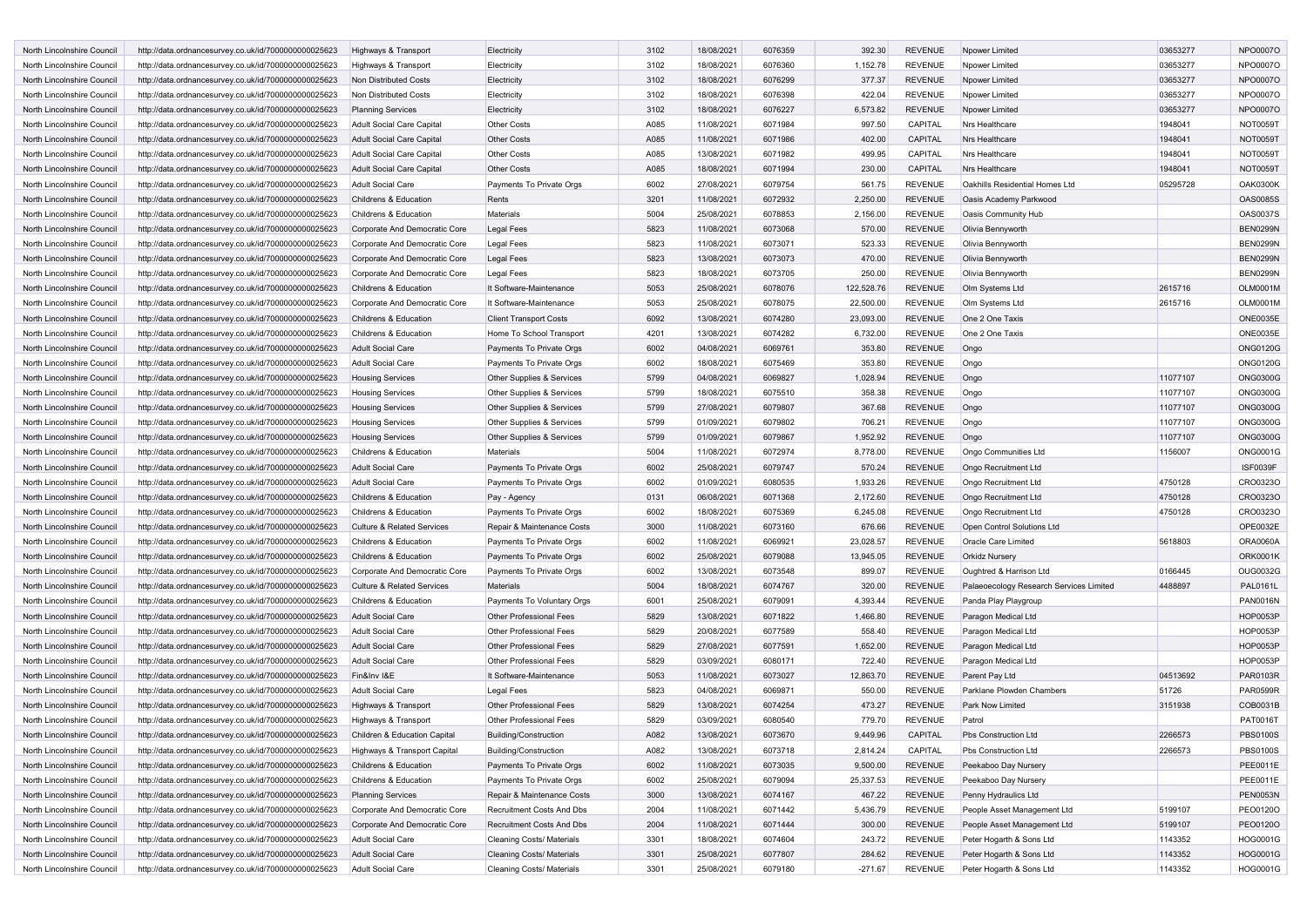| North Lincolnshire Council | http://data.ordnancesurvey.co.uk/id/7000000000025623 | Highways & Transport                           | Electricity                    | 3102 | 18/08/2021 | 6076359 | 392.30     | <b>REVENUE</b> | Npower Limited                          | 03653277 | NPO0007O        |
|----------------------------|------------------------------------------------------|------------------------------------------------|--------------------------------|------|------------|---------|------------|----------------|-----------------------------------------|----------|-----------------|
| North Lincolnshire Council | http://data.ordnancesurvey.co.uk/id/7000000000025623 | Highways & Transport                           | Electricity                    | 3102 | 18/08/2021 | 6076360 | 1,152.78   | <b>REVENUE</b> | Npower Limited                          | 03653277 | NPO0007O        |
| North Lincolnshire Council | http://data.ordnancesurvey.co.uk/id/7000000000025623 | Non Distributed Costs                          | Electricity                    | 3102 | 18/08/2021 | 6076299 | 377.37     | <b>REVENUE</b> | Npower Limited                          | 03653277 | NPO0007O        |
| North Lincolnshire Council | http://data.ordnancesurvey.co.uk/id/7000000000025623 | Non Distributed Costs                          | Electricity                    | 3102 | 18/08/2021 | 6076398 | 422.04     | <b>REVENUE</b> | Npower Limited                          | 03653277 | NPO0007O        |
| North Lincolnshire Council | http://data.ordnancesurvey.co.uk/id/7000000000025623 | <b>Planning Services</b>                       | Electricity                    | 3102 | 18/08/2021 | 6076227 | 6,573.82   | <b>REVENUE</b> | Npower Limited                          | 03653277 | NPO0007O        |
| North Lincolnshire Council | http://data.ordnancesurvey.co.uk/id/7000000000025623 | Adult Social Care Capital                      | <b>Other Costs</b>             | A085 | 11/08/2021 | 6071984 | 997.50     | CAPITAL        | Nrs Healthcare                          | 1948041  | <b>NOT0059T</b> |
| North Lincolnshire Council | http://data.ordnancesurvey.co.uk/id/7000000000025623 | <b>Adult Social Care Capital</b>               | <b>Other Costs</b>             | A085 | 11/08/2021 | 6071986 | 402.00     | CAPITAL        | Nrs Healthcare                          | 1948041  | NOT0059T        |
| North Lincolnshire Council | http://data.ordnancesurvey.co.uk/id/7000000000025623 | Adult Social Care Capital                      | <b>Other Costs</b>             | A085 | 13/08/2021 | 6071982 | 499.95     | CAPITAL        | Nrs Healthcare                          | 1948041  | NOT0059T        |
| North Lincolnshire Council | http://data.ordnancesurvey.co.uk/id/7000000000025623 | Adult Social Care Capital                      | <b>Other Costs</b>             | A085 | 18/08/2021 | 6071994 | 230.00     | CAPITAL        | Nrs Healthcare                          | 1948041  | <b>NOT0059T</b> |
| North Lincolnshire Council | http://data.ordnancesurvey.co.uk/id/7000000000025623 | Adult Social Care                              | Payments To Private Orgs       | 6002 | 27/08/2021 | 6079754 | 561.75     | <b>REVENUE</b> | Oakhills Residential Homes Ltd          | 05295728 | <b>OAK0300K</b> |
| North Lincolnshire Council |                                                      |                                                |                                | 3201 | 11/08/2021 | 6072932 |            | <b>REVENUE</b> |                                         |          | <b>OAS0085S</b> |
| North Lincolnshire Council | http://data.ordnancesurvey.co.uk/id/7000000000025623 | Childrens & Education<br>Childrens & Education | Rents<br>Materials             | 5004 |            | 6078853 | 2,250.00   | <b>REVENUE</b> | Oasis Academy Parkwood                  |          | <b>OAS0037S</b> |
|                            | http://data.ordnancesurvey.co.uk/id/7000000000025623 |                                                |                                |      | 25/08/2021 |         | 2,156.00   |                | Oasis Community Hub                     |          |                 |
| North Lincolnshire Council | http://data.ordnancesurvey.co.uk/id/7000000000025623 | Corporate And Democratic Core                  | <b>Legal Fees</b>              | 5823 | 11/08/2021 | 6073068 | 570.00     | <b>REVENUE</b> | Olivia Bennyworth                       |          | <b>BEN0299N</b> |
| North Lincolnshire Council | http://data.ordnancesurvey.co.uk/id/7000000000025623 | Corporate And Democratic Core                  | <b>Legal Fees</b>              | 5823 | 11/08/2021 | 6073071 | 523.33     | <b>REVENUE</b> | Olivia Bennyworth                       |          | <b>BEN0299N</b> |
| North Lincolnshire Council | http://data.ordnancesurvey.co.uk/id/7000000000025623 | Corporate And Democratic Core                  | <b>Legal Fees</b>              | 5823 | 13/08/2021 | 6073073 | 470.00     | <b>REVENUE</b> | Olivia Bennyworth                       |          | <b>BEN0299N</b> |
| North Lincolnshire Council | http://data.ordnancesurvey.co.uk/id/7000000000025623 | Corporate And Democratic Core                  | <b>Legal Fees</b>              | 5823 | 18/08/2021 | 6073705 | 250.00     | <b>REVENUE</b> | Olivia Bennyworth                       |          | <b>BEN0299N</b> |
| North Lincolnshire Council | http://data.ordnancesurvey.co.uk/id/7000000000025623 | Childrens & Education                          | It Software-Maintenance        | 5053 | 25/08/2021 | 6078076 | 122,528.76 | <b>REVENUE</b> | Olm Systems Ltd                         | 2615716  | <b>OLM0001M</b> |
| North Lincolnshire Council | http://data.ordnancesurvey.co.uk/id/7000000000025623 | Corporate And Democratic Core                  | It Software-Maintenance        | 5053 | 25/08/2021 | 6078075 | 22,500.00  | <b>REVENUE</b> | Olm Systems Ltd                         | 2615716  | <b>OLM0001M</b> |
| North Lincolnshire Council | http://data.ordnancesurvey.co.uk/id/7000000000025623 | Childrens & Education                          | <b>Client Transport Costs</b>  | 6092 | 13/08/2021 | 6074280 | 23,093.00  | <b>REVENUE</b> | One 2 One Taxis                         |          | <b>ONE0035E</b> |
| North Lincolnshire Council | http://data.ordnancesurvey.co.uk/id/7000000000025623 | Childrens & Education                          | Home To School Transport       | 4201 | 13/08/2021 | 6074282 | 6,732.00   | <b>REVENUE</b> | One 2 One Taxis                         |          | <b>ONE0035E</b> |
| North Lincolnshire Council | http://data.ordnancesurvey.co.uk/id/7000000000025623 | <b>Adult Social Care</b>                       | Payments To Private Orgs       | 6002 | 04/08/2021 | 6069761 | 353.80     | <b>REVENUE</b> | Ongo                                    |          | <b>ONG0120G</b> |
| North Lincolnshire Council | http://data.ordnancesurvey.co.uk/id/7000000000025623 | <b>Adult Social Care</b>                       | Payments To Private Orgs       | 6002 | 18/08/2021 | 6075469 | 353.80     | <b>REVENUE</b> | Ongo                                    |          | <b>ONG0120G</b> |
| North Lincolnshire Council | http://data.ordnancesurvey.co.uk/id/7000000000025623 | <b>Housing Services</b>                        | Other Supplies & Services      | 5799 | 04/08/2021 | 6069827 | 1,028.94   | <b>REVENUE</b> | Ongo                                    | 11077107 | <b>ONG0300G</b> |
| North Lincolnshire Council | http://data.ordnancesurvey.co.uk/id/7000000000025623 | <b>Housing Services</b>                        | Other Supplies & Services      | 5799 | 18/08/2021 | 6075510 | 358.38     | <b>REVENUE</b> | Ongo                                    | 11077107 | <b>ONG0300G</b> |
| North Lincolnshire Council | http://data.ordnancesurvey.co.uk/id/7000000000025623 | <b>Housing Services</b>                        | Other Supplies & Services      | 5799 | 27/08/2021 | 6079807 | 367.68     | <b>REVENUE</b> | Ongo                                    | 11077107 | <b>ONG0300G</b> |
| North Lincolnshire Council | http://data.ordnancesurvey.co.uk/id/7000000000025623 | <b>Housing Services</b>                        | Other Supplies & Services      | 5799 | 01/09/2021 | 6079802 | 706.21     | <b>REVENUE</b> | Ongo                                    | 11077107 | <b>ONG0300G</b> |
| North Lincolnshire Council | http://data.ordnancesurvey.co.uk/id/7000000000025623 | <b>Housing Services</b>                        | Other Supplies & Services      | 5799 | 01/09/2021 | 6079867 | 1,952.92   | <b>REVENUE</b> | Ongo                                    | 11077107 | <b>ONG0300G</b> |
| North Lincolnshire Council | http://data.ordnancesurvey.co.uk/id/7000000000025623 | Childrens & Education                          | Materials                      | 5004 | 11/08/2021 | 6072974 | 8,778.00   | <b>REVENUE</b> | <b>Ongo Communities Ltd</b>             | 1156007  | <b>ONG0001G</b> |
| North Lincolnshire Council | http://data.ordnancesurvey.co.uk/id/7000000000025623 | <b>Adult Social Care</b>                       | Payments To Private Orgs       | 6002 | 25/08/2021 | 6079747 | 570.24     | <b>REVENUE</b> | <b>Ongo Recruitment Ltd</b>             |          | <b>ISF0039F</b> |
| North Lincolnshire Council | http://data.ordnancesurvey.co.uk/id/7000000000025623 | Adult Social Care                              | Payments To Private Orgs       | 6002 | 01/09/2021 | 6080535 | 1,933.26   | <b>REVENUE</b> | Ongo Recruitment Ltd                    | 4750128  | CRO0323O        |
| North Lincolnshire Council | http://data.ordnancesurvey.co.uk/id/7000000000025623 | Childrens & Education                          | Pay - Agency                   | 0131 | 06/08/2021 | 6071368 | 2,172.60   | <b>REVENUE</b> | Ongo Recruitment Ltd                    | 4750128  | CRO0323O        |
| North Lincolnshire Council | http://data.ordnancesurvey.co.uk/id/7000000000025623 | Childrens & Education                          | Payments To Private Orgs       | 6002 | 18/08/2021 | 6075369 | 6,245.08   | <b>REVENUE</b> | Ongo Recruitment Ltd                    | 4750128  | CRO0323O        |
| North Lincolnshire Council | http://data.ordnancesurvey.co.uk/id/7000000000025623 | <b>Culture &amp; Related Services</b>          | Repair & Maintenance Costs     | 3000 | 11/08/2021 | 6073160 | 676.66     | <b>REVENUE</b> | Open Control Solutions Ltd              |          | OPE0032E        |
| North Lincolnshire Council | http://data.ordnancesurvey.co.uk/id/7000000000025623 | Childrens & Education                          | Payments To Private Orgs       | 6002 | 11/08/2021 | 6069921 | 23,028.57  | <b>REVENUE</b> | Oracle Care Limited                     | 5618803  | <b>ORA0060A</b> |
| North Lincolnshire Council | http://data.ordnancesurvey.co.uk/id/7000000000025623 | Childrens & Education                          | Payments To Private Orgs       | 6002 | 25/08/2021 | 6079088 | 13,945.05  | <b>REVENUE</b> | <b>Orkidz Nursery</b>                   |          | <b>ORK0001K</b> |
| North Lincolnshire Council | http://data.ordnancesurvey.co.uk/id/7000000000025623 | Corporate And Democratic Core                  | Payments To Private Orgs       | 6002 | 13/08/2021 | 6073548 | 899.07     | <b>REVENUE</b> | Oughtred & Harrison Ltd                 | 0166445  | OUG0032G        |
| North Lincolnshire Council | http://data.ordnancesurvey.co.uk/id/7000000000025623 | <b>Culture &amp; Related Services</b>          | <b>Materials</b>               | 5004 | 18/08/2021 | 6074767 | 320.00     | <b>REVENUE</b> | Palaeoecology Research Services Limited | 4488897  | PAL0161L        |
| North Lincolnshire Council | http://data.ordnancesurvey.co.uk/id/7000000000025623 | Childrens & Education                          | Payments To Voluntary Orgs     | 6001 | 25/08/2021 | 6079091 | 4,393.44   | <b>REVENUE</b> | Panda Play Playgroup                    |          | PAN0016N        |
| North Lincolnshire Council | http://data.ordnancesurvey.co.uk/id/7000000000025623 | <b>Adult Social Care</b>                       | Other Professional Fees        | 5829 | 13/08/2021 | 6071822 | 1,466.80   | <b>REVENUE</b> | Paragon Medical Ltd                     |          | HOP0053P        |
| North Lincolnshire Council | http://data.ordnancesurvey.co.uk/id/7000000000025623 | <b>Adult Social Care</b>                       | Other Professional Fees        | 5829 | 20/08/2021 | 6077589 | 558.40     | <b>REVENUE</b> | Paragon Medical Ltd                     |          | HOP0053P        |
| North Lincolnshire Council | http://data.ordnancesurvey.co.uk/id/7000000000025623 | <b>Adult Social Care</b>                       | Other Professional Fees        | 5829 | 27/08/2021 | 6077591 | 1,652.00   | <b>REVENUE</b> | Paragon Medical Ltd                     |          | <b>HOP0053P</b> |
| North Lincolnshire Council | http://data.ordnancesurvey.co.uk/id/7000000000025623 | Adult Social Care                              | Other Professional Fees        | 5829 | 03/09/2021 | 6080171 | 722.40     | <b>REVENUE</b> | Paragon Medical Ltd                     |          | HOP0053P        |
| North Lincolnshire Council | http://data.ordnancesurvey.co.uk/id/7000000000025623 | Fin&Inv I&E                                    | It Software-Maintenance        | 5053 | 11/08/2021 | 6073027 | 12,863.70  | <b>REVENUE</b> | Parent Pay Ltd                          | 04513692 | PAR0103R        |
|                            |                                                      |                                                |                                |      |            |         |            |                | Parklane Plowden Chambers               |          |                 |
| North Lincolnshire Council | http://data.ordnancesurvey.co.uk/id/7000000000025623 | <b>Adult Social Care</b>                       | <b>Legal Fees</b>              | 5823 | 04/08/2021 | 6069871 | 550.00     | <b>REVENUE</b> |                                         | 51726    | <b>PAR0599R</b> |
| North Lincolnshire Council | http://data.ordnancesurvey.co.uk/id/7000000000025623 | Highways & Transport                           | <b>Other Professional Fees</b> | 5829 | 13/08/2021 | 6074254 | 473.27     | <b>REVENUE</b> | Park Now Limited                        | 3151938  | COB0031B        |
| North Lincolnshire Council | http://data.ordnancesurvey.co.uk/id/7000000000025623 | Highways & Transport                           | Other Professional Fees        | 5829 | 03/09/2021 | 6080540 | 779.70     | <b>REVENUE</b> | Patrol                                  |          | PAT0016T        |
| North Lincolnshire Council | http://data.ordnancesurvey.co.uk/id/7000000000025623 | Children & Education Capital                   | <b>Building/Construction</b>   | A082 | 13/08/2021 | 6073670 | 9,449.96   | CAPITAL        | Pbs Construction Ltd                    | 2266573  | <b>PBS0100S</b> |
| North Lincolnshire Council | http://data.ordnancesurvey.co.uk/id/7000000000025623 | Highways & Transport Capital                   | <b>Building/Construction</b>   | A082 | 13/08/2021 | 6073718 | 2,814.24   | CAPITAL        | Pbs Construction Ltd                    | 2266573  | <b>PBS0100S</b> |
| North Lincolnshire Council | http://data.ordnancesurvey.co.uk/id/7000000000025623 | Childrens & Education                          | Payments To Private Orgs       | 6002 | 11/08/2021 | 6073035 | 9,500.00   | <b>REVENUE</b> | Peekaboo Day Nursery                    |          | PEE0011E        |
| North Lincolnshire Council | http://data.ordnancesurvey.co.uk/id/7000000000025623 | Childrens & Education                          | Payments To Private Orgs       | 6002 | 25/08/2021 | 6079094 | 25,337.53  | <b>REVENUE</b> | Peekaboo Day Nursery                    |          | PEE0011E        |
| North Lincolnshire Council | http://data.ordnancesurvey.co.uk/id/7000000000025623 | <b>Planning Services</b>                       | Repair & Maintenance Costs     | 3000 | 13/08/2021 | 6074167 | 467.22     | <b>REVENUE</b> | Penny Hydraulics Ltd                    |          | <b>PEN0053N</b> |
| North Lincolnshire Council | http://data.ordnancesurvey.co.uk/id/7000000000025623 | Corporate And Democratic Core                  | Recruitment Costs And Dbs      | 2004 | 11/08/2021 | 6071442 | 5,436.79   | <b>REVENUE</b> | People Asset Management Ltd             | 5199107  | PEO0120O        |
| North Lincolnshire Council | http://data.ordnancesurvey.co.uk/id/7000000000025623 | Corporate And Democratic Core                  | Recruitment Costs And Dbs      | 2004 | 11/08/2021 | 6071444 | 300.00     | <b>REVENUE</b> | People Asset Management Ltd             | 5199107  | PEO0120O        |
| North Lincolnshire Council | http://data.ordnancesurvey.co.uk/id/7000000000025623 | Adult Social Care                              | Cleaning Costs/ Materials      | 3301 | 18/08/2021 | 6074604 | 243.72     | <b>REVENUE</b> | Peter Hogarth & Sons Ltd                | 1143352  | HOG0001G        |
| North Lincolnshire Council | http://data.ordnancesurvey.co.uk/id/7000000000025623 | Adult Social Care                              | Cleaning Costs/ Materials      | 3301 | 25/08/2021 | 6077807 | 284.62     | <b>REVENUE</b> | Peter Hogarth & Sons Ltd                | 1143352  | HOG0001G        |
| North Lincolnshire Council | http://data.ordnancesurvey.co.uk/id/7000000000025623 | Adult Social Care                              | Cleaning Costs/ Materials      | 3301 | 25/08/2021 | 6079180 | $-271.67$  | <b>REVENUE</b> | Peter Hogarth & Sons Ltd                | 1143352  | HOG0001G        |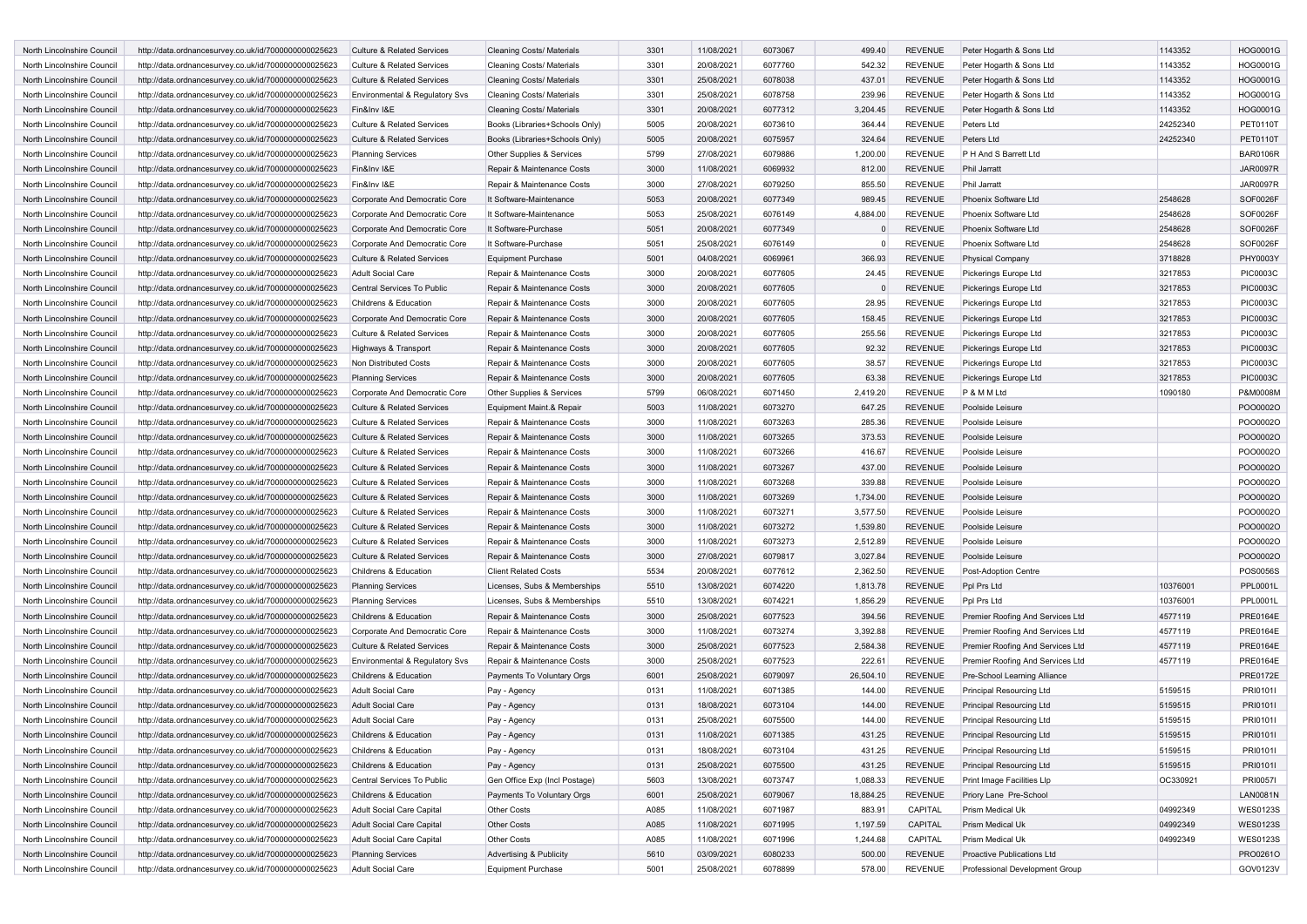| North Lincolnshire Council                               | http://data.ordnancesurvey.co.uk/id/7000000000025623 | <b>Culture &amp; Related Services</b>                                          | <b>Cleaning Costs/ Materials</b>   | 3301         | 11/08/2021 | 6073067            | 499.40           | <b>REVENUE</b>                   | Peter Hogarth & Sons Ltd             | 1143352  | <b>HOG0001G</b> |
|----------------------------------------------------------|------------------------------------------------------|--------------------------------------------------------------------------------|------------------------------------|--------------|------------|--------------------|------------------|----------------------------------|--------------------------------------|----------|-----------------|
| North Lincolnshire Council                               | http://data.ordnancesurvey.co.uk/id/7000000000025623 | <b>Culture &amp; Related Services</b>                                          | <b>Cleaning Costs/ Materials</b>   | 3301         | 20/08/2021 | 6077760            | 542.32           | <b>REVENUE</b>                   | Peter Hogarth & Sons Ltd             | 1143352  | HOG0001G        |
| North Lincolnshire Council                               | http://data.ordnancesurvey.co.uk/id/7000000000025623 | <b>Culture &amp; Related Services</b>                                          | <b>Cleaning Costs/ Materials</b>   | 3301         | 25/08/2021 | 6078038            | 437.01           | <b>REVENUE</b>                   | Peter Hogarth & Sons Ltd             | 1143352  | HOG0001G        |
| North Lincolnshire Council                               | http://data.ordnancesurvey.co.uk/id/7000000000025623 | Environmental & Regulatory Svs                                                 | <b>Cleaning Costs/ Materials</b>   | 3301         | 25/08/2021 | 6078758            | 239.96           | <b>REVENUE</b>                   | Peter Hogarth & Sons Ltd             | 1143352  | <b>HOG0001G</b> |
| North Lincolnshire Council                               | http://data.ordnancesurvey.co.uk/id/7000000000025623 | Fin&Inv I&E                                                                    | <b>Cleaning Costs/ Materials</b>   | 3301         | 20/08/2021 | 6077312            | 3,204.45         | <b>REVENUE</b>                   | Peter Hogarth & Sons Ltd             | 1143352  | HOG0001G        |
| North Lincolnshire Council                               | http://data.ordnancesurvey.co.uk/id/7000000000025623 | <b>Culture &amp; Related Services</b>                                          | Books (Libraries+Schools Only)     | 5005         | 20/08/2021 | 6073610            | 364.44           | <b>REVENUE</b>                   | Peters Ltd                           | 24252340 | <b>PET0110T</b> |
| North Lincolnshire Council                               | http://data.ordnancesurvey.co.uk/id/7000000000025623 | <b>Culture &amp; Related Services</b>                                          | Books (Libraries+Schools Only)     | 5005         | 20/08/2021 | 6075957            | 324.64           | <b>REVENUE</b>                   | Peters Ltd                           | 24252340 | PET0110T        |
| North Lincolnshire Council                               | http://data.ordnancesurvey.co.uk/id/7000000000025623 | <b>Planning Services</b>                                                       | Other Supplies & Services          | 5799         | 27/08/2021 | 6079886            | 1,200.00         | <b>REVENUE</b>                   | P H And S Barrett Ltd                |          | <b>BAR0106R</b> |
| North Lincolnshire Council                               | http://data.ordnancesurvey.co.uk/id/7000000000025623 | Fin&Inv I&E                                                                    | Repair & Maintenance Costs         | 3000         | 11/08/2021 | 6069932            | 812.00           | <b>REVENUE</b>                   | Phil Jarratt                         |          | <b>JAR0097R</b> |
| North Lincolnshire Council                               | http://data.ordnancesurvey.co.uk/id/7000000000025623 | Fin&Inv I&E                                                                    | Repair & Maintenance Costs         | 3000         | 27/08/2021 | 6079250            | 855.50           | <b>REVENUE</b>                   | Phil Jarratt                         |          | <b>JAR0097R</b> |
| North Lincolnshire Council                               | http://data.ordnancesurvey.co.uk/id/7000000000025623 | Corporate And Democratic Core                                                  | It Software-Maintenance            | 5053         | 20/08/2021 | 6077349            | 989.45           | <b>REVENUE</b>                   | Phoenix Software Ltd                 | 2548628  | SOF0026F        |
| North Lincolnshire Council                               | http://data.ordnancesurvey.co.uk/id/7000000000025623 | Corporate And Democratic Core                                                  | It Software-Maintenance            | 5053         | 25/08/2021 | 6076149            | 4,884.00         | <b>REVENUE</b>                   | Phoenix Software Ltd                 | 2548628  | SOF0026F        |
| North Lincolnshire Council                               | http://data.ordnancesurvey.co.uk/id/7000000000025623 | Corporate And Democratic Core                                                  | It Software-Purchase               | 5051         | 20/08/2021 | 6077349            |                  | <b>REVENUE</b>                   | Phoenix Software Ltd                 | 2548628  | SOF0026F        |
| North Lincolnshire Council                               | http://data.ordnancesurvey.co.uk/id/7000000000025623 | Corporate And Democratic Core                                                  | It Software-Purchase               | 5051         | 25/08/2021 | 6076149            |                  | <b>REVENUE</b>                   | Phoenix Software Ltd                 | 2548628  | SOF0026F        |
| North Lincolnshire Council                               | http://data.ordnancesurvey.co.uk/id/7000000000025623 | <b>Culture &amp; Related Services</b>                                          | <b>Equipment Purchase</b>          | 5001         | 04/08/2021 | 6069961            | 366.93           | <b>REVENUE</b>                   | Physical Company                     | 3718828  | PHY0003Y        |
| North Lincolnshire Council                               | http://data.ordnancesurvey.co.uk/id/7000000000025623 | <b>Adult Social Care</b>                                                       | Repair & Maintenance Costs         | 3000         | 20/08/2021 | 6077605            | 24.45            | <b>REVENUE</b>                   | Pickerings Europe Ltd                | 3217853  | <b>PIC0003C</b> |
| North Lincolnshire Council                               | http://data.ordnancesurvey.co.uk/id/7000000000025623 | Central Services To Public                                                     | Repair & Maintenance Costs         | 3000         | 20/08/2021 | 6077605            |                  | <b>REVENUE</b>                   | Pickerings Europe Ltd                | 3217853  | <b>PIC0003C</b> |
| North Lincolnshire Council                               | http://data.ordnancesurvey.co.uk/id/7000000000025623 | Childrens & Education                                                          | Repair & Maintenance Costs         | 3000         | 20/08/2021 | 6077605            | 28.95            | <b>REVENUE</b>                   | Pickerings Europe Ltd                | 3217853  | PIC0003C        |
| North Lincolnshire Council                               | http://data.ordnancesurvey.co.uk/id/7000000000025623 | Corporate And Democratic Core                                                  | Repair & Maintenance Costs         | 3000         | 20/08/2021 | 6077605            | 158.45           | <b>REVENUE</b>                   | Pickerings Europe Ltd                | 3217853  | <b>PIC0003C</b> |
| North Lincolnshire Council                               | http://data.ordnancesurvey.co.uk/id/7000000000025623 | <b>Culture &amp; Related Services</b>                                          | Repair & Maintenance Costs         | 3000         | 20/08/2021 | 6077605            | 255.56           | <b>REVENUE</b>                   | Pickerings Europe Ltd                | 3217853  | PIC0003C        |
| North Lincolnshire Council                               | http://data.ordnancesurvey.co.uk/id/7000000000025623 | Highways & Transport                                                           | Repair & Maintenance Costs         | 3000         | 20/08/2021 | 6077605            | 92.32            | <b>REVENUE</b>                   | Pickerings Europe Ltd                | 3217853  | <b>PIC0003C</b> |
| North Lincolnshire Council                               | http://data.ordnancesurvey.co.uk/id/7000000000025623 | Non Distributed Costs                                                          | Repair & Maintenance Costs         | 3000         | 20/08/2021 | 6077605            | 38.57            | <b>REVENUE</b>                   | Pickerings Europe Ltd                | 3217853  | PIC0003C        |
| North Lincolnshire Council                               | http://data.ordnancesurvey.co.uk/id/7000000000025623 | <b>Planning Services</b>                                                       | Repair & Maintenance Costs         | 3000         | 20/08/2021 | 6077605            | 63.38            | <b>REVENUE</b>                   | Pickerings Europe Ltd                | 3217853  | PIC0003C        |
| North Lincolnshire Council                               |                                                      |                                                                                |                                    | 5799         |            | 6071450            |                  | <b>REVENUE</b>                   | P & M M Ltd                          |          | P&M0008M        |
|                                                          | http://data.ordnancesurvey.co.uk/id/7000000000025623 | Corporate And Democratic Core                                                  | Other Supplies & Services          | 5003         | 06/08/2021 |                    | 2,419.20         | <b>REVENUE</b>                   |                                      | 1090180  | PO000020        |
| North Lincolnshire Council                               | http://data.ordnancesurvey.co.uk/id/7000000000025623 | <b>Culture &amp; Related Services</b>                                          | Equipment Maint.& Repair           |              | 11/08/2021 | 6073270            | 647.25           |                                  | Poolside Leisure                     |          | PO000020        |
| North Lincolnshire Council<br>North Lincolnshire Council | http://data.ordnancesurvey.co.uk/id/7000000000025623 | <b>Culture &amp; Related Services</b><br><b>Culture &amp; Related Services</b> | Repair & Maintenance Costs         | 3000<br>3000 | 11/08/2021 | 6073263<br>6073265 | 285.36<br>373.53 | <b>REVENUE</b><br><b>REVENUE</b> | Poolside Leisure<br>Poolside Leisure |          | PO000020        |
| North Lincolnshire Council                               | http://data.ordnancesurvey.co.uk/id/7000000000025623 |                                                                                | Repair & Maintenance Costs         |              | 11/08/2021 |                    |                  |                                  |                                      |          |                 |
|                                                          | http://data.ordnancesurvey.co.uk/id/7000000000025623 | <b>Culture &amp; Related Services</b>                                          | Repair & Maintenance Costs         | 3000         | 11/08/2021 | 6073266            | 416.67           | <b>REVENUE</b>                   | Poolside Leisure                     |          | PO000020        |
| North Lincolnshire Council                               | http://data.ordnancesurvey.co.uk/id/7000000000025623 | <b>Culture &amp; Related Services</b><br><b>Culture &amp; Related Services</b> | Repair & Maintenance Costs         | 3000<br>3000 | 11/08/2021 | 6073267<br>6073268 | 437.00           | <b>REVENUE</b><br><b>REVENUE</b> | Poolside Leisure                     |          | PO000020        |
| North Lincolnshire Council                               | http://data.ordnancesurvey.co.uk/id/7000000000025623 |                                                                                | Repair & Maintenance Costs         |              | 11/08/2021 |                    | 339.88           |                                  | Poolside Leisure                     |          | PO000020        |
| North Lincolnshire Council                               | http://data.ordnancesurvey.co.uk/id/7000000000025623 | <b>Culture &amp; Related Services</b>                                          | Repair & Maintenance Costs         | 3000         | 11/08/2021 | 6073269            | 1,734.00         | <b>REVENUE</b>                   | Poolside Leisure                     |          | PO000020        |
| North Lincolnshire Council                               | http://data.ordnancesurvey.co.uk/id/7000000000025623 | Culture & Related Services                                                     | Repair & Maintenance Costs         | 3000         | 11/08/2021 | 6073271            | 3,577.50         | <b>REVENUE</b>                   | Poolside Leisure                     |          | PO000020        |
| North Lincolnshire Council                               | http://data.ordnancesurvey.co.uk/id/7000000000025623 | <b>Culture &amp; Related Services</b>                                          | Repair & Maintenance Costs         | 3000         | 11/08/2021 | 6073272            | 1,539.80         | <b>REVENUE</b>                   | Poolside Leisure                     |          | PO000020        |
| North Lincolnshire Council                               | http://data.ordnancesurvey.co.uk/id/7000000000025623 | <b>Culture &amp; Related Services</b>                                          | Repair & Maintenance Costs         | 3000         | 11/08/2021 | 6073273            | 2,512.89         | <b>REVENUE</b>                   | Poolside Leisure                     |          | PO000020        |
| North Lincolnshire Council                               | http://data.ordnancesurvey.co.uk/id/7000000000025623 | <b>Culture &amp; Related Services</b>                                          | Repair & Maintenance Costs         | 3000         | 27/08/2021 | 6079817            | 3,027.84         | <b>REVENUE</b>                   | Poolside Leisure                     |          | POO0002O        |
| North Lincolnshire Council                               | http://data.ordnancesurvey.co.uk/id/7000000000025623 | Childrens & Education                                                          | <b>Client Related Costs</b>        | 5534         | 20/08/2021 | 6077612            | 2,362.50         | <b>REVENUE</b>                   | Post-Adoption Centre                 |          | POS0056S        |
| North Lincolnshire Council                               | http://data.ordnancesurvey.co.uk/id/7000000000025623 | <b>Planning Services</b>                                                       | Licenses, Subs & Memberships       | 5510         | 13/08/2021 | 6074220            | 1,813.78         | <b>REVENUE</b>                   | Ppl Prs Ltd                          | 10376001 | PPL0001L        |
| North Lincolnshire Council                               | http://data.ordnancesurvey.co.uk/id/7000000000025623 | <b>Planning Services</b>                                                       | Licenses, Subs & Memberships       | 5510         | 13/08/2021 | 6074221            | 1,856.29         | <b>REVENUE</b>                   | Ppl Prs Ltd                          | 10376001 | PPL0001L        |
| North Lincolnshire Council                               | http://data.ordnancesurvey.co.uk/id/7000000000025623 | Childrens & Education                                                          | Repair & Maintenance Costs         | 3000         | 25/08/2021 | 6077523            | 394.56           | <b>REVENUE</b>                   | Premier Roofing And Services Ltd     | 4577119  | <b>PRE0164E</b> |
| North Lincolnshire Council                               | http://data.ordnancesurvey.co.uk/id/7000000000025623 | Corporate And Democratic Core                                                  | Repair & Maintenance Costs         | 3000         | 11/08/2021 | 6073274            | 3,392.88         | <b>REVENUE</b>                   | Premier Roofing And Services Ltd     | 4577119  | PRE0164E        |
| North Lincolnshire Council                               | http://data.ordnancesurvey.co.uk/id/7000000000025623 | <b>Culture &amp; Related Services</b>                                          | Repair & Maintenance Costs         | 3000         | 25/08/2021 | 6077523            | 2,584.38         | <b>REVENUE</b>                   | Premier Roofing And Services Ltd     | 4577119  | <b>PRE0164E</b> |
| North Lincolnshire Council                               | http://data.ordnancesurvey.co.uk/id/7000000000025623 | Environmental & Regulatory Svs                                                 | Repair & Maintenance Costs         | 3000         | 25/08/2021 | 6077523            | 222.61           | <b>REVENUE</b>                   | Premier Roofing And Services Ltd     | 4577119  | PRE0164E        |
| North Lincolnshire Council                               | http://data.ordnancesurvey.co.uk/id/7000000000025623 | Childrens & Education                                                          | Payments To Voluntary Orgs         | 6001         | 25/08/2021 | 6079097            | 26,504.10        | <b>REVENUE</b>                   | Pre-School Learning Alliance         |          | PRE0172E        |
| North Lincolnshire Council                               | http://data.ordnancesurvey.co.uk/id/7000000000025623 | <b>Adult Social Care</b>                                                       | Pay - Agency                       | 0131         | 11/08/2021 | 6071385            | 144.00           | <b>REVENUE</b>                   | Principal Resourcing Ltd             | 5159515  | PRI01011        |
| North Lincolnshire Council                               | http://data.ordnancesurvey.co.uk/id/7000000000025623 | <b>Adult Social Care</b>                                                       | Pay - Agency                       | 0131         | 18/08/2021 | 6073104            | 144.00           | <b>REVENUE</b>                   | <b>Principal Resourcing Ltd</b>      | 5159515  | PRI01011        |
| North Lincolnshire Council                               | http://data.ordnancesurvey.co.uk/id/7000000000025623 | <b>Adult Social Care</b>                                                       | Pay - Agency                       | 0131         | 25/08/2021 | 6075500            | 144.00           | <b>REVENUE</b>                   | <b>Principal Resourcing Ltd</b>      | 5159515  | PRI0101I        |
| North Lincolnshire Council                               | http://data.ordnancesurvey.co.uk/id/7000000000025623 | Childrens & Education                                                          | Pay - Agency                       | 0131         | 11/08/2021 | 6071385            | 431.25           | <b>REVENUE</b>                   | <b>Principal Resourcing Ltd</b>      | 5159515  | PRI0101I        |
| North Lincolnshire Council                               | http://data.ordnancesurvey.co.uk/id/7000000000025623 | Childrens & Education                                                          | Pay - Agency                       | 0131         | 18/08/2021 | 6073104            | 431.25           | <b>REVENUE</b>                   | <b>Principal Resourcing Ltd</b>      | 5159515  | PRI0101I        |
| North Lincolnshire Council                               | http://data.ordnancesurvey.co.uk/id/7000000000025623 | Childrens & Education                                                          | Pay - Agency                       | 0131         | 25/08/2021 | 6075500            | 431.25           | <b>REVENUE</b>                   | Principal Resourcing Ltd             | 5159515  | PRI0101I        |
| North Lincolnshire Council                               | http://data.ordnancesurvey.co.uk/id/7000000000025623 | Central Services To Public                                                     | Gen Office Exp (Incl Postage)      | 5603         | 13/08/2021 | 6073747            | 1,088.33         | <b>REVENUE</b>                   | Print Image Facilities Llp           | OC330921 | <b>PRI0057I</b> |
| North Lincolnshire Council                               | http://data.ordnancesurvey.co.uk/id/7000000000025623 | Childrens & Education                                                          | Payments To Voluntary Orgs         | 6001         | 25/08/2021 | 6079067            | 18,884.25        | <b>REVENUE</b>                   | Priory Lane Pre-School               |          | <b>LAN0081N</b> |
| North Lincolnshire Council                               | http://data.ordnancesurvey.co.uk/id/7000000000025623 | Adult Social Care Capital                                                      | Other Costs                        | A085         | 11/08/2021 | 6071987            | 883.91           | CAPITAL                          | Prism Medical Uk                     | 04992349 | <b>WES0123S</b> |
| North Lincolnshire Council                               | http://data.ordnancesurvey.co.uk/id/7000000000025623 | <b>Adult Social Care Capital</b>                                               | Other Costs                        | A085         | 11/08/2021 | 6071995            | 1,197.59         | CAPITAL                          | <b>Prism Medical Uk</b>              | 04992349 | <b>WES0123S</b> |
| North Lincolnshire Council                               | http://data.ordnancesurvey.co.uk/id/7000000000025623 | Adult Social Care Capital                                                      | Other Costs                        | A085         | 11/08/2021 | 6071996            | 1,244.68         | CAPITAL                          | Prism Medical Uk                     | 04992349 | <b>WES0123S</b> |
| North Lincolnshire Council                               | http://data.ordnancesurvey.co.uk/id/7000000000025623 | <b>Planning Services</b>                                                       | <b>Advertising &amp; Publicity</b> | 5610         | 03/09/2021 | 6080233            | 500.00           | <b>REVENUE</b>                   | Proactive Publications Ltd           |          | PRO0261O        |
| North Lincolnshire Council                               | http://data.ordnancesurvey.co.uk/id/7000000000025623 | Adult Social Care                                                              | <b>Equipment Purchase</b>          | 5001         | 25/08/2021 | 6078899            | 578.00           | REVENUE                          | Professional Development Group       |          | GOV0123V        |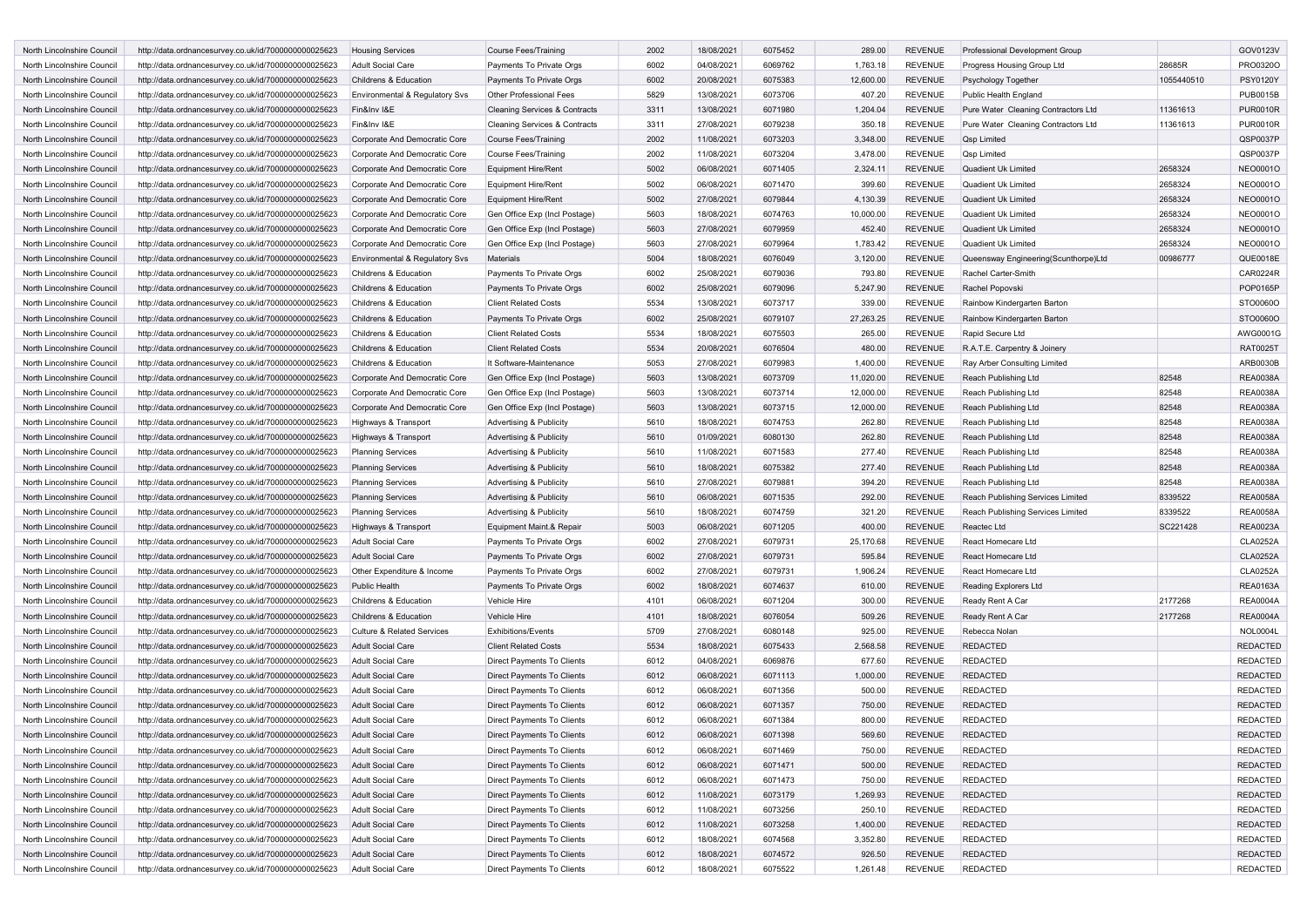| North Lincolnshire Council | http://data.ordnancesurvey.co.uk/id/7000000000025623                                                         | <b>Housing Services</b>                              | <b>Course Fees/Training</b>              | 2002         | 18/08/2021 | 6075452            | 289.00    | <b>REVENUE</b> | Professional Development Group       |            | GOV0123V        |
|----------------------------|--------------------------------------------------------------------------------------------------------------|------------------------------------------------------|------------------------------------------|--------------|------------|--------------------|-----------|----------------|--------------------------------------|------------|-----------------|
| North Lincolnshire Council | http://data.ordnancesurvey.co.uk/id/7000000000025623                                                         | <b>Adult Social Care</b>                             | Payments To Private Orgs                 | 6002         | 04/08/2021 | 6069762            | 1,763.18  | <b>REVENUE</b> | Progress Housing Group Ltd           | 28685R     | PRO0320O        |
| North Lincolnshire Council | http://data.ordnancesurvey.co.uk/id/7000000000025623                                                         | Childrens & Education                                | Payments To Private Orgs                 | 6002         | 20/08/2021 | 6075383            | 12,600.00 | <b>REVENUE</b> | <b>Psychology Together</b>           | 1055440510 | <b>PSY0120Y</b> |
| North Lincolnshire Council | http://data.ordnancesurvey.co.uk/id/7000000000025623                                                         | Environmental & Regulatory Svs                       | <b>Other Professional Fees</b>           | 5829         | 13/08/2021 | 6073706            | 407.20    | <b>REVENUE</b> | Public Health England                |            | <b>PUB0015B</b> |
| North Lincolnshire Council | http://data.ordnancesurvey.co.uk/id/7000000000025623                                                         | Fin&Inv I&E                                          | <b>Cleaning Services &amp; Contracts</b> | 3311         | 13/08/2021 | 6071980            | 1,204.04  | <b>REVENUE</b> | Pure Water Cleaning Contractors Ltd  | 11361613   | <b>PUR0010R</b> |
| North Lincolnshire Council | http://data.ordnancesurvey.co.uk/id/7000000000025623                                                         | Fin&Inv I&E                                          | <b>Cleaning Services &amp; Contracts</b> | 3311         | 27/08/2021 | 6079238            | 350.18    | <b>REVENUE</b> | Pure Water Cleaning Contractors Ltd  | 11361613   | <b>PUR0010R</b> |
| North Lincolnshire Council | http://data.ordnancesurvey.co.uk/id/7000000000025623                                                         | Corporate And Democratic Core                        | <b>Course Fees/Training</b>              | 2002         | 11/08/2021 | 6073203            | 3,348.00  | <b>REVENUE</b> | <b>Qsp Limited</b>                   |            | QSP0037P        |
| North Lincolnshire Council | http://data.ordnancesurvey.co.uk/id/7000000000025623                                                         | Corporate And Democratic Core                        | <b>Course Fees/Training</b>              | 2002         | 11/08/2021 | 6073204            | 3,478.00  | <b>REVENUE</b> | Qsp Limited                          |            | QSP0037P        |
| North Lincolnshire Council | http://data.ordnancesurvey.co.uk/id/7000000000025623                                                         | Corporate And Democratic Core                        | <b>Equipment Hire/Rent</b>               | 5002         | 06/08/2021 | 6071405            | 2,324.11  | <b>REVENUE</b> | Quadient Uk Limited                  | 2658324    | NEO0001O        |
| North Lincolnshire Council | http://data.ordnancesurvey.co.uk/id/7000000000025623                                                         | Corporate And Democratic Core                        | <b>Equipment Hire/Rent</b>               | 5002         | 06/08/2021 | 6071470            | 399.60    | <b>REVENUE</b> | Quadient Uk Limited                  | 2658324    | NEO0001O        |
| North Lincolnshire Council | http://data.ordnancesurvey.co.uk/id/7000000000025623                                                         | Corporate And Democratic Core                        | <b>Equipment Hire/Rent</b>               | 5002         | 27/08/2021 | 6079844            | 4,130.39  | <b>REVENUE</b> | Quadient Uk Limited                  | 2658324    | <b>NEO0001O</b> |
| North Lincolnshire Council | http://data.ordnancesurvey.co.uk/id/7000000000025623                                                         | Corporate And Democratic Core                        | Gen Office Exp (Incl Postage)            | 5603         | 18/08/2021 | 6074763            | 10,000.00 | <b>REVENUE</b> | Quadient Uk Limited                  | 2658324    | NEO0001O        |
| North Lincolnshire Council | http://data.ordnancesurvey.co.uk/id/7000000000025623                                                         | Corporate And Democratic Core                        | Gen Office Exp (Incl Postage)            | 5603         | 27/08/2021 | 6079959            | 452.40    | <b>REVENUE</b> | Quadient Uk Limited                  | 2658324    | <b>NEO0001O</b> |
| North Lincolnshire Council | http://data.ordnancesurvey.co.uk/id/7000000000025623                                                         | Corporate And Democratic Core                        | Gen Office Exp (Incl Postage)            | 5603         | 27/08/2021 | 6079964            | 1,783.42  | <b>REVENUE</b> | Quadient Uk Limited                  | 2658324    | NEO0001O        |
| North Lincolnshire Council | http://data.ordnancesurvey.co.uk/id/7000000000025623                                                         | Environmental & Regulatory Svs                       | Materials                                | 5004         | 18/08/2021 | 6076049            | 3,120.00  | <b>REVENUE</b> | Queensway Engineering(Scunthorpe)Ltd | 00986777   | QUE0018E        |
| North Lincolnshire Council | http://data.ordnancesurvey.co.uk/id/7000000000025623                                                         | Childrens & Education                                | Payments To Private Orgs                 | 6002         | 25/08/2021 | 6079036            | 793.80    | <b>REVENUE</b> | Rachel Carter-Smith                  |            | CAR0224R        |
| North Lincolnshire Council | http://data.ordnancesurvey.co.uk/id/7000000000025623                                                         | Childrens & Education                                | Payments To Private Orgs                 | 6002         | 25/08/2021 | 6079096            | 5,247.90  | <b>REVENUE</b> | Rachel Popovski                      |            | POP0165P        |
| North Lincolnshire Council | http://data.ordnancesurvey.co.uk/id/7000000000025623                                                         | Childrens & Education                                | <b>Client Related Costs</b>              | 5534         | 13/08/2021 | 6073717            | 339.00    | <b>REVENUE</b> | Rainbow Kindergarten Barton          |            | STO0060O        |
| North Lincolnshire Council | http://data.ordnancesurvey.co.uk/id/7000000000025623                                                         | Childrens & Education                                | Payments To Private Orgs                 | 6002         | 25/08/2021 | 6079107            | 27,263.25 | <b>REVENUE</b> | Rainbow Kindergarten Barton          |            | STO0060O        |
| North Lincolnshire Council | http://data.ordnancesurvey.co.uk/id/7000000000025623                                                         | Childrens & Education                                | <b>Client Related Costs</b>              | 5534         | 18/08/2021 | 6075503            | 265.00    | <b>REVENUE</b> | Rapid Secure Ltd                     |            | AWG0001G        |
| North Lincolnshire Council | http://data.ordnancesurvey.co.uk/id/7000000000025623                                                         | Childrens & Education                                | <b>Client Related Costs</b>              | 5534         | 20/08/2021 | 6076504            | 480.00    | <b>REVENUE</b> | R.A.T.E. Carpentry & Joinery         |            | <b>RAT0025T</b> |
| North Lincolnshire Council | http://data.ordnancesurvey.co.uk/id/7000000000025623                                                         | Childrens & Education                                | It Software-Maintenance                  | 5053         | 27/08/2021 | 6079983            | 1,400.00  | <b>REVENUE</b> | Ray Arber Consulting Limited         |            | ARB0030B        |
| North Lincolnshire Council | http://data.ordnancesurvey.co.uk/id/7000000000025623                                                         | Corporate And Democratic Core                        | Gen Office Exp (Incl Postage)            | 5603         | 13/08/2021 | 6073709            | 11,020.00 | <b>REVENUE</b> | Reach Publishing Ltd                 | 82548      | <b>REA0038A</b> |
| North Lincolnshire Council | http://data.ordnancesurvey.co.uk/id/7000000000025623                                                         | Corporate And Democratic Core                        | Gen Office Exp (Incl Postage)            | 5603         | 13/08/2021 | 6073714            | 12,000.00 | <b>REVENUE</b> | Reach Publishing Ltd                 | 82548      | <b>REA0038A</b> |
| North Lincolnshire Council | http://data.ordnancesurvey.co.uk/id/7000000000025623                                                         | Corporate And Democratic Core                        | Gen Office Exp (Incl Postage)            | 5603         | 13/08/2021 | 6073715            | 12,000.00 | <b>REVENUE</b> | Reach Publishing Ltd                 | 82548      | <b>REA0038A</b> |
| North Lincolnshire Council | http://data.ordnancesurvey.co.uk/id/7000000000025623                                                         | Highways & Transport                                 | <b>Advertising &amp; Publicity</b>       | 5610         | 18/08/2021 | 6074753            | 262.80    | <b>REVENUE</b> | Reach Publishing Ltd                 | 82548      | <b>REA0038A</b> |
| North Lincolnshire Council | http://data.ordnancesurvey.co.uk/id/7000000000025623                                                         | Highways & Transport                                 | <b>Advertising &amp; Publicity</b>       | 5610         | 01/09/2021 | 6080130            | 262.80    | <b>REVENUE</b> | Reach Publishing Ltd                 | 82548      | <b>REA0038A</b> |
| North Lincolnshire Council | http://data.ordnancesurvey.co.uk/id/7000000000025623                                                         | <b>Planning Services</b>                             | <b>Advertising &amp; Publicity</b>       | 5610         | 11/08/2021 | 6071583            | 277.40    | <b>REVENUE</b> | Reach Publishing Ltd                 | 82548      | <b>REA0038A</b> |
| North Lincolnshire Council | http://data.ordnancesurvey.co.uk/id/7000000000025623                                                         |                                                      | <b>Advertising &amp; Publicity</b>       | 5610         | 18/08/2021 | 6075382            | 277.40    | <b>REVENUE</b> | Reach Publishing Ltd                 | 82548      | <b>REA0038A</b> |
| North Lincolnshire Council | http://data.ordnancesurvey.co.uk/id/7000000000025623                                                         | <b>Planning Services</b><br><b>Planning Services</b> | <b>Advertising &amp; Publicity</b>       | 5610         | 27/08/2021 | 6079881            | 394.20    | <b>REVENUE</b> | Reach Publishing Ltd                 | 82548      | <b>REA0038A</b> |
| North Lincolnshire Council |                                                                                                              |                                                      | <b>Advertising &amp; Publicity</b>       | 5610         | 06/08/2021 | 6071535            | 292.00    | <b>REVENUE</b> | Reach Publishing Services Limited    | 8339522    | <b>REA0058A</b> |
| North Lincolnshire Council | http://data.ordnancesurvey.co.uk/id/7000000000025623<br>http://data.ordnancesurvey.co.uk/id/7000000000025623 | <b>Planning Services</b><br><b>Planning Services</b> | <b>Advertising &amp; Publicity</b>       | 5610         | 18/08/2021 | 6074759            | 321.20    | <b>REVENUE</b> | Reach Publishing Services Limited    | 8339522    | <b>REA0058A</b> |
| North Lincolnshire Council | http://data.ordnancesurvey.co.uk/id/7000000000025623                                                         | Highways & Transport                                 | Equipment Maint.& Repair                 | 5003         | 06/08/2021 | 6071205            | 400.00    | <b>REVENUE</b> | Reactec Ltd                          | SC221428   | <b>REA0023A</b> |
| North Lincolnshire Council | http://data.ordnancesurvey.co.uk/id/7000000000025623                                                         | <b>Adult Social Care</b>                             | Payments To Private Orgs                 | 6002         | 27/08/2021 | 6079731            | 25,170.68 | <b>REVENUE</b> | React Homecare Ltd                   |            | <b>CLA0252A</b> |
| North Lincolnshire Council | http://data.ordnancesurvey.co.uk/id/7000000000025623                                                         | <b>Adult Social Care</b>                             | Payments To Private Orgs                 | 6002         | 27/08/2021 | 6079731            | 595.84    | <b>REVENUE</b> | React Homecare Ltd                   |            | <b>CLA0252A</b> |
| North Lincolnshire Council | http://data.ordnancesurvey.co.uk/id/7000000000025623                                                         | Other Expenditure & Income                           | Payments To Private Orgs                 | 6002         | 27/08/2021 | 6079731            | 1,906.24  | <b>REVENUE</b> | React Homecare Ltd                   |            | <b>CLA0252A</b> |
| North Lincolnshire Council | http://data.ordnancesurvey.co.uk/id/7000000000025623                                                         | <b>Public Health</b>                                 | Payments To Private Orgs                 | 6002         | 18/08/2021 | 6074637            | 610.00    | <b>REVENUE</b> | Reading Explorers Ltd                |            | <b>REA0163A</b> |
| North Lincolnshire Council |                                                                                                              | Childrens & Education                                | Vehicle Hire                             | 4101         | 06/08/2021 | 6071204            | 300.00    | <b>REVENUE</b> | Ready Rent A Car                     | 2177268    | <b>REA0004A</b> |
| North Lincolnshire Council | http://data.ordnancesurvey.co.uk/id/7000000000025623<br>http://data.ordnancesurvey.co.uk/id/7000000000025623 | Childrens & Education                                | Vehicle Hire                             | 4101         | 18/08/2021 | 6076054            | 509.26    | <b>REVENUE</b> | Ready Rent A Car                     | 2177268    | <b>REA0004A</b> |
| North Lincolnshire Council | http://data.ordnancesurvey.co.uk/id/7000000000025623                                                         | Culture & Related Services                           | <b>Exhibitions/Events</b>                | 5709         | 27/08/2021 | 6080148            | 925.00    | <b>REVENUE</b> | Rebecca Nolan                        |            | NOL0004L        |
| North Lincolnshire Council |                                                                                                              | <b>Adult Social Care</b>                             | <b>Client Related Costs</b>              | 5534         | 18/08/2021 | 6075433            | 2,568.58  | <b>REVENUE</b> | <b>REDACTED</b>                      |            | <b>REDACTED</b> |
| North Lincolnshire Council | http://data.ordnancesurvey.co.uk/id/7000000000025623<br>http://data.ordnancesurvey.co.uk/id/7000000000025623 | <b>Adult Social Care</b>                             | Direct Payments To Clients               | 6012         | 04/08/2021 | 6069876            | 677.60    | <b>REVENUE</b> | <b>REDACTED</b>                      |            | <b>REDACTED</b> |
|                            |                                                                                                              | <b>Adult Social Care</b>                             | <b>Direct Payments To Clients</b>        | 6012         |            | 6071113            |           | <b>REVENUE</b> | <b>REDACTED</b>                      |            | <b>REDACTED</b> |
| North Lincolnshire Council | http://data.ordnancesurvey.co.uk/id/7000000000025623                                                         | <b>Adult Social Care</b>                             |                                          |              | 06/08/2021 |                    | 1,000.00  | <b>REVENUE</b> | <b>REDACTED</b>                      |            | <b>REDACTED</b> |
| North Lincolnshire Council | http://data.ordnancesurvey.co.uk/id/7000000000025623                                                         |                                                      | Direct Payments To Clients               | 6012<br>6012 | 06/08/2021 | 6071356<br>6071357 | 500.00    | <b>REVENUE</b> | <b>REDACTED</b>                      |            | <b>REDACTED</b> |
| North Lincolnshire Council | http://data.ordnancesurvey.co.uk/id/7000000000025623                                                         | <b>Adult Social Care</b>                             | Direct Payments To Clients               |              | 06/08/2021 |                    | 750.00    |                |                                      |            |                 |
| North Lincolnshire Council | http://data.ordnancesurvey.co.uk/id/7000000000025623                                                         | <b>Adult Social Care</b>                             | Direct Payments To Clients               | 6012         | 06/08/2021 | 6071384            | 800.00    | <b>REVENUE</b> | <b>REDACTED</b>                      |            | <b>REDACTED</b> |
| North Lincolnshire Council | http://data.ordnancesurvey.co.uk/id/7000000000025623                                                         | <b>Adult Social Care</b>                             | Direct Payments To Clients               | 6012         | 06/08/2021 | 6071398            | 569.60    | <b>REVENUE</b> | <b>REDACTED</b>                      |            | <b>REDACTED</b> |
| North Lincolnshire Council | http://data.ordnancesurvey.co.uk/id/7000000000025623                                                         | <b>Adult Social Care</b>                             | Direct Payments To Clients               | 6012         | 06/08/2021 | 6071469            | 750.00    | <b>REVENUE</b> | <b>REDACTED</b>                      |            | REDACTED        |
| North Lincolnshire Council | http://data.ordnancesurvey.co.uk/id/7000000000025623                                                         | <b>Adult Social Care</b>                             | Direct Payments To Clients               | 6012         | 06/08/2021 | 6071471            | 500.00    | <b>REVENUE</b> | <b>REDACTED</b>                      |            | <b>REDACTED</b> |
| North Lincolnshire Council | http://data.ordnancesurvey.co.uk/id/7000000000025623                                                         | Adult Social Care                                    | Direct Payments To Clients               | 6012         | 06/08/2021 | 6071473            | 750.00    | <b>REVENUE</b> | <b>REDACTED</b>                      |            | <b>REDACTED</b> |
| North Lincolnshire Council | http://data.ordnancesurvey.co.uk/id/7000000000025623                                                         | Adult Social Care                                    | Direct Payments To Clients               | 6012         | 11/08/2021 | 6073179            | 1,269.93  | <b>REVENUE</b> | <b>REDACTED</b>                      |            | <b>REDACTED</b> |
| North Lincolnshire Council | http://data.ordnancesurvey.co.uk/id/7000000000025623                                                         | Adult Social Care                                    | Direct Payments To Clients               | 6012         | 11/08/2021 | 6073256            | 250.10    | REVENUE        | <b>REDACTED</b>                      |            | <b>REDACTED</b> |
| North Lincolnshire Council | http://data.ordnancesurvey.co.uk/id/7000000000025623                                                         | <b>Adult Social Care</b>                             | Direct Payments To Clients               | 6012         | 11/08/2021 | 6073258            | 1,400.00  | <b>REVENUE</b> | <b>REDACTED</b>                      |            | <b>REDACTED</b> |
| North Lincolnshire Council | http://data.ordnancesurvey.co.uk/id/7000000000025623                                                         | Adult Social Care                                    | Direct Payments To Clients               | 6012         | 18/08/2021 | 6074568            | 3,352.80  | <b>REVENUE</b> | <b>REDACTED</b>                      |            | <b>REDACTED</b> |
| North Lincolnshire Council | http://data.ordnancesurvey.co.uk/id/7000000000025623                                                         | Adult Social Care                                    | Direct Payments To Clients               | 6012         | 18/08/2021 | 6074572            | 926.50    | <b>REVENUE</b> | <b>REDACTED</b>                      |            | <b>REDACTED</b> |
| North Lincolnshire Council | http://data.ordnancesurvey.co.uk/id/7000000000025623                                                         | Adult Social Care                                    | Direct Payments To Clients               | 6012         | 18/08/2021 | 6075522            | 1,261.48  | <b>REVENUE</b> | <b>REDACTED</b>                      |            | REDACTED        |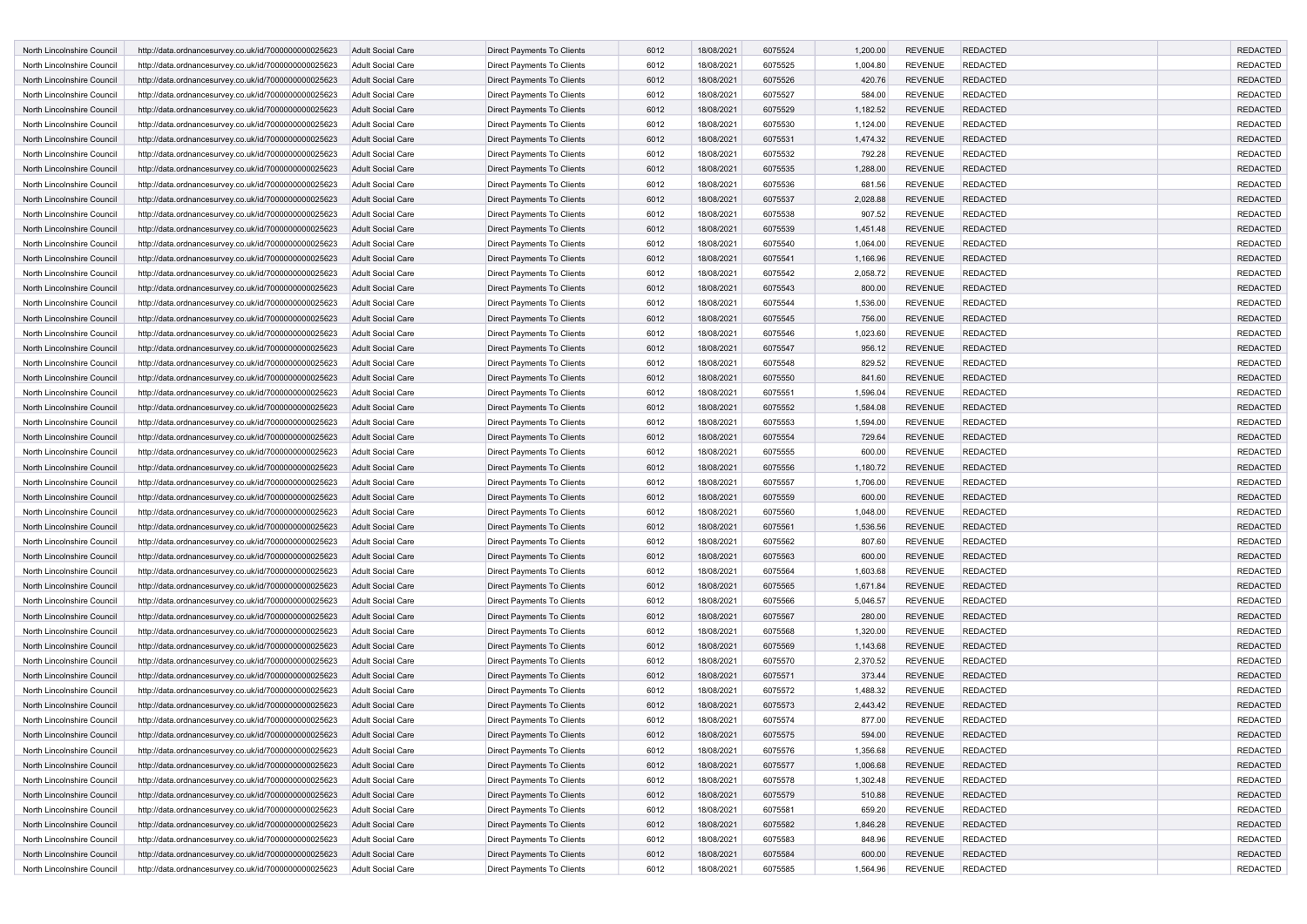| North Lincolnshire Council | http://data.ordnancesurvey.co.uk/id/7000000000025623                                                         | <b>Adult Social Care</b>                             | <b>Direct Payments To Clients</b>                        | 6012         | 18/08/2021               | 6075524            | 1,200.00             | <b>REVENUE</b>                   | <b>REDACTED</b> | <b>REDACTED</b>                    |
|----------------------------|--------------------------------------------------------------------------------------------------------------|------------------------------------------------------|----------------------------------------------------------|--------------|--------------------------|--------------------|----------------------|----------------------------------|-----------------|------------------------------------|
| North Lincolnshire Council | http://data.ordnancesurvey.co.uk/id/7000000000025623                                                         | Adult Social Care                                    | Direct Payments To Clients                               | 6012         | 18/08/2021               | 6075525            | 1,004.80             | <b>REVENUE</b>                   | <b>REDACTED</b> | <b>REDACTED</b>                    |
| North Lincolnshire Council | http://data.ordnancesurvey.co.uk/id/7000000000025623                                                         | <b>Adult Social Care</b>                             | Direct Payments To Clients                               | 6012         | 18/08/2021               | 6075526            | 420.76               | <b>REVENUE</b>                   | <b>REDACTED</b> | <b>REDACTED</b>                    |
| North Lincolnshire Council | http://data.ordnancesurvey.co.uk/id/7000000000025623                                                         | <b>Adult Social Care</b>                             | Direct Payments To Clients                               | 6012         | 18/08/2021               | 6075527            | 584.00               | <b>REVENUE</b>                   | <b>REDACTED</b> | <b>REDACTED</b>                    |
| North Lincolnshire Council | http://data.ordnancesurvey.co.uk/id/7000000000025623                                                         | <b>Adult Social Care</b>                             | Direct Payments To Clients                               | 6012         | 18/08/2021               | 6075529            | 1,182.52             | <b>REVENUE</b>                   | <b>REDACTED</b> | <b>REDACTED</b>                    |
| North Lincolnshire Council | http://data.ordnancesurvey.co.uk/id/7000000000025623                                                         | <b>Adult Social Care</b>                             | Direct Payments To Clients                               | 6012         | 18/08/2021               | 6075530            | 1,124.00             | <b>REVENUE</b>                   | <b>REDACTED</b> | <b>REDACTED</b>                    |
| North Lincolnshire Council | http://data.ordnancesurvey.co.uk/id/7000000000025623                                                         | <b>Adult Social Care</b>                             | Direct Payments To Clients                               | 6012         | 18/08/2021               | 6075531            | 1,474.32             | <b>REVENUE</b>                   | <b>REDACTED</b> | <b>REDACTED</b>                    |
| North Lincolnshire Council | http://data.ordnancesurvey.co.uk/id/7000000000025623                                                         | <b>Adult Social Care</b>                             | Direct Payments To Clients                               | 6012         | 18/08/2021               | 6075532            | 792.28               | <b>REVENUE</b>                   | <b>REDACTED</b> | <b>REDACTED</b>                    |
| North Lincolnshire Council | http://data.ordnancesurvey.co.uk/id/7000000000025623                                                         | <b>Adult Social Care</b>                             | <b>Direct Payments To Clients</b>                        | 6012         | 18/08/2021               | 6075535            | 1,288.00             | <b>REVENUE</b>                   | <b>REDACTED</b> | <b>REDACTED</b>                    |
| North Lincolnshire Council | http://data.ordnancesurvey.co.uk/id/7000000000025623                                                         | Adult Social Care                                    | Direct Payments To Clients                               | 6012         | 18/08/2021               | 6075536            | 681.56               | <b>REVENUE</b>                   | REDACTED        | <b>REDACTED</b>                    |
| North Lincolnshire Council | http://data.ordnancesurvey.co.uk/id/7000000000025623                                                         | <b>Adult Social Care</b>                             | Direct Payments To Clients                               | 6012         | 18/08/2021               | 6075537            | 2,028.88             | <b>REVENUE</b>                   | <b>REDACTED</b> | <b>REDACTED</b>                    |
| North Lincolnshire Council | http://data.ordnancesurvey.co.uk/id/7000000000025623                                                         | Adult Social Care                                    | Direct Payments To Clients                               | 6012         | 18/08/2021               | 6075538            | 907.52               | <b>REVENUE</b>                   | REDACTED        | <b>REDACTED</b>                    |
| North Lincolnshire Council | http://data.ordnancesurvey.co.uk/id/7000000000025623                                                         | <b>Adult Social Care</b>                             | Direct Payments To Clients                               | 6012         | 18/08/2021               | 6075539            | 1,451.48             | <b>REVENUE</b>                   | <b>REDACTED</b> | <b>REDACTED</b>                    |
| North Lincolnshire Council | http://data.ordnancesurvey.co.uk/id/7000000000025623                                                         | <b>Adult Social Care</b>                             | Direct Payments To Clients                               | 6012         | 18/08/2021               | 6075540            | 1,064.00             | <b>REVENUE</b>                   | <b>REDACTED</b> | <b>REDACTED</b>                    |
| North Lincolnshire Council | http://data.ordnancesurvey.co.uk/id/7000000000025623                                                         | <b>Adult Social Care</b>                             | Direct Payments To Clients                               | 6012         | 18/08/2021               | 6075541            | 1,166.96             | <b>REVENUE</b>                   | <b>REDACTED</b> | <b>REDACTED</b>                    |
| North Lincolnshire Council | http://data.ordnancesurvey.co.uk/id/7000000000025623                                                         | <b>Adult Social Care</b>                             | Direct Payments To Clients                               | 6012         | 18/08/2021               | 6075542            | 2,058.72             | <b>REVENUE</b>                   | <b>REDACTED</b> | <b>REDACTED</b>                    |
| North Lincolnshire Council | http://data.ordnancesurvey.co.uk/id/7000000000025623                                                         | <b>Adult Social Care</b>                             | Direct Payments To Clients                               | 6012         | 18/08/2021               | 6075543            | 800.00               | <b>REVENUE</b>                   | <b>REDACTED</b> | <b>REDACTED</b>                    |
| North Lincolnshire Council | http://data.ordnancesurvey.co.uk/id/7000000000025623                                                         | Adult Social Care                                    | Direct Payments To Clients                               | 6012         | 18/08/2021               | 6075544            | 1,536.00             | <b>REVENUE</b>                   | <b>REDACTED</b> | <b>REDACTED</b>                    |
| North Lincolnshire Council | http://data.ordnancesurvey.co.uk/id/7000000000025623                                                         | <b>Adult Social Care</b>                             | <b>Direct Payments To Clients</b>                        | 6012         | 18/08/2021               | 6075545            | 756.00               | <b>REVENUE</b>                   | <b>REDACTED</b> | <b>REDACTED</b>                    |
| North Lincolnshire Council | http://data.ordnancesurvey.co.uk/id/7000000000025623                                                         | <b>Adult Social Care</b>                             | Direct Payments To Clients                               | 6012         | 18/08/2021               | 6075546            | 1,023.60             | <b>REVENUE</b>                   | <b>REDACTED</b> | <b>REDACTED</b>                    |
| North Lincolnshire Council | http://data.ordnancesurvey.co.uk/id/7000000000025623                                                         | <b>Adult Social Care</b>                             | Direct Payments To Clients                               | 6012         | 18/08/2021               | 6075547            | 956.12               | <b>REVENUE</b>                   | <b>REDACTED</b> | <b>REDACTED</b>                    |
| North Lincolnshire Council | http://data.ordnancesurvey.co.uk/id/7000000000025623                                                         | <b>Adult Social Care</b>                             | Direct Payments To Clients                               | 6012         | 18/08/2021               | 6075548            | 829.52               | <b>REVENUE</b>                   | REDACTED        | <b>REDACTED</b>                    |
| North Lincolnshire Council | http://data.ordnancesurvey.co.uk/id/7000000000025623                                                         | <b>Adult Social Care</b>                             | Direct Payments To Clients                               | 6012         | 18/08/2021               | 6075550            | 841.60               | <b>REVENUE</b>                   | <b>REDACTED</b> | <b>REDACTED</b>                    |
| North Lincolnshire Council | http://data.ordnancesurvey.co.uk/id/7000000000025623                                                         | <b>Adult Social Care</b>                             | Direct Payments To Clients                               | 6012         | 18/08/2021               | 6075551            | 1,596.04             | <b>REVENUE</b>                   | <b>REDACTED</b> | <b>REDACTED</b>                    |
| North Lincolnshire Council |                                                                                                              | <b>Adult Social Care</b>                             | Direct Payments To Clients                               | 6012         | 18/08/2021               | 6075552            | 1,584.08             | <b>REVENUE</b>                   | <b>REDACTED</b> | <b>REDACTED</b>                    |
| North Lincolnshire Council | http://data.ordnancesurvey.co.uk/id/7000000000025623<br>http://data.ordnancesurvey.co.uk/id/7000000000025623 | <b>Adult Social Care</b>                             | Direct Payments To Clients                               | 6012         | 18/08/2021               | 6075553            | 1,594.00             | <b>REVENUE</b>                   | <b>REDACTED</b> | <b>REDACTED</b>                    |
| North Lincolnshire Council | http://data.ordnancesurvey.co.uk/id/7000000000025623                                                         | <b>Adult Social Care</b>                             | Direct Payments To Clients                               | 6012         | 18/08/2021               | 6075554            | 729.64               | <b>REVENUE</b>                   | <b>REDACTED</b> | <b>REDACTED</b>                    |
| North Lincolnshire Council | http://data.ordnancesurvey.co.uk/id/7000000000025623                                                         | Adult Social Care                                    | Direct Payments To Clients                               | 6012         | 18/08/2021               | 6075555            | 600.00               | <b>REVENUE</b>                   | <b>REDACTED</b> | <b>REDACTED</b>                    |
| North Lincolnshire Council | http://data.ordnancesurvey.co.uk/id/7000000000025623                                                         | <b>Adult Social Care</b>                             | <b>Direct Payments To Clients</b>                        | 6012         | 18/08/2021               | 6075556            |                      | <b>REVENUE</b>                   | <b>REDACTED</b> | <b>REDACTED</b>                    |
| North Lincolnshire Council |                                                                                                              | <b>Adult Social Care</b>                             | Direct Payments To Clients                               | 6012         | 18/08/2021               | 6075557            | 1,180.72<br>1,706.00 | <b>REVENUE</b>                   | <b>REDACTED</b> | <b>REDACTED</b>                    |
| North Lincolnshire Council | http://data.ordnancesurvey.co.uk/id/7000000000025623                                                         | <b>Adult Social Care</b>                             | Direct Payments To Clients                               | 6012         | 18/08/2021               | 6075559            | 600.00               | <b>REVENUE</b>                   | <b>REDACTED</b> | <b>REDACTED</b>                    |
| North Lincolnshire Council | http://data.ordnancesurvey.co.uk/id/7000000000025623<br>http://data.ordnancesurvey.co.uk/id/7000000000025623 | <b>Adult Social Care</b>                             | Direct Payments To Clients                               | 6012         | 18/08/2021               | 6075560            | 1,048.00             | <b>REVENUE</b>                   | <b>REDACTED</b> | <b>REDACTED</b>                    |
| North Lincolnshire Council |                                                                                                              | <b>Adult Social Care</b>                             |                                                          | 6012         | 18/08/2021               | 6075561            | 1,536.56             | <b>REVENUE</b>                   | <b>REDACTED</b> | <b>REDACTED</b>                    |
| North Lincolnshire Council | http://data.ordnancesurvey.co.uk/id/7000000000025623                                                         |                                                      | Direct Payments To Clients                               | 6012         |                          |                    |                      | <b>REVENUE</b>                   | REDACTED        | <b>REDACTED</b>                    |
| North Lincolnshire Council | http://data.ordnancesurvey.co.uk/id/7000000000025623                                                         | <b>Adult Social Care</b><br><b>Adult Social Care</b> | Direct Payments To Clients<br>Direct Payments To Clients | 6012         | 18/08/2021<br>18/08/2021 | 6075562<br>6075563 | 807.60<br>600.00     | <b>REVENUE</b>                   | <b>REDACTED</b> | <b>REDACTED</b>                    |
| North Lincolnshire Council | http://data.ordnancesurvey.co.uk/id/7000000000025623                                                         | <b>Adult Social Care</b>                             |                                                          | 6012         | 18/08/2021               | 6075564            |                      | <b>REVENUE</b>                   | <b>REDACTED</b> | <b>REDACTED</b>                    |
| North Lincolnshire Council | http://data.ordnancesurvey.co.uk/id/7000000000025623                                                         |                                                      | Direct Payments To Clients                               | 6012         |                          |                    | 1,603.68             | <b>REVENUE</b>                   | <b>REDACTED</b> | <b>REDACTED</b>                    |
|                            | http://data.ordnancesurvey.co.uk/id/7000000000025623                                                         | <b>Adult Social Care</b>                             | Direct Payments To Clients                               |              | 18/08/2021               | 6075565            | 1,671.84             | <b>REVENUE</b>                   | <b>REDACTED</b> | <b>REDACTED</b>                    |
| North Lincolnshire Council | http://data.ordnancesurvey.co.uk/id/7000000000025623                                                         | <b>Adult Social Care</b>                             | Direct Payments To Clients                               | 6012         | 18/08/2021               | 6075566            | 5,046.57             |                                  |                 |                                    |
| North Lincolnshire Council | http://data.ordnancesurvey.co.uk/id/7000000000025623                                                         | <b>Adult Social Care</b>                             | <b>Direct Payments To Clients</b>                        | 6012         | 18/08/2021               | 6075567            | 280.00               | <b>REVENUE</b>                   | <b>REDACTED</b> | <b>REDACTED</b>                    |
| North Lincolnshire Council | http://data.ordnancesurvey.co.uk/id/7000000000025623                                                         | <b>Adult Social Care</b>                             | Direct Payments To Clients                               | 6012         | 18/08/2021               | 6075568            | 1,320.00             | <b>REVENUE</b>                   | <b>REDACTED</b> | <b>REDACTED</b>                    |
| North Lincolnshire Council | http://data.ordnancesurvey.co.uk/id/7000000000025623                                                         | <b>Adult Social Care</b>                             | Direct Payments To Clients                               | 6012<br>6012 | 18/08/2021               | 6075569            | 1,143.68             | <b>REVENUE</b><br><b>REVENUE</b> | <b>REDACTED</b> | <b>REDACTED</b><br><b>REDACTED</b> |
| North Lincolnshire Council | http://data.ordnancesurvey.co.uk/id/7000000000025623                                                         | <b>Adult Social Care</b>                             | Direct Payments To Clients                               |              | 18/08/2021               | 6075570            | 2,370.52             |                                  | <b>REDACTED</b> |                                    |
| North Lincolnshire Council | http://data.ordnancesurvey.co.uk/id/7000000000025623                                                         | <b>Adult Social Care</b>                             | Direct Payments To Clients                               | 6012         | 18/08/2021               | 6075571            | 373.44               | <b>REVENUE</b>                   | <b>REDACTED</b> | <b>REDACTED</b>                    |
| North Lincolnshire Council | http://data.ordnancesurvey.co.uk/id/7000000000025623                                                         | <b>Adult Social Care</b>                             | Direct Payments To Clients                               | 6012         | 18/08/2021               | 6075572            | 1,488.32             | <b>REVENUE</b>                   | <b>REDACTED</b> | <b>REDACTED</b>                    |
| North Lincolnshire Council | http://data.ordnancesurvey.co.uk/id/7000000000025623                                                         | <b>Adult Social Care</b>                             | <b>Direct Payments To Clients</b>                        | 6012         | 18/08/2021               | 6075573            | 2,443.42             | <b>REVENUE</b>                   | <b>REDACTED</b> | <b>REDACTED</b>                    |
| North Lincolnshire Council | http://data.ordnancesurvey.co.uk/id/7000000000025623                                                         | <b>Adult Social Care</b>                             | Direct Payments To Clients                               | 6012         | 18/08/2021               | 6075574            | 877.00               | <b>REVENUE</b>                   | <b>REDACTED</b> | <b>REDACTED</b>                    |
| North Lincolnshire Council | http://data.ordnancesurvey.co.uk/id/7000000000025623                                                         | <b>Adult Social Care</b>                             | Direct Payments To Clients                               | 6012         | 18/08/2021               | 6075575            | 594.00               | <b>REVENUE</b>                   | <b>REDACTED</b> | <b>REDACTED</b>                    |
| North Lincolnshire Council | http://data.ordnancesurvey.co.uk/id/7000000000025623                                                         | Adult Social Care                                    | Direct Payments To Clients                               | 6012         | 18/08/2021               | 6075576            | 1,356.68             | <b>REVENUE</b>                   | <b>REDACTED</b> | REDACTED                           |
| North Lincolnshire Council | http://data.ordnancesurvey.co.uk/id/7000000000025623                                                         | <b>Adult Social Care</b>                             | <b>Direct Payments To Clients</b>                        | 6012         | 18/08/2021               | 6075577            | 1,006.68             | <b>REVENUE</b>                   | <b>REDACTED</b> | <b>REDACTED</b>                    |
| North Lincolnshire Council | http://data.ordnancesurvey.co.uk/id/7000000000025623                                                         | Adult Social Care                                    | Direct Payments To Clients                               | 6012         | 18/08/2021               | 6075578            | 1,302.48             | <b>REVENUE</b>                   | <b>REDACTED</b> | <b>REDACTED</b>                    |
| North Lincolnshire Council | http://data.ordnancesurvey.co.uk/id/7000000000025623                                                         | Adult Social Care                                    | Direct Payments To Clients                               | 6012         | 18/08/2021               | 6075579            | 510.88               | <b>REVENUE</b>                   | <b>REDACTED</b> | <b>REDACTED</b>                    |
| North Lincolnshire Council | http://data.ordnancesurvey.co.uk/id/7000000000025623                                                         | Adult Social Care                                    | Direct Payments To Clients                               | 6012         | 18/08/2021               | 6075581            | 659.20               | <b>REVENUE</b>                   | <b>REDACTED</b> | <b>REDACTED</b>                    |
| North Lincolnshire Council | http://data.ordnancesurvey.co.uk/id/7000000000025623                                                         | Adult Social Care                                    | Direct Payments To Clients                               | 6012         | 18/08/2021               | 6075582            | 1,846.28             | <b>REVENUE</b>                   | <b>REDACTED</b> | <b>REDACTED</b>                    |
| North Lincolnshire Council | http://data.ordnancesurvey.co.uk/id/7000000000025623                                                         | Adult Social Care                                    | Direct Payments To Clients                               | 6012         | 18/08/2021               | 6075583            | 848.96               | <b>REVENUE</b>                   | <b>REDACTED</b> | <b>REDACTED</b>                    |
| North Lincolnshire Council | http://data.ordnancesurvey.co.uk/id/7000000000025623                                                         | Adult Social Care                                    | Direct Payments To Clients                               | 6012         | 18/08/2021               | 6075584            | 600.00               | <b>REVENUE</b>                   | <b>REDACTED</b> | <b>REDACTED</b>                    |
| North Lincolnshire Council | http://data.ordnancesurvey.co.uk/id/7000000000025623                                                         | Adult Social Care                                    | Direct Payments To Clients                               | 6012         | 18/08/2021               | 6075585            | 1,564.96             | <b>REVENUE</b>                   | <b>REDACTED</b> | REDACTED                           |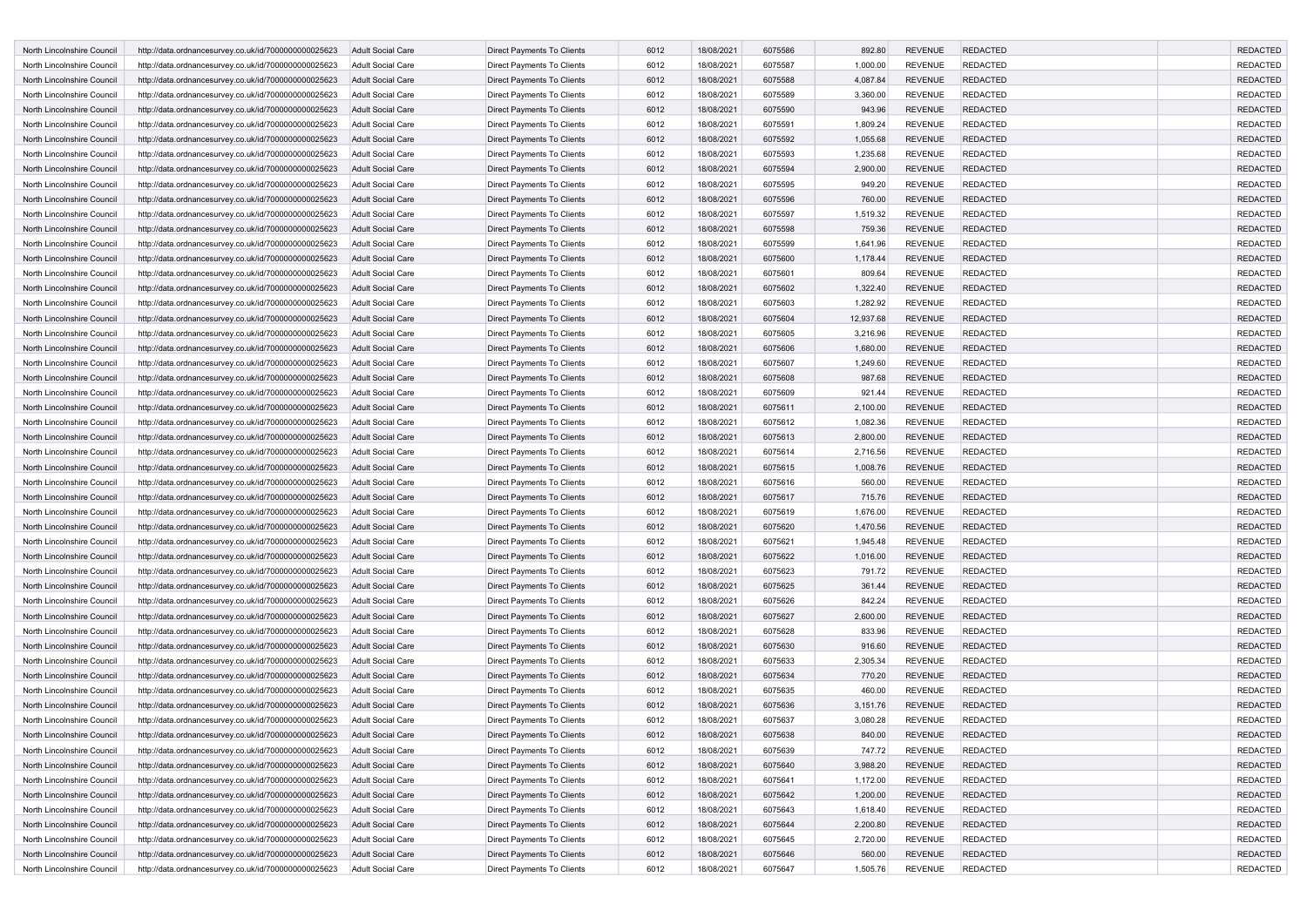| North Lincolnshire Council | http://data.ordnancesurvey.co.uk/id/7000000000025623 | <b>Adult Social Care</b> | <b>Direct Payments To Clients</b> | 6012 | 18/08/2021 | 6075586 | 892.80    | <b>REVENUE</b> | <b>REDACTED</b> | <b>REDACTED</b> |
|----------------------------|------------------------------------------------------|--------------------------|-----------------------------------|------|------------|---------|-----------|----------------|-----------------|-----------------|
| North Lincolnshire Council | http://data.ordnancesurvey.co.uk/id/7000000000025623 | <b>Adult Social Care</b> | Direct Payments To Clients        | 6012 | 18/08/2021 | 6075587 | 1,000.00  | <b>REVENUE</b> | <b>REDACTED</b> | <b>REDACTED</b> |
| North Lincolnshire Council | http://data.ordnancesurvey.co.uk/id/7000000000025623 | <b>Adult Social Care</b> | Direct Payments To Clients        | 6012 | 18/08/2021 | 6075588 | 4,087.84  | <b>REVENUE</b> | <b>REDACTED</b> | <b>REDACTED</b> |
| North Lincolnshire Council | http://data.ordnancesurvey.co.uk/id/7000000000025623 | Adult Social Care        | Direct Payments To Clients        | 6012 | 18/08/2021 | 6075589 | 3,360.00  | <b>REVENUE</b> | <b>REDACTED</b> | <b>REDACTED</b> |
| North Lincolnshire Council | http://data.ordnancesurvey.co.uk/id/7000000000025623 | <b>Adult Social Care</b> | Direct Payments To Clients        | 6012 | 18/08/2021 | 6075590 | 943.96    | <b>REVENUE</b> | <b>REDACTED</b> | <b>REDACTED</b> |
| North Lincolnshire Council | http://data.ordnancesurvey.co.uk/id/7000000000025623 | <b>Adult Social Care</b> | Direct Payments To Clients        | 6012 | 18/08/2021 | 6075591 | 1,809.24  | <b>REVENUE</b> | <b>REDACTED</b> | <b>REDACTED</b> |
| North Lincolnshire Council | http://data.ordnancesurvey.co.uk/id/7000000000025623 | <b>Adult Social Care</b> | Direct Payments To Clients        | 6012 | 18/08/2021 | 6075592 | 1,055.68  | <b>REVENUE</b> | <b>REDACTED</b> | <b>REDACTED</b> |
| North Lincolnshire Council | http://data.ordnancesurvey.co.uk/id/7000000000025623 | <b>Adult Social Care</b> | Direct Payments To Clients        | 6012 | 18/08/2021 | 6075593 | 1,235.68  | <b>REVENUE</b> | <b>REDACTED</b> | <b>REDACTED</b> |
| North Lincolnshire Council | http://data.ordnancesurvey.co.uk/id/7000000000025623 | <b>Adult Social Care</b> | Direct Payments To Clients        | 6012 | 18/08/2021 | 6075594 | 2,900.00  | <b>REVENUE</b> | <b>REDACTED</b> | <b>REDACTED</b> |
| North Lincolnshire Council | http://data.ordnancesurvey.co.uk/id/7000000000025623 | Adult Social Care        | Direct Payments To Clients        | 6012 | 18/08/2021 | 6075595 | 949.20    | <b>REVENUE</b> | REDACTED        | <b>REDACTED</b> |
| North Lincolnshire Council | http://data.ordnancesurvey.co.uk/id/7000000000025623 | <b>Adult Social Care</b> | Direct Payments To Clients        | 6012 | 18/08/2021 | 6075596 | 760.00    | <b>REVENUE</b> | <b>REDACTED</b> | <b>REDACTED</b> |
| North Lincolnshire Council | http://data.ordnancesurvey.co.uk/id/7000000000025623 | <b>Adult Social Care</b> | Direct Payments To Clients        | 6012 | 18/08/2021 | 6075597 | 1,519.32  | <b>REVENUE</b> | <b>REDACTED</b> | <b>REDACTED</b> |
| North Lincolnshire Council | http://data.ordnancesurvey.co.uk/id/7000000000025623 | <b>Adult Social Care</b> | Direct Payments To Clients        | 6012 | 18/08/2021 | 6075598 | 759.36    | <b>REVENUE</b> | <b>REDACTED</b> | <b>REDACTED</b> |
| North Lincolnshire Council | http://data.ordnancesurvey.co.uk/id/7000000000025623 | Adult Social Care        | Direct Payments To Clients        | 6012 | 18/08/2021 | 6075599 | 1,641.96  | <b>REVENUE</b> | <b>REDACTED</b> | <b>REDACTED</b> |
| North Lincolnshire Council | http://data.ordnancesurvey.co.uk/id/7000000000025623 | <b>Adult Social Care</b> | Direct Payments To Clients        | 6012 | 18/08/2021 | 6075600 | 1,178.44  | <b>REVENUE</b> | <b>REDACTED</b> | <b>REDACTED</b> |
| North Lincolnshire Council | http://data.ordnancesurvey.co.uk/id/7000000000025623 | <b>Adult Social Care</b> | Direct Payments To Clients        | 6012 | 18/08/2021 | 6075601 | 809.64    | <b>REVENUE</b> | <b>REDACTED</b> | <b>REDACTED</b> |
| North Lincolnshire Council | http://data.ordnancesurvey.co.uk/id/7000000000025623 | <b>Adult Social Care</b> | Direct Payments To Clients        | 6012 | 18/08/2021 | 6075602 | 1,322.40  | <b>REVENUE</b> | <b>REDACTED</b> | <b>REDACTED</b> |
| North Lincolnshire Council | http://data.ordnancesurvey.co.uk/id/7000000000025623 | Adult Social Care        | Direct Payments To Clients        | 6012 | 18/08/2021 | 6075603 | 1,282.92  | <b>REVENUE</b> | <b>REDACTED</b> | <b>REDACTED</b> |
| North Lincolnshire Council | http://data.ordnancesurvey.co.uk/id/7000000000025623 | <b>Adult Social Care</b> | Direct Payments To Clients        | 6012 | 18/08/2021 | 6075604 | 12,937.68 | <b>REVENUE</b> | <b>REDACTED</b> | <b>REDACTED</b> |
|                            |                                                      |                          |                                   |      |            |         |           |                |                 |                 |
| North Lincolnshire Council | http://data.ordnancesurvey.co.uk/id/7000000000025623 | <b>Adult Social Care</b> | Direct Payments To Clients        | 6012 | 18/08/2021 | 6075605 | 3,216.96  | <b>REVENUE</b> | <b>REDACTED</b> | <b>REDACTED</b> |
| North Lincolnshire Council | http://data.ordnancesurvey.co.uk/id/7000000000025623 | <b>Adult Social Care</b> | Direct Payments To Clients        | 6012 | 18/08/2021 | 6075606 | 1,680.00  | <b>REVENUE</b> | <b>REDACTED</b> | <b>REDACTED</b> |
| North Lincolnshire Council | http://data.ordnancesurvey.co.uk/id/7000000000025623 | Adult Social Care        | Direct Payments To Clients        | 6012 | 18/08/2021 | 6075607 | 1,249.60  | <b>REVENUE</b> | <b>REDACTED</b> | <b>REDACTED</b> |
| North Lincolnshire Council | http://data.ordnancesurvey.co.uk/id/7000000000025623 | <b>Adult Social Care</b> | Direct Payments To Clients        | 6012 | 18/08/2021 | 6075608 | 987.68    | <b>REVENUE</b> | <b>REDACTED</b> | <b>REDACTED</b> |
| North Lincolnshire Council | http://data.ordnancesurvey.co.uk/id/7000000000025623 | Adult Social Care        | Direct Payments To Clients        | 6012 | 18/08/2021 | 6075609 | 921.44    | <b>REVENUE</b> | <b>REDACTED</b> | <b>REDACTED</b> |
| North Lincolnshire Council | http://data.ordnancesurvey.co.uk/id/7000000000025623 | <b>Adult Social Care</b> | <b>Direct Payments To Clients</b> | 6012 | 18/08/2021 | 6075611 | 2,100.00  | <b>REVENUE</b> | <b>REDACTED</b> | <b>REDACTED</b> |
| North Lincolnshire Council | http://data.ordnancesurvey.co.uk/id/7000000000025623 | <b>Adult Social Care</b> | Direct Payments To Clients        | 6012 | 18/08/2021 | 6075612 | 1,082.36  | <b>REVENUE</b> | <b>REDACTED</b> | <b>REDACTED</b> |
| North Lincolnshire Council | http://data.ordnancesurvey.co.uk/id/7000000000025623 | <b>Adult Social Care</b> | Direct Payments To Clients        | 6012 | 18/08/2021 | 6075613 | 2,800.00  | <b>REVENUE</b> | <b>REDACTED</b> | <b>REDACTED</b> |
| North Lincolnshire Council | http://data.ordnancesurvey.co.uk/id/7000000000025623 | Adult Social Care        | Direct Payments To Clients        | 6012 | 18/08/2021 | 6075614 | 2,716.56  | <b>REVENUE</b> | <b>REDACTED</b> | <b>REDACTED</b> |
| North Lincolnshire Council | http://data.ordnancesurvey.co.uk/id/7000000000025623 | <b>Adult Social Care</b> | Direct Payments To Clients        | 6012 | 18/08/2021 | 6075615 | 1,008.76  | <b>REVENUE</b> | <b>REDACTED</b> | <b>REDACTED</b> |
| North Lincolnshire Council | http://data.ordnancesurvey.co.uk/id/7000000000025623 | Adult Social Care        | Direct Payments To Clients        | 6012 | 18/08/2021 | 6075616 | 560.00    | <b>REVENUE</b> | <b>REDACTED</b> | <b>REDACTED</b> |
| North Lincolnshire Council | http://data.ordnancesurvey.co.uk/id/7000000000025623 | <b>Adult Social Care</b> | Direct Payments To Clients        | 6012 | 18/08/2021 | 6075617 | 715.76    | <b>REVENUE</b> | <b>REDACTED</b> | <b>REDACTED</b> |
| North Lincolnshire Council | http://data.ordnancesurvey.co.uk/id/7000000000025623 | Adult Social Care        | Direct Payments To Clients        | 6012 | 18/08/2021 | 6075619 | 1,676.00  | <b>REVENUE</b> | <b>REDACTED</b> | <b>REDACTED</b> |
| North Lincolnshire Council | http://data.ordnancesurvey.co.uk/id/7000000000025623 | <b>Adult Social Care</b> | Direct Payments To Clients        | 6012 | 18/08/2021 | 6075620 | 1,470.56  | <b>REVENUE</b> | <b>REDACTED</b> | <b>REDACTED</b> |
| North Lincolnshire Council | http://data.ordnancesurvey.co.uk/id/7000000000025623 | Adult Social Care        | Direct Payments To Clients        | 6012 | 18/08/2021 | 6075621 | 1,945.48  | <b>REVENUE</b> | <b>REDACTED</b> | <b>REDACTED</b> |
| North Lincolnshire Council | http://data.ordnancesurvey.co.uk/id/7000000000025623 | <b>Adult Social Care</b> | Direct Payments To Clients        | 6012 | 18/08/2021 | 6075622 | 1,016.00  | <b>REVENUE</b> | <b>REDACTED</b> | <b>REDACTED</b> |
| North Lincolnshire Council | http://data.ordnancesurvey.co.uk/id/7000000000025623 | <b>Adult Social Care</b> | Direct Payments To Clients        | 6012 | 18/08/2021 | 6075623 | 791.72    | <b>REVENUE</b> | <b>REDACTED</b> | <b>REDACTED</b> |
| North Lincolnshire Council | http://data.ordnancesurvey.co.uk/id/7000000000025623 | <b>Adult Social Care</b> | Direct Payments To Clients        | 6012 | 18/08/2021 | 6075625 | 361.44    | <b>REVENUE</b> | <b>REDACTED</b> | <b>REDACTED</b> |
| North Lincolnshire Council | http://data.ordnancesurvey.co.uk/id/7000000000025623 | <b>Adult Social Care</b> | Direct Payments To Clients        | 6012 | 18/08/2021 | 6075626 | 842.24    | <b>REVENUE</b> | <b>REDACTED</b> | <b>REDACTED</b> |
| North Lincolnshire Council | http://data.ordnancesurvey.co.uk/id/7000000000025623 | <b>Adult Social Care</b> | Direct Payments To Clients        | 6012 | 18/08/2021 | 6075627 | 2,600.00  | <b>REVENUE</b> | <b>REDACTED</b> | <b>REDACTED</b> |
| North Lincolnshire Council | http://data.ordnancesurvey.co.uk/id/7000000000025623 | Adult Social Care        | Direct Payments To Clients        | 6012 | 18/08/2021 | 6075628 | 833.96    | <b>REVENUE</b> | <b>REDACTED</b> | <b>REDACTED</b> |
| North Lincolnshire Council | http://data.ordnancesurvey.co.uk/id/7000000000025623 | <b>Adult Social Care</b> | Direct Payments To Clients        | 6012 | 18/08/2021 | 6075630 | 916.60    | <b>REVENUE</b> | <b>REDACTED</b> | <b>REDACTED</b> |
| North Lincolnshire Council |                                                      |                          |                                   | 6012 |            | 6075633 | 2,305.34  | <b>REVENUE</b> | <b>REDACTED</b> | <b>REDACTED</b> |
|                            | http://data.ordnancesurvey.co.uk/id/7000000000025623 | <b>Adult Social Care</b> | Direct Payments To Clients        |      | 18/08/2021 |         |           |                |                 |                 |
| North Lincolnshire Council | http://data.ordnancesurvey.co.uk/id/7000000000025623 | <b>Adult Social Care</b> | Direct Payments To Clients        | 6012 | 18/08/2021 | 6075634 | 770.20    | <b>REVENUE</b> | <b>REDACTED</b> | <b>REDACTED</b> |
| North Lincolnshire Council | http://data.ordnancesurvey.co.uk/id/7000000000025623 | <b>Adult Social Care</b> | <b>Direct Payments To Clients</b> | 6012 | 18/08/2021 | 6075635 | 460.00    | <b>REVENUE</b> | <b>REDACTED</b> | <b>REDACTED</b> |
| North Lincolnshire Council | http://data.ordnancesurvey.co.uk/id/7000000000025623 | <b>Adult Social Care</b> | Direct Payments To Clients        | 6012 | 18/08/2021 | 6075636 | 3,151.76  | <b>REVENUE</b> | <b>REDACTED</b> | <b>REDACTED</b> |
| North Lincolnshire Council | http://data.ordnancesurvey.co.uk/id/7000000000025623 | <b>Adult Social Care</b> | Direct Payments To Clients        | 6012 | 18/08/2021 | 6075637 | 3,080.28  | <b>REVENUE</b> | <b>REDACTED</b> | <b>REDACTED</b> |
| North Lincolnshire Council | http://data.ordnancesurvey.co.uk/id/7000000000025623 | <b>Adult Social Care</b> | Direct Payments To Clients        | 6012 | 18/08/2021 | 6075638 | 840.00    | <b>REVENUE</b> | <b>REDACTED</b> | <b>REDACTED</b> |
| North Lincolnshire Council | http://data.ordnancesurvey.co.uk/id/7000000000025623 | Adult Social Care        | Direct Payments To Clients        | 6012 | 18/08/2021 | 6075639 | 747.72    | <b>REVENUE</b> | <b>REDACTED</b> | <b>REDACTED</b> |
| North Lincolnshire Council | http://data.ordnancesurvey.co.uk/id/7000000000025623 | <b>Adult Social Care</b> | Direct Payments To Clients        | 6012 | 18/08/2021 | 6075640 | 3,988.20  | <b>REVENUE</b> | <b>REDACTED</b> | <b>REDACTED</b> |
| North Lincolnshire Council | http://data.ordnancesurvey.co.uk/id/7000000000025623 | Adult Social Care        | Direct Payments To Clients        | 6012 | 18/08/2021 | 6075641 | 1,172.00  | <b>REVENUE</b> | <b>REDACTED</b> | <b>REDACTED</b> |
| North Lincolnshire Council | http://data.ordnancesurvey.co.uk/id/7000000000025623 | Adult Social Care        | Direct Payments To Clients        | 6012 | 18/08/2021 | 6075642 | 1,200.00  | <b>REVENUE</b> | <b>REDACTED</b> | <b>REDACTED</b> |
| North Lincolnshire Council | http://data.ordnancesurvey.co.uk/id/7000000000025623 | Adult Social Care        | Direct Payments To Clients        | 6012 | 18/08/2021 | 6075643 | 1,618.40  | <b>REVENUE</b> | <b>REDACTED</b> | <b>REDACTED</b> |
| North Lincolnshire Council | http://data.ordnancesurvey.co.uk/id/7000000000025623 | Adult Social Care        | Direct Payments To Clients        | 6012 | 18/08/2021 | 6075644 | 2,200.80  | <b>REVENUE</b> | <b>REDACTED</b> | <b>REDACTED</b> |
| North Lincolnshire Council | http://data.ordnancesurvey.co.uk/id/7000000000025623 | Adult Social Care        | Direct Payments To Clients        | 6012 | 18/08/2021 | 6075645 | 2,720.00  | <b>REVENUE</b> | <b>REDACTED</b> | <b>REDACTED</b> |
| North Lincolnshire Council | http://data.ordnancesurvey.co.uk/id/7000000000025623 | Adult Social Care        | Direct Payments To Clients        | 6012 | 18/08/2021 | 6075646 | 560.00    | <b>REVENUE</b> | <b>REDACTED</b> | <b>REDACTED</b> |
| North Lincolnshire Council | http://data.ordnancesurvey.co.uk/id/7000000000025623 | Adult Social Care        | Direct Payments To Clients        | 6012 | 18/08/2021 | 6075647 | 1,505.76  | <b>REVENUE</b> | <b>REDACTED</b> | REDACTED        |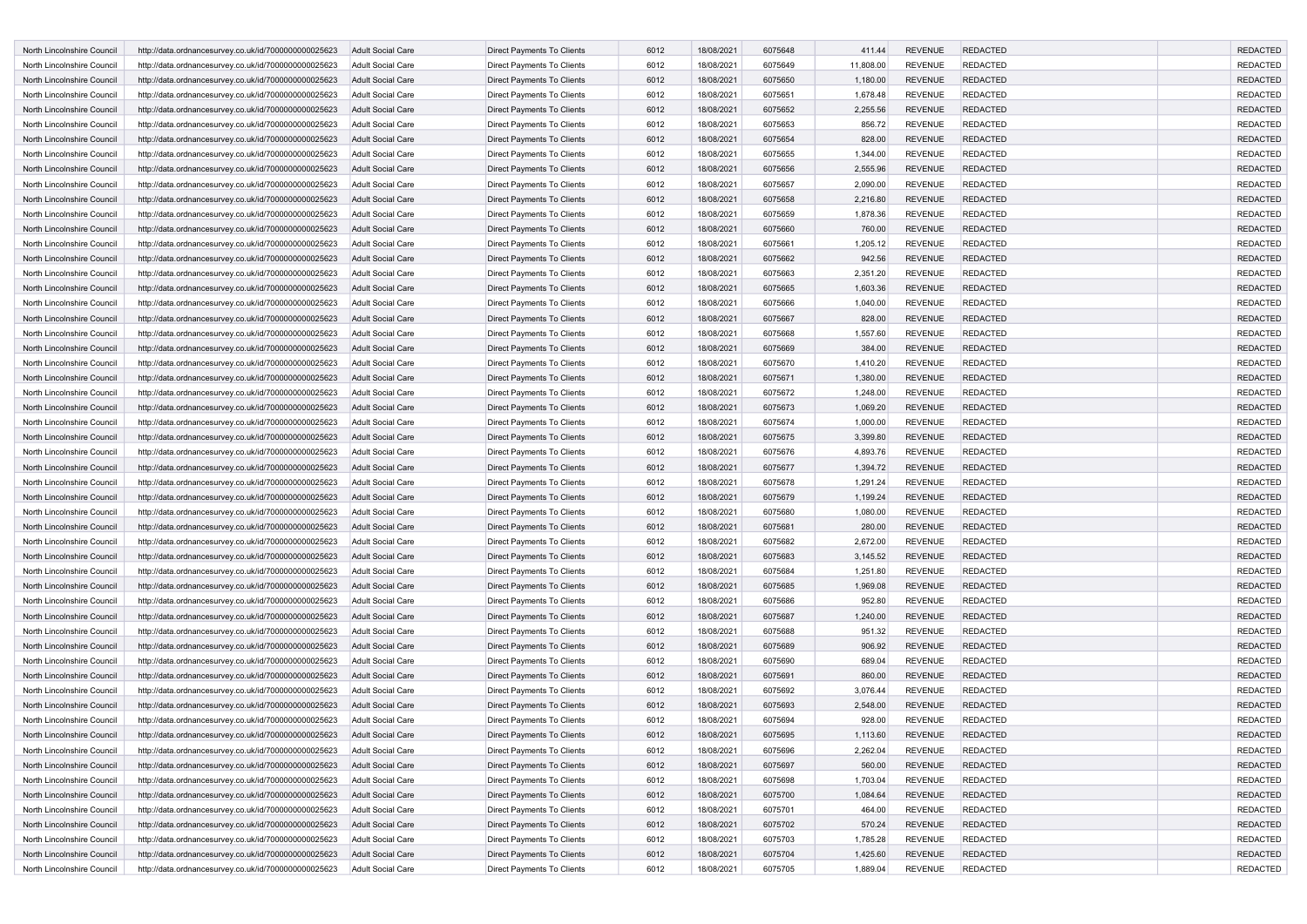| North Lincolnshire Council                               | http://data.ordnancesurvey.co.uk/id/7000000000025623                                                         | <b>Adult Social Care</b>                             | <b>Direct Payments To Clients</b>                        | 6012         | 18/08/2021               | 6075648            | 411.44               | <b>REVENUE</b>                   | <b>REDACTED</b>                    | <b>REDACTED</b>                    |
|----------------------------------------------------------|--------------------------------------------------------------------------------------------------------------|------------------------------------------------------|----------------------------------------------------------|--------------|--------------------------|--------------------|----------------------|----------------------------------|------------------------------------|------------------------------------|
| North Lincolnshire Council                               | http://data.ordnancesurvey.co.uk/id/7000000000025623                                                         | Adult Social Care                                    | Direct Payments To Clients                               | 6012         | 18/08/2021               | 6075649            | 11,808.00            | <b>REVENUE</b>                   | <b>REDACTED</b>                    | <b>REDACTED</b>                    |
| North Lincolnshire Council                               | http://data.ordnancesurvey.co.uk/id/7000000000025623                                                         | <b>Adult Social Care</b>                             | Direct Payments To Clients                               | 6012         | 18/08/2021               | 6075650            | 1,180.00             | <b>REVENUE</b>                   | <b>REDACTED</b>                    | <b>REDACTED</b>                    |
| North Lincolnshire Council                               | http://data.ordnancesurvey.co.uk/id/7000000000025623                                                         | <b>Adult Social Care</b>                             | Direct Payments To Clients                               | 6012         | 18/08/2021               | 6075651            | 1,678.48             | <b>REVENUE</b>                   | <b>REDACTED</b>                    | <b>REDACTED</b>                    |
| North Lincolnshire Council                               | http://data.ordnancesurvey.co.uk/id/7000000000025623                                                         | <b>Adult Social Care</b>                             | Direct Payments To Clients                               | 6012         | 18/08/2021               | 6075652            | 2,255.56             | <b>REVENUE</b>                   | <b>REDACTED</b>                    | <b>REDACTED</b>                    |
| North Lincolnshire Council                               | http://data.ordnancesurvey.co.uk/id/7000000000025623                                                         | <b>Adult Social Care</b>                             | Direct Payments To Clients                               | 6012         | 18/08/2021               | 6075653            | 856.72               | <b>REVENUE</b>                   | <b>REDACTED</b>                    | <b>REDACTED</b>                    |
| North Lincolnshire Council                               | http://data.ordnancesurvey.co.uk/id/7000000000025623                                                         | <b>Adult Social Care</b>                             | Direct Payments To Clients                               | 6012         | 18/08/2021               | 6075654            | 828.00               | <b>REVENUE</b>                   | <b>REDACTED</b>                    | <b>REDACTED</b>                    |
| North Lincolnshire Council                               | http://data.ordnancesurvey.co.uk/id/7000000000025623                                                         | <b>Adult Social Care</b>                             | Direct Payments To Clients                               | 6012         | 18/08/2021               | 6075655            | 1,344.00             | <b>REVENUE</b>                   | <b>REDACTED</b>                    | <b>REDACTED</b>                    |
| North Lincolnshire Council                               | http://data.ordnancesurvey.co.uk/id/7000000000025623                                                         | <b>Adult Social Care</b>                             | <b>Direct Payments To Clients</b>                        | 6012         | 18/08/2021               | 6075656            | 2,555.96             | <b>REVENUE</b>                   | <b>REDACTED</b>                    | <b>REDACTED</b>                    |
| North Lincolnshire Council                               | http://data.ordnancesurvey.co.uk/id/7000000000025623                                                         | <b>Adult Social Care</b>                             | Direct Payments To Clients                               | 6012         | 18/08/2021               | 6075657            | 2,090.00             | <b>REVENUE</b>                   | <b>REDACTED</b>                    | <b>REDACTED</b>                    |
| North Lincolnshire Council                               | http://data.ordnancesurvey.co.uk/id/7000000000025623                                                         | <b>Adult Social Care</b>                             | Direct Payments To Clients                               | 6012         | 18/08/2021               | 6075658            | 2,216.80             | <b>REVENUE</b>                   | <b>REDACTED</b>                    | <b>REDACTED</b>                    |
| North Lincolnshire Council                               | http://data.ordnancesurvey.co.uk/id/7000000000025623                                                         | Adult Social Care                                    | Direct Payments To Clients                               | 6012         | 18/08/2021               | 6075659            | 1,878.36             | <b>REVENUE</b>                   | <b>REDACTED</b>                    | <b>REDACTED</b>                    |
| North Lincolnshire Council                               | http://data.ordnancesurvey.co.uk/id/7000000000025623                                                         | <b>Adult Social Care</b>                             | Direct Payments To Clients                               | 6012         | 18/08/2021               | 6075660            | 760.00               | <b>REVENUE</b>                   | <b>REDACTED</b>                    | <b>REDACTED</b>                    |
| North Lincolnshire Council                               | http://data.ordnancesurvey.co.uk/id/7000000000025623                                                         | <b>Adult Social Care</b>                             | Direct Payments To Clients                               | 6012         | 18/08/2021               | 6075661            | 1,205.12             | <b>REVENUE</b>                   | <b>REDACTED</b>                    | <b>REDACTED</b>                    |
| North Lincolnshire Council                               | http://data.ordnancesurvey.co.uk/id/7000000000025623                                                         | <b>Adult Social Care</b>                             | Direct Payments To Clients                               | 6012         | 18/08/2021               | 6075662            | 942.56               | <b>REVENUE</b>                   | <b>REDACTED</b>                    | <b>REDACTED</b>                    |
| North Lincolnshire Council                               | http://data.ordnancesurvey.co.uk/id/7000000000025623                                                         | <b>Adult Social Care</b>                             | Direct Payments To Clients                               | 6012         | 18/08/2021               | 6075663            | 2,351.20             | <b>REVENUE</b>                   | <b>REDACTED</b>                    | <b>REDACTED</b>                    |
| North Lincolnshire Council                               | http://data.ordnancesurvey.co.uk/id/7000000000025623                                                         | <b>Adult Social Care</b>                             | Direct Payments To Clients                               | 6012         | 18/08/2021               | 6075665            | 1,603.36             | <b>REVENUE</b>                   | <b>REDACTED</b>                    | <b>REDACTED</b>                    |
| North Lincolnshire Council                               | http://data.ordnancesurvey.co.uk/id/7000000000025623                                                         | Adult Social Care                                    | Direct Payments To Clients                               | 6012         | 18/08/2021               | 6075666            | 1,040.00             | <b>REVENUE</b>                   | <b>REDACTED</b>                    | <b>REDACTED</b>                    |
| North Lincolnshire Council                               | http://data.ordnancesurvey.co.uk/id/7000000000025623                                                         | <b>Adult Social Care</b>                             | <b>Direct Payments To Clients</b>                        | 6012         | 18/08/2021               | 6075667            | 828.00               | <b>REVENUE</b>                   | <b>REDACTED</b>                    | <b>REDACTED</b>                    |
| North Lincolnshire Council                               | http://data.ordnancesurvey.co.uk/id/7000000000025623                                                         | <b>Adult Social Care</b>                             | Direct Payments To Clients                               | 6012         | 18/08/2021               | 6075668            | 1,557.60             | <b>REVENUE</b>                   | <b>REDACTED</b>                    | <b>REDACTED</b>                    |
| North Lincolnshire Council                               | http://data.ordnancesurvey.co.uk/id/7000000000025623                                                         | <b>Adult Social Care</b>                             | Direct Payments To Clients                               | 6012         | 18/08/2021               | 6075669            | 384.00               | <b>REVENUE</b>                   | <b>REDACTED</b>                    | <b>REDACTED</b>                    |
| North Lincolnshire Council                               | http://data.ordnancesurvey.co.uk/id/7000000000025623                                                         | <b>Adult Social Care</b>                             | Direct Payments To Clients                               | 6012         | 18/08/2021               | 6075670            | 1,410.20             | <b>REVENUE</b>                   | <b>REDACTED</b>                    | <b>REDACTED</b>                    |
| North Lincolnshire Council                               | http://data.ordnancesurvey.co.uk/id/7000000000025623                                                         | <b>Adult Social Care</b>                             | Direct Payments To Clients                               | 6012         | 18/08/2021               | 6075671            | 1,380.00             | <b>REVENUE</b>                   | <b>REDACTED</b>                    | <b>REDACTED</b>                    |
| North Lincolnshire Council                               | http://data.ordnancesurvey.co.uk/id/7000000000025623                                                         | <b>Adult Social Care</b>                             | Direct Payments To Clients                               | 6012         | 18/08/2021               | 6075672            | 1,248.00             | <b>REVENUE</b>                   | <b>REDACTED</b>                    | <b>REDACTED</b>                    |
| North Lincolnshire Council                               |                                                                                                              | <b>Adult Social Care</b>                             | Direct Payments To Clients                               | 6012         | 18/08/2021               | 6075673            | 1,069.20             | <b>REVENUE</b>                   | <b>REDACTED</b>                    | <b>REDACTED</b>                    |
| North Lincolnshire Council                               | http://data.ordnancesurvey.co.uk/id/7000000000025623<br>http://data.ordnancesurvey.co.uk/id/7000000000025623 | <b>Adult Social Care</b>                             | Direct Payments To Clients                               | 6012         | 18/08/2021               | 6075674            | 1,000.00             | <b>REVENUE</b>                   | <b>REDACTED</b>                    | <b>REDACTED</b>                    |
| North Lincolnshire Council                               | http://data.ordnancesurvey.co.uk/id/7000000000025623                                                         | <b>Adult Social Care</b>                             | Direct Payments To Clients                               | 6012         | 18/08/2021               | 6075675            | 3,399.80             | <b>REVENUE</b>                   | <b>REDACTED</b>                    | <b>REDACTED</b>                    |
| North Lincolnshire Council                               | http://data.ordnancesurvey.co.uk/id/7000000000025623                                                         | Adult Social Care                                    | Direct Payments To Clients                               | 6012         | 18/08/2021               | 6075676            | 4,893.76             | <b>REVENUE</b>                   | <b>REDACTED</b>                    | <b>REDACTED</b>                    |
| North Lincolnshire Council                               | http://data.ordnancesurvey.co.uk/id/7000000000025623                                                         | <b>Adult Social Care</b>                             | <b>Direct Payments To Clients</b>                        | 6012         | 18/08/2021               | 6075677            | 1,394.72             | <b>REVENUE</b>                   | <b>REDACTED</b>                    | <b>REDACTED</b>                    |
| North Lincolnshire Council                               |                                                                                                              | <b>Adult Social Care</b>                             | Direct Payments To Clients                               | 6012         | 18/08/2021               | 6075678            | 1,291.24             | <b>REVENUE</b>                   | <b>REDACTED</b>                    | <b>REDACTED</b>                    |
| North Lincolnshire Council                               | http://data.ordnancesurvey.co.uk/id/7000000000025623                                                         | <b>Adult Social Care</b>                             | Direct Payments To Clients                               | 6012         | 18/08/2021               | 6075679            | 1,199.24             | <b>REVENUE</b>                   | <b>REDACTED</b>                    | <b>REDACTED</b>                    |
| North Lincolnshire Council                               | http://data.ordnancesurvey.co.uk/id/7000000000025623<br>http://data.ordnancesurvey.co.uk/id/7000000000025623 | <b>Adult Social Care</b>                             | Direct Payments To Clients                               | 6012         | 18/08/2021               | 6075680            | 1,080.00             | <b>REVENUE</b>                   | <b>REDACTED</b>                    | <b>REDACTED</b>                    |
| North Lincolnshire Council                               |                                                                                                              | <b>Adult Social Care</b>                             |                                                          | 6012         | 18/08/2021               | 6075681            | 280.00               | <b>REVENUE</b>                   | <b>REDACTED</b>                    | <b>REDACTED</b>                    |
| North Lincolnshire Council                               | http://data.ordnancesurvey.co.uk/id/7000000000025623                                                         |                                                      | Direct Payments To Clients                               | 6012         |                          |                    |                      | <b>REVENUE</b>                   | <b>REDACTED</b>                    | <b>REDACTED</b>                    |
| North Lincolnshire Council                               | http://data.ordnancesurvey.co.uk/id/7000000000025623                                                         | <b>Adult Social Care</b><br><b>Adult Social Care</b> | Direct Payments To Clients<br>Direct Payments To Clients | 6012         | 18/08/2021<br>18/08/2021 | 6075682<br>6075683 | 2,672.00<br>3,145.52 | <b>REVENUE</b>                   | <b>REDACTED</b>                    | <b>REDACTED</b>                    |
| North Lincolnshire Council                               | http://data.ordnancesurvey.co.uk/id/7000000000025623                                                         | <b>Adult Social Care</b>                             |                                                          | 6012         | 18/08/2021               | 6075684            |                      | <b>REVENUE</b>                   | <b>REDACTED</b>                    | <b>REDACTED</b>                    |
| North Lincolnshire Council                               | http://data.ordnancesurvey.co.uk/id/7000000000025623                                                         |                                                      | Direct Payments To Clients                               | 6012         |                          | 6075685            | 1,251.80             | <b>REVENUE</b>                   | <b>REDACTED</b>                    | <b>REDACTED</b>                    |
|                                                          | http://data.ordnancesurvey.co.uk/id/7000000000025623                                                         | <b>Adult Social Care</b>                             | Direct Payments To Clients                               |              | 18/08/2021               |                    | 1,969.08             |                                  | <b>REDACTED</b>                    | <b>REDACTED</b>                    |
| North Lincolnshire Council                               | http://data.ordnancesurvey.co.uk/id/7000000000025623                                                         | <b>Adult Social Care</b>                             | Direct Payments To Clients                               | 6012         | 18/08/2021               | 6075686            | 952.80               | <b>REVENUE</b>                   |                                    |                                    |
| North Lincolnshire Council<br>North Lincolnshire Council | http://data.ordnancesurvey.co.uk/id/7000000000025623                                                         | <b>Adult Social Care</b>                             | <b>Direct Payments To Clients</b>                        | 6012<br>6012 | 18/08/2021<br>18/08/2021 | 6075687<br>6075688 | 1,240.00             | <b>REVENUE</b><br><b>REVENUE</b> | <b>REDACTED</b><br><b>REDACTED</b> | <b>REDACTED</b><br><b>REDACTED</b> |
|                                                          | http://data.ordnancesurvey.co.uk/id/7000000000025623                                                         | <b>Adult Social Care</b>                             | Direct Payments To Clients                               |              |                          |                    | 951.32               |                                  |                                    |                                    |
| North Lincolnshire Council                               | http://data.ordnancesurvey.co.uk/id/7000000000025623                                                         | <b>Adult Social Care</b>                             | Direct Payments To Clients                               | 6012<br>6012 | 18/08/2021               | 6075689            | 906.92<br>689.04     | <b>REVENUE</b>                   | <b>REDACTED</b>                    | <b>REDACTED</b><br><b>REDACTED</b> |
| North Lincolnshire Council                               | http://data.ordnancesurvey.co.uk/id/7000000000025623                                                         | Adult Social Care                                    | Direct Payments To Clients                               |              | 18/08/2021               | 6075690            |                      | <b>REVENUE</b>                   | <b>REDACTED</b>                    |                                    |
| North Lincolnshire Council                               | http://data.ordnancesurvey.co.uk/id/7000000000025623                                                         | <b>Adult Social Care</b>                             | Direct Payments To Clients                               | 6012         | 18/08/2021               | 6075691            | 860.00               | <b>REVENUE</b>                   | <b>REDACTED</b>                    | <b>REDACTED</b>                    |
| North Lincolnshire Council                               | http://data.ordnancesurvey.co.uk/id/7000000000025623                                                         | Adult Social Care                                    | Direct Payments To Clients                               | 6012         | 18/08/2021               | 6075692            | 3,076.44             | <b>REVENUE</b>                   | <b>REDACTED</b>                    | <b>REDACTED</b>                    |
| North Lincolnshire Council                               | http://data.ordnancesurvey.co.uk/id/7000000000025623                                                         | <b>Adult Social Care</b>                             | <b>Direct Payments To Clients</b>                        | 6012         | 18/08/2021               | 6075693            | 2,548.00             | <b>REVENUE</b>                   | <b>REDACTED</b>                    | <b>REDACTED</b>                    |
| North Lincolnshire Council                               | http://data.ordnancesurvey.co.uk/id/7000000000025623                                                         | <b>Adult Social Care</b>                             | Direct Payments To Clients                               | 6012         | 18/08/2021               | 6075694            | 928.00               | <b>REVENUE</b>                   | <b>REDACTED</b>                    | <b>REDACTED</b>                    |
| North Lincolnshire Council                               | http://data.ordnancesurvey.co.uk/id/7000000000025623                                                         | <b>Adult Social Care</b>                             | Direct Payments To Clients                               | 6012         | 18/08/2021               | 6075695            | 1,113.60             | <b>REVENUE</b>                   | <b>REDACTED</b>                    | <b>REDACTED</b>                    |
| North Lincolnshire Council                               | http://data.ordnancesurvey.co.uk/id/7000000000025623                                                         | Adult Social Care                                    | Direct Payments To Clients                               | 6012         | 18/08/2021               | 6075696            | 2,262.04             | <b>REVENUE</b>                   | <b>REDACTED</b>                    | REDACTED                           |
| North Lincolnshire Council                               | http://data.ordnancesurvey.co.uk/id/7000000000025623                                                         | <b>Adult Social Care</b>                             | <b>Direct Payments To Clients</b>                        | 6012         | 18/08/2021               | 6075697            | 560.00               | <b>REVENUE</b>                   | <b>REDACTED</b>                    | <b>REDACTED</b>                    |
| North Lincolnshire Council                               | http://data.ordnancesurvey.co.uk/id/7000000000025623                                                         | Adult Social Care                                    | Direct Payments To Clients                               | 6012         | 18/08/2021               | 6075698            | 1,703.04             | <b>REVENUE</b>                   | <b>REDACTED</b>                    | <b>REDACTED</b>                    |
| North Lincolnshire Council                               | http://data.ordnancesurvey.co.uk/id/7000000000025623                                                         | Adult Social Care                                    | Direct Payments To Clients                               | 6012         | 18/08/2021               | 6075700            | 1,084.64             | <b>REVENUE</b>                   | <b>REDACTED</b>                    | <b>REDACTED</b>                    |
| North Lincolnshire Council                               | http://data.ordnancesurvey.co.uk/id/7000000000025623                                                         | Adult Social Care                                    | <b>Direct Payments To Clients</b>                        | 6012         | 18/08/2021               | 6075701            | 464.00               | <b>REVENUE</b>                   | <b>REDACTED</b>                    | <b>REDACTED</b>                    |
| North Lincolnshire Council                               | http://data.ordnancesurvey.co.uk/id/7000000000025623                                                         | Adult Social Care                                    | Direct Payments To Clients                               | 6012         | 18/08/2021               | 6075702            | 570.24               | <b>REVENUE</b>                   | <b>REDACTED</b>                    | <b>REDACTED</b>                    |
| North Lincolnshire Council                               | http://data.ordnancesurvey.co.uk/id/7000000000025623                                                         | Adult Social Care                                    | Direct Payments To Clients                               | 6012         | 18/08/2021               | 6075703            | 1,785.28             | <b>REVENUE</b>                   | <b>REDACTED</b>                    | <b>REDACTED</b>                    |
| North Lincolnshire Council                               | http://data.ordnancesurvey.co.uk/id/7000000000025623                                                         | Adult Social Care                                    | Direct Payments To Clients                               | 6012         | 18/08/2021               | 6075704            | 1,425.60             | <b>REVENUE</b>                   | <b>REDACTED</b>                    | <b>REDACTED</b>                    |
| North Lincolnshire Council                               | http://data.ordnancesurvey.co.uk/id/7000000000025623                                                         | Adult Social Care                                    | Direct Payments To Clients                               | 6012         | 18/08/2021               | 6075705            | 1,889.04             | <b>REVENUE</b>                   | <b>REDACTED</b>                    | REDACTED                           |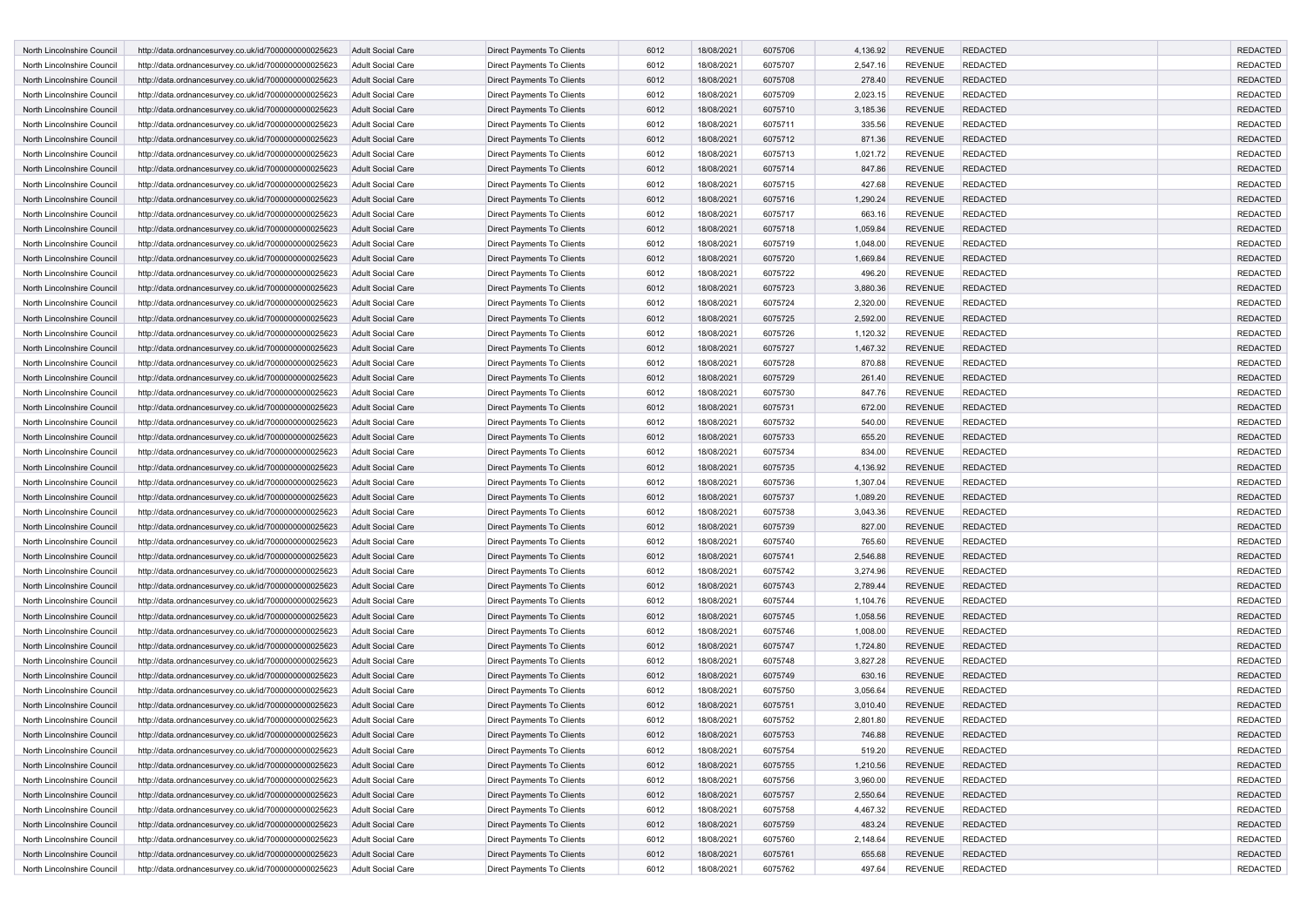| North Lincolnshire Council | http://data.ordnancesurvey.co.uk/id/7000000000025623 | <b>Adult Social Care</b> | <b>Direct Payments To Clients</b> | 6012 | 18/08/2021 | 6075706 | 4,136.92 | <b>REVENUE</b> | <b>REDACTED</b> | <b>REDACTED</b> |
|----------------------------|------------------------------------------------------|--------------------------|-----------------------------------|------|------------|---------|----------|----------------|-----------------|-----------------|
| North Lincolnshire Council | http://data.ordnancesurvey.co.uk/id/7000000000025623 | Adult Social Care        | Direct Payments To Clients        | 6012 | 18/08/2021 | 6075707 | 2,547.16 | <b>REVENUE</b> | <b>REDACTED</b> | <b>REDACTED</b> |
| North Lincolnshire Council | http://data.ordnancesurvey.co.uk/id/7000000000025623 | <b>Adult Social Care</b> | Direct Payments To Clients        | 6012 | 18/08/2021 | 6075708 | 278.40   | <b>REVENUE</b> | <b>REDACTED</b> | <b>REDACTED</b> |
| North Lincolnshire Council | http://data.ordnancesurvey.co.uk/id/7000000000025623 | <b>Adult Social Care</b> | Direct Payments To Clients        | 6012 | 18/08/2021 | 6075709 | 2,023.15 | <b>REVENUE</b> | <b>REDACTED</b> | <b>REDACTED</b> |
| North Lincolnshire Council | http://data.ordnancesurvey.co.uk/id/7000000000025623 | <b>Adult Social Care</b> | Direct Payments To Clients        | 6012 | 18/08/2021 | 6075710 | 3,185.36 | <b>REVENUE</b> | <b>REDACTED</b> | <b>REDACTED</b> |
| North Lincolnshire Council | http://data.ordnancesurvey.co.uk/id/7000000000025623 | <b>Adult Social Care</b> | Direct Payments To Clients        | 6012 | 18/08/2021 | 6075711 | 335.56   | <b>REVENUE</b> | <b>REDACTED</b> | <b>REDACTED</b> |
| North Lincolnshire Council | http://data.ordnancesurvey.co.uk/id/7000000000025623 | <b>Adult Social Care</b> | Direct Payments To Clients        | 6012 | 18/08/2021 | 6075712 | 871.36   | <b>REVENUE</b> | <b>REDACTED</b> | <b>REDACTED</b> |
| North Lincolnshire Council | http://data.ordnancesurvey.co.uk/id/7000000000025623 | <b>Adult Social Care</b> |                                   | 6012 | 18/08/2021 | 6075713 | 1,021.72 | <b>REVENUE</b> | <b>REDACTED</b> | <b>REDACTED</b> |
|                            |                                                      |                          | Direct Payments To Clients        |      |            |         |          |                |                 |                 |
| North Lincolnshire Council | http://data.ordnancesurvey.co.uk/id/7000000000025623 | <b>Adult Social Care</b> | <b>Direct Payments To Clients</b> | 6012 | 18/08/2021 | 6075714 | 847.86   | <b>REVENUE</b> | <b>REDACTED</b> | <b>REDACTED</b> |
| North Lincolnshire Council | http://data.ordnancesurvey.co.uk/id/7000000000025623 | Adult Social Care        | Direct Payments To Clients        | 6012 | 18/08/2021 | 6075715 | 427.68   | <b>REVENUE</b> | <b>REDACTED</b> | <b>REDACTED</b> |
| North Lincolnshire Council | http://data.ordnancesurvey.co.uk/id/7000000000025623 | <b>Adult Social Care</b> | Direct Payments To Clients        | 6012 | 18/08/2021 | 6075716 | 1,290.24 | <b>REVENUE</b> | <b>REDACTED</b> | <b>REDACTED</b> |
| North Lincolnshire Council | http://data.ordnancesurvey.co.uk/id/7000000000025623 | Adult Social Care        | Direct Payments To Clients        | 6012 | 18/08/2021 | 6075717 | 663.16   | <b>REVENUE</b> | <b>REDACTED</b> | <b>REDACTED</b> |
| North Lincolnshire Council | http://data.ordnancesurvey.co.uk/id/7000000000025623 | <b>Adult Social Care</b> | Direct Payments To Clients        | 6012 | 18/08/2021 | 6075718 | 1,059.84 | <b>REVENUE</b> | <b>REDACTED</b> | <b>REDACTED</b> |
| North Lincolnshire Council | http://data.ordnancesurvey.co.uk/id/7000000000025623 | <b>Adult Social Care</b> | Direct Payments To Clients        | 6012 | 18/08/2021 | 6075719 | 1,048.00 | <b>REVENUE</b> | <b>REDACTED</b> | <b>REDACTED</b> |
| North Lincolnshire Council | http://data.ordnancesurvey.co.uk/id/7000000000025623 | <b>Adult Social Care</b> | Direct Payments To Clients        | 6012 | 18/08/2021 | 6075720 | 1,669.84 | <b>REVENUE</b> | <b>REDACTED</b> | <b>REDACTED</b> |
| North Lincolnshire Council | http://data.ordnancesurvey.co.uk/id/7000000000025623 | <b>Adult Social Care</b> | Direct Payments To Clients        | 6012 | 18/08/2021 | 6075722 | 496.20   | <b>REVENUE</b> | <b>REDACTED</b> | <b>REDACTED</b> |
| North Lincolnshire Council | http://data.ordnancesurvey.co.uk/id/7000000000025623 | <b>Adult Social Care</b> | Direct Payments To Clients        | 6012 | 18/08/2021 | 6075723 | 3,880.36 | <b>REVENUE</b> | <b>REDACTED</b> | <b>REDACTED</b> |
| North Lincolnshire Council | http://data.ordnancesurvey.co.uk/id/7000000000025623 | Adult Social Care        | Direct Payments To Clients        | 6012 | 18/08/2021 | 6075724 | 2,320.00 | <b>REVENUE</b> | <b>REDACTED</b> | <b>REDACTED</b> |
| North Lincolnshire Council | http://data.ordnancesurvey.co.uk/id/7000000000025623 | <b>Adult Social Care</b> | <b>Direct Payments To Clients</b> | 6012 | 18/08/2021 | 6075725 | 2,592.00 | <b>REVENUE</b> | <b>REDACTED</b> | <b>REDACTED</b> |
| North Lincolnshire Council | http://data.ordnancesurvey.co.uk/id/7000000000025623 | <b>Adult Social Care</b> | Direct Payments To Clients        | 6012 | 18/08/2021 | 6075726 | 1,120.32 | <b>REVENUE</b> | <b>REDACTED</b> | <b>REDACTED</b> |
| North Lincolnshire Council | http://data.ordnancesurvey.co.uk/id/7000000000025623 | <b>Adult Social Care</b> | Direct Payments To Clients        | 6012 | 18/08/2021 | 6075727 | 1,467.32 | <b>REVENUE</b> | <b>REDACTED</b> | <b>REDACTED</b> |
| North Lincolnshire Council | http://data.ordnancesurvey.co.uk/id/7000000000025623 | <b>Adult Social Care</b> | Direct Payments To Clients        | 6012 | 18/08/2021 | 6075728 | 870.88   | <b>REVENUE</b> | <b>REDACTED</b> | <b>REDACTED</b> |
| North Lincolnshire Council | http://data.ordnancesurvey.co.uk/id/7000000000025623 | <b>Adult Social Care</b> | Direct Payments To Clients        | 6012 | 18/08/2021 | 6075729 | 261.40   | <b>REVENUE</b> | <b>REDACTED</b> | <b>REDACTED</b> |
| North Lincolnshire Council | http://data.ordnancesurvey.co.uk/id/7000000000025623 | <b>Adult Social Care</b> | Direct Payments To Clients        | 6012 | 18/08/2021 | 6075730 | 847.76   | <b>REVENUE</b> | <b>REDACTED</b> | <b>REDACTED</b> |
| North Lincolnshire Council | http://data.ordnancesurvey.co.uk/id/7000000000025623 | <b>Adult Social Care</b> | Direct Payments To Clients        | 6012 | 18/08/2021 | 6075731 | 672.00   | <b>REVENUE</b> | <b>REDACTED</b> | <b>REDACTED</b> |
| North Lincolnshire Council | http://data.ordnancesurvey.co.uk/id/7000000000025623 | <b>Adult Social Care</b> | Direct Payments To Clients        | 6012 | 18/08/2021 | 6075732 | 540.00   | <b>REVENUE</b> | <b>REDACTED</b> | <b>REDACTED</b> |
| North Lincolnshire Council | http://data.ordnancesurvey.co.uk/id/7000000000025623 | <b>Adult Social Care</b> | Direct Payments To Clients        | 6012 | 18/08/2021 | 6075733 | 655.20   | <b>REVENUE</b> | <b>REDACTED</b> | <b>REDACTED</b> |
| North Lincolnshire Council | http://data.ordnancesurvey.co.uk/id/7000000000025623 | <b>Adult Social Care</b> | Direct Payments To Clients        | 6012 | 18/08/2021 | 6075734 | 834.00   | <b>REVENUE</b> | <b>REDACTED</b> | <b>REDACTED</b> |
| North Lincolnshire Council | http://data.ordnancesurvey.co.uk/id/7000000000025623 | <b>Adult Social Care</b> | <b>Direct Payments To Clients</b> | 6012 | 18/08/2021 | 6075735 | 4,136.92 | <b>REVENUE</b> | <b>REDACTED</b> | <b>REDACTED</b> |
| North Lincolnshire Council | http://data.ordnancesurvey.co.uk/id/7000000000025623 | <b>Adult Social Care</b> | Direct Payments To Clients        | 6012 | 18/08/2021 | 6075736 | 1,307.04 | <b>REVENUE</b> | <b>REDACTED</b> | <b>REDACTED</b> |
| North Lincolnshire Council | http://data.ordnancesurvey.co.uk/id/7000000000025623 | <b>Adult Social Care</b> | Direct Payments To Clients        | 6012 | 18/08/2021 | 6075737 | 1,089.20 | <b>REVENUE</b> | <b>REDACTED</b> | <b>REDACTED</b> |
| North Lincolnshire Council | http://data.ordnancesurvey.co.uk/id/7000000000025623 | <b>Adult Social Care</b> | Direct Payments To Clients        | 6012 | 18/08/2021 | 6075738 | 3,043.36 | <b>REVENUE</b> | <b>REDACTED</b> | <b>REDACTED</b> |
|                            |                                                      |                          |                                   |      |            |         |          |                | <b>REDACTED</b> |                 |
| North Lincolnshire Council | http://data.ordnancesurvey.co.uk/id/7000000000025623 | <b>Adult Social Care</b> | Direct Payments To Clients        | 6012 | 18/08/2021 | 6075739 | 827.00   | <b>REVENUE</b> |                 | <b>REDACTED</b> |
| North Lincolnshire Council | http://data.ordnancesurvey.co.uk/id/7000000000025623 | <b>Adult Social Care</b> | Direct Payments To Clients        | 6012 | 18/08/2021 | 6075740 | 765.60   | <b>REVENUE</b> | REDACTED        | <b>REDACTED</b> |
| North Lincolnshire Council | http://data.ordnancesurvey.co.uk/id/7000000000025623 | <b>Adult Social Care</b> | Direct Payments To Clients        | 6012 | 18/08/2021 | 6075741 | 2,546.88 | <b>REVENUE</b> | <b>REDACTED</b> | <b>REDACTED</b> |
| North Lincolnshire Council | http://data.ordnancesurvey.co.uk/id/7000000000025623 | <b>Adult Social Care</b> | Direct Payments To Clients        | 6012 | 18/08/2021 | 6075742 | 3,274.96 | <b>REVENUE</b> | <b>REDACTED</b> | <b>REDACTED</b> |
| North Lincolnshire Council | http://data.ordnancesurvey.co.uk/id/7000000000025623 | <b>Adult Social Care</b> | Direct Payments To Clients        | 6012 | 18/08/2021 | 6075743 | 2,789.44 | <b>REVENUE</b> | <b>REDACTED</b> | <b>REDACTED</b> |
| North Lincolnshire Council | http://data.ordnancesurvey.co.uk/id/7000000000025623 | <b>Adult Social Care</b> | Direct Payments To Clients        | 6012 | 18/08/2021 | 6075744 | 1,104.76 | <b>REVENUE</b> | <b>REDACTED</b> | <b>REDACTED</b> |
| North Lincolnshire Council | http://data.ordnancesurvey.co.uk/id/7000000000025623 | <b>Adult Social Care</b> | <b>Direct Payments To Clients</b> | 6012 | 18/08/2021 | 6075745 | 1,058.56 | <b>REVENUE</b> | <b>REDACTED</b> | <b>REDACTED</b> |
| North Lincolnshire Council | http://data.ordnancesurvey.co.uk/id/7000000000025623 | <b>Adult Social Care</b> | Direct Payments To Clients        | 6012 | 18/08/2021 | 6075746 | 1,008.00 | <b>REVENUE</b> | <b>REDACTED</b> | <b>REDACTED</b> |
| North Lincolnshire Council | http://data.ordnancesurvey.co.uk/id/7000000000025623 | <b>Adult Social Care</b> | Direct Payments To Clients        | 6012 | 18/08/2021 | 6075747 | 1,724.80 | <b>REVENUE</b> | <b>REDACTED</b> | <b>REDACTED</b> |
| North Lincolnshire Council | http://data.ordnancesurvey.co.uk/id/7000000000025623 | <b>Adult Social Care</b> | Direct Payments To Clients        | 6012 | 18/08/2021 | 6075748 | 3,827.28 | <b>REVENUE</b> | <b>REDACTED</b> | <b>REDACTED</b> |
| North Lincolnshire Council | http://data.ordnancesurvey.co.uk/id/7000000000025623 | <b>Adult Social Care</b> | Direct Payments To Clients        | 6012 | 18/08/2021 | 6075749 | 630.16   | <b>REVENUE</b> | <b>REDACTED</b> | <b>REDACTED</b> |
| North Lincolnshire Council | http://data.ordnancesurvey.co.uk/id/7000000000025623 | <b>Adult Social Care</b> | Direct Payments To Clients        | 6012 | 18/08/2021 | 6075750 | 3,056.64 | <b>REVENUE</b> | <b>REDACTED</b> | <b>REDACTED</b> |
| North Lincolnshire Council | http://data.ordnancesurvey.co.uk/id/7000000000025623 | <b>Adult Social Care</b> | <b>Direct Payments To Clients</b> | 6012 | 18/08/2021 | 6075751 | 3,010.40 | <b>REVENUE</b> | <b>REDACTED</b> | <b>REDACTED</b> |
| North Lincolnshire Council | http://data.ordnancesurvey.co.uk/id/7000000000025623 | <b>Adult Social Care</b> | Direct Payments To Clients        | 6012 | 18/08/2021 | 6075752 | 2,801.80 | <b>REVENUE</b> | <b>REDACTED</b> | <b>REDACTED</b> |
| North Lincolnshire Council | http://data.ordnancesurvey.co.uk/id/7000000000025623 | <b>Adult Social Care</b> | Direct Payments To Clients        | 6012 | 18/08/2021 | 6075753 | 746.88   | <b>REVENUE</b> | <b>REDACTED</b> | <b>REDACTED</b> |
| North Lincolnshire Council | http://data.ordnancesurvey.co.uk/id/7000000000025623 | Adult Social Care        | Direct Payments To Clients        | 6012 | 18/08/2021 | 6075754 | 519.20   | <b>REVENUE</b> | <b>REDACTED</b> | REDACTED        |
| North Lincolnshire Council | http://data.ordnancesurvey.co.uk/id/7000000000025623 | <b>Adult Social Care</b> | <b>Direct Payments To Clients</b> | 6012 | 18/08/2021 | 6075755 | 1,210.56 | <b>REVENUE</b> | <b>REDACTED</b> | <b>REDACTED</b> |
| North Lincolnshire Council | http://data.ordnancesurvey.co.uk/id/7000000000025623 | Adult Social Care        | Direct Payments To Clients        | 6012 | 18/08/2021 | 6075756 | 3,960.00 | <b>REVENUE</b> | <b>REDACTED</b> | <b>REDACTED</b> |
| North Lincolnshire Council | http://data.ordnancesurvey.co.uk/id/7000000000025623 | Adult Social Care        | Direct Payments To Clients        | 6012 | 18/08/2021 | 6075757 | 2,550.64 | <b>REVENUE</b> | <b>REDACTED</b> | <b>REDACTED</b> |
| North Lincolnshire Council | http://data.ordnancesurvey.co.uk/id/7000000000025623 | Adult Social Care        | Direct Payments To Clients        | 6012 | 18/08/2021 | 6075758 | 4,467.32 | <b>REVENUE</b> | <b>REDACTED</b> | <b>REDACTED</b> |
| North Lincolnshire Council | http://data.ordnancesurvey.co.uk/id/7000000000025623 | Adult Social Care        | Direct Payments To Clients        | 6012 | 18/08/2021 | 6075759 | 483.24   | <b>REVENUE</b> | <b>REDACTED</b> | <b>REDACTED</b> |
| North Lincolnshire Council | http://data.ordnancesurvey.co.uk/id/7000000000025623 | Adult Social Care        | Direct Payments To Clients        | 6012 | 18/08/2021 | 6075760 | 2,148.64 | <b>REVENUE</b> | <b>REDACTED</b> | <b>REDACTED</b> |
| North Lincolnshire Council | http://data.ordnancesurvey.co.uk/id/7000000000025623 | Adult Social Care        | Direct Payments To Clients        | 6012 | 18/08/2021 | 6075761 | 655.68   | <b>REVENUE</b> | <b>REDACTED</b> | <b>REDACTED</b> |
| North Lincolnshire Council | http://data.ordnancesurvey.co.uk/id/7000000000025623 | Adult Social Care        | Direct Payments To Clients        | 6012 | 18/08/2021 | 6075762 | 497.64   | REVENUE        | <b>REDACTED</b> | REDACTED        |
|                            |                                                      |                          |                                   |      |            |         |          |                |                 |                 |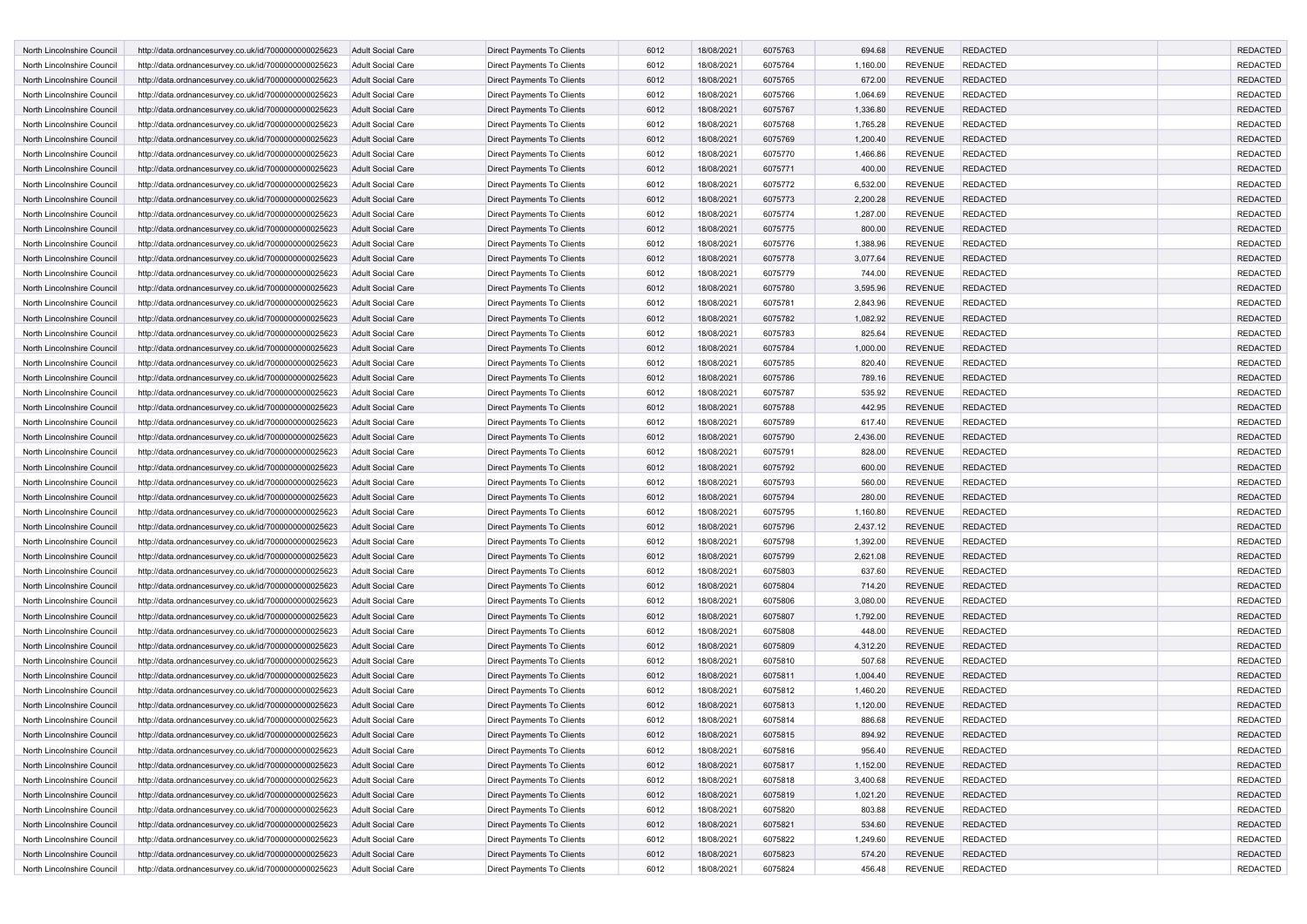| North Lincolnshire Council | http://data.ordnancesurvey.co.uk/id/7000000000025623 | <b>Adult Social Care</b> | <b>Direct Payments To Clients</b> | 6012 | 18/08/2021 | 6075763 | 694.68   | <b>REVENUE</b> | <b>REDACTED</b> | <b>REDACTED</b> |
|----------------------------|------------------------------------------------------|--------------------------|-----------------------------------|------|------------|---------|----------|----------------|-----------------|-----------------|
| North Lincolnshire Council | http://data.ordnancesurvey.co.uk/id/7000000000025623 | Adult Social Care        | Direct Payments To Clients        | 6012 | 18/08/2021 | 6075764 | 1,160.00 | <b>REVENUE</b> | <b>REDACTED</b> | <b>REDACTED</b> |
| North Lincolnshire Council | http://data.ordnancesurvey.co.uk/id/7000000000025623 | <b>Adult Social Care</b> | Direct Payments To Clients        | 6012 | 18/08/2021 | 6075765 | 672.00   | <b>REVENUE</b> | <b>REDACTED</b> | <b>REDACTED</b> |
| North Lincolnshire Council | http://data.ordnancesurvey.co.uk/id/7000000000025623 | <b>Adult Social Care</b> | Direct Payments To Clients        | 6012 | 18/08/2021 | 6075766 | 1,064.69 | <b>REVENUE</b> | <b>REDACTED</b> | <b>REDACTED</b> |
| North Lincolnshire Council | http://data.ordnancesurvey.co.uk/id/7000000000025623 | <b>Adult Social Care</b> | Direct Payments To Clients        | 6012 | 18/08/2021 | 6075767 | 1,336.80 | <b>REVENUE</b> | <b>REDACTED</b> | <b>REDACTED</b> |
| North Lincolnshire Council | http://data.ordnancesurvey.co.uk/id/7000000000025623 | <b>Adult Social Care</b> | Direct Payments To Clients        | 6012 | 18/08/2021 | 6075768 | 1,765.28 | <b>REVENUE</b> | <b>REDACTED</b> | <b>REDACTED</b> |
| North Lincolnshire Council | http://data.ordnancesurvey.co.uk/id/7000000000025623 | <b>Adult Social Care</b> | Direct Payments To Clients        | 6012 | 18/08/2021 | 6075769 | 1,200.40 | <b>REVENUE</b> | <b>REDACTED</b> | <b>REDACTED</b> |
| North Lincolnshire Council | http://data.ordnancesurvey.co.uk/id/7000000000025623 | <b>Adult Social Care</b> |                                   | 6012 | 18/08/2021 | 6075770 | 1,466.86 | <b>REVENUE</b> | <b>REDACTED</b> | <b>REDACTED</b> |
|                            |                                                      |                          | Direct Payments To Clients        |      |            |         |          |                |                 |                 |
| North Lincolnshire Council | http://data.ordnancesurvey.co.uk/id/7000000000025623 | <b>Adult Social Care</b> | <b>Direct Payments To Clients</b> | 6012 | 18/08/2021 | 6075771 | 400.00   | <b>REVENUE</b> | <b>REDACTED</b> | <b>REDACTED</b> |
| North Lincolnshire Council | http://data.ordnancesurvey.co.uk/id/7000000000025623 | <b>Adult Social Care</b> | Direct Payments To Clients        | 6012 | 18/08/2021 | 6075772 | 6,532.00 | <b>REVENUE</b> | <b>REDACTED</b> | <b>REDACTED</b> |
| North Lincolnshire Council | http://data.ordnancesurvey.co.uk/id/7000000000025623 | <b>Adult Social Care</b> | Direct Payments To Clients        | 6012 | 18/08/2021 | 6075773 | 2,200.28 | <b>REVENUE</b> | <b>REDACTED</b> | <b>REDACTED</b> |
| North Lincolnshire Council | http://data.ordnancesurvey.co.uk/id/7000000000025623 | Adult Social Care        | Direct Payments To Clients        | 6012 | 18/08/2021 | 6075774 | 1,287.00 | <b>REVENUE</b> | <b>REDACTED</b> | <b>REDACTED</b> |
| North Lincolnshire Council | http://data.ordnancesurvey.co.uk/id/7000000000025623 | <b>Adult Social Care</b> | Direct Payments To Clients        | 6012 | 18/08/2021 | 6075775 | 800.00   | <b>REVENUE</b> | <b>REDACTED</b> | <b>REDACTED</b> |
| North Lincolnshire Council | http://data.ordnancesurvey.co.uk/id/7000000000025623 | <b>Adult Social Care</b> | Direct Payments To Clients        | 6012 | 18/08/2021 | 6075776 | 1,388.96 | <b>REVENUE</b> | <b>REDACTED</b> | <b>REDACTED</b> |
| North Lincolnshire Council | http://data.ordnancesurvey.co.uk/id/7000000000025623 | <b>Adult Social Care</b> | Direct Payments To Clients        | 6012 | 18/08/2021 | 6075778 | 3,077.64 | <b>REVENUE</b> | <b>REDACTED</b> | <b>REDACTED</b> |
| North Lincolnshire Council | http://data.ordnancesurvey.co.uk/id/7000000000025623 | <b>Adult Social Care</b> | Direct Payments To Clients        | 6012 | 18/08/2021 | 6075779 | 744.00   | <b>REVENUE</b> | <b>REDACTED</b> | <b>REDACTED</b> |
| North Lincolnshire Council | http://data.ordnancesurvey.co.uk/id/7000000000025623 | <b>Adult Social Care</b> | Direct Payments To Clients        | 6012 | 18/08/2021 | 6075780 | 3,595.96 | <b>REVENUE</b> | <b>REDACTED</b> | <b>REDACTED</b> |
| North Lincolnshire Council | http://data.ordnancesurvey.co.uk/id/7000000000025623 | Adult Social Care        | Direct Payments To Clients        | 6012 | 18/08/2021 | 6075781 | 2,843.96 | <b>REVENUE</b> | <b>REDACTED</b> | <b>REDACTED</b> |
| North Lincolnshire Council | http://data.ordnancesurvey.co.uk/id/7000000000025623 | <b>Adult Social Care</b> | <b>Direct Payments To Clients</b> | 6012 | 18/08/2021 | 6075782 | 1,082.92 | <b>REVENUE</b> | <b>REDACTED</b> | <b>REDACTED</b> |
| North Lincolnshire Council | http://data.ordnancesurvey.co.uk/id/7000000000025623 | Adult Social Care        | Direct Payments To Clients        | 6012 | 18/08/2021 | 6075783 | 825.64   | <b>REVENUE</b> | REDACTED        | <b>REDACTED</b> |
| North Lincolnshire Council | http://data.ordnancesurvey.co.uk/id/7000000000025623 | <b>Adult Social Care</b> | Direct Payments To Clients        | 6012 | 18/08/2021 | 6075784 | 1,000.00 | <b>REVENUE</b> | <b>REDACTED</b> | <b>REDACTED</b> |
| North Lincolnshire Council | http://data.ordnancesurvey.co.uk/id/7000000000025623 | <b>Adult Social Care</b> | Direct Payments To Clients        | 6012 | 18/08/2021 | 6075785 | 820.40   | <b>REVENUE</b> | <b>REDACTED</b> | <b>REDACTED</b> |
| North Lincolnshire Council | http://data.ordnancesurvey.co.uk/id/7000000000025623 | <b>Adult Social Care</b> | Direct Payments To Clients        | 6012 | 18/08/2021 | 6075786 | 789.16   | <b>REVENUE</b> | <b>REDACTED</b> | <b>REDACTED</b> |
| North Lincolnshire Council | http://data.ordnancesurvey.co.uk/id/7000000000025623 | Adult Social Care        | Direct Payments To Clients        | 6012 | 18/08/2021 | 6075787 | 535.92   | <b>REVENUE</b> | <b>REDACTED</b> | <b>REDACTED</b> |
| North Lincolnshire Council | http://data.ordnancesurvey.co.uk/id/7000000000025623 | <b>Adult Social Care</b> | Direct Payments To Clients        | 6012 | 18/08/2021 | 6075788 | 442.95   | <b>REVENUE</b> | <b>REDACTED</b> | <b>REDACTED</b> |
| North Lincolnshire Council | http://data.ordnancesurvey.co.uk/id/7000000000025623 | <b>Adult Social Care</b> | Direct Payments To Clients        | 6012 | 18/08/2021 | 6075789 | 617.40   | <b>REVENUE</b> | <b>REDACTED</b> | <b>REDACTED</b> |
| North Lincolnshire Council | http://data.ordnancesurvey.co.uk/id/7000000000025623 | <b>Adult Social Care</b> | Direct Payments To Clients        | 6012 | 18/08/2021 | 6075790 | 2,436.00 | <b>REVENUE</b> | <b>REDACTED</b> | <b>REDACTED</b> |
| North Lincolnshire Council | http://data.ordnancesurvey.co.uk/id/7000000000025623 | Adult Social Care        | Direct Payments To Clients        | 6012 | 18/08/2021 | 6075791 | 828.00   | <b>REVENUE</b> | <b>REDACTED</b> | <b>REDACTED</b> |
| North Lincolnshire Council | http://data.ordnancesurvey.co.uk/id/7000000000025623 | <b>Adult Social Care</b> | <b>Direct Payments To Clients</b> | 6012 | 18/08/2021 | 6075792 | 600.00   | <b>REVENUE</b> | <b>REDACTED</b> | <b>REDACTED</b> |
| North Lincolnshire Council |                                                      | Adult Social Care        | Direct Payments To Clients        | 6012 | 18/08/2021 | 6075793 | 560.00   | <b>REVENUE</b> | <b>REDACTED</b> | <b>REDACTED</b> |
|                            | http://data.ordnancesurvey.co.uk/id/7000000000025623 |                          |                                   |      |            |         |          |                |                 |                 |
| North Lincolnshire Council | http://data.ordnancesurvey.co.uk/id/7000000000025623 | <b>Adult Social Care</b> | Direct Payments To Clients        | 6012 | 18/08/2021 | 6075794 | 280.00   | <b>REVENUE</b> | <b>REDACTED</b> | <b>REDACTED</b> |
| North Lincolnshire Council | http://data.ordnancesurvey.co.uk/id/7000000000025623 | <b>Adult Social Care</b> | Direct Payments To Clients        | 6012 | 18/08/2021 | 6075795 | 1,160.80 | <b>REVENUE</b> | <b>REDACTED</b> | <b>REDACTED</b> |
| North Lincolnshire Council | http://data.ordnancesurvey.co.uk/id/7000000000025623 | <b>Adult Social Care</b> | Direct Payments To Clients        | 6012 | 18/08/2021 | 6075796 | 2,437.12 | <b>REVENUE</b> | <b>REDACTED</b> | <b>REDACTED</b> |
| North Lincolnshire Council | http://data.ordnancesurvey.co.uk/id/7000000000025623 | <b>Adult Social Care</b> | Direct Payments To Clients        | 6012 | 18/08/2021 | 6075798 | 1,392.00 | <b>REVENUE</b> | <b>REDACTED</b> | <b>REDACTED</b> |
| North Lincolnshire Council | http://data.ordnancesurvey.co.uk/id/7000000000025623 | <b>Adult Social Care</b> | Direct Payments To Clients        | 6012 | 18/08/2021 | 6075799 | 2,621.08 | <b>REVENUE</b> | <b>REDACTED</b> | <b>REDACTED</b> |
| North Lincolnshire Council | http://data.ordnancesurvey.co.uk/id/7000000000025623 | <b>Adult Social Care</b> | Direct Payments To Clients        | 6012 | 18/08/2021 | 6075803 | 637.60   | <b>REVENUE</b> | <b>REDACTED</b> | <b>REDACTED</b> |
| North Lincolnshire Council | http://data.ordnancesurvey.co.uk/id/7000000000025623 | <b>Adult Social Care</b> | Direct Payments To Clients        | 6012 | 18/08/2021 | 6075804 | 714.20   | <b>REVENUE</b> | <b>REDACTED</b> | <b>REDACTED</b> |
| North Lincolnshire Council | http://data.ordnancesurvey.co.uk/id/7000000000025623 | <b>Adult Social Care</b> | Direct Payments To Clients        | 6012 | 18/08/2021 | 6075806 | 3,080.00 | <b>REVENUE</b> | <b>REDACTED</b> | <b>REDACTED</b> |
| North Lincolnshire Council | http://data.ordnancesurvey.co.uk/id/7000000000025623 | <b>Adult Social Care</b> | <b>Direct Payments To Clients</b> | 6012 | 18/08/2021 | 6075807 | 1,792.00 | <b>REVENUE</b> | <b>REDACTED</b> | <b>REDACTED</b> |
| North Lincolnshire Council | http://data.ordnancesurvey.co.uk/id/7000000000025623 | <b>Adult Social Care</b> | Direct Payments To Clients        | 6012 | 18/08/2021 | 6075808 | 448.00   | <b>REVENUE</b> | <b>REDACTED</b> | <b>REDACTED</b> |
| North Lincolnshire Council | http://data.ordnancesurvey.co.uk/id/7000000000025623 | <b>Adult Social Care</b> | Direct Payments To Clients        | 6012 | 18/08/2021 | 6075809 | 4,312.20 | <b>REVENUE</b> | <b>REDACTED</b> | <b>REDACTED</b> |
| North Lincolnshire Council | http://data.ordnancesurvey.co.uk/id/7000000000025623 | <b>Adult Social Care</b> | Direct Payments To Clients        | 6012 | 18/08/2021 | 6075810 | 507.68   | <b>REVENUE</b> | <b>REDACTED</b> | <b>REDACTED</b> |
| North Lincolnshire Council | http://data.ordnancesurvey.co.uk/id/7000000000025623 | <b>Adult Social Care</b> | Direct Payments To Clients        | 6012 | 18/08/2021 | 6075811 | 1,004.40 | <b>REVENUE</b> | <b>REDACTED</b> | <b>REDACTED</b> |
| North Lincolnshire Council | http://data.ordnancesurvey.co.uk/id/7000000000025623 | <b>Adult Social Care</b> | Direct Payments To Clients        | 6012 | 18/08/2021 | 6075812 | 1,460.20 | <b>REVENUE</b> | <b>REDACTED</b> | <b>REDACTED</b> |
| North Lincolnshire Council | http://data.ordnancesurvey.co.uk/id/7000000000025623 | <b>Adult Social Care</b> | <b>Direct Payments To Clients</b> | 6012 | 18/08/2021 | 6075813 | 1,120.00 | <b>REVENUE</b> | <b>REDACTED</b> | <b>REDACTED</b> |
| North Lincolnshire Council | http://data.ordnancesurvey.co.uk/id/7000000000025623 | <b>Adult Social Care</b> | Direct Payments To Clients        | 6012 | 18/08/2021 | 6075814 | 886.68   | <b>REVENUE</b> | <b>REDACTED</b> | <b>REDACTED</b> |
| North Lincolnshire Council | http://data.ordnancesurvey.co.uk/id/7000000000025623 | <b>Adult Social Care</b> | Direct Payments To Clients        | 6012 | 18/08/2021 | 6075815 | 894.92   | <b>REVENUE</b> | <b>REDACTED</b> | <b>REDACTED</b> |
| North Lincolnshire Council | http://data.ordnancesurvey.co.uk/id/7000000000025623 | Adult Social Care        | Direct Payments To Clients        | 6012 | 18/08/2021 | 6075816 | 956.40   | <b>REVENUE</b> | <b>REDACTED</b> | REDACTED        |
| North Lincolnshire Council | http://data.ordnancesurvey.co.uk/id/7000000000025623 | <b>Adult Social Care</b> | <b>Direct Payments To Clients</b> | 6012 | 18/08/2021 | 6075817 | 1,152.00 | <b>REVENUE</b> | <b>REDACTED</b> | <b>REDACTED</b> |
| North Lincolnshire Council | http://data.ordnancesurvey.co.uk/id/7000000000025623 | Adult Social Care        | Direct Payments To Clients        | 6012 | 18/08/2021 | 6075818 | 3,400.68 | <b>REVENUE</b> | <b>REDACTED</b> | <b>REDACTED</b> |
| North Lincolnshire Council | http://data.ordnancesurvey.co.uk/id/7000000000025623 | Adult Social Care        | Direct Payments To Clients        | 6012 | 18/08/2021 | 6075819 | 1,021.20 | <b>REVENUE</b> | <b>REDACTED</b> | <b>REDACTED</b> |
| North Lincolnshire Council | http://data.ordnancesurvey.co.uk/id/7000000000025623 | Adult Social Care        | Direct Payments To Clients        | 6012 | 18/08/2021 | 6075820 | 803.88   | <b>REVENUE</b> | <b>REDACTED</b> | <b>REDACTED</b> |
| North Lincolnshire Council | http://data.ordnancesurvey.co.uk/id/7000000000025623 | Adult Social Care        | Direct Payments To Clients        | 6012 | 18/08/2021 | 6075821 | 534.60   | <b>REVENUE</b> | <b>REDACTED</b> | <b>REDACTED</b> |
| North Lincolnshire Council | http://data.ordnancesurvey.co.uk/id/7000000000025623 | Adult Social Care        | Direct Payments To Clients        | 6012 | 18/08/2021 | 6075822 | 1,249.60 | <b>REVENUE</b> | <b>REDACTED</b> | <b>REDACTED</b> |
| North Lincolnshire Council | http://data.ordnancesurvey.co.uk/id/7000000000025623 | Adult Social Care        | Direct Payments To Clients        | 6012 | 18/08/2021 | 6075823 | 574.20   | <b>REVENUE</b> | <b>REDACTED</b> | <b>REDACTED</b> |
| North Lincolnshire Council | http://data.ordnancesurvey.co.uk/id/7000000000025623 |                          | Direct Payments To Clients        | 6012 | 18/08/2021 | 6075824 | 456.48   | <b>REVENUE</b> | <b>REDACTED</b> | REDACTED        |
|                            |                                                      | Adult Social Care        |                                   |      |            |         |          |                |                 |                 |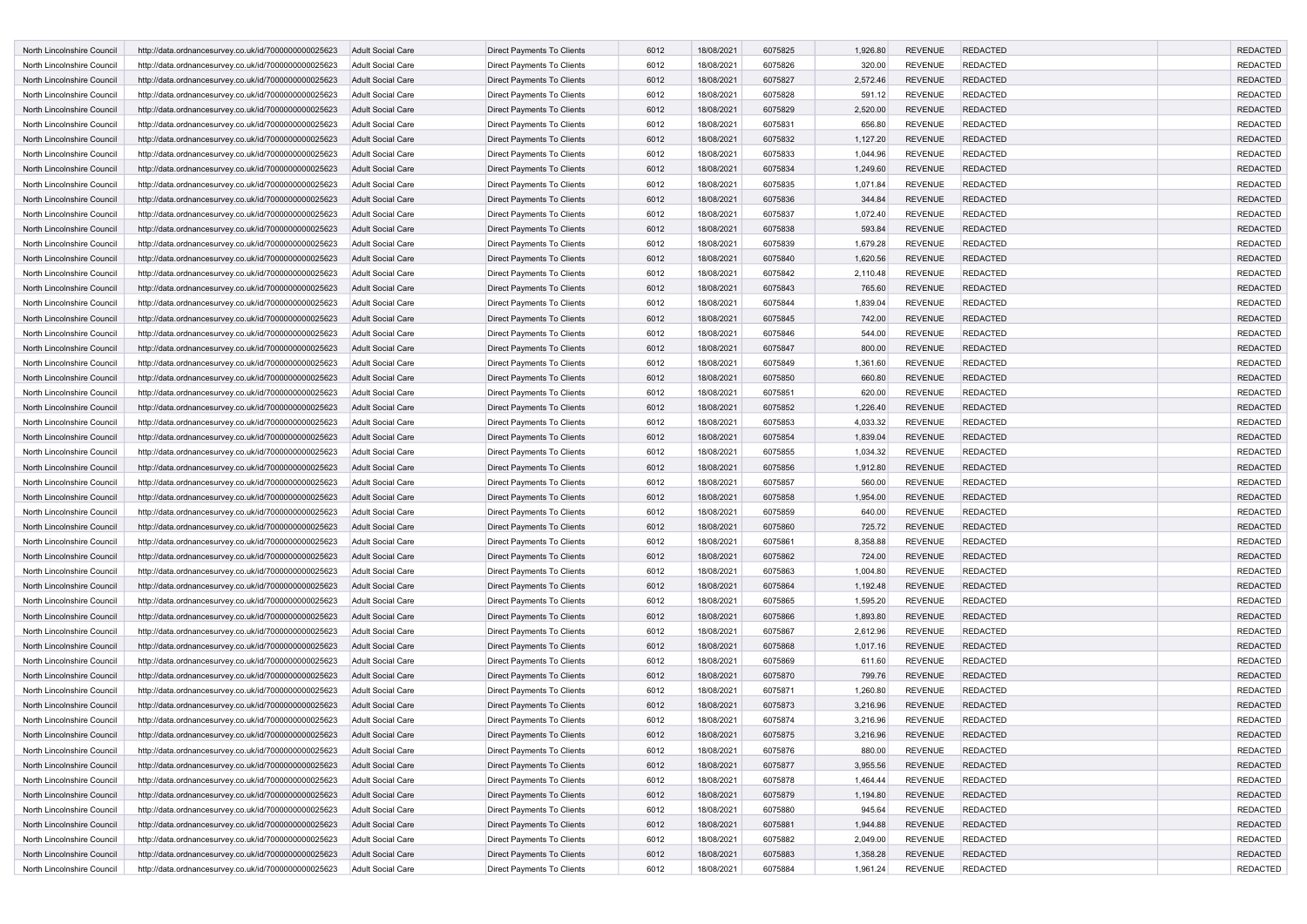| North Lincolnshire Council | http://data.ordnancesurvey.co.uk/id/7000000000025623                                                         | <b>Adult Social Care</b> | <b>Direct Payments To Clients</b> | 6012         | 18/08/2021               | 6075825            | 1,926.80           | <b>REVENUE</b> | <b>REDACTED</b>                    | <b>REDACTED</b> |
|----------------------------|--------------------------------------------------------------------------------------------------------------|--------------------------|-----------------------------------|--------------|--------------------------|--------------------|--------------------|----------------|------------------------------------|-----------------|
| North Lincolnshire Council | http://data.ordnancesurvey.co.uk/id/7000000000025623                                                         | Adult Social Care        | Direct Payments To Clients        | 6012         | 18/08/2021               | 6075826            | 320.00             | <b>REVENUE</b> | <b>REDACTED</b>                    | <b>REDACTED</b> |
| North Lincolnshire Council | http://data.ordnancesurvey.co.uk/id/7000000000025623                                                         | <b>Adult Social Care</b> | Direct Payments To Clients        | 6012         | 18/08/2021               | 6075827            | 2,572.46           | <b>REVENUE</b> | <b>REDACTED</b>                    | <b>REDACTED</b> |
| North Lincolnshire Council | http://data.ordnancesurvey.co.uk/id/7000000000025623                                                         | <b>Adult Social Care</b> | Direct Payments To Clients        | 6012         | 18/08/2021               | 6075828            | 591.12             | <b>REVENUE</b> | <b>REDACTED</b>                    | <b>REDACTED</b> |
| North Lincolnshire Council | http://data.ordnancesurvey.co.uk/id/7000000000025623                                                         | <b>Adult Social Care</b> | Direct Payments To Clients        | 6012         | 18/08/2021               | 6075829            | 2,520.00           | <b>REVENUE</b> | <b>REDACTED</b>                    | <b>REDACTED</b> |
| North Lincolnshire Council | http://data.ordnancesurvey.co.uk/id/7000000000025623                                                         | <b>Adult Social Care</b> | Direct Payments To Clients        | 6012         | 18/08/2021               | 6075831            | 656.80             | <b>REVENUE</b> | <b>REDACTED</b>                    | <b>REDACTED</b> |
| North Lincolnshire Council | http://data.ordnancesurvey.co.uk/id/7000000000025623                                                         | <b>Adult Social Care</b> | Direct Payments To Clients        | 6012         | 18/08/2021               | 6075832            | 1,127.20           | <b>REVENUE</b> | <b>REDACTED</b>                    | <b>REDACTED</b> |
| North Lincolnshire Council | http://data.ordnancesurvey.co.uk/id/7000000000025623                                                         | <b>Adult Social Care</b> | Direct Payments To Clients        | 6012         | 18/08/2021               | 6075833            | 1,044.96           | <b>REVENUE</b> | <b>REDACTED</b>                    | <b>REDACTED</b> |
| North Lincolnshire Council | http://data.ordnancesurvey.co.uk/id/7000000000025623                                                         | <b>Adult Social Care</b> | <b>Direct Payments To Clients</b> | 6012         | 18/08/2021               | 6075834            | 1,249.60           | <b>REVENUE</b> | <b>REDACTED</b>                    | <b>REDACTED</b> |
| North Lincolnshire Council | http://data.ordnancesurvey.co.uk/id/7000000000025623                                                         | <b>Adult Social Care</b> | Direct Payments To Clients        | 6012         | 18/08/2021               | 6075835            | 1,071.84           | <b>REVENUE</b> | <b>REDACTED</b>                    | <b>REDACTED</b> |
| North Lincolnshire Council |                                                                                                              | <b>Adult Social Care</b> |                                   |              |                          | 6075836            |                    | <b>REVENUE</b> |                                    | <b>REDACTED</b> |
| North Lincolnshire Council | http://data.ordnancesurvey.co.uk/id/7000000000025623<br>http://data.ordnancesurvey.co.uk/id/7000000000025623 | Adult Social Care        | Direct Payments To Clients        | 6012<br>6012 | 18/08/2021<br>18/08/2021 | 6075837            | 344.84<br>1,072.40 | <b>REVENUE</b> | <b>REDACTED</b><br><b>REDACTED</b> | <b>REDACTED</b> |
|                            |                                                                                                              |                          | Direct Payments To Clients        |              |                          |                    |                    |                |                                    |                 |
| North Lincolnshire Council | http://data.ordnancesurvey.co.uk/id/7000000000025623                                                         | <b>Adult Social Care</b> | Direct Payments To Clients        | 6012         | 18/08/2021               | 6075838            | 593.84             | <b>REVENUE</b> | <b>REDACTED</b>                    | <b>REDACTED</b> |
| North Lincolnshire Council | http://data.ordnancesurvey.co.uk/id/7000000000025623                                                         | <b>Adult Social Care</b> | Direct Payments To Clients        | 6012         | 18/08/2021               | 6075839            | 1,679.28           | <b>REVENUE</b> | <b>REDACTED</b>                    | <b>REDACTED</b> |
| North Lincolnshire Council | http://data.ordnancesurvey.co.uk/id/7000000000025623                                                         | <b>Adult Social Care</b> | Direct Payments To Clients        | 6012         | 18/08/2021               | 6075840            | 1,620.56           | <b>REVENUE</b> | <b>REDACTED</b>                    | <b>REDACTED</b> |
| North Lincolnshire Council | http://data.ordnancesurvey.co.uk/id/7000000000025623                                                         | <b>Adult Social Care</b> | Direct Payments To Clients        | 6012         | 18/08/2021               | 6075842            | 2,110.48           | <b>REVENUE</b> | <b>REDACTED</b>                    | <b>REDACTED</b> |
| North Lincolnshire Council | http://data.ordnancesurvey.co.uk/id/7000000000025623                                                         | <b>Adult Social Care</b> | Direct Payments To Clients        | 6012         | 18/08/2021               | 6075843            | 765.60             | <b>REVENUE</b> | <b>REDACTED</b>                    | <b>REDACTED</b> |
| North Lincolnshire Council | http://data.ordnancesurvey.co.uk/id/7000000000025623                                                         | Adult Social Care        | Direct Payments To Clients        | 6012         | 18/08/2021               | 6075844            | 1,839.04           | <b>REVENUE</b> | <b>REDACTED</b>                    | <b>REDACTED</b> |
| North Lincolnshire Council | http://data.ordnancesurvey.co.uk/id/7000000000025623                                                         | <b>Adult Social Care</b> | <b>Direct Payments To Clients</b> | 6012         | 18/08/2021               | 6075845            | 742.00             | <b>REVENUE</b> | <b>REDACTED</b>                    | <b>REDACTED</b> |
| North Lincolnshire Council | http://data.ordnancesurvey.co.uk/id/7000000000025623                                                         | <b>Adult Social Care</b> | Direct Payments To Clients        | 6012         | 18/08/2021               | 6075846            | 544.00             | <b>REVENUE</b> | REDACTED                           | <b>REDACTED</b> |
| North Lincolnshire Council | http://data.ordnancesurvey.co.uk/id/7000000000025623                                                         | <b>Adult Social Care</b> | Direct Payments To Clients        | 6012         | 18/08/2021               | 6075847            | 800.00             | <b>REVENUE</b> | <b>REDACTED</b>                    | <b>REDACTED</b> |
| North Lincolnshire Council | http://data.ordnancesurvey.co.uk/id/7000000000025623                                                         | <b>Adult Social Care</b> | Direct Payments To Clients        | 6012         | 18/08/2021               | 6075849            | 1,361.60           | <b>REVENUE</b> | <b>REDACTED</b>                    | <b>REDACTED</b> |
| North Lincolnshire Council | http://data.ordnancesurvey.co.uk/id/7000000000025623                                                         | <b>Adult Social Care</b> | Direct Payments To Clients        | 6012         | 18/08/2021               | 6075850            | 660.80             | <b>REVENUE</b> | <b>REDACTED</b>                    | <b>REDACTED</b> |
| North Lincolnshire Council | http://data.ordnancesurvey.co.uk/id/7000000000025623                                                         | <b>Adult Social Care</b> | Direct Payments To Clients        | 6012         | 18/08/2021               | 6075851            | 620.00             | <b>REVENUE</b> | REDACTED                           | <b>REDACTED</b> |
| North Lincolnshire Council | http://data.ordnancesurvey.co.uk/id/7000000000025623                                                         | <b>Adult Social Care</b> | Direct Payments To Clients        | 6012         | 18/08/2021               | 6075852            | 1,226.40           | <b>REVENUE</b> | <b>REDACTED</b>                    | <b>REDACTED</b> |
| North Lincolnshire Council | http://data.ordnancesurvey.co.uk/id/7000000000025623                                                         | <b>Adult Social Care</b> | Direct Payments To Clients        | 6012         | 18/08/2021               | 6075853            | 4,033.32           | <b>REVENUE</b> | <b>REDACTED</b>                    | <b>REDACTED</b> |
| North Lincolnshire Council | http://data.ordnancesurvey.co.uk/id/7000000000025623                                                         | <b>Adult Social Care</b> | Direct Payments To Clients        | 6012         | 18/08/2021               | 6075854            | 1,839.04           | <b>REVENUE</b> | <b>REDACTED</b>                    | <b>REDACTED</b> |
| North Lincolnshire Council | http://data.ordnancesurvey.co.uk/id/7000000000025623                                                         | Adult Social Care        | Direct Payments To Clients        | 6012         | 18/08/2021               | 6075855            | 1,034.32           | <b>REVENUE</b> | <b>REDACTED</b>                    | <b>REDACTED</b> |
| North Lincolnshire Council | http://data.ordnancesurvey.co.uk/id/7000000000025623                                                         | <b>Adult Social Care</b> | <b>Direct Payments To Clients</b> | 6012         | 18/08/2021               | 6075856            | 1,912.80           | <b>REVENUE</b> | <b>REDACTED</b>                    | <b>REDACTED</b> |
| North Lincolnshire Council | http://data.ordnancesurvey.co.uk/id/7000000000025623                                                         | <b>Adult Social Care</b> | Direct Payments To Clients        | 6012         | 18/08/2021               | 6075857            | 560.00             | <b>REVENUE</b> | REDACTED                           | <b>REDACTED</b> |
| North Lincolnshire Council | http://data.ordnancesurvey.co.uk/id/7000000000025623                                                         | <b>Adult Social Care</b> | Direct Payments To Clients        | 6012         | 18/08/2021               | 6075858            | 1,954.00           | <b>REVENUE</b> | <b>REDACTED</b>                    | <b>REDACTED</b> |
| North Lincolnshire Council | http://data.ordnancesurvey.co.uk/id/7000000000025623                                                         | Adult Social Care        | Direct Payments To Clients        | 6012         | 18/08/2021               | 6075859            | 640.00             | <b>REVENUE</b> | REDACTED                           | <b>REDACTED</b> |
| North Lincolnshire Council | http://data.ordnancesurvey.co.uk/id/7000000000025623                                                         | <b>Adult Social Care</b> | Direct Payments To Clients        | 6012         | 18/08/2021               | 6075860            | 725.72             | <b>REVENUE</b> | <b>REDACTED</b>                    | <b>REDACTED</b> |
| North Lincolnshire Council | http://data.ordnancesurvey.co.uk/id/7000000000025623                                                         | Adult Social Care        | Direct Payments To Clients        | 6012         | 18/08/2021               | 6075861            | 8,358.88           | <b>REVENUE</b> | <b>REDACTED</b>                    | <b>REDACTED</b> |
| North Lincolnshire Council | http://data.ordnancesurvey.co.uk/id/7000000000025623                                                         | <b>Adult Social Care</b> | Direct Payments To Clients        | 6012         | 18/08/2021               | 6075862            | 724.00             | <b>REVENUE</b> | <b>REDACTED</b>                    | <b>REDACTED</b> |
| North Lincolnshire Council | http://data.ordnancesurvey.co.uk/id/7000000000025623                                                         | <b>Adult Social Care</b> | Direct Payments To Clients        | 6012         | 18/08/2021               | 6075863            | 1,004.80           | <b>REVENUE</b> | <b>REDACTED</b>                    | <b>REDACTED</b> |
| North Lincolnshire Council | http://data.ordnancesurvey.co.uk/id/7000000000025623                                                         | <b>Adult Social Care</b> | Direct Payments To Clients        | 6012         | 18/08/2021               | 6075864            | 1,192.48           | <b>REVENUE</b> | <b>REDACTED</b>                    | <b>REDACTED</b> |
| North Lincolnshire Council | http://data.ordnancesurvey.co.uk/id/7000000000025623                                                         | <b>Adult Social Care</b> | Direct Payments To Clients        | 6012         | 18/08/2021               | 6075865            | 1,595.20           | <b>REVENUE</b> | <b>REDACTED</b>                    | <b>REDACTED</b> |
| North Lincolnshire Council | http://data.ordnancesurvey.co.uk/id/7000000000025623                                                         | <b>Adult Social Care</b> | <b>Direct Payments To Clients</b> | 6012         | 18/08/2021               | 6075866            | 1,893.80           | <b>REVENUE</b> | <b>REDACTED</b>                    | <b>REDACTED</b> |
| North Lincolnshire Council | http://data.ordnancesurvey.co.uk/id/7000000000025623                                                         | Adult Social Care        | Direct Payments To Clients        | 6012         | 18/08/2021               | 6075867            | 2,612.96           | <b>REVENUE</b> | <b>REDACTED</b>                    | <b>REDACTED</b> |
| North Lincolnshire Council | http://data.ordnancesurvey.co.uk/id/7000000000025623                                                         | <b>Adult Social Care</b> | Direct Payments To Clients        | 6012         | 18/08/2021               | 6075868            | 1,017.16           | <b>REVENUE</b> | <b>REDACTED</b>                    | <b>REDACTED</b> |
| North Lincolnshire Council | http://data.ordnancesurvey.co.uk/id/7000000000025623                                                         | Adult Social Care        | Direct Payments To Clients        | 6012         | 18/08/2021               | 6075869            | 611.60             | <b>REVENUE</b> | REDACTED                           | <b>REDACTED</b> |
| North Lincolnshire Council | http://data.ordnancesurvey.co.uk/id/7000000000025623                                                         | <b>Adult Social Care</b> | Direct Payments To Clients        | 6012         | 18/08/2021               | 6075870            | 799.76             | <b>REVENUE</b> | <b>REDACTED</b>                    | <b>REDACTED</b> |
| North Lincolnshire Council | http://data.ordnancesurvey.co.uk/id/7000000000025623                                                         | Adult Social Care        | Direct Payments To Clients        | 6012         | 18/08/2021               | 6075871            | 1,260.80           | <b>REVENUE</b> | <b>REDACTED</b>                    | <b>REDACTED</b> |
| North Lincolnshire Council | http://data.ordnancesurvey.co.uk/id/7000000000025623                                                         | <b>Adult Social Care</b> | <b>Direct Payments To Clients</b> | 6012         | 18/08/2021               | 6075873            | 3,216.96           | <b>REVENUE</b> | <b>REDACTED</b>                    | <b>REDACTED</b> |
| North Lincolnshire Council | http://data.ordnancesurvey.co.uk/id/7000000000025623                                                         | <b>Adult Social Care</b> | Direct Payments To Clients        | 6012         | 18/08/2021               | 6075874            | 3,216.96           | <b>REVENUE</b> | <b>REDACTED</b>                    | <b>REDACTED</b> |
| North Lincolnshire Council | http://data.ordnancesurvey.co.uk/id/7000000000025623                                                         | <b>Adult Social Care</b> | Direct Payments To Clients        | 6012         | 18/08/2021               | 6075875            | 3,216.96           | <b>REVENUE</b> | <b>REDACTED</b>                    | <b>REDACTED</b> |
| North Lincolnshire Council | http://data.ordnancesurvey.co.uk/id/7000000000025623                                                         | Adult Social Care        | Direct Payments To Clients        | 6012         | 18/08/2021               | 6075876            | 880.00             | <b>REVENUE</b> | <b>REDACTED</b>                    | REDACTED        |
| North Lincolnshire Council | http://data.ordnancesurvey.co.uk/id/7000000000025623                                                         | <b>Adult Social Care</b> | Direct Payments To Clients        | 6012         | 18/08/2021               | 6075877            | 3,955.56           | <b>REVENUE</b> | <b>REDACTED</b>                    | <b>REDACTED</b> |
| North Lincolnshire Council | http://data.ordnancesurvey.co.uk/id/7000000000025623                                                         | Adult Social Care        | Direct Payments To Clients        | 6012         | 18/08/2021               | 6075878            | 1,464.44           | <b>REVENUE</b> | <b>REDACTED</b>                    | <b>REDACTED</b> |
| North Lincolnshire Council | http://data.ordnancesurvey.co.uk/id/7000000000025623                                                         | Adult Social Care        | Direct Payments To Clients        | 6012         | 18/08/2021               | 6075879            | 1,194.80           | <b>REVENUE</b> | <b>REDACTED</b>                    | <b>REDACTED</b> |
| North Lincolnshire Council | http://data.ordnancesurvey.co.uk/id/7000000000025623                                                         | Adult Social Care        | Direct Payments To Clients        | 6012         | 18/08/2021               | 6075880            | 945.64             | <b>REVENUE</b> | <b>REDACTED</b>                    | <b>REDACTED</b> |
| North Lincolnshire Council | http://data.ordnancesurvey.co.uk/id/7000000000025623                                                         | Adult Social Care        | Direct Payments To Clients        | 6012         | 18/08/2021               | 6075881            | 1,944.88           | <b>REVENUE</b> | <b>REDACTED</b>                    | <b>REDACTED</b> |
| North Lincolnshire Council | http://data.ordnancesurvey.co.uk/id/7000000000025623                                                         | Adult Social Care        | Direct Payments To Clients        | 6012         | 18/08/2021               |                    |                    | <b>REVENUE</b> | <b>REDACTED</b>                    | <b>REDACTED</b> |
|                            | http://data.ordnancesurvey.co.uk/id/7000000000025623                                                         |                          |                                   | 6012         | 18/08/2021               | 6075882<br>6075883 | 2,049.00           | <b>REVENUE</b> | <b>REDACTED</b>                    | <b>REDACTED</b> |
| North Lincolnshire Council |                                                                                                              | Adult Social Care        | Direct Payments To Clients        |              |                          |                    | 1,358.28           |                |                                    |                 |
| North Lincolnshire Council | http://data.ordnancesurvey.co.uk/id/7000000000025623                                                         | Adult Social Care        | Direct Payments To Clients        | 6012         | 18/08/2021               | 6075884            | 1,961.24           | <b>REVENUE</b> | <b>REDACTED</b>                    | REDACTED        |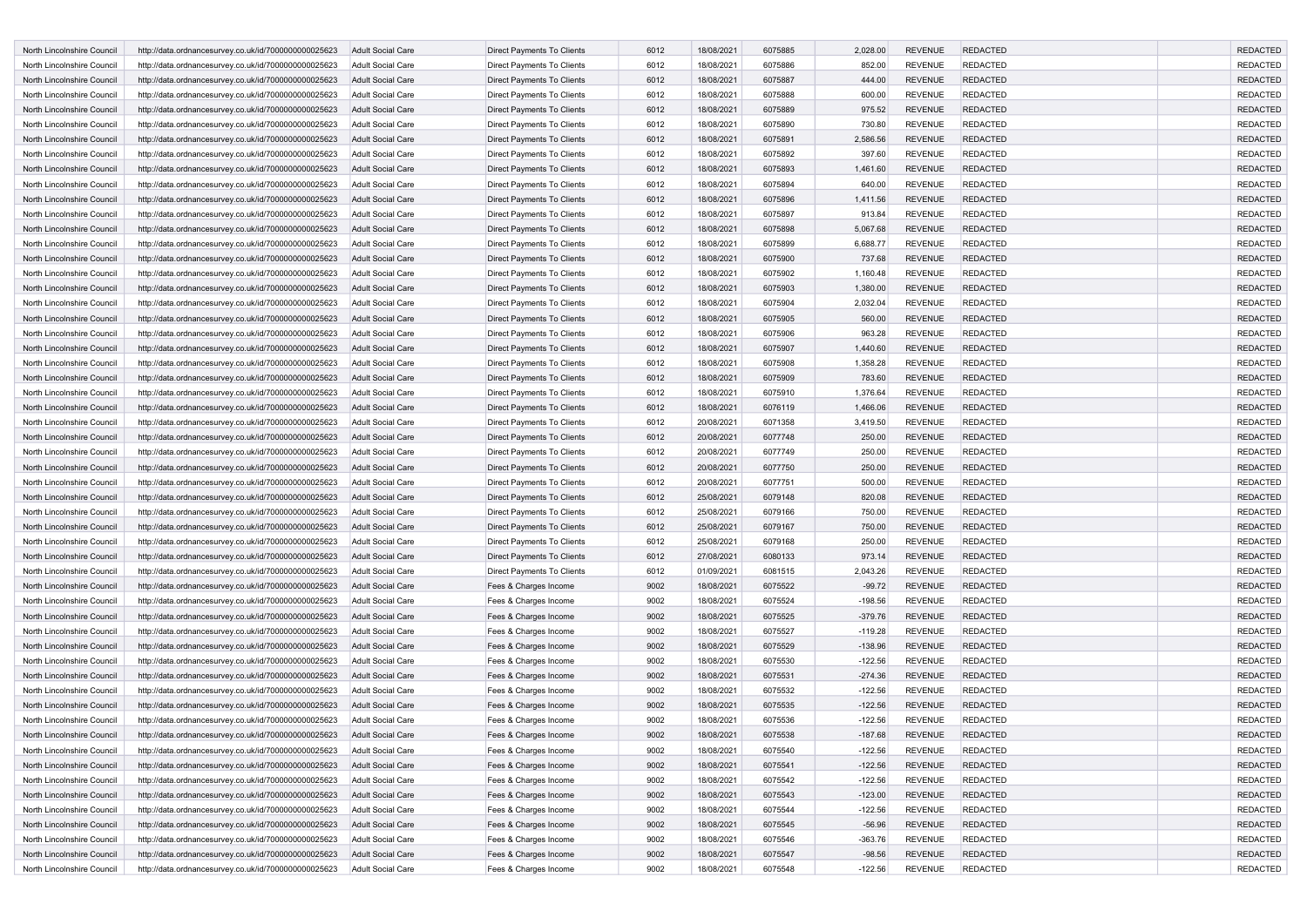| North Lincolnshire Council | http://data.ordnancesurvey.co.uk/id/7000000000025623 | <b>Adult Social Care</b> | <b>Direct Payments To Clients</b> | 6012 | 18/08/2021 | 6075885 | 2,028.00  | <b>REVENUE</b> | <b>REDACTED</b> | <b>REDACTED</b> |
|----------------------------|------------------------------------------------------|--------------------------|-----------------------------------|------|------------|---------|-----------|----------------|-----------------|-----------------|
| North Lincolnshire Council | http://data.ordnancesurvey.co.uk/id/7000000000025623 | <b>Adult Social Care</b> | Direct Payments To Clients        | 6012 | 18/08/2021 | 6075886 | 852.00    | <b>REVENUE</b> | <b>REDACTED</b> | <b>REDACTED</b> |
| North Lincolnshire Council | http://data.ordnancesurvey.co.uk/id/7000000000025623 | <b>Adult Social Care</b> | Direct Payments To Clients        | 6012 | 18/08/2021 | 6075887 | 444.00    | <b>REVENUE</b> | <b>REDACTED</b> | <b>REDACTED</b> |
| North Lincolnshire Council | http://data.ordnancesurvey.co.uk/id/7000000000025623 | Adult Social Care        | <b>Direct Payments To Clients</b> | 6012 | 18/08/2021 | 6075888 | 600.00    | <b>REVENUE</b> | <b>REDACTED</b> | <b>REDACTED</b> |
| North Lincolnshire Council | http://data.ordnancesurvey.co.uk/id/7000000000025623 | <b>Adult Social Care</b> | Direct Payments To Clients        | 6012 | 18/08/2021 | 6075889 | 975.52    | <b>REVENUE</b> | <b>REDACTED</b> | <b>REDACTED</b> |
| North Lincolnshire Council | http://data.ordnancesurvey.co.uk/id/7000000000025623 | <b>Adult Social Care</b> | Direct Payments To Clients        | 6012 | 18/08/2021 | 6075890 | 730.80    | <b>REVENUE</b> | <b>REDACTED</b> | <b>REDACTED</b> |
| North Lincolnshire Council | http://data.ordnancesurvey.co.uk/id/7000000000025623 | <b>Adult Social Care</b> | Direct Payments To Clients        | 6012 | 18/08/2021 | 6075891 | 2,586.56  | <b>REVENUE</b> | <b>REDACTED</b> | <b>REDACTED</b> |
| North Lincolnshire Council | http://data.ordnancesurvey.co.uk/id/7000000000025623 | <b>Adult Social Care</b> | Direct Payments To Clients        | 6012 | 18/08/2021 | 6075892 | 397.60    | <b>REVENUE</b> | <b>REDACTED</b> | <b>REDACTED</b> |
| North Lincolnshire Council | http://data.ordnancesurvey.co.uk/id/7000000000025623 | <b>Adult Social Care</b> | Direct Payments To Clients        | 6012 | 18/08/2021 | 6075893 | 1,461.60  | <b>REVENUE</b> | <b>REDACTED</b> | <b>REDACTED</b> |
| North Lincolnshire Council | http://data.ordnancesurvey.co.uk/id/7000000000025623 | Adult Social Care        | Direct Payments To Clients        | 6012 | 18/08/2021 | 6075894 | 640.00    | <b>REVENUE</b> | REDACTED        | <b>REDACTED</b> |
| North Lincolnshire Council | http://data.ordnancesurvey.co.uk/id/7000000000025623 | <b>Adult Social Care</b> | <b>Direct Payments To Clients</b> | 6012 | 18/08/2021 | 6075896 | 1,411.56  | <b>REVENUE</b> | <b>REDACTED</b> | <b>REDACTED</b> |
| North Lincolnshire Council | http://data.ordnancesurvey.co.uk/id/7000000000025623 | <b>Adult Social Care</b> | Direct Payments To Clients        | 6012 | 18/08/2021 | 6075897 | 913.84    | <b>REVENUE</b> | <b>REDACTED</b> | <b>REDACTED</b> |
| North Lincolnshire Council | http://data.ordnancesurvey.co.uk/id/7000000000025623 | <b>Adult Social Care</b> | Direct Payments To Clients        | 6012 | 18/08/2021 | 6075898 | 5,067.68  | <b>REVENUE</b> | <b>REDACTED</b> | <b>REDACTED</b> |
| North Lincolnshire Council | http://data.ordnancesurvey.co.uk/id/7000000000025623 | Adult Social Care        | Direct Payments To Clients        | 6012 | 18/08/2021 | 6075899 | 6,688.77  | <b>REVENUE</b> | <b>REDACTED</b> | <b>REDACTED</b> |
| North Lincolnshire Council | http://data.ordnancesurvey.co.uk/id/7000000000025623 | <b>Adult Social Care</b> | Direct Payments To Clients        | 6012 | 18/08/2021 | 6075900 | 737.68    | <b>REVENUE</b> | <b>REDACTED</b> | <b>REDACTED</b> |
| North Lincolnshire Council | http://data.ordnancesurvey.co.uk/id/7000000000025623 | <b>Adult Social Care</b> | Direct Payments To Clients        | 6012 | 18/08/2021 | 6075902 | 1,160.48  | <b>REVENUE</b> | <b>REDACTED</b> | <b>REDACTED</b> |
| North Lincolnshire Council | http://data.ordnancesurvey.co.uk/id/7000000000025623 | <b>Adult Social Care</b> | Direct Payments To Clients        | 6012 | 18/08/2021 | 6075903 | 1,380.00  | <b>REVENUE</b> | <b>REDACTED</b> | <b>REDACTED</b> |
|                            |                                                      |                          |                                   |      |            |         |           |                |                 |                 |
| North Lincolnshire Council | http://data.ordnancesurvey.co.uk/id/7000000000025623 | Adult Social Care        | Direct Payments To Clients        | 6012 | 18/08/2021 | 6075904 | 2,032.04  | <b>REVENUE</b> | <b>REDACTED</b> | <b>REDACTED</b> |
| North Lincolnshire Council | http://data.ordnancesurvey.co.uk/id/7000000000025623 | <b>Adult Social Care</b> | Direct Payments To Clients        | 6012 | 18/08/2021 | 6075905 | 560.00    | <b>REVENUE</b> | <b>REDACTED</b> | <b>REDACTED</b> |
| North Lincolnshire Council | http://data.ordnancesurvey.co.uk/id/7000000000025623 | <b>Adult Social Care</b> | Direct Payments To Clients        | 6012 | 18/08/2021 | 6075906 | 963.28    | <b>REVENUE</b> | REDACTED        | <b>REDACTED</b> |
| North Lincolnshire Council | http://data.ordnancesurvey.co.uk/id/7000000000025623 | <b>Adult Social Care</b> | <b>Direct Payments To Clients</b> | 6012 | 18/08/2021 | 6075907 | 1,440.60  | <b>REVENUE</b> | <b>REDACTED</b> | <b>REDACTED</b> |
| North Lincolnshire Council | http://data.ordnancesurvey.co.uk/id/7000000000025623 | <b>Adult Social Care</b> | Direct Payments To Clients        | 6012 | 18/08/2021 | 6075908 | 1,358.28  | <b>REVENUE</b> | <b>REDACTED</b> | <b>REDACTED</b> |
| North Lincolnshire Council | http://data.ordnancesurvey.co.uk/id/7000000000025623 | <b>Adult Social Care</b> | Direct Payments To Clients        | 6012 | 18/08/2021 | 6075909 | 783.60    | <b>REVENUE</b> | <b>REDACTED</b> | <b>REDACTED</b> |
| North Lincolnshire Council | http://data.ordnancesurvey.co.uk/id/7000000000025623 | <b>Adult Social Care</b> | Direct Payments To Clients        | 6012 | 18/08/2021 | 6075910 | 1,376.64  | <b>REVENUE</b> | <b>REDACTED</b> | <b>REDACTED</b> |
| North Lincolnshire Council | http://data.ordnancesurvey.co.uk/id/7000000000025623 | <b>Adult Social Care</b> | <b>Direct Payments To Clients</b> | 6012 | 18/08/2021 | 6076119 | 1,466.06  | <b>REVENUE</b> | <b>REDACTED</b> | <b>REDACTED</b> |
| North Lincolnshire Council | http://data.ordnancesurvey.co.uk/id/7000000000025623 | <b>Adult Social Care</b> | Direct Payments To Clients        | 6012 | 20/08/2021 | 6071358 | 3,419.50  | <b>REVENUE</b> | <b>REDACTED</b> | <b>REDACTED</b> |
| North Lincolnshire Council | http://data.ordnancesurvey.co.uk/id/7000000000025623 | <b>Adult Social Care</b> | Direct Payments To Clients        | 6012 | 20/08/2021 | 6077748 | 250.00    | <b>REVENUE</b> | <b>REDACTED</b> | <b>REDACTED</b> |
| North Lincolnshire Council | http://data.ordnancesurvey.co.uk/id/7000000000025623 | Adult Social Care        | Direct Payments To Clients        | 6012 | 20/08/2021 | 6077749 | 250.00    | <b>REVENUE</b> | <b>REDACTED</b> | <b>REDACTED</b> |
| North Lincolnshire Council | http://data.ordnancesurvey.co.uk/id/7000000000025623 | <b>Adult Social Care</b> | Direct Payments To Clients        | 6012 | 20/08/2021 | 6077750 | 250.00    | <b>REVENUE</b> | <b>REDACTED</b> | <b>REDACTED</b> |
| North Lincolnshire Council | http://data.ordnancesurvey.co.uk/id/7000000000025623 | Adult Social Care        | Direct Payments To Clients        | 6012 | 20/08/2021 | 6077751 | 500.00    | <b>REVENUE</b> | <b>REDACTED</b> | <b>REDACTED</b> |
| North Lincolnshire Council | http://data.ordnancesurvey.co.uk/id/7000000000025623 | <b>Adult Social Care</b> | Direct Payments To Clients        | 6012 | 25/08/2021 | 6079148 | 820.08    | <b>REVENUE</b> | <b>REDACTED</b> | <b>REDACTED</b> |
| North Lincolnshire Council | http://data.ordnancesurvey.co.uk/id/7000000000025623 | <b>Adult Social Care</b> | Direct Payments To Clients        | 6012 | 25/08/2021 | 6079166 | 750.00    | <b>REVENUE</b> | <b>REDACTED</b> | <b>REDACTED</b> |
|                            |                                                      |                          |                                   |      |            |         |           |                | <b>REDACTED</b> |                 |
| North Lincolnshire Council | http://data.ordnancesurvey.co.uk/id/7000000000025623 | <b>Adult Social Care</b> | Direct Payments To Clients        | 6012 | 25/08/2021 | 6079167 | 750.00    | <b>REVENUE</b> |                 | <b>REDACTED</b> |
| North Lincolnshire Council | http://data.ordnancesurvey.co.uk/id/7000000000025623 | <b>Adult Social Care</b> | Direct Payments To Clients        | 6012 | 25/08/2021 | 6079168 | 250.00    | <b>REVENUE</b> | <b>REDACTED</b> | <b>REDACTED</b> |
| North Lincolnshire Council | http://data.ordnancesurvey.co.uk/id/7000000000025623 | <b>Adult Social Care</b> | Direct Payments To Clients        | 6012 | 27/08/2021 | 6080133 | 973.14    | <b>REVENUE</b> | <b>REDACTED</b> | <b>REDACTED</b> |
| North Lincolnshire Council | http://data.ordnancesurvey.co.uk/id/7000000000025623 | <b>Adult Social Care</b> | Direct Payments To Clients        | 6012 | 01/09/2021 | 6081515 | 2,043.26  | <b>REVENUE</b> | <b>REDACTED</b> | <b>REDACTED</b> |
| North Lincolnshire Council | http://data.ordnancesurvey.co.uk/id/7000000000025623 | <b>Adult Social Care</b> | Fees & Charges Income             | 9002 | 18/08/2021 | 6075522 | $-99.72$  | <b>REVENUE</b> | <b>REDACTED</b> | <b>REDACTED</b> |
| North Lincolnshire Council | http://data.ordnancesurvey.co.uk/id/7000000000025623 | <b>Adult Social Care</b> | Fees & Charges Income             | 9002 | 18/08/2021 | 6075524 | $-198.56$ | <b>REVENUE</b> | <b>REDACTED</b> | <b>REDACTED</b> |
| North Lincolnshire Council | http://data.ordnancesurvey.co.uk/id/7000000000025623 | <b>Adult Social Care</b> | Fees & Charges Income             | 9002 | 18/08/2021 | 6075525 | $-379.76$ | <b>REVENUE</b> | <b>REDACTED</b> | <b>REDACTED</b> |
| North Lincolnshire Council | http://data.ordnancesurvey.co.uk/id/7000000000025623 | <b>Adult Social Care</b> | Fees & Charges Income             | 9002 | 18/08/2021 | 6075527 | $-119.28$ | <b>REVENUE</b> | <b>REDACTED</b> | <b>REDACTED</b> |
| North Lincolnshire Council | http://data.ordnancesurvey.co.uk/id/7000000000025623 | <b>Adult Social Care</b> | Fees & Charges Income             | 9002 | 18/08/2021 | 6075529 | $-138.96$ | <b>REVENUE</b> | <b>REDACTED</b> | <b>REDACTED</b> |
| North Lincolnshire Council | http://data.ordnancesurvey.co.uk/id/7000000000025623 | <b>Adult Social Care</b> | Fees & Charges Income             | 9002 | 18/08/2021 | 6075530 | $-122.56$ | <b>REVENUE</b> | <b>REDACTED</b> | <b>REDACTED</b> |
| North Lincolnshire Council | http://data.ordnancesurvey.co.uk/id/7000000000025623 | <b>Adult Social Care</b> | Fees & Charges Income             | 9002 | 18/08/2021 | 6075531 | $-274.36$ | <b>REVENUE</b> | <b>REDACTED</b> | <b>REDACTED</b> |
| North Lincolnshire Council | http://data.ordnancesurvey.co.uk/id/7000000000025623 | <b>Adult Social Care</b> | Fees & Charges Income             | 9002 | 18/08/2021 | 6075532 | $-122.56$ | <b>REVENUE</b> | <b>REDACTED</b> | <b>REDACTED</b> |
| North Lincolnshire Council | http://data.ordnancesurvey.co.uk/id/7000000000025623 | <b>Adult Social Care</b> | Fees & Charges Income             | 9002 | 18/08/2021 | 6075535 | $-122.56$ | <b>REVENUE</b> | <b>REDACTED</b> | <b>REDACTED</b> |
| North Lincolnshire Council | http://data.ordnancesurvey.co.uk/id/7000000000025623 | <b>Adult Social Care</b> | Fees & Charges Income             | 9002 | 18/08/2021 | 6075536 | $-122.56$ | <b>REVENUE</b> | <b>REDACTED</b> | <b>REDACTED</b> |
| North Lincolnshire Council | http://data.ordnancesurvey.co.uk/id/7000000000025623 | <b>Adult Social Care</b> | Fees & Charges Income             | 9002 | 18/08/2021 | 6075538 | $-187.68$ | <b>REVENUE</b> | <b>REDACTED</b> | <b>REDACTED</b> |
| North Lincolnshire Council | http://data.ordnancesurvey.co.uk/id/7000000000025623 | Adult Social Care        | Fees & Charges Income             | 9002 | 18/08/2021 | 6075540 | $-122.56$ | <b>REVENUE</b> | <b>REDACTED</b> | <b>REDACTED</b> |
| North Lincolnshire Council | http://data.ordnancesurvey.co.uk/id/7000000000025623 | <b>Adult Social Care</b> | Fees & Charges Income             | 9002 | 18/08/2021 | 6075541 | $-122.56$ | <b>REVENUE</b> | <b>REDACTED</b> | <b>REDACTED</b> |
|                            |                                                      |                          |                                   |      |            |         |           |                |                 | <b>REDACTED</b> |
| North Lincolnshire Council | http://data.ordnancesurvey.co.uk/id/7000000000025623 | Adult Social Care        | Fees & Charges Income             | 9002 | 18/08/2021 | 6075542 | $-122.56$ | <b>REVENUE</b> | <b>REDACTED</b> |                 |
| North Lincolnshire Council | http://data.ordnancesurvey.co.uk/id/7000000000025623 | Adult Social Care        | Fees & Charges Income             | 9002 | 18/08/2021 | 6075543 | $-123.00$ | <b>REVENUE</b> | <b>REDACTED</b> | <b>REDACTED</b> |
| North Lincolnshire Council | http://data.ordnancesurvey.co.uk/id/7000000000025623 | Adult Social Care        | Fees & Charges Income             | 9002 | 18/08/2021 | 6075544 | $-122.56$ | <b>REVENUE</b> | <b>REDACTED</b> | <b>REDACTED</b> |
| North Lincolnshire Council | http://data.ordnancesurvey.co.uk/id/7000000000025623 | Adult Social Care        | Fees & Charges Income             | 9002 | 18/08/2021 | 6075545 | $-56.96$  | <b>REVENUE</b> | <b>REDACTED</b> | <b>REDACTED</b> |
| North Lincolnshire Council | http://data.ordnancesurvey.co.uk/id/7000000000025623 | Adult Social Care        | Fees & Charges Income             | 9002 | 18/08/2021 | 6075546 | $-363.76$ | <b>REVENUE</b> | <b>REDACTED</b> | <b>REDACTED</b> |
| North Lincolnshire Council | http://data.ordnancesurvey.co.uk/id/7000000000025623 | Adult Social Care        | Fees & Charges Income             | 9002 | 18/08/2021 | 6075547 | $-98.56$  | <b>REVENUE</b> | <b>REDACTED</b> | <b>REDACTED</b> |
| North Lincolnshire Council | http://data.ordnancesurvey.co.uk/id/7000000000025623 | Adult Social Care        | Fees & Charges Income             | 9002 | 18/08/2021 | 6075548 | $-122.56$ | REVENUE        | <b>REDACTED</b> | REDACTED        |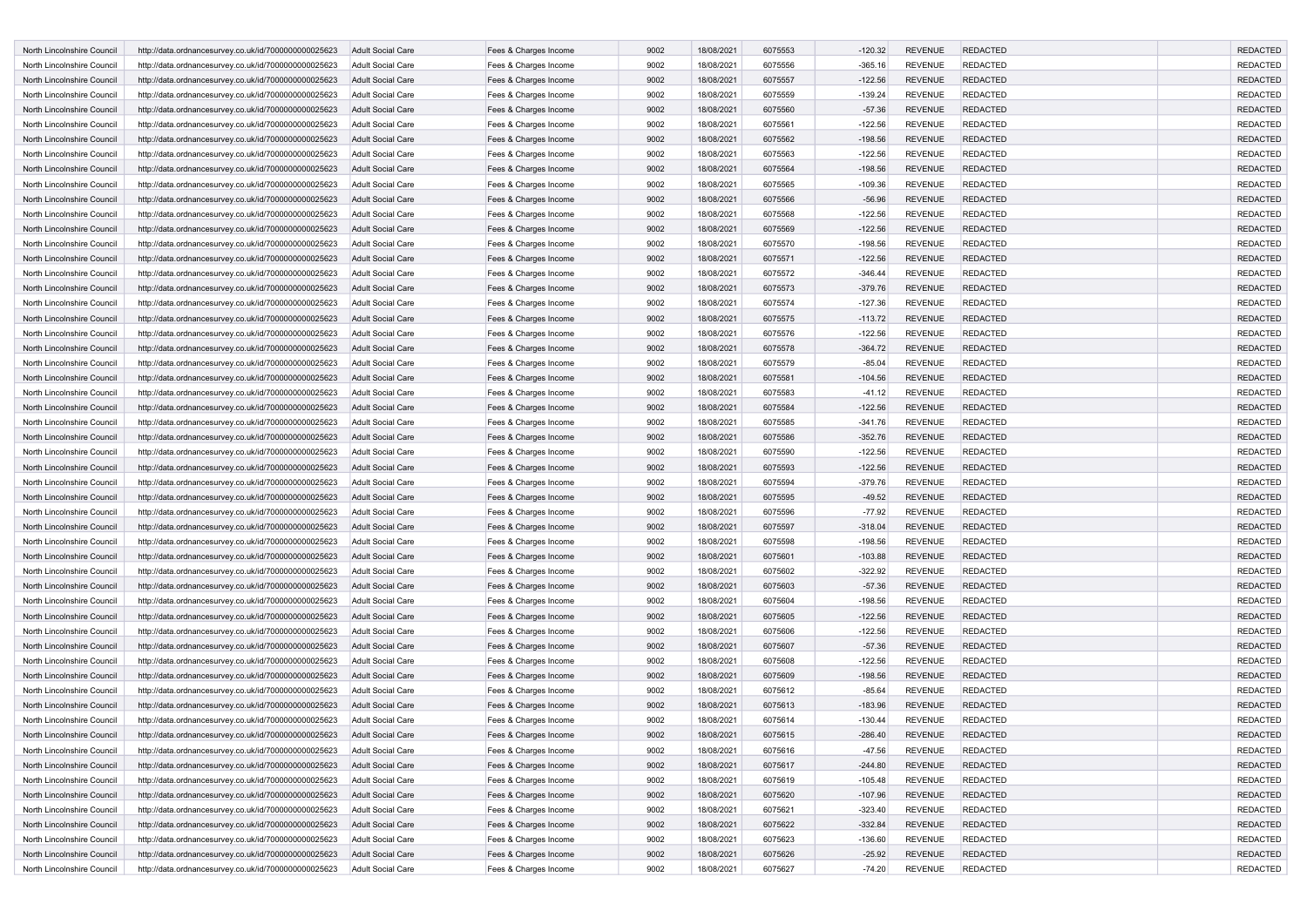| North Lincolnshire Council | http://data.ordnancesurvey.co.uk/id/7000000000025623 | <b>Adult Social Care</b> | Fees & Charges Income | 9002 | 18/08/2021 | 6075553 | $-120.32$ | <b>REVENUE</b> | <b>REDACTED</b> | <b>REDACTED</b> |
|----------------------------|------------------------------------------------------|--------------------------|-----------------------|------|------------|---------|-----------|----------------|-----------------|-----------------|
| North Lincolnshire Council | http://data.ordnancesurvey.co.uk/id/7000000000025623 | <b>Adult Social Care</b> | Fees & Charges Income | 9002 | 18/08/2021 | 6075556 | $-365.16$ | <b>REVENUE</b> | <b>REDACTED</b> | <b>REDACTED</b> |
| North Lincolnshire Council | http://data.ordnancesurvey.co.uk/id/7000000000025623 | <b>Adult Social Care</b> | Fees & Charges Income | 9002 | 18/08/2021 | 6075557 | $-122.56$ | <b>REVENUE</b> | <b>REDACTED</b> | <b>REDACTED</b> |
| North Lincolnshire Council | http://data.ordnancesurvey.co.uk/id/7000000000025623 | Adult Social Care        | Fees & Charges Income | 9002 | 18/08/2021 | 6075559 | $-139.24$ | <b>REVENUE</b> | <b>REDACTED</b> | <b>REDACTED</b> |
| North Lincolnshire Council | http://data.ordnancesurvey.co.uk/id/7000000000025623 | <b>Adult Social Care</b> | Fees & Charges Income | 9002 | 18/08/2021 | 6075560 | $-57.36$  | <b>REVENUE</b> | <b>REDACTED</b> | <b>REDACTED</b> |
| North Lincolnshire Council | http://data.ordnancesurvey.co.uk/id/7000000000025623 | <b>Adult Social Care</b> | Fees & Charges Income | 9002 | 18/08/2021 | 6075561 | $-122.56$ | <b>REVENUE</b> | <b>REDACTED</b> | <b>REDACTED</b> |
| North Lincolnshire Council | http://data.ordnancesurvey.co.uk/id/7000000000025623 | <b>Adult Social Care</b> | Fees & Charges Income | 9002 | 18/08/2021 | 6075562 | $-198.56$ | <b>REVENUE</b> | <b>REDACTED</b> | <b>REDACTED</b> |
| North Lincolnshire Council | http://data.ordnancesurvey.co.uk/id/7000000000025623 | Adult Social Care        | Fees & Charges Income | 9002 | 18/08/2021 | 6075563 | $-122.56$ | <b>REVENUE</b> | <b>REDACTED</b> | <b>REDACTED</b> |
| North Lincolnshire Council | http://data.ordnancesurvey.co.uk/id/7000000000025623 | <b>Adult Social Care</b> | Fees & Charges Income | 9002 | 18/08/2021 | 6075564 | $-198.56$ | <b>REVENUE</b> | <b>REDACTED</b> | <b>REDACTED</b> |
| North Lincolnshire Council | http://data.ordnancesurvey.co.uk/id/7000000000025623 | Adult Social Care        | Fees & Charges Income | 9002 | 18/08/2021 | 6075565 | $-109.36$ | <b>REVENUE</b> | <b>REDACTED</b> | <b>REDACTED</b> |
| North Lincolnshire Council | http://data.ordnancesurvey.co.uk/id/7000000000025623 | <b>Adult Social Care</b> | Fees & Charges Income | 9002 | 18/08/2021 | 6075566 | $-56.96$  | <b>REVENUE</b> | <b>REDACTED</b> | <b>REDACTED</b> |
| North Lincolnshire Council | http://data.ordnancesurvey.co.uk/id/7000000000025623 | <b>Adult Social Care</b> | Fees & Charges Income | 9002 | 18/08/2021 | 6075568 | $-122.56$ | <b>REVENUE</b> | <b>REDACTED</b> | <b>REDACTED</b> |
| North Lincolnshire Council | http://data.ordnancesurvey.co.uk/id/7000000000025623 | <b>Adult Social Care</b> | Fees & Charges Income | 9002 | 18/08/2021 | 6075569 | $-122.56$ | <b>REVENUE</b> | <b>REDACTED</b> | <b>REDACTED</b> |
| North Lincolnshire Council | http://data.ordnancesurvey.co.uk/id/7000000000025623 | Adult Social Care        | Fees & Charges Income | 9002 | 18/08/2021 | 6075570 | $-198.56$ | <b>REVENUE</b> | <b>REDACTED</b> | <b>REDACTED</b> |
|                            |                                                      |                          |                       |      |            |         |           |                |                 |                 |
| North Lincolnshire Council | http://data.ordnancesurvey.co.uk/id/7000000000025623 | <b>Adult Social Care</b> | Fees & Charges Income | 9002 | 18/08/2021 | 6075571 | $-122.56$ | <b>REVENUE</b> | <b>REDACTED</b> | <b>REDACTED</b> |
| North Lincolnshire Council | http://data.ordnancesurvey.co.uk/id/7000000000025623 | <b>Adult Social Care</b> | Fees & Charges Income | 9002 | 18/08/2021 | 6075572 | $-346.44$ | <b>REVENUE</b> | <b>REDACTED</b> | <b>REDACTED</b> |
| North Lincolnshire Council | http://data.ordnancesurvey.co.uk/id/7000000000025623 | <b>Adult Social Care</b> | Fees & Charges Income | 9002 | 18/08/2021 | 6075573 | $-379.76$ | <b>REVENUE</b> | <b>REDACTED</b> | <b>REDACTED</b> |
| North Lincolnshire Council | http://data.ordnancesurvey.co.uk/id/7000000000025623 | Adult Social Care        | Fees & Charges Income | 9002 | 18/08/2021 | 6075574 | $-127.36$ | <b>REVENUE</b> | <b>REDACTED</b> | <b>REDACTED</b> |
| North Lincolnshire Council | http://data.ordnancesurvey.co.uk/id/7000000000025623 | <b>Adult Social Care</b> | Fees & Charges Income | 9002 | 18/08/2021 | 6075575 | $-113.72$ | <b>REVENUE</b> | <b>REDACTED</b> | <b>REDACTED</b> |
| North Lincolnshire Council | http://data.ordnancesurvey.co.uk/id/7000000000025623 | Adult Social Care        | Fees & Charges Income | 9002 | 18/08/2021 | 6075576 | $-122.56$ | <b>REVENUE</b> | <b>REDACTED</b> | <b>REDACTED</b> |
| North Lincolnshire Council | http://data.ordnancesurvey.co.uk/id/7000000000025623 | <b>Adult Social Care</b> | Fees & Charges Income | 9002 | 18/08/2021 | 6075578 | $-364.72$ | <b>REVENUE</b> | <b>REDACTED</b> | <b>REDACTED</b> |
| North Lincolnshire Council | http://data.ordnancesurvey.co.uk/id/7000000000025623 | Adult Social Care        | Fees & Charges Income | 9002 | 18/08/2021 | 6075579 | $-85.04$  | <b>REVENUE</b> | <b>REDACTED</b> | <b>REDACTED</b> |
| North Lincolnshire Council | http://data.ordnancesurvey.co.uk/id/7000000000025623 | <b>Adult Social Care</b> | Fees & Charges Income | 9002 | 18/08/2021 | 6075581 | $-104.56$ | <b>REVENUE</b> | <b>REDACTED</b> | <b>REDACTED</b> |
| North Lincolnshire Council | http://data.ordnancesurvey.co.uk/id/7000000000025623 | <b>Adult Social Care</b> | Fees & Charges Income | 9002 | 18/08/2021 | 6075583 | $-41.12$  | <b>REVENUE</b> | <b>REDACTED</b> | <b>REDACTED</b> |
| North Lincolnshire Council | http://data.ordnancesurvey.co.uk/id/7000000000025623 | <b>Adult Social Care</b> | Fees & Charges Income | 9002 | 18/08/2021 | 6075584 | $-122.56$ | <b>REVENUE</b> | <b>REDACTED</b> | <b>REDACTED</b> |
| North Lincolnshire Council | http://data.ordnancesurvey.co.uk/id/7000000000025623 | <b>Adult Social Care</b> | Fees & Charges Income | 9002 | 18/08/2021 | 6075585 | $-341.76$ | <b>REVENUE</b> | <b>REDACTED</b> | <b>REDACTED</b> |
| North Lincolnshire Council | http://data.ordnancesurvey.co.uk/id/7000000000025623 | <b>Adult Social Care</b> | Fees & Charges Income | 9002 | 18/08/2021 | 6075586 | $-352.76$ | <b>REVENUE</b> | <b>REDACTED</b> | <b>REDACTED</b> |
| North Lincolnshire Council | http://data.ordnancesurvey.co.uk/id/7000000000025623 | Adult Social Care        | Fees & Charges Income | 9002 | 18/08/2021 | 6075590 | $-122.56$ | <b>REVENUE</b> | <b>REDACTED</b> | <b>REDACTED</b> |
| North Lincolnshire Council | http://data.ordnancesurvey.co.uk/id/7000000000025623 | <b>Adult Social Care</b> | Fees & Charges Income | 9002 | 18/08/2021 | 6075593 | $-122.56$ | <b>REVENUE</b> | <b>REDACTED</b> | <b>REDACTED</b> |
| North Lincolnshire Council | http://data.ordnancesurvey.co.uk/id/7000000000025623 | Adult Social Care        | Fees & Charges Income | 9002 | 18/08/2021 | 6075594 | $-379.76$ | <b>REVENUE</b> | <b>REDACTED</b> | <b>REDACTED</b> |
| North Lincolnshire Council | http://data.ordnancesurvey.co.uk/id/7000000000025623 | <b>Adult Social Care</b> | Fees & Charges Income | 9002 | 18/08/2021 | 6075595 | $-49.52$  | <b>REVENUE</b> | <b>REDACTED</b> | <b>REDACTED</b> |
| North Lincolnshire Council | http://data.ordnancesurvey.co.uk/id/7000000000025623 | Adult Social Care        | Fees & Charges Income | 9002 | 18/08/2021 | 6075596 | $-77.92$  | <b>REVENUE</b> | <b>REDACTED</b> | <b>REDACTED</b> |
| North Lincolnshire Council | http://data.ordnancesurvey.co.uk/id/7000000000025623 | <b>Adult Social Care</b> | Fees & Charges Income | 9002 | 18/08/2021 | 6075597 | $-318.04$ | <b>REVENUE</b> | <b>REDACTED</b> | <b>REDACTED</b> |
| North Lincolnshire Council | http://data.ordnancesurvey.co.uk/id/7000000000025623 | <b>Adult Social Care</b> | Fees & Charges Income | 9002 | 18/08/2021 | 6075598 | $-198.56$ | <b>REVENUE</b> | <b>REDACTED</b> | <b>REDACTED</b> |
| North Lincolnshire Council | http://data.ordnancesurvey.co.uk/id/7000000000025623 | <b>Adult Social Care</b> | Fees & Charges Income | 9002 | 18/08/2021 | 6075601 | $-103.88$ | <b>REVENUE</b> | <b>REDACTED</b> | <b>REDACTED</b> |
| North Lincolnshire Council |                                                      | <b>Adult Social Care</b> | Fees & Charges Income | 9002 | 18/08/2021 | 6075602 | $-322.92$ | <b>REVENUE</b> | <b>REDACTED</b> | <b>REDACTED</b> |
| North Lincolnshire Council | http://data.ordnancesurvey.co.uk/id/7000000000025623 |                          |                       | 9002 |            | 6075603 |           | <b>REVENUE</b> | <b>REDACTED</b> | <b>REDACTED</b> |
|                            | http://data.ordnancesurvey.co.uk/id/7000000000025623 | <b>Adult Social Care</b> | Fees & Charges Income |      | 18/08/2021 |         | $-57.36$  |                |                 |                 |
| North Lincolnshire Council | http://data.ordnancesurvey.co.uk/id/7000000000025623 | Adult Social Care        | Fees & Charges Income | 9002 | 18/08/2021 | 6075604 | $-198.56$ | <b>REVENUE</b> | <b>REDACTED</b> | <b>REDACTED</b> |
| North Lincolnshire Council | http://data.ordnancesurvey.co.uk/id/7000000000025623 | <b>Adult Social Care</b> | Fees & Charges Income | 9002 | 18/08/2021 | 6075605 | $-122.56$ | <b>REVENUE</b> | <b>REDACTED</b> | <b>REDACTED</b> |
| North Lincolnshire Council | http://data.ordnancesurvey.co.uk/id/7000000000025623 | Adult Social Care        | Fees & Charges Income | 9002 | 18/08/2021 | 6075606 | $-122.56$ | <b>REVENUE</b> | <b>REDACTED</b> | <b>REDACTED</b> |
| North Lincolnshire Council | http://data.ordnancesurvey.co.uk/id/7000000000025623 | <b>Adult Social Care</b> | Fees & Charges Income | 9002 | 18/08/2021 | 6075607 | $-57.36$  | <b>REVENUE</b> | <b>REDACTED</b> | <b>REDACTED</b> |
| North Lincolnshire Council | http://data.ordnancesurvey.co.uk/id/7000000000025623 | <b>Adult Social Care</b> | Fees & Charges Income | 9002 | 18/08/2021 | 6075608 | $-122.56$ | <b>REVENUE</b> | <b>REDACTED</b> | <b>REDACTED</b> |
| North Lincolnshire Council | http://data.ordnancesurvey.co.uk/id/7000000000025623 | <b>Adult Social Care</b> | Fees & Charges Income | 9002 | 18/08/2021 | 6075609 | $-198.56$ | <b>REVENUE</b> | <b>REDACTED</b> | <b>REDACTED</b> |
| North Lincolnshire Council | http://data.ordnancesurvey.co.uk/id/7000000000025623 | <b>Adult Social Care</b> | Fees & Charges Income | 9002 | 18/08/2021 | 6075612 | $-85.64$  | <b>REVENUE</b> | <b>REDACTED</b> | <b>REDACTED</b> |
| North Lincolnshire Council | http://data.ordnancesurvey.co.uk/id/7000000000025623 | <b>Adult Social Care</b> | Fees & Charges Income | 9002 | 18/08/2021 | 6075613 | $-183.96$ | <b>REVENUE</b> | <b>REDACTED</b> | <b>REDACTED</b> |
| North Lincolnshire Council | http://data.ordnancesurvey.co.uk/id/7000000000025623 | <b>Adult Social Care</b> | Fees & Charges Income | 9002 | 18/08/2021 | 6075614 | $-130.44$ | <b>REVENUE</b> | <b>REDACTED</b> | <b>REDACTED</b> |
| North Lincolnshire Council | http://data.ordnancesurvey.co.uk/id/7000000000025623 | <b>Adult Social Care</b> | Fees & Charges Income | 9002 | 18/08/2021 | 6075615 | $-286.40$ | <b>REVENUE</b> | <b>REDACTED</b> | <b>REDACTED</b> |
| North Lincolnshire Council | http://data.ordnancesurvey.co.uk/id/7000000000025623 | Adult Social Care        | Fees & Charges Income | 9002 | 18/08/2021 | 6075616 | $-47.56$  | <b>REVENUE</b> | <b>REDACTED</b> | <b>REDACTED</b> |
| North Lincolnshire Council | http://data.ordnancesurvey.co.uk/id/7000000000025623 | <b>Adult Social Care</b> | Fees & Charges Income | 9002 | 18/08/2021 | 6075617 | $-244.80$ | <b>REVENUE</b> | <b>REDACTED</b> | <b>REDACTED</b> |
| North Lincolnshire Council | http://data.ordnancesurvey.co.uk/id/7000000000025623 | Adult Social Care        | Fees & Charges Income | 9002 | 18/08/2021 | 6075619 | $-105.48$ | <b>REVENUE</b> | <b>REDACTED</b> | <b>REDACTED</b> |
| North Lincolnshire Council | http://data.ordnancesurvey.co.uk/id/7000000000025623 | Adult Social Care        | Fees & Charges Income | 9002 | 18/08/2021 | 6075620 | $-107.96$ | <b>REVENUE</b> | <b>REDACTED</b> | <b>REDACTED</b> |
| North Lincolnshire Council | http://data.ordnancesurvey.co.uk/id/7000000000025623 | Adult Social Care        | Fees & Charges Income | 9002 | 18/08/2021 | 6075621 | $-323.40$ | <b>REVENUE</b> | <b>REDACTED</b> | <b>REDACTED</b> |
| North Lincolnshire Council | http://data.ordnancesurvey.co.uk/id/7000000000025623 | Adult Social Care        | Fees & Charges Income | 9002 | 18/08/2021 | 6075622 | $-332.84$ | <b>REVENUE</b> | <b>REDACTED</b> | <b>REDACTED</b> |
| North Lincolnshire Council | http://data.ordnancesurvey.co.uk/id/7000000000025623 | Adult Social Care        | Fees & Charges Income | 9002 | 18/08/2021 | 6075623 | $-136.60$ | <b>REVENUE</b> | <b>REDACTED</b> | <b>REDACTED</b> |
| North Lincolnshire Council | http://data.ordnancesurvey.co.uk/id/7000000000025623 | Adult Social Care        | Fees & Charges Income | 9002 | 18/08/2021 | 6075626 | $-25.92$  | <b>REVENUE</b> | <b>REDACTED</b> | <b>REDACTED</b> |
| North Lincolnshire Council | http://data.ordnancesurvey.co.uk/id/7000000000025623 | Adult Social Care        | Fees & Charges Income | 9002 | 18/08/2021 | 6075627 | $-74.20$  | REVENUE        | <b>REDACTED</b> | REDACTED        |
|                            |                                                      |                          |                       |      |            |         |           |                |                 |                 |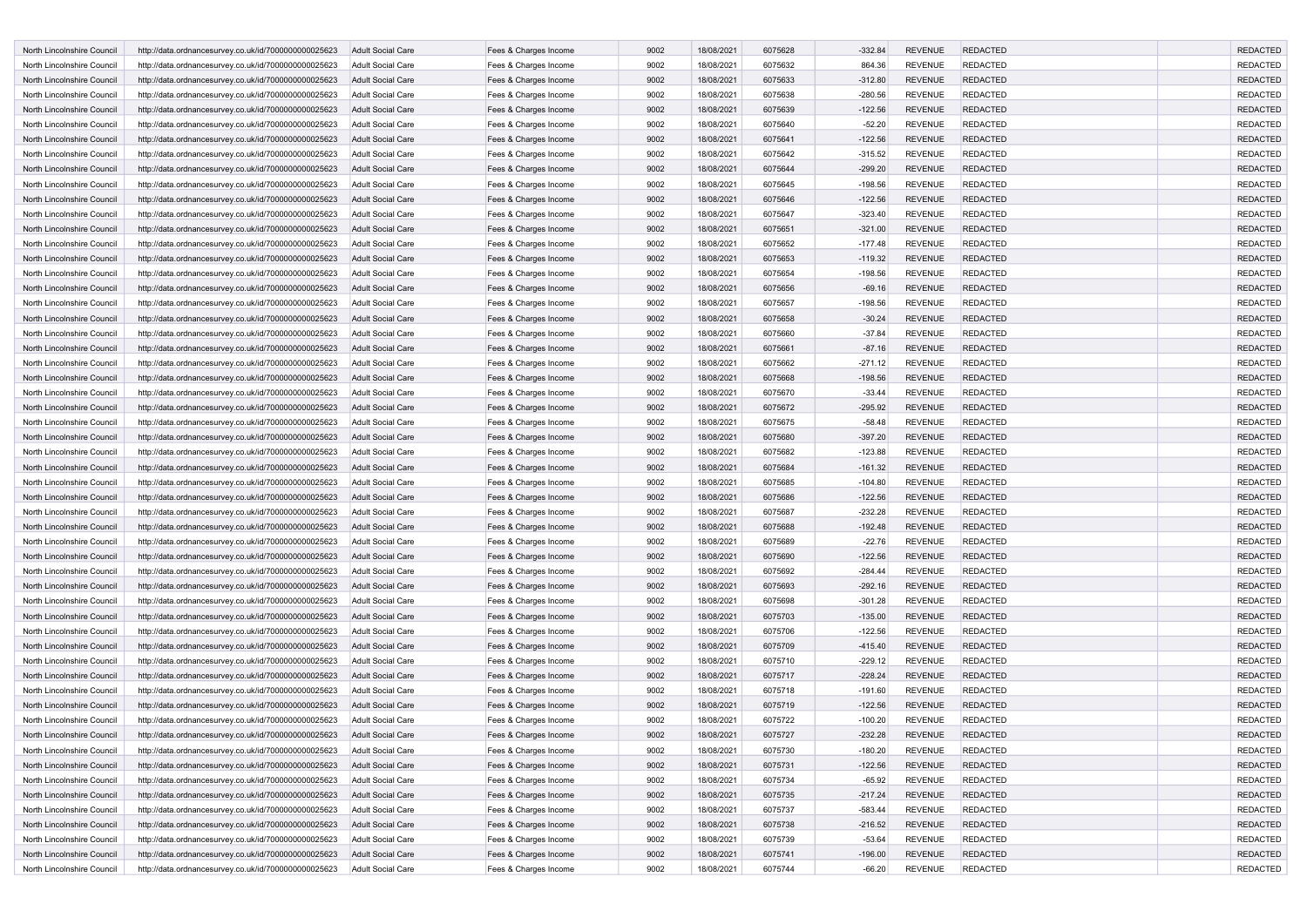| North Lincolnshire Council | http://data.ordnancesurvey.co.uk/id/7000000000025623 | <b>Adult Social Care</b> | Fees & Charges Income | 9002 | 18/08/2021 | 6075628 | $-332.84$ | <b>REVENUE</b> | <b>REDACTED</b> | <b>REDACTED</b> |
|----------------------------|------------------------------------------------------|--------------------------|-----------------------|------|------------|---------|-----------|----------------|-----------------|-----------------|
| North Lincolnshire Council | http://data.ordnancesurvey.co.uk/id/7000000000025623 | <b>Adult Social Care</b> | Fees & Charges Income | 9002 | 18/08/2021 | 6075632 | 864.36    | <b>REVENUE</b> | <b>REDACTED</b> | <b>REDACTED</b> |
| North Lincolnshire Council | http://data.ordnancesurvey.co.uk/id/7000000000025623 | <b>Adult Social Care</b> | Fees & Charges Income | 9002 | 18/08/2021 | 6075633 | $-312.80$ | <b>REVENUE</b> | <b>REDACTED</b> | <b>REDACTED</b> |
| North Lincolnshire Council | http://data.ordnancesurvey.co.uk/id/7000000000025623 | Adult Social Care        | Fees & Charges Income | 9002 | 18/08/2021 | 6075638 | $-280.56$ | <b>REVENUE</b> | <b>REDACTED</b> | <b>REDACTED</b> |
| North Lincolnshire Council | http://data.ordnancesurvey.co.uk/id/7000000000025623 | <b>Adult Social Care</b> | Fees & Charges Income | 9002 | 18/08/2021 | 6075639 | $-122.56$ | <b>REVENUE</b> | <b>REDACTED</b> | <b>REDACTED</b> |
| North Lincolnshire Council | http://data.ordnancesurvey.co.uk/id/7000000000025623 | <b>Adult Social Care</b> | Fees & Charges Income | 9002 | 18/08/2021 | 6075640 | $-52.20$  | <b>REVENUE</b> | <b>REDACTED</b> | <b>REDACTED</b> |
| North Lincolnshire Council | http://data.ordnancesurvey.co.uk/id/7000000000025623 | <b>Adult Social Care</b> | Fees & Charges Income | 9002 | 18/08/2021 | 6075641 | $-122.56$ | <b>REVENUE</b> | <b>REDACTED</b> | <b>REDACTED</b> |
| North Lincolnshire Council | http://data.ordnancesurvey.co.uk/id/7000000000025623 | Adult Social Care        | Fees & Charges Income | 9002 | 18/08/2021 | 6075642 | $-315.52$ | <b>REVENUE</b> | <b>REDACTED</b> | <b>REDACTED</b> |
| North Lincolnshire Council | http://data.ordnancesurvey.co.uk/id/7000000000025623 | <b>Adult Social Care</b> | Fees & Charges Income | 9002 | 18/08/2021 | 6075644 | $-299.20$ | <b>REVENUE</b> | <b>REDACTED</b> | <b>REDACTED</b> |
| North Lincolnshire Council | http://data.ordnancesurvey.co.uk/id/7000000000025623 | Adult Social Care        | Fees & Charges Income | 9002 | 18/08/2021 | 6075645 | $-198.56$ | <b>REVENUE</b> | <b>REDACTED</b> | <b>REDACTED</b> |
| North Lincolnshire Council | http://data.ordnancesurvey.co.uk/id/7000000000025623 | <b>Adult Social Care</b> | Fees & Charges Income | 9002 | 18/08/2021 | 6075646 | $-122.56$ | <b>REVENUE</b> | <b>REDACTED</b> | <b>REDACTED</b> |
| North Lincolnshire Council | http://data.ordnancesurvey.co.uk/id/7000000000025623 | <b>Adult Social Care</b> | Fees & Charges Income | 9002 | 18/08/2021 | 6075647 | $-323.40$ | <b>REVENUE</b> | <b>REDACTED</b> | <b>REDACTED</b> |
| North Lincolnshire Council | http://data.ordnancesurvey.co.uk/id/7000000000025623 | <b>Adult Social Care</b> | Fees & Charges Income | 9002 | 18/08/2021 | 6075651 | $-321.00$ | <b>REVENUE</b> | <b>REDACTED</b> | <b>REDACTED</b> |
| North Lincolnshire Council | http://data.ordnancesurvey.co.uk/id/7000000000025623 | Adult Social Care        | Fees & Charges Income | 9002 | 18/08/2021 | 6075652 | $-177.48$ | <b>REVENUE</b> | <b>REDACTED</b> | <b>REDACTED</b> |
|                            |                                                      |                          |                       |      |            |         |           |                |                 |                 |
| North Lincolnshire Council | http://data.ordnancesurvey.co.uk/id/7000000000025623 | <b>Adult Social Care</b> | Fees & Charges Income | 9002 | 18/08/2021 | 6075653 | $-119.32$ | <b>REVENUE</b> | <b>REDACTED</b> | <b>REDACTED</b> |
| North Lincolnshire Council | http://data.ordnancesurvey.co.uk/id/7000000000025623 | <b>Adult Social Care</b> | Fees & Charges Income | 9002 | 18/08/2021 | 6075654 | $-198.56$ | <b>REVENUE</b> | <b>REDACTED</b> | <b>REDACTED</b> |
| North Lincolnshire Council | http://data.ordnancesurvey.co.uk/id/7000000000025623 | <b>Adult Social Care</b> | Fees & Charges Income | 9002 | 18/08/2021 | 6075656 | $-69.16$  | <b>REVENUE</b> | <b>REDACTED</b> | <b>REDACTED</b> |
| North Lincolnshire Council | http://data.ordnancesurvey.co.uk/id/7000000000025623 | Adult Social Care        | Fees & Charges Income | 9002 | 18/08/2021 | 6075657 | $-198.56$ | <b>REVENUE</b> | <b>REDACTED</b> | <b>REDACTED</b> |
| North Lincolnshire Council | http://data.ordnancesurvey.co.uk/id/7000000000025623 | <b>Adult Social Care</b> | Fees & Charges Income | 9002 | 18/08/2021 | 6075658 | $-30.24$  | <b>REVENUE</b> | <b>REDACTED</b> | <b>REDACTED</b> |
| North Lincolnshire Council | http://data.ordnancesurvey.co.uk/id/7000000000025623 | Adult Social Care        | Fees & Charges Income | 9002 | 18/08/2021 | 6075660 | $-37.84$  | <b>REVENUE</b> | <b>REDACTED</b> | <b>REDACTED</b> |
| North Lincolnshire Council | http://data.ordnancesurvey.co.uk/id/7000000000025623 | <b>Adult Social Care</b> | Fees & Charges Income | 9002 | 18/08/2021 | 6075661 | $-87.16$  | <b>REVENUE</b> | <b>REDACTED</b> | <b>REDACTED</b> |
| North Lincolnshire Council | http://data.ordnancesurvey.co.uk/id/7000000000025623 | Adult Social Care        | Fees & Charges Income | 9002 | 18/08/2021 | 6075662 | $-271.12$ | <b>REVENUE</b> | <b>REDACTED</b> | <b>REDACTED</b> |
| North Lincolnshire Council | http://data.ordnancesurvey.co.uk/id/7000000000025623 | <b>Adult Social Care</b> | Fees & Charges Income | 9002 | 18/08/2021 | 6075668 | $-198.56$ | <b>REVENUE</b> | <b>REDACTED</b> | <b>REDACTED</b> |
| North Lincolnshire Council | http://data.ordnancesurvey.co.uk/id/7000000000025623 | <b>Adult Social Care</b> | Fees & Charges Income | 9002 | 18/08/2021 | 6075670 | $-33.44$  | <b>REVENUE</b> | <b>REDACTED</b> | <b>REDACTED</b> |
| North Lincolnshire Council | http://data.ordnancesurvey.co.uk/id/7000000000025623 | <b>Adult Social Care</b> | Fees & Charges Income | 9002 | 18/08/2021 | 6075672 | $-295.92$ | <b>REVENUE</b> | <b>REDACTED</b> | <b>REDACTED</b> |
| North Lincolnshire Council | http://data.ordnancesurvey.co.uk/id/7000000000025623 | <b>Adult Social Care</b> | Fees & Charges Income | 9002 | 18/08/2021 | 6075675 | $-58.48$  | <b>REVENUE</b> | <b>REDACTED</b> | <b>REDACTED</b> |
| North Lincolnshire Council | http://data.ordnancesurvey.co.uk/id/7000000000025623 | <b>Adult Social Care</b> | Fees & Charges Income | 9002 | 18/08/2021 | 6075680 | $-397.20$ | <b>REVENUE</b> | <b>REDACTED</b> | <b>REDACTED</b> |
| North Lincolnshire Council | http://data.ordnancesurvey.co.uk/id/7000000000025623 | Adult Social Care        | Fees & Charges Income | 9002 | 18/08/2021 | 6075682 | $-123.88$ | <b>REVENUE</b> | <b>REDACTED</b> | <b>REDACTED</b> |
| North Lincolnshire Council | http://data.ordnancesurvey.co.uk/id/7000000000025623 | <b>Adult Social Care</b> | Fees & Charges Income | 9002 | 18/08/2021 | 6075684 | $-161.32$ | <b>REVENUE</b> | <b>REDACTED</b> | <b>REDACTED</b> |
| North Lincolnshire Council | http://data.ordnancesurvey.co.uk/id/7000000000025623 | Adult Social Care        | Fees & Charges Income | 9002 | 18/08/2021 | 6075685 | $-104.80$ | <b>REVENUE</b> | <b>REDACTED</b> | <b>REDACTED</b> |
| North Lincolnshire Council | http://data.ordnancesurvey.co.uk/id/7000000000025623 | <b>Adult Social Care</b> | Fees & Charges Income | 9002 | 18/08/2021 | 6075686 | $-122.56$ | <b>REVENUE</b> | <b>REDACTED</b> | <b>REDACTED</b> |
| North Lincolnshire Council | http://data.ordnancesurvey.co.uk/id/7000000000025623 | <b>Adult Social Care</b> | Fees & Charges Income | 9002 | 18/08/2021 | 6075687 | $-232.28$ | <b>REVENUE</b> | <b>REDACTED</b> | <b>REDACTED</b> |
| North Lincolnshire Council | http://data.ordnancesurvey.co.uk/id/7000000000025623 | <b>Adult Social Care</b> | Fees & Charges Income | 9002 | 18/08/2021 | 6075688 | $-192.48$ | <b>REVENUE</b> | <b>REDACTED</b> | <b>REDACTED</b> |
| North Lincolnshire Council | http://data.ordnancesurvey.co.uk/id/7000000000025623 | <b>Adult Social Care</b> | Fees & Charges Income | 9002 | 18/08/2021 | 6075689 | $-22.76$  | <b>REVENUE</b> | <b>REDACTED</b> | <b>REDACTED</b> |
|                            |                                                      |                          |                       | 9002 |            |         |           | <b>REVENUE</b> |                 |                 |
| North Lincolnshire Council | http://data.ordnancesurvey.co.uk/id/7000000000025623 | <b>Adult Social Care</b> | Fees & Charges Income |      | 18/08/2021 | 6075690 | $-122.56$ |                | <b>REDACTED</b> | <b>REDACTED</b> |
| North Lincolnshire Council | http://data.ordnancesurvey.co.uk/id/7000000000025623 | <b>Adult Social Care</b> | Fees & Charges Income | 9002 | 18/08/2021 | 6075692 | $-284.44$ | <b>REVENUE</b> | <b>REDACTED</b> | <b>REDACTED</b> |
| North Lincolnshire Council | http://data.ordnancesurvey.co.uk/id/7000000000025623 | <b>Adult Social Care</b> | Fees & Charges Income | 9002 | 18/08/2021 | 6075693 | $-292.16$ | <b>REVENUE</b> | <b>REDACTED</b> | <b>REDACTED</b> |
| North Lincolnshire Council | http://data.ordnancesurvey.co.uk/id/7000000000025623 | Adult Social Care        | Fees & Charges Income | 9002 | 18/08/2021 | 6075698 | $-301.28$ | <b>REVENUE</b> | <b>REDACTED</b> | <b>REDACTED</b> |
| North Lincolnshire Council | http://data.ordnancesurvey.co.uk/id/7000000000025623 | <b>Adult Social Care</b> | Fees & Charges Income | 9002 | 18/08/2021 | 6075703 | $-135.00$ | <b>REVENUE</b> | <b>REDACTED</b> | <b>REDACTED</b> |
| North Lincolnshire Council | http://data.ordnancesurvey.co.uk/id/7000000000025623 | Adult Social Care        | Fees & Charges Income | 9002 | 18/08/2021 | 6075706 | $-122.56$ | <b>REVENUE</b> | <b>REDACTED</b> | <b>REDACTED</b> |
| North Lincolnshire Council | http://data.ordnancesurvey.co.uk/id/7000000000025623 | <b>Adult Social Care</b> | Fees & Charges Income | 9002 | 18/08/2021 | 6075709 | $-415.40$ | <b>REVENUE</b> | <b>REDACTED</b> | <b>REDACTED</b> |
| North Lincolnshire Council | http://data.ordnancesurvey.co.uk/id/7000000000025623 | <b>Adult Social Care</b> | Fees & Charges Income | 9002 | 18/08/2021 | 6075710 | $-229.12$ | <b>REVENUE</b> | <b>REDACTED</b> | <b>REDACTED</b> |
| North Lincolnshire Council | http://data.ordnancesurvey.co.uk/id/7000000000025623 | <b>Adult Social Care</b> | Fees & Charges Income | 9002 | 18/08/2021 | 6075717 | $-228.24$ | <b>REVENUE</b> | <b>REDACTED</b> | <b>REDACTED</b> |
| North Lincolnshire Council | http://data.ordnancesurvey.co.uk/id/7000000000025623 | <b>Adult Social Care</b> | Fees & Charges Income | 9002 | 18/08/2021 | 6075718 | $-191.60$ | <b>REVENUE</b> | <b>REDACTED</b> | <b>REDACTED</b> |
| North Lincolnshire Council | http://data.ordnancesurvey.co.uk/id/7000000000025623 | <b>Adult Social Care</b> | Fees & Charges Income | 9002 | 18/08/2021 | 6075719 | $-122.56$ | <b>REVENUE</b> | <b>REDACTED</b> | <b>REDACTED</b> |
| North Lincolnshire Council | http://data.ordnancesurvey.co.uk/id/7000000000025623 | <b>Adult Social Care</b> | Fees & Charges Income | 9002 | 18/08/2021 | 6075722 | $-100.20$ | <b>REVENUE</b> | <b>REDACTED</b> | <b>REDACTED</b> |
| North Lincolnshire Council | http://data.ordnancesurvey.co.uk/id/7000000000025623 | <b>Adult Social Care</b> | Fees & Charges Income | 9002 | 18/08/2021 | 6075727 | $-232.28$ | <b>REVENUE</b> | <b>REDACTED</b> | <b>REDACTED</b> |
| North Lincolnshire Council | http://data.ordnancesurvey.co.uk/id/7000000000025623 | Adult Social Care        | Fees & Charges Income | 9002 | 18/08/2021 | 6075730 | $-180.20$ | <b>REVENUE</b> | <b>REDACTED</b> | <b>REDACTED</b> |
| North Lincolnshire Council | http://data.ordnancesurvey.co.uk/id/7000000000025623 | <b>Adult Social Care</b> | Fees & Charges Income | 9002 | 18/08/2021 | 6075731 | $-122.56$ | <b>REVENUE</b> | <b>REDACTED</b> | <b>REDACTED</b> |
| North Lincolnshire Council | http://data.ordnancesurvey.co.uk/id/7000000000025623 | Adult Social Care        | Fees & Charges Income | 9002 | 18/08/2021 | 6075734 | $-65.92$  | <b>REVENUE</b> | <b>REDACTED</b> | <b>REDACTED</b> |
| North Lincolnshire Council | http://data.ordnancesurvey.co.uk/id/7000000000025623 | Adult Social Care        | Fees & Charges Income | 9002 | 18/08/2021 | 6075735 | $-217.24$ | <b>REVENUE</b> | <b>REDACTED</b> | <b>REDACTED</b> |
| North Lincolnshire Council | http://data.ordnancesurvey.co.uk/id/7000000000025623 | Adult Social Care        | Fees & Charges Income | 9002 | 18/08/2021 | 6075737 | $-583.44$ | <b>REVENUE</b> | <b>REDACTED</b> | <b>REDACTED</b> |
| North Lincolnshire Council | http://data.ordnancesurvey.co.uk/id/7000000000025623 | Adult Social Care        | Fees & Charges Income | 9002 | 18/08/2021 | 6075738 | $-216.52$ | <b>REVENUE</b> | <b>REDACTED</b> | <b>REDACTED</b> |
| North Lincolnshire Council | http://data.ordnancesurvey.co.uk/id/7000000000025623 | Adult Social Care        | Fees & Charges Income | 9002 | 18/08/2021 | 6075739 |           | <b>REVENUE</b> | <b>REDACTED</b> | <b>REDACTED</b> |
|                            |                                                      |                          |                       |      |            |         | $-53.64$  |                |                 | <b>REDACTED</b> |
| North Lincolnshire Council | http://data.ordnancesurvey.co.uk/id/7000000000025623 | Adult Social Care        | Fees & Charges Income | 9002 | 18/08/2021 | 6075741 | $-196.00$ | <b>REVENUE</b> | <b>REDACTED</b> |                 |
| North Lincolnshire Council | http://data.ordnancesurvey.co.uk/id/7000000000025623 | Adult Social Care        | Fees & Charges Income | 9002 | 18/08/2021 | 6075744 | $-66.20$  | REVENUE        | <b>REDACTED</b> | REDACTED        |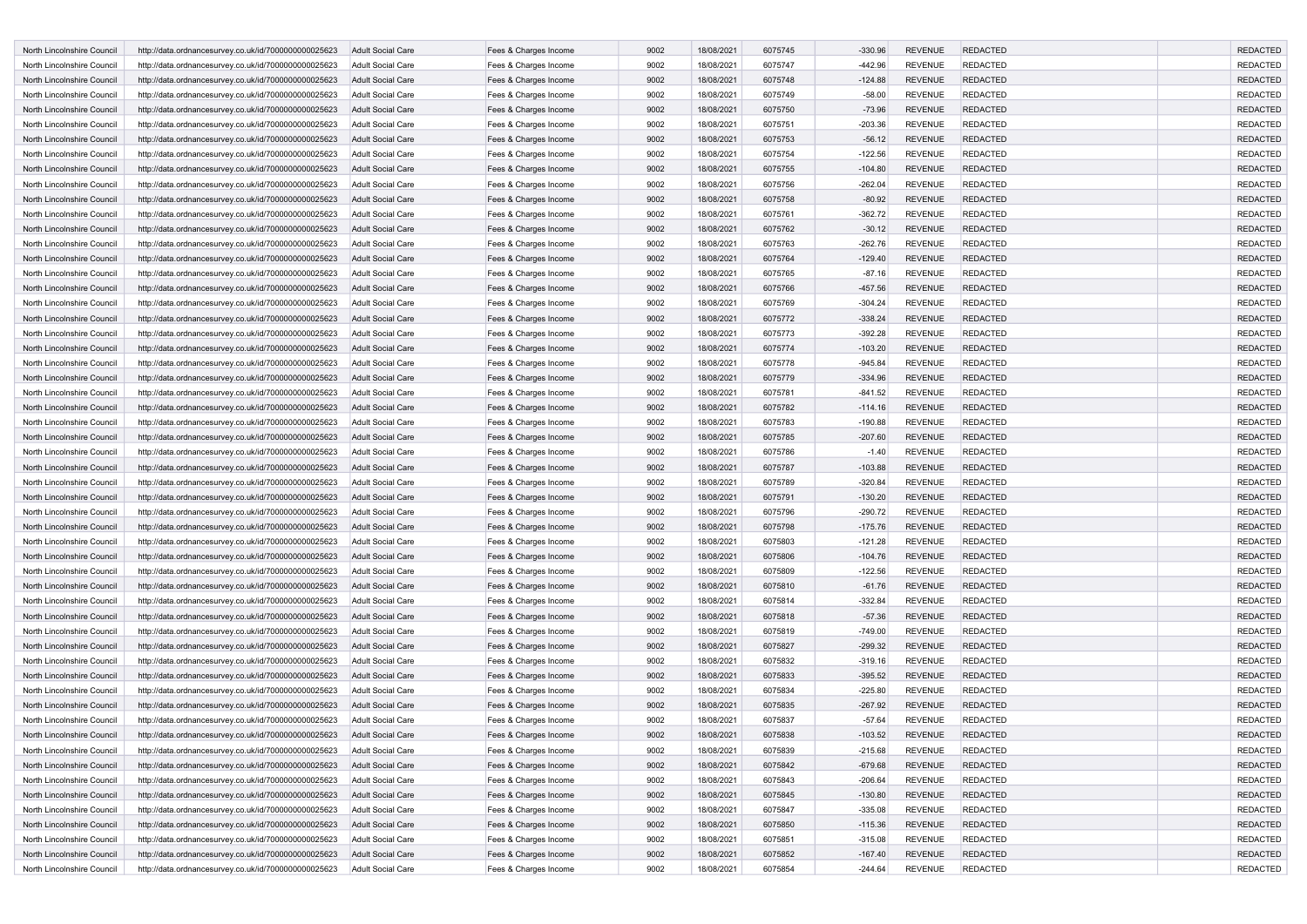| North Lincolnshire Council | http://data.ordnancesurvey.co.uk/id/7000000000025623 | <b>Adult Social Care</b> | Fees & Charges Income | 9002 | 18/08/2021 | 6075745 | $-330.96$ | <b>REVENUE</b> | <b>REDACTED</b> | <b>REDACTED</b> |
|----------------------------|------------------------------------------------------|--------------------------|-----------------------|------|------------|---------|-----------|----------------|-----------------|-----------------|
| North Lincolnshire Council | http://data.ordnancesurvey.co.uk/id/7000000000025623 | <b>Adult Social Care</b> | Fees & Charges Income | 9002 | 18/08/2021 | 6075747 | -442.96   | <b>REVENUE</b> | <b>REDACTED</b> | <b>REDACTED</b> |
| North Lincolnshire Council | http://data.ordnancesurvey.co.uk/id/7000000000025623 | <b>Adult Social Care</b> | Fees & Charges Income | 9002 | 18/08/2021 | 6075748 | $-124.88$ | <b>REVENUE</b> | <b>REDACTED</b> | <b>REDACTED</b> |
| North Lincolnshire Council | http://data.ordnancesurvey.co.uk/id/7000000000025623 | Adult Social Care        | Fees & Charges Income | 9002 | 18/08/2021 | 6075749 | $-58.00$  | <b>REVENUE</b> | <b>REDACTED</b> | <b>REDACTED</b> |
| North Lincolnshire Council | http://data.ordnancesurvey.co.uk/id/7000000000025623 | <b>Adult Social Care</b> | Fees & Charges Income | 9002 | 18/08/2021 | 6075750 | $-73.96$  | <b>REVENUE</b> | <b>REDACTED</b> | <b>REDACTED</b> |
| North Lincolnshire Council | http://data.ordnancesurvey.co.uk/id/7000000000025623 | <b>Adult Social Care</b> | Fees & Charges Income | 9002 | 18/08/2021 | 6075751 | $-203.36$ | <b>REVENUE</b> | <b>REDACTED</b> | <b>REDACTED</b> |
| North Lincolnshire Council | http://data.ordnancesurvey.co.uk/id/7000000000025623 | <b>Adult Social Care</b> | Fees & Charges Income | 9002 | 18/08/2021 | 6075753 | $-56.12$  | <b>REVENUE</b> | <b>REDACTED</b> | <b>REDACTED</b> |
| North Lincolnshire Council | http://data.ordnancesurvey.co.uk/id/7000000000025623 | Adult Social Care        | Fees & Charges Income | 9002 | 18/08/2021 | 6075754 | $-122.56$ | <b>REVENUE</b> | <b>REDACTED</b> | <b>REDACTED</b> |
| North Lincolnshire Council | http://data.ordnancesurvey.co.uk/id/7000000000025623 | <b>Adult Social Care</b> | Fees & Charges Income | 9002 | 18/08/2021 | 6075755 | $-104.80$ | <b>REVENUE</b> | <b>REDACTED</b> | <b>REDACTED</b> |
| North Lincolnshire Council | http://data.ordnancesurvey.co.uk/id/7000000000025623 | Adult Social Care        | Fees & Charges Income | 9002 | 18/08/2021 | 6075756 | $-262.04$ | <b>REVENUE</b> | <b>REDACTED</b> | <b>REDACTED</b> |
| North Lincolnshire Council | http://data.ordnancesurvey.co.uk/id/7000000000025623 | <b>Adult Social Care</b> | Fees & Charges Income | 9002 | 18/08/2021 | 6075758 | $-80.92$  | <b>REVENUE</b> | <b>REDACTED</b> | <b>REDACTED</b> |
| North Lincolnshire Council | http://data.ordnancesurvey.co.uk/id/7000000000025623 | <b>Adult Social Care</b> | Fees & Charges Income | 9002 | 18/08/2021 | 6075761 | $-362.72$ | <b>REVENUE</b> | <b>REDACTED</b> | <b>REDACTED</b> |
| North Lincolnshire Council | http://data.ordnancesurvey.co.uk/id/7000000000025623 | <b>Adult Social Care</b> | Fees & Charges Income | 9002 | 18/08/2021 | 6075762 | $-30.12$  | <b>REVENUE</b> | <b>REDACTED</b> | <b>REDACTED</b> |
| North Lincolnshire Council | http://data.ordnancesurvey.co.uk/id/7000000000025623 | Adult Social Care        | Fees & Charges Income | 9002 | 18/08/2021 | 6075763 | $-262.76$ | <b>REVENUE</b> | <b>REDACTED</b> | <b>REDACTED</b> |
| North Lincolnshire Council | http://data.ordnancesurvey.co.uk/id/7000000000025623 | <b>Adult Social Care</b> | Fees & Charges Income | 9002 | 18/08/2021 | 6075764 | $-129.40$ | <b>REVENUE</b> | <b>REDACTED</b> | <b>REDACTED</b> |
| North Lincolnshire Council | http://data.ordnancesurvey.co.uk/id/7000000000025623 | <b>Adult Social Care</b> | Fees & Charges Income | 9002 | 18/08/2021 | 6075765 | $-87.16$  | <b>REVENUE</b> | <b>REDACTED</b> | <b>REDACTED</b> |
| North Lincolnshire Council | http://data.ordnancesurvey.co.uk/id/7000000000025623 | <b>Adult Social Care</b> | Fees & Charges Income | 9002 | 18/08/2021 | 6075766 | -457.56   | <b>REVENUE</b> | <b>REDACTED</b> | <b>REDACTED</b> |
| North Lincolnshire Council | http://data.ordnancesurvey.co.uk/id/7000000000025623 | Adult Social Care        | Fees & Charges Income | 9002 | 18/08/2021 | 6075769 | $-304.24$ | <b>REVENUE</b> | <b>REDACTED</b> | <b>REDACTED</b> |
| North Lincolnshire Council | http://data.ordnancesurvey.co.uk/id/7000000000025623 | <b>Adult Social Care</b> | Fees & Charges Income | 9002 | 18/08/2021 | 6075772 | $-338.24$ | <b>REVENUE</b> | <b>REDACTED</b> | <b>REDACTED</b> |
|                            |                                                      |                          |                       |      |            |         |           |                |                 |                 |
| North Lincolnshire Council | http://data.ordnancesurvey.co.uk/id/7000000000025623 | Adult Social Care        | Fees & Charges Income | 9002 | 18/08/2021 | 6075773 | $-392.28$ | <b>REVENUE</b> | <b>REDACTED</b> | <b>REDACTED</b> |
| North Lincolnshire Council | http://data.ordnancesurvey.co.uk/id/7000000000025623 | <b>Adult Social Care</b> | Fees & Charges Income | 9002 | 18/08/2021 | 6075774 | $-103.20$ | <b>REVENUE</b> | <b>REDACTED</b> | <b>REDACTED</b> |
| North Lincolnshire Council | http://data.ordnancesurvey.co.uk/id/7000000000025623 | Adult Social Care        | Fees & Charges Income | 9002 | 18/08/2021 | 6075778 | $-945.84$ | <b>REVENUE</b> | <b>REDACTED</b> | <b>REDACTED</b> |
| North Lincolnshire Council | http://data.ordnancesurvey.co.uk/id/7000000000025623 | <b>Adult Social Care</b> | Fees & Charges Income | 9002 | 18/08/2021 | 6075779 | $-334.96$ | <b>REVENUE</b> | <b>REDACTED</b> | <b>REDACTED</b> |
| North Lincolnshire Council | http://data.ordnancesurvey.co.uk/id/7000000000025623 | <b>Adult Social Care</b> | Fees & Charges Income | 9002 | 18/08/2021 | 6075781 | $-841.52$ | <b>REVENUE</b> | <b>REDACTED</b> | <b>REDACTED</b> |
| North Lincolnshire Council | http://data.ordnancesurvey.co.uk/id/7000000000025623 | <b>Adult Social Care</b> | Fees & Charges Income | 9002 | 18/08/2021 | 6075782 | $-114.16$ | <b>REVENUE</b> | <b>REDACTED</b> | <b>REDACTED</b> |
| North Lincolnshire Council | http://data.ordnancesurvey.co.uk/id/7000000000025623 | <b>Adult Social Care</b> | Fees & Charges Income | 9002 | 18/08/2021 | 6075783 | $-190.88$ | <b>REVENUE</b> | <b>REDACTED</b> | <b>REDACTED</b> |
| North Lincolnshire Council | http://data.ordnancesurvey.co.uk/id/7000000000025623 | <b>Adult Social Care</b> | Fees & Charges Income | 9002 | 18/08/2021 | 6075785 | $-207.60$ | <b>REVENUE</b> | <b>REDACTED</b> | <b>REDACTED</b> |
| North Lincolnshire Council | http://data.ordnancesurvey.co.uk/id/7000000000025623 | Adult Social Care        | Fees & Charges Income | 9002 | 18/08/2021 | 6075786 | $-1.40$   | <b>REVENUE</b> | <b>REDACTED</b> | <b>REDACTED</b> |
| North Lincolnshire Council | http://data.ordnancesurvey.co.uk/id/7000000000025623 | <b>Adult Social Care</b> | Fees & Charges Income | 9002 | 18/08/2021 | 6075787 | $-103.88$ | <b>REVENUE</b> | <b>REDACTED</b> | <b>REDACTED</b> |
| North Lincolnshire Council | http://data.ordnancesurvey.co.uk/id/7000000000025623 | Adult Social Care        | Fees & Charges Income | 9002 | 18/08/2021 | 6075789 | $-320.84$ | <b>REVENUE</b> | <b>REDACTED</b> | <b>REDACTED</b> |
| North Lincolnshire Council | http://data.ordnancesurvey.co.uk/id/7000000000025623 | <b>Adult Social Care</b> | Fees & Charges Income | 9002 | 18/08/2021 | 6075791 | $-130.20$ | <b>REVENUE</b> | <b>REDACTED</b> | <b>REDACTED</b> |
| North Lincolnshire Council | http://data.ordnancesurvey.co.uk/id/7000000000025623 | <b>Adult Social Care</b> | Fees & Charges Income | 9002 | 18/08/2021 | 6075796 | $-290.72$ | <b>REVENUE</b> | <b>REDACTED</b> | <b>REDACTED</b> |
| North Lincolnshire Council | http://data.ordnancesurvey.co.uk/id/7000000000025623 | <b>Adult Social Care</b> | Fees & Charges Income | 9002 | 18/08/2021 | 6075798 | $-175.76$ | <b>REVENUE</b> | <b>REDACTED</b> | <b>REDACTED</b> |
| North Lincolnshire Council | http://data.ordnancesurvey.co.uk/id/7000000000025623 | <b>Adult Social Care</b> | Fees & Charges Income | 9002 | 18/08/2021 | 6075803 | $-121.28$ | <b>REVENUE</b> | <b>REDACTED</b> | <b>REDACTED</b> |
| North Lincolnshire Council | http://data.ordnancesurvey.co.uk/id/7000000000025623 | <b>Adult Social Care</b> | Fees & Charges Income | 9002 | 18/08/2021 | 6075806 | $-104.76$ | <b>REVENUE</b> | <b>REDACTED</b> | <b>REDACTED</b> |
| North Lincolnshire Council | http://data.ordnancesurvey.co.uk/id/7000000000025623 | <b>Adult Social Care</b> | Fees & Charges Income | 9002 | 18/08/2021 | 6075809 | $-122.56$ | <b>REVENUE</b> | <b>REDACTED</b> | <b>REDACTED</b> |
| North Lincolnshire Council | http://data.ordnancesurvey.co.uk/id/7000000000025623 | <b>Adult Social Care</b> | Fees & Charges Income | 9002 | 18/08/2021 | 6075810 | $-61.76$  | <b>REVENUE</b> | <b>REDACTED</b> | <b>REDACTED</b> |
| North Lincolnshire Council | http://data.ordnancesurvey.co.uk/id/7000000000025623 | Adult Social Care        | Fees & Charges Income | 9002 | 18/08/2021 | 6075814 | $-332.84$ | <b>REVENUE</b> | <b>REDACTED</b> | <b>REDACTED</b> |
| North Lincolnshire Council | http://data.ordnancesurvey.co.uk/id/7000000000025623 | <b>Adult Social Care</b> | Fees & Charges Income | 9002 | 18/08/2021 | 6075818 | $-57.36$  | <b>REVENUE</b> | <b>REDACTED</b> | <b>REDACTED</b> |
| North Lincolnshire Council | http://data.ordnancesurvey.co.uk/id/7000000000025623 | Adult Social Care        | Fees & Charges Income | 9002 | 18/08/2021 | 6075819 | $-749.00$ | <b>REVENUE</b> | <b>REDACTED</b> | <b>REDACTED</b> |
| North Lincolnshire Council | http://data.ordnancesurvey.co.uk/id/7000000000025623 | <b>Adult Social Care</b> | Fees & Charges Income | 9002 | 18/08/2021 | 6075827 | $-299.32$ | <b>REVENUE</b> | <b>REDACTED</b> | <b>REDACTED</b> |
| North Lincolnshire Council | http://data.ordnancesurvey.co.uk/id/7000000000025623 | <b>Adult Social Care</b> | Fees & Charges Income | 9002 | 18/08/2021 | 6075832 | $-319.16$ | <b>REVENUE</b> | <b>REDACTED</b> | <b>REDACTED</b> |
| North Lincolnshire Council | http://data.ordnancesurvey.co.uk/id/7000000000025623 | <b>Adult Social Care</b> | Fees & Charges Income | 9002 | 18/08/2021 | 6075833 | $-395.52$ | <b>REVENUE</b> | <b>REDACTED</b> | <b>REDACTED</b> |
| North Lincolnshire Council | http://data.ordnancesurvey.co.uk/id/7000000000025623 | <b>Adult Social Care</b> | Fees & Charges Income | 9002 | 18/08/2021 | 6075834 | $-225.80$ | <b>REVENUE</b> | <b>REDACTED</b> | <b>REDACTED</b> |
| North Lincolnshire Council | http://data.ordnancesurvey.co.uk/id/7000000000025623 | <b>Adult Social Care</b> | Fees & Charges Income | 9002 | 18/08/2021 | 6075835 | $-267.92$ | <b>REVENUE</b> | <b>REDACTED</b> | <b>REDACTED</b> |
| North Lincolnshire Council | http://data.ordnancesurvey.co.uk/id/7000000000025623 | <b>Adult Social Care</b> | Fees & Charges Income | 9002 | 18/08/2021 | 6075837 | $-57.64$  | <b>REVENUE</b> | <b>REDACTED</b> | <b>REDACTED</b> |
| North Lincolnshire Council | http://data.ordnancesurvey.co.uk/id/7000000000025623 | <b>Adult Social Care</b> | Fees & Charges Income | 9002 | 18/08/2021 | 6075838 | $-103.52$ | <b>REVENUE</b> | <b>REDACTED</b> | <b>REDACTED</b> |
| North Lincolnshire Council |                                                      | Adult Social Care        |                       | 9002 |            | 6075839 |           | <b>REVENUE</b> | <b>REDACTED</b> | <b>REDACTED</b> |
|                            | http://data.ordnancesurvey.co.uk/id/7000000000025623 |                          | Fees & Charges Income |      | 18/08/2021 |         | $-215.68$ |                |                 | <b>REDACTED</b> |
| North Lincolnshire Council | http://data.ordnancesurvey.co.uk/id/7000000000025623 | <b>Adult Social Care</b> | Fees & Charges Income | 9002 | 18/08/2021 | 6075842 | $-679.68$ | <b>REVENUE</b> | <b>REDACTED</b> |                 |
| North Lincolnshire Council | http://data.ordnancesurvey.co.uk/id/7000000000025623 | Adult Social Care        | Fees & Charges Income | 9002 | 18/08/2021 | 6075843 | $-206.64$ | <b>REVENUE</b> | <b>REDACTED</b> | <b>REDACTED</b> |
| North Lincolnshire Council | http://data.ordnancesurvey.co.uk/id/7000000000025623 | <b>Adult Social Care</b> | Fees & Charges Income | 9002 | 18/08/2021 | 6075845 | $-130.80$ | <b>REVENUE</b> | <b>REDACTED</b> | <b>REDACTED</b> |
| North Lincolnshire Council | http://data.ordnancesurvey.co.uk/id/7000000000025623 | Adult Social Care        | Fees & Charges Income | 9002 | 18/08/2021 | 6075847 | $-335.08$ | <b>REVENUE</b> | <b>REDACTED</b> | <b>REDACTED</b> |
| North Lincolnshire Council | http://data.ordnancesurvey.co.uk/id/7000000000025623 | Adult Social Care        | Fees & Charges Income | 9002 | 18/08/2021 | 6075850 | $-115.36$ | <b>REVENUE</b> | <b>REDACTED</b> | <b>REDACTED</b> |
| North Lincolnshire Council | http://data.ordnancesurvey.co.uk/id/7000000000025623 | Adult Social Care        | Fees & Charges Income | 9002 | 18/08/2021 | 6075851 | $-315.08$ | <b>REVENUE</b> | <b>REDACTED</b> | <b>REDACTED</b> |
| North Lincolnshire Council | http://data.ordnancesurvey.co.uk/id/7000000000025623 | Adult Social Care        | Fees & Charges Income | 9002 | 18/08/2021 | 6075852 | $-167.40$ | <b>REVENUE</b> | <b>REDACTED</b> | <b>REDACTED</b> |
| North Lincolnshire Council | http://data.ordnancesurvey.co.uk/id/7000000000025623 | Adult Social Care        | Fees & Charges Income | 9002 | 18/08/2021 | 6075854 | $-244.64$ | REVENUE        | <b>REDACTED</b> | REDACTED        |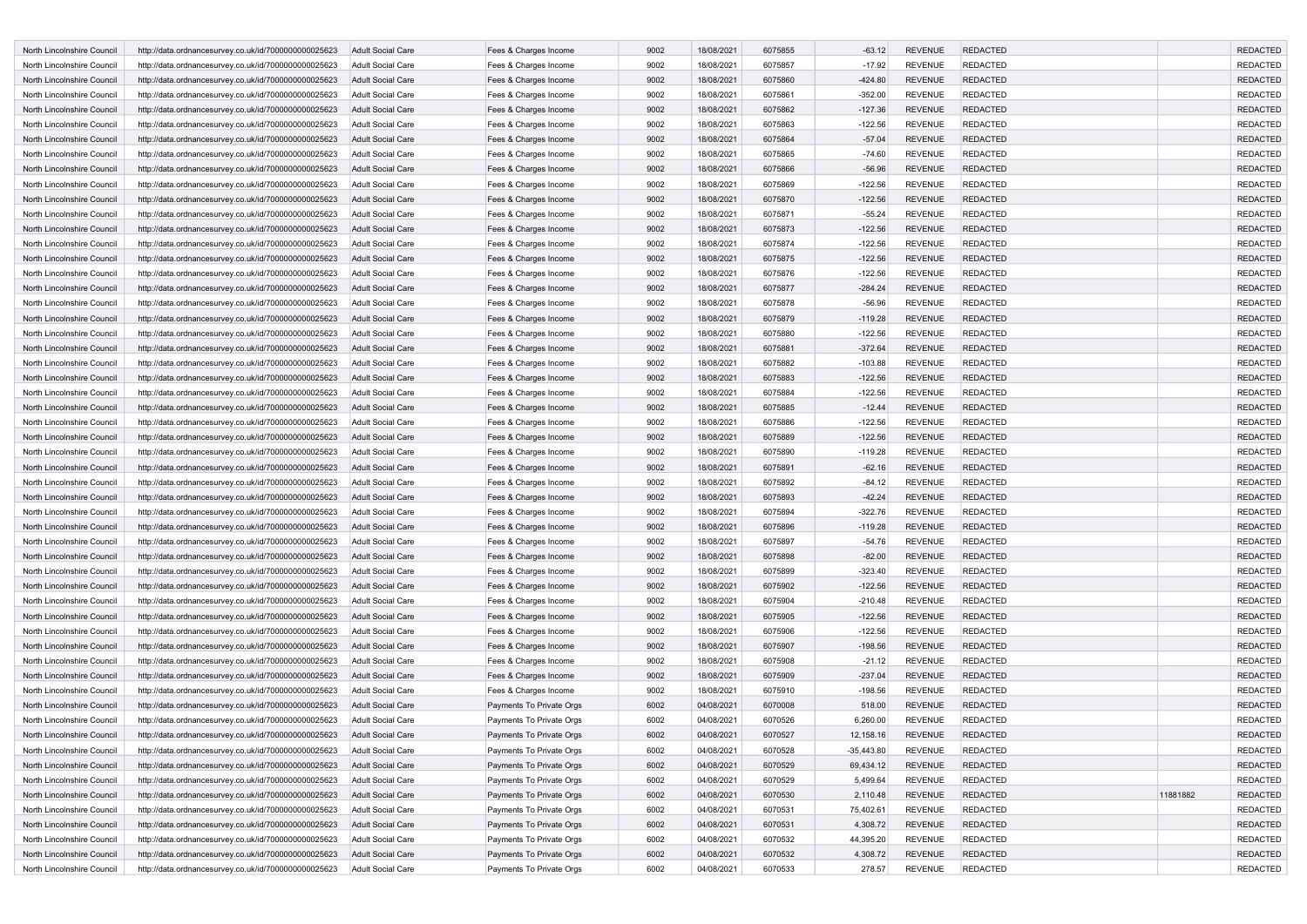| North Lincolnshire Council | http://data.ordnancesurvey.co.uk/id/7000000000025623 | <b>Adult Social Care</b> | Fees & Charges Income    | 9002 | 18/08/2021 | 6075855 | $-63.12$     | <b>REVENUE</b> | <b>REDACTED</b> |          | <b>REDACTED</b> |
|----------------------------|------------------------------------------------------|--------------------------|--------------------------|------|------------|---------|--------------|----------------|-----------------|----------|-----------------|
| North Lincolnshire Council | http://data.ordnancesurvey.co.uk/id/7000000000025623 | <b>Adult Social Care</b> | Fees & Charges Income    | 9002 | 18/08/2021 | 6075857 | $-17.92$     | <b>REVENUE</b> | <b>REDACTED</b> |          | <b>REDACTED</b> |
| North Lincolnshire Council | http://data.ordnancesurvey.co.uk/id/7000000000025623 | <b>Adult Social Care</b> | Fees & Charges Income    | 9002 | 18/08/2021 | 6075860 | -424.80      | <b>REVENUE</b> | <b>REDACTED</b> |          | <b>REDACTED</b> |
| North Lincolnshire Council | http://data.ordnancesurvey.co.uk/id/7000000000025623 | Adult Social Care        | Fees & Charges Income    | 9002 | 18/08/2021 | 6075861 | $-352.00$    | <b>REVENUE</b> | <b>REDACTED</b> |          | <b>REDACTED</b> |
| North Lincolnshire Council | http://data.ordnancesurvey.co.uk/id/7000000000025623 | <b>Adult Social Care</b> | Fees & Charges Income    | 9002 | 18/08/2021 | 6075862 | $-127.36$    | <b>REVENUE</b> | <b>REDACTED</b> |          | <b>REDACTED</b> |
| North Lincolnshire Council | http://data.ordnancesurvey.co.uk/id/7000000000025623 | <b>Adult Social Care</b> | Fees & Charges Income    | 9002 | 18/08/2021 | 6075863 | $-122.56$    | <b>REVENUE</b> | <b>REDACTED</b> |          | <b>REDACTED</b> |
| North Lincolnshire Council | http://data.ordnancesurvey.co.uk/id/7000000000025623 | <b>Adult Social Care</b> | Fees & Charges Income    | 9002 | 18/08/2021 | 6075864 | $-57.04$     | <b>REVENUE</b> | <b>REDACTED</b> |          | <b>REDACTED</b> |
| North Lincolnshire Council | http://data.ordnancesurvey.co.uk/id/7000000000025623 | Adult Social Care        | Fees & Charges Income    | 9002 | 18/08/2021 | 6075865 | $-74.60$     | <b>REVENUE</b> | <b>REDACTED</b> |          | <b>REDACTED</b> |
| North Lincolnshire Council | http://data.ordnancesurvey.co.uk/id/7000000000025623 | <b>Adult Social Care</b> | Fees & Charges Income    | 9002 | 18/08/2021 | 6075866 | $-56.96$     | <b>REVENUE</b> | <b>REDACTED</b> |          | <b>REDACTED</b> |
| North Lincolnshire Council | http://data.ordnancesurvey.co.uk/id/7000000000025623 | Adult Social Care        | Fees & Charges Income    | 9002 | 18/08/2021 | 6075869 | $-122.56$    | <b>REVENUE</b> | <b>REDACTED</b> |          | <b>REDACTED</b> |
| North Lincolnshire Council | http://data.ordnancesurvey.co.uk/id/7000000000025623 | <b>Adult Social Care</b> | Fees & Charges Income    | 9002 | 18/08/2021 | 6075870 | $-122.56$    | <b>REVENUE</b> | <b>REDACTED</b> |          | <b>REDACTED</b> |
| North Lincolnshire Council | http://data.ordnancesurvey.co.uk/id/7000000000025623 | <b>Adult Social Care</b> | Fees & Charges Income    | 9002 | 18/08/2021 | 6075871 | $-55.24$     | <b>REVENUE</b> | <b>REDACTED</b> |          | <b>REDACTED</b> |
| North Lincolnshire Council | http://data.ordnancesurvey.co.uk/id/7000000000025623 | <b>Adult Social Care</b> | Fees & Charges Income    | 9002 | 18/08/2021 | 6075873 | $-122.56$    | <b>REVENUE</b> | <b>REDACTED</b> |          | <b>REDACTED</b> |
| North Lincolnshire Council | http://data.ordnancesurvey.co.uk/id/7000000000025623 | Adult Social Care        | Fees & Charges Income    | 9002 | 18/08/2021 | 6075874 | $-122.56$    | <b>REVENUE</b> | <b>REDACTED</b> |          | <b>REDACTED</b> |
| North Lincolnshire Council | http://data.ordnancesurvey.co.uk/id/7000000000025623 | <b>Adult Social Care</b> | Fees & Charges Income    | 9002 | 18/08/2021 | 6075875 | $-122.56$    | <b>REVENUE</b> | <b>REDACTED</b> |          | <b>REDACTED</b> |
|                            |                                                      |                          |                          |      |            |         |              |                |                 |          |                 |
| North Lincolnshire Council | http://data.ordnancesurvey.co.uk/id/7000000000025623 | <b>Adult Social Care</b> | Fees & Charges Income    | 9002 | 18/08/2021 | 6075876 | $-122.56$    | <b>REVENUE</b> | <b>REDACTED</b> |          | <b>REDACTED</b> |
| North Lincolnshire Council | http://data.ordnancesurvey.co.uk/id/7000000000025623 | <b>Adult Social Care</b> | Fees & Charges Income    | 9002 | 18/08/2021 | 6075877 | $-284.24$    | <b>REVENUE</b> | <b>REDACTED</b> |          | <b>REDACTED</b> |
| North Lincolnshire Council | http://data.ordnancesurvey.co.uk/id/7000000000025623 | Adult Social Care        | Fees & Charges Income    | 9002 | 18/08/2021 | 6075878 | $-56.96$     | <b>REVENUE</b> | <b>REDACTED</b> |          | <b>REDACTED</b> |
| North Lincolnshire Council | http://data.ordnancesurvey.co.uk/id/7000000000025623 | <b>Adult Social Care</b> | Fees & Charges Income    | 9002 | 18/08/2021 | 6075879 | $-119.28$    | <b>REVENUE</b> | <b>REDACTED</b> |          | <b>REDACTED</b> |
| North Lincolnshire Council | http://data.ordnancesurvey.co.uk/id/7000000000025623 | Adult Social Care        | Fees & Charges Income    | 9002 | 18/08/2021 | 6075880 | $-122.56$    | <b>REVENUE</b> | <b>REDACTED</b> |          | <b>REDACTED</b> |
| North Lincolnshire Council | http://data.ordnancesurvey.co.uk/id/7000000000025623 | <b>Adult Social Care</b> | Fees & Charges Income    | 9002 | 18/08/2021 | 6075881 | $-372.64$    | <b>REVENUE</b> | <b>REDACTED</b> |          | <b>REDACTED</b> |
| North Lincolnshire Council | http://data.ordnancesurvey.co.uk/id/7000000000025623 | <b>Adult Social Care</b> | Fees & Charges Income    | 9002 | 18/08/2021 | 6075882 | $-103.88$    | <b>REVENUE</b> | <b>REDACTED</b> |          | <b>REDACTED</b> |
| North Lincolnshire Council | http://data.ordnancesurvey.co.uk/id/7000000000025623 | <b>Adult Social Care</b> | Fees & Charges Income    | 9002 | 18/08/2021 | 6075883 | $-122.56$    | <b>REVENUE</b> | <b>REDACTED</b> |          | <b>REDACTED</b> |
| North Lincolnshire Council | http://data.ordnancesurvey.co.uk/id/7000000000025623 | <b>Adult Social Care</b> | Fees & Charges Income    | 9002 | 18/08/2021 | 6075884 | $-122.56$    | <b>REVENUE</b> | <b>REDACTED</b> |          | <b>REDACTED</b> |
| North Lincolnshire Council | http://data.ordnancesurvey.co.uk/id/7000000000025623 | <b>Adult Social Care</b> | Fees & Charges Income    | 9002 | 18/08/2021 | 6075885 | $-12.44$     | <b>REVENUE</b> | <b>REDACTED</b> |          | <b>REDACTED</b> |
| North Lincolnshire Council | http://data.ordnancesurvey.co.uk/id/7000000000025623 | <b>Adult Social Care</b> | Fees & Charges Income    | 9002 | 18/08/2021 | 6075886 | $-122.56$    | <b>REVENUE</b> | <b>REDACTED</b> |          | <b>REDACTED</b> |
| North Lincolnshire Council | http://data.ordnancesurvey.co.uk/id/7000000000025623 | <b>Adult Social Care</b> | Fees & Charges Income    | 9002 | 18/08/2021 | 6075889 | $-122.56$    | <b>REVENUE</b> | <b>REDACTED</b> |          | <b>REDACTED</b> |
| North Lincolnshire Council | http://data.ordnancesurvey.co.uk/id/7000000000025623 | Adult Social Care        | Fees & Charges Income    | 9002 | 18/08/2021 | 6075890 | $-119.28$    | <b>REVENUE</b> | <b>REDACTED</b> |          | <b>REDACTED</b> |
| North Lincolnshire Council | http://data.ordnancesurvey.co.uk/id/7000000000025623 | <b>Adult Social Care</b> | Fees & Charges Income    | 9002 | 18/08/2021 | 6075891 | $-62.16$     | <b>REVENUE</b> | <b>REDACTED</b> |          | <b>REDACTED</b> |
| North Lincolnshire Council | http://data.ordnancesurvey.co.uk/id/7000000000025623 | <b>Adult Social Care</b> | Fees & Charges Income    | 9002 | 18/08/2021 | 6075892 | $-84.12$     | <b>REVENUE</b> | <b>REDACTED</b> |          | <b>REDACTED</b> |
| North Lincolnshire Council | http://data.ordnancesurvey.co.uk/id/7000000000025623 | <b>Adult Social Care</b> | Fees & Charges Income    | 9002 | 18/08/2021 | 6075893 | $-42.24$     | <b>REVENUE</b> | <b>REDACTED</b> |          | <b>REDACTED</b> |
| North Lincolnshire Council | http://data.ordnancesurvey.co.uk/id/7000000000025623 | <b>Adult Social Care</b> | Fees & Charges Income    | 9002 | 18/08/2021 | 6075894 | $-322.76$    | <b>REVENUE</b> | <b>REDACTED</b> |          | <b>REDACTED</b> |
| North Lincolnshire Council | http://data.ordnancesurvey.co.uk/id/7000000000025623 | <b>Adult Social Care</b> | Fees & Charges Income    | 9002 | 18/08/2021 | 6075896 | $-119.28$    | <b>REVENUE</b> | <b>REDACTED</b> |          | <b>REDACTED</b> |
| North Lincolnshire Council | http://data.ordnancesurvey.co.uk/id/7000000000025623 | <b>Adult Social Care</b> | Fees & Charges Income    | 9002 | 18/08/2021 | 6075897 | $-54.76$     | <b>REVENUE</b> | <b>REDACTED</b> |          | <b>REDACTED</b> |
|                            |                                                      |                          |                          | 9002 |            |         |              |                | <b>REDACTED</b> |          | <b>REDACTED</b> |
| North Lincolnshire Council | http://data.ordnancesurvey.co.uk/id/7000000000025623 | <b>Adult Social Care</b> | Fees & Charges Income    |      | 18/08/2021 | 6075898 | $-82.00$     | <b>REVENUE</b> |                 |          |                 |
| North Lincolnshire Council | http://data.ordnancesurvey.co.uk/id/7000000000025623 | <b>Adult Social Care</b> | Fees & Charges Income    | 9002 | 18/08/2021 | 6075899 | $-323.40$    | <b>REVENUE</b> | <b>REDACTED</b> |          | <b>REDACTED</b> |
| North Lincolnshire Council | http://data.ordnancesurvey.co.uk/id/7000000000025623 | <b>Adult Social Care</b> | Fees & Charges Income    | 9002 | 18/08/2021 | 6075902 | $-122.56$    | <b>REVENUE</b> | <b>REDACTED</b> |          | <b>REDACTED</b> |
| North Lincolnshire Council | http://data.ordnancesurvey.co.uk/id/7000000000025623 | Adult Social Care        | Fees & Charges Income    | 9002 | 18/08/2021 | 6075904 | $-210.48$    | <b>REVENUE</b> | <b>REDACTED</b> |          | <b>REDACTED</b> |
| North Lincolnshire Council | http://data.ordnancesurvey.co.uk/id/7000000000025623 | <b>Adult Social Care</b> | Fees & Charges Income    | 9002 | 18/08/2021 | 6075905 | $-122.56$    | <b>REVENUE</b> | <b>REDACTED</b> |          | <b>REDACTED</b> |
| North Lincolnshire Council | http://data.ordnancesurvey.co.uk/id/7000000000025623 | Adult Social Care        | Fees & Charges Income    | 9002 | 18/08/2021 | 6075906 | $-122.56$    | <b>REVENUE</b> | <b>REDACTED</b> |          | <b>REDACTED</b> |
| North Lincolnshire Council | http://data.ordnancesurvey.co.uk/id/7000000000025623 | <b>Adult Social Care</b> | Fees & Charges Income    | 9002 | 18/08/2021 | 6075907 | $-198.56$    | <b>REVENUE</b> | <b>REDACTED</b> |          | <b>REDACTED</b> |
| North Lincolnshire Council | http://data.ordnancesurvey.co.uk/id/7000000000025623 | <b>Adult Social Care</b> | Fees & Charges Income    | 9002 | 18/08/2021 | 6075908 | $-21.12$     | <b>REVENUE</b> | <b>REDACTED</b> |          | <b>REDACTED</b> |
| North Lincolnshire Council | http://data.ordnancesurvey.co.uk/id/7000000000025623 | <b>Adult Social Care</b> | Fees & Charges Income    | 9002 | 18/08/2021 | 6075909 | $-237.04$    | <b>REVENUE</b> | <b>REDACTED</b> |          | <b>REDACTED</b> |
| North Lincolnshire Council | http://data.ordnancesurvey.co.uk/id/7000000000025623 | <b>Adult Social Care</b> | Fees & Charges Income    | 9002 | 18/08/2021 | 6075910 | $-198.56$    | <b>REVENUE</b> | <b>REDACTED</b> |          | <b>REDACTED</b> |
| North Lincolnshire Council | http://data.ordnancesurvey.co.uk/id/7000000000025623 | <b>Adult Social Care</b> | Payments To Private Orgs | 6002 | 04/08/2021 | 6070008 | 518.00       | <b>REVENUE</b> | <b>REDACTED</b> |          | <b>REDACTED</b> |
| North Lincolnshire Council | http://data.ordnancesurvey.co.uk/id/7000000000025623 | <b>Adult Social Care</b> | Payments To Private Oras | 6002 | 04/08/2021 | 6070526 | 6,260.00     | <b>REVENUE</b> | <b>REDACTED</b> |          | <b>REDACTED</b> |
| North Lincolnshire Council | http://data.ordnancesurvey.co.uk/id/7000000000025623 | <b>Adult Social Care</b> | Payments To Private Orgs | 6002 | 04/08/2021 | 6070527 | 12,158.16    | <b>REVENUE</b> | <b>REDACTED</b> |          | <b>REDACTED</b> |
| North Lincolnshire Council | http://data.ordnancesurvey.co.uk/id/7000000000025623 | Adult Social Care        | Payments To Private Orgs | 6002 | 04/08/2021 | 6070528 | $-35,443.80$ | <b>REVENUE</b> | <b>REDACTED</b> |          | <b>REDACTED</b> |
| North Lincolnshire Council | http://data.ordnancesurvey.co.uk/id/7000000000025623 | <b>Adult Social Care</b> | Payments To Private Orgs | 6002 | 04/08/2021 | 6070529 | 69,434.12    | <b>REVENUE</b> | <b>REDACTED</b> |          | <b>REDACTED</b> |
| North Lincolnshire Council | http://data.ordnancesurvey.co.uk/id/7000000000025623 | Adult Social Care        | Payments To Private Orgs | 6002 | 04/08/2021 | 6070529 | 5,499.64     | <b>REVENUE</b> | <b>REDACTED</b> |          | <b>REDACTED</b> |
| North Lincolnshire Council | http://data.ordnancesurvey.co.uk/id/7000000000025623 | Adult Social Care        | Payments To Private Orgs | 6002 | 04/08/2021 | 6070530 | 2,110.48     | <b>REVENUE</b> | <b>REDACTED</b> | 11881882 | <b>REDACTED</b> |
| North Lincolnshire Council | http://data.ordnancesurvey.co.uk/id/7000000000025623 | Adult Social Care        | Payments To Private Orgs | 6002 | 04/08/2021 | 6070531 | 75,402.61    | <b>REVENUE</b> | <b>REDACTED</b> |          | <b>REDACTED</b> |
|                            |                                                      |                          |                          |      |            |         |              |                |                 |          |                 |
| North Lincolnshire Council | http://data.ordnancesurvey.co.uk/id/7000000000025623 | <b>Adult Social Care</b> | Payments To Private Orgs | 6002 | 04/08/2021 | 6070531 | 4,308.72     | <b>REVENUE</b> | <b>REDACTED</b> |          | <b>REDACTED</b> |
| North Lincolnshire Council | http://data.ordnancesurvey.co.uk/id/7000000000025623 | Adult Social Care        | Payments To Private Orgs | 6002 | 04/08/2021 | 6070532 | 44,395.20    | <b>REVENUE</b> | <b>REDACTED</b> |          | <b>REDACTED</b> |
| North Lincolnshire Council | http://data.ordnancesurvey.co.uk/id/7000000000025623 | Adult Social Care        | Payments To Private Orgs | 6002 | 04/08/2021 | 6070532 | 4,308.72     | <b>REVENUE</b> | <b>REDACTED</b> |          | <b>REDACTED</b> |
| North Lincolnshire Council | http://data.ordnancesurvey.co.uk/id/7000000000025623 | Adult Social Care        | Payments To Private Orgs | 6002 | 04/08/2021 | 6070533 | 278.57       | REVENUE        | <b>REDACTED</b> |          | REDACTED        |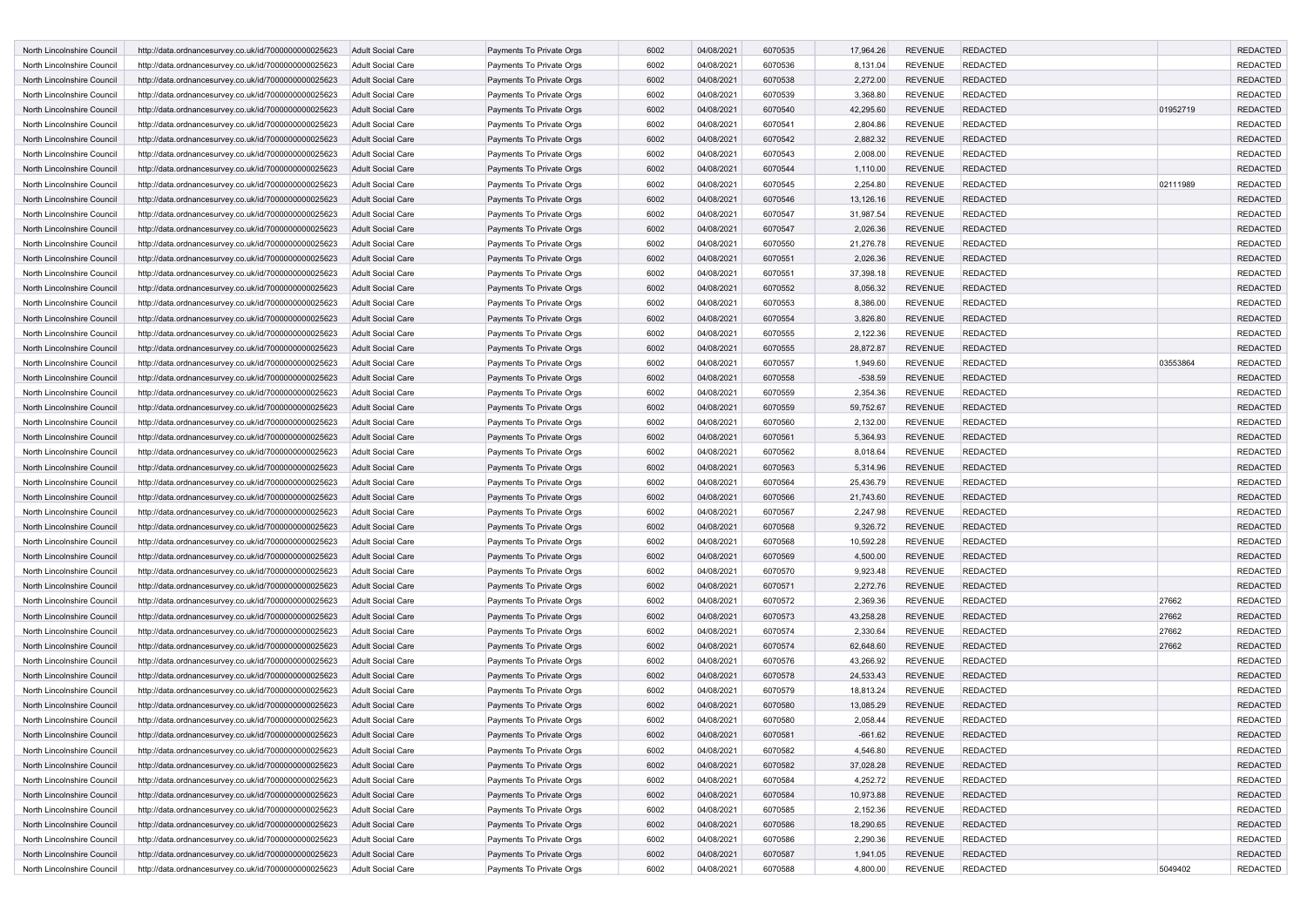| North Lincolnshire Council | http://data.ordnancesurvey.co.uk/id/7000000000025623 | Adult Social Care        | Payments To Private Orgs | 6002 | 04/08/2021 | 6070535 | 17,964.26 | <b>REVENUE</b> | <b>REDACTED</b> |          | <b>REDACTED</b> |
|----------------------------|------------------------------------------------------|--------------------------|--------------------------|------|------------|---------|-----------|----------------|-----------------|----------|-----------------|
| North Lincolnshire Council | http://data.ordnancesurvey.co.uk/id/7000000000025623 | Adult Social Care        | Payments To Private Orgs | 6002 | 04/08/2021 | 6070536 | 8,131.04  | <b>REVENUE</b> | <b>REDACTED</b> |          | <b>REDACTED</b> |
| North Lincolnshire Council | http://data.ordnancesurvey.co.uk/id/7000000000025623 | Adult Social Care        | Payments To Private Orgs | 6002 | 04/08/2021 | 6070538 | 2,272.00  | <b>REVENUE</b> | <b>REDACTED</b> |          | REDACTED        |
| North Lincolnshire Council | http://data.ordnancesurvey.co.uk/id/7000000000025623 | <b>Adult Social Care</b> | Payments To Private Orgs | 6002 | 04/08/2021 | 6070539 | 3,368.80  | REVENUE        | <b>REDACTED</b> |          | <b>REDACTED</b> |
| North Lincolnshire Council | http://data.ordnancesurvey.co.uk/id/7000000000025623 | <b>Adult Social Care</b> | Payments To Private Orgs | 6002 | 04/08/2021 | 6070540 | 42,295.60 | <b>REVENUE</b> | <b>REDACTED</b> | 01952719 | <b>REDACTED</b> |
| North Lincolnshire Council | http://data.ordnancesurvey.co.uk/id/7000000000025623 | Adult Social Care        | Payments To Private Orgs | 6002 | 04/08/2021 | 6070541 | 2,804.86  | <b>REVENUE</b> | <b>REDACTED</b> |          | <b>REDACTED</b> |
| North Lincolnshire Council | http://data.ordnancesurvey.co.uk/id/7000000000025623 | <b>Adult Social Care</b> | Payments To Private Orgs | 6002 | 04/08/2021 | 6070542 | 2,882.32  | <b>REVENUE</b> | <b>REDACTED</b> |          | <b>REDACTED</b> |
| North Lincolnshire Council | http://data.ordnancesurvey.co.uk/id/7000000000025623 | Adult Social Care        | Payments To Private Orgs | 6002 | 04/08/2021 | 6070543 | 2,008.00  | <b>REVENUE</b> | <b>REDACTED</b> |          | <b>REDACTED</b> |
| North Lincolnshire Council | http://data.ordnancesurvey.co.uk/id/7000000000025623 | <b>Adult Social Care</b> | Payments To Private Orgs | 6002 | 04/08/2021 | 6070544 | 1,110.00  | <b>REVENUE</b> | <b>REDACTED</b> |          | <b>REDACTED</b> |
| North Lincolnshire Council | http://data.ordnancesurvey.co.uk/id/7000000000025623 | Adult Social Care        | Payments To Private Orgs | 6002 | 04/08/2021 | 6070545 | 2,254.80  | <b>REVENUE</b> | <b>REDACTED</b> | 02111989 | <b>REDACTED</b> |
| North Lincolnshire Council | http://data.ordnancesurvey.co.uk/id/7000000000025623 | <b>Adult Social Care</b> | Payments To Private Orgs | 6002 | 04/08/2021 | 6070546 | 13,126.16 | <b>REVENUE</b> | <b>REDACTED</b> |          | <b>REDACTED</b> |
| North Lincolnshire Council | http://data.ordnancesurvey.co.uk/id/7000000000025623 | <b>Adult Social Care</b> | Payments To Private Orgs | 6002 | 04/08/2021 | 6070547 | 31,987.54 | <b>REVENUE</b> | <b>REDACTED</b> |          | <b>REDACTED</b> |
|                            |                                                      |                          |                          |      |            |         |           |                |                 |          |                 |
| North Lincolnshire Council | http://data.ordnancesurvey.co.uk/id/7000000000025623 | Adult Social Care        | Payments To Private Orgs | 6002 | 04/08/2021 | 6070547 | 2,026.36  | <b>REVENUE</b> | <b>REDACTED</b> |          | <b>REDACTED</b> |
| North Lincolnshire Council | http://data.ordnancesurvey.co.uk/id/7000000000025623 | <b>Adult Social Care</b> | Payments To Private Orgs | 6002 | 04/08/2021 | 6070550 | 21,276.78 | <b>REVENUE</b> | <b>REDACTED</b> |          | <b>REDACTED</b> |
| North Lincolnshire Council | http://data.ordnancesurvey.co.uk/id/7000000000025623 | <b>Adult Social Care</b> | Payments To Private Orgs | 6002 | 04/08/2021 | 6070551 | 2,026.36  | <b>REVENUE</b> | <b>REDACTED</b> |          | <b>REDACTED</b> |
| North Lincolnshire Council | http://data.ordnancesurvey.co.uk/id/7000000000025623 | <b>Adult Social Care</b> | Payments To Private Orgs | 6002 | 04/08/2021 | 6070551 | 37,398.18 | <b>REVENUE</b> | <b>REDACTED</b> |          | <b>REDACTED</b> |
| North Lincolnshire Council | http://data.ordnancesurvey.co.uk/id/7000000000025623 | <b>Adult Social Care</b> | Payments To Private Orgs | 6002 | 04/08/2021 | 6070552 | 8,056.32  | <b>REVENUE</b> | <b>REDACTED</b> |          | <b>REDACTED</b> |
| North Lincolnshire Council | http://data.ordnancesurvey.co.uk/id/7000000000025623 | Adult Social Care        | Payments To Private Orgs | 6002 | 04/08/2021 | 6070553 | 8,386.00  | <b>REVENUE</b> | <b>REDACTED</b> |          | <b>REDACTED</b> |
| North Lincolnshire Council | http://data.ordnancesurvey.co.uk/id/7000000000025623 | <b>Adult Social Care</b> | Payments To Private Orgs | 6002 | 04/08/2021 | 6070554 | 3,826.80  | <b>REVENUE</b> | <b>REDACTED</b> |          | <b>REDACTED</b> |
| North Lincolnshire Council | http://data.ordnancesurvey.co.uk/id/7000000000025623 | Adult Social Care        | Payments To Private Orgs | 6002 | 04/08/2021 | 6070555 | 2,122.36  | <b>REVENUE</b> | <b>REDACTED</b> |          | REDACTED        |
| North Lincolnshire Council | http://data.ordnancesurvey.co.uk/id/7000000000025623 | <b>Adult Social Care</b> | Payments To Private Orgs | 6002 | 04/08/2021 | 6070555 | 28,872.87 | <b>REVENUE</b> | <b>REDACTED</b> |          | <b>REDACTED</b> |
| North Lincolnshire Council | http://data.ordnancesurvey.co.uk/id/7000000000025623 | <b>Adult Social Care</b> | Payments To Private Orgs | 6002 | 04/08/2021 | 6070557 | 1,949.60  | <b>REVENUE</b> | <b>REDACTED</b> | 03553864 | <b>REDACTED</b> |
| North Lincolnshire Council | http://data.ordnancesurvey.co.uk/id/7000000000025623 | <b>Adult Social Care</b> | Payments To Private Orgs | 6002 | 04/08/2021 | 6070558 | $-538.59$ | <b>REVENUE</b> | <b>REDACTED</b> |          | <b>REDACTED</b> |
| North Lincolnshire Council | http://data.ordnancesurvey.co.uk/id/7000000000025623 | <b>Adult Social Care</b> | Payments To Private Orgs | 6002 | 04/08/2021 | 6070559 | 2,354.36  | <b>REVENUE</b> | <b>REDACTED</b> |          | <b>REDACTED</b> |
| North Lincolnshire Council | http://data.ordnancesurvey.co.uk/id/7000000000025623 | <b>Adult Social Care</b> | Payments To Private Orgs | 6002 | 04/08/2021 | 6070559 | 59,752.67 | <b>REVENUE</b> | <b>REDACTED</b> |          | REDACTED        |
| North Lincolnshire Council | http://data.ordnancesurvey.co.uk/id/7000000000025623 | Adult Social Care        | Payments To Private Orgs | 6002 | 04/08/2021 | 6070560 | 2,132.00  | <b>REVENUE</b> | <b>REDACTED</b> |          | <b>REDACTED</b> |
| North Lincolnshire Council | http://data.ordnancesurvey.co.uk/id/7000000000025623 | <b>Adult Social Care</b> | Payments To Private Orgs | 6002 | 04/08/2021 | 6070561 | 5,364.93  | <b>REVENUE</b> | <b>REDACTED</b> |          | REDACTED        |
| North Lincolnshire Council | http://data.ordnancesurvey.co.uk/id/7000000000025623 | Adult Social Care        | Payments To Private Orgs | 6002 | 04/08/2021 | 6070562 | 8,018.64  | <b>REVENUE</b> | <b>REDACTED</b> |          | <b>REDACTED</b> |
| North Lincolnshire Council | http://data.ordnancesurvey.co.uk/id/7000000000025623 | <b>Adult Social Care</b> | Payments To Private Orgs | 6002 | 04/08/2021 | 6070563 | 5,314.96  | <b>REVENUE</b> | <b>REDACTED</b> |          | <b>REDACTED</b> |
| North Lincolnshire Council | http://data.ordnancesurvey.co.uk/id/7000000000025623 | Adult Social Care        | Payments To Private Orgs | 6002 | 04/08/2021 | 6070564 | 25,436.79 | <b>REVENUE</b> | <b>REDACTED</b> |          | REDACTED        |
| North Lincolnshire Council | http://data.ordnancesurvey.co.uk/id/7000000000025623 | <b>Adult Social Care</b> | Payments To Private Orgs | 6002 | 04/08/2021 | 6070566 | 21,743.60 | <b>REVENUE</b> | <b>REDACTED</b> |          | <b>REDACTED</b> |
| North Lincolnshire Council | http://data.ordnancesurvey.co.uk/id/7000000000025623 | <b>Adult Social Care</b> | Payments To Private Orgs | 6002 | 04/08/2021 | 6070567 | 2,247.98  | <b>REVENUE</b> | <b>REDACTED</b> |          | <b>REDACTED</b> |
| North Lincolnshire Council |                                                      | Adult Social Care        | Payments To Private Orgs | 6002 | 04/08/2021 | 6070568 | 9,326.72  | <b>REVENUE</b> | <b>REDACTED</b> |          | REDACTED        |
|                            | http://data.ordnancesurvey.co.uk/id/7000000000025623 |                          |                          |      |            |         |           |                |                 |          |                 |
| North Lincolnshire Council | http://data.ordnancesurvey.co.uk/id/7000000000025623 | <b>Adult Social Care</b> | Payments To Private Orgs | 6002 | 04/08/2021 | 6070568 | 10,592.28 | <b>REVENUE</b> | <b>REDACTED</b> |          | <b>REDACTED</b> |
| North Lincolnshire Council | http://data.ordnancesurvey.co.uk/id/7000000000025623 | <b>Adult Social Care</b> | Payments To Private Orgs | 6002 | 04/08/2021 | 6070569 | 4,500.00  | <b>REVENUE</b> | <b>REDACTED</b> |          | REDACTED        |
| North Lincolnshire Council | http://data.ordnancesurvey.co.uk/id/7000000000025623 | <b>Adult Social Care</b> | Payments To Private Orgs | 6002 | 04/08/2021 | 6070570 | 9,923.48  | <b>REVENUE</b> | <b>REDACTED</b> |          | <b>REDACTED</b> |
| North Lincolnshire Council | http://data.ordnancesurvey.co.uk/id/7000000000025623 | <b>Adult Social Care</b> | Payments To Private Orgs | 6002 | 04/08/2021 | 6070571 | 2,272.76  | <b>REVENUE</b> | <b>REDACTED</b> |          | REDACTED        |
| North Lincolnshire Council | http://data.ordnancesurvey.co.uk/id/7000000000025623 | Adult Social Care        | Payments To Private Orgs | 6002 | 04/08/2021 | 6070572 | 2,369.36  | <b>REVENUE</b> | <b>REDACTED</b> | 27662    | <b>REDACTED</b> |
| North Lincolnshire Council | http://data.ordnancesurvey.co.uk/id/7000000000025623 | <b>Adult Social Care</b> | Payments To Private Orgs | 6002 | 04/08/2021 | 6070573 | 43,258.28 | <b>REVENUE</b> | <b>REDACTED</b> | 27662    | REDACTED        |
| North Lincolnshire Council | http://data.ordnancesurvey.co.uk/id/7000000000025623 | Adult Social Care        | Payments To Private Orgs | 6002 | 04/08/2021 | 6070574 | 2,330.64  | <b>REVENUE</b> | <b>REDACTED</b> | 27662    | REDACTED        |
| North Lincolnshire Council | http://data.ordnancesurvey.co.uk/id/7000000000025623 | <b>Adult Social Care</b> | Payments To Private Orgs | 6002 | 04/08/2021 | 6070574 | 62,648.60 | <b>REVENUE</b> | <b>REDACTED</b> | 27662    | <b>REDACTED</b> |
| North Lincolnshire Council | http://data.ordnancesurvey.co.uk/id/7000000000025623 | <b>Adult Social Care</b> | Payments To Private Orgs | 6002 | 04/08/2021 | 6070576 | 43,266.92 | <b>REVENUE</b> | <b>REDACTED</b> |          | <b>REDACTED</b> |
| North Lincolnshire Council | http://data.ordnancesurvey.co.uk/id/7000000000025623 | Adult Social Care        | Payments To Private Orgs | 6002 | 04/08/2021 | 6070578 | 24,533.43 | <b>REVENUE</b> | <b>REDACTED</b> |          | <b>REDACTED</b> |
| North Lincolnshire Council | http://data.ordnancesurvey.co.uk/id/7000000000025623 | <b>Adult Social Care</b> | Payments To Private Orgs | 6002 | 04/08/2021 | 6070579 | 18,813.24 | <b>REVENUE</b> | <b>REDACTED</b> |          | <b>REDACTED</b> |
| North Lincolnshire Council | http://data.ordnancesurvey.co.uk/id/7000000000025623 | <b>Adult Social Care</b> | Payments To Private Orgs | 6002 | 04/08/2021 | 6070580 | 13,085.29 | <b>REVENUE</b> | <b>REDACTED</b> |          | <b>REDACTED</b> |
| North Lincolnshire Council | http://data.ordnancesurvey.co.uk/id/7000000000025623 | <b>Adult Social Care</b> | Payments To Private Orgs | 6002 | 04/08/2021 | 6070580 | 2,058.44  | REVENUE        | <b>REDACTED</b> |          | <b>REDACTED</b> |
| North Lincolnshire Council | http://data.ordnancesurvey.co.uk/id/7000000000025623 | <b>Adult Social Care</b> | Payments To Private Orgs | 6002 | 04/08/2021 | 6070581 | $-661.62$ | <b>REVENUE</b> | <b>REDACTED</b> |          | <b>REDACTED</b> |
| North Lincolnshire Council | http://data.ordnancesurvey.co.uk/id/7000000000025623 | Adult Social Care        | Payments To Private Orgs | 6002 | 04/08/2021 | 6070582 | 4,546.80  | <b>REVENUE</b> | <b>REDACTED</b> |          | <b>REDACTED</b> |
| North Lincolnshire Council | http://data.ordnancesurvey.co.uk/id/7000000000025623 | <b>Adult Social Care</b> | Payments To Private Orgs | 6002 | 04/08/2021 | 6070582 | 37,028.28 | <b>REVENUE</b> | <b>REDACTED</b> |          | <b>REDACTED</b> |
| North Lincolnshire Council | http://data.ordnancesurvey.co.uk/id/7000000000025623 | Adult Social Care        | Payments To Private Orgs | 6002 | 04/08/2021 | 6070584 | 4,252.72  | <b>REVENUE</b> | <b>REDACTED</b> |          | <b>REDACTED</b> |
| North Lincolnshire Council | http://data.ordnancesurvey.co.uk/id/7000000000025623 | Adult Social Care        | Payments To Private Orgs | 6002 | 04/08/2021 | 6070584 | 10,973.88 | <b>REVENUE</b> | <b>REDACTED</b> |          | <b>REDACTED</b> |
| North Lincolnshire Council | http://data.ordnancesurvey.co.uk/id/7000000000025623 | Adult Social Care        | Payments To Private Orgs | 6002 | 04/08/2021 | 6070585 | 2,152.36  | <b>REVENUE</b> | <b>REDACTED</b> |          | <b>REDACTED</b> |
|                            | http://data.ordnancesurvey.co.uk/id/7000000000025623 |                          |                          |      |            |         |           |                |                 |          |                 |
| North Lincolnshire Council |                                                      | Adult Social Care        | Payments To Private Orgs | 6002 | 04/08/2021 | 6070586 | 18,290.65 | <b>REVENUE</b> | <b>REDACTED</b> |          | <b>REDACTED</b> |
| North Lincolnshire Council | http://data.ordnancesurvey.co.uk/id/7000000000025623 | Adult Social Care        | Payments To Private Orgs | 6002 | 04/08/2021 | 6070586 | 2,290.36  | REVENUE        | <b>REDACTED</b> |          | <b>REDACTED</b> |
| North Lincolnshire Council | http://data.ordnancesurvey.co.uk/id/7000000000025623 | Adult Social Care        | Payments To Private Orgs | 6002 | 04/08/2021 | 6070587 | 1,941.05  | <b>REVENUE</b> | <b>REDACTED</b> |          | <b>REDACTED</b> |
| North Lincolnshire Council | http://data.ordnancesurvey.co.uk/id/7000000000025623 | Adult Social Care        | Payments To Private Orgs | 6002 | 04/08/2021 | 6070588 | 4,800.00  | REVENUE        | <b>REDACTED</b> | 5049402  | <b>REDACTED</b> |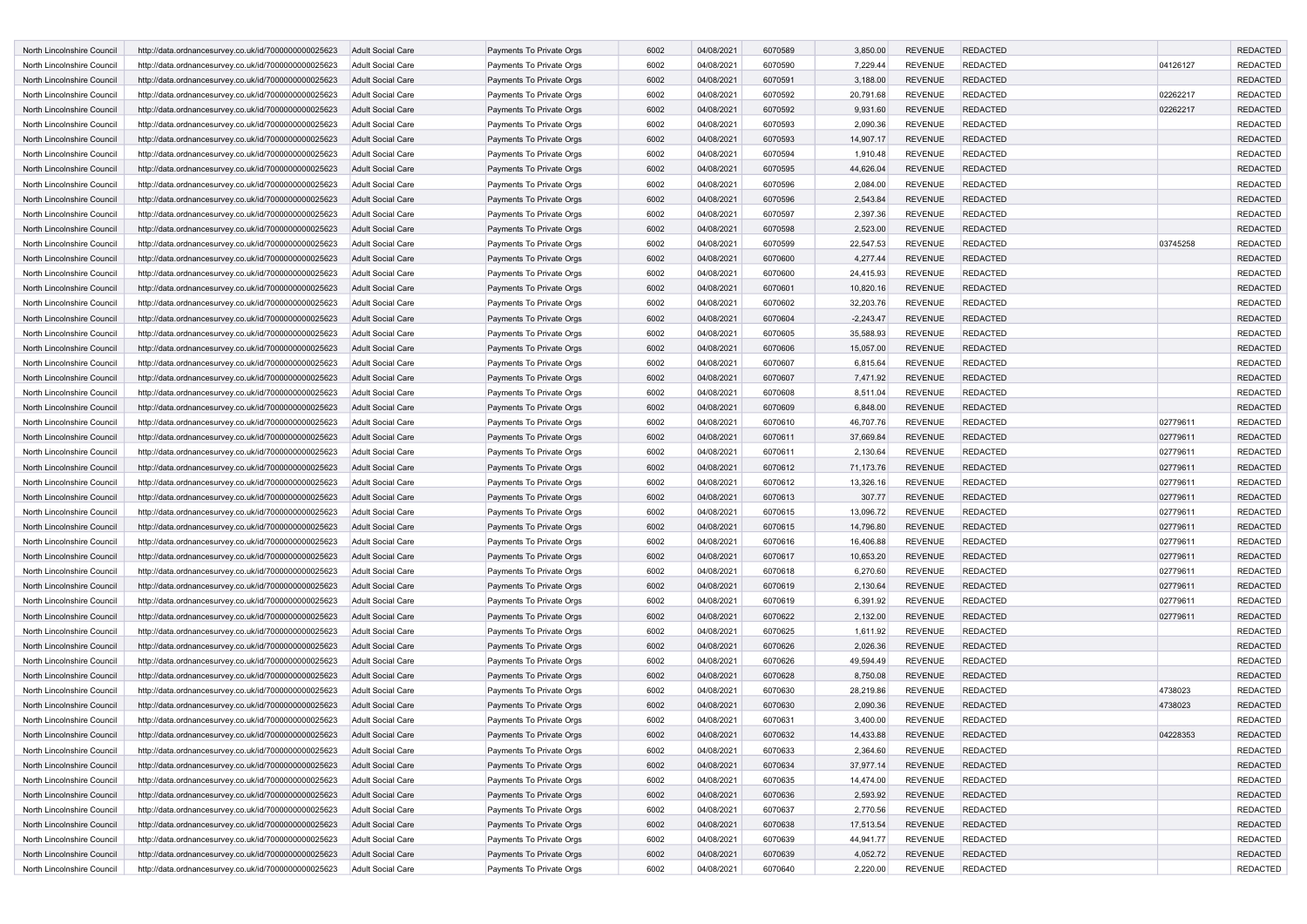| North Lincolnshire Council | http://data.ordnancesurvey.co.uk/id/7000000000025623                                                         | <b>Adult Social Care</b>                      | Payments To Private Orgs                             | 6002         | 04/08/2021 | 6070589 | 3,850.00              | <b>REVENUE</b> | <b>REDACTED</b>                    |          | <b>REDACTED</b> |
|----------------------------|--------------------------------------------------------------------------------------------------------------|-----------------------------------------------|------------------------------------------------------|--------------|------------|---------|-----------------------|----------------|------------------------------------|----------|-----------------|
| North Lincolnshire Council | http://data.ordnancesurvey.co.uk/id/7000000000025623                                                         | Adult Social Care                             | Payments To Private Orgs                             | 6002         | 04/08/2021 | 6070590 | 7,229.44              | <b>REVENUE</b> | <b>REDACTED</b>                    | 04126127 | <b>REDACTED</b> |
| North Lincolnshire Council | http://data.ordnancesurvey.co.uk/id/7000000000025623                                                         | <b>Adult Social Care</b>                      | Payments To Private Orgs                             | 6002         | 04/08/2021 | 6070591 | 3,188.00              | <b>REVENUE</b> | <b>REDACTED</b>                    |          | <b>REDACTED</b> |
| North Lincolnshire Council | http://data.ordnancesurvey.co.uk/id/7000000000025623                                                         | <b>Adult Social Care</b>                      | Payments To Private Orgs                             | 6002         | 04/08/2021 | 6070592 | 20,791.68             | <b>REVENUE</b> | <b>REDACTED</b>                    | 02262217 | <b>REDACTED</b> |
| North Lincolnshire Council | http://data.ordnancesurvey.co.uk/id/7000000000025623                                                         | <b>Adult Social Care</b>                      | Payments To Private Orgs                             | 6002         | 04/08/2021 | 6070592 | 9,931.60              | <b>REVENUE</b> | <b>REDACTED</b>                    | 02262217 | <b>REDACTED</b> |
| North Lincolnshire Council | http://data.ordnancesurvey.co.uk/id/7000000000025623                                                         | <b>Adult Social Care</b>                      | Payments To Private Orgs                             | 6002         | 04/08/2021 | 6070593 | 2,090.36              | <b>REVENUE</b> | <b>REDACTED</b>                    |          | <b>REDACTED</b> |
| North Lincolnshire Council | http://data.ordnancesurvey.co.uk/id/7000000000025623                                                         | <b>Adult Social Care</b>                      | Payments To Private Orgs                             | 6002         | 04/08/2021 | 6070593 | 14,907.17             | <b>REVENUE</b> | <b>REDACTED</b>                    |          | <b>REDACTED</b> |
| North Lincolnshire Council | http://data.ordnancesurvey.co.uk/id/7000000000025623                                                         | Adult Social Care                             | Payments To Private Orgs                             | 6002         | 04/08/2021 | 6070594 | 1,910.48              | <b>REVENUE</b> | <b>REDACTED</b>                    |          | <b>REDACTED</b> |
| North Lincolnshire Council | http://data.ordnancesurvey.co.uk/id/7000000000025623                                                         | <b>Adult Social Care</b>                      | Payments To Private Orgs                             | 6002         | 04/08/2021 | 6070595 | 44,626.04             | <b>REVENUE</b> | <b>REDACTED</b>                    |          | <b>REDACTED</b> |
| North Lincolnshire Council | http://data.ordnancesurvey.co.uk/id/7000000000025623                                                         | Adult Social Care                             | Payments To Private Orgs                             | 6002         | 04/08/2021 | 6070596 | 2,084.00              | <b>REVENUE</b> | <b>REDACTED</b>                    |          | <b>REDACTED</b> |
| North Lincolnshire Council | http://data.ordnancesurvey.co.uk/id/7000000000025623                                                         | <b>Adult Social Care</b>                      | Payments To Private Orgs                             | 6002         | 04/08/2021 | 6070596 | 2,543.84              | <b>REVENUE</b> | <b>REDACTED</b>                    |          | <b>REDACTED</b> |
| North Lincolnshire Council | http://data.ordnancesurvey.co.uk/id/7000000000025623                                                         | <b>Adult Social Care</b>                      | Payments To Private Orgs                             | 6002         | 04/08/2021 | 6070597 | 2,397.36              | <b>REVENUE</b> | <b>REDACTED</b>                    |          | <b>REDACTED</b> |
| North Lincolnshire Council | http://data.ordnancesurvey.co.uk/id/7000000000025623                                                         | <b>Adult Social Care</b>                      | Payments To Private Orgs                             | 6002         | 04/08/2021 | 6070598 | 2,523.00              | <b>REVENUE</b> | <b>REDACTED</b>                    |          | <b>REDACTED</b> |
| North Lincolnshire Council | http://data.ordnancesurvey.co.uk/id/7000000000025623                                                         | Adult Social Care                             | Payments To Private Orgs                             | 6002         | 04/08/2021 | 6070599 | 22,547.53             | <b>REVENUE</b> | <b>REDACTED</b>                    | 03745258 | <b>REDACTED</b> |
| North Lincolnshire Council | http://data.ordnancesurvey.co.uk/id/7000000000025623                                                         | <b>Adult Social Care</b>                      | Payments To Private Orgs                             | 6002         | 04/08/2021 | 6070600 | 4,277.44              | <b>REVENUE</b> | <b>REDACTED</b>                    |          | <b>REDACTED</b> |
| North Lincolnshire Council | http://data.ordnancesurvey.co.uk/id/7000000000025623                                                         | <b>Adult Social Care</b>                      | Payments To Private Orgs                             | 6002         | 04/08/2021 | 6070600 | 24,415.93             | <b>REVENUE</b> | <b>REDACTED</b>                    |          | <b>REDACTED</b> |
| North Lincolnshire Council | http://data.ordnancesurvey.co.uk/id/7000000000025623                                                         | <b>Adult Social Care</b>                      | Payments To Private Orgs                             | 6002         | 04/08/2021 | 6070601 | 10,820.16             | <b>REVENUE</b> | <b>REDACTED</b>                    |          | <b>REDACTED</b> |
| North Lincolnshire Council | http://data.ordnancesurvey.co.uk/id/7000000000025623                                                         | Adult Social Care                             | Payments To Private Orgs                             | 6002         | 04/08/2021 | 6070602 | 32,203.76             | <b>REVENUE</b> | <b>REDACTED</b>                    |          | <b>REDACTED</b> |
| North Lincolnshire Council | http://data.ordnancesurvey.co.uk/id/7000000000025623                                                         | <b>Adult Social Care</b>                      | Payments To Private Orgs                             | 6002         | 04/08/2021 | 6070604 | $-2,243.47$           | <b>REVENUE</b> | <b>REDACTED</b>                    |          | <b>REDACTED</b> |
| North Lincolnshire Council |                                                                                                              |                                               | Payments To Private Orgs                             | 6002         | 04/08/2021 | 6070605 | 35,588.93             | <b>REVENUE</b> | <b>REDACTED</b>                    |          | <b>REDACTED</b> |
| North Lincolnshire Council | http://data.ordnancesurvey.co.uk/id/7000000000025623                                                         | Adult Social Care<br><b>Adult Social Care</b> |                                                      | 6002         | 04/08/2021 | 6070606 |                       | <b>REVENUE</b> |                                    |          | <b>REDACTED</b> |
| North Lincolnshire Council | http://data.ordnancesurvey.co.uk/id/7000000000025623<br>http://data.ordnancesurvey.co.uk/id/7000000000025623 | <b>Adult Social Care</b>                      | Payments To Private Orgs<br>Payments To Private Orgs | 6002         | 04/08/2021 | 6070607 | 15,057.00<br>6,815.64 | <b>REVENUE</b> | <b>REDACTED</b><br><b>REDACTED</b> |          | <b>REDACTED</b> |
|                            | http://data.ordnancesurvey.co.uk/id/7000000000025623                                                         |                                               |                                                      |              |            |         |                       | <b>REVENUE</b> | <b>REDACTED</b>                    |          | <b>REDACTED</b> |
| North Lincolnshire Council |                                                                                                              | <b>Adult Social Care</b>                      | Payments To Private Orgs                             | 6002         | 04/08/2021 | 6070607 | 7,471.92              |                |                                    |          |                 |
| North Lincolnshire Council | http://data.ordnancesurvey.co.uk/id/7000000000025623                                                         | Adult Social Care                             | Payments To Private Orgs                             | 6002<br>6002 | 04/08/2021 | 6070608 | 8,511.04              | <b>REVENUE</b> | <b>REDACTED</b>                    |          | <b>REDACTED</b> |
| North Lincolnshire Council | http://data.ordnancesurvey.co.uk/id/7000000000025623                                                         | <b>Adult Social Care</b>                      | Payments To Private Orgs                             |              | 04/08/2021 | 6070609 | 6,848.00              | <b>REVENUE</b> | <b>REDACTED</b>                    |          | <b>REDACTED</b> |
| North Lincolnshire Council | http://data.ordnancesurvey.co.uk/id/7000000000025623                                                         | <b>Adult Social Care</b>                      | Payments To Private Orgs                             | 6002         | 04/08/2021 | 6070610 | 46,707.76             | <b>REVENUE</b> | <b>REDACTED</b>                    | 02779611 | <b>REDACTED</b> |
| North Lincolnshire Council | http://data.ordnancesurvey.co.uk/id/7000000000025623                                                         | <b>Adult Social Care</b>                      | Payments To Private Orgs                             | 6002         | 04/08/2021 | 6070611 | 37,669.84             | <b>REVENUE</b> | <b>REDACTED</b>                    | 02779611 | <b>REDACTED</b> |
| North Lincolnshire Council | http://data.ordnancesurvey.co.uk/id/7000000000025623                                                         | Adult Social Care                             | Payments To Private Orgs                             | 6002         | 04/08/2021 | 6070611 | 2,130.64              | <b>REVENUE</b> | <b>REDACTED</b>                    | 02779611 | <b>REDACTED</b> |
| North Lincolnshire Council | http://data.ordnancesurvey.co.uk/id/7000000000025623                                                         | <b>Adult Social Care</b>                      | Payments To Private Orgs                             | 6002         | 04/08/2021 | 6070612 | 71,173.76             | <b>REVENUE</b> | <b>REDACTED</b>                    | 02779611 | <b>REDACTED</b> |
| North Lincolnshire Council | http://data.ordnancesurvey.co.uk/id/7000000000025623                                                         | Adult Social Care                             | Payments To Private Orgs                             | 6002         | 04/08/2021 | 6070612 | 13,326.16             | <b>REVENUE</b> | <b>REDACTED</b>                    | 02779611 | <b>REDACTED</b> |
| North Lincolnshire Council | http://data.ordnancesurvey.co.uk/id/7000000000025623                                                         | <b>Adult Social Care</b>                      | Payments To Private Orgs                             | 6002         | 04/08/2021 | 6070613 | 307.77                | <b>REVENUE</b> | <b>REDACTED</b>                    | 02779611 | <b>REDACTED</b> |
| North Lincolnshire Council | http://data.ordnancesurvey.co.uk/id/7000000000025623                                                         | <b>Adult Social Care</b>                      | Payments To Private Orgs                             | 6002         | 04/08/2021 | 6070615 | 13,096.72             | <b>REVENUE</b> | <b>REDACTED</b>                    | 02779611 | <b>REDACTED</b> |
| North Lincolnshire Council | http://data.ordnancesurvey.co.uk/id/7000000000025623                                                         | <b>Adult Social Care</b>                      | Payments To Private Orgs                             | 6002         | 04/08/2021 | 6070615 | 14,796.80             | <b>REVENUE</b> | <b>REDACTED</b>                    | 02779611 | <b>REDACTED</b> |
| North Lincolnshire Council | http://data.ordnancesurvey.co.uk/id/7000000000025623                                                         | Adult Social Care                             | Payments To Private Orgs                             | 6002         | 04/08/2021 | 6070616 | 16,406.88             | <b>REVENUE</b> | <b>REDACTED</b>                    | 02779611 | <b>REDACTED</b> |
| North Lincolnshire Council | http://data.ordnancesurvey.co.uk/id/7000000000025623                                                         | <b>Adult Social Care</b>                      | Payments To Private Orgs                             | 6002         | 04/08/2021 | 6070617 | 10,653.20             | <b>REVENUE</b> | <b>REDACTED</b>                    | 02779611 | <b>REDACTED</b> |
| North Lincolnshire Council | http://data.ordnancesurvey.co.uk/id/7000000000025623                                                         | <b>Adult Social Care</b>                      | Payments To Private Orgs                             | 6002         | 04/08/2021 | 6070618 | 6,270.60              | <b>REVENUE</b> | <b>REDACTED</b>                    | 02779611 | <b>REDACTED</b> |
| North Lincolnshire Council | http://data.ordnancesurvey.co.uk/id/7000000000025623                                                         | Adult Social Care                             | Payments To Private Orgs                             | 6002         | 04/08/2021 | 6070619 | 2,130.64              | <b>REVENUE</b> | <b>REDACTED</b>                    | 02779611 | <b>REDACTED</b> |
| North Lincolnshire Council | http://data.ordnancesurvey.co.uk/id/7000000000025623                                                         | Adult Social Care                             | Payments To Private Orgs                             | 6002         | 04/08/2021 | 6070619 | 6,391.92              | <b>REVENUE</b> | <b>REDACTED</b>                    | 02779611 | <b>REDACTED</b> |
| North Lincolnshire Council | http://data.ordnancesurvey.co.uk/id/7000000000025623                                                         | <b>Adult Social Care</b>                      | Payments To Private Orgs                             | 6002         | 04/08/2021 | 6070622 | 2,132.00              | <b>REVENUE</b> | <b>REDACTED</b>                    | 02779611 | <b>REDACTED</b> |
| North Lincolnshire Council | http://data.ordnancesurvey.co.uk/id/7000000000025623                                                         | Adult Social Care                             | Payments To Private Orgs                             | 6002         | 04/08/2021 | 6070625 | 1,611.92              | <b>REVENUE</b> | <b>REDACTED</b>                    |          | <b>REDACTED</b> |
| North Lincolnshire Council | http://data.ordnancesurvey.co.uk/id/7000000000025623                                                         | <b>Adult Social Care</b>                      | Payments To Private Orgs                             | 6002         | 04/08/2021 | 6070626 | 2,026.36              | <b>REVENUE</b> | <b>REDACTED</b>                    |          | <b>REDACTED</b> |
| North Lincolnshire Council | http://data.ordnancesurvey.co.uk/id/7000000000025623                                                         | <b>Adult Social Care</b>                      | Payments To Private Orgs                             | 6002         | 04/08/2021 | 6070626 | 49,594.49             | <b>REVENUE</b> | <b>REDACTED</b>                    |          | <b>REDACTED</b> |
| North Lincolnshire Council | http://data.ordnancesurvey.co.uk/id/7000000000025623                                                         | <b>Adult Social Care</b>                      | Payments To Private Orgs                             | 6002         | 04/08/2021 | 6070628 | 8,750.08              | <b>REVENUE</b> | <b>REDACTED</b>                    |          | <b>REDACTED</b> |
| North Lincolnshire Council | http://data.ordnancesurvey.co.uk/id/7000000000025623                                                         | Adult Social Care                             | Payments To Private Orgs                             | 6002         | 04/08/2021 | 6070630 | 28,219.86             | <b>REVENUE</b> | <b>REDACTED</b>                    | 4738023  | <b>REDACTED</b> |
| North Lincolnshire Council | http://data.ordnancesurvey.co.uk/id/7000000000025623                                                         | <b>Adult Social Care</b>                      | Payments To Private Orgs                             | 6002         | 04/08/2021 | 6070630 | 2,090.36              | <b>REVENUE</b> | <b>REDACTED</b>                    | 4738023  | <b>REDACTED</b> |
| North Lincolnshire Council | http://data.ordnancesurvey.co.uk/id/7000000000025623                                                         | <b>Adult Social Care</b>                      | Payments To Private Orgs                             | 6002         | 04/08/2021 | 6070631 | 3,400.00              | <b>REVENUE</b> | <b>REDACTED</b>                    |          | <b>REDACTED</b> |
| North Lincolnshire Council | http://data.ordnancesurvey.co.uk/id/7000000000025623                                                         | <b>Adult Social Care</b>                      | Payments To Private Orgs                             | 6002         | 04/08/2021 | 6070632 | 14,433.88             | <b>REVENUE</b> | <b>REDACTED</b>                    | 04228353 | <b>REDACTED</b> |
| North Lincolnshire Council | http://data.ordnancesurvey.co.uk/id/7000000000025623                                                         | Adult Social Care                             | Payments To Private Orgs                             | 6002         | 04/08/2021 | 6070633 | 2,364.60              | <b>REVENUE</b> | <b>REDACTED</b>                    |          | REDACTED        |
| North Lincolnshire Council | http://data.ordnancesurvey.co.uk/id/7000000000025623                                                         | <b>Adult Social Care</b>                      | Payments To Private Orgs                             | 6002         | 04/08/2021 | 6070634 | 37,977.14             | <b>REVENUE</b> | <b>REDACTED</b>                    |          | <b>REDACTED</b> |
| North Lincolnshire Council | http://data.ordnancesurvey.co.uk/id/7000000000025623                                                         | Adult Social Care                             | Payments To Private Orgs                             | 6002         | 04/08/2021 | 6070635 | 14,474.00             | <b>REVENUE</b> | <b>REDACTED</b>                    |          | <b>REDACTED</b> |
| North Lincolnshire Council | http://data.ordnancesurvey.co.uk/id/7000000000025623                                                         | Adult Social Care                             | Payments To Private Orgs                             | 6002         | 04/08/2021 | 6070636 | 2,593.92              | <b>REVENUE</b> | <b>REDACTED</b>                    |          | <b>REDACTED</b> |
| North Lincolnshire Council | http://data.ordnancesurvey.co.uk/id/7000000000025623                                                         | Adult Social Care                             | Payments To Private Orgs                             | 6002         | 04/08/2021 | 6070637 | 2,770.56              | <b>REVENUE</b> | <b>REDACTED</b>                    |          | <b>REDACTED</b> |
| North Lincolnshire Council | http://data.ordnancesurvey.co.uk/id/7000000000025623                                                         | Adult Social Care                             | Payments To Private Orgs                             | 6002         | 04/08/2021 | 6070638 | 17,513.54             | <b>REVENUE</b> | <b>REDACTED</b>                    |          | <b>REDACTED</b> |
| North Lincolnshire Council | http://data.ordnancesurvey.co.uk/id/7000000000025623                                                         | Adult Social Care                             | Payments To Private Orgs                             | 6002         | 04/08/2021 | 6070639 | 44,941.77             | <b>REVENUE</b> | <b>REDACTED</b>                    |          | <b>REDACTED</b> |
| North Lincolnshire Council | http://data.ordnancesurvey.co.uk/id/7000000000025623                                                         | Adult Social Care                             | Payments To Private Orgs                             | 6002         | 04/08/2021 | 6070639 | 4,052.72              | <b>REVENUE</b> | <b>REDACTED</b>                    |          | <b>REDACTED</b> |
| North Lincolnshire Council | http://data.ordnancesurvey.co.uk/id/7000000000025623                                                         | Adult Social Care                             | Payments To Private Orgs                             | 6002         | 04/08/2021 | 6070640 | 2,220.00              | REVENUE        | <b>REDACTED</b>                    |          | REDACTED        |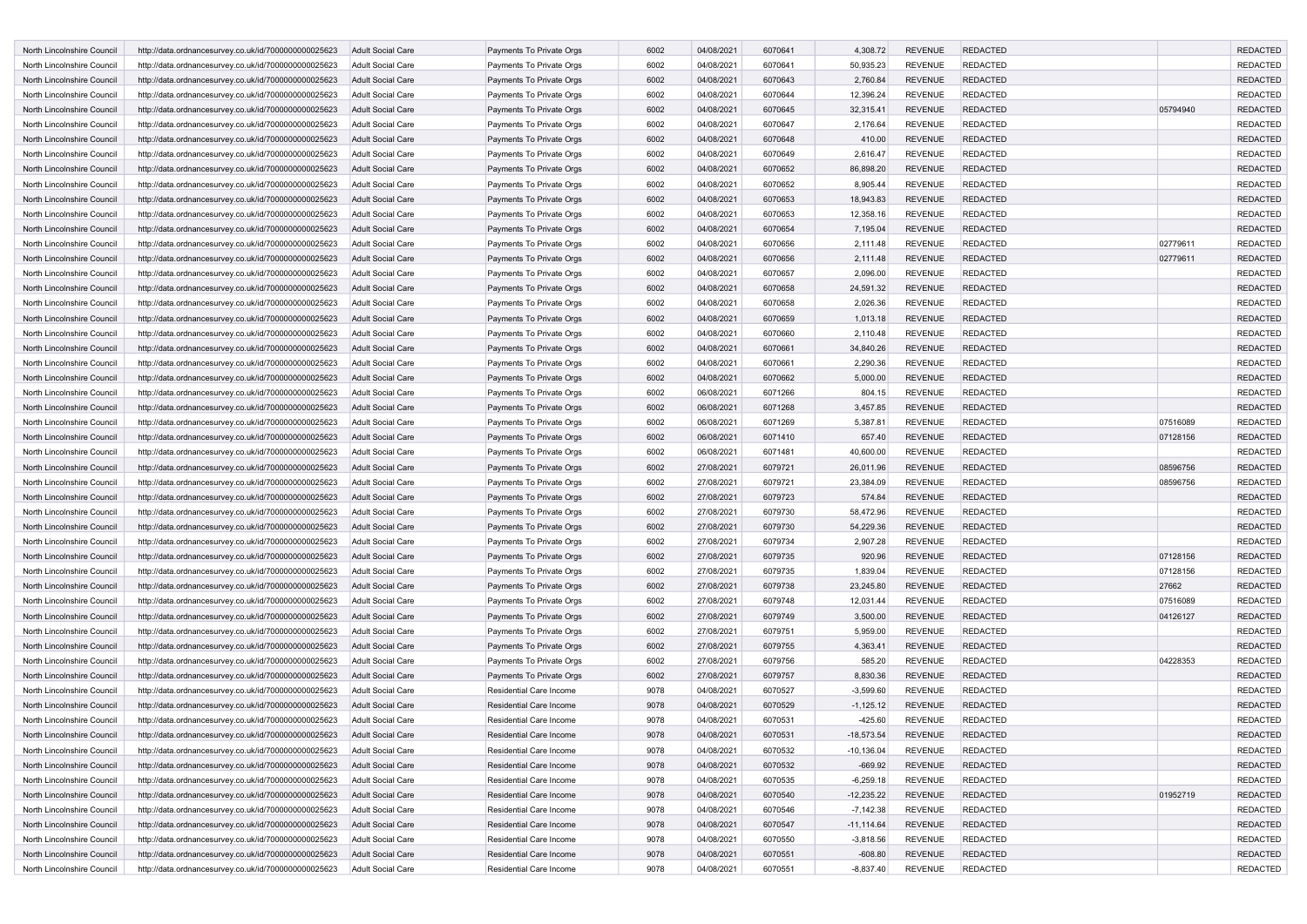| North Lincolnshire Council | http://data.ordnancesurvey.co.uk/id/7000000000025623 | <b>Adult Social Care</b> | Payments To Private Orgs       | 6002 | 04/08/2021 | 6070641 | 4,308.72      | <b>REVENUE</b> | <b>REDACTED</b> |          | <b>REDACTED</b> |
|----------------------------|------------------------------------------------------|--------------------------|--------------------------------|------|------------|---------|---------------|----------------|-----------------|----------|-----------------|
| North Lincolnshire Council | http://data.ordnancesurvey.co.uk/id/7000000000025623 | Adult Social Care        | Payments To Private Orgs       | 6002 | 04/08/2021 | 6070641 | 50,935.23     | <b>REVENUE</b> | <b>REDACTED</b> |          | <b>REDACTED</b> |
| North Lincolnshire Council | http://data.ordnancesurvey.co.uk/id/7000000000025623 | <b>Adult Social Care</b> | Payments To Private Orgs       | 6002 | 04/08/2021 | 6070643 | 2,760.84      | <b>REVENUE</b> | <b>REDACTED</b> |          | <b>REDACTED</b> |
| North Lincolnshire Council | http://data.ordnancesurvey.co.uk/id/7000000000025623 | <b>Adult Social Care</b> | Payments To Private Orgs       | 6002 | 04/08/2021 | 6070644 | 12,396.24     | <b>REVENUE</b> | <b>REDACTED</b> |          | <b>REDACTED</b> |
| North Lincolnshire Council | http://data.ordnancesurvey.co.uk/id/7000000000025623 | <b>Adult Social Care</b> | Payments To Private Orgs       | 6002 | 04/08/2021 | 6070645 | 32,315.41     | <b>REVENUE</b> | <b>REDACTED</b> | 05794940 | <b>REDACTED</b> |
| North Lincolnshire Council | http://data.ordnancesurvey.co.uk/id/7000000000025623 | <b>Adult Social Care</b> | Payments To Private Orgs       | 6002 | 04/08/2021 | 6070647 | 2,176.64      | <b>REVENUE</b> | <b>REDACTED</b> |          | <b>REDACTED</b> |
| North Lincolnshire Council | http://data.ordnancesurvey.co.uk/id/7000000000025623 | <b>Adult Social Care</b> | Payments To Private Orgs       | 6002 | 04/08/2021 | 6070648 | 410.00        | <b>REVENUE</b> | <b>REDACTED</b> |          | <b>REDACTED</b> |
| North Lincolnshire Council | http://data.ordnancesurvey.co.uk/id/7000000000025623 | <b>Adult Social Care</b> | Payments To Private Orgs       | 6002 | 04/08/2021 | 6070649 | 2,616.47      | <b>REVENUE</b> | <b>REDACTED</b> |          | <b>REDACTED</b> |
| North Lincolnshire Council | http://data.ordnancesurvey.co.uk/id/7000000000025623 | <b>Adult Social Care</b> | Payments To Private Orgs       | 6002 | 04/08/2021 | 6070652 | 86,898.20     | <b>REVENUE</b> | <b>REDACTED</b> |          | <b>REDACTED</b> |
| North Lincolnshire Council | http://data.ordnancesurvey.co.uk/id/7000000000025623 | Adult Social Care        | Payments To Private Orgs       | 6002 | 04/08/2021 | 6070652 | 8,905.44      | <b>REVENUE</b> | <b>REDACTED</b> |          | <b>REDACTED</b> |
| North Lincolnshire Council | http://data.ordnancesurvey.co.uk/id/7000000000025623 | <b>Adult Social Care</b> | Payments To Private Orgs       | 6002 | 04/08/2021 | 6070653 | 18,943.83     | <b>REVENUE</b> | <b>REDACTED</b> |          | <b>REDACTED</b> |
| North Lincolnshire Council | http://data.ordnancesurvey.co.uk/id/7000000000025623 | <b>Adult Social Care</b> | Payments To Private Orgs       | 6002 | 04/08/2021 | 6070653 | 12,358.16     | <b>REVENUE</b> | <b>REDACTED</b> |          | <b>REDACTED</b> |
| North Lincolnshire Council | http://data.ordnancesurvey.co.uk/id/7000000000025623 | <b>Adult Social Care</b> | Payments To Private Orgs       | 6002 | 04/08/2021 | 6070654 | 7,195.04      | <b>REVENUE</b> | <b>REDACTED</b> |          | <b>REDACTED</b> |
| North Lincolnshire Council | http://data.ordnancesurvey.co.uk/id/7000000000025623 | <b>Adult Social Care</b> | Payments To Private Orgs       | 6002 | 04/08/2021 | 6070656 | 2,111.48      | <b>REVENUE</b> | <b>REDACTED</b> | 02779611 | <b>REDACTED</b> |
| North Lincolnshire Council | http://data.ordnancesurvey.co.uk/id/7000000000025623 | <b>Adult Social Care</b> | Payments To Private Orgs       | 6002 | 04/08/2021 | 6070656 | 2,111.48      | <b>REVENUE</b> | <b>REDACTED</b> | 02779611 | <b>REDACTED</b> |
| North Lincolnshire Council | http://data.ordnancesurvey.co.uk/id/7000000000025623 | <b>Adult Social Care</b> | Payments To Private Orgs       | 6002 | 04/08/2021 | 6070657 | 2,096.00      | <b>REVENUE</b> | <b>REDACTED</b> |          | <b>REDACTED</b> |
| North Lincolnshire Council | http://data.ordnancesurvey.co.uk/id/7000000000025623 | <b>Adult Social Care</b> | Payments To Private Orgs       | 6002 | 04/08/2021 | 6070658 | 24,591.32     | <b>REVENUE</b> | <b>REDACTED</b> |          | <b>REDACTED</b> |
| North Lincolnshire Council | http://data.ordnancesurvey.co.uk/id/7000000000025623 | Adult Social Care        | Payments To Private Orgs       | 6002 | 04/08/2021 | 6070658 | 2,026.36      | <b>REVENUE</b> | <b>REDACTED</b> |          | <b>REDACTED</b> |
| North Lincolnshire Council | http://data.ordnancesurvey.co.uk/id/7000000000025623 | <b>Adult Social Care</b> | Payments To Private Orgs       | 6002 | 04/08/2021 | 6070659 | 1,013.18      | <b>REVENUE</b> | <b>REDACTED</b> |          | <b>REDACTED</b> |
| North Lincolnshire Council | http://data.ordnancesurvey.co.uk/id/7000000000025623 | Adult Social Care        | Payments To Private Orgs       | 6002 | 04/08/2021 | 6070660 | 2,110.48      | <b>REVENUE</b> | <b>REDACTED</b> |          | <b>REDACTED</b> |
| North Lincolnshire Council | http://data.ordnancesurvey.co.uk/id/7000000000025623 | <b>Adult Social Care</b> | Payments To Private Orgs       | 6002 | 04/08/2021 | 6070661 | 34,840.26     | <b>REVENUE</b> | <b>REDACTED</b> |          | <b>REDACTED</b> |
| North Lincolnshire Council | http://data.ordnancesurvey.co.uk/id/7000000000025623 | Adult Social Care        | Payments To Private Orgs       | 6002 | 04/08/2021 | 6070661 | 2,290.36      | <b>REVENUE</b> | <b>REDACTED</b> |          | <b>REDACTED</b> |
| North Lincolnshire Council | http://data.ordnancesurvey.co.uk/id/7000000000025623 | <b>Adult Social Care</b> | Payments To Private Orgs       | 6002 | 04/08/2021 | 6070662 | 5,000.00      | <b>REVENUE</b> | <b>REDACTED</b> |          | <b>REDACTED</b> |
| North Lincolnshire Council | http://data.ordnancesurvey.co.uk/id/7000000000025623 | <b>Adult Social Care</b> | Payments To Private Orgs       | 6002 | 06/08/2021 | 6071266 | 804.15        | <b>REVENUE</b> | <b>REDACTED</b> |          | <b>REDACTED</b> |
| North Lincolnshire Council | http://data.ordnancesurvey.co.uk/id/7000000000025623 | <b>Adult Social Care</b> | Payments To Private Orgs       | 6002 | 06/08/2021 | 6071268 | 3,457.85      | <b>REVENUE</b> | <b>REDACTED</b> |          | <b>REDACTED</b> |
| North Lincolnshire Council | http://data.ordnancesurvey.co.uk/id/7000000000025623 | <b>Adult Social Care</b> | Payments To Private Orgs       | 6002 | 06/08/2021 | 6071269 | 5,387.81      | <b>REVENUE</b> | <b>REDACTED</b> | 07516089 | <b>REDACTED</b> |
| North Lincolnshire Council | http://data.ordnancesurvey.co.uk/id/7000000000025623 | <b>Adult Social Care</b> | Payments To Private Orgs       | 6002 | 06/08/2021 | 6071410 | 657.40        | <b>REVENUE</b> | <b>REDACTED</b> | 07128156 | <b>REDACTED</b> |
| North Lincolnshire Council | http://data.ordnancesurvey.co.uk/id/7000000000025623 | Adult Social Care        | Payments To Private Orgs       | 6002 | 06/08/2021 | 6071481 | 40,600.00     | <b>REVENUE</b> | <b>REDACTED</b> |          | <b>REDACTED</b> |
| North Lincolnshire Council | http://data.ordnancesurvey.co.uk/id/7000000000025623 | <b>Adult Social Care</b> | Payments To Private Orgs       | 6002 | 27/08/2021 | 6079721 | 26,011.96     | <b>REVENUE</b> | <b>REDACTED</b> | 08596756 | <b>REDACTED</b> |
| North Lincolnshire Council | http://data.ordnancesurvey.co.uk/id/7000000000025623 | Adult Social Care        | Payments To Private Orgs       | 6002 | 27/08/2021 | 6079721 | 23,384.09     | <b>REVENUE</b> | <b>REDACTED</b> | 08596756 | <b>REDACTED</b> |
| North Lincolnshire Council | http://data.ordnancesurvey.co.uk/id/7000000000025623 | <b>Adult Social Care</b> | Payments To Private Orgs       | 6002 | 27/08/2021 | 6079723 | 574.84        | <b>REVENUE</b> | <b>REDACTED</b> |          | <b>REDACTED</b> |
| North Lincolnshire Council | http://data.ordnancesurvey.co.uk/id/7000000000025623 | <b>Adult Social Care</b> | Payments To Private Orgs       | 6002 | 27/08/2021 | 6079730 | 58,472.96     | <b>REVENUE</b> | <b>REDACTED</b> |          | <b>REDACTED</b> |
| North Lincolnshire Council | http://data.ordnancesurvey.co.uk/id/7000000000025623 | <b>Adult Social Care</b> | Payments To Private Orgs       | 6002 | 27/08/2021 | 6079730 | 54,229.36     | <b>REVENUE</b> | <b>REDACTED</b> |          | <b>REDACTED</b> |
| North Lincolnshire Council | http://data.ordnancesurvey.co.uk/id/7000000000025623 | Adult Social Care        | Payments To Private Orgs       | 6002 | 27/08/2021 | 6079734 | 2,907.28      | <b>REVENUE</b> | <b>REDACTED</b> |          | <b>REDACTED</b> |
| North Lincolnshire Council | http://data.ordnancesurvey.co.uk/id/7000000000025623 | <b>Adult Social Care</b> | Payments To Private Orgs       | 6002 | 27/08/2021 | 6079735 | 920.96        | <b>REVENUE</b> | <b>REDACTED</b> | 07128156 | <b>REDACTED</b> |
| North Lincolnshire Council | http://data.ordnancesurvey.co.uk/id/7000000000025623 | <b>Adult Social Care</b> | Payments To Private Orgs       | 6002 | 27/08/2021 | 6079735 | 1,839.04      | <b>REVENUE</b> | <b>REDACTED</b> | 07128156 | <b>REDACTED</b> |
| North Lincolnshire Council | http://data.ordnancesurvey.co.uk/id/7000000000025623 | Adult Social Care        | Payments To Private Orgs       | 6002 | 27/08/2021 | 6079738 | 23,245.80     | <b>REVENUE</b> | <b>REDACTED</b> | 27662    | <b>REDACTED</b> |
| North Lincolnshire Council | http://data.ordnancesurvey.co.uk/id/7000000000025623 | Adult Social Care        | Payments To Private Orgs       | 6002 | 27/08/2021 | 6079748 | 12,031.44     | <b>REVENUE</b> | <b>REDACTED</b> | 07516089 | <b>REDACTED</b> |
| North Lincolnshire Council | http://data.ordnancesurvey.co.uk/id/7000000000025623 | <b>Adult Social Care</b> | Payments To Private Orgs       | 6002 | 27/08/2021 | 6079749 | 3,500.00      | <b>REVENUE</b> | <b>REDACTED</b> | 04126127 | <b>REDACTED</b> |
| North Lincolnshire Council | http://data.ordnancesurvey.co.uk/id/7000000000025623 | Adult Social Care        | Payments To Private Orgs       | 6002 | 27/08/2021 | 6079751 | 5,959.00      | <b>REVENUE</b> | <b>REDACTED</b> |          | <b>REDACTED</b> |
| North Lincolnshire Council | http://data.ordnancesurvey.co.uk/id/7000000000025623 | <b>Adult Social Care</b> | Payments To Private Orgs       | 6002 | 27/08/2021 | 6079755 | 4,363.41      | <b>REVENUE</b> | <b>REDACTED</b> |          | <b>REDACTED</b> |
| North Lincolnshire Council | http://data.ordnancesurvey.co.uk/id/7000000000025623 | <b>Adult Social Care</b> | Payments To Private Orgs       | 6002 | 27/08/2021 | 6079756 | 585.20        | <b>REVENUE</b> | <b>REDACTED</b> | 04228353 | <b>REDACTED</b> |
| North Lincolnshire Council | http://data.ordnancesurvey.co.uk/id/7000000000025623 | <b>Adult Social Care</b> | Payments To Private Orgs       | 6002 | 27/08/2021 | 6079757 | 8,830.36      | <b>REVENUE</b> | <b>REDACTED</b> |          | <b>REDACTED</b> |
| North Lincolnshire Council | http://data.ordnancesurvey.co.uk/id/7000000000025623 | Adult Social Care        | Residential Care Income        | 9078 | 04/08/2021 | 6070527 | $-3,599.60$   | <b>REVENUE</b> | <b>REDACTED</b> |          | <b>REDACTED</b> |
| North Lincolnshire Council | http://data.ordnancesurvey.co.uk/id/7000000000025623 | <b>Adult Social Care</b> | Residential Care Income        | 9078 | 04/08/2021 | 6070529 | $-1,125.12$   | <b>REVENUE</b> | <b>REDACTED</b> |          | <b>REDACTED</b> |
| North Lincolnshire Council | http://data.ordnancesurvey.co.uk/id/7000000000025623 | Adult Social Care        | Residential Care Income        | 9078 | 04/08/2021 | 6070531 | -425.60       | <b>REVENUE</b> | <b>REDACTED</b> |          | <b>REDACTED</b> |
| North Lincolnshire Council | http://data.ordnancesurvey.co.uk/id/7000000000025623 | <b>Adult Social Care</b> | Residential Care Income        | 9078 | 04/08/2021 | 6070531 | $-18,573.54$  | <b>REVENUE</b> | <b>REDACTED</b> |          | <b>REDACTED</b> |
| North Lincolnshire Council | http://data.ordnancesurvey.co.uk/id/7000000000025623 | Adult Social Care        | Residential Care Income        | 9078 | 04/08/2021 | 6070532 | $-10, 136.04$ | <b>REVENUE</b> | <b>REDACTED</b> |          | <b>REDACTED</b> |
| North Lincolnshire Council | http://data.ordnancesurvey.co.uk/id/7000000000025623 | Adult Social Care        | Residential Care Income        | 9078 | 04/08/2021 | 6070532 | $-669.92$     | <b>REVENUE</b> | <b>REDACTED</b> |          | <b>REDACTED</b> |
| North Lincolnshire Council | http://data.ordnancesurvey.co.uk/id/7000000000025623 | Adult Social Care        | Residential Care Income        | 9078 | 04/08/2021 | 6070535 | $-6,259.18$   | <b>REVENUE</b> | <b>REDACTED</b> |          | <b>REDACTED</b> |
| North Lincolnshire Council | http://data.ordnancesurvey.co.uk/id/7000000000025623 | Adult Social Care        | <b>Residential Care Income</b> | 9078 | 04/08/2021 | 6070540 | $-12,235.22$  | <b>REVENUE</b> | <b>REDACTED</b> | 01952719 | <b>REDACTED</b> |
| North Lincolnshire Council | http://data.ordnancesurvey.co.uk/id/7000000000025623 | Adult Social Care        | Residential Care Income        | 9078 | 04/08/2021 | 6070546 | $-7,142.38$   | <b>REVENUE</b> | <b>REDACTED</b> |          | <b>REDACTED</b> |
| North Lincolnshire Council | http://data.ordnancesurvey.co.uk/id/7000000000025623 | Adult Social Care        | Residential Care Income        | 9078 | 04/08/2021 | 6070547 | $-11,114.64$  | <b>REVENUE</b> | <b>REDACTED</b> |          | <b>REDACTED</b> |
| North Lincolnshire Council | http://data.ordnancesurvey.co.uk/id/7000000000025623 | Adult Social Care        | Residential Care Income        | 9078 | 04/08/2021 | 6070550 | $-3,818.56$   | <b>REVENUE</b> | <b>REDACTED</b> |          | <b>REDACTED</b> |
| North Lincolnshire Council | http://data.ordnancesurvey.co.uk/id/7000000000025623 | Adult Social Care        | Residential Care Income        | 9078 | 04/08/2021 | 6070551 | $-608.80$     | <b>REVENUE</b> | <b>REDACTED</b> |          | <b>REDACTED</b> |
| North Lincolnshire Council | http://data.ordnancesurvey.co.uk/id/7000000000025623 | Adult Social Care        | Residential Care Income        | 9078 | 04/08/2021 | 6070551 | $-8,837.40$   | <b>REVENUE</b> | <b>REDACTED</b> |          | REDACTED        |
|                            |                                                      |                          |                                |      |            |         |               |                |                 |          |                 |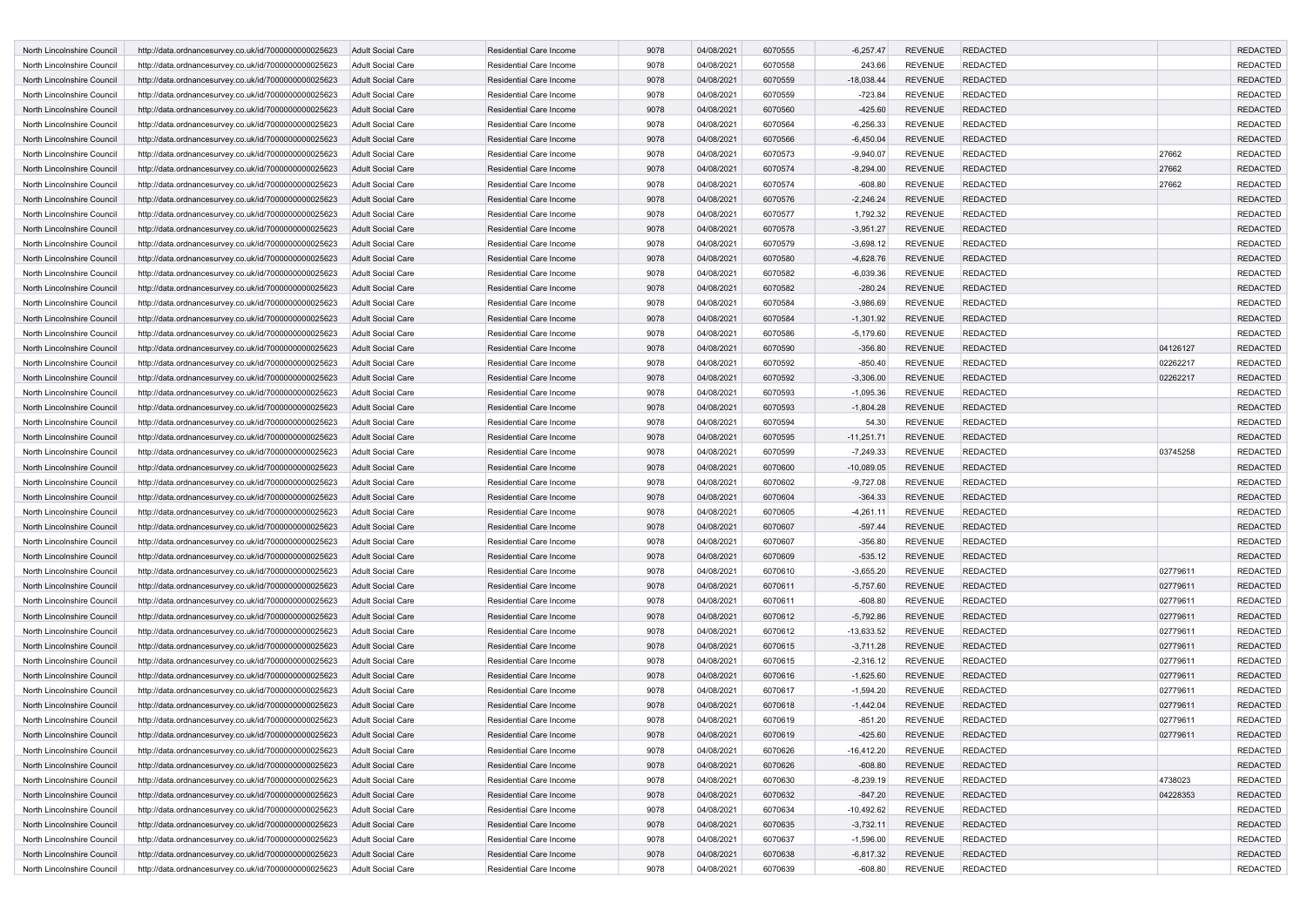| North Lincolnshire Council | http://data.ordnancesurvey.co.uk/id/7000000000025623 | <b>Adult Social Care</b> | <b>Residential Care Income</b> | 9078 | 04/08/2021 | 6070555 | $-6,257.47$  | <b>REVENUE</b> | <b>REDACTED</b> |          | <b>REDACTED</b> |
|----------------------------|------------------------------------------------------|--------------------------|--------------------------------|------|------------|---------|--------------|----------------|-----------------|----------|-----------------|
| North Lincolnshire Council | http://data.ordnancesurvey.co.uk/id/7000000000025623 | Adult Social Care        | Residential Care Income        | 9078 | 04/08/2021 | 6070558 | 243.66       | <b>REVENUE</b> | <b>REDACTED</b> |          | <b>REDACTED</b> |
| North Lincolnshire Council | http://data.ordnancesurvey.co.uk/id/7000000000025623 | <b>Adult Social Care</b> | <b>Residential Care Income</b> | 9078 | 04/08/2021 | 6070559 | $-18,038.44$ | <b>REVENUE</b> | <b>REDACTED</b> |          | <b>REDACTED</b> |
| North Lincolnshire Council | http://data.ordnancesurvey.co.uk/id/7000000000025623 | <b>Adult Social Care</b> | Residential Care Income        | 9078 | 04/08/2021 | 6070559 | $-723.84$    | <b>REVENUE</b> | <b>REDACTED</b> |          | <b>REDACTED</b> |
| North Lincolnshire Council | http://data.ordnancesurvey.co.uk/id/7000000000025623 | <b>Adult Social Care</b> | Residential Care Income        | 9078 | 04/08/2021 | 6070560 | $-425.60$    | <b>REVENUE</b> | <b>REDACTED</b> |          | <b>REDACTED</b> |
| North Lincolnshire Council | http://data.ordnancesurvey.co.uk/id/7000000000025623 | <b>Adult Social Care</b> | Residential Care Income        | 9078 | 04/08/2021 | 6070564 | $-6,256.33$  | <b>REVENUE</b> | <b>REDACTED</b> |          | <b>REDACTED</b> |
| North Lincolnshire Council | http://data.ordnancesurvey.co.uk/id/7000000000025623 | <b>Adult Social Care</b> | Residential Care Income        | 9078 | 04/08/2021 | 6070566 | $-6,450.04$  | <b>REVENUE</b> | <b>REDACTED</b> |          | <b>REDACTED</b> |
| North Lincolnshire Council | http://data.ordnancesurvey.co.uk/id/7000000000025623 | <b>Adult Social Care</b> | Residential Care Income        | 9078 | 04/08/2021 | 6070573 | $-9,940.07$  | <b>REVENUE</b> | <b>REDACTED</b> | 27662    | <b>REDACTED</b> |
| North Lincolnshire Council | http://data.ordnancesurvey.co.uk/id/7000000000025623 | <b>Adult Social Care</b> | Residential Care Income        | 9078 | 04/08/2021 | 6070574 | $-8,294.00$  | <b>REVENUE</b> | <b>REDACTED</b> | 27662    | <b>REDACTED</b> |
| North Lincolnshire Council | http://data.ordnancesurvey.co.uk/id/7000000000025623 | Adult Social Care        | Residential Care Income        | 9078 | 04/08/2021 | 6070574 | $-608.80$    | <b>REVENUE</b> | <b>REDACTED</b> | 27662    | <b>REDACTED</b> |
| North Lincolnshire Council | http://data.ordnancesurvey.co.uk/id/7000000000025623 | <b>Adult Social Care</b> | Residential Care Income        | 9078 | 04/08/2021 | 6070576 | $-2,246.24$  | <b>REVENUE</b> | <b>REDACTED</b> |          | <b>REDACTED</b> |
| North Lincolnshire Council | http://data.ordnancesurvey.co.uk/id/7000000000025623 | <b>Adult Social Care</b> | Residential Care Income        | 9078 | 04/08/2021 | 6070577 | 1,792.32     | <b>REVENUE</b> | <b>REDACTED</b> |          | <b>REDACTED</b> |
| North Lincolnshire Council | http://data.ordnancesurvey.co.uk/id/7000000000025623 | <b>Adult Social Care</b> | <b>Residential Care Income</b> | 9078 | 04/08/2021 | 6070578 | $-3,951.27$  | <b>REVENUE</b> | <b>REDACTED</b> |          | <b>REDACTED</b> |
| North Lincolnshire Council | http://data.ordnancesurvey.co.uk/id/7000000000025623 | <b>Adult Social Care</b> | Residential Care Income        | 9078 | 04/08/2021 | 6070579 | $-3,698.12$  | <b>REVENUE</b> | <b>REDACTED</b> |          | <b>REDACTED</b> |
| North Lincolnshire Council | http://data.ordnancesurvey.co.uk/id/7000000000025623 | <b>Adult Social Care</b> | Residential Care Income        | 9078 | 04/08/2021 | 6070580 | $-4,628.76$  | <b>REVENUE</b> | <b>REDACTED</b> |          | <b>REDACTED</b> |
| North Lincolnshire Council | http://data.ordnancesurvey.co.uk/id/7000000000025623 | <b>Adult Social Care</b> | Residential Care Income        | 9078 | 04/08/2021 | 6070582 | $-6,039.36$  | <b>REVENUE</b> | <b>REDACTED</b> |          | <b>REDACTED</b> |
| North Lincolnshire Council | http://data.ordnancesurvey.co.uk/id/7000000000025623 | <b>Adult Social Care</b> | Residential Care Income        | 9078 | 04/08/2021 | 6070582 | $-280.24$    | <b>REVENUE</b> | <b>REDACTED</b> |          | <b>REDACTED</b> |
| North Lincolnshire Council | http://data.ordnancesurvey.co.uk/id/7000000000025623 | Adult Social Care        | Residential Care Income        | 9078 | 04/08/2021 | 6070584 | $-3,986.69$  | <b>REVENUE</b> | <b>REDACTED</b> |          | <b>REDACTED</b> |
| North Lincolnshire Council | http://data.ordnancesurvey.co.uk/id/7000000000025623 | <b>Adult Social Care</b> | Residential Care Income        | 9078 | 04/08/2021 | 6070584 | $-1,301.92$  | <b>REVENUE</b> | <b>REDACTED</b> |          | <b>REDACTED</b> |
| North Lincolnshire Council | http://data.ordnancesurvey.co.uk/id/7000000000025623 | Adult Social Care        | Residential Care Income        | 9078 | 04/08/2021 | 6070586 | $-5,179.60$  | <b>REVENUE</b> | <b>REDACTED</b> |          | <b>REDACTED</b> |
| North Lincolnshire Council | http://data.ordnancesurvey.co.uk/id/7000000000025623 | <b>Adult Social Care</b> | Residential Care Income        | 9078 | 04/08/2021 | 6070590 | $-356.80$    | <b>REVENUE</b> | <b>REDACTED</b> | 04126127 | <b>REDACTED</b> |
| North Lincolnshire Council | http://data.ordnancesurvey.co.uk/id/7000000000025623 | Adult Social Care        | Residential Care Income        | 9078 | 04/08/2021 | 6070592 | $-850.40$    | <b>REVENUE</b> | <b>REDACTED</b> | 02262217 | <b>REDACTED</b> |
| North Lincolnshire Council | http://data.ordnancesurvey.co.uk/id/7000000000025623 | <b>Adult Social Care</b> | <b>Residential Care Income</b> | 9078 | 04/08/2021 | 6070592 | $-3,306.00$  | <b>REVENUE</b> | <b>REDACTED</b> | 02262217 | <b>REDACTED</b> |
| North Lincolnshire Council | http://data.ordnancesurvey.co.uk/id/7000000000025623 | Adult Social Care        | Residential Care Income        | 9078 | 04/08/2021 | 6070593 | $-1,095.36$  | <b>REVENUE</b> | <b>REDACTED</b> |          | <b>REDACTED</b> |
| North Lincolnshire Council | http://data.ordnancesurvey.co.uk/id/7000000000025623 | <b>Adult Social Care</b> | Residential Care Income        | 9078 | 04/08/2021 | 6070593 | $-1,804.28$  | <b>REVENUE</b> | <b>REDACTED</b> |          | <b>REDACTED</b> |
| North Lincolnshire Council | http://data.ordnancesurvey.co.uk/id/7000000000025623 | <b>Adult Social Care</b> | Residential Care Income        | 9078 | 04/08/2021 | 6070594 | 54.30        | <b>REVENUE</b> | <b>REDACTED</b> |          | <b>REDACTED</b> |
| North Lincolnshire Council | http://data.ordnancesurvey.co.uk/id/7000000000025623 | <b>Adult Social Care</b> | Residential Care Income        | 9078 | 04/08/2021 | 6070595 | $-11,251.71$ | <b>REVENUE</b> | <b>REDACTED</b> |          | <b>REDACTED</b> |
| North Lincolnshire Council | http://data.ordnancesurvey.co.uk/id/7000000000025623 | Adult Social Care        | Residential Care Income        | 9078 | 04/08/2021 | 6070599 | $-7,249.33$  | <b>REVENUE</b> | <b>REDACTED</b> | 03745258 | <b>REDACTED</b> |
| North Lincolnshire Council | http://data.ordnancesurvey.co.uk/id/7000000000025623 | <b>Adult Social Care</b> | <b>Residential Care Income</b> | 9078 | 04/08/2021 | 6070600 | $-10,089.05$ | <b>REVENUE</b> | <b>REDACTED</b> |          | <b>REDACTED</b> |
| North Lincolnshire Council | http://data.ordnancesurvey.co.uk/id/7000000000025623 | <b>Adult Social Care</b> | Residential Care Income        | 9078 | 04/08/2021 | 6070602 | $-9,727.08$  | <b>REVENUE</b> | <b>REDACTED</b> |          | <b>REDACTED</b> |
| North Lincolnshire Council | http://data.ordnancesurvey.co.uk/id/7000000000025623 | <b>Adult Social Care</b> | Residential Care Income        | 9078 | 04/08/2021 | 6070604 | $-364.33$    | <b>REVENUE</b> | <b>REDACTED</b> |          | <b>REDACTED</b> |
| North Lincolnshire Council | http://data.ordnancesurvey.co.uk/id/7000000000025623 | <b>Adult Social Care</b> | Residential Care Income        | 9078 | 04/08/2021 | 6070605 | $-4,261.11$  | <b>REVENUE</b> | <b>REDACTED</b> |          | <b>REDACTED</b> |
| North Lincolnshire Council | http://data.ordnancesurvey.co.uk/id/7000000000025623 | <b>Adult Social Care</b> | <b>Residential Care Income</b> | 9078 | 04/08/2021 | 6070607 | $-597.44$    | <b>REVENUE</b> | <b>REDACTED</b> |          | <b>REDACTED</b> |
| North Lincolnshire Council | http://data.ordnancesurvey.co.uk/id/7000000000025623 | Adult Social Care        | Residential Care Income        | 9078 | 04/08/2021 | 6070607 | $-356.80$    | <b>REVENUE</b> | <b>REDACTED</b> |          | <b>REDACTED</b> |
| North Lincolnshire Council | http://data.ordnancesurvey.co.uk/id/7000000000025623 | <b>Adult Social Care</b> | Residential Care Income        | 9078 | 04/08/2021 | 6070609 | $-535.12$    | <b>REVENUE</b> | <b>REDACTED</b> |          | <b>REDACTED</b> |
| North Lincolnshire Council | http://data.ordnancesurvey.co.uk/id/7000000000025623 | <b>Adult Social Care</b> | Residential Care Income        | 9078 | 04/08/2021 | 6070610 | $-3,655.20$  | <b>REVENUE</b> | <b>REDACTED</b> | 02779611 | <b>REDACTED</b> |
| North Lincolnshire Council | http://data.ordnancesurvey.co.uk/id/7000000000025623 | <b>Adult Social Care</b> | Residential Care Income        | 9078 | 04/08/2021 | 6070611 | $-5,757.60$  | <b>REVENUE</b> | <b>REDACTED</b> | 02779611 | <b>REDACTED</b> |
| North Lincolnshire Council | http://data.ordnancesurvey.co.uk/id/7000000000025623 | Adult Social Care        | Residential Care Income        | 9078 | 04/08/2021 | 6070611 | $-608.80$    | <b>REVENUE</b> | <b>REDACTED</b> | 02779611 | <b>REDACTED</b> |
| North Lincolnshire Council | http://data.ordnancesurvey.co.uk/id/7000000000025623 | <b>Adult Social Care</b> | <b>Residential Care Income</b> | 9078 | 04/08/2021 | 6070612 | $-5,792.86$  | <b>REVENUE</b> | <b>REDACTED</b> | 02779611 | <b>REDACTED</b> |
| North Lincolnshire Council | http://data.ordnancesurvey.co.uk/id/7000000000025623 | Adult Social Care        | Residential Care Income        | 9078 | 04/08/2021 | 6070612 | $-13,633.52$ | <b>REVENUE</b> | <b>REDACTED</b> | 02779611 | <b>REDACTED</b> |
| North Lincolnshire Council | http://data.ordnancesurvey.co.uk/id/7000000000025623 | <b>Adult Social Care</b> | Residential Care Income        | 9078 | 04/08/2021 | 6070615 | $-3,711.28$  | <b>REVENUE</b> | <b>REDACTED</b> | 02779611 | <b>REDACTED</b> |
| North Lincolnshire Council | http://data.ordnancesurvey.co.uk/id/7000000000025623 | Adult Social Care        | Residential Care Income        | 9078 | 04/08/2021 | 6070615 | $-2,316.12$  | <b>REVENUE</b> | <b>REDACTED</b> | 02779611 | <b>REDACTED</b> |
| North Lincolnshire Council | http://data.ordnancesurvey.co.uk/id/7000000000025623 | <b>Adult Social Care</b> | <b>Residential Care Income</b> | 9078 | 04/08/2021 | 6070616 | $-1,625.60$  | <b>REVENUE</b> | <b>REDACTED</b> | 02779611 | <b>REDACTED</b> |
| North Lincolnshire Council | http://data.ordnancesurvey.co.uk/id/7000000000025623 | <b>Adult Social Care</b> | Residential Care Income        | 9078 | 04/08/2021 | 6070617 | $-1,594.20$  | <b>REVENUE</b> | <b>REDACTED</b> | 02779611 | <b>REDACTED</b> |
| North Lincolnshire Council | http://data.ordnancesurvey.co.uk/id/7000000000025623 | <b>Adult Social Care</b> | <b>Residential Care Income</b> | 9078 | 04/08/2021 | 6070618 | $-1,442.04$  | <b>REVENUE</b> | <b>REDACTED</b> | 02779611 | <b>REDACTED</b> |
| North Lincolnshire Council | http://data.ordnancesurvey.co.uk/id/7000000000025623 | <b>Adult Social Care</b> | Residential Care Income        | 9078 | 04/08/2021 | 6070619 | $-851.20$    | <b>REVENUE</b> | <b>REDACTED</b> | 02779611 | <b>REDACTED</b> |
| North Lincolnshire Council | http://data.ordnancesurvey.co.uk/id/7000000000025623 | <b>Adult Social Care</b> | Residential Care Income        | 9078 | 04/08/2021 | 6070619 | $-425.60$    | <b>REVENUE</b> | <b>REDACTED</b> | 02779611 | <b>REDACTED</b> |
| North Lincolnshire Council | http://data.ordnancesurvey.co.uk/id/7000000000025623 | Adult Social Care        | Residential Care Income        | 9078 | 04/08/2021 | 6070626 | $-16,412.20$ | <b>REVENUE</b> | <b>REDACTED</b> |          | <b>REDACTED</b> |
| North Lincolnshire Council | http://data.ordnancesurvey.co.uk/id/7000000000025623 | Adult Social Care        | Residential Care Income        | 9078 | 04/08/2021 | 6070626 | $-608.80$    | <b>REVENUE</b> | <b>REDACTED</b> |          | <b>REDACTED</b> |
| North Lincolnshire Council | http://data.ordnancesurvey.co.uk/id/7000000000025623 | Adult Social Care        | Residential Care Income        | 9078 | 04/08/2021 | 6070630 | $-8,239.19$  | <b>REVENUE</b> | <b>REDACTED</b> | 4738023  | <b>REDACTED</b> |
| North Lincolnshire Council | http://data.ordnancesurvey.co.uk/id/7000000000025623 | Adult Social Care        | <b>Residential Care Income</b> | 9078 | 04/08/2021 | 6070632 | $-847.20$    | <b>REVENUE</b> | <b>REDACTED</b> | 04228353 | <b>REDACTED</b> |
| North Lincolnshire Council | http://data.ordnancesurvey.co.uk/id/7000000000025623 | Adult Social Care        | Residential Care Income        | 9078 | 04/08/2021 | 6070634 | $-10,492.62$ | <b>REVENUE</b> | <b>REDACTED</b> |          | <b>REDACTED</b> |
| North Lincolnshire Council | http://data.ordnancesurvey.co.uk/id/7000000000025623 | Adult Social Care        | Residential Care Income        | 9078 | 04/08/2021 | 6070635 | $-3,732.11$  | <b>REVENUE</b> | <b>REDACTED</b> |          | <b>REDACTED</b> |
| North Lincolnshire Council | http://data.ordnancesurvey.co.uk/id/7000000000025623 | Adult Social Care        | Residential Care Income        | 9078 | 04/08/2021 | 6070637 | $-1,596.00$  | <b>REVENUE</b> | <b>REDACTED</b> |          | <b>REDACTED</b> |
| North Lincolnshire Council | http://data.ordnancesurvey.co.uk/id/7000000000025623 | Adult Social Care        | Residential Care Income        | 9078 | 04/08/2021 | 6070638 | $-6,817.32$  | <b>REVENUE</b> | <b>REDACTED</b> |          | <b>REDACTED</b> |
| North Lincolnshire Council | http://data.ordnancesurvey.co.uk/id/7000000000025623 | Adult Social Care        | Residential Care Income        | 9078 | 04/08/2021 | 6070639 | $-608.80$    | REVENUE        | <b>REDACTED</b> |          | REDACTED        |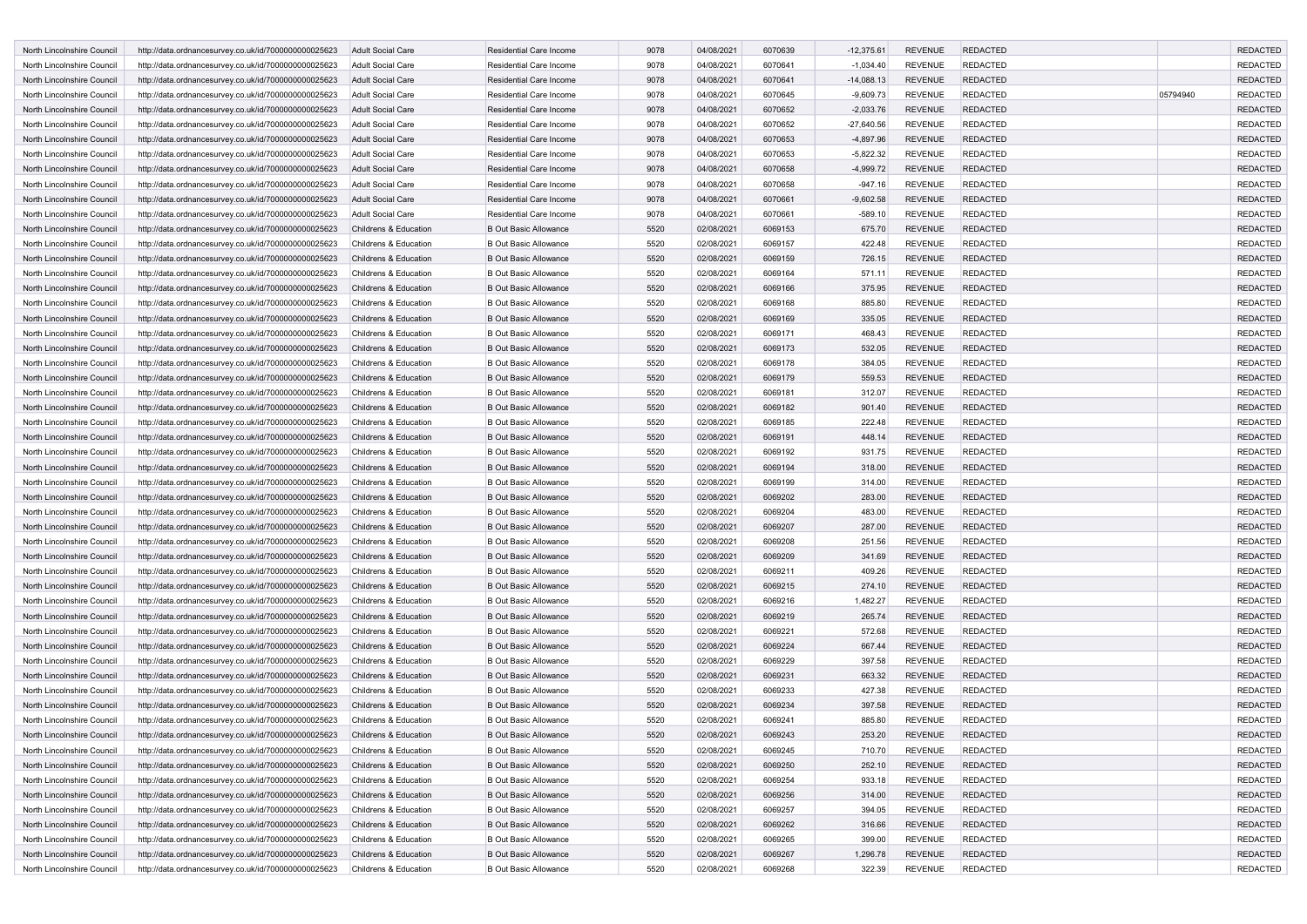| North Lincolnshire Council                               | http://data.ordnancesurvey.co.uk/id/7000000000025623                                                         | <b>Adult Social Care</b> | Residential Care Income                                      | 9078 | 04/08/2021 | 6070639 | $-12,375.61$ | <b>REVENUE</b> | <b>REDACTED</b> |          | <b>REDACTED</b> |
|----------------------------------------------------------|--------------------------------------------------------------------------------------------------------------|--------------------------|--------------------------------------------------------------|------|------------|---------|--------------|----------------|-----------------|----------|-----------------|
| North Lincolnshire Council                               | http://data.ordnancesurvey.co.uk/id/7000000000025623                                                         | <b>Adult Social Care</b> | Residential Care Income                                      | 9078 | 04/08/2021 | 6070641 | $-1,034.40$  | <b>REVENUE</b> | <b>REDACTED</b> |          | <b>REDACTED</b> |
| North Lincolnshire Council                               | http://data.ordnancesurvey.co.uk/id/7000000000025623                                                         | <b>Adult Social Care</b> | Residential Care Income                                      | 9078 | 04/08/2021 | 6070641 | $-14,088.13$ | <b>REVENUE</b> | <b>REDACTED</b> |          | <b>REDACTED</b> |
| North Lincolnshire Council                               | http://data.ordnancesurvey.co.uk/id/7000000000025623                                                         | <b>Adult Social Care</b> | Residential Care Income                                      | 9078 | 04/08/2021 | 6070645 | $-9,609.73$  | <b>REVENUE</b> | <b>REDACTED</b> | 05794940 | <b>REDACTED</b> |
| North Lincolnshire Council                               | http://data.ordnancesurvey.co.uk/id/7000000000025623                                                         | <b>Adult Social Care</b> | Residential Care Income                                      | 9078 | 04/08/2021 | 6070652 | $-2,033.76$  | <b>REVENUE</b> | <b>REDACTED</b> |          | <b>REDACTED</b> |
| North Lincolnshire Council                               | http://data.ordnancesurvey.co.uk/id/7000000000025623                                                         | <b>Adult Social Care</b> | Residential Care Income                                      | 9078 | 04/08/2021 | 6070652 | $-27,640.56$ | <b>REVENUE</b> | <b>REDACTED</b> |          | <b>REDACTED</b> |
| North Lincolnshire Council                               | http://data.ordnancesurvey.co.uk/id/7000000000025623                                                         | <b>Adult Social Care</b> | Residential Care Income                                      | 9078 | 04/08/2021 | 6070653 | $-4,897.96$  | <b>REVENUE</b> | <b>REDACTED</b> |          | <b>REDACTED</b> |
| North Lincolnshire Council                               | http://data.ordnancesurvey.co.uk/id/7000000000025623                                                         | <b>Adult Social Care</b> | Residential Care Income                                      | 9078 | 04/08/2021 | 6070653 | -5,822.32    | <b>REVENUE</b> | <b>REDACTED</b> |          | <b>REDACTED</b> |
| North Lincolnshire Council                               | http://data.ordnancesurvey.co.uk/id/7000000000025623                                                         | <b>Adult Social Care</b> | Residential Care Income                                      | 9078 | 04/08/2021 | 6070658 | $-4,999.72$  | <b>REVENUE</b> | <b>REDACTED</b> |          | <b>REDACTED</b> |
| North Lincolnshire Council                               | http://data.ordnancesurvey.co.uk/id/7000000000025623                                                         | <b>Adult Social Care</b> | Residential Care Income                                      | 9078 | 04/08/2021 | 6070658 | $-947.16$    | <b>REVENUE</b> | <b>REDACTED</b> |          | <b>REDACTED</b> |
| North Lincolnshire Council                               |                                                                                                              | <b>Adult Social Care</b> | <b>Residential Care Income</b>                               | 9078 | 04/08/2021 | 6070661 | $-9,602.58$  | <b>REVENUE</b> | <b>REDACTED</b> |          | <b>REDACTED</b> |
| North Lincolnshire Council                               | http://data.ordnancesurvey.co.uk/id/7000000000025623<br>http://data.ordnancesurvey.co.uk/id/7000000000025623 | <b>Adult Social Care</b> | Residential Care Income                                      | 9078 | 04/08/2021 | 6070661 | $-589.10$    | <b>REVENUE</b> | <b>REDACTED</b> |          | <b>REDACTED</b> |
|                                                          |                                                                                                              |                          |                                                              |      |            |         |              |                |                 |          |                 |
| North Lincolnshire Council<br>North Lincolnshire Council | http://data.ordnancesurvey.co.uk/id/7000000000025623                                                         | Childrens & Education    | <b>B Out Basic Allowance</b><br><b>B Out Basic Allowance</b> | 5520 | 02/08/2021 | 6069153 | 675.70       | <b>REVENUE</b> | <b>REDACTED</b> |          | <b>REDACTED</b> |
|                                                          | http://data.ordnancesurvey.co.uk/id/7000000000025623                                                         | Childrens & Education    |                                                              | 5520 | 02/08/2021 | 6069157 | 422.48       | <b>REVENUE</b> | <b>REDACTED</b> |          | <b>REDACTED</b> |
| North Lincolnshire Council                               | http://data.ordnancesurvey.co.uk/id/7000000000025623                                                         | Childrens & Education    | <b>B Out Basic Allowance</b>                                 | 5520 | 02/08/2021 | 6069159 | 726.15       | <b>REVENUE</b> | <b>REDACTED</b> |          | <b>REDACTED</b> |
| North Lincolnshire Council                               | http://data.ordnancesurvey.co.uk/id/7000000000025623                                                         | Childrens & Education    | <b>B Out Basic Allowance</b>                                 | 5520 | 02/08/2021 | 6069164 | 571.11       | <b>REVENUE</b> | <b>REDACTED</b> |          | <b>REDACTED</b> |
| North Lincolnshire Council                               | http://data.ordnancesurvey.co.uk/id/7000000000025623                                                         | Childrens & Education    | <b>B Out Basic Allowance</b>                                 | 5520 | 02/08/2021 | 6069166 | 375.95       | <b>REVENUE</b> | <b>REDACTED</b> |          | <b>REDACTED</b> |
| North Lincolnshire Council                               | http://data.ordnancesurvey.co.uk/id/7000000000025623                                                         | Childrens & Education    | <b>B Out Basic Allowance</b>                                 | 5520 | 02/08/2021 | 6069168 | 885.80       | <b>REVENUE</b> | <b>REDACTED</b> |          | <b>REDACTED</b> |
| North Lincolnshire Council                               | http://data.ordnancesurvey.co.uk/id/7000000000025623                                                         | Childrens & Education    | <b>B Out Basic Allowance</b>                                 | 5520 | 02/08/2021 | 6069169 | 335.05       | <b>REVENUE</b> | <b>REDACTED</b> |          | <b>REDACTED</b> |
| North Lincolnshire Council                               | http://data.ordnancesurvey.co.uk/id/7000000000025623                                                         | Childrens & Education    | <b>B Out Basic Allowance</b>                                 | 5520 | 02/08/2021 | 6069171 | 468.43       | <b>REVENUE</b> | REDACTED        |          | <b>REDACTED</b> |
| North Lincolnshire Council                               | http://data.ordnancesurvey.co.uk/id/7000000000025623                                                         | Childrens & Education    | <b>B Out Basic Allowance</b>                                 | 5520 | 02/08/2021 | 6069173 | 532.05       | <b>REVENUE</b> | <b>REDACTED</b> |          | <b>REDACTED</b> |
| North Lincolnshire Council                               | http://data.ordnancesurvey.co.uk/id/7000000000025623                                                         | Childrens & Education    | <b>B Out Basic Allowance</b>                                 | 5520 | 02/08/2021 | 6069178 | 384.05       | <b>REVENUE</b> | <b>REDACTED</b> |          | <b>REDACTED</b> |
| North Lincolnshire Council                               | http://data.ordnancesurvey.co.uk/id/7000000000025623                                                         | Childrens & Education    | <b>B Out Basic Allowance</b>                                 | 5520 | 02/08/2021 | 6069179 | 559.53       | <b>REVENUE</b> | <b>REDACTED</b> |          | <b>REDACTED</b> |
| North Lincolnshire Council                               | http://data.ordnancesurvey.co.uk/id/7000000000025623                                                         | Childrens & Education    | <b>B Out Basic Allowance</b>                                 | 5520 | 02/08/2021 | 6069181 | 312.07       | <b>REVENUE</b> | <b>REDACTED</b> |          | <b>REDACTED</b> |
| North Lincolnshire Council                               | http://data.ordnancesurvey.co.uk/id/7000000000025623                                                         | Childrens & Education    | <b>B Out Basic Allowance</b>                                 | 5520 | 02/08/2021 | 6069182 | 901.40       | <b>REVENUE</b> | <b>REDACTED</b> |          | <b>REDACTED</b> |
| North Lincolnshire Council                               | http://data.ordnancesurvey.co.uk/id/7000000000025623                                                         | Childrens & Education    | <b>B Out Basic Allowance</b>                                 | 5520 | 02/08/2021 | 6069185 | 222.48       | <b>REVENUE</b> | <b>REDACTED</b> |          | <b>REDACTED</b> |
| North Lincolnshire Council                               | http://data.ordnancesurvey.co.uk/id/7000000000025623                                                         | Childrens & Education    | <b>B Out Basic Allowance</b>                                 | 5520 | 02/08/2021 | 6069191 | 448.14       | <b>REVENUE</b> | <b>REDACTED</b> |          | <b>REDACTED</b> |
| North Lincolnshire Council                               | http://data.ordnancesurvey.co.uk/id/7000000000025623                                                         | Childrens & Education    | <b>B Out Basic Allowance</b>                                 | 5520 | 02/08/2021 | 6069192 | 931.75       | <b>REVENUE</b> | <b>REDACTED</b> |          | <b>REDACTED</b> |
| North Lincolnshire Council                               | http://data.ordnancesurvey.co.uk/id/7000000000025623                                                         | Childrens & Education    | <b>B Out Basic Allowance</b>                                 | 5520 | 02/08/2021 | 6069194 | 318.00       | <b>REVENUE</b> | <b>REDACTED</b> |          | <b>REDACTED</b> |
| North Lincolnshire Council                               | http://data.ordnancesurvey.co.uk/id/7000000000025623                                                         | Childrens & Education    | <b>B Out Basic Allowance</b>                                 | 5520 | 02/08/2021 | 6069199 | 314.00       | <b>REVENUE</b> | REDACTED        |          | <b>REDACTED</b> |
| North Lincolnshire Council                               | http://data.ordnancesurvey.co.uk/id/7000000000025623                                                         | Childrens & Education    | <b>B Out Basic Allowance</b>                                 | 5520 | 02/08/2021 | 6069202 | 283.00       | <b>REVENUE</b> | <b>REDACTED</b> |          | <b>REDACTED</b> |
| North Lincolnshire Council                               | http://data.ordnancesurvey.co.uk/id/7000000000025623                                                         | Childrens & Education    | <b>B Out Basic Allowance</b>                                 | 5520 | 02/08/2021 | 6069204 | 483.00       | <b>REVENUE</b> | <b>REDACTED</b> |          | <b>REDACTED</b> |
| North Lincolnshire Council                               | http://data.ordnancesurvey.co.uk/id/7000000000025623                                                         | Childrens & Education    | <b>B Out Basic Allowance</b>                                 | 5520 | 02/08/2021 | 6069207 | 287.00       | <b>REVENUE</b> | <b>REDACTED</b> |          | <b>REDACTED</b> |
| North Lincolnshire Council                               | http://data.ordnancesurvey.co.uk/id/7000000000025623                                                         | Childrens & Education    | <b>B Out Basic Allowance</b>                                 | 5520 | 02/08/2021 | 6069208 | 251.56       | <b>REVENUE</b> | <b>REDACTED</b> |          | <b>REDACTED</b> |
| North Lincolnshire Council                               | http://data.ordnancesurvey.co.uk/id/7000000000025623                                                         | Childrens & Education    | <b>B Out Basic Allowance</b>                                 | 5520 | 02/08/2021 | 6069209 | 341.69       | <b>REVENUE</b> | <b>REDACTED</b> |          | <b>REDACTED</b> |
| North Lincolnshire Council                               | http://data.ordnancesurvey.co.uk/id/7000000000025623                                                         | Childrens & Education    | <b>B Out Basic Allowance</b>                                 | 5520 | 02/08/2021 | 6069211 | 409.26       | <b>REVENUE</b> | <b>REDACTED</b> |          | <b>REDACTED</b> |
| North Lincolnshire Council                               | http://data.ordnancesurvey.co.uk/id/7000000000025623                                                         | Childrens & Education    | <b>B Out Basic Allowance</b>                                 | 5520 | 02/08/2021 | 6069215 | 274.10       | <b>REVENUE</b> | <b>REDACTED</b> |          | <b>REDACTED</b> |
| North Lincolnshire Council                               | http://data.ordnancesurvey.co.uk/id/7000000000025623                                                         | Childrens & Education    | <b>B Out Basic Allowance</b>                                 | 5520 | 02/08/2021 | 6069216 | 1,482.27     | <b>REVENUE</b> | <b>REDACTED</b> |          | <b>REDACTED</b> |
| North Lincolnshire Council                               | http://data.ordnancesurvey.co.uk/id/7000000000025623                                                         | Childrens & Education    | <b>B Out Basic Allowance</b>                                 | 5520 | 02/08/2021 | 6069219 | 265.74       | <b>REVENUE</b> | <b>REDACTED</b> |          | <b>REDACTED</b> |
| North Lincolnshire Council                               | http://data.ordnancesurvey.co.uk/id/7000000000025623                                                         | Childrens & Education    | <b>B Out Basic Allowance</b>                                 | 5520 | 02/08/2021 | 6069221 | 572.68       | <b>REVENUE</b> | REDACTED        |          | <b>REDACTED</b> |
| North Lincolnshire Council                               | http://data.ordnancesurvey.co.uk/id/7000000000025623                                                         | Childrens & Education    | <b>B Out Basic Allowance</b>                                 | 5520 | 02/08/2021 | 6069224 | 667.44       | <b>REVENUE</b> | <b>REDACTED</b> |          | <b>REDACTED</b> |
| North Lincolnshire Council                               | http://data.ordnancesurvey.co.uk/id/7000000000025623                                                         | Childrens & Education    | <b>B Out Basic Allowance</b>                                 | 5520 | 02/08/2021 | 6069229 | 397.58       | <b>REVENUE</b> | REDACTED        |          | <b>REDACTED</b> |
| North Lincolnshire Council                               | http://data.ordnancesurvey.co.uk/id/7000000000025623                                                         | Childrens & Education    | <b>B Out Basic Allowance</b>                                 | 5520 | 02/08/2021 | 6069231 | 663.32       | <b>REVENUE</b> | <b>REDACTED</b> |          | <b>REDACTED</b> |
| North Lincolnshire Council                               | http://data.ordnancesurvey.co.uk/id/7000000000025623                                                         | Childrens & Education    | <b>B Out Basic Allowance</b>                                 | 5520 | 02/08/2021 | 6069233 | 427.38       | <b>REVENUE</b> | REDACTED        |          | <b>REDACTED</b> |
| North Lincolnshire Council                               |                                                                                                              |                          | <b>B Out Basic Allowance</b>                                 | 5520 |            | 6069234 | 397.58       | <b>REVENUE</b> | <b>REDACTED</b> |          | <b>REDACTED</b> |
|                                                          | http://data.ordnancesurvey.co.uk/id/7000000000025623                                                         | Childrens & Education    |                                                              | 5520 | 02/08/2021 |         |              |                | <b>REDACTED</b> |          | <b>REDACTED</b> |
| North Lincolnshire Council                               | http://data.ordnancesurvey.co.uk/id/7000000000025623                                                         | Childrens & Education    | <b>B Out Basic Allowance</b>                                 |      | 02/08/2021 | 6069241 | 885.80       | <b>REVENUE</b> |                 |          |                 |
| North Lincolnshire Council                               | http://data.ordnancesurvey.co.uk/id/7000000000025623                                                         | Childrens & Education    | <b>B Out Basic Allowance</b>                                 | 5520 | 02/08/2021 | 6069243 | 253.20       | <b>REVENUE</b> | <b>REDACTED</b> |          | <b>REDACTED</b> |
| North Lincolnshire Council                               | http://data.ordnancesurvey.co.uk/id/7000000000025623                                                         | Childrens & Education    | <b>B Out Basic Allowance</b>                                 | 5520 | 02/08/2021 | 6069245 | 710.70       | <b>REVENUE</b> | <b>REDACTED</b> |          | REDACTED        |
| North Lincolnshire Council                               | http://data.ordnancesurvey.co.uk/id/7000000000025623                                                         | Childrens & Education    | <b>B Out Basic Allowance</b>                                 | 5520 | 02/08/2021 | 6069250 | 252.10       | <b>REVENUE</b> | <b>REDACTED</b> |          | <b>REDACTED</b> |
| North Lincolnshire Council                               | http://data.ordnancesurvey.co.uk/id/7000000000025623                                                         | Childrens & Education    | <b>B Out Basic Allowance</b>                                 | 5520 | 02/08/2021 | 6069254 | 933.18       | <b>REVENUE</b> | <b>REDACTED</b> |          | <b>REDACTED</b> |
| North Lincolnshire Council                               | http://data.ordnancesurvey.co.uk/id/7000000000025623                                                         | Childrens & Education    | <b>B Out Basic Allowance</b>                                 | 5520 | 02/08/2021 | 6069256 | 314.00       | <b>REVENUE</b> | <b>REDACTED</b> |          | <b>REDACTED</b> |
| North Lincolnshire Council                               | http://data.ordnancesurvey.co.uk/id/7000000000025623                                                         | Childrens & Education    | <b>B Out Basic Allowance</b>                                 | 5520 | 02/08/2021 | 6069257 | 394.05       | <b>REVENUE</b> | <b>REDACTED</b> |          | <b>REDACTED</b> |
| North Lincolnshire Council                               | http://data.ordnancesurvey.co.uk/id/7000000000025623                                                         | Childrens & Education    | <b>B Out Basic Allowance</b>                                 | 5520 | 02/08/2021 | 6069262 | 316.66       | <b>REVENUE</b> | <b>REDACTED</b> |          | <b>REDACTED</b> |
| North Lincolnshire Council                               | http://data.ordnancesurvey.co.uk/id/7000000000025623                                                         | Childrens & Education    | <b>B Out Basic Allowance</b>                                 | 5520 | 02/08/2021 | 6069265 | 399.00       | <b>REVENUE</b> | <b>REDACTED</b> |          | <b>REDACTED</b> |
| North Lincolnshire Council                               | http://data.ordnancesurvey.co.uk/id/7000000000025623                                                         | Childrens & Education    | <b>B Out Basic Allowance</b>                                 | 5520 | 02/08/2021 | 6069267 | 1,296.78     | <b>REVENUE</b> | <b>REDACTED</b> |          | <b>REDACTED</b> |
| North Lincolnshire Council                               | http://data.ordnancesurvey.co.uk/id/7000000000025623                                                         | Childrens & Education    | <b>B Out Basic Allowance</b>                                 | 5520 | 02/08/2021 | 6069268 | 322.39       | <b>REVENUE</b> | <b>REDACTED</b> |          | REDACTED        |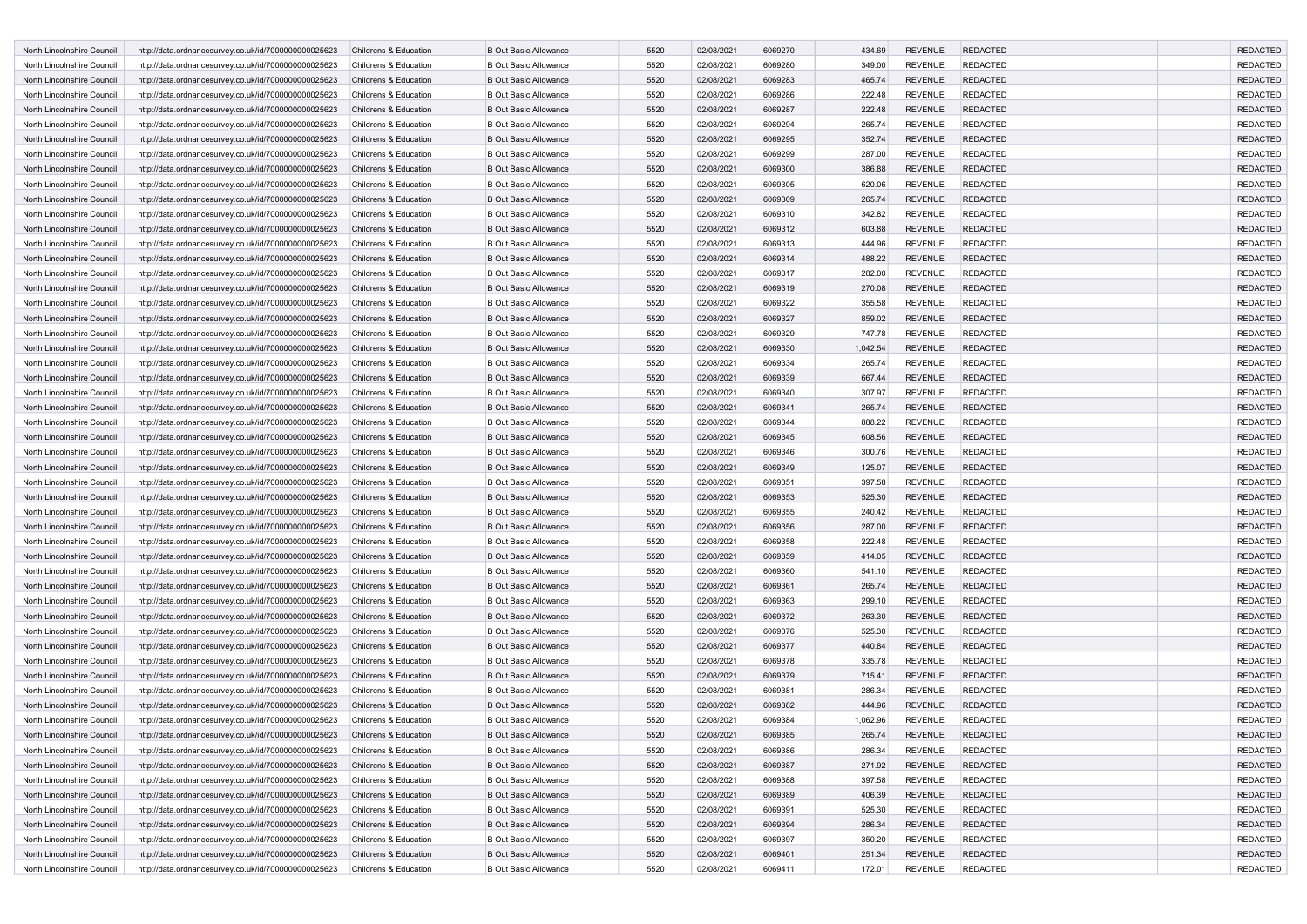| North Lincolnshire Council | http://data.ordnancesurvey.co.uk/id/7000000000025623 | Childrens & Education | <b>B Out Basic Allowance</b> | 5520 | 02/08/2021 | 6069270 | 434.69   | <b>REVENUE</b> | <b>REDACTED</b> | <b>REDACTED</b> |
|----------------------------|------------------------------------------------------|-----------------------|------------------------------|------|------------|---------|----------|----------------|-----------------|-----------------|
| North Lincolnshire Council | http://data.ordnancesurvey.co.uk/id/7000000000025623 | Childrens & Education | <b>B Out Basic Allowance</b> | 5520 | 02/08/2021 | 6069280 | 349.00   | <b>REVENUE</b> | <b>REDACTED</b> | <b>REDACTED</b> |
| North Lincolnshire Council | http://data.ordnancesurvey.co.uk/id/7000000000025623 | Childrens & Education | <b>B Out Basic Allowance</b> | 5520 | 02/08/2021 | 6069283 | 465.74   | <b>REVENUE</b> | <b>REDACTED</b> | <b>REDACTED</b> |
| North Lincolnshire Council | http://data.ordnancesurvey.co.uk/id/7000000000025623 | Childrens & Education | <b>B Out Basic Allowance</b> | 5520 | 02/08/2021 | 6069286 | 222.48   | <b>REVENUE</b> | <b>REDACTED</b> | <b>REDACTED</b> |
| North Lincolnshire Council | http://data.ordnancesurvey.co.uk/id/7000000000025623 | Childrens & Education | <b>B Out Basic Allowance</b> | 5520 | 02/08/2021 | 6069287 | 222.48   | <b>REVENUE</b> | <b>REDACTED</b> | <b>REDACTED</b> |
| North Lincolnshire Council | http://data.ordnancesurvey.co.uk/id/7000000000025623 | Childrens & Education | <b>B Out Basic Allowance</b> | 5520 | 02/08/2021 | 6069294 | 265.74   | <b>REVENUE</b> | <b>REDACTED</b> | <b>REDACTED</b> |
| North Lincolnshire Council | http://data.ordnancesurvey.co.uk/id/7000000000025623 | Childrens & Education | <b>B Out Basic Allowance</b> | 5520 | 02/08/2021 | 6069295 | 352.74   | <b>REVENUE</b> | <b>REDACTED</b> | <b>REDACTED</b> |
|                            |                                                      |                       |                              |      |            | 6069299 |          |                | <b>REDACTED</b> | <b>REDACTED</b> |
| North Lincolnshire Council | http://data.ordnancesurvey.co.uk/id/7000000000025623 | Childrens & Education | <b>B Out Basic Allowance</b> | 5520 | 02/08/2021 |         | 287.00   | <b>REVENUE</b> |                 |                 |
| North Lincolnshire Council | http://data.ordnancesurvey.co.uk/id/7000000000025623 | Childrens & Education | <b>B Out Basic Allowance</b> | 5520 | 02/08/2021 | 6069300 | 386.88   | <b>REVENUE</b> | <b>REDACTED</b> | <b>REDACTED</b> |
| North Lincolnshire Council | http://data.ordnancesurvey.co.uk/id/7000000000025623 | Childrens & Education | <b>B Out Basic Allowance</b> | 5520 | 02/08/2021 | 6069305 | 620.06   | <b>REVENUE</b> | <b>REDACTED</b> | <b>REDACTED</b> |
| North Lincolnshire Council | http://data.ordnancesurvey.co.uk/id/7000000000025623 | Childrens & Education | <b>B Out Basic Allowance</b> | 5520 | 02/08/2021 | 6069309 | 265.74   | <b>REVENUE</b> | <b>REDACTED</b> | <b>REDACTED</b> |
| North Lincolnshire Council | http://data.ordnancesurvey.co.uk/id/7000000000025623 | Childrens & Education | <b>B Out Basic Allowance</b> | 5520 | 02/08/2021 | 6069310 | 342.82   | <b>REVENUE</b> | <b>REDACTED</b> | <b>REDACTED</b> |
| North Lincolnshire Council | http://data.ordnancesurvey.co.uk/id/7000000000025623 | Childrens & Education | <b>B Out Basic Allowance</b> | 5520 | 02/08/2021 | 6069312 | 603.88   | <b>REVENUE</b> | <b>REDACTED</b> | <b>REDACTED</b> |
| North Lincolnshire Council | http://data.ordnancesurvey.co.uk/id/7000000000025623 | Childrens & Education | <b>B Out Basic Allowance</b> | 5520 | 02/08/2021 | 6069313 | 444.96   | <b>REVENUE</b> | <b>REDACTED</b> | <b>REDACTED</b> |
| North Lincolnshire Council | http://data.ordnancesurvey.co.uk/id/7000000000025623 | Childrens & Education | <b>B Out Basic Allowance</b> | 5520 | 02/08/2021 | 6069314 | 488.22   | <b>REVENUE</b> | <b>REDACTED</b> | <b>REDACTED</b> |
| North Lincolnshire Council | http://data.ordnancesurvey.co.uk/id/7000000000025623 | Childrens & Education | <b>B Out Basic Allowance</b> | 5520 | 02/08/2021 | 6069317 | 282.00   | <b>REVENUE</b> | <b>REDACTED</b> | <b>REDACTED</b> |
| North Lincolnshire Council | http://data.ordnancesurvey.co.uk/id/7000000000025623 | Childrens & Education | <b>B Out Basic Allowance</b> | 5520 | 02/08/2021 | 6069319 | 270.08   | <b>REVENUE</b> | <b>REDACTED</b> | <b>REDACTED</b> |
| North Lincolnshire Council | http://data.ordnancesurvey.co.uk/id/7000000000025623 | Childrens & Education | <b>B Out Basic Allowance</b> | 5520 | 02/08/2021 | 6069322 | 355.58   | <b>REVENUE</b> | <b>REDACTED</b> | <b>REDACTED</b> |
| North Lincolnshire Council | http://data.ordnancesurvey.co.uk/id/7000000000025623 | Childrens & Education | <b>B Out Basic Allowance</b> | 5520 | 02/08/2021 | 6069327 | 859.02   | <b>REVENUE</b> | <b>REDACTED</b> | <b>REDACTED</b> |
| North Lincolnshire Council | http://data.ordnancesurvey.co.uk/id/7000000000025623 | Childrens & Education | <b>B Out Basic Allowance</b> | 5520 | 02/08/2021 | 6069329 | 747.78   | <b>REVENUE</b> | <b>REDACTED</b> | <b>REDACTED</b> |
| North Lincolnshire Council | http://data.ordnancesurvey.co.uk/id/7000000000025623 | Childrens & Education | <b>B Out Basic Allowance</b> | 5520 | 02/08/2021 | 6069330 | 1,042.54 | <b>REVENUE</b> | <b>REDACTED</b> | <b>REDACTED</b> |
| North Lincolnshire Council | http://data.ordnancesurvey.co.uk/id/7000000000025623 | Childrens & Education | <b>B Out Basic Allowance</b> | 5520 | 02/08/2021 | 6069334 | 265.74   | <b>REVENUE</b> | <b>REDACTED</b> | <b>REDACTED</b> |
| North Lincolnshire Council | http://data.ordnancesurvey.co.uk/id/7000000000025623 | Childrens & Education | <b>B Out Basic Allowance</b> | 5520 | 02/08/2021 | 6069339 | 667.44   | <b>REVENUE</b> | <b>REDACTED</b> | <b>REDACTED</b> |
| North Lincolnshire Council | http://data.ordnancesurvey.co.uk/id/7000000000025623 | Childrens & Education | <b>B Out Basic Allowance</b> | 5520 | 02/08/2021 | 6069340 | 307.97   | <b>REVENUE</b> | <b>REDACTED</b> | <b>REDACTED</b> |
| North Lincolnshire Council | http://data.ordnancesurvey.co.uk/id/7000000000025623 | Childrens & Education | <b>B Out Basic Allowance</b> | 5520 | 02/08/2021 | 6069341 | 265.74   | <b>REVENUE</b> | <b>REDACTED</b> | <b>REDACTED</b> |
| North Lincolnshire Council | http://data.ordnancesurvey.co.uk/id/7000000000025623 | Childrens & Education | <b>B Out Basic Allowance</b> | 5520 | 02/08/2021 | 6069344 | 888.22   | <b>REVENUE</b> | <b>REDACTED</b> | <b>REDACTED</b> |
| North Lincolnshire Council | http://data.ordnancesurvey.co.uk/id/7000000000025623 | Childrens & Education | <b>B Out Basic Allowance</b> | 5520 | 02/08/2021 | 6069345 | 608.56   | <b>REVENUE</b> | <b>REDACTED</b> | <b>REDACTED</b> |
|                            |                                                      | Childrens & Education | <b>B Out Basic Allowance</b> | 5520 | 02/08/2021 | 6069346 | 300.76   | <b>REVENUE</b> | <b>REDACTED</b> | <b>REDACTED</b> |
| North Lincolnshire Council | http://data.ordnancesurvey.co.uk/id/7000000000025623 | Childrens & Education |                              |      |            |         |          |                |                 |                 |
| North Lincolnshire Council | http://data.ordnancesurvey.co.uk/id/7000000000025623 |                       | <b>B Out Basic Allowance</b> | 5520 | 02/08/2021 | 6069349 | 125.07   | <b>REVENUE</b> | <b>REDACTED</b> | <b>REDACTED</b> |
| North Lincolnshire Council | http://data.ordnancesurvey.co.uk/id/7000000000025623 | Childrens & Education | <b>B Out Basic Allowance</b> | 5520 | 02/08/2021 | 6069351 | 397.58   | <b>REVENUE</b> | <b>REDACTED</b> | <b>REDACTED</b> |
| North Lincolnshire Council | http://data.ordnancesurvey.co.uk/id/7000000000025623 | Childrens & Education | <b>B Out Basic Allowance</b> | 5520 | 02/08/2021 | 6069353 | 525.30   | <b>REVENUE</b> | <b>REDACTED</b> | <b>REDACTED</b> |
| North Lincolnshire Council | http://data.ordnancesurvey.co.uk/id/7000000000025623 | Childrens & Education | <b>B Out Basic Allowance</b> | 5520 | 02/08/2021 | 6069355 | 240.42   | <b>REVENUE</b> | <b>REDACTED</b> | <b>REDACTED</b> |
| North Lincolnshire Council | http://data.ordnancesurvey.co.uk/id/7000000000025623 | Childrens & Education | <b>B Out Basic Allowance</b> | 5520 | 02/08/2021 | 6069356 | 287.00   | <b>REVENUE</b> | <b>REDACTED</b> | <b>REDACTED</b> |
| North Lincolnshire Council | http://data.ordnancesurvey.co.uk/id/7000000000025623 | Childrens & Education | <b>B Out Basic Allowance</b> | 5520 | 02/08/2021 | 6069358 | 222.48   | <b>REVENUE</b> | <b>REDACTED</b> | <b>REDACTED</b> |
| North Lincolnshire Council | http://data.ordnancesurvey.co.uk/id/7000000000025623 | Childrens & Education | <b>B Out Basic Allowance</b> | 5520 | 02/08/2021 | 6069359 | 414.05   | <b>REVENUE</b> | <b>REDACTED</b> | <b>REDACTED</b> |
| North Lincolnshire Council | http://data.ordnancesurvey.co.uk/id/7000000000025623 | Childrens & Education | <b>B Out Basic Allowance</b> | 5520 | 02/08/2021 | 6069360 | 541.10   | <b>REVENUE</b> | <b>REDACTED</b> | <b>REDACTED</b> |
| North Lincolnshire Council | http://data.ordnancesurvey.co.uk/id/7000000000025623 | Childrens & Education | <b>B Out Basic Allowance</b> | 5520 | 02/08/2021 | 6069361 | 265.74   | <b>REVENUE</b> | <b>REDACTED</b> | <b>REDACTED</b> |
| North Lincolnshire Council | http://data.ordnancesurvey.co.uk/id/7000000000025623 | Childrens & Education | <b>B Out Basic Allowance</b> | 5520 | 02/08/2021 | 6069363 | 299.10   | <b>REVENUE</b> | <b>REDACTED</b> | <b>REDACTED</b> |
| North Lincolnshire Council | http://data.ordnancesurvey.co.uk/id/7000000000025623 | Childrens & Education | <b>B Out Basic Allowance</b> | 5520 | 02/08/2021 | 6069372 | 263.30   | <b>REVENUE</b> | <b>REDACTED</b> | <b>REDACTED</b> |
| North Lincolnshire Council | http://data.ordnancesurvey.co.uk/id/7000000000025623 | Childrens & Education | <b>B Out Basic Allowance</b> | 5520 | 02/08/2021 | 6069376 | 525.30   | <b>REVENUE</b> | <b>REDACTED</b> | <b>REDACTED</b> |
| North Lincolnshire Council | http://data.ordnancesurvey.co.uk/id/7000000000025623 | Childrens & Education | <b>B Out Basic Allowance</b> | 5520 | 02/08/2021 | 6069377 | 440.84   | <b>REVENUE</b> | <b>REDACTED</b> | <b>REDACTED</b> |
| North Lincolnshire Council | http://data.ordnancesurvey.co.uk/id/7000000000025623 | Childrens & Education | <b>B Out Basic Allowance</b> | 5520 | 02/08/2021 | 6069378 | 335.78   | <b>REVENUE</b> | <b>REDACTED</b> | <b>REDACTED</b> |
| North Lincolnshire Council | http://data.ordnancesurvey.co.uk/id/7000000000025623 | Childrens & Education | <b>B Out Basic Allowance</b> | 5520 | 02/08/2021 | 6069379 | 715.41   | <b>REVENUE</b> | <b>REDACTED</b> | <b>REDACTED</b> |
| North Lincolnshire Council | http://data.ordnancesurvey.co.uk/id/7000000000025623 | Childrens & Education | <b>B Out Basic Allowance</b> | 5520 | 02/08/2021 | 6069381 | 286.34   | <b>REVENUE</b> | <b>REDACTED</b> | <b>REDACTED</b> |
| North Lincolnshire Council | http://data.ordnancesurvey.co.uk/id/7000000000025623 | Childrens & Education | <b>B Out Basic Allowance</b> | 5520 | 02/08/2021 | 6069382 | 444.96   | <b>REVENUE</b> | <b>REDACTED</b> | <b>REDACTED</b> |
| North Lincolnshire Council | http://data.ordnancesurvey.co.uk/id/7000000000025623 | Childrens & Education | <b>B Out Basic Allowance</b> | 5520 | 02/08/2021 | 6069384 | 1,062.96 | <b>REVENUE</b> | <b>REDACTED</b> | <b>REDACTED</b> |
| North Lincolnshire Council | http://data.ordnancesurvey.co.uk/id/7000000000025623 | Childrens & Education | <b>B Out Basic Allowance</b> | 5520 | 02/08/2021 | 6069385 | 265.74   | <b>REVENUE</b> | <b>REDACTED</b> | <b>REDACTED</b> |
| North Lincolnshire Council | http://data.ordnancesurvey.co.uk/id/7000000000025623 | Childrens & Education | <b>B Out Basic Allowance</b> | 5520 | 02/08/2021 | 6069386 | 286.34   | <b>REVENUE</b> | <b>REDACTED</b> | <b>REDACTED</b> |
| North Lincolnshire Council | http://data.ordnancesurvey.co.uk/id/7000000000025623 | Childrens & Education | <b>B Out Basic Allowance</b> | 5520 | 02/08/2021 | 6069387 |          | <b>REVENUE</b> | <b>REDACTED</b> | <b>REDACTED</b> |
|                            |                                                      | Childrens & Education |                              |      |            |         | 271.92   |                |                 | <b>REDACTED</b> |
| North Lincolnshire Council | http://data.ordnancesurvey.co.uk/id/7000000000025623 |                       | <b>B Out Basic Allowance</b> | 5520 | 02/08/2021 | 6069388 | 397.58   | <b>REVENUE</b> | <b>REDACTED</b> |                 |
| North Lincolnshire Council | http://data.ordnancesurvey.co.uk/id/7000000000025623 | Childrens & Education | <b>B Out Basic Allowance</b> | 5520 | 02/08/2021 | 6069389 | 406.39   | <b>REVENUE</b> | <b>REDACTED</b> | <b>REDACTED</b> |
| North Lincolnshire Council | http://data.ordnancesurvey.co.uk/id/7000000000025623 | Childrens & Education | <b>B Out Basic Allowance</b> | 5520 | 02/08/2021 | 6069391 | 525.30   | <b>REVENUE</b> | <b>REDACTED</b> | <b>REDACTED</b> |
| North Lincolnshire Council | http://data.ordnancesurvey.co.uk/id/7000000000025623 | Childrens & Education | <b>B Out Basic Allowance</b> | 5520 | 02/08/2021 | 6069394 | 286.34   | <b>REVENUE</b> | <b>REDACTED</b> | <b>REDACTED</b> |
| North Lincolnshire Council | http://data.ordnancesurvey.co.uk/id/7000000000025623 | Childrens & Education | <b>B Out Basic Allowance</b> | 5520 | 02/08/2021 | 6069397 | 350.20   | REVENUE        | <b>REDACTED</b> | <b>REDACTED</b> |
| North Lincolnshire Council | http://data.ordnancesurvey.co.uk/id/7000000000025623 | Childrens & Education | <b>B Out Basic Allowance</b> | 5520 | 02/08/2021 | 6069401 | 251.34   | <b>REVENUE</b> | <b>REDACTED</b> | <b>REDACTED</b> |
| North Lincolnshire Council | http://data.ordnancesurvey.co.uk/id/7000000000025623 | Childrens & Education | <b>B Out Basic Allowance</b> | 5520 | 02/08/2021 | 6069411 | 172.01   | REVENUE        | <b>REDACTED</b> | REDACTED        |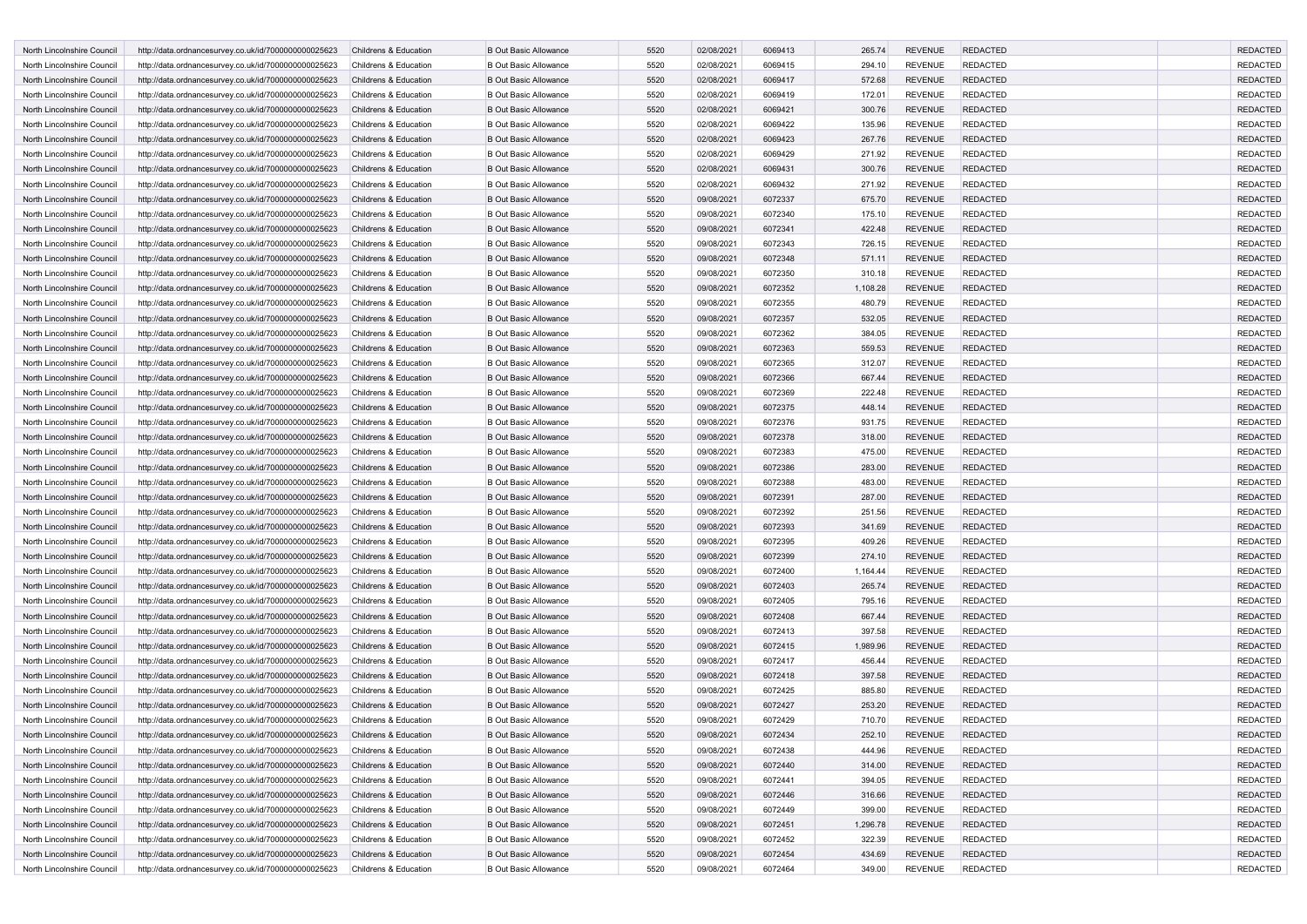| North Lincolnshire Council | http://data.ordnancesurvey.co.uk/id/7000000000025623 | Childrens & Education | <b>B Out Basic Allowance</b> | 5520 | 02/08/2021 | 6069413 | 265.74   | <b>REVENUE</b> | <b>REDACTED</b> | <b>REDACTED</b> |
|----------------------------|------------------------------------------------------|-----------------------|------------------------------|------|------------|---------|----------|----------------|-----------------|-----------------|
| North Lincolnshire Council | http://data.ordnancesurvey.co.uk/id/7000000000025623 | Childrens & Education | <b>B Out Basic Allowance</b> | 5520 | 02/08/2021 | 6069415 | 294.10   | <b>REVENUE</b> | REDACTED        | <b>REDACTED</b> |
| North Lincolnshire Council | http://data.ordnancesurvey.co.uk/id/7000000000025623 | Childrens & Education | <b>B Out Basic Allowance</b> | 5520 | 02/08/2021 | 6069417 | 572.68   | <b>REVENUE</b> | <b>REDACTED</b> | <b>REDACTED</b> |
| North Lincolnshire Council | http://data.ordnancesurvey.co.uk/id/7000000000025623 | Childrens & Education | <b>B Out Basic Allowance</b> | 5520 | 02/08/2021 | 6069419 | 172.01   | <b>REVENUE</b> | <b>REDACTED</b> | <b>REDACTED</b> |
| North Lincolnshire Council | http://data.ordnancesurvey.co.uk/id/7000000000025623 | Childrens & Education | <b>B Out Basic Allowance</b> | 5520 | 02/08/2021 | 6069421 | 300.76   | <b>REVENUE</b> | <b>REDACTED</b> | <b>REDACTED</b> |
| North Lincolnshire Council | http://data.ordnancesurvey.co.uk/id/7000000000025623 | Childrens & Education | <b>B Out Basic Allowance</b> | 5520 | 02/08/2021 | 6069422 | 135.96   | <b>REVENUE</b> | <b>REDACTED</b> | <b>REDACTED</b> |
| North Lincolnshire Council | http://data.ordnancesurvey.co.uk/id/7000000000025623 | Childrens & Education | <b>B Out Basic Allowance</b> | 5520 | 02/08/2021 | 6069423 | 267.76   | <b>REVENUE</b> | <b>REDACTED</b> | <b>REDACTED</b> |
|                            |                                                      |                       |                              |      |            |         |          |                | <b>REDACTED</b> |                 |
| North Lincolnshire Council | http://data.ordnancesurvey.co.uk/id/7000000000025623 | Childrens & Education | <b>B Out Basic Allowance</b> | 5520 | 02/08/2021 | 6069429 | 271.92   | <b>REVENUE</b> |                 | <b>REDACTED</b> |
| North Lincolnshire Council | http://data.ordnancesurvey.co.uk/id/7000000000025623 | Childrens & Education | <b>B Out Basic Allowance</b> | 5520 | 02/08/2021 | 6069431 | 300.76   | <b>REVENUE</b> | <b>REDACTED</b> | <b>REDACTED</b> |
| North Lincolnshire Council | http://data.ordnancesurvey.co.uk/id/7000000000025623 | Childrens & Education | <b>B Out Basic Allowance</b> | 5520 | 02/08/2021 | 6069432 | 271.92   | <b>REVENUE</b> | REDACTED        | <b>REDACTED</b> |
| North Lincolnshire Council | http://data.ordnancesurvey.co.uk/id/7000000000025623 | Childrens & Education | <b>B Out Basic Allowance</b> | 5520 | 09/08/2021 | 6072337 | 675.70   | <b>REVENUE</b> | <b>REDACTED</b> | <b>REDACTED</b> |
| North Lincolnshire Council | http://data.ordnancesurvey.co.uk/id/7000000000025623 | Childrens & Education | <b>B Out Basic Allowance</b> | 5520 | 09/08/2021 | 6072340 | 175.10   | <b>REVENUE</b> | <b>REDACTED</b> | <b>REDACTED</b> |
| North Lincolnshire Council | http://data.ordnancesurvey.co.uk/id/7000000000025623 | Childrens & Education | <b>B Out Basic Allowance</b> | 5520 | 09/08/2021 | 6072341 | 422.48   | <b>REVENUE</b> | <b>REDACTED</b> | <b>REDACTED</b> |
| North Lincolnshire Council | http://data.ordnancesurvey.co.uk/id/7000000000025623 | Childrens & Education | <b>B Out Basic Allowance</b> | 5520 | 09/08/2021 | 6072343 | 726.15   | <b>REVENUE</b> | <b>REDACTED</b> | <b>REDACTED</b> |
| North Lincolnshire Council | http://data.ordnancesurvey.co.uk/id/7000000000025623 | Childrens & Education | <b>B Out Basic Allowance</b> | 5520 | 09/08/2021 | 6072348 | 571.11   | <b>REVENUE</b> | <b>REDACTED</b> | <b>REDACTED</b> |
| North Lincolnshire Council | http://data.ordnancesurvey.co.uk/id/7000000000025623 | Childrens & Education | <b>B Out Basic Allowance</b> | 5520 | 09/08/2021 | 6072350 | 310.18   | <b>REVENUE</b> | <b>REDACTED</b> | <b>REDACTED</b> |
| North Lincolnshire Council | http://data.ordnancesurvey.co.uk/id/7000000000025623 | Childrens & Education | <b>B Out Basic Allowance</b> | 5520 | 09/08/2021 | 6072352 | 1,108.28 | <b>REVENUE</b> | <b>REDACTED</b> | <b>REDACTED</b> |
| North Lincolnshire Council | http://data.ordnancesurvey.co.uk/id/7000000000025623 | Childrens & Education | <b>B Out Basic Allowance</b> | 5520 | 09/08/2021 | 6072355 | 480.79   | <b>REVENUE</b> | <b>REDACTED</b> | <b>REDACTED</b> |
| North Lincolnshire Council | http://data.ordnancesurvey.co.uk/id/7000000000025623 | Childrens & Education | <b>B Out Basic Allowance</b> | 5520 | 09/08/2021 | 6072357 | 532.05   | <b>REVENUE</b> | <b>REDACTED</b> | <b>REDACTED</b> |
| North Lincolnshire Council | http://data.ordnancesurvey.co.uk/id/7000000000025623 | Childrens & Education | <b>B Out Basic Allowance</b> | 5520 | 09/08/2021 | 6072362 | 384.05   | <b>REVENUE</b> | REDACTED        | <b>REDACTED</b> |
| North Lincolnshire Council | http://data.ordnancesurvey.co.uk/id/7000000000025623 | Childrens & Education | <b>B Out Basic Allowance</b> | 5520 | 09/08/2021 | 6072363 | 559.53   | <b>REVENUE</b> | <b>REDACTED</b> | <b>REDACTED</b> |
| North Lincolnshire Council | http://data.ordnancesurvey.co.uk/id/7000000000025623 | Childrens & Education | <b>B Out Basic Allowance</b> | 5520 | 09/08/2021 | 6072365 | 312.07   | <b>REVENUE</b> | REDACTED        | <b>REDACTED</b> |
| North Lincolnshire Council | http://data.ordnancesurvey.co.uk/id/7000000000025623 | Childrens & Education | <b>B Out Basic Allowance</b> | 5520 | 09/08/2021 | 6072366 | 667.44   | <b>REVENUE</b> | <b>REDACTED</b> | <b>REDACTED</b> |
| North Lincolnshire Council | http://data.ordnancesurvey.co.uk/id/7000000000025623 | Childrens & Education | <b>B Out Basic Allowance</b> | 5520 | 09/08/2021 | 6072369 | 222.48   | <b>REVENUE</b> | <b>REDACTED</b> | <b>REDACTED</b> |
| North Lincolnshire Council | http://data.ordnancesurvey.co.uk/id/7000000000025623 | Childrens & Education | <b>B Out Basic Allowance</b> | 5520 | 09/08/2021 | 6072375 | 448.14   | <b>REVENUE</b> | <b>REDACTED</b> | <b>REDACTED</b> |
| North Lincolnshire Council | http://data.ordnancesurvey.co.uk/id/7000000000025623 | Childrens & Education | <b>B Out Basic Allowance</b> | 5520 | 09/08/2021 | 6072376 | 931.75   | <b>REVENUE</b> | <b>REDACTED</b> | <b>REDACTED</b> |
| North Lincolnshire Council | http://data.ordnancesurvey.co.uk/id/7000000000025623 | Childrens & Education | <b>B Out Basic Allowance</b> | 5520 | 09/08/2021 | 6072378 | 318.00   | <b>REVENUE</b> | <b>REDACTED</b> | <b>REDACTED</b> |
| North Lincolnshire Council |                                                      | Childrens & Education | <b>B Out Basic Allowance</b> | 5520 | 09/08/2021 | 6072383 | 475.00   | <b>REVENUE</b> | <b>REDACTED</b> | <b>REDACTED</b> |
|                            | http://data.ordnancesurvey.co.uk/id/7000000000025623 | Childrens & Education |                              |      |            |         |          |                |                 |                 |
| North Lincolnshire Council | http://data.ordnancesurvey.co.uk/id/7000000000025623 |                       | <b>B Out Basic Allowance</b> | 5520 | 09/08/2021 | 6072386 | 283.00   | <b>REVENUE</b> | <b>REDACTED</b> | <b>REDACTED</b> |
| North Lincolnshire Council | http://data.ordnancesurvey.co.uk/id/7000000000025623 | Childrens & Education | <b>B Out Basic Allowance</b> | 5520 | 09/08/2021 | 6072388 | 483.00   | <b>REVENUE</b> | REDACTED        | <b>REDACTED</b> |
| North Lincolnshire Council | http://data.ordnancesurvey.co.uk/id/7000000000025623 | Childrens & Education | <b>B Out Basic Allowance</b> | 5520 | 09/08/2021 | 6072391 | 287.00   | <b>REVENUE</b> | <b>REDACTED</b> | <b>REDACTED</b> |
| North Lincolnshire Council | http://data.ordnancesurvey.co.uk/id/7000000000025623 | Childrens & Education | <b>B Out Basic Allowance</b> | 5520 | 09/08/2021 | 6072392 | 251.56   | <b>REVENUE</b> | REDACTED        | <b>REDACTED</b> |
| North Lincolnshire Council | http://data.ordnancesurvey.co.uk/id/7000000000025623 | Childrens & Education | <b>B Out Basic Allowance</b> | 5520 | 09/08/2021 | 6072393 | 341.69   | <b>REVENUE</b> | <b>REDACTED</b> | <b>REDACTED</b> |
| North Lincolnshire Council | http://data.ordnancesurvey.co.uk/id/7000000000025623 | Childrens & Education | <b>B Out Basic Allowance</b> | 5520 | 09/08/2021 | 6072395 | 409.26   | <b>REVENUE</b> | <b>REDACTED</b> | <b>REDACTED</b> |
| North Lincolnshire Council | http://data.ordnancesurvey.co.uk/id/7000000000025623 | Childrens & Education | <b>B Out Basic Allowance</b> | 5520 | 09/08/2021 | 6072399 | 274.10   | <b>REVENUE</b> | <b>REDACTED</b> | <b>REDACTED</b> |
| North Lincolnshire Council | http://data.ordnancesurvey.co.uk/id/7000000000025623 | Childrens & Education | <b>B Out Basic Allowance</b> | 5520 | 09/08/2021 | 6072400 | 1,164.44 | <b>REVENUE</b> | <b>REDACTED</b> | <b>REDACTED</b> |
| North Lincolnshire Council | http://data.ordnancesurvey.co.uk/id/7000000000025623 | Childrens & Education | <b>B Out Basic Allowance</b> | 5520 | 09/08/2021 | 6072403 | 265.74   | <b>REVENUE</b> | <b>REDACTED</b> | <b>REDACTED</b> |
| North Lincolnshire Council | http://data.ordnancesurvey.co.uk/id/7000000000025623 | Childrens & Education | <b>B Out Basic Allowance</b> | 5520 | 09/08/2021 | 6072405 | 795.16   | <b>REVENUE</b> | <b>REDACTED</b> | <b>REDACTED</b> |
| North Lincolnshire Council | http://data.ordnancesurvey.co.uk/id/7000000000025623 | Childrens & Education | <b>B Out Basic Allowance</b> | 5520 | 09/08/2021 | 6072408 | 667.44   | <b>REVENUE</b> | <b>REDACTED</b> | <b>REDACTED</b> |
| North Lincolnshire Council | http://data.ordnancesurvey.co.uk/id/7000000000025623 | Childrens & Education | <b>B Out Basic Allowance</b> | 5520 | 09/08/2021 | 6072413 | 397.58   | REVENUE        | REDACTED        | <b>REDACTED</b> |
| North Lincolnshire Council | http://data.ordnancesurvey.co.uk/id/7000000000025623 | Childrens & Education | <b>B Out Basic Allowance</b> | 5520 | 09/08/2021 | 6072415 | 1,989.96 | <b>REVENUE</b> | <b>REDACTED</b> | <b>REDACTED</b> |
| North Lincolnshire Council | http://data.ordnancesurvey.co.uk/id/7000000000025623 | Childrens & Education | <b>B Out Basic Allowance</b> | 5520 | 09/08/2021 | 6072417 | 456.44   | <b>REVENUE</b> | REDACTED        | <b>REDACTED</b> |
| North Lincolnshire Council | http://data.ordnancesurvey.co.uk/id/7000000000025623 | Childrens & Education | <b>B Out Basic Allowance</b> | 5520 | 09/08/2021 | 6072418 | 397.58   | <b>REVENUE</b> | <b>REDACTED</b> | <b>REDACTED</b> |
| North Lincolnshire Council | http://data.ordnancesurvey.co.uk/id/7000000000025623 | Childrens & Education | <b>B Out Basic Allowance</b> | 5520 | 09/08/2021 | 6072425 | 885.80   | <b>REVENUE</b> | REDACTED        | <b>REDACTED</b> |
| North Lincolnshire Council | http://data.ordnancesurvey.co.uk/id/7000000000025623 | Childrens & Education | <b>B Out Basic Allowance</b> | 5520 | 09/08/2021 | 6072427 | 253.20   | <b>REVENUE</b> | <b>REDACTED</b> | <b>REDACTED</b> |
| North Lincolnshire Council | http://data.ordnancesurvey.co.uk/id/7000000000025623 | Childrens & Education | <b>B Out Basic Allowance</b> | 5520 | 09/08/2021 | 6072429 | 710.70   | <b>REVENUE</b> | <b>REDACTED</b> | <b>REDACTED</b> |
| North Lincolnshire Council | http://data.ordnancesurvey.co.uk/id/7000000000025623 | Childrens & Education | <b>B Out Basic Allowance</b> | 5520 | 09/08/2021 | 6072434 | 252.10   | <b>REVENUE</b> | <b>REDACTED</b> | <b>REDACTED</b> |
| North Lincolnshire Council | http://data.ordnancesurvey.co.uk/id/7000000000025623 | Childrens & Education | <b>B Out Basic Allowance</b> | 5520 | 09/08/2021 | 6072438 | 444.96   | <b>REVENUE</b> | <b>REDACTED</b> | REDACTED        |
| North Lincolnshire Council | http://data.ordnancesurvey.co.uk/id/7000000000025623 | Childrens & Education | <b>B Out Basic Allowance</b> | 5520 | 09/08/2021 | 6072440 | 314.00   | <b>REVENUE</b> | <b>REDACTED</b> | <b>REDACTED</b> |
| North Lincolnshire Council | http://data.ordnancesurvey.co.uk/id/7000000000025623 | Childrens & Education | <b>B Out Basic Allowance</b> | 5520 | 09/08/2021 | 6072441 | 394.05   | <b>REVENUE</b> | <b>REDACTED</b> | <b>REDACTED</b> |
| North Lincolnshire Council | http://data.ordnancesurvey.co.uk/id/7000000000025623 | Childrens & Education | <b>B Out Basic Allowance</b> | 5520 | 09/08/2021 | 6072446 |          | <b>REVENUE</b> | <b>REDACTED</b> | <b>REDACTED</b> |
|                            |                                                      |                       |                              |      |            |         | 316.66   |                |                 |                 |
| North Lincolnshire Council | http://data.ordnancesurvey.co.uk/id/7000000000025623 | Childrens & Education | <b>B Out Basic Allowance</b> | 5520 | 09/08/2021 | 6072449 | 399.00   | REVENUE        | <b>REDACTED</b> | <b>REDACTED</b> |
| North Lincolnshire Council | http://data.ordnancesurvey.co.uk/id/7000000000025623 | Childrens & Education | <b>B Out Basic Allowance</b> | 5520 | 09/08/2021 | 6072451 | 1,296.78 | <b>REVENUE</b> | <b>REDACTED</b> | <b>REDACTED</b> |
| North Lincolnshire Council | http://data.ordnancesurvey.co.uk/id/7000000000025623 | Childrens & Education | <b>B Out Basic Allowance</b> | 5520 | 09/08/2021 | 6072452 | 322.39   | <b>REVENUE</b> | <b>REDACTED</b> | <b>REDACTED</b> |
| North Lincolnshire Council | http://data.ordnancesurvey.co.uk/id/7000000000025623 | Childrens & Education | <b>B Out Basic Allowance</b> | 5520 | 09/08/2021 | 6072454 | 434.69   | <b>REVENUE</b> | <b>REDACTED</b> | <b>REDACTED</b> |
| North Lincolnshire Council | http://data.ordnancesurvey.co.uk/id/7000000000025623 | Childrens & Education | <b>B Out Basic Allowance</b> | 5520 | 09/08/2021 | 6072464 | 349.00   | <b>REVENUE</b> | <b>REDACTED</b> | REDACTED        |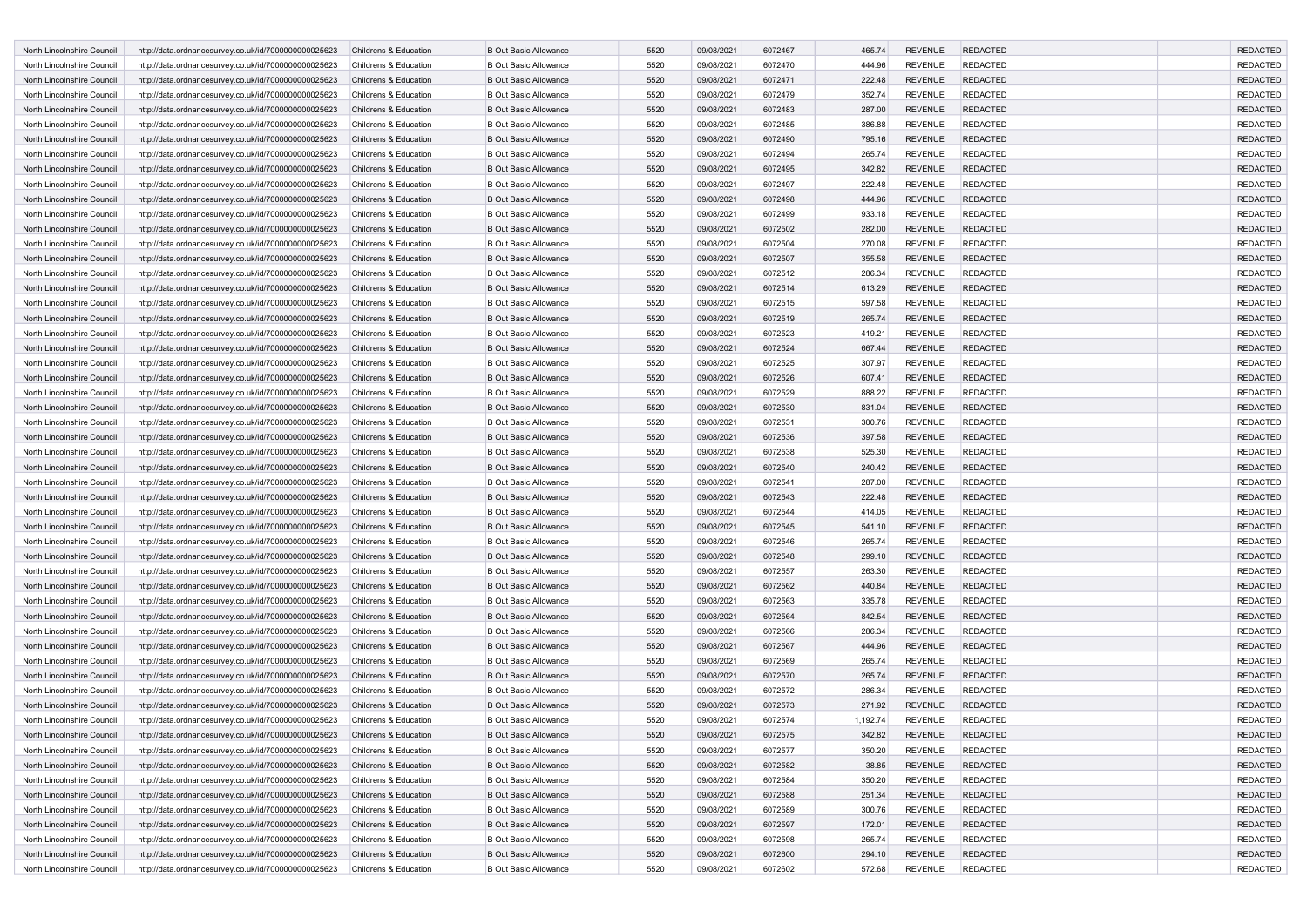| North Lincolnshire Council                               | http://data.ordnancesurvey.co.uk/id/7000000000025623                                                         | Childrens & Education | <b>B Out Basic Allowance</b> | 5520         | 09/08/2021               | 6072467            | 465.74           | <b>REVENUE</b> | <b>REDACTED</b> | <b>REDACTED</b> |
|----------------------------------------------------------|--------------------------------------------------------------------------------------------------------------|-----------------------|------------------------------|--------------|--------------------------|--------------------|------------------|----------------|-----------------|-----------------|
| North Lincolnshire Council                               | http://data.ordnancesurvey.co.uk/id/7000000000025623                                                         | Childrens & Education | <b>B Out Basic Allowance</b> | 5520         | 09/08/2021               | 6072470            | 444.96           | <b>REVENUE</b> | <b>REDACTED</b> | <b>REDACTED</b> |
| North Lincolnshire Council                               | http://data.ordnancesurvey.co.uk/id/7000000000025623                                                         | Childrens & Education | <b>B Out Basic Allowance</b> | 5520         | 09/08/2021               | 6072471            | 222.48           | <b>REVENUE</b> | <b>REDACTED</b> | <b>REDACTED</b> |
| North Lincolnshire Council                               | http://data.ordnancesurvey.co.uk/id/7000000000025623                                                         | Childrens & Education | <b>B Out Basic Allowance</b> | 5520         | 09/08/2021               | 6072479            | 352.74           | <b>REVENUE</b> | <b>REDACTED</b> | <b>REDACTED</b> |
| North Lincolnshire Council                               | http://data.ordnancesurvey.co.uk/id/7000000000025623                                                         | Childrens & Education | <b>B Out Basic Allowance</b> | 5520         | 09/08/2021               | 6072483            | 287.00           | <b>REVENUE</b> | <b>REDACTED</b> | <b>REDACTED</b> |
| North Lincolnshire Council                               | http://data.ordnancesurvey.co.uk/id/7000000000025623                                                         | Childrens & Education | <b>B Out Basic Allowance</b> | 5520         | 09/08/2021               | 6072485            | 386.88           | <b>REVENUE</b> | <b>REDACTED</b> | <b>REDACTED</b> |
| North Lincolnshire Council                               | http://data.ordnancesurvey.co.uk/id/7000000000025623                                                         | Childrens & Education | <b>B Out Basic Allowance</b> | 5520         | 09/08/2021               | 6072490            | 795.16           | <b>REVENUE</b> | <b>REDACTED</b> | <b>REDACTED</b> |
| North Lincolnshire Council                               | http://data.ordnancesurvey.co.uk/id/7000000000025623                                                         | Childrens & Education | <b>B Out Basic Allowance</b> | 5520         | 09/08/2021               | 6072494            | 265.74           | <b>REVENUE</b> | <b>REDACTED</b> | <b>REDACTED</b> |
| North Lincolnshire Council                               | http://data.ordnancesurvey.co.uk/id/7000000000025623                                                         | Childrens & Education | <b>B Out Basic Allowance</b> | 5520         | 09/08/2021               | 6072495            | 342.82           | <b>REVENUE</b> | <b>REDACTED</b> | <b>REDACTED</b> |
| North Lincolnshire Council                               | http://data.ordnancesurvey.co.uk/id/7000000000025623                                                         | Childrens & Education | <b>B Out Basic Allowance</b> | 5520         | 09/08/2021               | 6072497            | 222.48           | <b>REVENUE</b> | <b>REDACTED</b> | <b>REDACTED</b> |
| North Lincolnshire Council                               | http://data.ordnancesurvey.co.uk/id/7000000000025623                                                         | Childrens & Education | <b>B Out Basic Allowance</b> | 5520         | 09/08/2021               | 6072498            | 444.96           | <b>REVENUE</b> | <b>REDACTED</b> | <b>REDACTED</b> |
| North Lincolnshire Council                               | http://data.ordnancesurvey.co.uk/id/7000000000025623                                                         | Childrens & Education | <b>B Out Basic Allowance</b> | 5520         | 09/08/2021               | 6072499            | 933.18           | <b>REVENUE</b> | <b>REDACTED</b> | <b>REDACTED</b> |
| North Lincolnshire Council                               | http://data.ordnancesurvey.co.uk/id/7000000000025623                                                         | Childrens & Education | <b>B Out Basic Allowance</b> | 5520         | 09/08/2021               | 6072502            | 282.00           | <b>REVENUE</b> | <b>REDACTED</b> | <b>REDACTED</b> |
| North Lincolnshire Council                               | http://data.ordnancesurvey.co.uk/id/7000000000025623                                                         | Childrens & Education | <b>B Out Basic Allowance</b> | 5520         | 09/08/2021               | 6072504            | 270.08           | <b>REVENUE</b> | <b>REDACTED</b> | <b>REDACTED</b> |
| North Lincolnshire Council                               | http://data.ordnancesurvey.co.uk/id/7000000000025623                                                         | Childrens & Education | <b>B Out Basic Allowance</b> | 5520         | 09/08/2021               | 6072507            | 355.58           | <b>REVENUE</b> | <b>REDACTED</b> | <b>REDACTED</b> |
| North Lincolnshire Council                               | http://data.ordnancesurvey.co.uk/id/7000000000025623                                                         | Childrens & Education | <b>B Out Basic Allowance</b> | 5520         | 09/08/2021               | 6072512            | 286.34           | <b>REVENUE</b> | <b>REDACTED</b> | <b>REDACTED</b> |
| North Lincolnshire Council                               | http://data.ordnancesurvey.co.uk/id/7000000000025623                                                         | Childrens & Education | <b>B Out Basic Allowance</b> | 5520         | 09/08/2021               | 6072514            | 613.29           | <b>REVENUE</b> | <b>REDACTED</b> | <b>REDACTED</b> |
| North Lincolnshire Council                               | http://data.ordnancesurvey.co.uk/id/7000000000025623                                                         | Childrens & Education | <b>B Out Basic Allowance</b> | 5520         | 09/08/2021               | 6072515            | 597.58           | <b>REVENUE</b> | <b>REDACTED</b> | <b>REDACTED</b> |
| North Lincolnshire Council                               | http://data.ordnancesurvey.co.uk/id/7000000000025623                                                         | Childrens & Education | <b>B Out Basic Allowance</b> | 5520         | 09/08/2021               | 6072519            | 265.74           | <b>REVENUE</b> | <b>REDACTED</b> | <b>REDACTED</b> |
| North Lincolnshire Council                               | http://data.ordnancesurvey.co.uk/id/7000000000025623                                                         | Childrens & Education | <b>B Out Basic Allowance</b> | 5520         | 09/08/2021               | 6072523            | 419.21           | <b>REVENUE</b> | <b>REDACTED</b> | <b>REDACTED</b> |
| North Lincolnshire Council                               | http://data.ordnancesurvey.co.uk/id/7000000000025623                                                         | Childrens & Education | <b>B Out Basic Allowance</b> | 5520         | 09/08/2021               | 6072524            | 667.44           | <b>REVENUE</b> | <b>REDACTED</b> | <b>REDACTED</b> |
| North Lincolnshire Council                               | http://data.ordnancesurvey.co.uk/id/7000000000025623                                                         | Childrens & Education | <b>B Out Basic Allowance</b> | 5520         | 09/08/2021               | 6072525            | 307.97           | <b>REVENUE</b> | <b>REDACTED</b> | <b>REDACTED</b> |
| North Lincolnshire Council                               | http://data.ordnancesurvey.co.uk/id/7000000000025623                                                         | Childrens & Education | <b>B Out Basic Allowance</b> | 5520         | 09/08/2021               | 6072526            | 607.41           | <b>REVENUE</b> | <b>REDACTED</b> | <b>REDACTED</b> |
| North Lincolnshire Council                               | http://data.ordnancesurvey.co.uk/id/7000000000025623                                                         | Childrens & Education | <b>B Out Basic Allowance</b> | 5520         | 09/08/2021               | 6072529            | 888.22           | <b>REVENUE</b> | <b>REDACTED</b> | <b>REDACTED</b> |
| North Lincolnshire Council                               | http://data.ordnancesurvey.co.uk/id/7000000000025623                                                         | Childrens & Education | <b>B Out Basic Allowance</b> | 5520         | 09/08/2021               | 6072530            | 831.04           | <b>REVENUE</b> | <b>REDACTED</b> | <b>REDACTED</b> |
| North Lincolnshire Council                               | http://data.ordnancesurvey.co.uk/id/7000000000025623                                                         | Childrens & Education | <b>B Out Basic Allowance</b> | 5520         | 09/08/2021               | 6072531            | 300.76           | <b>REVENUE</b> | <b>REDACTED</b> | <b>REDACTED</b> |
| North Lincolnshire Council                               | http://data.ordnancesurvey.co.uk/id/7000000000025623                                                         | Childrens & Education | <b>B Out Basic Allowance</b> | 5520         | 09/08/2021               | 6072536            | 397.58           | <b>REVENUE</b> | <b>REDACTED</b> | <b>REDACTED</b> |
| North Lincolnshire Council                               | http://data.ordnancesurvey.co.uk/id/7000000000025623                                                         | Childrens & Education | <b>B Out Basic Allowance</b> | 5520         | 09/08/2021               | 6072538            | 525.30           | <b>REVENUE</b> | <b>REDACTED</b> | <b>REDACTED</b> |
| North Lincolnshire Council                               | http://data.ordnancesurvey.co.uk/id/7000000000025623                                                         | Childrens & Education | <b>B Out Basic Allowance</b> | 5520         | 09/08/2021               | 6072540            | 240.42           | <b>REVENUE</b> | <b>REDACTED</b> | <b>REDACTED</b> |
| North Lincolnshire Council                               | http://data.ordnancesurvey.co.uk/id/7000000000025623                                                         | Childrens & Education | <b>B Out Basic Allowance</b> | 5520         | 09/08/2021               | 6072541            | 287.00           | <b>REVENUE</b> | <b>REDACTED</b> | <b>REDACTED</b> |
| North Lincolnshire Council                               | http://data.ordnancesurvey.co.uk/id/7000000000025623                                                         | Childrens & Education | <b>B Out Basic Allowance</b> | 5520         | 09/08/2021               | 6072543            | 222.48           | <b>REVENUE</b> | <b>REDACTED</b> | <b>REDACTED</b> |
| North Lincolnshire Council                               | http://data.ordnancesurvey.co.uk/id/7000000000025623                                                         | Childrens & Education | <b>B Out Basic Allowance</b> | 5520         | 09/08/2021               | 6072544            | 414.05           | <b>REVENUE</b> | <b>REDACTED</b> | <b>REDACTED</b> |
| North Lincolnshire Council                               |                                                                                                              | Childrens & Education | <b>B Out Basic Allowance</b> | 5520         | 09/08/2021               | 6072545            |                  | <b>REVENUE</b> | <b>REDACTED</b> | <b>REDACTED</b> |
| North Lincolnshire Council                               | http://data.ordnancesurvey.co.uk/id/7000000000025623                                                         | Childrens & Education | <b>B Out Basic Allowance</b> | 5520         | 09/08/2021               | 6072546            | 541.10<br>265.74 | <b>REVENUE</b> | <b>REDACTED</b> | <b>REDACTED</b> |
| North Lincolnshire Council                               | http://data.ordnancesurvey.co.uk/id/7000000000025623<br>http://data.ordnancesurvey.co.uk/id/7000000000025623 | Childrens & Education | <b>B Out Basic Allowance</b> | 5520         | 09/08/2021               | 6072548            | 299.10           | <b>REVENUE</b> | <b>REDACTED</b> | <b>REDACTED</b> |
| North Lincolnshire Council                               | http://data.ordnancesurvey.co.uk/id/7000000000025623                                                         | Childrens & Education | <b>B Out Basic Allowance</b> | 5520         | 09/08/2021               | 6072557            | 263.30           | <b>REVENUE</b> | <b>REDACTED</b> | <b>REDACTED</b> |
| North Lincolnshire Council                               | http://data.ordnancesurvey.co.uk/id/7000000000025623                                                         | Childrens & Education | <b>B Out Basic Allowance</b> | 5520         | 09/08/2021               | 6072562            | 440.84           | <b>REVENUE</b> | <b>REDACTED</b> | <b>REDACTED</b> |
| North Lincolnshire Council                               |                                                                                                              | Childrens & Education | <b>B Out Basic Allowance</b> | 5520         | 09/08/2021               | 6072563            | 335.78           | <b>REVENUE</b> | <b>REDACTED</b> | <b>REDACTED</b> |
| North Lincolnshire Council                               | http://data.ordnancesurvey.co.uk/id/7000000000025623                                                         | Childrens & Education | <b>B Out Basic Allowance</b> | 5520         |                          | 6072564            |                  | <b>REVENUE</b> | <b>REDACTED</b> | <b>REDACTED</b> |
| North Lincolnshire Council                               | http://data.ordnancesurvey.co.uk/id/7000000000025623<br>http://data.ordnancesurvey.co.uk/id/7000000000025623 | Childrens & Education | <b>B Out Basic Allowance</b> | 5520         | 09/08/2021<br>09/08/2021 | 6072566            | 842.54<br>286.34 | <b>REVENUE</b> | <b>REDACTED</b> | <b>REDACTED</b> |
| North Lincolnshire Council                               | http://data.ordnancesurvey.co.uk/id/7000000000025623                                                         | Childrens & Education | <b>B Out Basic Allowance</b> | 5520         | 09/08/2021               | 6072567            | 444.96           | <b>REVENUE</b> | <b>REDACTED</b> | <b>REDACTED</b> |
| North Lincolnshire Council                               | http://data.ordnancesurvey.co.uk/id/7000000000025623                                                         | Childrens & Education | <b>B Out Basic Allowance</b> | 5520         | 09/08/2021               | 6072569            | 265.74           | <b>REVENUE</b> | <b>REDACTED</b> | <b>REDACTED</b> |
|                                                          |                                                                                                              | Childrens & Education | <b>B Out Basic Allowance</b> | 5520         |                          | 6072570            |                  | <b>REVENUE</b> | <b>REDACTED</b> | <b>REDACTED</b> |
| North Lincolnshire Council                               | http://data.ordnancesurvey.co.uk/id/7000000000025623<br>http://data.ordnancesurvey.co.uk/id/7000000000025623 | Childrens & Education |                              |              | 09/08/2021               |                    | 265.74           | <b>REVENUE</b> | <b>REDACTED</b> | <b>REDACTED</b> |
| North Lincolnshire Council<br>North Lincolnshire Council |                                                                                                              |                       | <b>B Out Basic Allowance</b> | 5520<br>5520 | 09/08/2021               | 6072572<br>6072573 | 286.34           |                | <b>REDACTED</b> | <b>REDACTED</b> |
|                                                          | http://data.ordnancesurvey.co.uk/id/7000000000025623                                                         | Childrens & Education | <b>B Out Basic Allowance</b> |              | 09/08/2021               |                    | 271.92           | <b>REVENUE</b> |                 |                 |
| North Lincolnshire Council                               | http://data.ordnancesurvey.co.uk/id/7000000000025623                                                         | Childrens & Education | <b>B Out Basic Allowance</b> | 5520         | 09/08/2021               | 6072574            | 1,192.74         | <b>REVENUE</b> | <b>REDACTED</b> | <b>REDACTED</b> |
| North Lincolnshire Council                               | http://data.ordnancesurvey.co.uk/id/7000000000025623                                                         | Childrens & Education | <b>B Out Basic Allowance</b> | 5520         | 09/08/2021               | 6072575            | 342.82           | <b>REVENUE</b> | <b>REDACTED</b> | <b>REDACTED</b> |
| North Lincolnshire Council                               | http://data.ordnancesurvey.co.uk/id/7000000000025623                                                         | Childrens & Education | <b>B Out Basic Allowance</b> | 5520         | 09/08/2021               | 6072577            | 350.20           | <b>REVENUE</b> | <b>REDACTED</b> | <b>REDACTED</b> |
| North Lincolnshire Council                               | http://data.ordnancesurvey.co.uk/id/7000000000025623                                                         | Childrens & Education | <b>B Out Basic Allowance</b> | 5520         | 09/08/2021               | 6072582            | 38.85            | <b>REVENUE</b> | <b>REDACTED</b> | <b>REDACTED</b> |
| North Lincolnshire Council                               | http://data.ordnancesurvey.co.uk/id/7000000000025623                                                         | Childrens & Education | <b>B Out Basic Allowance</b> | 5520         | 09/08/2021               | 6072584            | 350.20           | <b>REVENUE</b> | <b>REDACTED</b> | <b>REDACTED</b> |
| North Lincolnshire Council                               | http://data.ordnancesurvey.co.uk/id/7000000000025623                                                         | Childrens & Education | <b>B Out Basic Allowance</b> | 5520         | 09/08/2021               | 6072588            | 251.34           | <b>REVENUE</b> | <b>REDACTED</b> | <b>REDACTED</b> |
| North Lincolnshire Council                               | http://data.ordnancesurvey.co.uk/id/7000000000025623                                                         | Childrens & Education | <b>B Out Basic Allowance</b> | 5520         | 09/08/2021               | 6072589            | 300.76           | <b>REVENUE</b> | <b>REDACTED</b> | <b>REDACTED</b> |
| North Lincolnshire Council                               | http://data.ordnancesurvey.co.uk/id/7000000000025623                                                         | Childrens & Education | <b>B Out Basic Allowance</b> | 5520         | 09/08/2021               | 6072597            | 172.01           | <b>REVENUE</b> | <b>REDACTED</b> | <b>REDACTED</b> |
| North Lincolnshire Council                               | http://data.ordnancesurvey.co.uk/id/7000000000025623                                                         | Childrens & Education | <b>B Out Basic Allowance</b> | 5520         | 09/08/2021               | 6072598            | 265.74           | <b>REVENUE</b> | <b>REDACTED</b> | <b>REDACTED</b> |
| North Lincolnshire Council                               | http://data.ordnancesurvey.co.uk/id/7000000000025623                                                         | Childrens & Education | <b>B Out Basic Allowance</b> | 5520         | 09/08/2021               | 6072600            | 294.10           | <b>REVENUE</b> | <b>REDACTED</b> | <b>REDACTED</b> |
| North Lincolnshire Council                               | http://data.ordnancesurvey.co.uk/id/7000000000025623                                                         | Childrens & Education | <b>B Out Basic Allowance</b> | 5520         | 09/08/2021               | 6072602            | 572.68           | REVENUE        | REDACTED        | REDACTED        |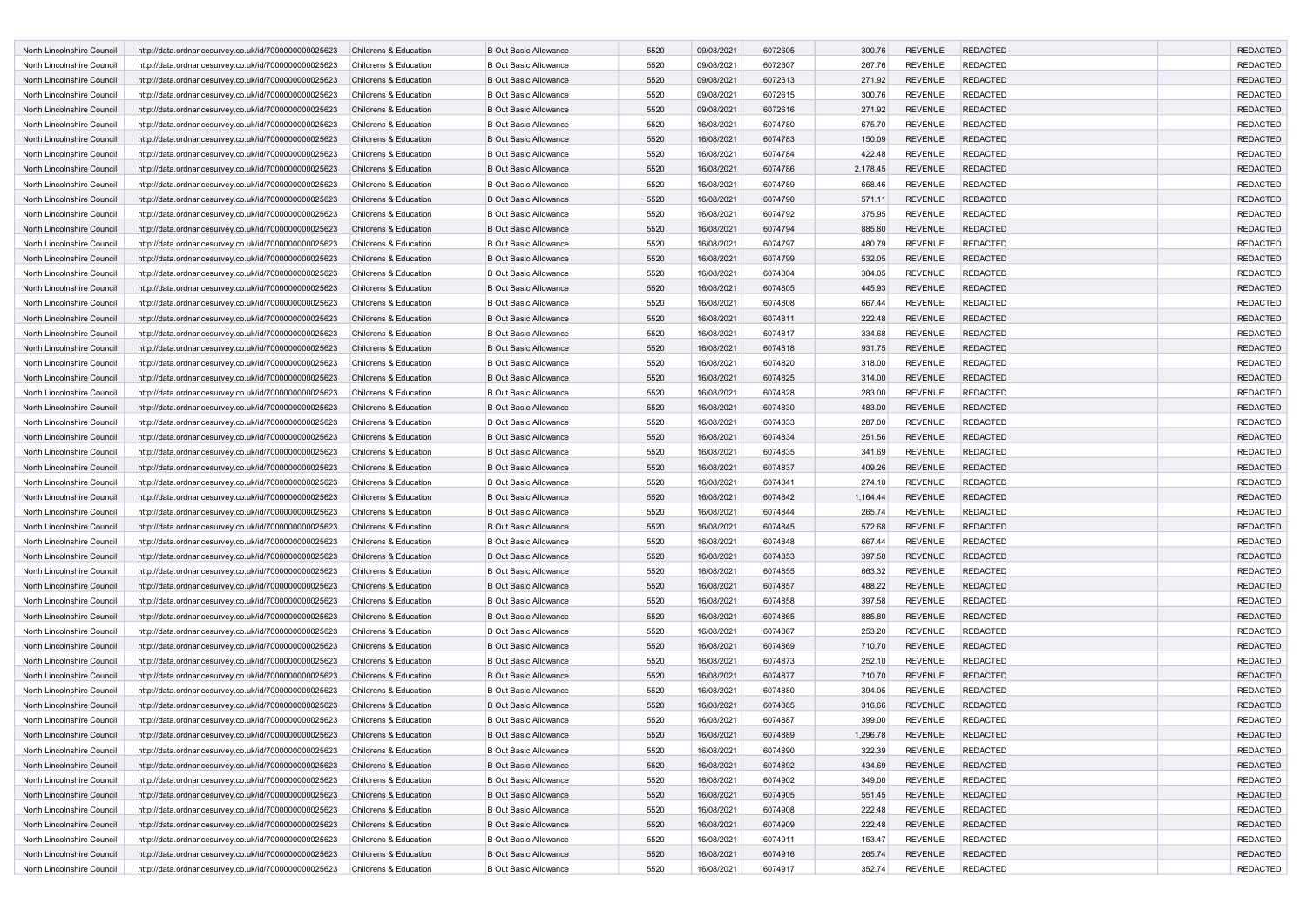| North Lincolnshire Council | http://data.ordnancesurvey.co.uk/id/7000000000025623 | Childrens & Education | <b>B Out Basic Allowance</b>                                 | 5520 | 09/08/2021 | 6072605 | 300.76   | <b>REVENUE</b>                   | <b>REDACTED</b>                    | <b>REDACTED</b>             |
|----------------------------|------------------------------------------------------|-----------------------|--------------------------------------------------------------|------|------------|---------|----------|----------------------------------|------------------------------------|-----------------------------|
| North Lincolnshire Council | http://data.ordnancesurvey.co.uk/id/7000000000025623 | Childrens & Education | <b>B Out Basic Allowance</b>                                 | 5520 | 09/08/2021 | 6072607 | 267.76   | <b>REVENUE</b>                   | REDACTED                           | <b>REDACTED</b>             |
| North Lincolnshire Council | http://data.ordnancesurvey.co.uk/id/7000000000025623 | Childrens & Education | <b>B Out Basic Allowance</b>                                 | 5520 | 09/08/2021 | 6072613 | 271.92   | <b>REVENUE</b>                   | <b>REDACTED</b>                    | <b>REDACTED</b>             |
| North Lincolnshire Council | http://data.ordnancesurvey.co.uk/id/7000000000025623 | Childrens & Education | <b>B Out Basic Allowance</b>                                 | 5520 | 09/08/2021 | 6072615 | 300.76   | <b>REVENUE</b>                   | <b>REDACTED</b>                    | <b>REDACTED</b>             |
| North Lincolnshire Council | http://data.ordnancesurvey.co.uk/id/7000000000025623 | Childrens & Education | <b>B Out Basic Allowance</b>                                 | 5520 | 09/08/2021 | 6072616 | 271.92   | <b>REVENUE</b>                   | <b>REDACTED</b>                    | <b>REDACTED</b>             |
| North Lincolnshire Council | http://data.ordnancesurvey.co.uk/id/7000000000025623 | Childrens & Education | <b>B Out Basic Allowance</b>                                 | 5520 | 16/08/2021 | 6074780 | 675.70   | <b>REVENUE</b>                   | <b>REDACTED</b>                    | <b>REDACTED</b>             |
| North Lincolnshire Council | http://data.ordnancesurvey.co.uk/id/7000000000025623 | Childrens & Education | <b>B Out Basic Allowance</b>                                 | 5520 | 16/08/2021 | 6074783 | 150.09   | <b>REVENUE</b>                   | <b>REDACTED</b>                    | <b>REDACTED</b>             |
| North Lincolnshire Council | http://data.ordnancesurvey.co.uk/id/7000000000025623 | Childrens & Education | <b>B Out Basic Allowance</b>                                 | 5520 | 16/08/2021 | 6074784 | 422.48   | <b>REVENUE</b>                   | <b>REDACTED</b>                    | <b>REDACTED</b>             |
| North Lincolnshire Council | http://data.ordnancesurvey.co.uk/id/7000000000025623 | Childrens & Education | <b>B Out Basic Allowance</b>                                 | 5520 | 16/08/2021 | 6074786 | 2,178.45 | <b>REVENUE</b>                   | <b>REDACTED</b>                    | <b>REDACTED</b>             |
| North Lincolnshire Council | http://data.ordnancesurvey.co.uk/id/7000000000025623 | Childrens & Education | <b>B Out Basic Allowance</b>                                 | 5520 | 16/08/2021 | 6074789 | 658.46   | <b>REVENUE</b>                   | REDACTED                           | <b>REDACTED</b>             |
| North Lincolnshire Council |                                                      | Childrens & Education | <b>B Out Basic Allowance</b>                                 | 5520 |            | 6074790 |          | <b>REVENUE</b>                   | <b>REDACTED</b>                    | <b>REDACTED</b>             |
| North Lincolnshire Council | http://data.ordnancesurvey.co.uk/id/7000000000025623 | Childrens & Education | <b>B Out Basic Allowance</b>                                 | 5520 | 16/08/2021 | 6074792 | 571.11   | <b>REVENUE</b>                   | REDACTED                           | <b>REDACTED</b>             |
|                            | http://data.ordnancesurvey.co.uk/id/7000000000025623 |                       |                                                              |      | 16/08/2021 |         | 375.95   |                                  |                                    |                             |
| North Lincolnshire Council | http://data.ordnancesurvey.co.uk/id/7000000000025623 | Childrens & Education | <b>B Out Basic Allowance</b><br><b>B Out Basic Allowance</b> | 5520 | 16/08/2021 | 6074794 | 885.80   | <b>REVENUE</b>                   | <b>REDACTED</b>                    | <b>REDACTED</b>             |
| North Lincolnshire Council | http://data.ordnancesurvey.co.uk/id/7000000000025623 | Childrens & Education |                                                              | 5520 | 16/08/2021 | 6074797 | 480.79   | <b>REVENUE</b>                   | <b>REDACTED</b>                    | <b>REDACTED</b>             |
| North Lincolnshire Council | http://data.ordnancesurvey.co.uk/id/7000000000025623 | Childrens & Education | <b>B Out Basic Allowance</b>                                 | 5520 | 16/08/2021 | 6074799 | 532.05   | <b>REVENUE</b>                   | <b>REDACTED</b>                    | <b>REDACTED</b>             |
| North Lincolnshire Council | http://data.ordnancesurvey.co.uk/id/7000000000025623 | Childrens & Education | <b>B Out Basic Allowance</b>                                 | 5520 | 16/08/2021 | 6074804 | 384.05   | <b>REVENUE</b>                   | <b>REDACTED</b>                    | <b>REDACTED</b>             |
| North Lincolnshire Council | http://data.ordnancesurvey.co.uk/id/7000000000025623 | Childrens & Education | <b>B Out Basic Allowance</b>                                 | 5520 | 16/08/2021 | 6074805 | 445.93   | <b>REVENUE</b>                   | <b>REDACTED</b>                    | <b>REDACTED</b>             |
| North Lincolnshire Council | http://data.ordnancesurvey.co.uk/id/7000000000025623 | Childrens & Education | <b>B Out Basic Allowance</b>                                 | 5520 | 16/08/2021 | 6074808 | 667.44   | <b>REVENUE</b>                   | <b>REDACTED</b>                    | <b>REDACTED</b>             |
| North Lincolnshire Council | http://data.ordnancesurvey.co.uk/id/7000000000025623 | Childrens & Education | <b>B Out Basic Allowance</b>                                 | 5520 | 16/08/2021 | 6074811 | 222.48   | <b>REVENUE</b>                   | <b>REDACTED</b>                    | <b>REDACTED</b>             |
| North Lincolnshire Council | http://data.ordnancesurvey.co.uk/id/7000000000025623 | Childrens & Education | <b>B Out Basic Allowance</b>                                 | 5520 | 16/08/2021 | 6074817 | 334.68   | <b>REVENUE</b>                   | REDACTED                           | <b>REDACTED</b>             |
| North Lincolnshire Council | http://data.ordnancesurvey.co.uk/id/7000000000025623 | Childrens & Education | <b>B Out Basic Allowance</b>                                 | 5520 | 16/08/2021 | 6074818 | 931.75   | <b>REVENUE</b>                   | <b>REDACTED</b>                    | <b>REDACTED</b>             |
| North Lincolnshire Council | http://data.ordnancesurvey.co.uk/id/7000000000025623 | Childrens & Education | <b>B Out Basic Allowance</b>                                 | 5520 | 16/08/2021 | 6074820 | 318.00   | <b>REVENUE</b>                   | REDACTED                           | <b>REDACTED</b>             |
| North Lincolnshire Council | http://data.ordnancesurvey.co.uk/id/7000000000025623 | Childrens & Education | <b>B Out Basic Allowance</b>                                 | 5520 | 16/08/2021 | 6074825 | 314.00   | <b>REVENUE</b>                   | <b>REDACTED</b>                    | <b>REDACTED</b>             |
| North Lincolnshire Council | http://data.ordnancesurvey.co.uk/id/7000000000025623 | Childrens & Education | <b>B Out Basic Allowance</b>                                 | 5520 | 16/08/2021 | 6074828 | 283.00   | <b>REVENUE</b>                   | <b>REDACTED</b>                    | <b>REDACTED</b>             |
| North Lincolnshire Council | http://data.ordnancesurvey.co.uk/id/7000000000025623 | Childrens & Education | <b>B Out Basic Allowance</b>                                 | 5520 | 16/08/2021 | 6074830 | 483.00   | <b>REVENUE</b>                   | <b>REDACTED</b>                    | <b>REDACTED</b>             |
| North Lincolnshire Council | http://data.ordnancesurvey.co.uk/id/7000000000025623 | Childrens & Education | <b>B Out Basic Allowance</b>                                 | 5520 | 16/08/2021 | 6074833 | 287.00   | <b>REVENUE</b>                   | <b>REDACTED</b>                    | <b>REDACTED</b>             |
| North Lincolnshire Council | http://data.ordnancesurvey.co.uk/id/7000000000025623 | Childrens & Education | <b>B Out Basic Allowance</b>                                 | 5520 | 16/08/2021 | 6074834 | 251.56   | <b>REVENUE</b>                   | <b>REDACTED</b>                    | <b>REDACTED</b>             |
| North Lincolnshire Council | http://data.ordnancesurvey.co.uk/id/7000000000025623 | Childrens & Education | <b>B Out Basic Allowance</b>                                 | 5520 | 16/08/2021 | 6074835 | 341.69   | <b>REVENUE</b>                   | <b>REDACTED</b>                    | <b>REDACTED</b>             |
| North Lincolnshire Council | http://data.ordnancesurvey.co.uk/id/7000000000025623 | Childrens & Education | <b>B Out Basic Allowance</b>                                 | 5520 | 16/08/2021 | 6074837 | 409.26   | <b>REVENUE</b>                   | <b>REDACTED</b>                    | <b>REDACTED</b>             |
| North Lincolnshire Council | http://data.ordnancesurvey.co.uk/id/7000000000025623 | Childrens & Education | <b>B Out Basic Allowance</b>                                 | 5520 | 16/08/2021 | 6074841 | 274.10   | <b>REVENUE</b>                   | REDACTED                           | <b>REDACTED</b>             |
| North Lincolnshire Council | http://data.ordnancesurvey.co.uk/id/7000000000025623 | Childrens & Education | <b>B Out Basic Allowance</b>                                 | 5520 | 16/08/2021 | 6074842 | 1,164.44 | <b>REVENUE</b>                   | <b>REDACTED</b>                    | <b>REDACTED</b>             |
| North Lincolnshire Council | http://data.ordnancesurvey.co.uk/id/7000000000025623 | Childrens & Education | <b>B Out Basic Allowance</b>                                 | 5520 | 16/08/2021 | 6074844 | 265.74   | <b>REVENUE</b>                   | REDACTED                           | <b>REDACTED</b>             |
| North Lincolnshire Council | http://data.ordnancesurvey.co.uk/id/7000000000025623 | Childrens & Education | <b>B Out Basic Allowance</b>                                 | 5520 | 16/08/2021 | 6074845 | 572.68   | <b>REVENUE</b>                   | <b>REDACTED</b>                    | <b>REDACTED</b>             |
| North Lincolnshire Council | http://data.ordnancesurvey.co.uk/id/7000000000025623 | Childrens & Education | <b>B Out Basic Allowance</b>                                 | 5520 | 16/08/2021 | 6074848 | 667.44   | <b>REVENUE</b>                   | <b>REDACTED</b>                    | <b>REDACTED</b>             |
| North Lincolnshire Council | http://data.ordnancesurvey.co.uk/id/7000000000025623 | Childrens & Education | <b>B Out Basic Allowance</b>                                 | 5520 | 16/08/2021 | 6074853 | 397.58   | <b>REVENUE</b>                   | <b>REDACTED</b>                    | <b>REDACTED</b>             |
| North Lincolnshire Council | http://data.ordnancesurvey.co.uk/id/7000000000025623 | Childrens & Education | <b>B Out Basic Allowance</b>                                 | 5520 | 16/08/2021 | 6074855 | 663.32   | <b>REVENUE</b>                   | <b>REDACTED</b>                    | <b>REDACTED</b>             |
| North Lincolnshire Council | http://data.ordnancesurvey.co.uk/id/7000000000025623 | Childrens & Education | <b>B Out Basic Allowance</b>                                 | 5520 | 16/08/2021 | 6074857 | 488.22   | <b>REVENUE</b>                   | <b>REDACTED</b>                    | <b>REDACTED</b>             |
| North Lincolnshire Council | http://data.ordnancesurvey.co.uk/id/7000000000025623 | Childrens & Education | <b>B Out Basic Allowance</b>                                 | 5520 | 16/08/2021 | 6074858 | 397.58   | <b>REVENUE</b>                   | <b>REDACTED</b>                    | <b>REDACTED</b>             |
| North Lincolnshire Council | http://data.ordnancesurvey.co.uk/id/7000000000025623 | Childrens & Education | <b>B Out Basic Allowance</b>                                 | 5520 | 16/08/2021 | 6074865 | 885.80   | <b>REVENUE</b>                   | <b>REDACTED</b>                    | <b>REDACTED</b>             |
| North Lincolnshire Council | http://data.ordnancesurvey.co.uk/id/7000000000025623 | Childrens & Education | <b>B Out Basic Allowance</b>                                 | 5520 | 16/08/2021 | 6074867 | 253.20   | <b>REVENUE</b>                   | REDACTED                           | <b>REDACTED</b>             |
| North Lincolnshire Council | http://data.ordnancesurvey.co.uk/id/7000000000025623 | Childrens & Education | <b>B Out Basic Allowance</b>                                 | 5520 | 16/08/2021 | 6074869 | 710.70   | <b>REVENUE</b>                   | <b>REDACTED</b>                    | <b>REDACTED</b>             |
| North Lincolnshire Council | http://data.ordnancesurvey.co.uk/id/7000000000025623 | Childrens & Education | <b>B Out Basic Allowance</b>                                 | 5520 | 16/08/2021 | 6074873 | 252.10   | <b>REVENUE</b>                   | REDACTED                           | <b>REDACTED</b>             |
| North Lincolnshire Council | http://data.ordnancesurvey.co.uk/id/7000000000025623 | Childrens & Education | <b>B Out Basic Allowance</b>                                 | 5520 | 16/08/2021 | 6074877 | 710.70   | <b>REVENUE</b>                   | <b>REDACTED</b>                    | <b>REDACTED</b>             |
| North Lincolnshire Council | http://data.ordnancesurvey.co.uk/id/7000000000025623 | Childrens & Education | <b>B Out Basic Allowance</b>                                 | 5520 | 16/08/2021 | 6074880 | 394.05   | <b>REVENUE</b>                   | REDACTED                           | <b>REDACTED</b>             |
| North Lincolnshire Council | http://data.ordnancesurvey.co.uk/id/7000000000025623 | Childrens & Education | <b>B Out Basic Allowance</b>                                 | 5520 | 16/08/2021 | 6074885 | 316.66   | <b>REVENUE</b>                   | <b>REDACTED</b>                    | <b>REDACTED</b>             |
| North Lincolnshire Council | http://data.ordnancesurvey.co.uk/id/7000000000025623 | Childrens & Education | <b>B Out Basic Allowance</b>                                 | 5520 | 16/08/2021 | 6074887 | 399.00   | <b>REVENUE</b>                   | <b>REDACTED</b>                    | <b>REDACTED</b>             |
|                            |                                                      |                       |                                                              |      |            | 6074889 |          |                                  |                                    |                             |
| North Lincolnshire Council | http://data.ordnancesurvey.co.uk/id/7000000000025623 | Childrens & Education | <b>B Out Basic Allowance</b>                                 | 5520 | 16/08/2021 |         | 1,296.78 | <b>REVENUE</b><br><b>REVENUE</b> | <b>REDACTED</b><br><b>REDACTED</b> | <b>REDACTED</b><br>REDACTED |
| North Lincolnshire Council | http://data.ordnancesurvey.co.uk/id/7000000000025623 | Childrens & Education | <b>B Out Basic Allowance</b>                                 | 5520 | 16/08/2021 | 6074890 | 322.39   |                                  |                                    |                             |
| North Lincolnshire Council | http://data.ordnancesurvey.co.uk/id/7000000000025623 | Childrens & Education | <b>B Out Basic Allowance</b>                                 | 5520 | 16/08/2021 | 6074892 | 434.69   | <b>REVENUE</b>                   | <b>REDACTED</b>                    | <b>REDACTED</b>             |
| North Lincolnshire Council | http://data.ordnancesurvey.co.uk/id/7000000000025623 | Childrens & Education | <b>B Out Basic Allowance</b>                                 | 5520 | 16/08/2021 | 6074902 | 349.00   | <b>REVENUE</b>                   | <b>REDACTED</b>                    | <b>REDACTED</b>             |
| North Lincolnshire Council | http://data.ordnancesurvey.co.uk/id/7000000000025623 | Childrens & Education | <b>B Out Basic Allowance</b>                                 | 5520 | 16/08/2021 | 6074905 | 551.45   | <b>REVENUE</b>                   | <b>REDACTED</b>                    | <b>REDACTED</b>             |
| North Lincolnshire Council | http://data.ordnancesurvey.co.uk/id/7000000000025623 | Childrens & Education | <b>B Out Basic Allowance</b>                                 | 5520 | 16/08/2021 | 6074908 | 222.48   | <b>REVENUE</b>                   | <b>REDACTED</b>                    | <b>REDACTED</b>             |
| North Lincolnshire Council | http://data.ordnancesurvey.co.uk/id/7000000000025623 | Childrens & Education | <b>B Out Basic Allowance</b>                                 | 5520 | 16/08/2021 | 6074909 | 222.48   | <b>REVENUE</b>                   | <b>REDACTED</b>                    | <b>REDACTED</b>             |
| North Lincolnshire Council | http://data.ordnancesurvey.co.uk/id/7000000000025623 | Childrens & Education | <b>B Out Basic Allowance</b>                                 | 5520 | 16/08/2021 | 6074911 | 153.47   | <b>REVENUE</b>                   | <b>REDACTED</b>                    | <b>REDACTED</b>             |
| North Lincolnshire Council | http://data.ordnancesurvey.co.uk/id/7000000000025623 | Childrens & Education | <b>B Out Basic Allowance</b>                                 | 5520 | 16/08/2021 | 6074916 | 265.74   | <b>REVENUE</b>                   | <b>REDACTED</b>                    | <b>REDACTED</b>             |
| North Lincolnshire Council | http://data.ordnancesurvey.co.uk/id/7000000000025623 | Childrens & Education | <b>B Out Basic Allowance</b>                                 | 5520 | 16/08/2021 | 6074917 | 352.74   | <b>REVENUE</b>                   | <b>REDACTED</b>                    | REDACTED                    |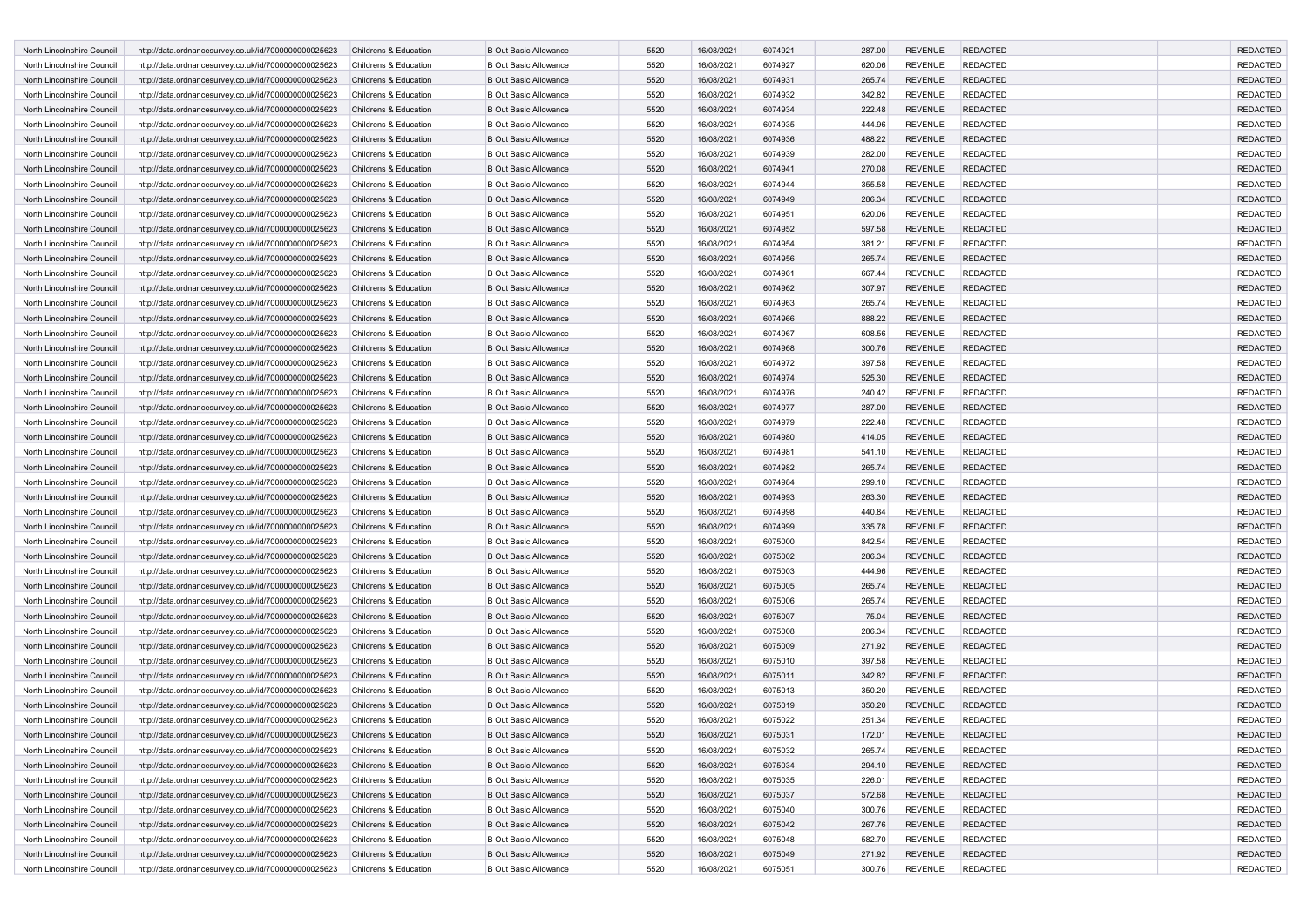| North Lincolnshire Council                               | http://data.ordnancesurvey.co.uk/id/7000000000025623                                                         | Childrens & Education                          | <b>B Out Basic Allowance</b>                                 | 5520         | 16/08/2021               | 6074921            | 287.00           | <b>REVENUE</b>                   | <b>REDACTED</b>                    | <b>REDACTED</b>             |
|----------------------------------------------------------|--------------------------------------------------------------------------------------------------------------|------------------------------------------------|--------------------------------------------------------------|--------------|--------------------------|--------------------|------------------|----------------------------------|------------------------------------|-----------------------------|
| North Lincolnshire Council                               | http://data.ordnancesurvey.co.uk/id/7000000000025623                                                         | Childrens & Education                          | <b>B Out Basic Allowance</b>                                 | 5520         | 16/08/2021               | 6074927            | 620.06           | <b>REVENUE</b>                   | REDACTED                           | <b>REDACTED</b>             |
| North Lincolnshire Council                               | http://data.ordnancesurvey.co.uk/id/7000000000025623                                                         | Childrens & Education                          | <b>B Out Basic Allowance</b>                                 | 5520         | 16/08/2021               | 6074931            | 265.74           | <b>REVENUE</b>                   | <b>REDACTED</b>                    | <b>REDACTED</b>             |
| North Lincolnshire Council                               | http://data.ordnancesurvey.co.uk/id/7000000000025623                                                         | Childrens & Education                          | <b>B Out Basic Allowance</b>                                 | 5520         | 16/08/2021               | 6074932            | 342.82           | <b>REVENUE</b>                   | <b>REDACTED</b>                    | <b>REDACTED</b>             |
| North Lincolnshire Council                               | http://data.ordnancesurvey.co.uk/id/7000000000025623                                                         | Childrens & Education                          | <b>B Out Basic Allowance</b>                                 | 5520         | 16/08/2021               | 6074934            | 222.48           | <b>REVENUE</b>                   | <b>REDACTED</b>                    | <b>REDACTED</b>             |
| North Lincolnshire Council                               | http://data.ordnancesurvey.co.uk/id/7000000000025623                                                         | Childrens & Education                          | <b>B Out Basic Allowance</b>                                 | 5520         | 16/08/2021               | 6074935            | 444.96           | <b>REVENUE</b>                   | <b>REDACTED</b>                    | <b>REDACTED</b>             |
| North Lincolnshire Council                               | http://data.ordnancesurvey.co.uk/id/7000000000025623                                                         | Childrens & Education                          | <b>B Out Basic Allowance</b>                                 | 5520         | 16/08/2021               | 6074936            | 488.22           | <b>REVENUE</b>                   | <b>REDACTED</b>                    | <b>REDACTED</b>             |
| North Lincolnshire Council                               | http://data.ordnancesurvey.co.uk/id/7000000000025623                                                         | Childrens & Education                          | <b>B Out Basic Allowance</b>                                 | 5520         | 16/08/2021               | 6074939            | 282.00           | <b>REVENUE</b>                   | <b>REDACTED</b>                    | <b>REDACTED</b>             |
| North Lincolnshire Council                               | http://data.ordnancesurvey.co.uk/id/7000000000025623                                                         | Childrens & Education                          | <b>B Out Basic Allowance</b>                                 | 5520         | 16/08/2021               | 6074941            | 270.08           | <b>REVENUE</b>                   | <b>REDACTED</b>                    | <b>REDACTED</b>             |
| North Lincolnshire Council                               | http://data.ordnancesurvey.co.uk/id/7000000000025623                                                         | Childrens & Education                          | <b>B Out Basic Allowance</b>                                 | 5520         | 16/08/2021               | 6074944            | 355.58           | <b>REVENUE</b>                   | REDACTED                           | <b>REDACTED</b>             |
| North Lincolnshire Council                               | http://data.ordnancesurvey.co.uk/id/7000000000025623                                                         | Childrens & Education                          | <b>B Out Basic Allowance</b>                                 | 5520         | 16/08/2021               | 6074949            | 286.34           | <b>REVENUE</b>                   | <b>REDACTED</b>                    | <b>REDACTED</b>             |
| North Lincolnshire Council                               | http://data.ordnancesurvey.co.uk/id/7000000000025623                                                         | Childrens & Education                          | <b>B Out Basic Allowance</b>                                 | 5520         | 16/08/2021               | 6074951            | 620.06           | <b>REVENUE</b>                   | <b>REDACTED</b>                    | <b>REDACTED</b>             |
| North Lincolnshire Council                               | http://data.ordnancesurvey.co.uk/id/7000000000025623                                                         | Childrens & Education                          | <b>B Out Basic Allowance</b>                                 | 5520         | 16/08/2021               | 6074952            | 597.58           | <b>REVENUE</b>                   | <b>REDACTED</b>                    | <b>REDACTED</b>             |
| North Lincolnshire Council                               | http://data.ordnancesurvey.co.uk/id/7000000000025623                                                         | Childrens & Education                          | <b>B Out Basic Allowance</b>                                 | 5520         | 16/08/2021               | 6074954            | 381.21           | <b>REVENUE</b>                   | <b>REDACTED</b>                    | <b>REDACTED</b>             |
| North Lincolnshire Council                               | http://data.ordnancesurvey.co.uk/id/7000000000025623                                                         | Childrens & Education                          | <b>B Out Basic Allowance</b>                                 | 5520         | 16/08/2021               | 6074956            | 265.74           | <b>REVENUE</b>                   | <b>REDACTED</b>                    | <b>REDACTED</b>             |
| North Lincolnshire Council                               | http://data.ordnancesurvey.co.uk/id/7000000000025623                                                         | Childrens & Education                          | <b>B Out Basic Allowance</b>                                 | 5520         | 16/08/2021               | 6074961            | 667.44           | <b>REVENUE</b>                   | <b>REDACTED</b>                    | <b>REDACTED</b>             |
| North Lincolnshire Council                               | http://data.ordnancesurvey.co.uk/id/7000000000025623                                                         | Childrens & Education                          | <b>B Out Basic Allowance</b>                                 | 5520         | 16/08/2021               | 6074962            | 307.97           | <b>REVENUE</b>                   | <b>REDACTED</b>                    | <b>REDACTED</b>             |
| North Lincolnshire Council                               | http://data.ordnancesurvey.co.uk/id/7000000000025623                                                         | Childrens & Education                          | <b>B Out Basic Allowance</b>                                 | 5520         | 16/08/2021               | 6074963            | 265.74           | <b>REVENUE</b>                   | <b>REDACTED</b>                    | <b>REDACTED</b>             |
| North Lincolnshire Council                               | http://data.ordnancesurvey.co.uk/id/7000000000025623                                                         | Childrens & Education                          | <b>B Out Basic Allowance</b>                                 | 5520         | 16/08/2021               | 6074966            | 888.22           | <b>REVENUE</b>                   | <b>REDACTED</b>                    | <b>REDACTED</b>             |
| North Lincolnshire Council                               | http://data.ordnancesurvey.co.uk/id/7000000000025623                                                         | Childrens & Education                          | <b>B Out Basic Allowance</b>                                 | 5520         | 16/08/2021               | 6074967            | 608.56           | <b>REVENUE</b>                   | REDACTED                           | <b>REDACTED</b>             |
| North Lincolnshire Council                               | http://data.ordnancesurvey.co.uk/id/7000000000025623                                                         | Childrens & Education                          | <b>B Out Basic Allowance</b>                                 | 5520         | 16/08/2021               | 6074968            | 300.76           | <b>REVENUE</b>                   | <b>REDACTED</b>                    | <b>REDACTED</b>             |
| North Lincolnshire Council                               | http://data.ordnancesurvey.co.uk/id/7000000000025623                                                         | Childrens & Education                          | <b>B Out Basic Allowance</b>                                 | 5520         | 16/08/2021               | 6074972            | 397.58           | <b>REVENUE</b>                   | REDACTED                           | <b>REDACTED</b>             |
| North Lincolnshire Council                               | http://data.ordnancesurvey.co.uk/id/7000000000025623                                                         | Childrens & Education                          | <b>B Out Basic Allowance</b>                                 | 5520         | 16/08/2021               | 6074974            | 525.30           | <b>REVENUE</b>                   | <b>REDACTED</b>                    | <b>REDACTED</b>             |
| North Lincolnshire Council                               | http://data.ordnancesurvey.co.uk/id/7000000000025623                                                         | Childrens & Education                          | <b>B Out Basic Allowance</b>                                 | 5520         | 16/08/2021               | 6074976            | 240.42           | <b>REVENUE</b>                   | <b>REDACTED</b>                    | <b>REDACTED</b>             |
| North Lincolnshire Council                               | http://data.ordnancesurvey.co.uk/id/7000000000025623                                                         | Childrens & Education                          | <b>B Out Basic Allowance</b>                                 | 5520         | 16/08/2021               | 6074977            | 287.00           | <b>REVENUE</b>                   | <b>REDACTED</b>                    | <b>REDACTED</b>             |
| North Lincolnshire Council                               | http://data.ordnancesurvey.co.uk/id/7000000000025623                                                         | Childrens & Education                          | <b>B Out Basic Allowance</b>                                 | 5520         | 16/08/2021               | 6074979            | 222.48           | <b>REVENUE</b>                   | <b>REDACTED</b>                    | <b>REDACTED</b>             |
| North Lincolnshire Council                               | http://data.ordnancesurvey.co.uk/id/7000000000025623                                                         | Childrens & Education                          | <b>B Out Basic Allowance</b>                                 | 5520         | 16/08/2021               | 6074980            | 414.05           | <b>REVENUE</b>                   | <b>REDACTED</b>                    | <b>REDACTED</b>             |
| North Lincolnshire Council                               | http://data.ordnancesurvey.co.uk/id/7000000000025623                                                         | Childrens & Education                          | <b>B Out Basic Allowance</b>                                 | 5520         | 16/08/2021               | 6074981            | 541.10           | <b>REVENUE</b>                   | <b>REDACTED</b>                    | <b>REDACTED</b>             |
| North Lincolnshire Council                               | http://data.ordnancesurvey.co.uk/id/7000000000025623                                                         | Childrens & Education                          | <b>B Out Basic Allowance</b>                                 | 5520         | 16/08/2021               | 6074982            | 265.74           | <b>REVENUE</b>                   | <b>REDACTED</b>                    | <b>REDACTED</b>             |
| North Lincolnshire Council                               | http://data.ordnancesurvey.co.uk/id/7000000000025623                                                         | Childrens & Education                          | <b>B Out Basic Allowance</b>                                 | 5520         | 16/08/2021               | 6074984            | 299.10           | <b>REVENUE</b>                   | REDACTED                           | <b>REDACTED</b>             |
| North Lincolnshire Council                               |                                                                                                              | Childrens & Education                          | <b>B Out Basic Allowance</b>                                 | 5520         | 16/08/2021               | 6074993            | 263.30           | <b>REVENUE</b>                   | <b>REDACTED</b>                    | <b>REDACTED</b>             |
| North Lincolnshire Council                               | http://data.ordnancesurvey.co.uk/id/7000000000025623<br>http://data.ordnancesurvey.co.uk/id/7000000000025623 | Childrens & Education                          | <b>B Out Basic Allowance</b>                                 | 5520         | 16/08/2021               | 6074998            | 440.84           | <b>REVENUE</b>                   | REDACTED                           | <b>REDACTED</b>             |
| North Lincolnshire Council                               | http://data.ordnancesurvey.co.uk/id/7000000000025623                                                         | Childrens & Education                          | <b>B Out Basic Allowance</b>                                 | 5520         | 16/08/2021               | 6074999            | 335.78           | <b>REVENUE</b>                   | <b>REDACTED</b>                    | <b>REDACTED</b>             |
| North Lincolnshire Council                               | http://data.ordnancesurvey.co.uk/id/7000000000025623                                                         | Childrens & Education                          | <b>B Out Basic Allowance</b>                                 | 5520         | 16/08/2021               | 6075000            | 842.54           | <b>REVENUE</b>                   | <b>REDACTED</b>                    | <b>REDACTED</b>             |
| North Lincolnshire Council                               | http://data.ordnancesurvey.co.uk/id/7000000000025623                                                         | Childrens & Education                          | <b>B Out Basic Allowance</b>                                 | 5520         | 16/08/2021               | 6075002            | 286.34           | <b>REVENUE</b>                   | <b>REDACTED</b>                    | <b>REDACTED</b>             |
| North Lincolnshire Council                               | http://data.ordnancesurvey.co.uk/id/7000000000025623                                                         | Childrens & Education                          | <b>B Out Basic Allowance</b>                                 | 5520         | 16/08/2021               | 6075003            | 444.96           | <b>REVENUE</b>                   | <b>REDACTED</b>                    | <b>REDACTED</b>             |
| North Lincolnshire Council                               | http://data.ordnancesurvey.co.uk/id/7000000000025623                                                         | Childrens & Education                          | <b>B Out Basic Allowance</b>                                 | 5520         | 16/08/2021               | 6075005            | 265.74           | <b>REVENUE</b>                   | <b>REDACTED</b>                    | <b>REDACTED</b>             |
| North Lincolnshire Council                               | http://data.ordnancesurvey.co.uk/id/7000000000025623                                                         | Childrens & Education                          | <b>B Out Basic Allowance</b>                                 | 5520         | 16/08/2021               | 6075006            | 265.74           | <b>REVENUE</b>                   | <b>REDACTED</b>                    | <b>REDACTED</b>             |
| North Lincolnshire Council                               | http://data.ordnancesurvey.co.uk/id/7000000000025623                                                         | Childrens & Education                          | <b>B Out Basic Allowance</b>                                 | 5520         | 16/08/2021               | 6075007            | 75.04            | <b>REVENUE</b>                   | <b>REDACTED</b>                    | <b>REDACTED</b>             |
| North Lincolnshire Council                               | http://data.ordnancesurvey.co.uk/id/7000000000025623                                                         | Childrens & Education                          | <b>B Out Basic Allowance</b>                                 | 5520         | 16/08/2021               | 6075008            | 286.34           | <b>REVENUE</b>                   | REDACTED                           | <b>REDACTED</b>             |
| North Lincolnshire Council                               | http://data.ordnancesurvey.co.uk/id/7000000000025623                                                         | Childrens & Education                          | <b>B Out Basic Allowance</b>                                 | 5520         | 16/08/2021               | 6075009            | 271.92           | <b>REVENUE</b>                   | <b>REDACTED</b>                    | <b>REDACTED</b>             |
| North Lincolnshire Council                               | http://data.ordnancesurvey.co.uk/id/7000000000025623                                                         | Childrens & Education                          | <b>B Out Basic Allowance</b>                                 | 5520         | 16/08/2021               | 6075010            | 397.58           | <b>REVENUE</b>                   | REDACTED                           | <b>REDACTED</b>             |
| North Lincolnshire Council                               | http://data.ordnancesurvey.co.uk/id/7000000000025623                                                         | Childrens & Education                          | <b>B Out Basic Allowance</b>                                 | 5520         | 16/08/2021               | 6075011            | 342.82           | <b>REVENUE</b>                   | <b>REDACTED</b>                    | <b>REDACTED</b>             |
| North Lincolnshire Council                               | http://data.ordnancesurvey.co.uk/id/7000000000025623                                                         | Childrens & Education                          | <b>B Out Basic Allowance</b>                                 | 5520         | 16/08/2021               | 6075013            | 350.20           | <b>REVENUE</b>                   | REDACTED                           | <b>REDACTED</b>             |
| North Lincolnshire Council                               | http://data.ordnancesurvey.co.uk/id/7000000000025623                                                         | Childrens & Education                          | <b>B Out Basic Allowance</b>                                 | 5520         | 16/08/2021               | 6075019            | 350.20           | <b>REVENUE</b>                   | <b>REDACTED</b>                    | <b>REDACTED</b>             |
| North Lincolnshire Council                               |                                                                                                              | Childrens & Education                          | <b>B Out Basic Allowance</b>                                 | 5520         | 16/08/2021               | 6075022            | 251.34           | <b>REVENUE</b>                   | <b>REDACTED</b>                    | <b>REDACTED</b>             |
|                                                          | http://data.ordnancesurvey.co.uk/id/7000000000025623                                                         |                                                |                                                              |              |                          |                    |                  |                                  |                                    |                             |
| North Lincolnshire Council                               | http://data.ordnancesurvey.co.uk/id/7000000000025623                                                         | Childrens & Education                          | <b>B Out Basic Allowance</b>                                 | 5520         | 16/08/2021               | 6075031            | 172.01           | <b>REVENUE</b><br><b>REVENUE</b> | <b>REDACTED</b><br><b>REDACTED</b> | <b>REDACTED</b><br>REDACTED |
| North Lincolnshire Council<br>North Lincolnshire Council | http://data.ordnancesurvey.co.uk/id/7000000000025623<br>http://data.ordnancesurvey.co.uk/id/7000000000025623 | Childrens & Education<br>Childrens & Education | <b>B Out Basic Allowance</b><br><b>B Out Basic Allowance</b> | 5520<br>5520 | 16/08/2021<br>16/08/2021 | 6075032<br>6075034 | 265.74           | <b>REVENUE</b>                   | <b>REDACTED</b>                    | <b>REDACTED</b>             |
| North Lincolnshire Council                               | http://data.ordnancesurvey.co.uk/id/7000000000025623                                                         | Childrens & Education                          | <b>B Out Basic Allowance</b>                                 | 5520         | 16/08/2021               | 6075035            | 294.10<br>226.01 | <b>REVENUE</b>                   | <b>REDACTED</b>                    | <b>REDACTED</b>             |
| North Lincolnshire Council                               | http://data.ordnancesurvey.co.uk/id/7000000000025623                                                         | Childrens & Education                          | <b>B Out Basic Allowance</b>                                 | 5520         | 16/08/2021               | 6075037            |                  | <b>REVENUE</b>                   | <b>REDACTED</b>                    | <b>REDACTED</b>             |
|                                                          | http://data.ordnancesurvey.co.uk/id/7000000000025623                                                         |                                                | <b>B Out Basic Allowance</b>                                 | 5520         |                          |                    | 572.68           | <b>REVENUE</b>                   | <b>REDACTED</b>                    | <b>REDACTED</b>             |
| North Lincolnshire Council                               | http://data.ordnancesurvey.co.uk/id/7000000000025623                                                         | Childrens & Education<br>Childrens & Education | <b>B Out Basic Allowance</b>                                 | 5520         | 16/08/2021<br>16/08/2021 | 6075040<br>6075042 | 300.76<br>267.76 | <b>REVENUE</b>                   | <b>REDACTED</b>                    | <b>REDACTED</b>             |
| North Lincolnshire Council<br>North Lincolnshire Council | http://data.ordnancesurvey.co.uk/id/7000000000025623                                                         | Childrens & Education                          | <b>B Out Basic Allowance</b>                                 |              |                          | 6075048            |                  | <b>REVENUE</b>                   | <b>REDACTED</b>                    | <b>REDACTED</b>             |
| North Lincolnshire Council                               | http://data.ordnancesurvey.co.uk/id/7000000000025623                                                         | Childrens & Education                          | <b>B Out Basic Allowance</b>                                 | 5520<br>5520 | 16/08/2021<br>16/08/2021 | 6075049            | 582.70<br>271.92 | <b>REVENUE</b>                   | <b>REDACTED</b>                    | <b>REDACTED</b>             |
| North Lincolnshire Council                               | http://data.ordnancesurvey.co.uk/id/7000000000025623                                                         | Childrens & Education                          | <b>B Out Basic Allowance</b>                                 | 5520         | 16/08/2021               | 6075051            | 300.76           | <b>REVENUE</b>                   | <b>REDACTED</b>                    | REDACTED                    |
|                                                          |                                                                                                              |                                                |                                                              |              |                          |                    |                  |                                  |                                    |                             |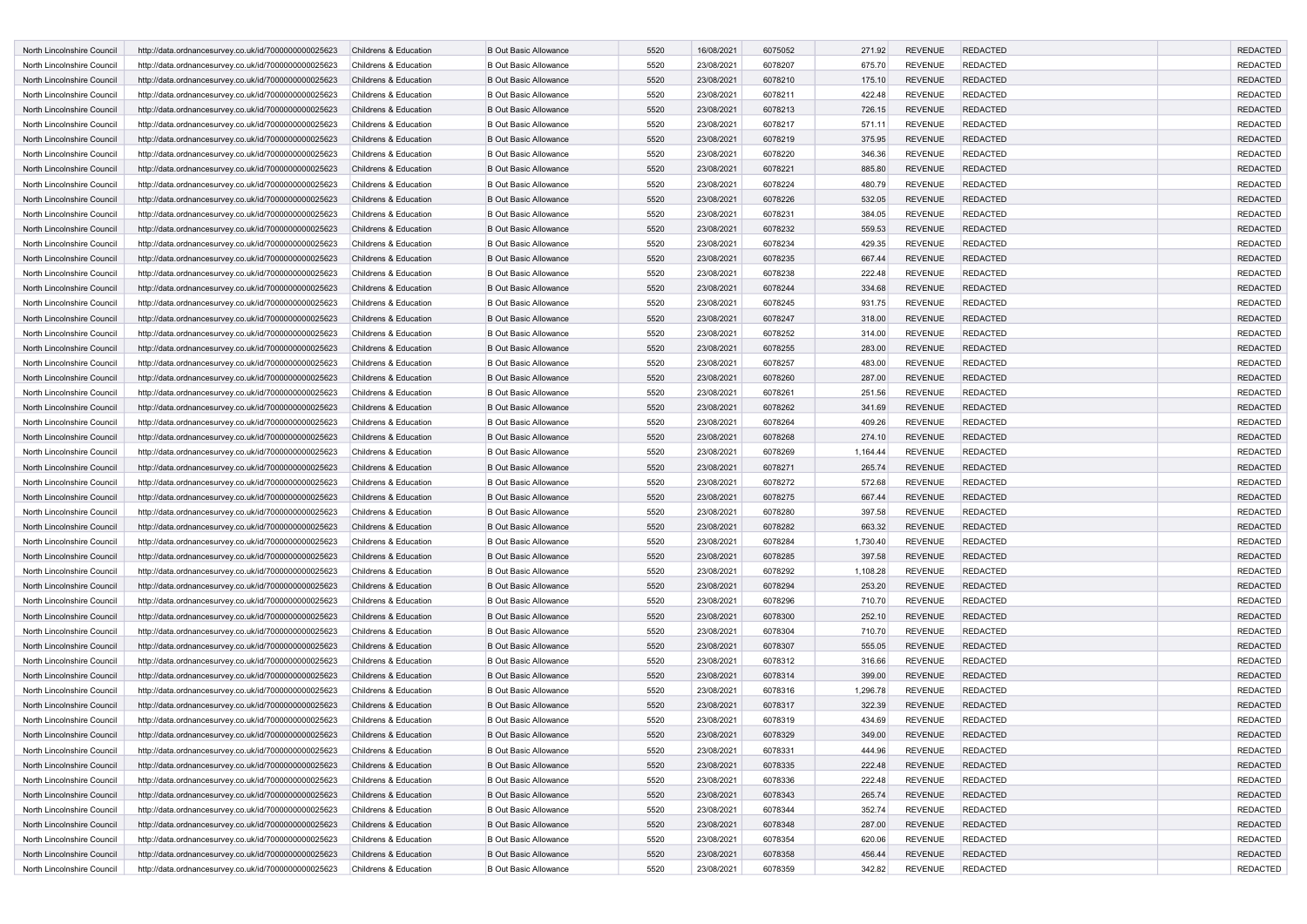| North Lincolnshire Council | http://data.ordnancesurvey.co.uk/id/7000000000025623 | Childrens & Education | <b>B Out Basic Allowance</b> | 5520 | 16/08/2021 | 6075052 | 271.92   | <b>REVENUE</b> | <b>REDACTED</b> | <b>REDACTED</b> |
|----------------------------|------------------------------------------------------|-----------------------|------------------------------|------|------------|---------|----------|----------------|-----------------|-----------------|
| North Lincolnshire Council | http://data.ordnancesurvey.co.uk/id/7000000000025623 | Childrens & Education | <b>B Out Basic Allowance</b> | 5520 | 23/08/2021 | 6078207 | 675.70   | <b>REVENUE</b> | REDACTED        | <b>REDACTED</b> |
| North Lincolnshire Council | http://data.ordnancesurvey.co.uk/id/7000000000025623 | Childrens & Education | <b>B Out Basic Allowance</b> | 5520 | 23/08/2021 | 6078210 | 175.10   | <b>REVENUE</b> | <b>REDACTED</b> | <b>REDACTED</b> |
| North Lincolnshire Council | http://data.ordnancesurvey.co.uk/id/7000000000025623 | Childrens & Education | <b>B Out Basic Allowance</b> | 5520 | 23/08/2021 | 6078211 | 422.48   | <b>REVENUE</b> | <b>REDACTED</b> | <b>REDACTED</b> |
| North Lincolnshire Council | http://data.ordnancesurvey.co.uk/id/7000000000025623 | Childrens & Education | <b>B Out Basic Allowance</b> | 5520 | 23/08/2021 | 6078213 | 726.15   | <b>REVENUE</b> | <b>REDACTED</b> | <b>REDACTED</b> |
| North Lincolnshire Council | http://data.ordnancesurvey.co.uk/id/7000000000025623 | Childrens & Education | <b>B Out Basic Allowance</b> | 5520 | 23/08/2021 | 6078217 | 571.11   | <b>REVENUE</b> | <b>REDACTED</b> | <b>REDACTED</b> |
| North Lincolnshire Council | http://data.ordnancesurvey.co.uk/id/7000000000025623 | Childrens & Education | <b>B Out Basic Allowance</b> | 5520 | 23/08/2021 | 6078219 | 375.95   | <b>REVENUE</b> | <b>REDACTED</b> | <b>REDACTED</b> |
| North Lincolnshire Council |                                                      | Childrens & Education | <b>B Out Basic Allowance</b> | 5520 | 23/08/2021 | 6078220 |          | <b>REVENUE</b> | <b>REDACTED</b> | <b>REDACTED</b> |
|                            | http://data.ordnancesurvey.co.uk/id/7000000000025623 |                       |                              | 5520 |            |         | 346.36   |                |                 | <b>REDACTED</b> |
| North Lincolnshire Council | http://data.ordnancesurvey.co.uk/id/7000000000025623 | Childrens & Education | <b>B Out Basic Allowance</b> |      | 23/08/2021 | 6078221 | 885.80   | <b>REVENUE</b> | <b>REDACTED</b> |                 |
| North Lincolnshire Council | http://data.ordnancesurvey.co.uk/id/7000000000025623 | Childrens & Education | <b>B Out Basic Allowance</b> | 5520 | 23/08/2021 | 6078224 | 480.79   | <b>REVENUE</b> | REDACTED        | <b>REDACTED</b> |
| North Lincolnshire Council | http://data.ordnancesurvey.co.uk/id/7000000000025623 | Childrens & Education | <b>B Out Basic Allowance</b> | 5520 | 23/08/2021 | 6078226 | 532.05   | <b>REVENUE</b> | <b>REDACTED</b> | <b>REDACTED</b> |
| North Lincolnshire Council | http://data.ordnancesurvey.co.uk/id/7000000000025623 | Childrens & Education | <b>B Out Basic Allowance</b> | 5520 | 23/08/2021 | 6078231 | 384.05   | <b>REVENUE</b> | REDACTED        | <b>REDACTED</b> |
| North Lincolnshire Council | http://data.ordnancesurvey.co.uk/id/7000000000025623 | Childrens & Education | <b>B Out Basic Allowance</b> | 5520 | 23/08/2021 | 6078232 | 559.53   | <b>REVENUE</b> | <b>REDACTED</b> | <b>REDACTED</b> |
| North Lincolnshire Council | http://data.ordnancesurvey.co.uk/id/7000000000025623 | Childrens & Education | <b>B Out Basic Allowance</b> | 5520 | 23/08/2021 | 6078234 | 429.35   | <b>REVENUE</b> | <b>REDACTED</b> | <b>REDACTED</b> |
| North Lincolnshire Council | http://data.ordnancesurvey.co.uk/id/7000000000025623 | Childrens & Education | <b>B Out Basic Allowance</b> | 5520 | 23/08/2021 | 6078235 | 667.44   | <b>REVENUE</b> | <b>REDACTED</b> | <b>REDACTED</b> |
| North Lincolnshire Council | http://data.ordnancesurvey.co.uk/id/7000000000025623 | Childrens & Education | <b>B Out Basic Allowance</b> | 5520 | 23/08/2021 | 6078238 | 222.48   | <b>REVENUE</b> | <b>REDACTED</b> | <b>REDACTED</b> |
| North Lincolnshire Council | http://data.ordnancesurvey.co.uk/id/7000000000025623 | Childrens & Education | <b>B Out Basic Allowance</b> | 5520 | 23/08/2021 | 6078244 | 334.68   | <b>REVENUE</b> | <b>REDACTED</b> | <b>REDACTED</b> |
| North Lincolnshire Council | http://data.ordnancesurvey.co.uk/id/7000000000025623 | Childrens & Education | <b>B Out Basic Allowance</b> | 5520 | 23/08/2021 | 6078245 | 931.75   | <b>REVENUE</b> | <b>REDACTED</b> | <b>REDACTED</b> |
| North Lincolnshire Council | http://data.ordnancesurvey.co.uk/id/7000000000025623 | Childrens & Education | <b>B Out Basic Allowance</b> | 5520 | 23/08/2021 | 6078247 | 318.00   | <b>REVENUE</b> | <b>REDACTED</b> | <b>REDACTED</b> |
| North Lincolnshire Council | http://data.ordnancesurvey.co.uk/id/7000000000025623 | Childrens & Education | <b>B Out Basic Allowance</b> | 5520 | 23/08/2021 | 6078252 | 314.00   | <b>REVENUE</b> | REDACTED        | <b>REDACTED</b> |
| North Lincolnshire Council | http://data.ordnancesurvey.co.uk/id/7000000000025623 | Childrens & Education | <b>B Out Basic Allowance</b> | 5520 | 23/08/2021 | 6078255 | 283.00   | <b>REVENUE</b> | <b>REDACTED</b> | <b>REDACTED</b> |
| North Lincolnshire Council | http://data.ordnancesurvey.co.uk/id/7000000000025623 | Childrens & Education | <b>B Out Basic Allowance</b> | 5520 | 23/08/2021 | 6078257 | 483.00   | <b>REVENUE</b> | REDACTED        | <b>REDACTED</b> |
| North Lincolnshire Council | http://data.ordnancesurvey.co.uk/id/7000000000025623 | Childrens & Education | <b>B Out Basic Allowance</b> | 5520 | 23/08/2021 | 6078260 | 287.00   | <b>REVENUE</b> | <b>REDACTED</b> | <b>REDACTED</b> |
| North Lincolnshire Council | http://data.ordnancesurvey.co.uk/id/7000000000025623 | Childrens & Education | <b>B Out Basic Allowance</b> | 5520 | 23/08/2021 | 6078261 | 251.56   | <b>REVENUE</b> | <b>REDACTED</b> | <b>REDACTED</b> |
| North Lincolnshire Council | http://data.ordnancesurvey.co.uk/id/7000000000025623 | Childrens & Education | <b>B Out Basic Allowance</b> | 5520 | 23/08/2021 | 6078262 | 341.69   | <b>REVENUE</b> | <b>REDACTED</b> | <b>REDACTED</b> |
| North Lincolnshire Council | http://data.ordnancesurvey.co.uk/id/7000000000025623 | Childrens & Education | <b>B Out Basic Allowance</b> | 5520 | 23/08/2021 | 6078264 | 409.26   | <b>REVENUE</b> | <b>REDACTED</b> | <b>REDACTED</b> |
| North Lincolnshire Council | http://data.ordnancesurvey.co.uk/id/7000000000025623 | Childrens & Education | <b>B Out Basic Allowance</b> | 5520 | 23/08/2021 | 6078268 | 274.10   | <b>REVENUE</b> | <b>REDACTED</b> | <b>REDACTED</b> |
| North Lincolnshire Council | http://data.ordnancesurvey.co.uk/id/7000000000025623 | Childrens & Education | <b>B Out Basic Allowance</b> | 5520 | 23/08/2021 | 6078269 | 1,164.44 | <b>REVENUE</b> | <b>REDACTED</b> | <b>REDACTED</b> |
| North Lincolnshire Council | http://data.ordnancesurvey.co.uk/id/7000000000025623 | Childrens & Education | <b>B Out Basic Allowance</b> | 5520 | 23/08/2021 | 6078271 | 265.74   | <b>REVENUE</b> | <b>REDACTED</b> | <b>REDACTED</b> |
| North Lincolnshire Council | http://data.ordnancesurvey.co.uk/id/7000000000025623 | Childrens & Education | <b>B Out Basic Allowance</b> | 5520 | 23/08/2021 | 6078272 | 572.68   | <b>REVENUE</b> | REDACTED        | <b>REDACTED</b> |
| North Lincolnshire Council | http://data.ordnancesurvey.co.uk/id/7000000000025623 | Childrens & Education | <b>B Out Basic Allowance</b> | 5520 | 23/08/2021 | 6078275 | 667.44   | <b>REVENUE</b> | <b>REDACTED</b> | <b>REDACTED</b> |
| North Lincolnshire Council | http://data.ordnancesurvey.co.uk/id/7000000000025623 | Childrens & Education | <b>B Out Basic Allowance</b> | 5520 | 23/08/2021 | 6078280 | 397.58   | <b>REVENUE</b> | REDACTED        | <b>REDACTED</b> |
|                            |                                                      |                       |                              |      |            |         |          |                | <b>REDACTED</b> |                 |
| North Lincolnshire Council | http://data.ordnancesurvey.co.uk/id/7000000000025623 | Childrens & Education | <b>B Out Basic Allowance</b> | 5520 | 23/08/2021 | 6078282 | 663.32   | <b>REVENUE</b> |                 | <b>REDACTED</b> |
| North Lincolnshire Council | http://data.ordnancesurvey.co.uk/id/7000000000025623 | Childrens & Education | <b>B Out Basic Allowance</b> | 5520 | 23/08/2021 | 6078284 | 1,730.40 | <b>REVENUE</b> | <b>REDACTED</b> | <b>REDACTED</b> |
| North Lincolnshire Council | http://data.ordnancesurvey.co.uk/id/7000000000025623 | Childrens & Education | <b>B Out Basic Allowance</b> | 5520 | 23/08/2021 | 6078285 | 397.58   | <b>REVENUE</b> | <b>REDACTED</b> | <b>REDACTED</b> |
| North Lincolnshire Council | http://data.ordnancesurvey.co.uk/id/7000000000025623 | Childrens & Education | <b>B Out Basic Allowance</b> | 5520 | 23/08/2021 | 6078292 | 1,108.28 | <b>REVENUE</b> | <b>REDACTED</b> | <b>REDACTED</b> |
| North Lincolnshire Council | http://data.ordnancesurvey.co.uk/id/7000000000025623 | Childrens & Education | <b>B Out Basic Allowance</b> | 5520 | 23/08/2021 | 6078294 | 253.20   | <b>REVENUE</b> | <b>REDACTED</b> | <b>REDACTED</b> |
| North Lincolnshire Council | http://data.ordnancesurvey.co.uk/id/7000000000025623 | Childrens & Education | <b>B Out Basic Allowance</b> | 5520 | 23/08/2021 | 6078296 | 710.70   | <b>REVENUE</b> | <b>REDACTED</b> | <b>REDACTED</b> |
| North Lincolnshire Council | http://data.ordnancesurvey.co.uk/id/7000000000025623 | Childrens & Education | <b>B Out Basic Allowance</b> | 5520 | 23/08/2021 | 6078300 | 252.10   | <b>REVENUE</b> | <b>REDACTED</b> | <b>REDACTED</b> |
| North Lincolnshire Council | http://data.ordnancesurvey.co.uk/id/7000000000025623 | Childrens & Education | <b>B Out Basic Allowance</b> | 5520 | 23/08/2021 | 6078304 | 710.70   | <b>REVENUE</b> | REDACTED        | <b>REDACTED</b> |
| North Lincolnshire Council | http://data.ordnancesurvey.co.uk/id/7000000000025623 | Childrens & Education | <b>B Out Basic Allowance</b> | 5520 | 23/08/2021 | 6078307 | 555.05   | <b>REVENUE</b> | <b>REDACTED</b> | <b>REDACTED</b> |
| North Lincolnshire Council | http://data.ordnancesurvey.co.uk/id/7000000000025623 | Childrens & Education | <b>B Out Basic Allowance</b> | 5520 | 23/08/2021 | 6078312 | 316.66   | <b>REVENUE</b> | REDACTED        | <b>REDACTED</b> |
| North Lincolnshire Council | http://data.ordnancesurvey.co.uk/id/7000000000025623 | Childrens & Education | <b>B Out Basic Allowance</b> | 5520 | 23/08/2021 | 6078314 | 399.00   | <b>REVENUE</b> | <b>REDACTED</b> | <b>REDACTED</b> |
| North Lincolnshire Council | http://data.ordnancesurvey.co.uk/id/7000000000025623 | Childrens & Education | <b>B Out Basic Allowance</b> | 5520 | 23/08/2021 | 6078316 | 1,296.78 | <b>REVENUE</b> | REDACTED        | <b>REDACTED</b> |
| North Lincolnshire Council | http://data.ordnancesurvey.co.uk/id/7000000000025623 | Childrens & Education | <b>B Out Basic Allowance</b> | 5520 | 23/08/2021 | 6078317 | 322.39   | <b>REVENUE</b> | <b>REDACTED</b> | <b>REDACTED</b> |
| North Lincolnshire Council | http://data.ordnancesurvey.co.uk/id/7000000000025623 | Childrens & Education | <b>B Out Basic Allowance</b> | 5520 | 23/08/2021 | 6078319 | 434.69   | <b>REVENUE</b> | <b>REDACTED</b> | <b>REDACTED</b> |
| North Lincolnshire Council | http://data.ordnancesurvey.co.uk/id/7000000000025623 | Childrens & Education | <b>B Out Basic Allowance</b> | 5520 | 23/08/2021 | 6078329 | 349.00   | <b>REVENUE</b> | <b>REDACTED</b> | <b>REDACTED</b> |
| North Lincolnshire Council | http://data.ordnancesurvey.co.uk/id/7000000000025623 | Childrens & Education | <b>B Out Basic Allowance</b> | 5520 | 23/08/2021 | 6078331 | 444.96   | <b>REVENUE</b> | <b>REDACTED</b> | REDACTED        |
| North Lincolnshire Council | http://data.ordnancesurvey.co.uk/id/7000000000025623 | Childrens & Education | <b>B Out Basic Allowance</b> | 5520 | 23/08/2021 | 6078335 | 222.48   | <b>REVENUE</b> | <b>REDACTED</b> | <b>REDACTED</b> |
| North Lincolnshire Council | http://data.ordnancesurvey.co.uk/id/7000000000025623 | Childrens & Education | <b>B Out Basic Allowance</b> | 5520 | 23/08/2021 | 6078336 | 222.48   | <b>REVENUE</b> | <b>REDACTED</b> | <b>REDACTED</b> |
| North Lincolnshire Council | http://data.ordnancesurvey.co.uk/id/7000000000025623 | Childrens & Education | <b>B Out Basic Allowance</b> | 5520 | 23/08/2021 | 6078343 | 265.74   | <b>REVENUE</b> | <b>REDACTED</b> | <b>REDACTED</b> |
| North Lincolnshire Council | http://data.ordnancesurvey.co.uk/id/7000000000025623 | Childrens & Education | <b>B Out Basic Allowance</b> | 5520 | 23/08/2021 | 6078344 | 352.74   | <b>REVENUE</b> | <b>REDACTED</b> | <b>REDACTED</b> |
| North Lincolnshire Council | http://data.ordnancesurvey.co.uk/id/7000000000025623 | Childrens & Education | <b>B Out Basic Allowance</b> | 5520 | 23/08/2021 | 6078348 | 287.00   | <b>REVENUE</b> | <b>REDACTED</b> | <b>REDACTED</b> |
| North Lincolnshire Council | http://data.ordnancesurvey.co.uk/id/7000000000025623 | Childrens & Education | <b>B Out Basic Allowance</b> | 5520 | 23/08/2021 | 6078354 | 620.06   | <b>REVENUE</b> | <b>REDACTED</b> | <b>REDACTED</b> |
| North Lincolnshire Council | http://data.ordnancesurvey.co.uk/id/7000000000025623 | Childrens & Education | <b>B Out Basic Allowance</b> | 5520 | 23/08/2021 | 6078358 | 456.44   | <b>REVENUE</b> | <b>REDACTED</b> | <b>REDACTED</b> |
| North Lincolnshire Council | http://data.ordnancesurvey.co.uk/id/7000000000025623 | Childrens & Education | <b>B Out Basic Allowance</b> | 5520 | 23/08/2021 | 6078359 | 342.82   | <b>REVENUE</b> | <b>REDACTED</b> | REDACTED        |
|                            |                                                      |                       |                              |      |            |         |          |                |                 |                 |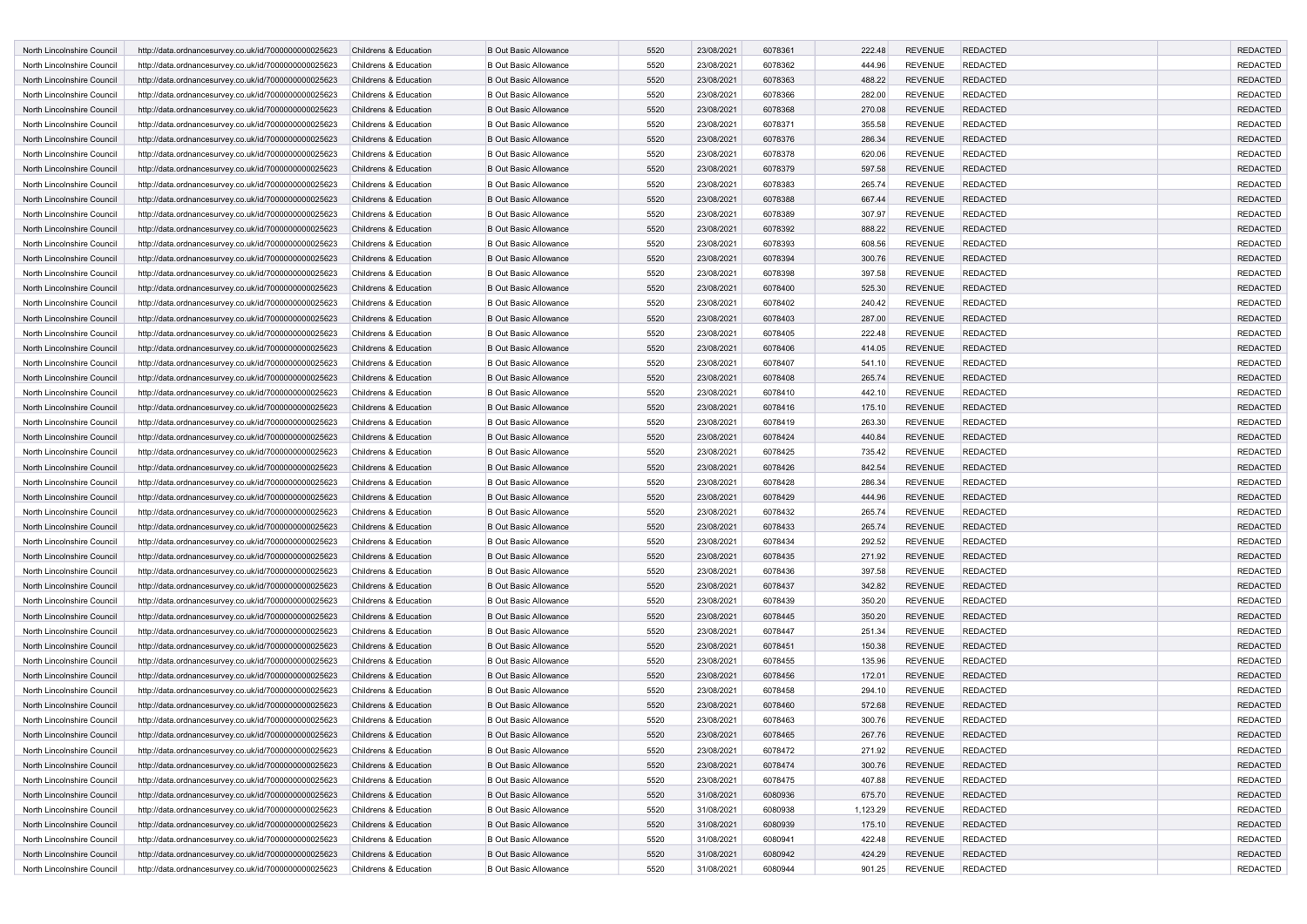| North Lincolnshire Council | http://data.ordnancesurvey.co.uk/id/7000000000025623 | Childrens & Education | <b>B Out Basic Allowance</b> | 5520 | 23/08/2021 | 6078361 | 222.48   | <b>REVENUE</b> | <b>REDACTED</b> | <b>REDACTED</b> |
|----------------------------|------------------------------------------------------|-----------------------|------------------------------|------|------------|---------|----------|----------------|-----------------|-----------------|
| North Lincolnshire Council | http://data.ordnancesurvey.co.uk/id/7000000000025623 | Childrens & Education | <b>B Out Basic Allowance</b> | 5520 | 23/08/2021 | 6078362 | 444.96   | <b>REVENUE</b> | <b>REDACTED</b> | <b>REDACTED</b> |
| North Lincolnshire Council | http://data.ordnancesurvey.co.uk/id/7000000000025623 | Childrens & Education | <b>B Out Basic Allowance</b> | 5520 | 23/08/2021 | 6078363 | 488.22   | <b>REVENUE</b> | <b>REDACTED</b> | <b>REDACTED</b> |
| North Lincolnshire Council | http://data.ordnancesurvey.co.uk/id/7000000000025623 | Childrens & Education | <b>B Out Basic Allowance</b> | 5520 | 23/08/2021 | 6078366 | 282.00   | <b>REVENUE</b> | <b>REDACTED</b> | <b>REDACTED</b> |
| North Lincolnshire Council | http://data.ordnancesurvey.co.uk/id/7000000000025623 | Childrens & Education | <b>B Out Basic Allowance</b> | 5520 | 23/08/2021 | 6078368 | 270.08   | <b>REVENUE</b> | <b>REDACTED</b> | <b>REDACTED</b> |
| North Lincolnshire Council | http://data.ordnancesurvey.co.uk/id/7000000000025623 | Childrens & Education | <b>B Out Basic Allowance</b> | 5520 | 23/08/2021 | 6078371 | 355.58   | <b>REVENUE</b> | <b>REDACTED</b> | <b>REDACTED</b> |
| North Lincolnshire Council | http://data.ordnancesurvey.co.uk/id/7000000000025623 | Childrens & Education | <b>B Out Basic Allowance</b> | 5520 | 23/08/2021 | 6078376 | 286.34   | <b>REVENUE</b> | <b>REDACTED</b> | <b>REDACTED</b> |
| North Lincolnshire Council | http://data.ordnancesurvey.co.uk/id/7000000000025623 | Childrens & Education | <b>B Out Basic Allowance</b> | 5520 | 23/08/2021 | 6078378 | 620.06   | <b>REVENUE</b> | <b>REDACTED</b> | <b>REDACTED</b> |
| North Lincolnshire Council | http://data.ordnancesurvey.co.uk/id/7000000000025623 | Childrens & Education | <b>B Out Basic Allowance</b> | 5520 | 23/08/2021 | 6078379 | 597.58   | <b>REVENUE</b> | <b>REDACTED</b> | <b>REDACTED</b> |
| North Lincolnshire Council | http://data.ordnancesurvey.co.uk/id/7000000000025623 | Childrens & Education | <b>B Out Basic Allowance</b> | 5520 | 23/08/2021 | 6078383 | 265.74   | <b>REVENUE</b> | <b>REDACTED</b> | <b>REDACTED</b> |
| North Lincolnshire Council | http://data.ordnancesurvey.co.uk/id/7000000000025623 | Childrens & Education | <b>B Out Basic Allowance</b> | 5520 | 23/08/2021 | 6078388 | 667.44   | <b>REVENUE</b> | <b>REDACTED</b> | <b>REDACTED</b> |
| North Lincolnshire Council | http://data.ordnancesurvey.co.uk/id/7000000000025623 | Childrens & Education | <b>B Out Basic Allowance</b> | 5520 | 23/08/2021 | 6078389 | 307.97   | <b>REVENUE</b> | <b>REDACTED</b> | <b>REDACTED</b> |
| North Lincolnshire Council | http://data.ordnancesurvey.co.uk/id/7000000000025623 | Childrens & Education | <b>B Out Basic Allowance</b> | 5520 | 23/08/2021 | 6078392 | 888.22   | <b>REVENUE</b> | <b>REDACTED</b> | <b>REDACTED</b> |
| North Lincolnshire Council | http://data.ordnancesurvey.co.uk/id/7000000000025623 | Childrens & Education | <b>B Out Basic Allowance</b> | 5520 | 23/08/2021 | 6078393 | 608.56   | <b>REVENUE</b> | <b>REDACTED</b> | <b>REDACTED</b> |
| North Lincolnshire Council | http://data.ordnancesurvey.co.uk/id/7000000000025623 | Childrens & Education | <b>B Out Basic Allowance</b> | 5520 | 23/08/2021 | 6078394 | 300.76   | <b>REVENUE</b> | <b>REDACTED</b> | <b>REDACTED</b> |
| North Lincolnshire Council | http://data.ordnancesurvey.co.uk/id/7000000000025623 | Childrens & Education | <b>B Out Basic Allowance</b> | 5520 | 23/08/2021 | 6078398 | 397.58   | <b>REVENUE</b> | <b>REDACTED</b> | <b>REDACTED</b> |
| North Lincolnshire Council | http://data.ordnancesurvey.co.uk/id/7000000000025623 | Childrens & Education | <b>B Out Basic Allowance</b> | 5520 | 23/08/2021 | 6078400 | 525.30   | <b>REVENUE</b> | <b>REDACTED</b> | <b>REDACTED</b> |
| North Lincolnshire Council | http://data.ordnancesurvey.co.uk/id/7000000000025623 | Childrens & Education | <b>B Out Basic Allowance</b> | 5520 | 23/08/2021 | 6078402 | 240.42   | <b>REVENUE</b> | <b>REDACTED</b> | <b>REDACTED</b> |
| North Lincolnshire Council | http://data.ordnancesurvey.co.uk/id/7000000000025623 | Childrens & Education | <b>B Out Basic Allowance</b> | 5520 | 23/08/2021 | 6078403 | 287.00   | <b>REVENUE</b> | <b>REDACTED</b> | <b>REDACTED</b> |
| North Lincolnshire Council | http://data.ordnancesurvey.co.uk/id/7000000000025623 | Childrens & Education | <b>B Out Basic Allowance</b> | 5520 | 23/08/2021 | 6078405 | 222.48   | <b>REVENUE</b> | <b>REDACTED</b> | <b>REDACTED</b> |
| North Lincolnshire Council | http://data.ordnancesurvey.co.uk/id/7000000000025623 | Childrens & Education | <b>B Out Basic Allowance</b> | 5520 | 23/08/2021 | 6078406 | 414.05   | <b>REVENUE</b> | <b>REDACTED</b> | <b>REDACTED</b> |
| North Lincolnshire Council | http://data.ordnancesurvey.co.uk/id/7000000000025623 | Childrens & Education | <b>B Out Basic Allowance</b> | 5520 | 23/08/2021 | 6078407 | 541.10   | <b>REVENUE</b> | <b>REDACTED</b> | <b>REDACTED</b> |
| North Lincolnshire Council | http://data.ordnancesurvey.co.uk/id/7000000000025623 | Childrens & Education | <b>B Out Basic Allowance</b> | 5520 | 23/08/2021 | 6078408 | 265.74   | <b>REVENUE</b> | <b>REDACTED</b> | <b>REDACTED</b> |
| North Lincolnshire Council | http://data.ordnancesurvey.co.uk/id/7000000000025623 | Childrens & Education | <b>B Out Basic Allowance</b> | 5520 | 23/08/2021 | 6078410 | 442.10   | <b>REVENUE</b> | <b>REDACTED</b> | <b>REDACTED</b> |
| North Lincolnshire Council | http://data.ordnancesurvey.co.uk/id/7000000000025623 | Childrens & Education | <b>B Out Basic Allowance</b> | 5520 | 23/08/2021 | 6078416 | 175.10   | <b>REVENUE</b> | <b>REDACTED</b> | <b>REDACTED</b> |
| North Lincolnshire Council | http://data.ordnancesurvey.co.uk/id/7000000000025623 | Childrens & Education | <b>B Out Basic Allowance</b> | 5520 | 23/08/2021 | 6078419 | 263.30   | <b>REVENUE</b> | <b>REDACTED</b> | <b>REDACTED</b> |
| North Lincolnshire Council | http://data.ordnancesurvey.co.uk/id/7000000000025623 | Childrens & Education | <b>B Out Basic Allowance</b> | 5520 | 23/08/2021 | 6078424 | 440.84   | <b>REVENUE</b> | <b>REDACTED</b> | <b>REDACTED</b> |
| North Lincolnshire Council | http://data.ordnancesurvey.co.uk/id/7000000000025623 | Childrens & Education | <b>B Out Basic Allowance</b> | 5520 | 23/08/2021 | 6078425 | 735.42   | <b>REVENUE</b> | <b>REDACTED</b> | <b>REDACTED</b> |
| North Lincolnshire Council | http://data.ordnancesurvey.co.uk/id/7000000000025623 | Childrens & Education | <b>B Out Basic Allowance</b> | 5520 | 23/08/2021 | 6078426 | 842.54   | <b>REVENUE</b> | <b>REDACTED</b> | <b>REDACTED</b> |
| North Lincolnshire Council | http://data.ordnancesurvey.co.uk/id/7000000000025623 | Childrens & Education | <b>B Out Basic Allowance</b> | 5520 | 23/08/2021 | 6078428 | 286.34   | <b>REVENUE</b> | <b>REDACTED</b> | <b>REDACTED</b> |
| North Lincolnshire Council | http://data.ordnancesurvey.co.uk/id/7000000000025623 | Childrens & Education | <b>B Out Basic Allowance</b> | 5520 | 23/08/2021 | 6078429 | 444.96   | <b>REVENUE</b> | <b>REDACTED</b> | <b>REDACTED</b> |
| North Lincolnshire Council | http://data.ordnancesurvey.co.uk/id/7000000000025623 | Childrens & Education | <b>B Out Basic Allowance</b> | 5520 | 23/08/2021 | 6078432 | 265.74   | <b>REVENUE</b> | <b>REDACTED</b> | <b>REDACTED</b> |
| North Lincolnshire Council | http://data.ordnancesurvey.co.uk/id/7000000000025623 | Childrens & Education | <b>B Out Basic Allowance</b> | 5520 | 23/08/2021 | 6078433 | 265.74   | <b>REVENUE</b> | <b>REDACTED</b> | <b>REDACTED</b> |
| North Lincolnshire Council | http://data.ordnancesurvey.co.uk/id/7000000000025623 | Childrens & Education | <b>B Out Basic Allowance</b> | 5520 | 23/08/2021 | 6078434 | 292.52   | <b>REVENUE</b> | <b>REDACTED</b> | <b>REDACTED</b> |
| North Lincolnshire Council | http://data.ordnancesurvey.co.uk/id/7000000000025623 | Childrens & Education | <b>B Out Basic Allowance</b> | 5520 | 23/08/2021 | 6078435 | 271.92   | <b>REVENUE</b> | <b>REDACTED</b> | <b>REDACTED</b> |
| North Lincolnshire Council | http://data.ordnancesurvey.co.uk/id/7000000000025623 | Childrens & Education | <b>B Out Basic Allowance</b> | 5520 | 23/08/2021 | 6078436 | 397.58   | <b>REVENUE</b> | <b>REDACTED</b> | <b>REDACTED</b> |
| North Lincolnshire Council | http://data.ordnancesurvey.co.uk/id/7000000000025623 | Childrens & Education | <b>B Out Basic Allowance</b> | 5520 | 23/08/2021 | 6078437 | 342.82   | <b>REVENUE</b> | <b>REDACTED</b> | <b>REDACTED</b> |
| North Lincolnshire Council | http://data.ordnancesurvey.co.uk/id/7000000000025623 | Childrens & Education | <b>B Out Basic Allowance</b> | 5520 | 23/08/2021 | 6078439 | 350.20   | <b>REVENUE</b> | <b>REDACTED</b> | <b>REDACTED</b> |
| North Lincolnshire Council | http://data.ordnancesurvey.co.uk/id/7000000000025623 | Childrens & Education | <b>B Out Basic Allowance</b> | 5520 | 23/08/2021 | 6078445 | 350.20   | <b>REVENUE</b> | <b>REDACTED</b> | <b>REDACTED</b> |
| North Lincolnshire Council | http://data.ordnancesurvey.co.uk/id/7000000000025623 | Childrens & Education | <b>B Out Basic Allowance</b> | 5520 | 23/08/2021 | 6078447 | 251.34   | <b>REVENUE</b> | <b>REDACTED</b> | <b>REDACTED</b> |
| North Lincolnshire Council | http://data.ordnancesurvey.co.uk/id/7000000000025623 | Childrens & Education | <b>B Out Basic Allowance</b> | 5520 | 23/08/2021 | 6078451 | 150.38   | <b>REVENUE</b> | <b>REDACTED</b> | <b>REDACTED</b> |
| North Lincolnshire Council | http://data.ordnancesurvey.co.uk/id/7000000000025623 | Childrens & Education | <b>B Out Basic Allowance</b> | 5520 | 23/08/2021 | 6078455 | 135.96   | <b>REVENUE</b> | <b>REDACTED</b> | <b>REDACTED</b> |
| North Lincolnshire Council | http://data.ordnancesurvey.co.uk/id/7000000000025623 | Childrens & Education | <b>B Out Basic Allowance</b> | 5520 | 23/08/2021 | 6078456 | 172.01   | <b>REVENUE</b> | <b>REDACTED</b> | <b>REDACTED</b> |
| North Lincolnshire Council | http://data.ordnancesurvey.co.uk/id/7000000000025623 | Childrens & Education | <b>B Out Basic Allowance</b> | 5520 | 23/08/2021 | 6078458 | 294.10   | <b>REVENUE</b> | <b>REDACTED</b> | <b>REDACTED</b> |
| North Lincolnshire Council | http://data.ordnancesurvey.co.uk/id/7000000000025623 | Childrens & Education | <b>B Out Basic Allowance</b> | 5520 | 23/08/2021 | 6078460 | 572.68   | <b>REVENUE</b> | <b>REDACTED</b> | <b>REDACTED</b> |
| North Lincolnshire Council | http://data.ordnancesurvey.co.uk/id/7000000000025623 | Childrens & Education | <b>B Out Basic Allowance</b> | 5520 | 23/08/2021 | 6078463 | 300.76   | <b>REVENUE</b> | <b>REDACTED</b> | <b>REDACTED</b> |
| North Lincolnshire Council | http://data.ordnancesurvey.co.uk/id/7000000000025623 | Childrens & Education | <b>B Out Basic Allowance</b> | 5520 | 23/08/2021 | 6078465 | 267.76   | <b>REVENUE</b> | <b>REDACTED</b> | <b>REDACTED</b> |
| North Lincolnshire Council | http://data.ordnancesurvey.co.uk/id/7000000000025623 | Childrens & Education | <b>B Out Basic Allowance</b> | 5520 | 23/08/2021 | 6078472 | 271.92   | <b>REVENUE</b> | <b>REDACTED</b> | <b>REDACTED</b> |
| North Lincolnshire Council | http://data.ordnancesurvey.co.uk/id/7000000000025623 | Childrens & Education | <b>B Out Basic Allowance</b> | 5520 | 23/08/2021 | 6078474 | 300.76   | <b>REVENUE</b> | <b>REDACTED</b> | <b>REDACTED</b> |
| North Lincolnshire Council | http://data.ordnancesurvey.co.uk/id/7000000000025623 | Childrens & Education | <b>B Out Basic Allowance</b> | 5520 | 23/08/2021 | 6078475 | 407.88   | <b>REVENUE</b> | <b>REDACTED</b> | <b>REDACTED</b> |
| North Lincolnshire Council | http://data.ordnancesurvey.co.uk/id/7000000000025623 | Childrens & Education | <b>B Out Basic Allowance</b> | 5520 | 31/08/2021 | 6080936 | 675.70   | <b>REVENUE</b> | <b>REDACTED</b> | <b>REDACTED</b> |
| North Lincolnshire Council | http://data.ordnancesurvey.co.uk/id/7000000000025623 | Childrens & Education | <b>B Out Basic Allowance</b> | 5520 | 31/08/2021 | 6080938 | 1,123.29 | <b>REVENUE</b> | <b>REDACTED</b> | <b>REDACTED</b> |
| North Lincolnshire Council | http://data.ordnancesurvey.co.uk/id/7000000000025623 | Childrens & Education | <b>B Out Basic Allowance</b> | 5520 | 31/08/2021 | 6080939 | 175.10   | REVENUE        | <b>REDACTED</b> | <b>REDACTED</b> |
| North Lincolnshire Council | http://data.ordnancesurvey.co.uk/id/7000000000025623 | Childrens & Education | <b>B Out Basic Allowance</b> | 5520 | 31/08/2021 | 6080941 | 422.48   | <b>REVENUE</b> | <b>REDACTED</b> | <b>REDACTED</b> |
| North Lincolnshire Council | http://data.ordnancesurvey.co.uk/id/7000000000025623 | Childrens & Education | <b>B Out Basic Allowance</b> | 5520 | 31/08/2021 | 6080942 | 424.29   | <b>REVENUE</b> | <b>REDACTED</b> | <b>REDACTED</b> |
| North Lincolnshire Council | http://data.ordnancesurvey.co.uk/id/7000000000025623 | Childrens & Education | <b>B Out Basic Allowance</b> | 5520 | 31/08/2021 | 6080944 | 901.25   | <b>REVENUE</b> | <b>REDACTED</b> | REDACTED        |
|                            |                                                      |                       |                              |      |            |         |          |                |                 |                 |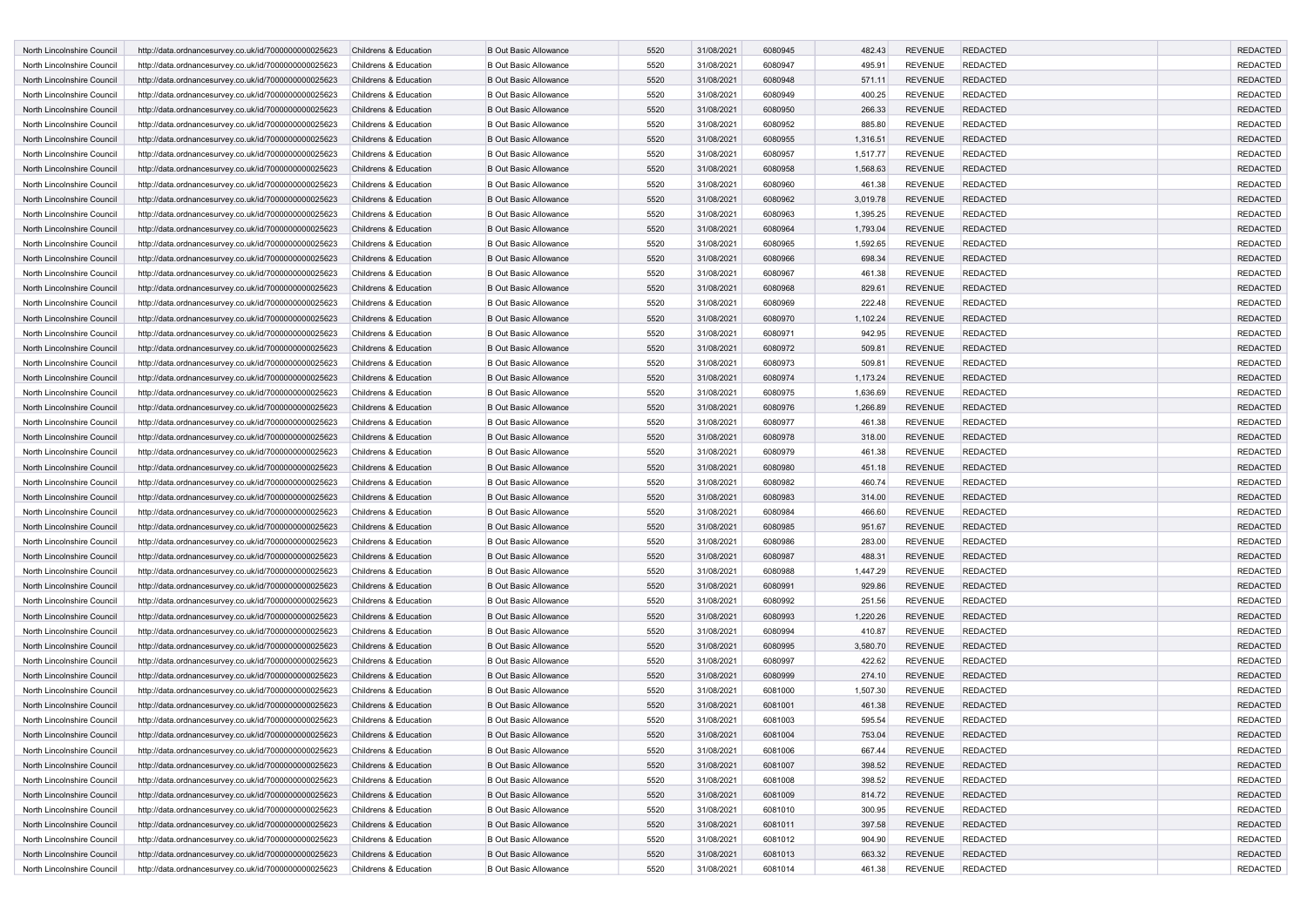| North Lincolnshire Council | http://data.ordnancesurvey.co.uk/id/7000000000025623 | Childrens & Education | <b>B Out Basic Allowance</b> | 5520 | 31/08/2021 | 6080945 | 482.43   | <b>REVENUE</b> | <b>REDACTED</b> | <b>REDACTED</b> |
|----------------------------|------------------------------------------------------|-----------------------|------------------------------|------|------------|---------|----------|----------------|-----------------|-----------------|
| North Lincolnshire Council | http://data.ordnancesurvey.co.uk/id/7000000000025623 | Childrens & Education | <b>B Out Basic Allowance</b> | 5520 | 31/08/2021 | 6080947 | 495.91   | <b>REVENUE</b> | REDACTED        | <b>REDACTED</b> |
| North Lincolnshire Council | http://data.ordnancesurvey.co.uk/id/7000000000025623 | Childrens & Education | <b>B Out Basic Allowance</b> | 5520 | 31/08/2021 | 6080948 | 571.11   | <b>REVENUE</b> | <b>REDACTED</b> | <b>REDACTED</b> |
| North Lincolnshire Council | http://data.ordnancesurvey.co.uk/id/7000000000025623 | Childrens & Education | <b>B Out Basic Allowance</b> | 5520 | 31/08/2021 | 6080949 | 400.25   | <b>REVENUE</b> | <b>REDACTED</b> | <b>REDACTED</b> |
| North Lincolnshire Council | http://data.ordnancesurvey.co.uk/id/7000000000025623 | Childrens & Education | <b>B Out Basic Allowance</b> | 5520 | 31/08/2021 | 6080950 | 266.33   | <b>REVENUE</b> | <b>REDACTED</b> | <b>REDACTED</b> |
| North Lincolnshire Council | http://data.ordnancesurvey.co.uk/id/7000000000025623 | Childrens & Education | <b>B Out Basic Allowance</b> | 5520 | 31/08/2021 | 6080952 | 885.80   | <b>REVENUE</b> | <b>REDACTED</b> | <b>REDACTED</b> |
| North Lincolnshire Council | http://data.ordnancesurvey.co.uk/id/7000000000025623 | Childrens & Education | <b>B Out Basic Allowance</b> | 5520 | 31/08/2021 | 6080955 | 1,316.51 | <b>REVENUE</b> | <b>REDACTED</b> | <b>REDACTED</b> |
| North Lincolnshire Council |                                                      | Childrens & Education | <b>B Out Basic Allowance</b> | 5520 | 31/08/2021 | 6080957 | 1,517.77 | <b>REVENUE</b> | <b>REDACTED</b> | <b>REDACTED</b> |
|                            | http://data.ordnancesurvey.co.uk/id/7000000000025623 |                       |                              | 5520 |            |         |          |                |                 | <b>REDACTED</b> |
| North Lincolnshire Council | http://data.ordnancesurvey.co.uk/id/7000000000025623 | Childrens & Education | <b>B Out Basic Allowance</b> |      | 31/08/2021 | 6080958 | 1,568.63 | <b>REVENUE</b> | <b>REDACTED</b> |                 |
| North Lincolnshire Council | http://data.ordnancesurvey.co.uk/id/7000000000025623 | Childrens & Education | <b>B Out Basic Allowance</b> | 5520 | 31/08/2021 | 6080960 | 461.38   | <b>REVENUE</b> | REDACTED        | <b>REDACTED</b> |
| North Lincolnshire Council | http://data.ordnancesurvey.co.uk/id/7000000000025623 | Childrens & Education | <b>B Out Basic Allowance</b> | 5520 | 31/08/2021 | 6080962 | 3,019.78 | <b>REVENUE</b> | <b>REDACTED</b> | <b>REDACTED</b> |
| North Lincolnshire Council | http://data.ordnancesurvey.co.uk/id/7000000000025623 | Childrens & Education | <b>B Out Basic Allowance</b> | 5520 | 31/08/2021 | 6080963 | 1,395.25 | <b>REVENUE</b> | REDACTED        | <b>REDACTED</b> |
| North Lincolnshire Council | http://data.ordnancesurvey.co.uk/id/7000000000025623 | Childrens & Education | <b>B Out Basic Allowance</b> | 5520 | 31/08/2021 | 6080964 | 1,793.04 | <b>REVENUE</b> | <b>REDACTED</b> | <b>REDACTED</b> |
| North Lincolnshire Council | http://data.ordnancesurvey.co.uk/id/7000000000025623 | Childrens & Education | <b>B Out Basic Allowance</b> | 5520 | 31/08/2021 | 6080965 | 1,592.65 | <b>REVENUE</b> | <b>REDACTED</b> | <b>REDACTED</b> |
| North Lincolnshire Council | http://data.ordnancesurvey.co.uk/id/7000000000025623 | Childrens & Education | <b>B Out Basic Allowance</b> | 5520 | 31/08/2021 | 6080966 | 698.34   | <b>REVENUE</b> | <b>REDACTED</b> | <b>REDACTED</b> |
| North Lincolnshire Council | http://data.ordnancesurvey.co.uk/id/7000000000025623 | Childrens & Education | <b>B Out Basic Allowance</b> | 5520 | 31/08/2021 | 6080967 | 461.38   | <b>REVENUE</b> | <b>REDACTED</b> | <b>REDACTED</b> |
| North Lincolnshire Council | http://data.ordnancesurvey.co.uk/id/7000000000025623 | Childrens & Education | <b>B Out Basic Allowance</b> | 5520 | 31/08/2021 | 6080968 | 829.61   | <b>REVENUE</b> | <b>REDACTED</b> | <b>REDACTED</b> |
| North Lincolnshire Council | http://data.ordnancesurvey.co.uk/id/7000000000025623 | Childrens & Education | <b>B Out Basic Allowance</b> | 5520 | 31/08/2021 | 6080969 | 222.48   | <b>REVENUE</b> | <b>REDACTED</b> | <b>REDACTED</b> |
| North Lincolnshire Council | http://data.ordnancesurvey.co.uk/id/7000000000025623 | Childrens & Education | <b>B Out Basic Allowance</b> | 5520 | 31/08/2021 | 6080970 | 1,102.24 | <b>REVENUE</b> | <b>REDACTED</b> | <b>REDACTED</b> |
| North Lincolnshire Council | http://data.ordnancesurvey.co.uk/id/7000000000025623 | Childrens & Education | <b>B Out Basic Allowance</b> | 5520 | 31/08/2021 | 6080971 | 942.95   | <b>REVENUE</b> | REDACTED        | <b>REDACTED</b> |
| North Lincolnshire Council | http://data.ordnancesurvey.co.uk/id/7000000000025623 | Childrens & Education | <b>B Out Basic Allowance</b> | 5520 | 31/08/2021 | 6080972 | 509.81   | <b>REVENUE</b> | <b>REDACTED</b> | <b>REDACTED</b> |
| North Lincolnshire Council | http://data.ordnancesurvey.co.uk/id/7000000000025623 | Childrens & Education | <b>B Out Basic Allowance</b> | 5520 | 31/08/2021 | 6080973 | 509.81   | <b>REVENUE</b> | REDACTED        | <b>REDACTED</b> |
| North Lincolnshire Council | http://data.ordnancesurvey.co.uk/id/7000000000025623 | Childrens & Education | <b>B Out Basic Allowance</b> | 5520 | 31/08/2021 | 6080974 | 1,173.24 | <b>REVENUE</b> | <b>REDACTED</b> | <b>REDACTED</b> |
| North Lincolnshire Council | http://data.ordnancesurvey.co.uk/id/7000000000025623 | Childrens & Education | <b>B Out Basic Allowance</b> | 5520 | 31/08/2021 | 6080975 | 1,636.69 | <b>REVENUE</b> | <b>REDACTED</b> | <b>REDACTED</b> |
| North Lincolnshire Council | http://data.ordnancesurvey.co.uk/id/7000000000025623 | Childrens & Education | <b>B Out Basic Allowance</b> | 5520 | 31/08/2021 | 6080976 | 1,266.89 | <b>REVENUE</b> | <b>REDACTED</b> | <b>REDACTED</b> |
| North Lincolnshire Council | http://data.ordnancesurvey.co.uk/id/7000000000025623 | Childrens & Education | <b>B Out Basic Allowance</b> | 5520 | 31/08/2021 | 6080977 | 461.38   | <b>REVENUE</b> | <b>REDACTED</b> | <b>REDACTED</b> |
| North Lincolnshire Council | http://data.ordnancesurvey.co.uk/id/7000000000025623 | Childrens & Education | <b>B Out Basic Allowance</b> | 5520 | 31/08/2021 | 6080978 | 318.00   | <b>REVENUE</b> | <b>REDACTED</b> | <b>REDACTED</b> |
| North Lincolnshire Council | http://data.ordnancesurvey.co.uk/id/7000000000025623 | Childrens & Education | <b>B Out Basic Allowance</b> | 5520 | 31/08/2021 | 6080979 | 461.38   | <b>REVENUE</b> | <b>REDACTED</b> | <b>REDACTED</b> |
| North Lincolnshire Council | http://data.ordnancesurvey.co.uk/id/7000000000025623 | Childrens & Education | <b>B Out Basic Allowance</b> | 5520 | 31/08/2021 | 6080980 | 451.18   | <b>REVENUE</b> | <b>REDACTED</b> | <b>REDACTED</b> |
| North Lincolnshire Council | http://data.ordnancesurvey.co.uk/id/7000000000025623 | Childrens & Education | <b>B Out Basic Allowance</b> | 5520 | 31/08/2021 | 6080982 | 460.74   | <b>REVENUE</b> | REDACTED        | <b>REDACTED</b> |
| North Lincolnshire Council | http://data.ordnancesurvey.co.uk/id/7000000000025623 | Childrens & Education | <b>B Out Basic Allowance</b> | 5520 | 31/08/2021 | 6080983 | 314.00   | <b>REVENUE</b> | <b>REDACTED</b> | <b>REDACTED</b> |
| North Lincolnshire Council | http://data.ordnancesurvey.co.uk/id/7000000000025623 | Childrens & Education | <b>B Out Basic Allowance</b> | 5520 | 31/08/2021 | 6080984 | 466.60   | <b>REVENUE</b> | REDACTED        | <b>REDACTED</b> |
|                            |                                                      |                       |                              |      |            |         |          |                | <b>REDACTED</b> |                 |
| North Lincolnshire Council | http://data.ordnancesurvey.co.uk/id/7000000000025623 | Childrens & Education | <b>B Out Basic Allowance</b> | 5520 | 31/08/2021 | 6080985 | 951.67   | <b>REVENUE</b> |                 | <b>REDACTED</b> |
| North Lincolnshire Council | http://data.ordnancesurvey.co.uk/id/7000000000025623 | Childrens & Education | <b>B Out Basic Allowance</b> | 5520 | 31/08/2021 | 6080986 | 283.00   | <b>REVENUE</b> | <b>REDACTED</b> | <b>REDACTED</b> |
| North Lincolnshire Council | http://data.ordnancesurvey.co.uk/id/7000000000025623 | Childrens & Education | <b>B Out Basic Allowance</b> | 5520 | 31/08/2021 | 6080987 | 488.31   | <b>REVENUE</b> | <b>REDACTED</b> | <b>REDACTED</b> |
| North Lincolnshire Council | http://data.ordnancesurvey.co.uk/id/7000000000025623 | Childrens & Education | <b>B Out Basic Allowance</b> | 5520 | 31/08/2021 | 6080988 | 1,447.29 | <b>REVENUE</b> | <b>REDACTED</b> | <b>REDACTED</b> |
| North Lincolnshire Council | http://data.ordnancesurvey.co.uk/id/7000000000025623 | Childrens & Education | <b>B Out Basic Allowance</b> | 5520 | 31/08/2021 | 6080991 | 929.86   | <b>REVENUE</b> | <b>REDACTED</b> | <b>REDACTED</b> |
| North Lincolnshire Council | http://data.ordnancesurvey.co.uk/id/7000000000025623 | Childrens & Education | <b>B Out Basic Allowance</b> | 5520 | 31/08/2021 | 6080992 | 251.56   | <b>REVENUE</b> | <b>REDACTED</b> | <b>REDACTED</b> |
| North Lincolnshire Council | http://data.ordnancesurvey.co.uk/id/7000000000025623 | Childrens & Education | <b>B Out Basic Allowance</b> | 5520 | 31/08/2021 | 6080993 | 1,220.26 | <b>REVENUE</b> | <b>REDACTED</b> | <b>REDACTED</b> |
| North Lincolnshire Council | http://data.ordnancesurvey.co.uk/id/7000000000025623 | Childrens & Education | <b>B Out Basic Allowance</b> | 5520 | 31/08/2021 | 6080994 | 410.87   | <b>REVENUE</b> | REDACTED        | <b>REDACTED</b> |
| North Lincolnshire Council | http://data.ordnancesurvey.co.uk/id/7000000000025623 | Childrens & Education | <b>B Out Basic Allowance</b> | 5520 | 31/08/2021 | 6080995 | 3,580.70 | <b>REVENUE</b> | <b>REDACTED</b> | <b>REDACTED</b> |
| North Lincolnshire Council | http://data.ordnancesurvey.co.uk/id/7000000000025623 | Childrens & Education | <b>B Out Basic Allowance</b> | 5520 | 31/08/2021 | 6080997 | 422.62   | <b>REVENUE</b> | REDACTED        | <b>REDACTED</b> |
| North Lincolnshire Council | http://data.ordnancesurvey.co.uk/id/7000000000025623 | Childrens & Education | <b>B Out Basic Allowance</b> | 5520 | 31/08/2021 | 6080999 | 274.10   | <b>REVENUE</b> | <b>REDACTED</b> | <b>REDACTED</b> |
| North Lincolnshire Council | http://data.ordnancesurvey.co.uk/id/7000000000025623 | Childrens & Education | <b>B Out Basic Allowance</b> | 5520 | 31/08/2021 | 6081000 | 1,507.30 | <b>REVENUE</b> | REDACTED        | <b>REDACTED</b> |
| North Lincolnshire Council | http://data.ordnancesurvey.co.uk/id/7000000000025623 | Childrens & Education | <b>B Out Basic Allowance</b> | 5520 | 31/08/2021 | 6081001 | 461.38   | <b>REVENUE</b> | <b>REDACTED</b> | <b>REDACTED</b> |
| North Lincolnshire Council | http://data.ordnancesurvey.co.uk/id/7000000000025623 | Childrens & Education | <b>B Out Basic Allowance</b> | 5520 | 31/08/2021 | 6081003 | 595.54   | <b>REVENUE</b> | <b>REDACTED</b> | <b>REDACTED</b> |
| North Lincolnshire Council | http://data.ordnancesurvey.co.uk/id/7000000000025623 | Childrens & Education | <b>B Out Basic Allowance</b> | 5520 | 31/08/2021 | 6081004 | 753.04   | <b>REVENUE</b> | <b>REDACTED</b> | <b>REDACTED</b> |
| North Lincolnshire Council | http://data.ordnancesurvey.co.uk/id/7000000000025623 | Childrens & Education | <b>B Out Basic Allowance</b> | 5520 | 31/08/2021 | 6081006 | 667.44   | <b>REVENUE</b> | <b>REDACTED</b> | REDACTED        |
| North Lincolnshire Council | http://data.ordnancesurvey.co.uk/id/7000000000025623 | Childrens & Education | <b>B Out Basic Allowance</b> | 5520 | 31/08/2021 | 6081007 | 398.52   | <b>REVENUE</b> | <b>REDACTED</b> | <b>REDACTED</b> |
| North Lincolnshire Council | http://data.ordnancesurvey.co.uk/id/7000000000025623 | Childrens & Education | <b>B Out Basic Allowance</b> | 5520 | 31/08/2021 | 6081008 | 398.52   | <b>REVENUE</b> | <b>REDACTED</b> | <b>REDACTED</b> |
| North Lincolnshire Council | http://data.ordnancesurvey.co.uk/id/7000000000025623 | Childrens & Education | <b>B Out Basic Allowance</b> | 5520 | 31/08/2021 | 6081009 | 814.72   | <b>REVENUE</b> | <b>REDACTED</b> | <b>REDACTED</b> |
| North Lincolnshire Council | http://data.ordnancesurvey.co.uk/id/7000000000025623 | Childrens & Education | <b>B Out Basic Allowance</b> | 5520 | 31/08/2021 | 6081010 | 300.95   | <b>REVENUE</b> | <b>REDACTED</b> | <b>REDACTED</b> |
| North Lincolnshire Council | http://data.ordnancesurvey.co.uk/id/7000000000025623 | Childrens & Education | <b>B Out Basic Allowance</b> | 5520 | 31/08/2021 | 6081011 | 397.58   | <b>REVENUE</b> | <b>REDACTED</b> | <b>REDACTED</b> |
| North Lincolnshire Council | http://data.ordnancesurvey.co.uk/id/7000000000025623 | Childrens & Education | <b>B Out Basic Allowance</b> | 5520 | 31/08/2021 | 6081012 | 904.90   | <b>REVENUE</b> | <b>REDACTED</b> | <b>REDACTED</b> |
| North Lincolnshire Council | http://data.ordnancesurvey.co.uk/id/7000000000025623 | Childrens & Education | <b>B Out Basic Allowance</b> | 5520 | 31/08/2021 | 6081013 | 663.32   | <b>REVENUE</b> | <b>REDACTED</b> | <b>REDACTED</b> |
| North Lincolnshire Council | http://data.ordnancesurvey.co.uk/id/7000000000025623 | Childrens & Education | <b>B Out Basic Allowance</b> | 5520 | 31/08/2021 | 6081014 | 461.38   | <b>REVENUE</b> | <b>REDACTED</b> | REDACTED        |
|                            |                                                      |                       |                              |      |            |         |          |                |                 |                 |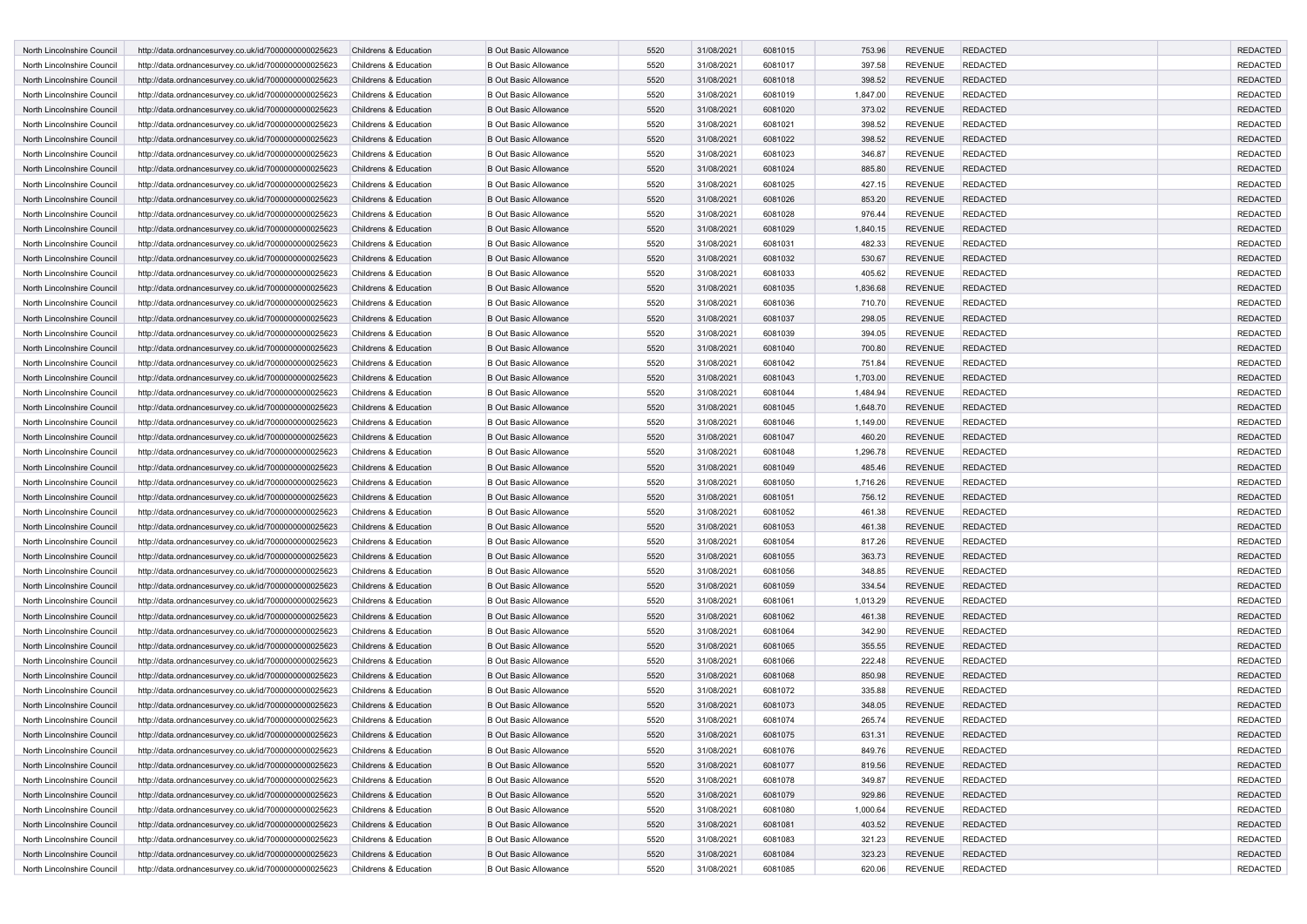| North Lincolnshire Council                               | http://data.ordnancesurvey.co.uk/id/7000000000025623                                                         | Childrens & Education                          | <b>B Out Basic Allowance</b>                                 | 5520         | 31/08/2021 | 6081015            | 753.96   | <b>REVENUE</b>                   | <b>REDACTED</b>                    | <b>REDACTED</b>                    |
|----------------------------------------------------------|--------------------------------------------------------------------------------------------------------------|------------------------------------------------|--------------------------------------------------------------|--------------|------------|--------------------|----------|----------------------------------|------------------------------------|------------------------------------|
| North Lincolnshire Council                               | http://data.ordnancesurvey.co.uk/id/7000000000025623                                                         | Childrens & Education                          | <b>B Out Basic Allowance</b>                                 | 5520         | 31/08/2021 | 6081017            | 397.58   | <b>REVENUE</b>                   | <b>REDACTED</b>                    | <b>REDACTED</b>                    |
| North Lincolnshire Council                               | http://data.ordnancesurvey.co.uk/id/7000000000025623                                                         | Childrens & Education                          | <b>B Out Basic Allowance</b>                                 | 5520         | 31/08/2021 | 6081018            | 398.52   | <b>REVENUE</b>                   | <b>REDACTED</b>                    | <b>REDACTED</b>                    |
| North Lincolnshire Council                               | http://data.ordnancesurvey.co.uk/id/7000000000025623                                                         | Childrens & Education                          | <b>B Out Basic Allowance</b>                                 | 5520         | 31/08/2021 | 6081019            | 1,847.00 | <b>REVENUE</b>                   | <b>REDACTED</b>                    | <b>REDACTED</b>                    |
| North Lincolnshire Council                               | http://data.ordnancesurvey.co.uk/id/7000000000025623                                                         | Childrens & Education                          | <b>B Out Basic Allowance</b>                                 | 5520         | 31/08/2021 | 6081020            | 373.02   | <b>REVENUE</b>                   | <b>REDACTED</b>                    | <b>REDACTED</b>                    |
| North Lincolnshire Council                               | http://data.ordnancesurvey.co.uk/id/7000000000025623                                                         | Childrens & Education                          | <b>B Out Basic Allowance</b>                                 | 5520         | 31/08/2021 | 6081021            | 398.52   | <b>REVENUE</b>                   | <b>REDACTED</b>                    | <b>REDACTED</b>                    |
| North Lincolnshire Council                               | http://data.ordnancesurvey.co.uk/id/7000000000025623                                                         | Childrens & Education                          | <b>B Out Basic Allowance</b>                                 | 5520         | 31/08/2021 | 6081022            | 398.52   | <b>REVENUE</b>                   | <b>REDACTED</b>                    | <b>REDACTED</b>                    |
| North Lincolnshire Council                               | http://data.ordnancesurvey.co.uk/id/7000000000025623                                                         | Childrens & Education                          | <b>B Out Basic Allowance</b>                                 | 5520         | 31/08/2021 | 6081023            | 346.87   | <b>REVENUE</b>                   | <b>REDACTED</b>                    | <b>REDACTED</b>                    |
| North Lincolnshire Council                               | http://data.ordnancesurvey.co.uk/id/7000000000025623                                                         | Childrens & Education                          | <b>B Out Basic Allowance</b>                                 | 5520         | 31/08/2021 | 6081024            | 885.80   | <b>REVENUE</b>                   | <b>REDACTED</b>                    | <b>REDACTED</b>                    |
| North Lincolnshire Council                               | http://data.ordnancesurvey.co.uk/id/7000000000025623                                                         | Childrens & Education                          | <b>B Out Basic Allowance</b>                                 | 5520         | 31/08/2021 | 6081025            | 427.15   | <b>REVENUE</b>                   | <b>REDACTED</b>                    | <b>REDACTED</b>                    |
| North Lincolnshire Council                               | http://data.ordnancesurvey.co.uk/id/7000000000025623                                                         | Childrens & Education                          | <b>B Out Basic Allowance</b>                                 | 5520         | 31/08/2021 | 6081026            | 853.20   | <b>REVENUE</b>                   | <b>REDACTED</b>                    | <b>REDACTED</b>                    |
| North Lincolnshire Council                               | http://data.ordnancesurvey.co.uk/id/7000000000025623                                                         | Childrens & Education                          | <b>B Out Basic Allowance</b>                                 | 5520         | 31/08/2021 | 6081028            | 976.44   | <b>REVENUE</b>                   | <b>REDACTED</b>                    | <b>REDACTED</b>                    |
| North Lincolnshire Council                               | http://data.ordnancesurvey.co.uk/id/7000000000025623                                                         | Childrens & Education                          | <b>B Out Basic Allowance</b>                                 | 5520         | 31/08/2021 | 6081029            | 1,840.15 | <b>REVENUE</b>                   | <b>REDACTED</b>                    | <b>REDACTED</b>                    |
| North Lincolnshire Council                               | http://data.ordnancesurvey.co.uk/id/7000000000025623                                                         | Childrens & Education                          | <b>B Out Basic Allowance</b>                                 | 5520         | 31/08/2021 | 6081031            | 482.33   | <b>REVENUE</b>                   | <b>REDACTED</b>                    | <b>REDACTED</b>                    |
| North Lincolnshire Council                               | http://data.ordnancesurvey.co.uk/id/7000000000025623                                                         | Childrens & Education                          | <b>B Out Basic Allowance</b>                                 | 5520         | 31/08/2021 | 6081032            | 530.67   | <b>REVENUE</b>                   | <b>REDACTED</b>                    | <b>REDACTED</b>                    |
| North Lincolnshire Council                               | http://data.ordnancesurvey.co.uk/id/7000000000025623                                                         | Childrens & Education                          | <b>B Out Basic Allowance</b>                                 | 5520         | 31/08/2021 | 6081033            | 405.62   | <b>REVENUE</b>                   | <b>REDACTED</b>                    | <b>REDACTED</b>                    |
| North Lincolnshire Council                               | http://data.ordnancesurvey.co.uk/id/7000000000025623                                                         | Childrens & Education                          | <b>B Out Basic Allowance</b>                                 | 5520         | 31/08/2021 | 6081035            | 1,836.68 | <b>REVENUE</b>                   | <b>REDACTED</b>                    | <b>REDACTED</b>                    |
| North Lincolnshire Council                               | http://data.ordnancesurvey.co.uk/id/7000000000025623                                                         | Childrens & Education                          | <b>B Out Basic Allowance</b>                                 | 5520         | 31/08/2021 | 6081036            | 710.70   | <b>REVENUE</b>                   | <b>REDACTED</b>                    | <b>REDACTED</b>                    |
| North Lincolnshire Council                               | http://data.ordnancesurvey.co.uk/id/7000000000025623                                                         | Childrens & Education                          | <b>B Out Basic Allowance</b>                                 | 5520         | 31/08/2021 | 6081037            | 298.05   | <b>REVENUE</b>                   | <b>REDACTED</b>                    | <b>REDACTED</b>                    |
| North Lincolnshire Council                               | http://data.ordnancesurvey.co.uk/id/7000000000025623                                                         | Childrens & Education                          | <b>B Out Basic Allowance</b>                                 | 5520         | 31/08/2021 | 6081039            | 394.05   | <b>REVENUE</b>                   | <b>REDACTED</b>                    | <b>REDACTED</b>                    |
| North Lincolnshire Council                               | http://data.ordnancesurvey.co.uk/id/7000000000025623                                                         | Childrens & Education                          | <b>B Out Basic Allowance</b>                                 | 5520         | 31/08/2021 | 6081040            | 700.80   | <b>REVENUE</b>                   | <b>REDACTED</b>                    | <b>REDACTED</b>                    |
| North Lincolnshire Council                               | http://data.ordnancesurvey.co.uk/id/7000000000025623                                                         | Childrens & Education                          | <b>B Out Basic Allowance</b>                                 | 5520         | 31/08/2021 | 6081042            | 751.84   | <b>REVENUE</b>                   | <b>REDACTED</b>                    | <b>REDACTED</b>                    |
| North Lincolnshire Council                               | http://data.ordnancesurvey.co.uk/id/7000000000025623                                                         | Childrens & Education                          | <b>B Out Basic Allowance</b>                                 | 5520         | 31/08/2021 | 6081043            | 1,703.00 | <b>REVENUE</b>                   | <b>REDACTED</b>                    | <b>REDACTED</b>                    |
| North Lincolnshire Council                               | http://data.ordnancesurvey.co.uk/id/7000000000025623                                                         | Childrens & Education                          | <b>B Out Basic Allowance</b>                                 | 5520         | 31/08/2021 | 6081044            | 1,484.94 | <b>REVENUE</b>                   | <b>REDACTED</b>                    | <b>REDACTED</b>                    |
| North Lincolnshire Council                               | http://data.ordnancesurvey.co.uk/id/7000000000025623                                                         | Childrens & Education                          | <b>B Out Basic Allowance</b>                                 | 5520         | 31/08/2021 | 6081045            | 1,648.70 | <b>REVENUE</b>                   | <b>REDACTED</b>                    | <b>REDACTED</b>                    |
| North Lincolnshire Council                               | http://data.ordnancesurvey.co.uk/id/7000000000025623                                                         | Childrens & Education                          | <b>B Out Basic Allowance</b>                                 | 5520         | 31/08/2021 | 6081046            | 1,149.00 | <b>REVENUE</b>                   | <b>REDACTED</b>                    | <b>REDACTED</b>                    |
| North Lincolnshire Council                               | http://data.ordnancesurvey.co.uk/id/7000000000025623                                                         | Childrens & Education                          | <b>B Out Basic Allowance</b>                                 | 5520         | 31/08/2021 | 6081047            | 460.20   | <b>REVENUE</b>                   | <b>REDACTED</b>                    | <b>REDACTED</b>                    |
| North Lincolnshire Council                               | http://data.ordnancesurvey.co.uk/id/7000000000025623                                                         | Childrens & Education                          | <b>B Out Basic Allowance</b>                                 | 5520         | 31/08/2021 | 6081048            | 1,296.78 | <b>REVENUE</b>                   | <b>REDACTED</b>                    | <b>REDACTED</b>                    |
| North Lincolnshire Council                               | http://data.ordnancesurvey.co.uk/id/7000000000025623                                                         | Childrens & Education                          | <b>B Out Basic Allowance</b>                                 | 5520         | 31/08/2021 | 6081049            | 485.46   | <b>REVENUE</b>                   | <b>REDACTED</b>                    | <b>REDACTED</b>                    |
| North Lincolnshire Council                               | http://data.ordnancesurvey.co.uk/id/7000000000025623                                                         | Childrens & Education                          | <b>B Out Basic Allowance</b>                                 | 5520         | 31/08/2021 | 6081050            | 1,716.26 | <b>REVENUE</b>                   | <b>REDACTED</b>                    | <b>REDACTED</b>                    |
| North Lincolnshire Council                               | http://data.ordnancesurvey.co.uk/id/7000000000025623                                                         | Childrens & Education                          | <b>B Out Basic Allowance</b>                                 | 5520         | 31/08/2021 | 6081051            | 756.12   | <b>REVENUE</b>                   | <b>REDACTED</b>                    | <b>REDACTED</b>                    |
| North Lincolnshire Council                               | http://data.ordnancesurvey.co.uk/id/7000000000025623                                                         | Childrens & Education                          | <b>B Out Basic Allowance</b>                                 | 5520         | 31/08/2021 | 6081052            | 461.38   | <b>REVENUE</b>                   | <b>REDACTED</b>                    | <b>REDACTED</b>                    |
| North Lincolnshire Council                               | http://data.ordnancesurvey.co.uk/id/7000000000025623                                                         | Childrens & Education                          | <b>B Out Basic Allowance</b>                                 | 5520         | 31/08/2021 | 6081053            | 461.38   | <b>REVENUE</b>                   | <b>REDACTED</b>                    | <b>REDACTED</b>                    |
| North Lincolnshire Council                               | http://data.ordnancesurvey.co.uk/id/7000000000025623                                                         | Childrens & Education                          | <b>B Out Basic Allowance</b>                                 | 5520         | 31/08/2021 | 6081054            | 817.26   | <b>REVENUE</b>                   | <b>REDACTED</b>                    | <b>REDACTED</b>                    |
| North Lincolnshire Council                               | http://data.ordnancesurvey.co.uk/id/7000000000025623                                                         | Childrens & Education                          | <b>B Out Basic Allowance</b>                                 | 5520         | 31/08/2021 | 6081055            | 363.73   | <b>REVENUE</b>                   | <b>REDACTED</b>                    | <b>REDACTED</b>                    |
|                                                          |                                                                                                              |                                                | <b>B Out Basic Allowance</b>                                 | 5520         | 31/08/2021 | 6081056            | 348.85   | <b>REVENUE</b>                   | <b>REDACTED</b>                    | <b>REDACTED</b>                    |
| North Lincolnshire Council<br>North Lincolnshire Council | http://data.ordnancesurvey.co.uk/id/7000000000025623<br>http://data.ordnancesurvey.co.uk/id/7000000000025623 | Childrens & Education<br>Childrens & Education | <b>B Out Basic Allowance</b>                                 | 5520         | 31/08/2021 | 6081059            | 334.54   | <b>REVENUE</b>                   | <b>REDACTED</b>                    | <b>REDACTED</b>                    |
|                                                          |                                                                                                              |                                                |                                                              | 5520         |            | 6081061            |          |                                  | <b>REDACTED</b>                    |                                    |
| North Lincolnshire Council                               | http://data.ordnancesurvey.co.uk/id/7000000000025623                                                         | Childrens & Education                          | <b>B Out Basic Allowance</b>                                 |              | 31/08/2021 |                    | 1,013.29 | <b>REVENUE</b>                   |                                    | <b>REDACTED</b>                    |
| North Lincolnshire Council<br>North Lincolnshire Council | http://data.ordnancesurvey.co.uk/id/7000000000025623                                                         | Childrens & Education<br>Childrens & Education | <b>B Out Basic Allowance</b><br><b>B Out Basic Allowance</b> | 5520         | 31/08/2021 | 6081062<br>6081064 | 461.38   | <b>REVENUE</b>                   | <b>REDACTED</b>                    | <b>REDACTED</b><br><b>REDACTED</b> |
|                                                          | http://data.ordnancesurvey.co.uk/id/7000000000025623                                                         |                                                |                                                              | 5520<br>5520 | 31/08/2021 |                    | 342.90   | <b>REVENUE</b>                   | <b>REDACTED</b><br><b>REDACTED</b> |                                    |
| North Lincolnshire Council<br>North Lincolnshire Council | http://data.ordnancesurvey.co.uk/id/7000000000025623                                                         | Childrens & Education<br>Childrens & Education | <b>B Out Basic Allowance</b><br><b>B Out Basic Allowance</b> | 5520         | 31/08/2021 | 6081065<br>6081066 | 355.55   | <b>REVENUE</b><br><b>REVENUE</b> |                                    | <b>REDACTED</b><br><b>REDACTED</b> |
|                                                          | http://data.ordnancesurvey.co.uk/id/7000000000025623                                                         |                                                |                                                              |              | 31/08/2021 |                    | 222.48   |                                  | <b>REDACTED</b>                    |                                    |
| North Lincolnshire Council                               | http://data.ordnancesurvey.co.uk/id/7000000000025623                                                         | Childrens & Education                          | <b>B Out Basic Allowance</b>                                 | 5520         | 31/08/2021 | 6081068            | 850.98   | <b>REVENUE</b>                   | <b>REDACTED</b>                    | <b>REDACTED</b>                    |
| North Lincolnshire Council                               | http://data.ordnancesurvey.co.uk/id/7000000000025623                                                         | Childrens & Education                          | <b>B Out Basic Allowance</b>                                 | 5520         | 31/08/2021 | 6081072            | 335.88   | <b>REVENUE</b>                   | <b>REDACTED</b>                    | <b>REDACTED</b>                    |
| North Lincolnshire Council                               | http://data.ordnancesurvey.co.uk/id/7000000000025623                                                         | Childrens & Education                          | <b>B Out Basic Allowance</b>                                 | 5520         | 31/08/2021 | 6081073            | 348.05   | <b>REVENUE</b>                   | <b>REDACTED</b>                    | <b>REDACTED</b>                    |
| North Lincolnshire Council                               | http://data.ordnancesurvey.co.uk/id/7000000000025623                                                         | Childrens & Education                          | <b>B Out Basic Allowance</b>                                 | 5520         | 31/08/2021 | 6081074            | 265.74   | <b>REVENUE</b>                   | <b>REDACTED</b>                    | <b>REDACTED</b>                    |
| North Lincolnshire Council                               | http://data.ordnancesurvey.co.uk/id/7000000000025623                                                         | Childrens & Education                          | <b>B Out Basic Allowance</b>                                 | 5520         | 31/08/2021 | 6081075            | 631.31   | <b>REVENUE</b>                   | <b>REDACTED</b>                    | <b>REDACTED</b>                    |
| North Lincolnshire Council                               | http://data.ordnancesurvey.co.uk/id/7000000000025623                                                         | Childrens & Education                          | <b>B Out Basic Allowance</b>                                 | 5520         | 31/08/2021 | 6081076            | 849.76   | <b>REVENUE</b>                   | <b>REDACTED</b>                    | <b>REDACTED</b>                    |
| North Lincolnshire Council                               | http://data.ordnancesurvey.co.uk/id/7000000000025623                                                         | Childrens & Education                          | <b>B Out Basic Allowance</b>                                 | 5520         | 31/08/2021 | 6081077            | 819.56   | <b>REVENUE</b>                   | <b>REDACTED</b>                    | <b>REDACTED</b>                    |
| North Lincolnshire Council                               | http://data.ordnancesurvey.co.uk/id/7000000000025623                                                         | Childrens & Education                          | <b>B Out Basic Allowance</b>                                 | 5520         | 31/08/2021 | 6081078            | 349.87   | <b>REVENUE</b>                   | <b>REDACTED</b>                    | <b>REDACTED</b>                    |
| North Lincolnshire Council                               | http://data.ordnancesurvey.co.uk/id/7000000000025623                                                         | Childrens & Education                          | <b>B Out Basic Allowance</b>                                 | 5520         | 31/08/2021 | 6081079            | 929.86   | <b>REVENUE</b>                   | <b>REDACTED</b>                    | <b>REDACTED</b>                    |
| North Lincolnshire Council                               | http://data.ordnancesurvey.co.uk/id/7000000000025623                                                         | Childrens & Education                          | <b>B Out Basic Allowance</b>                                 | 5520         | 31/08/2021 | 6081080            | 1,000.64 | <b>REVENUE</b>                   | <b>REDACTED</b>                    | <b>REDACTED</b>                    |
| North Lincolnshire Council                               | http://data.ordnancesurvey.co.uk/id/7000000000025623                                                         | Childrens & Education                          | <b>B Out Basic Allowance</b>                                 | 5520         | 31/08/2021 | 6081081            | 403.52   | REVENUE                          | <b>REDACTED</b>                    | <b>REDACTED</b>                    |
| North Lincolnshire Council                               | http://data.ordnancesurvey.co.uk/id/7000000000025623                                                         | Childrens & Education                          | <b>B Out Basic Allowance</b>                                 | 5520         | 31/08/2021 | 6081083            | 321.23   | <b>REVENUE</b>                   | <b>REDACTED</b>                    | <b>REDACTED</b>                    |
| North Lincolnshire Council                               | http://data.ordnancesurvey.co.uk/id/7000000000025623                                                         | Childrens & Education                          | <b>B Out Basic Allowance</b>                                 | 5520         | 31/08/2021 | 6081084            | 323.23   | <b>REVENUE</b>                   | <b>REDACTED</b>                    | <b>REDACTED</b>                    |
| North Lincolnshire Council                               | http://data.ordnancesurvey.co.uk/id/7000000000025623                                                         | Childrens & Education                          | <b>B Out Basic Allowance</b>                                 | 5520         | 31/08/2021 | 6081085            | 620.06   | <b>REVENUE</b>                   | <b>REDACTED</b>                    | REDACTED                           |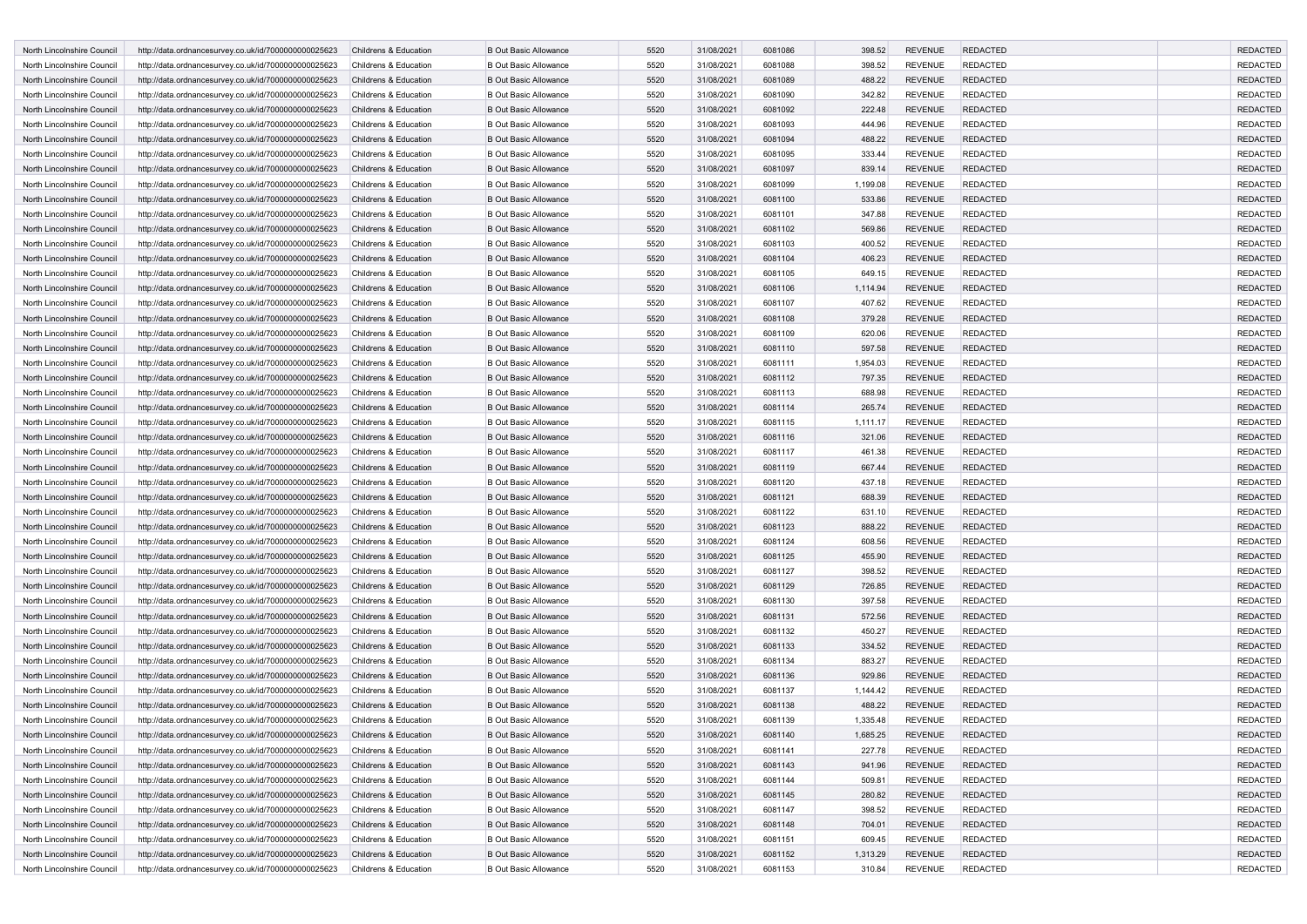| North Lincolnshire Council                               | http://data.ordnancesurvey.co.uk/id/7000000000025623                                                         | Childrens & Education | <b>B Out Basic Allowance</b> | 5520         | 31/08/2021               | 6081086 | 398.52           | <b>REVENUE</b> | <b>REDACTED</b> | <b>REDACTED</b> |
|----------------------------------------------------------|--------------------------------------------------------------------------------------------------------------|-----------------------|------------------------------|--------------|--------------------------|---------|------------------|----------------|-----------------|-----------------|
| North Lincolnshire Council                               | http://data.ordnancesurvey.co.uk/id/7000000000025623                                                         | Childrens & Education | <b>B Out Basic Allowance</b> | 5520         | 31/08/2021               | 6081088 | 398.52           | <b>REVENUE</b> | <b>REDACTED</b> | <b>REDACTED</b> |
| North Lincolnshire Council                               | http://data.ordnancesurvey.co.uk/id/7000000000025623                                                         | Childrens & Education | <b>B Out Basic Allowance</b> | 5520         | 31/08/2021               | 6081089 | 488.22           | <b>REVENUE</b> | <b>REDACTED</b> | <b>REDACTED</b> |
| North Lincolnshire Council                               | http://data.ordnancesurvey.co.uk/id/7000000000025623                                                         | Childrens & Education | <b>B Out Basic Allowance</b> | 5520         | 31/08/2021               | 6081090 | 342.82           | <b>REVENUE</b> | <b>REDACTED</b> | <b>REDACTED</b> |
| North Lincolnshire Council                               | http://data.ordnancesurvey.co.uk/id/7000000000025623                                                         | Childrens & Education | <b>B Out Basic Allowance</b> | 5520         | 31/08/2021               | 6081092 | 222.48           | <b>REVENUE</b> | <b>REDACTED</b> | <b>REDACTED</b> |
| North Lincolnshire Council                               | http://data.ordnancesurvey.co.uk/id/7000000000025623                                                         | Childrens & Education | <b>B Out Basic Allowance</b> | 5520         | 31/08/2021               | 6081093 | 444.96           | <b>REVENUE</b> | <b>REDACTED</b> | <b>REDACTED</b> |
| North Lincolnshire Council                               | http://data.ordnancesurvey.co.uk/id/7000000000025623                                                         | Childrens & Education | <b>B Out Basic Allowance</b> | 5520         | 31/08/2021               | 6081094 | 488.22           | <b>REVENUE</b> | <b>REDACTED</b> | <b>REDACTED</b> |
| North Lincolnshire Council                               | http://data.ordnancesurvey.co.uk/id/7000000000025623                                                         | Childrens & Education | <b>B Out Basic Allowance</b> | 5520         | 31/08/2021               | 6081095 | 333.44           | <b>REVENUE</b> | <b>REDACTED</b> | <b>REDACTED</b> |
| North Lincolnshire Council                               | http://data.ordnancesurvey.co.uk/id/7000000000025623                                                         | Childrens & Education | <b>B Out Basic Allowance</b> | 5520         | 31/08/2021               | 6081097 | 839.14           | <b>REVENUE</b> | <b>REDACTED</b> | <b>REDACTED</b> |
| North Lincolnshire Council                               | http://data.ordnancesurvey.co.uk/id/7000000000025623                                                         | Childrens & Education | <b>B Out Basic Allowance</b> | 5520         | 31/08/2021               | 6081099 | 1,199.08         | <b>REVENUE</b> | <b>REDACTED</b> | <b>REDACTED</b> |
| North Lincolnshire Council                               | http://data.ordnancesurvey.co.uk/id/7000000000025623                                                         | Childrens & Education | <b>B Out Basic Allowance</b> | 5520         | 31/08/2021               | 6081100 | 533.86           | <b>REVENUE</b> | <b>REDACTED</b> | <b>REDACTED</b> |
| North Lincolnshire Council                               | http://data.ordnancesurvey.co.uk/id/7000000000025623                                                         | Childrens & Education | <b>B Out Basic Allowance</b> | 5520         | 31/08/2021               | 6081101 | 347.88           | <b>REVENUE</b> | <b>REDACTED</b> | <b>REDACTED</b> |
| North Lincolnshire Council                               | http://data.ordnancesurvey.co.uk/id/7000000000025623                                                         | Childrens & Education | <b>B Out Basic Allowance</b> | 5520         | 31/08/2021               | 6081102 | 569.86           | <b>REVENUE</b> | <b>REDACTED</b> | <b>REDACTED</b> |
| North Lincolnshire Council                               | http://data.ordnancesurvey.co.uk/id/7000000000025623                                                         | Childrens & Education | <b>B Out Basic Allowance</b> | 5520         | 31/08/2021               | 6081103 | 400.52           | <b>REVENUE</b> | <b>REDACTED</b> | <b>REDACTED</b> |
| North Lincolnshire Council                               | http://data.ordnancesurvey.co.uk/id/7000000000025623                                                         | Childrens & Education | <b>B Out Basic Allowance</b> | 5520         | 31/08/2021               | 6081104 | 406.23           | <b>REVENUE</b> | <b>REDACTED</b> | <b>REDACTED</b> |
| North Lincolnshire Council                               | http://data.ordnancesurvey.co.uk/id/7000000000025623                                                         | Childrens & Education | <b>B Out Basic Allowance</b> | 5520         | 31/08/2021               | 6081105 | 649.15           | <b>REVENUE</b> | <b>REDACTED</b> | <b>REDACTED</b> |
| North Lincolnshire Council                               | http://data.ordnancesurvey.co.uk/id/7000000000025623                                                         | Childrens & Education | <b>B Out Basic Allowance</b> | 5520         | 31/08/2021               | 6081106 | 1,114.94         | <b>REVENUE</b> | <b>REDACTED</b> | <b>REDACTED</b> |
| North Lincolnshire Council                               | http://data.ordnancesurvey.co.uk/id/7000000000025623                                                         | Childrens & Education | <b>B Out Basic Allowance</b> | 5520         | 31/08/2021               | 6081107 | 407.62           | <b>REVENUE</b> | <b>REDACTED</b> | <b>REDACTED</b> |
| North Lincolnshire Council                               | http://data.ordnancesurvey.co.uk/id/7000000000025623                                                         | Childrens & Education | <b>B Out Basic Allowance</b> | 5520         | 31/08/2021               | 6081108 | 379.28           | <b>REVENUE</b> | <b>REDACTED</b> | <b>REDACTED</b> |
| North Lincolnshire Council                               | http://data.ordnancesurvey.co.uk/id/7000000000025623                                                         | Childrens & Education | <b>B Out Basic Allowance</b> | 5520         | 31/08/2021               | 6081109 | 620.06           | <b>REVENUE</b> | <b>REDACTED</b> | <b>REDACTED</b> |
| North Lincolnshire Council                               | http://data.ordnancesurvey.co.uk/id/7000000000025623                                                         | Childrens & Education | <b>B Out Basic Allowance</b> | 5520         | 31/08/2021               | 6081110 | 597.58           | <b>REVENUE</b> | <b>REDACTED</b> | <b>REDACTED</b> |
| North Lincolnshire Council                               | http://data.ordnancesurvey.co.uk/id/7000000000025623                                                         | Childrens & Education | <b>B Out Basic Allowance</b> | 5520         | 31/08/2021               | 6081111 | 1,954.03         | <b>REVENUE</b> | <b>REDACTED</b> | <b>REDACTED</b> |
| North Lincolnshire Council                               | http://data.ordnancesurvey.co.uk/id/7000000000025623                                                         | Childrens & Education | <b>B Out Basic Allowance</b> | 5520         | 31/08/2021               | 6081112 | 797.35           | <b>REVENUE</b> | <b>REDACTED</b> | <b>REDACTED</b> |
| North Lincolnshire Council                               | http://data.ordnancesurvey.co.uk/id/7000000000025623                                                         | Childrens & Education | <b>B Out Basic Allowance</b> | 5520         | 31/08/2021               | 6081113 | 688.98           | <b>REVENUE</b> | <b>REDACTED</b> | <b>REDACTED</b> |
| North Lincolnshire Council                               | http://data.ordnancesurvey.co.uk/id/7000000000025623                                                         | Childrens & Education | <b>B Out Basic Allowance</b> | 5520         | 31/08/2021               | 6081114 | 265.74           | <b>REVENUE</b> | <b>REDACTED</b> | <b>REDACTED</b> |
| North Lincolnshire Council                               | http://data.ordnancesurvey.co.uk/id/7000000000025623                                                         | Childrens & Education | <b>B Out Basic Allowance</b> | 5520         | 31/08/2021               | 6081115 | 1,111.17         | <b>REVENUE</b> | <b>REDACTED</b> | <b>REDACTED</b> |
| North Lincolnshire Council                               | http://data.ordnancesurvey.co.uk/id/7000000000025623                                                         | Childrens & Education | <b>B Out Basic Allowance</b> | 5520         | 31/08/2021               | 6081116 | 321.06           | <b>REVENUE</b> | <b>REDACTED</b> | <b>REDACTED</b> |
| North Lincolnshire Council                               | http://data.ordnancesurvey.co.uk/id/7000000000025623                                                         | Childrens & Education | <b>B Out Basic Allowance</b> | 5520         | 31/08/2021               | 6081117 | 461.38           | <b>REVENUE</b> | <b>REDACTED</b> | <b>REDACTED</b> |
| North Lincolnshire Council                               | http://data.ordnancesurvey.co.uk/id/7000000000025623                                                         | Childrens & Education | <b>B Out Basic Allowance</b> | 5520         | 31/08/2021               | 6081119 | 667.44           | <b>REVENUE</b> | <b>REDACTED</b> | <b>REDACTED</b> |
| North Lincolnshire Council                               | http://data.ordnancesurvey.co.uk/id/7000000000025623                                                         | Childrens & Education | <b>B Out Basic Allowance</b> | 5520         | 31/08/2021               | 6081120 | 437.18           | <b>REVENUE</b> | <b>REDACTED</b> | <b>REDACTED</b> |
| North Lincolnshire Council                               | http://data.ordnancesurvey.co.uk/id/7000000000025623                                                         | Childrens & Education | <b>B Out Basic Allowance</b> | 5520         | 31/08/2021               | 6081121 | 688.39           | <b>REVENUE</b> | <b>REDACTED</b> | <b>REDACTED</b> |
| North Lincolnshire Council                               | http://data.ordnancesurvey.co.uk/id/7000000000025623                                                         | Childrens & Education | <b>B Out Basic Allowance</b> | 5520         | 31/08/2021               | 6081122 | 631.10           | <b>REVENUE</b> | <b>REDACTED</b> | <b>REDACTED</b> |
| North Lincolnshire Council                               |                                                                                                              | Childrens & Education | <b>B Out Basic Allowance</b> | 5520         | 31/08/2021               | 6081123 | 888.22           | <b>REVENUE</b> | <b>REDACTED</b> | <b>REDACTED</b> |
| North Lincolnshire Council                               | http://data.ordnancesurvey.co.uk/id/7000000000025623                                                         | Childrens & Education | <b>B Out Basic Allowance</b> | 5520         |                          | 6081124 |                  | <b>REVENUE</b> | <b>REDACTED</b> | <b>REDACTED</b> |
| North Lincolnshire Council                               | http://data.ordnancesurvey.co.uk/id/7000000000025623<br>http://data.ordnancesurvey.co.uk/id/7000000000025623 | Childrens & Education | <b>B Out Basic Allowance</b> | 5520         | 31/08/2021<br>31/08/2021 | 6081125 | 608.56<br>455.90 | <b>REVENUE</b> | <b>REDACTED</b> | <b>REDACTED</b> |
| North Lincolnshire Council                               | http://data.ordnancesurvey.co.uk/id/7000000000025623                                                         | Childrens & Education | <b>B Out Basic Allowance</b> | 5520         | 31/08/2021               | 6081127 | 398.52           | <b>REVENUE</b> | <b>REDACTED</b> | <b>REDACTED</b> |
| North Lincolnshire Council                               | http://data.ordnancesurvey.co.uk/id/7000000000025623                                                         | Childrens & Education | <b>B Out Basic Allowance</b> | 5520         | 31/08/2021               | 6081129 | 726.85           | <b>REVENUE</b> | <b>REDACTED</b> | <b>REDACTED</b> |
| North Lincolnshire Council                               |                                                                                                              | Childrens & Education | <b>B Out Basic Allowance</b> | 5520         | 31/08/2021               | 6081130 | 397.58           | <b>REVENUE</b> | <b>REDACTED</b> | <b>REDACTED</b> |
| North Lincolnshire Council                               | http://data.ordnancesurvey.co.uk/id/7000000000025623                                                         | Childrens & Education | <b>B Out Basic Allowance</b> | 5520         |                          | 6081131 |                  | <b>REVENUE</b> | <b>REDACTED</b> | <b>REDACTED</b> |
| North Lincolnshire Council                               | http://data.ordnancesurvey.co.uk/id/7000000000025623<br>http://data.ordnancesurvey.co.uk/id/7000000000025623 | Childrens & Education | <b>B Out Basic Allowance</b> | 5520         | 31/08/2021<br>31/08/2021 | 6081132 | 572.56<br>450.27 | <b>REVENUE</b> | <b>REDACTED</b> | <b>REDACTED</b> |
| North Lincolnshire Council                               | http://data.ordnancesurvey.co.uk/id/7000000000025623                                                         | Childrens & Education | <b>B Out Basic Allowance</b> | 5520         | 31/08/2021               | 6081133 | 334.52           | <b>REVENUE</b> | <b>REDACTED</b> | <b>REDACTED</b> |
| North Lincolnshire Council                               | http://data.ordnancesurvey.co.uk/id/7000000000025623                                                         | Childrens & Education | <b>B Out Basic Allowance</b> | 5520         | 31/08/2021               | 6081134 | 883.27           | <b>REVENUE</b> | <b>REDACTED</b> | <b>REDACTED</b> |
|                                                          |                                                                                                              | Childrens & Education | <b>B Out Basic Allowance</b> | 5520         |                          | 6081136 | 929.86           | <b>REVENUE</b> | <b>REDACTED</b> | <b>REDACTED</b> |
| North Lincolnshire Council                               | http://data.ordnancesurvey.co.uk/id/7000000000025623<br>http://data.ordnancesurvey.co.uk/id/7000000000025623 | Childrens & Education |                              |              | 31/08/2021               |         |                  | <b>REVENUE</b> | <b>REDACTED</b> | <b>REDACTED</b> |
| North Lincolnshire Council<br>North Lincolnshire Council | http://data.ordnancesurvey.co.uk/id/7000000000025623                                                         |                       | <b>B Out Basic Allowance</b> | 5520<br>5520 | 31/08/2021               | 6081137 | 1,144.42         |                | <b>REDACTED</b> | <b>REDACTED</b> |
|                                                          |                                                                                                              | Childrens & Education | <b>B Out Basic Allowance</b> |              | 31/08/2021               | 6081138 | 488.22           | <b>REVENUE</b> |                 |                 |
| North Lincolnshire Council                               | http://data.ordnancesurvey.co.uk/id/7000000000025623                                                         | Childrens & Education | <b>B Out Basic Allowance</b> | 5520         | 31/08/2021               | 6081139 | 1,335.48         | <b>REVENUE</b> | <b>REDACTED</b> | <b>REDACTED</b> |
| North Lincolnshire Council                               | http://data.ordnancesurvey.co.uk/id/7000000000025623                                                         | Childrens & Education | <b>B Out Basic Allowance</b> | 5520         | 31/08/2021               | 6081140 | 1,685.25         | <b>REVENUE</b> | <b>REDACTED</b> | <b>REDACTED</b> |
| North Lincolnshire Council                               | http://data.ordnancesurvey.co.uk/id/7000000000025623                                                         | Childrens & Education | <b>B Out Basic Allowance</b> | 5520         | 31/08/2021               | 6081141 | 227.78           | <b>REVENUE</b> | <b>REDACTED</b> | <b>REDACTED</b> |
| North Lincolnshire Council                               | http://data.ordnancesurvey.co.uk/id/7000000000025623                                                         | Childrens & Education | <b>B Out Basic Allowance</b> | 5520         | 31/08/2021               | 6081143 | 941.96           | <b>REVENUE</b> | <b>REDACTED</b> | <b>REDACTED</b> |
| North Lincolnshire Council                               | http://data.ordnancesurvey.co.uk/id/7000000000025623                                                         | Childrens & Education | <b>B Out Basic Allowance</b> | 5520         | 31/08/2021               | 6081144 | 509.81           | <b>REVENUE</b> | <b>REDACTED</b> | <b>REDACTED</b> |
| North Lincolnshire Council                               | http://data.ordnancesurvey.co.uk/id/7000000000025623                                                         | Childrens & Education | <b>B Out Basic Allowance</b> | 5520         | 31/08/2021               | 6081145 | 280.82           | <b>REVENUE</b> | <b>REDACTED</b> | <b>REDACTED</b> |
| North Lincolnshire Council                               | http://data.ordnancesurvey.co.uk/id/7000000000025623                                                         | Childrens & Education | <b>B Out Basic Allowance</b> | 5520         | 31/08/2021               | 6081147 | 398.52           | <b>REVENUE</b> | <b>REDACTED</b> | <b>REDACTED</b> |
| North Lincolnshire Council                               | http://data.ordnancesurvey.co.uk/id/7000000000025623                                                         | Childrens & Education | <b>B Out Basic Allowance</b> | 5520         | 31/08/2021               | 6081148 | 704.01           | <b>REVENUE</b> | <b>REDACTED</b> | <b>REDACTED</b> |
| North Lincolnshire Council                               | http://data.ordnancesurvey.co.uk/id/7000000000025623                                                         | Childrens & Education | <b>B Out Basic Allowance</b> | 5520         | 31/08/2021               | 6081151 | 609.45           | <b>REVENUE</b> | <b>REDACTED</b> | <b>REDACTED</b> |
| North Lincolnshire Council                               | http://data.ordnancesurvey.co.uk/id/7000000000025623                                                         | Childrens & Education | <b>B Out Basic Allowance</b> | 5520         | 31/08/2021               | 6081152 | 1,313.29         | <b>REVENUE</b> | <b>REDACTED</b> | <b>REDACTED</b> |
| North Lincolnshire Council                               | http://data.ordnancesurvey.co.uk/id/7000000000025623                                                         | Childrens & Education | <b>B Out Basic Allowance</b> | 5520         | 31/08/2021               | 6081153 | 310.84           | REVENUE        | REDACTED        | REDACTED        |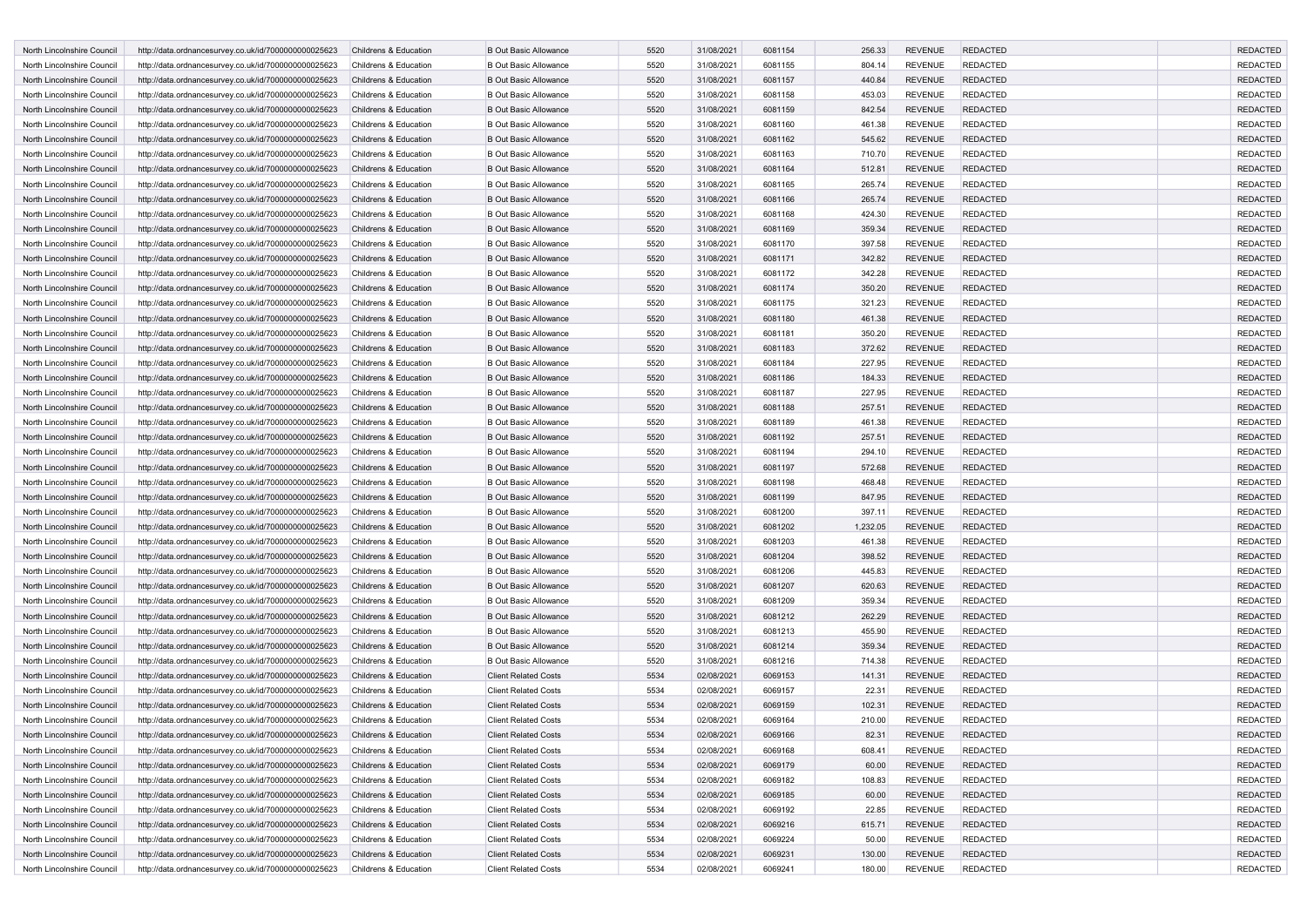| North Lincolnshire Council                               | http://data.ordnancesurvey.co.uk/id/7000000000025623 | Childrens & Education                          | <b>B Out Basic Allowance</b>                                 | 5520 | 31/08/2021 | 6081154            | 256.33   | <b>REVENUE</b>                   | <b>REDACTED</b> | <b>REDACTED</b> |
|----------------------------------------------------------|------------------------------------------------------|------------------------------------------------|--------------------------------------------------------------|------|------------|--------------------|----------|----------------------------------|-----------------|-----------------|
| North Lincolnshire Council                               | http://data.ordnancesurvey.co.uk/id/7000000000025623 | Childrens & Education                          | <b>B Out Basic Allowance</b>                                 | 5520 | 31/08/2021 | 6081155            | 804.14   | <b>REVENUE</b>                   | <b>REDACTED</b> | <b>REDACTED</b> |
| North Lincolnshire Council                               | http://data.ordnancesurvey.co.uk/id/7000000000025623 | Childrens & Education                          | <b>B Out Basic Allowance</b>                                 | 5520 | 31/08/2021 | 6081157            | 440.84   | <b>REVENUE</b>                   | <b>REDACTED</b> | <b>REDACTED</b> |
| North Lincolnshire Council                               | http://data.ordnancesurvey.co.uk/id/7000000000025623 | Childrens & Education                          | <b>B Out Basic Allowance</b>                                 | 5520 | 31/08/2021 | 6081158            | 453.03   | <b>REVENUE</b>                   | <b>REDACTED</b> | <b>REDACTED</b> |
| North Lincolnshire Council                               | http://data.ordnancesurvey.co.uk/id/7000000000025623 | Childrens & Education                          | <b>B Out Basic Allowance</b>                                 | 5520 | 31/08/2021 | 6081159            | 842.54   | <b>REVENUE</b>                   | <b>REDACTED</b> | <b>REDACTED</b> |
| North Lincolnshire Council                               | http://data.ordnancesurvey.co.uk/id/7000000000025623 | Childrens & Education                          | <b>B Out Basic Allowance</b>                                 | 5520 | 31/08/2021 | 6081160            | 461.38   | <b>REVENUE</b>                   | <b>REDACTED</b> | <b>REDACTED</b> |
| North Lincolnshire Council                               | http://data.ordnancesurvey.co.uk/id/7000000000025623 | Childrens & Education                          | <b>B Out Basic Allowance</b>                                 | 5520 | 31/08/2021 | 6081162            | 545.62   | <b>REVENUE</b>                   | <b>REDACTED</b> | <b>REDACTED</b> |
| North Lincolnshire Council                               | http://data.ordnancesurvey.co.uk/id/7000000000025623 | Childrens & Education                          | <b>B Out Basic Allowance</b>                                 | 5520 | 31/08/2021 | 6081163            | 710.70   | <b>REVENUE</b>                   | <b>REDACTED</b> | <b>REDACTED</b> |
| North Lincolnshire Council                               | http://data.ordnancesurvey.co.uk/id/7000000000025623 | Childrens & Education                          | <b>B Out Basic Allowance</b>                                 | 5520 | 31/08/2021 | 6081164            | 512.81   | <b>REVENUE</b>                   | <b>REDACTED</b> | <b>REDACTED</b> |
| North Lincolnshire Council                               | http://data.ordnancesurvey.co.uk/id/7000000000025623 | Childrens & Education                          | <b>B Out Basic Allowance</b>                                 | 5520 | 31/08/2021 | 6081165            | 265.74   | <b>REVENUE</b>                   | <b>REDACTED</b> | <b>REDACTED</b> |
| North Lincolnshire Council                               | http://data.ordnancesurvey.co.uk/id/7000000000025623 | Childrens & Education                          | <b>B Out Basic Allowance</b>                                 | 5520 | 31/08/2021 | 6081166            | 265.74   | <b>REVENUE</b>                   | <b>REDACTED</b> | <b>REDACTED</b> |
| North Lincolnshire Council                               | http://data.ordnancesurvey.co.uk/id/7000000000025623 | Childrens & Education                          | <b>B Out Basic Allowance</b>                                 | 5520 | 31/08/2021 | 6081168            | 424.30   | <b>REVENUE</b>                   | <b>REDACTED</b> | <b>REDACTED</b> |
| North Lincolnshire Council                               | http://data.ordnancesurvey.co.uk/id/7000000000025623 | Childrens & Education                          | <b>B Out Basic Allowance</b>                                 | 5520 | 31/08/2021 | 6081169            | 359.34   | <b>REVENUE</b>                   | <b>REDACTED</b> | <b>REDACTED</b> |
| North Lincolnshire Council                               | http://data.ordnancesurvey.co.uk/id/7000000000025623 | Childrens & Education                          | <b>B Out Basic Allowance</b>                                 | 5520 | 31/08/2021 | 6081170            | 397.58   | <b>REVENUE</b>                   | <b>REDACTED</b> | <b>REDACTED</b> |
| North Lincolnshire Council                               | http://data.ordnancesurvey.co.uk/id/7000000000025623 | Childrens & Education                          | <b>B Out Basic Allowance</b>                                 | 5520 | 31/08/2021 | 6081171            | 342.82   | <b>REVENUE</b>                   | <b>REDACTED</b> | <b>REDACTED</b> |
| North Lincolnshire Council                               | http://data.ordnancesurvey.co.uk/id/7000000000025623 | Childrens & Education                          | <b>B Out Basic Allowance</b>                                 | 5520 | 31/08/2021 | 6081172            | 342.28   | <b>REVENUE</b>                   | <b>REDACTED</b> | <b>REDACTED</b> |
| North Lincolnshire Council                               | http://data.ordnancesurvey.co.uk/id/7000000000025623 | Childrens & Education                          | <b>B Out Basic Allowance</b>                                 | 5520 | 31/08/2021 | 6081174            | 350.20   | <b>REVENUE</b>                   | <b>REDACTED</b> | <b>REDACTED</b> |
| North Lincolnshire Council                               | http://data.ordnancesurvey.co.uk/id/7000000000025623 | Childrens & Education                          | <b>B Out Basic Allowance</b>                                 | 5520 | 31/08/2021 | 6081175            | 321.23   | <b>REVENUE</b>                   | <b>REDACTED</b> | <b>REDACTED</b> |
| North Lincolnshire Council                               | http://data.ordnancesurvey.co.uk/id/7000000000025623 | Childrens & Education                          | <b>B Out Basic Allowance</b>                                 | 5520 | 31/08/2021 | 6081180            | 461.38   | <b>REVENUE</b>                   | <b>REDACTED</b> | <b>REDACTED</b> |
| North Lincolnshire Council                               | http://data.ordnancesurvey.co.uk/id/7000000000025623 | Childrens & Education                          | <b>B Out Basic Allowance</b>                                 | 5520 | 31/08/2021 | 6081181            | 350.20   | <b>REVENUE</b>                   | <b>REDACTED</b> | <b>REDACTED</b> |
| North Lincolnshire Council                               | http://data.ordnancesurvey.co.uk/id/7000000000025623 | Childrens & Education                          | <b>B Out Basic Allowance</b>                                 | 5520 | 31/08/2021 | 6081183            | 372.62   | <b>REVENUE</b>                   | <b>REDACTED</b> | <b>REDACTED</b> |
| North Lincolnshire Council                               | http://data.ordnancesurvey.co.uk/id/7000000000025623 | Childrens & Education                          | <b>B Out Basic Allowance</b>                                 | 5520 | 31/08/2021 | 6081184            | 227.95   | <b>REVENUE</b>                   | <b>REDACTED</b> | <b>REDACTED</b> |
| North Lincolnshire Council                               | http://data.ordnancesurvey.co.uk/id/7000000000025623 | Childrens & Education                          | <b>B Out Basic Allowance</b>                                 | 5520 | 31/08/2021 | 6081186            | 184.33   | <b>REVENUE</b>                   | <b>REDACTED</b> | <b>REDACTED</b> |
|                                                          |                                                      |                                                |                                                              | 5520 |            |                    |          |                                  |                 | <b>REDACTED</b> |
| North Lincolnshire Council<br>North Lincolnshire Council | http://data.ordnancesurvey.co.uk/id/7000000000025623 | Childrens & Education<br>Childrens & Education | <b>B Out Basic Allowance</b><br><b>B Out Basic Allowance</b> | 5520 | 31/08/2021 | 6081187<br>6081188 | 227.95   | <b>REVENUE</b><br><b>REVENUE</b> | <b>REDACTED</b> | <b>REDACTED</b> |
|                                                          | http://data.ordnancesurvey.co.uk/id/7000000000025623 |                                                |                                                              | 5520 | 31/08/2021 |                    | 257.51   |                                  | <b>REDACTED</b> |                 |
| North Lincolnshire Council                               | http://data.ordnancesurvey.co.uk/id/7000000000025623 | Childrens & Education                          | <b>B Out Basic Allowance</b>                                 |      | 31/08/2021 | 6081189            | 461.38   | <b>REVENUE</b>                   | <b>REDACTED</b> | <b>REDACTED</b> |
| North Lincolnshire Council                               | http://data.ordnancesurvey.co.uk/id/7000000000025623 | Childrens & Education                          | <b>B Out Basic Allowance</b>                                 | 5520 | 31/08/2021 | 6081192            | 257.51   | <b>REVENUE</b>                   | <b>REDACTED</b> | <b>REDACTED</b> |
| North Lincolnshire Council                               | http://data.ordnancesurvey.co.uk/id/7000000000025623 | Childrens & Education                          | <b>B Out Basic Allowance</b>                                 | 5520 | 31/08/2021 | 6081194            | 294.10   | <b>REVENUE</b>                   | <b>REDACTED</b> | <b>REDACTED</b> |
| North Lincolnshire Council                               | http://data.ordnancesurvey.co.uk/id/7000000000025623 | Childrens & Education                          | <b>B Out Basic Allowance</b>                                 | 5520 | 31/08/2021 | 6081197            | 572.68   | <b>REVENUE</b>                   | <b>REDACTED</b> | <b>REDACTED</b> |
| North Lincolnshire Council                               | http://data.ordnancesurvey.co.uk/id/7000000000025623 | Childrens & Education                          | <b>B Out Basic Allowance</b>                                 | 5520 | 31/08/2021 | 6081198            | 468.48   | <b>REVENUE</b>                   | <b>REDACTED</b> | <b>REDACTED</b> |
| North Lincolnshire Council                               | http://data.ordnancesurvey.co.uk/id/7000000000025623 | Childrens & Education                          | <b>B Out Basic Allowance</b>                                 | 5520 | 31/08/2021 | 6081199            | 847.95   | <b>REVENUE</b>                   | <b>REDACTED</b> | <b>REDACTED</b> |
| North Lincolnshire Council                               | http://data.ordnancesurvey.co.uk/id/7000000000025623 | Childrens & Education                          | <b>B Out Basic Allowance</b>                                 | 5520 | 31/08/2021 | 6081200            | 397.11   | <b>REVENUE</b>                   | <b>REDACTED</b> | <b>REDACTED</b> |
| North Lincolnshire Council                               | http://data.ordnancesurvey.co.uk/id/7000000000025623 | Childrens & Education                          | <b>B Out Basic Allowance</b>                                 | 5520 | 31/08/2021 | 6081202            | 1,232.05 | <b>REVENUE</b>                   | <b>REDACTED</b> | <b>REDACTED</b> |
| North Lincolnshire Council                               | http://data.ordnancesurvey.co.uk/id/7000000000025623 | Childrens & Education                          | <b>B Out Basic Allowance</b>                                 | 5520 | 31/08/2021 | 6081203            | 461.38   | <b>REVENUE</b>                   | <b>REDACTED</b> | <b>REDACTED</b> |
| North Lincolnshire Council                               | http://data.ordnancesurvey.co.uk/id/7000000000025623 | Childrens & Education                          | <b>B Out Basic Allowance</b>                                 | 5520 | 31/08/2021 | 6081204            | 398.52   | <b>REVENUE</b>                   | <b>REDACTED</b> | <b>REDACTED</b> |
| North Lincolnshire Council                               | http://data.ordnancesurvey.co.uk/id/7000000000025623 | Childrens & Education                          | <b>B Out Basic Allowance</b>                                 | 5520 | 31/08/2021 | 6081206            | 445.83   | <b>REVENUE</b>                   | <b>REDACTED</b> | <b>REDACTED</b> |
| North Lincolnshire Council                               | http://data.ordnancesurvey.co.uk/id/7000000000025623 | Childrens & Education                          | <b>B Out Basic Allowance</b>                                 | 5520 | 31/08/2021 | 6081207            | 620.63   | <b>REVENUE</b>                   | <b>REDACTED</b> | <b>REDACTED</b> |
| North Lincolnshire Council                               | http://data.ordnancesurvey.co.uk/id/7000000000025623 | Childrens & Education                          | <b>B Out Basic Allowance</b>                                 | 5520 | 31/08/2021 | 6081209            | 359.34   | <b>REVENUE</b>                   | <b>REDACTED</b> | <b>REDACTED</b> |
| North Lincolnshire Council                               | http://data.ordnancesurvey.co.uk/id/7000000000025623 | Childrens & Education                          | <b>B Out Basic Allowance</b>                                 | 5520 | 31/08/2021 | 6081212            | 262.29   | <b>REVENUE</b>                   | <b>REDACTED</b> | <b>REDACTED</b> |
| North Lincolnshire Council                               | http://data.ordnancesurvey.co.uk/id/7000000000025623 | Childrens & Education                          | <b>B Out Basic Allowance</b>                                 | 5520 | 31/08/2021 | 6081213            | 455.90   | <b>REVENUE</b>                   | <b>REDACTED</b> | <b>REDACTED</b> |
| North Lincolnshire Council                               | http://data.ordnancesurvey.co.uk/id/7000000000025623 | Childrens & Education                          | <b>B Out Basic Allowance</b>                                 | 5520 | 31/08/2021 | 6081214            | 359.34   | <b>REVENUE</b>                   | <b>REDACTED</b> | <b>REDACTED</b> |
| North Lincolnshire Council                               | http://data.ordnancesurvey.co.uk/id/7000000000025623 | Childrens & Education                          | <b>B Out Basic Allowance</b>                                 | 5520 | 31/08/2021 | 6081216            | 714.38   | <b>REVENUE</b>                   | <b>REDACTED</b> | <b>REDACTED</b> |
| North Lincolnshire Council                               | http://data.ordnancesurvey.co.uk/id/7000000000025623 | Childrens & Education                          | <b>Client Related Costs</b>                                  | 5534 | 02/08/2021 | 6069153            | 141.31   | <b>REVENUE</b>                   | <b>REDACTED</b> | <b>REDACTED</b> |
| North Lincolnshire Council                               | http://data.ordnancesurvey.co.uk/id/7000000000025623 | Childrens & Education                          | <b>Client Related Costs</b>                                  | 5534 | 02/08/2021 | 6069157            | 22.31    | <b>REVENUE</b>                   | <b>REDACTED</b> | <b>REDACTED</b> |
| North Lincolnshire Council                               | http://data.ordnancesurvey.co.uk/id/7000000000025623 | Childrens & Education                          | <b>Client Related Costs</b>                                  | 5534 | 02/08/2021 | 6069159            | 102.31   | <b>REVENUE</b>                   | <b>REDACTED</b> | <b>REDACTED</b> |
| North Lincolnshire Council                               | http://data.ordnancesurvey.co.uk/id/7000000000025623 | Childrens & Education                          | <b>Client Related Costs</b>                                  | 5534 | 02/08/2021 | 6069164            | 210.00   | <b>REVENUE</b>                   | <b>REDACTED</b> | <b>REDACTED</b> |
| North Lincolnshire Council                               | http://data.ordnancesurvey.co.uk/id/7000000000025623 | Childrens & Education                          | <b>Client Related Costs</b>                                  | 5534 | 02/08/2021 | 6069166            | 82.31    | <b>REVENUE</b>                   | <b>REDACTED</b> | <b>REDACTED</b> |
| North Lincolnshire Council                               | http://data.ordnancesurvey.co.uk/id/7000000000025623 | Childrens & Education                          | <b>Client Related Costs</b>                                  | 5534 | 02/08/2021 | 6069168            | 608.41   | REVENUE                          | <b>REDACTED</b> | REDACTED        |
| North Lincolnshire Council                               | http://data.ordnancesurvey.co.uk/id/7000000000025623 | Childrens & Education                          | <b>Client Related Costs</b>                                  | 5534 | 02/08/2021 | 6069179            | 60.00    | <b>REVENUE</b>                   | <b>REDACTED</b> | <b>REDACTED</b> |
| North Lincolnshire Council                               | http://data.ordnancesurvey.co.uk/id/7000000000025623 | Childrens & Education                          | <b>Client Related Costs</b>                                  | 5534 | 02/08/2021 | 6069182            | 108.83   | <b>REVENUE</b>                   | <b>REDACTED</b> | <b>REDACTED</b> |
| North Lincolnshire Council                               | http://data.ordnancesurvey.co.uk/id/7000000000025623 | Childrens & Education                          | <b>Client Related Costs</b>                                  | 5534 | 02/08/2021 | 6069185            | 60.00    | <b>REVENUE</b>                   | <b>REDACTED</b> | <b>REDACTED</b> |
| North Lincolnshire Council                               | http://data.ordnancesurvey.co.uk/id/7000000000025623 | Childrens & Education                          | <b>Client Related Costs</b>                                  | 5534 | 02/08/2021 | 6069192            | 22.85    | <b>REVENUE</b>                   | <b>REDACTED</b> | <b>REDACTED</b> |
| North Lincolnshire Council                               | http://data.ordnancesurvey.co.uk/id/7000000000025623 | Childrens & Education                          | <b>Client Related Costs</b>                                  | 5534 | 02/08/2021 | 6069216            | 615.71   | REVENUE                          | <b>REDACTED</b> | <b>REDACTED</b> |
| North Lincolnshire Council                               | http://data.ordnancesurvey.co.uk/id/7000000000025623 | Childrens & Education                          | <b>Client Related Costs</b>                                  | 5534 | 02/08/2021 | 6069224            | 50.00    | <b>REVENUE</b>                   | <b>REDACTED</b> | <b>REDACTED</b> |
| North Lincolnshire Council                               | http://data.ordnancesurvey.co.uk/id/7000000000025623 | Childrens & Education                          | <b>Client Related Costs</b>                                  | 5534 | 02/08/2021 | 6069231            | 130.00   | <b>REVENUE</b>                   | <b>REDACTED</b> | <b>REDACTED</b> |
| North Lincolnshire Council                               | http://data.ordnancesurvey.co.uk/id/7000000000025623 | Childrens & Education                          | <b>Client Related Costs</b>                                  | 5534 | 02/08/2021 | 6069241            | 180.00   | <b>REVENUE</b>                   | <b>REDACTED</b> | REDACTED        |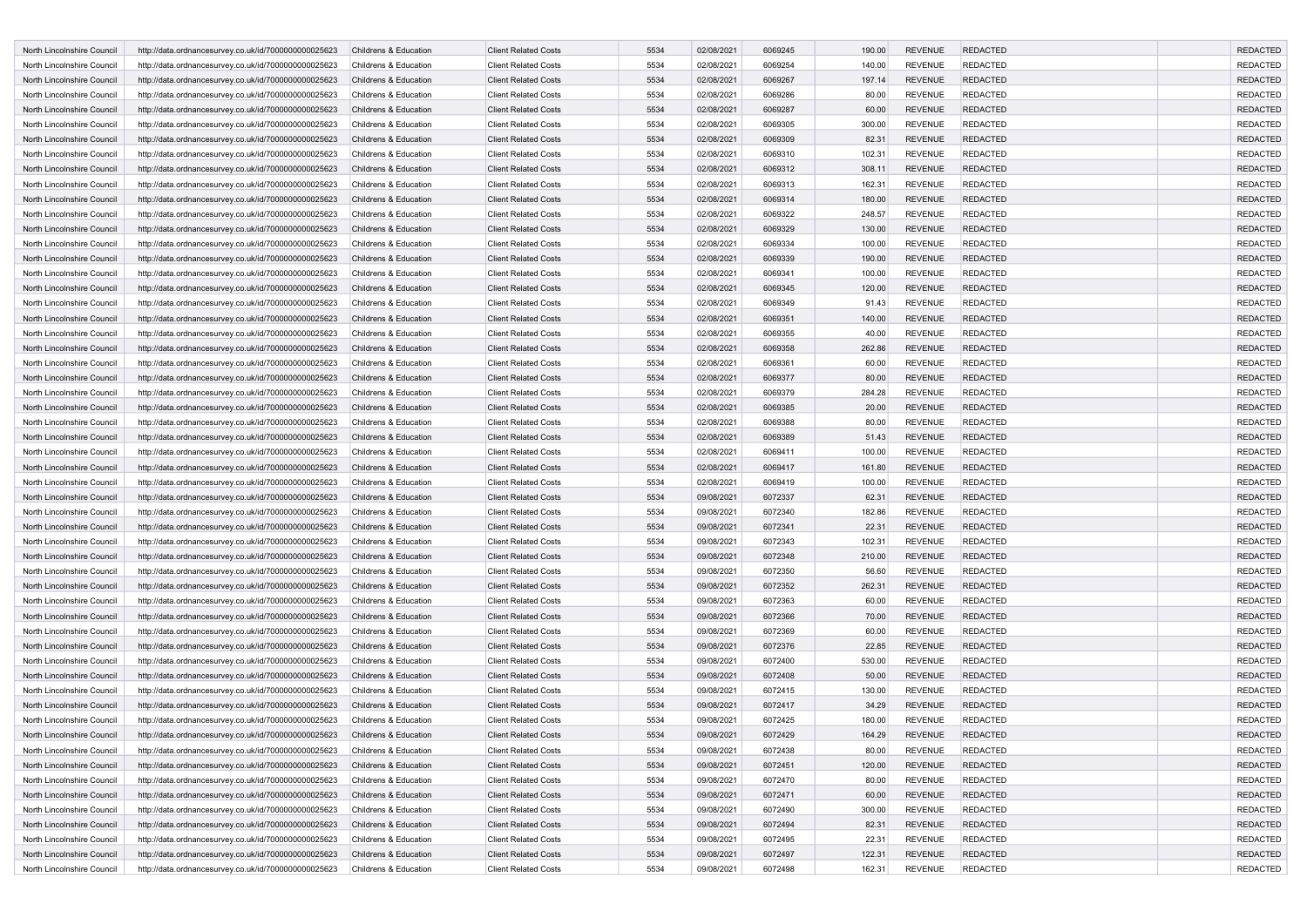| <b>North Lincolnshire Council</b> | http://data.ordnancesurvey.co.uk/id/7000000000025623 | Childrens & Education | <b>Client Related Costs</b> | 5534 | 02/08/2021 | 6069245 | 190.00 | <b>REVENUE</b> | <b>REDACTED</b> | <b>REDACTED</b> |
|-----------------------------------|------------------------------------------------------|-----------------------|-----------------------------|------|------------|---------|--------|----------------|-----------------|-----------------|
| North Lincolnshire Council        | http://data.ordnancesurvey.co.uk/id/7000000000025623 | Childrens & Education | <b>Client Related Costs</b> | 5534 | 02/08/2021 | 6069254 | 140.00 | <b>REVENUE</b> | <b>REDACTED</b> | <b>REDACTED</b> |
| North Lincolnshire Council        | http://data.ordnancesurvey.co.uk/id/7000000000025623 | Childrens & Education | <b>Client Related Costs</b> | 5534 | 02/08/2021 | 6069267 | 197.14 | <b>REVENUE</b> | <b>REDACTED</b> | <b>REDACTED</b> |
| North Lincolnshire Council        | http://data.ordnancesurvey.co.uk/id/7000000000025623 | Childrens & Education | <b>Client Related Costs</b> | 5534 | 02/08/2021 | 6069286 | 80.00  | <b>REVENUE</b> | <b>REDACTED</b> | <b>REDACTED</b> |
| North Lincolnshire Council        | http://data.ordnancesurvey.co.uk/id/7000000000025623 | Childrens & Education | <b>Client Related Costs</b> | 5534 | 02/08/2021 | 6069287 | 60.00  | <b>REVENUE</b> | <b>REDACTED</b> | <b>REDACTED</b> |
| North Lincolnshire Council        | http://data.ordnancesurvey.co.uk/id/7000000000025623 | Childrens & Education | <b>Client Related Costs</b> | 5534 | 02/08/2021 | 6069305 | 300.00 | <b>REVENUE</b> | <b>REDACTED</b> | <b>REDACTED</b> |
| North Lincolnshire Council        | http://data.ordnancesurvey.co.uk/id/7000000000025623 | Childrens & Education | <b>Client Related Costs</b> | 5534 | 02/08/2021 | 6069309 | 82.31  | <b>REVENUE</b> | <b>REDACTED</b> | <b>REDACTED</b> |
| North Lincolnshire Council        | http://data.ordnancesurvey.co.uk/id/7000000000025623 | Childrens & Education | <b>Client Related Costs</b> | 5534 | 02/08/2021 | 6069310 | 102.31 | <b>REVENUE</b> | <b>REDACTED</b> | <b>REDACTED</b> |
|                                   |                                                      |                       |                             |      |            |         |        |                |                 |                 |
| North Lincolnshire Council        | http://data.ordnancesurvey.co.uk/id/7000000000025623 | Childrens & Education | <b>Client Related Costs</b> | 5534 | 02/08/2021 | 6069312 | 308.11 | <b>REVENUE</b> | <b>REDACTED</b> | <b>REDACTED</b> |
| North Lincolnshire Council        | http://data.ordnancesurvey.co.uk/id/7000000000025623 | Childrens & Education | <b>Client Related Costs</b> | 5534 | 02/08/2021 | 6069313 | 162.31 | <b>REVENUE</b> | <b>REDACTED</b> | <b>REDACTED</b> |
| North Lincolnshire Council        | http://data.ordnancesurvey.co.uk/id/7000000000025623 | Childrens & Education | <b>Client Related Costs</b> | 5534 | 02/08/2021 | 6069314 | 180.00 | <b>REVENUE</b> | <b>REDACTED</b> | <b>REDACTED</b> |
| North Lincolnshire Council        | http://data.ordnancesurvey.co.uk/id/7000000000025623 | Childrens & Education | <b>Client Related Costs</b> | 5534 | 02/08/2021 | 6069322 | 248.57 | <b>REVENUE</b> | <b>REDACTED</b> | <b>REDACTED</b> |
| North Lincolnshire Council        | http://data.ordnancesurvey.co.uk/id/7000000000025623 | Childrens & Education | <b>Client Related Costs</b> | 5534 | 02/08/2021 | 6069329 | 130.00 | <b>REVENUE</b> | <b>REDACTED</b> | <b>REDACTED</b> |
| North Lincolnshire Council        | http://data.ordnancesurvey.co.uk/id/7000000000025623 | Childrens & Education | <b>Client Related Costs</b> | 5534 | 02/08/2021 | 6069334 | 100.00 | <b>REVENUE</b> | <b>REDACTED</b> | <b>REDACTED</b> |
| North Lincolnshire Council        | http://data.ordnancesurvey.co.uk/id/7000000000025623 | Childrens & Education | <b>Client Related Costs</b> | 5534 | 02/08/2021 | 6069339 | 190.00 | <b>REVENUE</b> | <b>REDACTED</b> | <b>REDACTED</b> |
| North Lincolnshire Council        | http://data.ordnancesurvey.co.uk/id/7000000000025623 | Childrens & Education | <b>Client Related Costs</b> | 5534 | 02/08/2021 | 6069341 | 100.00 | <b>REVENUE</b> | <b>REDACTED</b> | <b>REDACTED</b> |
| North Lincolnshire Council        | http://data.ordnancesurvey.co.uk/id/7000000000025623 | Childrens & Education | <b>Client Related Costs</b> | 5534 | 02/08/2021 | 6069345 | 120.00 | <b>REVENUE</b> | <b>REDACTED</b> | <b>REDACTED</b> |
| North Lincolnshire Council        | http://data.ordnancesurvey.co.uk/id/7000000000025623 | Childrens & Education | <b>Client Related Costs</b> | 5534 | 02/08/2021 | 6069349 | 91.43  | <b>REVENUE</b> | <b>REDACTED</b> | <b>REDACTED</b> |
| North Lincolnshire Council        | http://data.ordnancesurvey.co.uk/id/7000000000025623 | Childrens & Education | <b>Client Related Costs</b> | 5534 | 02/08/2021 | 6069351 | 140.00 | <b>REVENUE</b> | <b>REDACTED</b> | <b>REDACTED</b> |
| North Lincolnshire Council        | http://data.ordnancesurvey.co.uk/id/7000000000025623 | Childrens & Education | <b>Client Related Costs</b> | 5534 | 02/08/2021 | 6069355 | 40.00  | <b>REVENUE</b> | REDACTED        | <b>REDACTED</b> |
| North Lincolnshire Council        | http://data.ordnancesurvey.co.uk/id/7000000000025623 | Childrens & Education | <b>Client Related Costs</b> | 5534 | 02/08/2021 | 6069358 | 262.86 | <b>REVENUE</b> | <b>REDACTED</b> | <b>REDACTED</b> |
| North Lincolnshire Council        | http://data.ordnancesurvey.co.uk/id/7000000000025623 | Childrens & Education | <b>Client Related Costs</b> | 5534 | 02/08/2021 | 6069361 | 60.00  | <b>REVENUE</b> | <b>REDACTED</b> | <b>REDACTED</b> |
| North Lincolnshire Council        | http://data.ordnancesurvey.co.uk/id/7000000000025623 | Childrens & Education | <b>Client Related Costs</b> | 5534 | 02/08/2021 | 6069377 | 80.00  | <b>REVENUE</b> | <b>REDACTED</b> | <b>REDACTED</b> |
| North Lincolnshire Council        | http://data.ordnancesurvey.co.uk/id/7000000000025623 | Childrens & Education | <b>Client Related Costs</b> | 5534 | 02/08/2021 | 6069379 | 284.28 | <b>REVENUE</b> | <b>REDACTED</b> | <b>REDACTED</b> |
| North Lincolnshire Council        | http://data.ordnancesurvey.co.uk/id/7000000000025623 | Childrens & Education | <b>Client Related Costs</b> | 5534 | 02/08/2021 | 6069385 | 20.00  | <b>REVENUE</b> | <b>REDACTED</b> | <b>REDACTED</b> |
| North Lincolnshire Council        | http://data.ordnancesurvey.co.uk/id/7000000000025623 | Childrens & Education | <b>Client Related Costs</b> | 5534 | 02/08/2021 | 6069388 | 80.00  | <b>REVENUE</b> | <b>REDACTED</b> | <b>REDACTED</b> |
| North Lincolnshire Council        | http://data.ordnancesurvey.co.uk/id/7000000000025623 | Childrens & Education | <b>Client Related Costs</b> | 5534 | 02/08/2021 | 6069389 | 51.43  | <b>REVENUE</b> | <b>REDACTED</b> | <b>REDACTED</b> |
| North Lincolnshire Council        | http://data.ordnancesurvey.co.uk/id/7000000000025623 | Childrens & Education | <b>Client Related Costs</b> | 5534 | 02/08/2021 | 6069411 | 100.00 | <b>REVENUE</b> | <b>REDACTED</b> | <b>REDACTED</b> |
| North Lincolnshire Council        |                                                      |                       |                             |      |            |         |        |                |                 |                 |
|                                   | http://data.ordnancesurvey.co.uk/id/7000000000025623 | Childrens & Education | <b>Client Related Costs</b> | 5534 | 02/08/2021 | 6069417 | 161.80 | <b>REVENUE</b> | <b>REDACTED</b> | <b>REDACTED</b> |
| North Lincolnshire Council        | http://data.ordnancesurvey.co.uk/id/7000000000025623 | Childrens & Education | <b>Client Related Costs</b> | 5534 | 02/08/2021 | 6069419 | 100.00 | <b>REVENUE</b> | <b>REDACTED</b> | <b>REDACTED</b> |
| North Lincolnshire Council        | http://data.ordnancesurvey.co.uk/id/7000000000025623 | Childrens & Education | <b>Client Related Costs</b> | 5534 | 09/08/2021 | 6072337 | 62.31  | <b>REVENUE</b> | <b>REDACTED</b> | <b>REDACTED</b> |
| North Lincolnshire Council        | http://data.ordnancesurvey.co.uk/id/7000000000025623 | Childrens & Education | <b>Client Related Costs</b> | 5534 | 09/08/2021 | 6072340 | 182.86 | <b>REVENUE</b> | <b>REDACTED</b> | <b>REDACTED</b> |
| North Lincolnshire Council        | http://data.ordnancesurvey.co.uk/id/7000000000025623 | Childrens & Education | <b>Client Related Costs</b> | 5534 | 09/08/2021 | 6072341 | 22.31  | <b>REVENUE</b> | <b>REDACTED</b> | <b>REDACTED</b> |
| North Lincolnshire Council        | http://data.ordnancesurvey.co.uk/id/7000000000025623 | Childrens & Education | <b>Client Related Costs</b> | 5534 | 09/08/2021 | 6072343 | 102.31 | <b>REVENUE</b> | <b>REDACTED</b> | <b>REDACTED</b> |
| North Lincolnshire Council        | http://data.ordnancesurvey.co.uk/id/7000000000025623 | Childrens & Education | <b>Client Related Costs</b> | 5534 | 09/08/2021 | 6072348 | 210.00 | <b>REVENUE</b> | <b>REDACTED</b> | <b>REDACTED</b> |
| North Lincolnshire Council        | http://data.ordnancesurvey.co.uk/id/7000000000025623 | Childrens & Education | <b>Client Related Costs</b> | 5534 | 09/08/2021 | 6072350 | 56.60  | <b>REVENUE</b> | <b>REDACTED</b> | <b>REDACTED</b> |
| North Lincolnshire Council        | http://data.ordnancesurvey.co.uk/id/7000000000025623 | Childrens & Education | <b>Client Related Costs</b> | 5534 | 09/08/2021 | 6072352 | 262.31 | <b>REVENUE</b> | <b>REDACTED</b> | <b>REDACTED</b> |
| North Lincolnshire Council        | http://data.ordnancesurvey.co.uk/id/7000000000025623 | Childrens & Education | <b>Client Related Costs</b> | 5534 | 09/08/2021 | 6072363 | 60.00  | <b>REVENUE</b> | <b>REDACTED</b> | <b>REDACTED</b> |
| North Lincolnshire Council        | http://data.ordnancesurvey.co.uk/id/7000000000025623 | Childrens & Education | <b>Client Related Costs</b> | 5534 | 09/08/2021 | 6072366 | 70.00  | <b>REVENUE</b> | <b>REDACTED</b> | <b>REDACTED</b> |
| North Lincolnshire Council        | http://data.ordnancesurvey.co.uk/id/7000000000025623 | Childrens & Education | <b>Client Related Costs</b> | 5534 | 09/08/2021 | 6072369 | 60.00  | <b>REVENUE</b> | REDACTED        | <b>REDACTED</b> |
| North Lincolnshire Council        | http://data.ordnancesurvey.co.uk/id/7000000000025623 | Childrens & Education | <b>Client Related Costs</b> | 5534 | 09/08/2021 | 6072376 | 22.85  | <b>REVENUE</b> | <b>REDACTED</b> | <b>REDACTED</b> |
| North Lincolnshire Council        | http://data.ordnancesurvey.co.uk/id/7000000000025623 | Childrens & Education | <b>Client Related Costs</b> | 5534 | 09/08/2021 | 6072400 | 530.00 | <b>REVENUE</b> | <b>REDACTED</b> | <b>REDACTED</b> |
| North Lincolnshire Council        | http://data.ordnancesurvey.co.uk/id/7000000000025623 | Childrens & Education | <b>Client Related Costs</b> | 5534 | 09/08/2021 | 6072408 | 50.00  | <b>REVENUE</b> | <b>REDACTED</b> | <b>REDACTED</b> |
| North Lincolnshire Council        | http://data.ordnancesurvey.co.uk/id/7000000000025623 | Childrens & Education | <b>Client Related Costs</b> | 5534 | 09/08/2021 | 6072415 | 130.00 | <b>REVENUE</b> | <b>REDACTED</b> | <b>REDACTED</b> |
| North Lincolnshire Council        | http://data.ordnancesurvey.co.uk/id/7000000000025623 | Childrens & Education | <b>Client Related Costs</b> | 5534 | 09/08/2021 | 6072417 | 34.29  | <b>REVENUE</b> | <b>REDACTED</b> | <b>REDACTED</b> |
| North Lincolnshire Council        | http://data.ordnancesurvey.co.uk/id/7000000000025623 | Childrens & Education | <b>Client Related Costs</b> | 5534 | 09/08/2021 | 6072425 | 180.00 | <b>REVENUE</b> | <b>REDACTED</b> | <b>REDACTED</b> |
| North Lincolnshire Council        | http://data.ordnancesurvey.co.uk/id/7000000000025623 | Childrens & Education | <b>Client Related Costs</b> | 5534 | 09/08/2021 | 6072429 | 164.29 | <b>REVENUE</b> | <b>REDACTED</b> | <b>REDACTED</b> |
| North Lincolnshire Council        | http://data.ordnancesurvey.co.uk/id/7000000000025623 | Childrens & Education | <b>Client Related Costs</b> | 5534 | 09/08/2021 | 6072438 | 80.00  | <b>REVENUE</b> | <b>REDACTED</b> | <b>REDACTED</b> |
| North Lincolnshire Council        | http://data.ordnancesurvey.co.uk/id/7000000000025623 | Childrens & Education | <b>Client Related Costs</b> | 5534 | 09/08/2021 | 6072451 | 120.00 | <b>REVENUE</b> | <b>REDACTED</b> | <b>REDACTED</b> |
| North Lincolnshire Council        | http://data.ordnancesurvey.co.uk/id/7000000000025623 | Childrens & Education | <b>Client Related Costs</b> | 5534 | 09/08/2021 | 6072470 | 80.00  | <b>REVENUE</b> | <b>REDACTED</b> | <b>REDACTED</b> |
| North Lincolnshire Council        |                                                      |                       |                             |      |            |         |        |                |                 |                 |
|                                   | http://data.ordnancesurvey.co.uk/id/7000000000025623 | Childrens & Education | <b>Client Related Costs</b> | 5534 | 09/08/2021 | 6072471 | 60.00  | <b>REVENUE</b> | <b>REDACTED</b> | <b>REDACTED</b> |
| North Lincolnshire Council        | http://data.ordnancesurvey.co.uk/id/7000000000025623 | Childrens & Education | <b>Client Related Costs</b> | 5534 | 09/08/2021 | 6072490 | 300.00 | <b>REVENUE</b> | <b>REDACTED</b> | <b>REDACTED</b> |
| North Lincolnshire Council        | http://data.ordnancesurvey.co.uk/id/7000000000025623 | Childrens & Education | <b>Client Related Costs</b> | 5534 | 09/08/2021 | 6072494 | 82.31  | <b>REVENUE</b> | <b>REDACTED</b> | <b>REDACTED</b> |
| North Lincolnshire Council        | http://data.ordnancesurvey.co.uk/id/7000000000025623 | Childrens & Education | <b>Client Related Costs</b> | 5534 | 09/08/2021 | 6072495 | 22.31  | <b>REVENUE</b> | <b>REDACTED</b> | <b>REDACTED</b> |
| North Lincolnshire Council        | http://data.ordnancesurvey.co.uk/id/7000000000025623 | Childrens & Education | <b>Client Related Costs</b> | 5534 | 09/08/2021 | 6072497 | 122.31 | <b>REVENUE</b> | <b>REDACTED</b> | <b>REDACTED</b> |
| North Lincolnshire Council        | http://data.ordnancesurvey.co.uk/id/7000000000025623 | Childrens & Education | <b>Client Related Costs</b> | 5534 | 09/08/2021 | 6072498 | 162.31 | <b>REVENUE</b> | <b>REDACTED</b> | REDACTED        |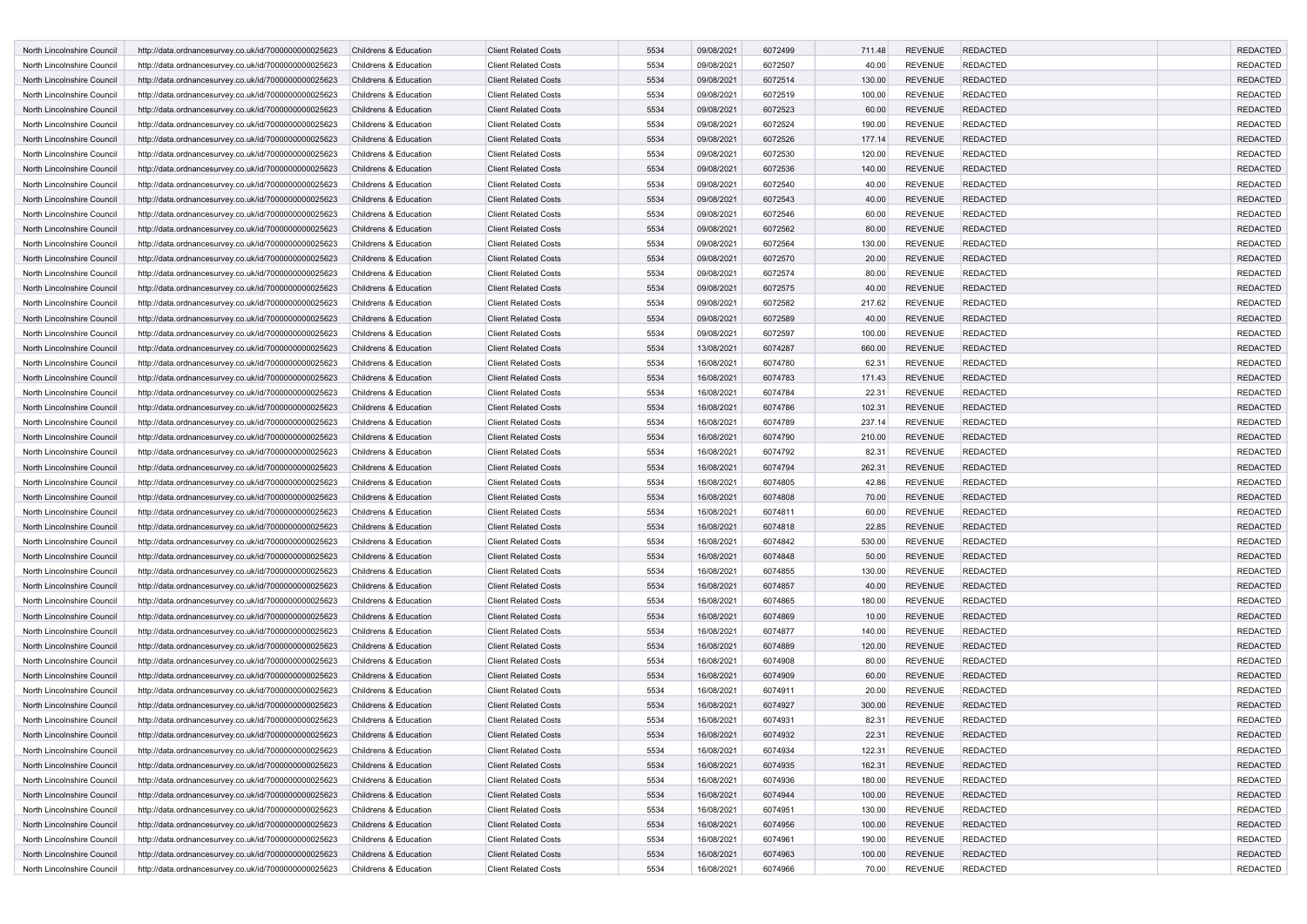| <b>North Lincolnshire Council</b>                        | http://data.ordnancesurvey.co.uk/id/7000000000025623                                                         | Childrens & Education | <b>Client Related Costs</b>                                | 5534         | 09/08/2021               | 6072499            | 711.48          | <b>REVENUE</b>                   | <b>REDACTED</b>                    | <b>REDACTED</b>                    |
|----------------------------------------------------------|--------------------------------------------------------------------------------------------------------------|-----------------------|------------------------------------------------------------|--------------|--------------------------|--------------------|-----------------|----------------------------------|------------------------------------|------------------------------------|
| North Lincolnshire Council                               | http://data.ordnancesurvey.co.uk/id/7000000000025623                                                         | Childrens & Education | <b>Client Related Costs</b>                                | 5534         | 09/08/2021               | 6072507            | 40.00           | <b>REVENUE</b>                   | <b>REDACTED</b>                    | <b>REDACTED</b>                    |
| North Lincolnshire Council                               | http://data.ordnancesurvey.co.uk/id/7000000000025623                                                         | Childrens & Education | <b>Client Related Costs</b>                                | 5534         | 09/08/2021               | 6072514            | 130.00          | <b>REVENUE</b>                   | <b>REDACTED</b>                    | <b>REDACTED</b>                    |
| North Lincolnshire Council                               | http://data.ordnancesurvey.co.uk/id/7000000000025623                                                         | Childrens & Education | <b>Client Related Costs</b>                                | 5534         | 09/08/2021               | 6072519            | 100.00          | <b>REVENUE</b>                   | <b>REDACTED</b>                    | <b>REDACTED</b>                    |
| North Lincolnshire Council                               | http://data.ordnancesurvey.co.uk/id/7000000000025623                                                         | Childrens & Education | <b>Client Related Costs</b>                                | 5534         | 09/08/2021               | 6072523            | 60.00           | <b>REVENUE</b>                   | <b>REDACTED</b>                    | <b>REDACTED</b>                    |
| North Lincolnshire Council                               | http://data.ordnancesurvey.co.uk/id/7000000000025623                                                         | Childrens & Education | <b>Client Related Costs</b>                                | 5534         | 09/08/2021               | 6072524            | 190.00          | <b>REVENUE</b>                   | <b>REDACTED</b>                    | <b>REDACTED</b>                    |
| North Lincolnshire Council                               | http://data.ordnancesurvey.co.uk/id/7000000000025623                                                         | Childrens & Education | <b>Client Related Costs</b>                                | 5534         | 09/08/2021               | 6072526            | 177.14          | <b>REVENUE</b>                   | <b>REDACTED</b>                    | <b>REDACTED</b>                    |
| North Lincolnshire Council                               | http://data.ordnancesurvey.co.uk/id/7000000000025623                                                         | Childrens & Education | <b>Client Related Costs</b>                                | 5534         | 09/08/2021               | 6072530            | 120.00          | <b>REVENUE</b>                   | <b>REDACTED</b>                    | <b>REDACTED</b>                    |
| North Lincolnshire Council                               | http://data.ordnancesurvey.co.uk/id/7000000000025623                                                         | Childrens & Education | <b>Client Related Costs</b>                                | 5534         | 09/08/2021               | 6072536            | 140.00          | <b>REVENUE</b>                   | <b>REDACTED</b>                    | <b>REDACTED</b>                    |
| North Lincolnshire Council                               | http://data.ordnancesurvey.co.uk/id/7000000000025623                                                         | Childrens & Education | <b>Client Related Costs</b>                                | 5534         | 09/08/2021               | 6072540            | 40.00           | <b>REVENUE</b>                   | REDACTED                           | <b>REDACTED</b>                    |
| North Lincolnshire Council                               | http://data.ordnancesurvey.co.uk/id/7000000000025623                                                         | Childrens & Education | <b>Client Related Costs</b>                                | 5534         | 09/08/2021               | 6072543            | 40.00           | <b>REVENUE</b>                   | <b>REDACTED</b>                    | <b>REDACTED</b>                    |
| North Lincolnshire Council                               | http://data.ordnancesurvey.co.uk/id/7000000000025623                                                         | Childrens & Education | <b>Client Related Costs</b>                                | 5534         | 09/08/2021               | 6072546            | 60.00           | <b>REVENUE</b>                   | <b>REDACTED</b>                    | <b>REDACTED</b>                    |
| North Lincolnshire Council                               | http://data.ordnancesurvey.co.uk/id/7000000000025623                                                         | Childrens & Education | <b>Client Related Costs</b>                                | 5534         | 09/08/2021               | 6072562            | 80.00           | <b>REVENUE</b>                   | <b>REDACTED</b>                    | <b>REDACTED</b>                    |
| North Lincolnshire Council                               | http://data.ordnancesurvey.co.uk/id/7000000000025623                                                         | Childrens & Education | <b>Client Related Costs</b>                                | 5534         | 09/08/2021               | 6072564            | 130.00          | <b>REVENUE</b>                   | <b>REDACTED</b>                    | <b>REDACTED</b>                    |
| North Lincolnshire Council                               | http://data.ordnancesurvey.co.uk/id/7000000000025623                                                         | Childrens & Education | <b>Client Related Costs</b>                                | 5534         | 09/08/2021               | 6072570            | 20.00           | <b>REVENUE</b>                   | <b>REDACTED</b>                    | <b>REDACTED</b>                    |
| North Lincolnshire Council                               | http://data.ordnancesurvey.co.uk/id/7000000000025623                                                         | Childrens & Education | <b>Client Related Costs</b>                                | 5534         | 09/08/2021               | 6072574            | 80.00           | <b>REVENUE</b>                   | <b>REDACTED</b>                    | <b>REDACTED</b>                    |
| North Lincolnshire Council                               | http://data.ordnancesurvey.co.uk/id/7000000000025623                                                         | Childrens & Education | <b>Client Related Costs</b>                                | 5534         | 09/08/2021               | 6072575            | 40.00           | <b>REVENUE</b>                   | <b>REDACTED</b>                    | <b>REDACTED</b>                    |
| North Lincolnshire Council                               | http://data.ordnancesurvey.co.uk/id/7000000000025623                                                         | Childrens & Education | <b>Client Related Costs</b>                                | 5534         | 09/08/2021               | 6072582            | 217.62          | <b>REVENUE</b>                   | <b>REDACTED</b>                    | <b>REDACTED</b>                    |
| North Lincolnshire Council                               | http://data.ordnancesurvey.co.uk/id/7000000000025623                                                         | Childrens & Education | <b>Client Related Costs</b>                                | 5534         | 09/08/2021               | 6072589            | 40.00           | <b>REVENUE</b>                   | <b>REDACTED</b>                    | <b>REDACTED</b>                    |
| North Lincolnshire Council                               | http://data.ordnancesurvey.co.uk/id/7000000000025623                                                         | Childrens & Education | <b>Client Related Costs</b>                                | 5534         | 09/08/2021               | 6072597            | 100.00          | <b>REVENUE</b>                   | <b>REDACTED</b>                    | <b>REDACTED</b>                    |
| North Lincolnshire Council                               | http://data.ordnancesurvey.co.uk/id/7000000000025623                                                         | Childrens & Education | <b>Client Related Costs</b>                                | 5534         | 13/08/2021               | 6074287            | 660.00          | <b>REVENUE</b>                   | <b>REDACTED</b>                    | <b>REDACTED</b>                    |
| North Lincolnshire Council                               | http://data.ordnancesurvey.co.uk/id/7000000000025623                                                         | Childrens & Education | <b>Client Related Costs</b>                                | 5534         | 16/08/2021               | 6074780            | 62.31           | <b>REVENUE</b>                   | <b>REDACTED</b>                    | <b>REDACTED</b>                    |
| North Lincolnshire Council                               | http://data.ordnancesurvey.co.uk/id/7000000000025623                                                         | Childrens & Education | <b>Client Related Costs</b>                                | 5534         | 16/08/2021               | 6074783            | 171.43          | <b>REVENUE</b>                   | <b>REDACTED</b>                    | <b>REDACTED</b>                    |
| North Lincolnshire Council                               | http://data.ordnancesurvey.co.uk/id/7000000000025623                                                         | Childrens & Education | <b>Client Related Costs</b>                                | 5534         | 16/08/2021               | 6074784            | 22.31           | <b>REVENUE</b>                   | <b>REDACTED</b>                    | <b>REDACTED</b>                    |
| North Lincolnshire Council                               | http://data.ordnancesurvey.co.uk/id/7000000000025623                                                         | Childrens & Education | <b>Client Related Costs</b>                                | 5534         | 16/08/2021               | 6074786            | 102.31          | <b>REVENUE</b>                   | <b>REDACTED</b>                    | <b>REDACTED</b>                    |
| North Lincolnshire Council                               | http://data.ordnancesurvey.co.uk/id/7000000000025623                                                         | Childrens & Education | <b>Client Related Costs</b>                                | 5534         | 16/08/2021               | 6074789            | 237.14          | <b>REVENUE</b>                   | <b>REDACTED</b>                    | <b>REDACTED</b>                    |
| North Lincolnshire Council                               | http://data.ordnancesurvey.co.uk/id/7000000000025623                                                         | Childrens & Education | <b>Client Related Costs</b>                                | 5534         | 16/08/2021               | 6074790            | 210.00          | <b>REVENUE</b>                   | <b>REDACTED</b>                    | <b>REDACTED</b>                    |
| North Lincolnshire Council                               | http://data.ordnancesurvey.co.uk/id/7000000000025623                                                         | Childrens & Education | <b>Client Related Costs</b>                                | 5534         | 16/08/2021               | 6074792            | 82.31           | <b>REVENUE</b>                   | <b>REDACTED</b>                    | <b>REDACTED</b>                    |
| North Lincolnshire Council                               | http://data.ordnancesurvey.co.uk/id/7000000000025623                                                         | Childrens & Education | <b>Client Related Costs</b>                                | 5534         | 16/08/2021               | 6074794            | 262.31          | <b>REVENUE</b>                   | <b>REDACTED</b>                    | <b>REDACTED</b>                    |
| North Lincolnshire Council                               | http://data.ordnancesurvey.co.uk/id/7000000000025623                                                         | Childrens & Education | <b>Client Related Costs</b>                                | 5534         | 16/08/2021               | 6074805            | 42.86           | <b>REVENUE</b>                   | REDACTED                           | <b>REDACTED</b>                    |
| North Lincolnshire Council                               |                                                                                                              | Childrens & Education | <b>Client Related Costs</b>                                | 5534         | 16/08/2021               | 6074808            | 70.00           | <b>REVENUE</b>                   | <b>REDACTED</b>                    | <b>REDACTED</b>                    |
| North Lincolnshire Council                               | http://data.ordnancesurvey.co.uk/id/7000000000025623<br>http://data.ordnancesurvey.co.uk/id/7000000000025623 | Childrens & Education | <b>Client Related Costs</b>                                | 5534         | 16/08/2021               | 6074811            | 60.00           | <b>REVENUE</b>                   | <b>REDACTED</b>                    | <b>REDACTED</b>                    |
| North Lincolnshire Council                               | http://data.ordnancesurvey.co.uk/id/7000000000025623                                                         | Childrens & Education | <b>Client Related Costs</b>                                | 5534         | 16/08/2021               | 6074818            | 22.85           | <b>REVENUE</b>                   | <b>REDACTED</b>                    | <b>REDACTED</b>                    |
| North Lincolnshire Council                               |                                                                                                              | Childrens & Education | <b>Client Related Costs</b>                                | 5534         |                          | 6074842            |                 | <b>REVENUE</b>                   | <b>REDACTED</b>                    | <b>REDACTED</b>                    |
| North Lincolnshire Council                               | http://data.ordnancesurvey.co.uk/id/7000000000025623<br>http://data.ordnancesurvey.co.uk/id/7000000000025623 | Childrens & Education | <b>Client Related Costs</b>                                | 5534         | 16/08/2021<br>16/08/2021 | 6074848            | 530.00<br>50.00 | <b>REVENUE</b>                   | <b>REDACTED</b>                    | <b>REDACTED</b>                    |
| North Lincolnshire Council                               |                                                                                                              | Childrens & Education | <b>Client Related Costs</b>                                | 5534         | 16/08/2021               | 6074855            |                 | <b>REVENUE</b>                   | <b>REDACTED</b>                    | <b>REDACTED</b>                    |
| North Lincolnshire Council                               | http://data.ordnancesurvey.co.uk/id/7000000000025623                                                         | Childrens & Education | <b>Client Related Costs</b>                                | 5534         |                          | 6074857            | 130.00          | <b>REVENUE</b>                   | <b>REDACTED</b>                    | <b>REDACTED</b>                    |
|                                                          | http://data.ordnancesurvey.co.uk/id/7000000000025623                                                         |                       |                                                            |              | 16/08/2021               |                    | 40.00           |                                  | <b>REDACTED</b>                    | <b>REDACTED</b>                    |
| North Lincolnshire Council                               | http://data.ordnancesurvey.co.uk/id/7000000000025623                                                         | Childrens & Education | <b>Client Related Costs</b>                                | 5534         | 16/08/2021               | 6074865            | 180.00          | <b>REVENUE</b>                   |                                    |                                    |
| North Lincolnshire Council                               | http://data.ordnancesurvey.co.uk/id/7000000000025623                                                         | Childrens & Education | <b>Client Related Costs</b><br><b>Client Related Costs</b> | 5534<br>5534 | 16/08/2021               | 6074869<br>6074877 | 10.00<br>140.00 | <b>REVENUE</b><br><b>REVENUE</b> | <b>REDACTED</b><br><b>REDACTED</b> | <b>REDACTED</b><br><b>REDACTED</b> |
| North Lincolnshire Council<br>North Lincolnshire Council | http://data.ordnancesurvey.co.uk/id/7000000000025623                                                         | Childrens & Education |                                                            | 5534         | 16/08/2021               |                    |                 |                                  |                                    |                                    |
| North Lincolnshire Council                               | http://data.ordnancesurvey.co.uk/id/7000000000025623                                                         | Childrens & Education | <b>Client Related Costs</b>                                | 5534         | 16/08/2021               | 6074889            | 120.00          | <b>REVENUE</b>                   | <b>REDACTED</b><br><b>REDACTED</b> | <b>REDACTED</b><br><b>REDACTED</b> |
|                                                          | http://data.ordnancesurvey.co.uk/id/7000000000025623                                                         | Childrens & Education | <b>Client Related Costs</b>                                |              | 16/08/2021               | 6074908            | 80.00           | <b>REVENUE</b>                   |                                    |                                    |
| North Lincolnshire Council                               | http://data.ordnancesurvey.co.uk/id/7000000000025623                                                         | Childrens & Education | <b>Client Related Costs</b>                                | 5534         | 16/08/2021               | 6074909            | 60.00           | <b>REVENUE</b>                   | <b>REDACTED</b>                    | <b>REDACTED</b>                    |
| North Lincolnshire Council                               | http://data.ordnancesurvey.co.uk/id/7000000000025623                                                         | Childrens & Education | <b>Client Related Costs</b>                                | 5534         | 16/08/2021               | 6074911            | 20.00           | <b>REVENUE</b>                   | <b>REDACTED</b>                    | <b>REDACTED</b>                    |
| North Lincolnshire Council                               | http://data.ordnancesurvey.co.uk/id/7000000000025623                                                         | Childrens & Education | <b>Client Related Costs</b>                                | 5534         | 16/08/2021               | 6074927            | 300.00          | <b>REVENUE</b>                   | <b>REDACTED</b>                    | <b>REDACTED</b>                    |
| North Lincolnshire Council                               | http://data.ordnancesurvey.co.uk/id/7000000000025623                                                         | Childrens & Education | <b>Client Related Costs</b>                                | 5534         | 16/08/2021               | 6074931            | 82.31           | <b>REVENUE</b>                   | <b>REDACTED</b>                    | <b>REDACTED</b>                    |
| North Lincolnshire Council                               | http://data.ordnancesurvey.co.uk/id/7000000000025623                                                         | Childrens & Education | <b>Client Related Costs</b>                                | 5534         | 16/08/2021               | 6074932            | 22.31           | <b>REVENUE</b>                   | <b>REDACTED</b>                    | <b>REDACTED</b>                    |
| North Lincolnshire Council                               | http://data.ordnancesurvey.co.uk/id/7000000000025623                                                         | Childrens & Education | <b>Client Related Costs</b>                                | 5534         | 16/08/2021               | 6074934            | 122.31          | <b>REVENUE</b>                   | <b>REDACTED</b>                    | REDACTED                           |
| North Lincolnshire Council                               | http://data.ordnancesurvey.co.uk/id/7000000000025623                                                         | Childrens & Education | <b>Client Related Costs</b>                                | 5534         | 16/08/2021               | 6074935            | 162.31          | <b>REVENUE</b>                   | <b>REDACTED</b>                    | <b>REDACTED</b>                    |
| North Lincolnshire Council                               | http://data.ordnancesurvey.co.uk/id/7000000000025623                                                         | Childrens & Education | <b>Client Related Costs</b>                                | 5534         | 16/08/2021               | 6074936            | 180.00          | <b>REVENUE</b>                   | <b>REDACTED</b>                    | <b>REDACTED</b>                    |
| North Lincolnshire Council                               | http://data.ordnancesurvey.co.uk/id/7000000000025623                                                         | Childrens & Education | <b>Client Related Costs</b>                                | 5534         | 16/08/2021               | 6074944            | 100.00          | <b>REVENUE</b>                   | <b>REDACTED</b>                    | <b>REDACTED</b>                    |
| North Lincolnshire Council                               | http://data.ordnancesurvey.co.uk/id/7000000000025623                                                         | Childrens & Education | <b>Client Related Costs</b>                                | 5534         | 16/08/2021               | 6074951            | 130.00          | <b>REVENUE</b>                   | <b>REDACTED</b>                    | <b>REDACTED</b>                    |
| North Lincolnshire Council                               | http://data.ordnancesurvey.co.uk/id/7000000000025623                                                         | Childrens & Education | <b>Client Related Costs</b>                                | 5534         | 16/08/2021               | 6074956            | 100.00          | <b>REVENUE</b>                   | <b>REDACTED</b>                    | <b>REDACTED</b>                    |
| North Lincolnshire Council                               | http://data.ordnancesurvey.co.uk/id/7000000000025623                                                         | Childrens & Education | <b>Client Related Costs</b>                                | 5534         | 16/08/2021               | 6074961            | 190.00          | <b>REVENUE</b>                   | <b>REDACTED</b>                    | <b>REDACTED</b>                    |
| North Lincolnshire Council                               | http://data.ordnancesurvey.co.uk/id/7000000000025623                                                         | Childrens & Education | <b>Client Related Costs</b>                                | 5534         | 16/08/2021               | 6074963            | 100.00          | <b>REVENUE</b>                   | <b>REDACTED</b>                    | <b>REDACTED</b>                    |
| North Lincolnshire Council                               | http://data.ordnancesurvey.co.uk/id/7000000000025623                                                         | Childrens & Education | <b>Client Related Costs</b>                                | 5534         | 16/08/2021               | 6074966            | 70.00           | <b>REVENUE</b>                   | <b>REDACTED</b>                    | REDACTED                           |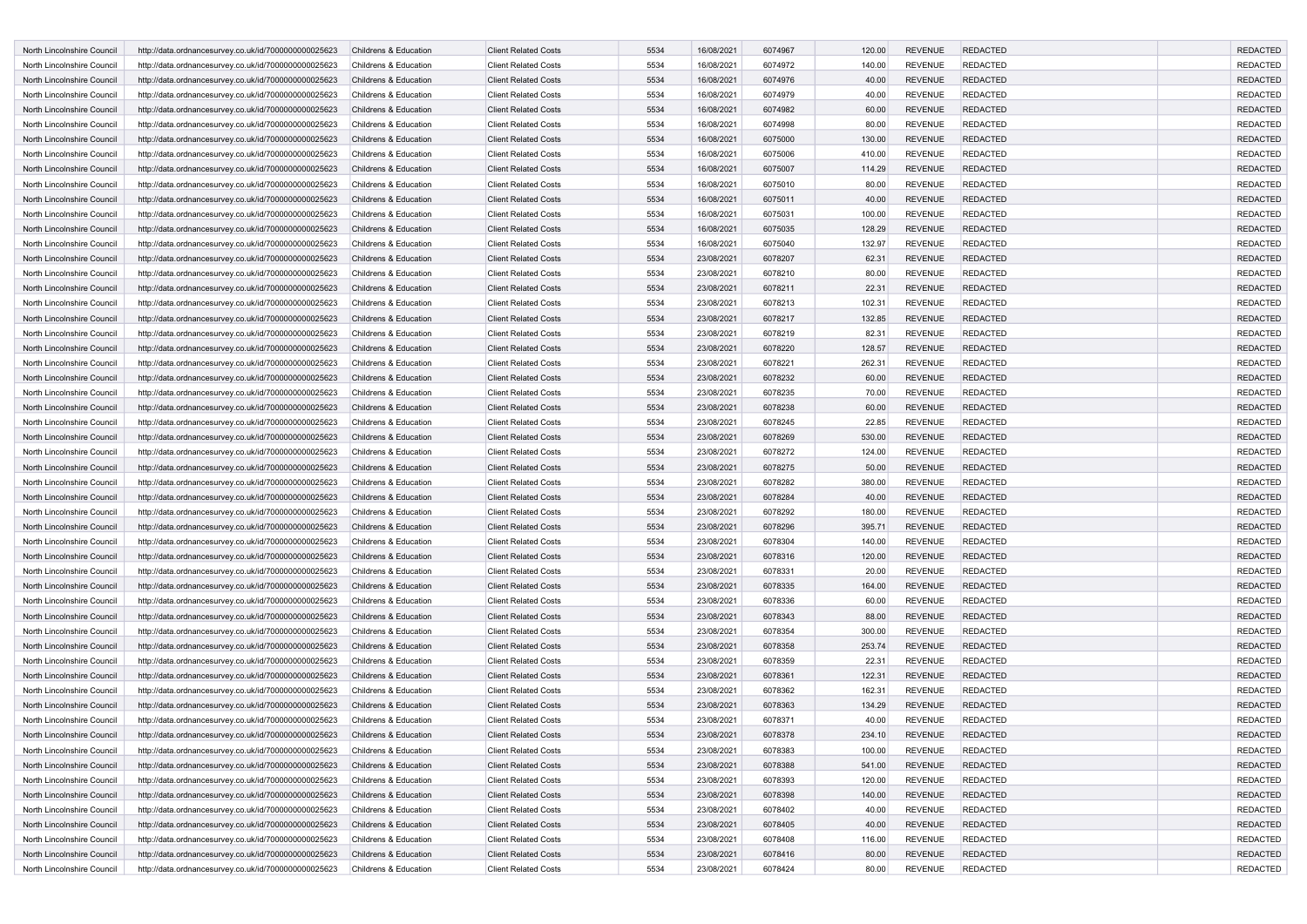| <b>North Lincolnshire Council</b>                        | http://data.ordnancesurvey.co.uk/id/7000000000025623                                                         | Childrens & Education                          | <b>Client Related Costs</b>                                | 5534         | 16/08/2021               | 6074967            | 120.00          | <b>REVENUE</b>                   | <b>REDACTED</b>                    | <b>REDACTED</b>                    |
|----------------------------------------------------------|--------------------------------------------------------------------------------------------------------------|------------------------------------------------|------------------------------------------------------------|--------------|--------------------------|--------------------|-----------------|----------------------------------|------------------------------------|------------------------------------|
| North Lincolnshire Council                               | http://data.ordnancesurvey.co.uk/id/7000000000025623                                                         | Childrens & Education                          | <b>Client Related Costs</b>                                | 5534         | 16/08/2021               | 6074972            | 140.00          | <b>REVENUE</b>                   | <b>REDACTED</b>                    | <b>REDACTED</b>                    |
| North Lincolnshire Council                               | http://data.ordnancesurvey.co.uk/id/7000000000025623                                                         | Childrens & Education                          | <b>Client Related Costs</b>                                | 5534         | 16/08/2021               | 6074976            | 40.00           | <b>REVENUE</b>                   | <b>REDACTED</b>                    | <b>REDACTED</b>                    |
| North Lincolnshire Council                               | http://data.ordnancesurvey.co.uk/id/7000000000025623                                                         | Childrens & Education                          | <b>Client Related Costs</b>                                | 5534         | 16/08/2021               | 6074979            | 40.00           | <b>REVENUE</b>                   | <b>REDACTED</b>                    | <b>REDACTED</b>                    |
| North Lincolnshire Council                               | http://data.ordnancesurvey.co.uk/id/7000000000025623                                                         | Childrens & Education                          | <b>Client Related Costs</b>                                | 5534         | 16/08/2021               | 6074982            | 60.00           | <b>REVENUE</b>                   | <b>REDACTED</b>                    | <b>REDACTED</b>                    |
| North Lincolnshire Council                               | http://data.ordnancesurvey.co.uk/id/7000000000025623                                                         | Childrens & Education                          | <b>Client Related Costs</b>                                | 5534         | 16/08/2021               | 6074998            | 80.00           | <b>REVENUE</b>                   | <b>REDACTED</b>                    | <b>REDACTED</b>                    |
| North Lincolnshire Council                               | http://data.ordnancesurvey.co.uk/id/7000000000025623                                                         | Childrens & Education                          | <b>Client Related Costs</b>                                | 5534         | 16/08/2021               | 6075000            | 130.00          | <b>REVENUE</b>                   | <b>REDACTED</b>                    | <b>REDACTED</b>                    |
| North Lincolnshire Council                               | http://data.ordnancesurvey.co.uk/id/7000000000025623                                                         | Childrens & Education                          | <b>Client Related Costs</b>                                | 5534         | 16/08/2021               | 6075006            | 410.00          | <b>REVENUE</b>                   | <b>REDACTED</b>                    | <b>REDACTED</b>                    |
| North Lincolnshire Council                               | http://data.ordnancesurvey.co.uk/id/7000000000025623                                                         | Childrens & Education                          | <b>Client Related Costs</b>                                | 5534         | 16/08/2021               | 6075007            | 114.29          | <b>REVENUE</b>                   | <b>REDACTED</b>                    | <b>REDACTED</b>                    |
| North Lincolnshire Council                               | http://data.ordnancesurvey.co.uk/id/7000000000025623                                                         | Childrens & Education                          | <b>Client Related Costs</b>                                | 5534         | 16/08/2021               | 6075010            | 80.00           | <b>REVENUE</b>                   | REDACTED                           | <b>REDACTED</b>                    |
| North Lincolnshire Council                               | http://data.ordnancesurvey.co.uk/id/7000000000025623                                                         | Childrens & Education                          | <b>Client Related Costs</b>                                | 5534         | 16/08/2021               | 6075011            | 40.00           | <b>REVENUE</b>                   | <b>REDACTED</b>                    | <b>REDACTED</b>                    |
| North Lincolnshire Council                               | http://data.ordnancesurvey.co.uk/id/7000000000025623                                                         | Childrens & Education                          | <b>Client Related Costs</b>                                | 5534         | 16/08/2021               | 6075031            | 100.00          | <b>REVENUE</b>                   | <b>REDACTED</b>                    | <b>REDACTED</b>                    |
| North Lincolnshire Council                               | http://data.ordnancesurvey.co.uk/id/7000000000025623                                                         | Childrens & Education                          | <b>Client Related Costs</b>                                | 5534         | 16/08/2021               | 6075035            | 128.29          | <b>REVENUE</b>                   | <b>REDACTED</b>                    | <b>REDACTED</b>                    |
| North Lincolnshire Council                               | http://data.ordnancesurvey.co.uk/id/7000000000025623                                                         | Childrens & Education                          | <b>Client Related Costs</b>                                | 5534         | 16/08/2021               | 6075040            | 132.97          | <b>REVENUE</b>                   | <b>REDACTED</b>                    | <b>REDACTED</b>                    |
| North Lincolnshire Council                               | http://data.ordnancesurvey.co.uk/id/7000000000025623                                                         | Childrens & Education                          | <b>Client Related Costs</b>                                | 5534         | 23/08/2021               | 6078207            | 62.31           | <b>REVENUE</b>                   | <b>REDACTED</b>                    | <b>REDACTED</b>                    |
| North Lincolnshire Council                               | http://data.ordnancesurvey.co.uk/id/7000000000025623                                                         | Childrens & Education                          | <b>Client Related Costs</b>                                | 5534         | 23/08/2021               | 6078210            | 80.00           | <b>REVENUE</b>                   | <b>REDACTED</b>                    | <b>REDACTED</b>                    |
| North Lincolnshire Council                               | http://data.ordnancesurvey.co.uk/id/7000000000025623                                                         | Childrens & Education                          | <b>Client Related Costs</b>                                | 5534         | 23/08/2021               | 6078211            | 22.31           | <b>REVENUE</b>                   | <b>REDACTED</b>                    | <b>REDACTED</b>                    |
| North Lincolnshire Council                               | http://data.ordnancesurvey.co.uk/id/7000000000025623                                                         | Childrens & Education                          | <b>Client Related Costs</b>                                | 5534         | 23/08/2021               | 6078213            | 102.31          | <b>REVENUE</b>                   | <b>REDACTED</b>                    | <b>REDACTED</b>                    |
| North Lincolnshire Council                               | http://data.ordnancesurvey.co.uk/id/7000000000025623                                                         | Childrens & Education                          | <b>Client Related Costs</b>                                | 5534         | 23/08/2021               | 6078217            | 132.85          | <b>REVENUE</b>                   | <b>REDACTED</b>                    | <b>REDACTED</b>                    |
| North Lincolnshire Council                               | http://data.ordnancesurvey.co.uk/id/7000000000025623                                                         | Childrens & Education                          | <b>Client Related Costs</b>                                | 5534         | 23/08/2021               | 6078219            | 82.31           | <b>REVENUE</b>                   | REDACTED                           | <b>REDACTED</b>                    |
| North Lincolnshire Council                               | http://data.ordnancesurvey.co.uk/id/7000000000025623                                                         | Childrens & Education                          | <b>Client Related Costs</b>                                | 5534         | 23/08/2021               | 6078220            | 128.57          | <b>REVENUE</b>                   | <b>REDACTED</b>                    | <b>REDACTED</b>                    |
| North Lincolnshire Council                               | http://data.ordnancesurvey.co.uk/id/7000000000025623                                                         | Childrens & Education                          | <b>Client Related Costs</b>                                | 5534         | 23/08/2021               | 6078221            | 262.31          | <b>REVENUE</b>                   | <b>REDACTED</b>                    | <b>REDACTED</b>                    |
| North Lincolnshire Council                               | http://data.ordnancesurvey.co.uk/id/7000000000025623                                                         | Childrens & Education                          | <b>Client Related Costs</b>                                | 5534         | 23/08/2021               | 6078232            | 60.00           | <b>REVENUE</b>                   | <b>REDACTED</b>                    | <b>REDACTED</b>                    |
| North Lincolnshire Council                               | http://data.ordnancesurvey.co.uk/id/7000000000025623                                                         | Childrens & Education                          | <b>Client Related Costs</b>                                | 5534         | 23/08/2021               | 6078235            | 70.00           | <b>REVENUE</b>                   | <b>REDACTED</b>                    | <b>REDACTED</b>                    |
| North Lincolnshire Council                               | http://data.ordnancesurvey.co.uk/id/7000000000025623                                                         | Childrens & Education                          | <b>Client Related Costs</b>                                | 5534         | 23/08/2021               | 6078238            | 60.00           | <b>REVENUE</b>                   | <b>REDACTED</b>                    | <b>REDACTED</b>                    |
| North Lincolnshire Council                               | http://data.ordnancesurvey.co.uk/id/7000000000025623                                                         | Childrens & Education                          | <b>Client Related Costs</b>                                | 5534         | 23/08/2021               | 6078245            | 22.85           | <b>REVENUE</b>                   | <b>REDACTED</b>                    | <b>REDACTED</b>                    |
| North Lincolnshire Council                               | http://data.ordnancesurvey.co.uk/id/7000000000025623                                                         | Childrens & Education                          | <b>Client Related Costs</b>                                | 5534         | 23/08/2021               | 6078269            | 530.00          | <b>REVENUE</b>                   | <b>REDACTED</b>                    | <b>REDACTED</b>                    |
| North Lincolnshire Council                               | http://data.ordnancesurvey.co.uk/id/7000000000025623                                                         | Childrens & Education                          | <b>Client Related Costs</b>                                | 5534         | 23/08/2021               | 6078272            | 124.00          | <b>REVENUE</b>                   | <b>REDACTED</b>                    | <b>REDACTED</b>                    |
| North Lincolnshire Council                               | http://data.ordnancesurvey.co.uk/id/7000000000025623                                                         | Childrens & Education                          | <b>Client Related Costs</b>                                | 5534         | 23/08/2021               | 6078275            | 50.00           | <b>REVENUE</b>                   | <b>REDACTED</b>                    | <b>REDACTED</b>                    |
| North Lincolnshire Council                               | http://data.ordnancesurvey.co.uk/id/7000000000025623                                                         | Childrens & Education                          | <b>Client Related Costs</b>                                | 5534         | 23/08/2021               | 6078282            | 380.00          | <b>REVENUE</b>                   | <b>REDACTED</b>                    | <b>REDACTED</b>                    |
| North Lincolnshire Council                               | http://data.ordnancesurvey.co.uk/id/7000000000025623                                                         | Childrens & Education                          | <b>Client Related Costs</b>                                | 5534         | 23/08/2021               | 6078284            | 40.00           | <b>REVENUE</b>                   | <b>REDACTED</b>                    | <b>REDACTED</b>                    |
| North Lincolnshire Council                               | http://data.ordnancesurvey.co.uk/id/7000000000025623                                                         | Childrens & Education                          | <b>Client Related Costs</b>                                | 5534         | 23/08/2021               | 6078292            | 180.00          | <b>REVENUE</b>                   | <b>REDACTED</b>                    | <b>REDACTED</b>                    |
| North Lincolnshire Council                               | http://data.ordnancesurvey.co.uk/id/7000000000025623                                                         | Childrens & Education                          | <b>Client Related Costs</b>                                | 5534         | 23/08/2021               | 6078296            | 395.71          | <b>REVENUE</b>                   | <b>REDACTED</b>                    | <b>REDACTED</b>                    |
| North Lincolnshire Council                               | http://data.ordnancesurvey.co.uk/id/7000000000025623                                                         | Childrens & Education                          | <b>Client Related Costs</b>                                | 5534         | 23/08/2021               | 6078304            | 140.00          | <b>REVENUE</b>                   | <b>REDACTED</b>                    | <b>REDACTED</b>                    |
| North Lincolnshire Council                               | http://data.ordnancesurvey.co.uk/id/7000000000025623                                                         | Childrens & Education                          | <b>Client Related Costs</b>                                | 5534         | 23/08/2021               | 6078316            | 120.00          | <b>REVENUE</b>                   | <b>REDACTED</b>                    | <b>REDACTED</b>                    |
| North Lincolnshire Council                               | http://data.ordnancesurvey.co.uk/id/7000000000025623                                                         | Childrens & Education                          | <b>Client Related Costs</b>                                | 5534         | 23/08/2021               | 6078331            | 20.00           | <b>REVENUE</b>                   | <b>REDACTED</b>                    | <b>REDACTED</b>                    |
| North Lincolnshire Council                               | http://data.ordnancesurvey.co.uk/id/7000000000025623                                                         | Childrens & Education                          | <b>Client Related Costs</b>                                | 5534         | 23/08/2021               | 6078335            | 164.00          | <b>REVENUE</b>                   | <b>REDACTED</b>                    | <b>REDACTED</b>                    |
| North Lincolnshire Council                               | http://data.ordnancesurvey.co.uk/id/7000000000025623                                                         | Childrens & Education                          | <b>Client Related Costs</b>                                | 5534         | 23/08/2021               | 6078336            | 60.00           | <b>REVENUE</b>                   | <b>REDACTED</b>                    | <b>REDACTED</b>                    |
| North Lincolnshire Council                               | http://data.ordnancesurvey.co.uk/id/7000000000025623                                                         | Childrens & Education                          | <b>Client Related Costs</b>                                | 5534         | 23/08/2021               | 6078343            | 88.00           | <b>REVENUE</b>                   | <b>REDACTED</b>                    | <b>REDACTED</b>                    |
| North Lincolnshire Council                               | http://data.ordnancesurvey.co.uk/id/7000000000025623                                                         | Childrens & Education                          | <b>Client Related Costs</b>                                | 5534         | 23/08/2021               | 6078354            | 300.00          | <b>REVENUE</b>                   | <b>REDACTED</b>                    | <b>REDACTED</b>                    |
| North Lincolnshire Council                               | http://data.ordnancesurvey.co.uk/id/7000000000025623                                                         | Childrens & Education                          | <b>Client Related Costs</b>                                | 5534         | 23/08/2021               | 6078358            | 253.74          | <b>REVENUE</b>                   | <b>REDACTED</b>                    | <b>REDACTED</b>                    |
| North Lincolnshire Council                               | http://data.ordnancesurvey.co.uk/id/7000000000025623                                                         | Childrens & Education                          | <b>Client Related Costs</b>                                | 5534         | 23/08/2021               | 6078359            | 22.31           | <b>REVENUE</b>                   | <b>REDACTED</b>                    | <b>REDACTED</b>                    |
| North Lincolnshire Council                               | http://data.ordnancesurvey.co.uk/id/7000000000025623                                                         | Childrens & Education                          | <b>Client Related Costs</b>                                | 5534         | 23/08/2021               | 6078361            | 122.31          | <b>REVENUE</b>                   | <b>REDACTED</b>                    | <b>REDACTED</b>                    |
| North Lincolnshire Council                               | http://data.ordnancesurvey.co.uk/id/7000000000025623                                                         | Childrens & Education                          | <b>Client Related Costs</b>                                | 5534         | 23/08/2021               | 6078362            | 162.31          | <b>REVENUE</b>                   | <b>REDACTED</b>                    | <b>REDACTED</b>                    |
| North Lincolnshire Council                               | http://data.ordnancesurvey.co.uk/id/7000000000025623                                                         | Childrens & Education                          | <b>Client Related Costs</b>                                | 5534         | 23/08/2021               | 6078363            | 134.29          | <b>REVENUE</b>                   | <b>REDACTED</b>                    | <b>REDACTED</b>                    |
| North Lincolnshire Council                               |                                                                                                              | Childrens & Education                          | <b>Client Related Costs</b>                                | 5534         | 23/08/2021               | 6078371            | 40.00           | <b>REVENUE</b>                   | <b>REDACTED</b>                    | <b>REDACTED</b>                    |
|                                                          | http://data.ordnancesurvey.co.uk/id/7000000000025623                                                         |                                                | <b>Client Related Costs</b>                                |              |                          | 6078378            |                 | <b>REVENUE</b>                   |                                    |                                    |
| North Lincolnshire Council                               | http://data.ordnancesurvey.co.uk/id/7000000000025623<br>http://data.ordnancesurvey.co.uk/id/7000000000025623 | Childrens & Education                          | <b>Client Related Costs</b>                                | 5534         | 23/08/2021               |                    | 234.10          | <b>REVENUE</b>                   | <b>REDACTED</b><br><b>REDACTED</b> | <b>REDACTED</b><br>REDACTED        |
| North Lincolnshire Council<br>North Lincolnshire Council | http://data.ordnancesurvey.co.uk/id/7000000000025623                                                         | Childrens & Education<br>Childrens & Education | <b>Client Related Costs</b>                                | 5534<br>5534 | 23/08/2021               | 6078383            | 100.00          | <b>REVENUE</b>                   | <b>REDACTED</b>                    | <b>REDACTED</b>                    |
|                                                          |                                                                                                              |                                                |                                                            | 5534         | 23/08/2021<br>23/08/2021 | 6078388<br>6078393 | 541.00          | <b>REVENUE</b>                   | <b>REDACTED</b>                    | <b>REDACTED</b>                    |
| North Lincolnshire Council<br>North Lincolnshire Council | http://data.ordnancesurvey.co.uk/id/7000000000025623                                                         | Childrens & Education<br>Childrens & Education | <b>Client Related Costs</b>                                |              |                          |                    | 120.00          |                                  | <b>REDACTED</b>                    | <b>REDACTED</b>                    |
|                                                          | http://data.ordnancesurvey.co.uk/id/7000000000025623<br>http://data.ordnancesurvey.co.uk/id/7000000000025623 |                                                | <b>Client Related Costs</b>                                | 5534         | 23/08/2021               | 6078398            | 140.00          | <b>REVENUE</b>                   |                                    |                                    |
| North Lincolnshire Council                               |                                                                                                              | Childrens & Education                          | <b>Client Related Costs</b>                                | 5534         | 23/08/2021               | 6078402            | 40.00           | <b>REVENUE</b>                   | <b>REDACTED</b><br><b>REDACTED</b> | <b>REDACTED</b><br><b>REDACTED</b> |
| North Lincolnshire Council                               | http://data.ordnancesurvey.co.uk/id/7000000000025623                                                         | Childrens & Education<br>Childrens & Education | <b>Client Related Costs</b>                                | 5534         | 23/08/2021               | 6078405            | 40.00           | <b>REVENUE</b>                   |                                    |                                    |
| North Lincolnshire Council<br>North Lincolnshire Council | http://data.ordnancesurvey.co.uk/id/7000000000025623<br>http://data.ordnancesurvey.co.uk/id/7000000000025623 | Childrens & Education                          | <b>Client Related Costs</b><br><b>Client Related Costs</b> | 5534<br>5534 | 23/08/2021<br>23/08/2021 | 6078408<br>6078416 | 116.00<br>80.00 | <b>REVENUE</b><br><b>REVENUE</b> | <b>REDACTED</b><br><b>REDACTED</b> | <b>REDACTED</b><br><b>REDACTED</b> |
| North Lincolnshire Council                               | http://data.ordnancesurvey.co.uk/id/7000000000025623                                                         | Childrens & Education                          | <b>Client Related Costs</b>                                | 5534         | 23/08/2021               | 6078424            | 80.00           | <b>REVENUE</b>                   | <b>REDACTED</b>                    | REDACTED                           |
|                                                          |                                                                                                              |                                                |                                                            |              |                          |                    |                 |                                  |                                    |                                    |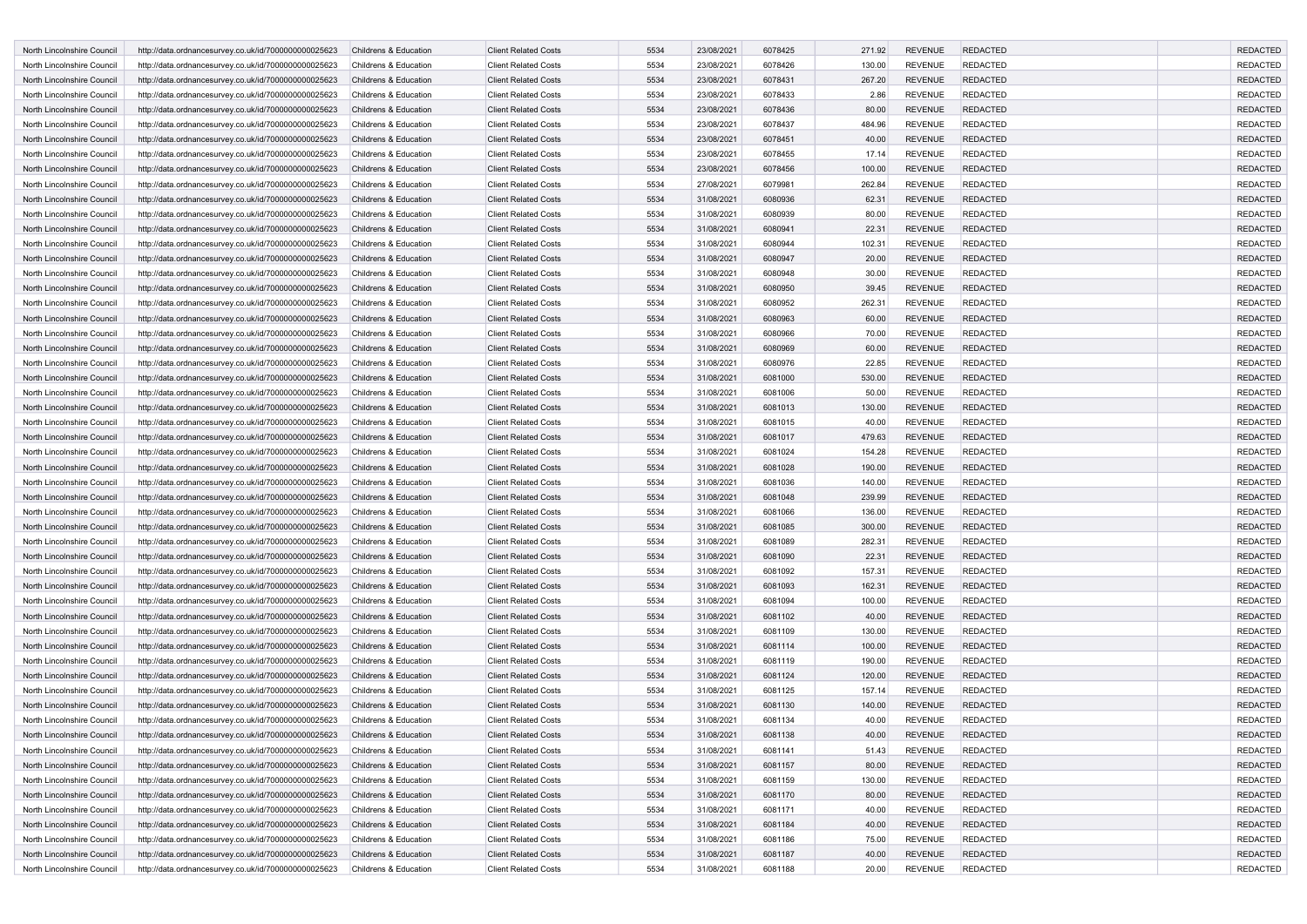| North Lincolnshire Council                               | http://data.ordnancesurvey.co.uk/id/7000000000025623 | Childrens & Education                          | <b>Client Related Costs</b>                                | 5534         | 23/08/2021 | 6078425            | 271.92           | <b>REVENUE</b>                   | <b>REDACTED</b>                    |                 | <b>REDACTED</b> |
|----------------------------------------------------------|------------------------------------------------------|------------------------------------------------|------------------------------------------------------------|--------------|------------|--------------------|------------------|----------------------------------|------------------------------------|-----------------|-----------------|
| North Lincolnshire Council                               | http://data.ordnancesurvey.co.uk/id/7000000000025623 | Childrens & Education                          | <b>Client Related Costs</b>                                | 5534         | 23/08/2021 | 6078426            | 130.00           | <b>REVENUE</b>                   | <b>REDACTED</b>                    | <b>REDACTED</b> |                 |
| North Lincolnshire Council                               | http://data.ordnancesurvey.co.uk/id/7000000000025623 | Childrens & Education                          | <b>Client Related Costs</b>                                | 5534         | 23/08/2021 | 6078431            | 267.20           | <b>REVENUE</b>                   | <b>REDACTED</b>                    |                 | <b>REDACTED</b> |
| North Lincolnshire Council                               | http://data.ordnancesurvey.co.uk/id/7000000000025623 | Childrens & Education                          | <b>Client Related Costs</b>                                | 5534         | 23/08/2021 | 6078433            | 2.86             | <b>REVENUE</b>                   | <b>REDACTED</b>                    | <b>REDACTED</b> |                 |
| North Lincolnshire Council                               | http://data.ordnancesurvey.co.uk/id/7000000000025623 | Childrens & Education                          | <b>Client Related Costs</b>                                | 5534         | 23/08/2021 | 6078436            | 80.00            | <b>REVENUE</b>                   | <b>REDACTED</b>                    | <b>REDACTED</b> |                 |
| North Lincolnshire Council                               | http://data.ordnancesurvey.co.uk/id/7000000000025623 | Childrens & Education                          | <b>Client Related Costs</b>                                | 5534         | 23/08/2021 | 6078437            | 484.96           | <b>REVENUE</b>                   | <b>REDACTED</b>                    |                 | <b>REDACTED</b> |
| North Lincolnshire Council                               | http://data.ordnancesurvey.co.uk/id/7000000000025623 | Childrens & Education                          | <b>Client Related Costs</b>                                | 5534         | 23/08/2021 | 6078451            | 40.00            | <b>REVENUE</b>                   | <b>REDACTED</b>                    | <b>REDACTED</b> |                 |
| North Lincolnshire Council                               | http://data.ordnancesurvey.co.uk/id/7000000000025623 | Childrens & Education                          | <b>Client Related Costs</b>                                | 5534         | 23/08/2021 | 6078455            | 17.14            | <b>REVENUE</b>                   | <b>REDACTED</b>                    |                 | <b>REDACTED</b> |
| North Lincolnshire Council                               | http://data.ordnancesurvey.co.uk/id/7000000000025623 | Childrens & Education                          | <b>Client Related Costs</b>                                | 5534         | 23/08/2021 | 6078456            | 100.00           | <b>REVENUE</b>                   | <b>REDACTED</b>                    | <b>REDACTED</b> |                 |
| North Lincolnshire Council                               | http://data.ordnancesurvey.co.uk/id/7000000000025623 | Childrens & Education                          | <b>Client Related Costs</b>                                | 5534         | 27/08/2021 | 6079981            | 262.84           | <b>REVENUE</b>                   | <b>REDACTED</b>                    | <b>REDACTED</b> |                 |
| North Lincolnshire Council                               | http://data.ordnancesurvey.co.uk/id/7000000000025623 | Childrens & Education                          | <b>Client Related Costs</b>                                | 5534         | 31/08/2021 | 6080936            | 62.31            | <b>REVENUE</b>                   | <b>REDACTED</b>                    | <b>REDACTED</b> |                 |
| North Lincolnshire Council                               | http://data.ordnancesurvey.co.uk/id/7000000000025623 | Childrens & Education                          | <b>Client Related Costs</b>                                | 5534         | 31/08/2021 | 6080939            | 80.00            | <b>REVENUE</b>                   | <b>REDACTED</b>                    | <b>REDACTED</b> |                 |
| North Lincolnshire Council                               | http://data.ordnancesurvey.co.uk/id/7000000000025623 | Childrens & Education                          | <b>Client Related Costs</b>                                | 5534         | 31/08/2021 | 6080941            | 22.31            | <b>REVENUE</b>                   | <b>REDACTED</b>                    |                 | <b>REDACTED</b> |
| North Lincolnshire Council                               | http://data.ordnancesurvey.co.uk/id/7000000000025623 | Childrens & Education                          | <b>Client Related Costs</b>                                | 5534         | 31/08/2021 | 6080944            | 102.31           | <b>REVENUE</b>                   | <b>REDACTED</b>                    | <b>REDACTED</b> |                 |
| North Lincolnshire Council                               | http://data.ordnancesurvey.co.uk/id/7000000000025623 | Childrens & Education                          | <b>Client Related Costs</b>                                | 5534         | 31/08/2021 | 6080947            | 20.00            | <b>REVENUE</b>                   | <b>REDACTED</b>                    | <b>REDACTED</b> |                 |
| North Lincolnshire Council                               | http://data.ordnancesurvey.co.uk/id/7000000000025623 | Childrens & Education                          | <b>Client Related Costs</b>                                | 5534         | 31/08/2021 | 6080948            | 30.00            | <b>REVENUE</b>                   | <b>REDACTED</b>                    | <b>REDACTED</b> |                 |
| North Lincolnshire Council                               | http://data.ordnancesurvey.co.uk/id/7000000000025623 | Childrens & Education                          | <b>Client Related Costs</b>                                | 5534         | 31/08/2021 | 6080950            | 39.45            | <b>REVENUE</b>                   | <b>REDACTED</b>                    | <b>REDACTED</b> |                 |
| North Lincolnshire Council                               | http://data.ordnancesurvey.co.uk/id/7000000000025623 | Childrens & Education                          | <b>Client Related Costs</b>                                | 5534         | 31/08/2021 | 6080952            | 262.31           | <b>REVENUE</b>                   | <b>REDACTED</b>                    |                 | <b>REDACTED</b> |
| North Lincolnshire Council                               | http://data.ordnancesurvey.co.uk/id/7000000000025623 | Childrens & Education                          | <b>Client Related Costs</b>                                | 5534         | 31/08/2021 | 6080963            | 60.00            | <b>REVENUE</b>                   | <b>REDACTED</b>                    | <b>REDACTED</b> |                 |
| North Lincolnshire Council                               | http://data.ordnancesurvey.co.uk/id/7000000000025623 | Childrens & Education                          | <b>Client Related Costs</b>                                | 5534         | 31/08/2021 | 6080966            | 70.00            | <b>REVENUE</b>                   | <b>REDACTED</b>                    | <b>REDACTED</b> |                 |
| North Lincolnshire Council                               | http://data.ordnancesurvey.co.uk/id/7000000000025623 | Childrens & Education                          | <b>Client Related Costs</b>                                | 5534         | 31/08/2021 | 6080969            | 60.00            | <b>REVENUE</b>                   | <b>REDACTED</b>                    | <b>REDACTED</b> |                 |
| North Lincolnshire Council                               | http://data.ordnancesurvey.co.uk/id/7000000000025623 | Childrens & Education                          | <b>Client Related Costs</b>                                | 5534         | 31/08/2021 | 6080976            | 22.85            | <b>REVENUE</b>                   | <b>REDACTED</b>                    | <b>REDACTED</b> |                 |
| North Lincolnshire Council                               |                                                      | Childrens & Education                          | <b>Client Related Costs</b>                                | 5534         | 31/08/2021 | 6081000            | 530.00           | <b>REVENUE</b>                   | <b>REDACTED</b>                    |                 | <b>REDACTED</b> |
|                                                          | http://data.ordnancesurvey.co.uk/id/7000000000025623 |                                                | <b>Client Related Costs</b>                                | 5534         |            |                    |                  |                                  |                                    | <b>REDACTED</b> |                 |
| North Lincolnshire Council<br>North Lincolnshire Council | http://data.ordnancesurvey.co.uk/id/7000000000025623 | Childrens & Education<br>Childrens & Education | <b>Client Related Costs</b>                                | 5534         | 31/08/2021 | 6081006<br>6081013 | 50.00            | <b>REVENUE</b><br><b>REVENUE</b> | <b>REDACTED</b>                    | <b>REDACTED</b> |                 |
|                                                          | http://data.ordnancesurvey.co.uk/id/7000000000025623 |                                                |                                                            | 5534         | 31/08/2021 | 6081015            | 130.00           |                                  | <b>REDACTED</b>                    |                 |                 |
| North Lincolnshire Council                               | http://data.ordnancesurvey.co.uk/id/7000000000025623 | Childrens & Education                          | <b>Client Related Costs</b>                                |              | 31/08/2021 |                    | 40.00            | <b>REVENUE</b>                   | <b>REDACTED</b>                    | <b>REDACTED</b> |                 |
| North Lincolnshire Council                               | http://data.ordnancesurvey.co.uk/id/7000000000025623 | Childrens & Education                          | <b>Client Related Costs</b>                                | 5534<br>5534 | 31/08/2021 | 6081017<br>6081024 | 479.63<br>154.28 | <b>REVENUE</b><br><b>REVENUE</b> | <b>REDACTED</b><br><b>REDACTED</b> | <b>REDACTED</b> | <b>REDACTED</b> |
| North Lincolnshire Council<br>North Lincolnshire Council | http://data.ordnancesurvey.co.uk/id/7000000000025623 | Childrens & Education                          | <b>Client Related Costs</b><br><b>Client Related Costs</b> |              | 31/08/2021 |                    |                  |                                  |                                    |                 |                 |
|                                                          | http://data.ordnancesurvey.co.uk/id/7000000000025623 | Childrens & Education                          | <b>Client Related Costs</b>                                | 5534         | 31/08/2021 | 6081028            | 190.00           | <b>REVENUE</b>                   | <b>REDACTED</b>                    | <b>REDACTED</b> |                 |
| North Lincolnshire Council                               | http://data.ordnancesurvey.co.uk/id/7000000000025623 | Childrens & Education                          |                                                            | 5534         | 31/08/2021 | 6081036            | 140.00           | <b>REVENUE</b>                   | <b>REDACTED</b>                    | <b>REDACTED</b> |                 |
| North Lincolnshire Council                               | http://data.ordnancesurvey.co.uk/id/7000000000025623 | Childrens & Education                          | <b>Client Related Costs</b>                                | 5534         | 31/08/2021 | 6081048            | 239.99           | <b>REVENUE</b>                   | <b>REDACTED</b>                    | <b>REDACTED</b> |                 |
| North Lincolnshire Council                               | http://data.ordnancesurvey.co.uk/id/7000000000025623 | Childrens & Education                          | <b>Client Related Costs</b>                                | 5534         | 31/08/2021 | 6081066            | 136.00           | <b>REVENUE</b>                   | <b>REDACTED</b>                    | <b>REDACTED</b> |                 |
| North Lincolnshire Council                               | http://data.ordnancesurvey.co.uk/id/7000000000025623 | Childrens & Education                          | <b>Client Related Costs</b>                                | 5534         | 31/08/2021 | 6081085            | 300.00           | <b>REVENUE</b>                   | <b>REDACTED</b>                    |                 | <b>REDACTED</b> |
| North Lincolnshire Council                               | http://data.ordnancesurvey.co.uk/id/7000000000025623 | Childrens & Education                          | <b>Client Related Costs</b>                                | 5534         | 31/08/2021 | 6081089            | 282.31           | <b>REVENUE</b>                   | <b>REDACTED</b>                    | <b>REDACTED</b> |                 |
| North Lincolnshire Council                               | http://data.ordnancesurvey.co.uk/id/7000000000025623 | Childrens & Education                          | <b>Client Related Costs</b>                                | 5534         | 31/08/2021 | 6081090            | 22.31            | <b>REVENUE</b>                   | <b>REDACTED</b>                    | <b>REDACTED</b> |                 |
| North Lincolnshire Council                               | http://data.ordnancesurvey.co.uk/id/7000000000025623 | Childrens & Education                          | <b>Client Related Costs</b>                                | 5534         | 31/08/2021 | 6081092            | 157.31           | <b>REVENUE</b>                   | <b>REDACTED</b>                    | <b>REDACTED</b> |                 |
| North Lincolnshire Council                               | http://data.ordnancesurvey.co.uk/id/7000000000025623 | Childrens & Education                          | <b>Client Related Costs</b>                                | 5534         | 31/08/2021 | 6081093            | 162.31           | <b>REVENUE</b>                   | <b>REDACTED</b>                    | <b>REDACTED</b> |                 |
| North Lincolnshire Council                               | http://data.ordnancesurvey.co.uk/id/7000000000025623 | Childrens & Education                          | <b>Client Related Costs</b>                                | 5534         | 31/08/2021 | 6081094            | 100.00           | <b>REVENUE</b>                   | <b>REDACTED</b>                    |                 | <b>REDACTED</b> |
| North Lincolnshire Council                               | http://data.ordnancesurvey.co.uk/id/7000000000025623 | Childrens & Education                          | <b>Client Related Costs</b>                                | 5534         | 31/08/2021 | 6081102            | 40.00            | <b>REVENUE</b>                   | <b>REDACTED</b>                    | <b>REDACTED</b> |                 |
| North Lincolnshire Council                               | http://data.ordnancesurvey.co.uk/id/7000000000025623 | Childrens & Education                          | <b>Client Related Costs</b>                                | 5534         | 31/08/2021 | 6081109            | 130.00           | <b>REVENUE</b>                   | <b>REDACTED</b>                    | <b>REDACTED</b> |                 |
| North Lincolnshire Council                               | http://data.ordnancesurvey.co.uk/id/7000000000025623 | Childrens & Education                          | <b>Client Related Costs</b>                                | 5534         | 31/08/2021 | 6081114            | 100.00           | <b>REVENUE</b>                   | <b>REDACTED</b>                    | <b>REDACTED</b> |                 |
| North Lincolnshire Council                               | http://data.ordnancesurvey.co.uk/id/7000000000025623 | Childrens & Education                          | <b>Client Related Costs</b>                                | 5534         | 31/08/2021 | 6081119            | 190.00           | <b>REVENUE</b>                   | <b>REDACTED</b>                    | <b>REDACTED</b> |                 |
| North Lincolnshire Council                               | http://data.ordnancesurvey.co.uk/id/7000000000025623 | Childrens & Education                          | <b>Client Related Costs</b>                                | 5534         | 31/08/2021 | 6081124            | 120.00           | <b>REVENUE</b>                   | <b>REDACTED</b>                    |                 | <b>REDACTED</b> |
| North Lincolnshire Council                               | http://data.ordnancesurvey.co.uk/id/7000000000025623 | Childrens & Education                          | <b>Client Related Costs</b>                                | 5534         | 31/08/2021 | 6081125            | 157.14           | <b>REVENUE</b>                   | <b>REDACTED</b>                    | <b>REDACTED</b> |                 |
| North Lincolnshire Council                               | http://data.ordnancesurvey.co.uk/id/7000000000025623 | Childrens & Education                          | <b>Client Related Costs</b>                                | 5534         | 31/08/2021 | 6081130            | 140.00           | <b>REVENUE</b>                   | <b>REDACTED</b>                    | <b>REDACTED</b> |                 |
| North Lincolnshire Council                               | http://data.ordnancesurvey.co.uk/id/7000000000025623 | Childrens & Education                          | <b>Client Related Costs</b>                                | 5534         | 31/08/2021 | 6081134            | 40.00            | <b>REVENUE</b>                   | <b>REDACTED</b>                    |                 | <b>REDACTED</b> |
| North Lincolnshire Council                               | http://data.ordnancesurvey.co.uk/id/7000000000025623 | Childrens & Education                          | <b>Client Related Costs</b>                                | 5534         | 31/08/2021 | 6081138            | 40.00            | <b>REVENUE</b>                   | <b>REDACTED</b>                    |                 | <b>REDACTED</b> |
| North Lincolnshire Council                               | http://data.ordnancesurvey.co.uk/id/7000000000025623 | Childrens & Education                          | <b>Client Related Costs</b>                                | 5534         | 31/08/2021 | 6081141            | 51.43            | REVENUE                          | <b>REDACTED</b>                    |                 | <b>REDACTED</b> |
| North Lincolnshire Council                               | http://data.ordnancesurvey.co.uk/id/7000000000025623 | Childrens & Education                          | <b>Client Related Costs</b>                                | 5534         | 31/08/2021 | 6081157            | 80.00            | <b>REVENUE</b>                   | <b>REDACTED</b>                    |                 | <b>REDACTED</b> |
| North Lincolnshire Council                               | http://data.ordnancesurvey.co.uk/id/7000000000025623 | Childrens & Education                          | <b>Client Related Costs</b>                                | 5534         | 31/08/2021 | 6081159            | 130.00           | <b>REVENUE</b>                   | <b>REDACTED</b>                    |                 | <b>REDACTED</b> |
| North Lincolnshire Council                               | http://data.ordnancesurvey.co.uk/id/7000000000025623 | Childrens & Education                          | <b>Client Related Costs</b>                                | 5534         | 31/08/2021 | 6081170            | 80.00            | <b>REVENUE</b>                   | <b>REDACTED</b>                    |                 | <b>REDACTED</b> |
| North Lincolnshire Council                               | http://data.ordnancesurvey.co.uk/id/7000000000025623 | Childrens & Education                          | <b>Client Related Costs</b>                                | 5534         | 31/08/2021 | 6081171            | 40.00            | <b>REVENUE</b>                   | <b>REDACTED</b>                    |                 | <b>REDACTED</b> |
| North Lincolnshire Council                               | http://data.ordnancesurvey.co.uk/id/7000000000025623 | Childrens & Education                          | <b>Client Related Costs</b>                                | 5534         | 31/08/2021 | 6081184            | 40.00            | REVENUE                          | <b>REDACTED</b>                    |                 | <b>REDACTED</b> |
| North Lincolnshire Council                               | http://data.ordnancesurvey.co.uk/id/7000000000025623 | Childrens & Education                          | <b>Client Related Costs</b>                                | 5534         | 31/08/2021 | 6081186            | 75.00            | <b>REVENUE</b>                   | <b>REDACTED</b>                    |                 | <b>REDACTED</b> |
| North Lincolnshire Council                               | http://data.ordnancesurvey.co.uk/id/7000000000025623 | Childrens & Education                          | <b>Client Related Costs</b>                                | 5534         | 31/08/2021 | 6081187            | 40.00            | <b>REVENUE</b>                   | <b>REDACTED</b>                    |                 | <b>REDACTED</b> |
| North Lincolnshire Council                               | http://data.ordnancesurvey.co.uk/id/7000000000025623 | Childrens & Education                          | <b>Client Related Costs</b>                                | 5534         | 31/08/2021 | 6081188            | 20.00            | <b>REVENUE</b>                   | <b>REDACTED</b>                    |                 | REDACTED        |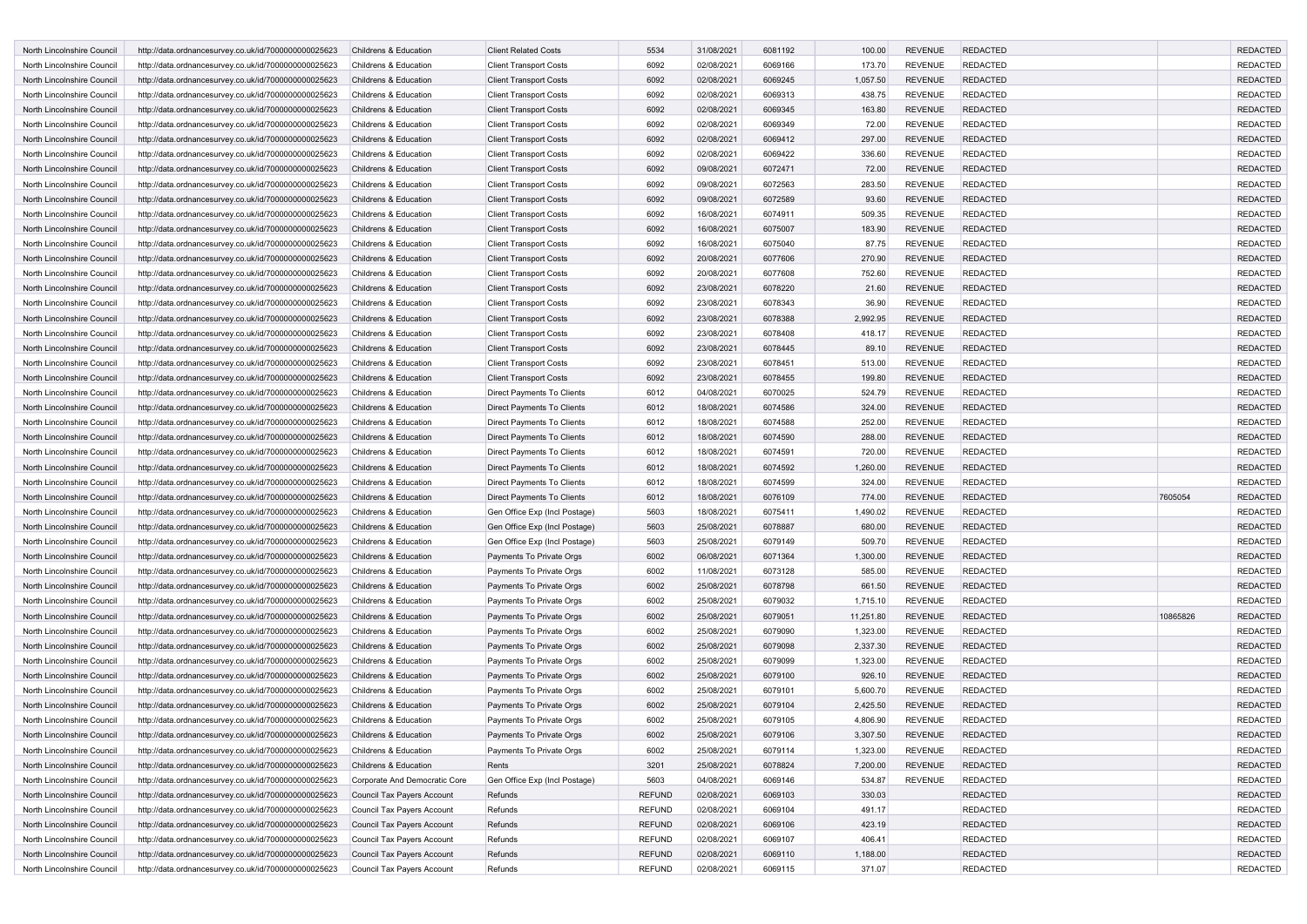| North Lincolnshire Council | http://data.ordnancesurvey.co.uk/id/7000000000025623 | Childrens & Education         | <b>Client Related Costs</b>                          | 5534          | 31/08/2021 | 6081192 | 100.00    | <b>REVENUE</b> | <b>REDACTED</b> |          | <b>REDACTED</b>                    |
|----------------------------|------------------------------------------------------|-------------------------------|------------------------------------------------------|---------------|------------|---------|-----------|----------------|-----------------|----------|------------------------------------|
| North Lincolnshire Council | http://data.ordnancesurvey.co.uk/id/7000000000025623 | Childrens & Education         | <b>Client Transport Costs</b>                        | 6092          | 02/08/2021 | 6069166 | 173.70    | <b>REVENUE</b> | <b>REDACTED</b> |          | <b>REDACTED</b>                    |
| North Lincolnshire Council | http://data.ordnancesurvey.co.uk/id/7000000000025623 | Childrens & Education         | <b>Client Transport Costs</b>                        | 6092          | 02/08/2021 | 6069245 | 1,057.50  | <b>REVENUE</b> | <b>REDACTED</b> |          | <b>REDACTED</b>                    |
| North Lincolnshire Council | http://data.ordnancesurvey.co.uk/id/7000000000025623 | Childrens & Education         | <b>Client Transport Costs</b>                        | 6092          | 02/08/2021 | 6069313 | 438.75    | <b>REVENUE</b> | <b>REDACTED</b> |          | <b>REDACTED</b>                    |
| North Lincolnshire Council | http://data.ordnancesurvey.co.uk/id/7000000000025623 | Childrens & Education         | <b>Client Transport Costs</b>                        | 6092          | 02/08/2021 | 6069345 | 163.80    | <b>REVENUE</b> | <b>REDACTED</b> |          | <b>REDACTED</b>                    |
| North Lincolnshire Council | http://data.ordnancesurvey.co.uk/id/7000000000025623 | Childrens & Education         | <b>Client Transport Costs</b>                        | 6092          | 02/08/2021 | 6069349 | 72.00     | <b>REVENUE</b> | <b>REDACTED</b> |          | <b>REDACTED</b>                    |
| North Lincolnshire Council | http://data.ordnancesurvey.co.uk/id/7000000000025623 | Childrens & Education         | <b>Client Transport Costs</b>                        | 6092          | 02/08/2021 | 6069412 | 297.00    | <b>REVENUE</b> | <b>REDACTED</b> |          | <b>REDACTED</b>                    |
| North Lincolnshire Council | http://data.ordnancesurvey.co.uk/id/7000000000025623 | Childrens & Education         | <b>Client Transport Costs</b>                        | 6092          | 02/08/2021 | 6069422 | 336.60    | <b>REVENUE</b> | <b>REDACTED</b> |          | <b>REDACTED</b>                    |
| North Lincolnshire Council | http://data.ordnancesurvey.co.uk/id/7000000000025623 | Childrens & Education         | <b>Client Transport Costs</b>                        | 6092          | 09/08/2021 | 6072471 | 72.00     | <b>REVENUE</b> | <b>REDACTED</b> |          | <b>REDACTED</b>                    |
| North Lincolnshire Council | http://data.ordnancesurvey.co.uk/id/7000000000025623 | Childrens & Education         | <b>Client Transport Costs</b>                        | 6092          | 09/08/2021 | 6072563 | 283.50    | <b>REVENUE</b> | <b>REDACTED</b> |          | <b>REDACTED</b>                    |
| North Lincolnshire Council | http://data.ordnancesurvey.co.uk/id/7000000000025623 | Childrens & Education         | <b>Client Transport Costs</b>                        | 6092          | 09/08/2021 | 6072589 | 93.60     | <b>REVENUE</b> | <b>REDACTED</b> |          | <b>REDACTED</b>                    |
| North Lincolnshire Council | http://data.ordnancesurvey.co.uk/id/7000000000025623 | Childrens & Education         | <b>Client Transport Costs</b>                        | 6092          | 16/08/2021 | 6074911 | 509.35    | <b>REVENUE</b> | <b>REDACTED</b> |          | <b>REDACTED</b>                    |
| North Lincolnshire Council | http://data.ordnancesurvey.co.uk/id/7000000000025623 | Childrens & Education         | <b>Client Transport Costs</b>                        | 6092          | 16/08/2021 | 6075007 | 183.90    | <b>REVENUE</b> | <b>REDACTED</b> |          | <b>REDACTED</b>                    |
| North Lincolnshire Council | http://data.ordnancesurvey.co.uk/id/7000000000025623 | Childrens & Education         | <b>Client Transport Costs</b>                        | 6092          | 16/08/2021 | 6075040 | 87.75     | <b>REVENUE</b> | <b>REDACTED</b> |          | <b>REDACTED</b>                    |
| North Lincolnshire Council | http://data.ordnancesurvey.co.uk/id/7000000000025623 | Childrens & Education         | <b>Client Transport Costs</b>                        | 6092          | 20/08/2021 | 6077606 | 270.90    | <b>REVENUE</b> | <b>REDACTED</b> |          | <b>REDACTED</b>                    |
| North Lincolnshire Council | http://data.ordnancesurvey.co.uk/id/7000000000025623 | Childrens & Education         | <b>Client Transport Costs</b>                        | 6092          | 20/08/2021 | 6077608 | 752.60    | <b>REVENUE</b> | <b>REDACTED</b> |          | <b>REDACTED</b>                    |
| North Lincolnshire Council | http://data.ordnancesurvey.co.uk/id/7000000000025623 | Childrens & Education         | <b>Client Transport Costs</b>                        | 6092          | 23/08/2021 | 6078220 | 21.60     | <b>REVENUE</b> | <b>REDACTED</b> |          | <b>REDACTED</b>                    |
| North Lincolnshire Council | http://data.ordnancesurvey.co.uk/id/7000000000025623 | Childrens & Education         | <b>Client Transport Costs</b>                        | 6092          | 23/08/2021 | 6078343 | 36.90     | <b>REVENUE</b> | <b>REDACTED</b> |          | <b>REDACTED</b>                    |
| North Lincolnshire Council | http://data.ordnancesurvey.co.uk/id/7000000000025623 | Childrens & Education         | <b>Client Transport Costs</b>                        | 6092          | 23/08/2021 | 6078388 | 2,992.95  | <b>REVENUE</b> | <b>REDACTED</b> |          | <b>REDACTED</b>                    |
| North Lincolnshire Council | http://data.ordnancesurvey.co.uk/id/7000000000025623 | Childrens & Education         | <b>Client Transport Costs</b>                        | 6092          | 23/08/2021 | 6078408 | 418.17    | <b>REVENUE</b> | <b>REDACTED</b> |          | <b>REDACTED</b>                    |
| North Lincolnshire Council | http://data.ordnancesurvey.co.uk/id/7000000000025623 | Childrens & Education         | <b>Client Transport Costs</b>                        | 6092          | 23/08/2021 | 6078445 | 89.10     | <b>REVENUE</b> | <b>REDACTED</b> |          | <b>REDACTED</b>                    |
| North Lincolnshire Council | http://data.ordnancesurvey.co.uk/id/7000000000025623 | Childrens & Education         | <b>Client Transport Costs</b>                        | 6092          | 23/08/2021 | 6078451 | 513.00    | <b>REVENUE</b> | <b>REDACTED</b> |          | <b>REDACTED</b>                    |
| North Lincolnshire Council | http://data.ordnancesurvey.co.uk/id/7000000000025623 | Childrens & Education         | <b>Client Transport Costs</b>                        | 6092          | 23/08/2021 | 6078455 | 199.80    | <b>REVENUE</b> | <b>REDACTED</b> |          | <b>REDACTED</b>                    |
| North Lincolnshire Council | http://data.ordnancesurvey.co.uk/id/7000000000025623 | Childrens & Education         | Direct Payments To Clients                           | 6012          | 04/08/2021 | 6070025 | 524.79    | <b>REVENUE</b> | <b>REDACTED</b> |          | <b>REDACTED</b>                    |
| North Lincolnshire Council | http://data.ordnancesurvey.co.uk/id/7000000000025623 | Childrens & Education         | Direct Payments To Clients                           | 6012          | 18/08/2021 | 6074586 | 324.00    | <b>REVENUE</b> | <b>REDACTED</b> |          | <b>REDACTED</b>                    |
| North Lincolnshire Council | http://data.ordnancesurvey.co.uk/id/7000000000025623 | Childrens & Education         | Direct Payments To Clients                           | 6012          | 18/08/2021 | 6074588 | 252.00    | <b>REVENUE</b> | <b>REDACTED</b> |          | <b>REDACTED</b>                    |
| North Lincolnshire Council | http://data.ordnancesurvey.co.uk/id/7000000000025623 | Childrens & Education         | Direct Payments To Clients                           | 6012          | 18/08/2021 | 6074590 | 288.00    | <b>REVENUE</b> | <b>REDACTED</b> |          | <b>REDACTED</b>                    |
| North Lincolnshire Council | http://data.ordnancesurvey.co.uk/id/7000000000025623 | Childrens & Education         | Direct Payments To Clients                           | 6012          | 18/08/2021 | 6074591 | 720.00    | <b>REVENUE</b> | <b>REDACTED</b> |          | <b>REDACTED</b>                    |
| North Lincolnshire Council | http://data.ordnancesurvey.co.uk/id/7000000000025623 | Childrens & Education         | Direct Payments To Clients                           | 6012          | 18/08/2021 | 6074592 | 1,260.00  | <b>REVENUE</b> | <b>REDACTED</b> |          | <b>REDACTED</b>                    |
| North Lincolnshire Council | http://data.ordnancesurvey.co.uk/id/7000000000025623 | Childrens & Education         | Direct Payments To Clients                           | 6012          | 18/08/2021 | 6074599 | 324.00    | <b>REVENUE</b> | <b>REDACTED</b> |          | <b>REDACTED</b>                    |
| North Lincolnshire Council | http://data.ordnancesurvey.co.uk/id/7000000000025623 | Childrens & Education         | Direct Payments To Clients                           | 6012          | 18/08/2021 | 6076109 | 774.00    | <b>REVENUE</b> | <b>REDACTED</b> | 7605054  | <b>REDACTED</b>                    |
| North Lincolnshire Council | http://data.ordnancesurvey.co.uk/id/7000000000025623 | Childrens & Education         | Gen Office Exp (Incl Postage)                        | 5603          | 18/08/2021 | 6075411 | 1,490.02  | <b>REVENUE</b> | <b>REDACTED</b> |          | <b>REDACTED</b>                    |
| North Lincolnshire Council | http://data.ordnancesurvey.co.uk/id/7000000000025623 | Childrens & Education         | Gen Office Exp (Incl Postage)                        | 5603          | 25/08/2021 | 6078887 | 680.00    | <b>REVENUE</b> | <b>REDACTED</b> |          | <b>REDACTED</b>                    |
| North Lincolnshire Council | http://data.ordnancesurvey.co.uk/id/7000000000025623 | Childrens & Education         | Gen Office Exp (Incl Postage)                        | 5603          | 25/08/2021 | 6079149 | 509.70    | <b>REVENUE</b> | <b>REDACTED</b> |          | <b>REDACTED</b>                    |
| North Lincolnshire Council | http://data.ordnancesurvey.co.uk/id/7000000000025623 | Childrens & Education         | Payments To Private Orgs                             | 6002          | 06/08/2021 | 6071364 | 1,300.00  | <b>REVENUE</b> | <b>REDACTED</b> |          | <b>REDACTED</b>                    |
| North Lincolnshire Council |                                                      | Childrens & Education         |                                                      | 6002          | 11/08/2021 | 6073128 | 585.00    | <b>REVENUE</b> | <b>REDACTED</b> |          | <b>REDACTED</b>                    |
| North Lincolnshire Council | http://data.ordnancesurvey.co.uk/id/7000000000025623 | Childrens & Education         | Payments To Private Orgs<br>Payments To Private Orgs | 6002          | 25/08/2021 | 6078798 | 661.50    | <b>REVENUE</b> | <b>REDACTED</b> |          | <b>REDACTED</b>                    |
|                            | http://data.ordnancesurvey.co.uk/id/7000000000025623 |                               |                                                      |               |            | 6079032 |           | <b>REVENUE</b> | <b>REDACTED</b> |          | <b>REDACTED</b>                    |
| North Lincolnshire Council | http://data.ordnancesurvey.co.uk/id/7000000000025623 | Childrens & Education         | Payments To Private Orgs                             | 6002          | 25/08/2021 |         | 1,715.10  |                |                 |          |                                    |
| North Lincolnshire Council | http://data.ordnancesurvey.co.uk/id/7000000000025623 | Childrens & Education         | Payments To Private Orgs                             | 6002          | 25/08/2021 | 6079051 | 11,251.80 | <b>REVENUE</b> | <b>REDACTED</b> | 10865826 | <b>REDACTED</b><br><b>REDACTED</b> |
| North Lincolnshire Council | http://data.ordnancesurvey.co.uk/id/7000000000025623 | Childrens & Education         | Payments To Private Orgs                             | 6002          | 25/08/2021 | 6079090 | 1,323.00  | <b>REVENUE</b> | <b>REDACTED</b> |          |                                    |
| North Lincolnshire Council | http://data.ordnancesurvey.co.uk/id/7000000000025623 | Childrens & Education         | Payments To Private Orgs                             | 6002          | 25/08/2021 | 6079098 | 2,337.30  | <b>REVENUE</b> | <b>REDACTED</b> |          | <b>REDACTED</b><br><b>REDACTED</b> |
| North Lincolnshire Council | http://data.ordnancesurvey.co.uk/id/7000000000025623 | Childrens & Education         | Payments To Private Orgs                             | 6002          | 25/08/2021 | 6079099 | 1,323.00  | <b>REVENUE</b> | <b>REDACTED</b> |          |                                    |
| North Lincolnshire Council | http://data.ordnancesurvey.co.uk/id/7000000000025623 | Childrens & Education         | Payments To Private Orgs                             | 6002          | 25/08/2021 | 6079100 | 926.10    | <b>REVENUE</b> | <b>REDACTED</b> |          | <b>REDACTED</b>                    |
| North Lincolnshire Council | http://data.ordnancesurvey.co.uk/id/7000000000025623 | Childrens & Education         | Payments To Private Orgs                             | 6002          | 25/08/2021 | 6079101 | 5,600.70  | <b>REVENUE</b> | <b>REDACTED</b> |          | <b>REDACTED</b>                    |
| North Lincolnshire Council | http://data.ordnancesurvey.co.uk/id/7000000000025623 | Childrens & Education         | Payments To Private Orgs                             | 6002          | 25/08/2021 | 6079104 | 2,425.50  | <b>REVENUE</b> | <b>REDACTED</b> |          | <b>REDACTED</b>                    |
| North Lincolnshire Council | http://data.ordnancesurvey.co.uk/id/7000000000025623 | Childrens & Education         | Payments To Private Orgs                             | 6002          | 25/08/2021 | 6079105 | 4,806.90  | <b>REVENUE</b> | <b>REDACTED</b> |          | <b>REDACTED</b>                    |
| North Lincolnshire Council | http://data.ordnancesurvey.co.uk/id/7000000000025623 | Childrens & Education         | Payments To Private Orgs                             | 6002          | 25/08/2021 | 6079106 | 3,307.50  | <b>REVENUE</b> | <b>REDACTED</b> |          | <b>REDACTED</b>                    |
| North Lincolnshire Council | http://data.ordnancesurvey.co.uk/id/7000000000025623 | Childrens & Education         | Payments To Private Orgs                             | 6002          | 25/08/2021 | 6079114 | 1,323.00  | <b>REVENUE</b> | <b>REDACTED</b> |          | <b>REDACTED</b>                    |
| North Lincolnshire Council | http://data.ordnancesurvey.co.uk/id/7000000000025623 | Childrens & Education         | Rents                                                | 3201          | 25/08/2021 | 6078824 | 7,200.00  | <b>REVENUE</b> | <b>REDACTED</b> |          | <b>REDACTED</b>                    |
| North Lincolnshire Council | http://data.ordnancesurvey.co.uk/id/7000000000025623 | Corporate And Democratic Core | Gen Office Exp (Incl Postage)                        | 5603          | 04/08/2021 | 6069146 | 534.87    | <b>REVENUE</b> | <b>REDACTED</b> |          | <b>REDACTED</b>                    |
| North Lincolnshire Council | http://data.ordnancesurvey.co.uk/id/7000000000025623 | Council Tax Payers Account    | Refunds                                              | <b>REFUND</b> | 02/08/2021 | 6069103 | 330.03    |                | <b>REDACTED</b> |          | <b>REDACTED</b>                    |
| North Lincolnshire Council | http://data.ordnancesurvey.co.uk/id/7000000000025623 | Council Tax Payers Account    | Refunds                                              | <b>REFUND</b> | 02/08/2021 | 6069104 | 491.17    |                | <b>REDACTED</b> |          | <b>REDACTED</b>                    |
| North Lincolnshire Council | http://data.ordnancesurvey.co.uk/id/7000000000025623 | Council Tax Payers Account    | Refunds                                              | <b>REFUND</b> | 02/08/2021 | 6069106 | 423.19    |                | <b>REDACTED</b> |          | <b>REDACTED</b>                    |
| North Lincolnshire Council | http://data.ordnancesurvey.co.uk/id/7000000000025623 | Council Tax Payers Account    | Refunds                                              | <b>REFUND</b> | 02/08/2021 | 6069107 | 406.41    |                | <b>REDACTED</b> |          | <b>REDACTED</b>                    |
| North Lincolnshire Council | http://data.ordnancesurvey.co.uk/id/7000000000025623 | Council Tax Payers Account    | Refunds                                              | <b>REFUND</b> | 02/08/2021 | 6069110 | 1,188.00  |                | <b>REDACTED</b> |          | <b>REDACTED</b>                    |
| North Lincolnshire Council | http://data.ordnancesurvey.co.uk/id/7000000000025623 | Council Tax Payers Account    | Refunds                                              | <b>REFUND</b> | 02/08/2021 | 6069115 | 371.07    |                | <b>REDACTED</b> |          | REDACTED                           |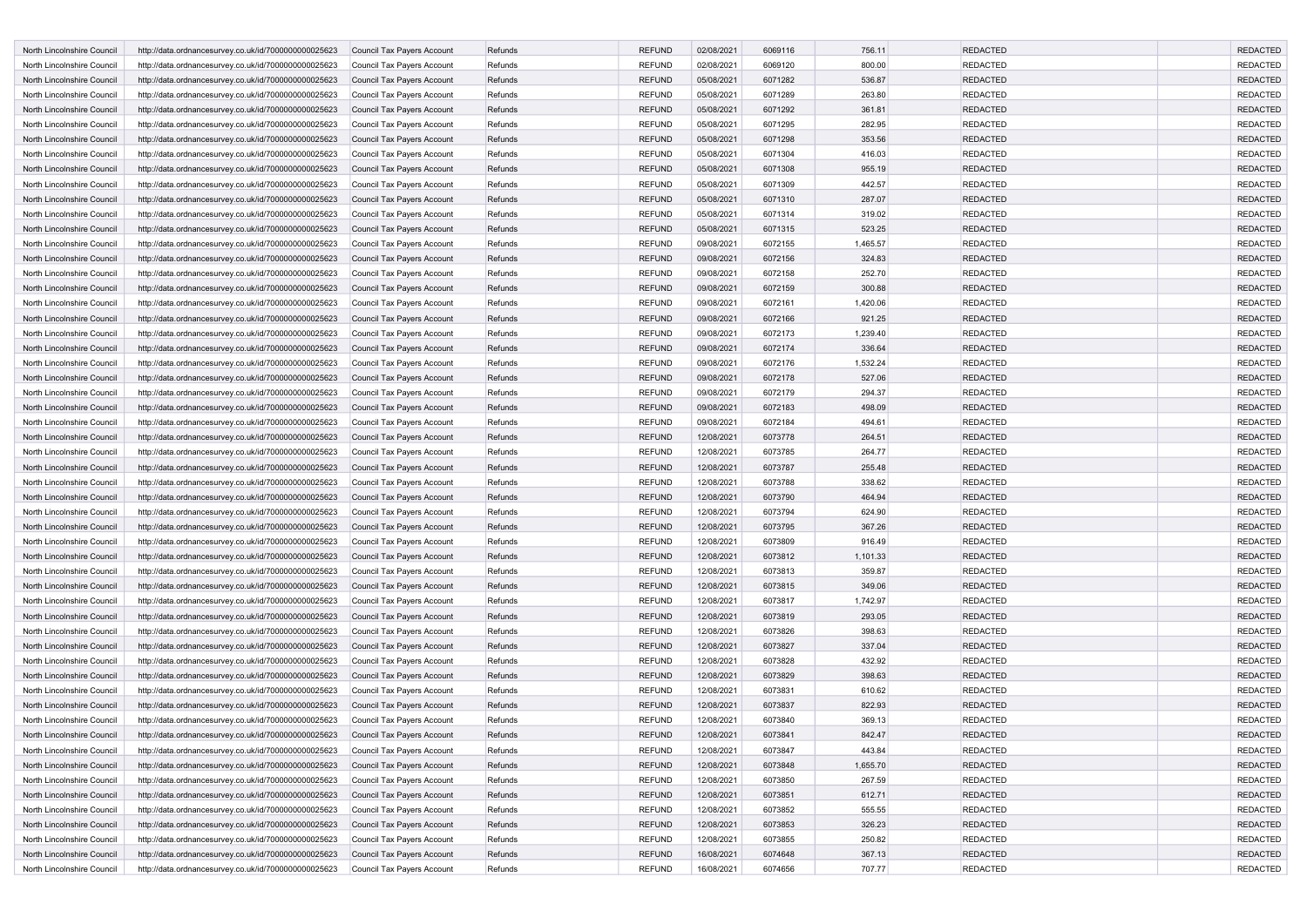| <b>North Lincolnshire Council</b> | http://data.ordnancesurvey.co.uk/id/7000000000025623<br>Council Tax Payers Account        | Refunds | <b>REFUND</b> | 02/08/2021 | 6069116 | 756.11   | <b>REDACTED</b> | <b>REDACTED</b> |
|-----------------------------------|-------------------------------------------------------------------------------------------|---------|---------------|------------|---------|----------|-----------------|-----------------|
| North Lincolnshire Council        | http://data.ordnancesurvey.co.uk/id/7000000000025623<br>Council Tax Payers Account        | Refunds | <b>REFUND</b> | 02/08/2021 | 6069120 | 800.00   | <b>REDACTED</b> | <b>REDACTED</b> |
| North Lincolnshire Council        | http://data.ordnancesurvey.co.uk/id/7000000000025623<br>Council Tax Payers Account        | Refunds | <b>REFUND</b> | 05/08/2021 | 6071282 | 536.87   | <b>REDACTED</b> | <b>REDACTED</b> |
| North Lincolnshire Council        | http://data.ordnancesurvey.co.uk/id/7000000000025623<br>Council Tax Payers Account        | Refunds | <b>REFUND</b> | 05/08/2021 | 6071289 | 263.80   | <b>REDACTED</b> | <b>REDACTED</b> |
| North Lincolnshire Council        | http://data.ordnancesurvey.co.uk/id/7000000000025623<br>Council Tax Payers Account        | Refunds | <b>REFUND</b> | 05/08/2021 | 6071292 | 361.81   | <b>REDACTED</b> | <b>REDACTED</b> |
| North Lincolnshire Council        | Council Tax Payers Account<br>http://data.ordnancesurvey.co.uk/id/7000000000025623        | Refunds | <b>REFUND</b> | 05/08/2021 | 6071295 | 282.95   | <b>REDACTED</b> | <b>REDACTED</b> |
| North Lincolnshire Council        | http://data.ordnancesurvey.co.uk/id/7000000000025623<br>Council Tax Payers Account        | Refunds | <b>REFUND</b> | 05/08/2021 | 6071298 | 353.56   | <b>REDACTED</b> | <b>REDACTED</b> |
| North Lincolnshire Council        | http://data.ordnancesurvey.co.uk/id/7000000000025623<br>Council Tax Payers Account        | Refunds | <b>REFUND</b> | 05/08/2021 | 6071304 | 416.03   | <b>REDACTED</b> | <b>REDACTED</b> |
| North Lincolnshire Council        | http://data.ordnancesurvey.co.uk/id/7000000000025623<br>Council Tax Payers Account        | Refunds | <b>REFUND</b> | 05/08/2021 | 6071308 | 955.19   | <b>REDACTED</b> | <b>REDACTED</b> |
| North Lincolnshire Council        | http://data.ordnancesurvey.co.uk/id/7000000000025623<br>Council Tax Payers Account        | Refunds | <b>REFUND</b> | 05/08/2021 | 6071309 | 442.57   | <b>REDACTED</b> | <b>REDACTED</b> |
| North Lincolnshire Council        | http://data.ordnancesurvey.co.uk/id/7000000000025623<br><b>Council Tax Payers Account</b> | Refunds | <b>REFUND</b> | 05/08/2021 | 6071310 | 287.07   | <b>REDACTED</b> | <b>REDACTED</b> |
| North Lincolnshire Council        | http://data.ordnancesurvey.co.uk/id/7000000000025623<br>Council Tax Payers Account        | Refunds | <b>REFUND</b> | 05/08/2021 | 6071314 | 319.02   | <b>REDACTED</b> | <b>REDACTED</b> |
| North Lincolnshire Council        | http://data.ordnancesurvey.co.uk/id/7000000000025623<br>Council Tax Payers Account        | Refunds | <b>REFUND</b> | 05/08/2021 | 6071315 | 523.25   | <b>REDACTED</b> | <b>REDACTED</b> |
| North Lincolnshire Council        | http://data.ordnancesurvey.co.uk/id/7000000000025623<br>Council Tax Payers Account        | Refunds | <b>REFUND</b> | 09/08/2021 | 6072155 | 1,465.57 | <b>REDACTED</b> | <b>REDACTED</b> |
| North Lincolnshire Council        | http://data.ordnancesurvey.co.uk/id/7000000000025623<br>Council Tax Payers Account        | Refunds | <b>REFUND</b> | 09/08/2021 | 6072156 | 324.83   | <b>REDACTED</b> | <b>REDACTED</b> |
| North Lincolnshire Council        | Council Tax Payers Account<br>http://data.ordnancesurvey.co.uk/id/7000000000025623        | Refunds | <b>REFUND</b> | 09/08/2021 | 6072158 | 252.70   | <b>REDACTED</b> | <b>REDACTED</b> |
| North Lincolnshire Council        | http://data.ordnancesurvey.co.uk/id/7000000000025623<br>Council Tax Payers Account        | Refunds | <b>REFUND</b> | 09/08/2021 | 6072159 | 300.88   | <b>REDACTED</b> | <b>REDACTED</b> |
| North Lincolnshire Council        | http://data.ordnancesurvey.co.uk/id/7000000000025623<br>Council Tax Payers Account        | Refunds | <b>REFUND</b> | 09/08/2021 | 6072161 | 1,420.06 | <b>REDACTED</b> | <b>REDACTED</b> |
| North Lincolnshire Council        | http://data.ordnancesurvey.co.uk/id/7000000000025623<br>Council Tax Payers Account        | Refunds | <b>REFUND</b> | 09/08/2021 | 6072166 | 921.25   | <b>REDACTED</b> | <b>REDACTED</b> |
| North Lincolnshire Council        | http://data.ordnancesurvey.co.uk/id/7000000000025623<br>Council Tax Payers Account        | Refunds | <b>REFUND</b> | 09/08/2021 | 6072173 | 1,239.40 | <b>REDACTED</b> | <b>REDACTED</b> |
| North Lincolnshire Council        | http://data.ordnancesurvey.co.uk/id/7000000000025623<br><b>Council Tax Payers Account</b> | Refunds | <b>REFUND</b> | 09/08/2021 | 6072174 | 336.64   | <b>REDACTED</b> | <b>REDACTED</b> |
| North Lincolnshire Council        | http://data.ordnancesurvey.co.uk/id/7000000000025623<br>Council Tax Payers Account        | Refunds | <b>REFUND</b> | 09/08/2021 | 6072176 | 1,532.24 | <b>REDACTED</b> | <b>REDACTED</b> |
| North Lincolnshire Council        | http://data.ordnancesurvey.co.uk/id/7000000000025623<br>Council Tax Payers Account        | Refunds | <b>REFUND</b> | 09/08/2021 | 6072178 | 527.06   | <b>REDACTED</b> | <b>REDACTED</b> |
| North Lincolnshire Council        | Council Tax Payers Account<br>http://data.ordnancesurvey.co.uk/id/7000000000025623        | Refunds | <b>REFUND</b> | 09/08/2021 | 6072179 | 294.37   | REDACTED        | <b>REDACTED</b> |
| North Lincolnshire Council        | http://data.ordnancesurvey.co.uk/id/7000000000025623<br>Council Tax Payers Account        | Refunds | <b>REFUND</b> | 09/08/2021 | 6072183 | 498.09   | <b>REDACTED</b> | <b>REDACTED</b> |
| North Lincolnshire Council        | Council Tax Payers Account<br>http://data.ordnancesurvey.co.uk/id/7000000000025623        | Refunds | <b>REFUND</b> | 09/08/2021 | 6072184 | 494.61   | <b>REDACTED</b> | <b>REDACTED</b> |
| North Lincolnshire Council        | http://data.ordnancesurvey.co.uk/id/7000000000025623<br>Council Tax Payers Account        | Refunds | <b>REFUND</b> | 12/08/2021 | 6073778 | 264.51   | <b>REDACTED</b> | <b>REDACTED</b> |
| North Lincolnshire Council        | http://data.ordnancesurvey.co.uk/id/7000000000025623<br>Council Tax Payers Account        | Refunds | <b>REFUND</b> | 12/08/2021 | 6073785 | 264.77   | <b>REDACTED</b> | <b>REDACTED</b> |
| North Lincolnshire Council        | Council Tax Payers Account<br>http://data.ordnancesurvey.co.uk/id/7000000000025623        | Refunds | <b>REFUND</b> | 12/08/2021 | 6073787 | 255.48   | <b>REDACTED</b> | <b>REDACTED</b> |
| North Lincolnshire Council        | http://data.ordnancesurvey.co.uk/id/7000000000025623<br>Council Tax Payers Account        | Refunds | <b>REFUND</b> | 12/08/2021 | 6073788 | 338.62   | <b>REDACTED</b> | <b>REDACTED</b> |
| North Lincolnshire Council        | http://data.ordnancesurvey.co.uk/id/7000000000025623<br>Council Tax Payers Account        | Refunds | <b>REFUND</b> | 12/08/2021 | 6073790 | 464.94   | <b>REDACTED</b> | <b>REDACTED</b> |
| North Lincolnshire Council        | http://data.ordnancesurvey.co.uk/id/7000000000025623<br>Council Tax Payers Account        | Refunds | <b>REFUND</b> | 12/08/2021 | 6073794 | 624.90   | <b>REDACTED</b> | <b>REDACTED</b> |
| North Lincolnshire Council        | http://data.ordnancesurvey.co.uk/id/7000000000025623<br>Council Tax Payers Account        | Refunds | <b>REFUND</b> | 12/08/2021 | 6073795 | 367.26   | <b>REDACTED</b> | <b>REDACTED</b> |
| North Lincolnshire Council        | Council Tax Payers Account<br>http://data.ordnancesurvey.co.uk/id/7000000000025623        | Refunds | <b>REFUND</b> | 12/08/2021 | 6073809 | 916.49   | <b>REDACTED</b> | <b>REDACTED</b> |
| North Lincolnshire Council        | http://data.ordnancesurvey.co.uk/id/7000000000025623<br>Council Tax Payers Account        | Refunds | <b>REFUND</b> | 12/08/2021 | 6073812 | 1,101.33 | <b>REDACTED</b> | <b>REDACTED</b> |
| North Lincolnshire Council        | Council Tax Payers Account<br>http://data.ordnancesurvey.co.uk/id/7000000000025623        | Refunds | <b>REFUND</b> | 12/08/2021 | 6073813 | 359.87   | <b>REDACTED</b> | <b>REDACTED</b> |
| North Lincolnshire Council        | http://data.ordnancesurvey.co.uk/id/7000000000025623<br>Council Tax Payers Account        | Refunds | <b>REFUND</b> | 12/08/2021 | 6073815 | 349.06   | <b>REDACTED</b> | <b>REDACTED</b> |
| North Lincolnshire Council        | http://data.ordnancesurvey.co.uk/id/7000000000025623<br>Council Tax Payers Account        | Refunds | <b>REFUND</b> | 12/08/2021 | 6073817 | 1,742.97 | <b>REDACTED</b> | <b>REDACTED</b> |
| North Lincolnshire Council        | Council Tax Payers Account<br>http://data.ordnancesurvey.co.uk/id/7000000000025623        | Refunds | <b>REFUND</b> | 12/08/2021 | 6073819 | 293.05   | <b>REDACTED</b> | <b>REDACTED</b> |
| North Lincolnshire Council        | http://data.ordnancesurvey.co.uk/id/7000000000025623<br>Council Tax Payers Account        | Refunds | <b>REFUND</b> | 12/08/2021 | 6073826 | 398.63   | <b>REDACTED</b> | <b>REDACTED</b> |
| North Lincolnshire Council        | http://data.ordnancesurvey.co.uk/id/7000000000025623<br>Council Tax Payers Account        | Refunds | <b>REFUND</b> | 12/08/2021 | 6073827 | 337.04   | <b>REDACTED</b> | <b>REDACTED</b> |
| North Lincolnshire Council        | http://data.ordnancesurvey.co.uk/id/7000000000025623<br>Council Tax Payers Account        | Refunds | <b>REFUND</b> | 12/08/2021 | 6073828 | 432.92   | <b>REDACTED</b> | <b>REDACTED</b> |
| North Lincolnshire Council        | http://data.ordnancesurvey.co.uk/id/7000000000025623<br><b>Council Tax Payers Account</b> | Refunds | <b>REFUND</b> | 12/08/2021 | 6073829 | 398.63   | <b>REDACTED</b> | <b>REDACTED</b> |
| North Lincolnshire Council        | http://data.ordnancesurvey.co.uk/id/7000000000025623<br>Council Tax Payers Account        | Refunds | <b>REFUND</b> | 12/08/2021 | 6073831 | 610.62   | REDACTED        | <b>REDACTED</b> |
| North Lincolnshire Council        | http://data.ordnancesurvey.co.uk/id/7000000000025623<br>Council Tax Payers Account        | Refunds | <b>REFUND</b> | 12/08/2021 | 6073837 | 822.93   | <b>REDACTED</b> | <b>REDACTED</b> |
| North Lincolnshire Council        | http://data.ordnancesurvey.co.uk/id/7000000000025623<br>Council Tax Payers Account        | Refunds | <b>REFUND</b> | 12/08/2021 | 6073840 | 369.13   | <b>REDACTED</b> | <b>REDACTED</b> |
| North Lincolnshire Council        | http://data.ordnancesurvey.co.uk/id/7000000000025623<br>Council Tax Payers Account        | Refunds | <b>REFUND</b> | 12/08/2021 | 6073841 | 842.47   | <b>REDACTED</b> | <b>REDACTED</b> |
| North Lincolnshire Council        | http://data.ordnancesurvey.co.uk/id/7000000000025623<br>Council Tax Payers Account        | Refunds | <b>REFUND</b> | 12/08/2021 | 6073847 | 443.84   | <b>REDACTED</b> | REDACTED        |
| North Lincolnshire Council        | http://data.ordnancesurvey.co.uk/id/7000000000025623<br>Council Tax Payers Account        | Refunds | <b>REFUND</b> | 12/08/2021 | 6073848 | 1,655.70 | <b>REDACTED</b> | <b>REDACTED</b> |
| North Lincolnshire Council        | http://data.ordnancesurvey.co.uk/id/7000000000025623<br>Council Tax Payers Account        | Refunds | <b>REFUND</b> | 12/08/2021 | 6073850 | 267.59   | <b>REDACTED</b> | <b>REDACTED</b> |
| North Lincolnshire Council        | http://data.ordnancesurvey.co.uk/id/7000000000025623<br>Council Tax Payers Account        | Refunds | <b>REFUND</b> | 12/08/2021 | 6073851 | 612.71   | <b>REDACTED</b> | <b>REDACTED</b> |
| North Lincolnshire Council        | http://data.ordnancesurvey.co.uk/id/7000000000025623<br>Council Tax Payers Account        | Refunds | <b>REFUND</b> | 12/08/2021 | 6073852 | 555.55   | <b>REDACTED</b> | <b>REDACTED</b> |
| North Lincolnshire Council        | http://data.ordnancesurvey.co.uk/id/7000000000025623<br>Council Tax Payers Account        | Refunds | <b>REFUND</b> | 12/08/2021 | 6073853 | 326.23   | <b>REDACTED</b> | <b>REDACTED</b> |
| North Lincolnshire Council        | http://data.ordnancesurvey.co.uk/id/7000000000025623<br>Council Tax Payers Account        | Refunds | <b>REFUND</b> | 12/08/2021 | 6073855 | 250.82   | <b>REDACTED</b> | <b>REDACTED</b> |
| North Lincolnshire Council        | http://data.ordnancesurvey.co.uk/id/7000000000025623<br>Council Tax Payers Account        | Refunds | <b>REFUND</b> | 16/08/2021 | 6074648 | 367.13   | <b>REDACTED</b> | <b>REDACTED</b> |
| North Lincolnshire Council        | http://data.ordnancesurvey.co.uk/id/7000000000025623<br>Council Tax Payers Account        | Refunds | <b>REFUND</b> | 16/08/2021 | 6074656 | 707.77   | <b>REDACTED</b> | REDACTED        |
|                                   |                                                                                           |         |               |            |         |          |                 |                 |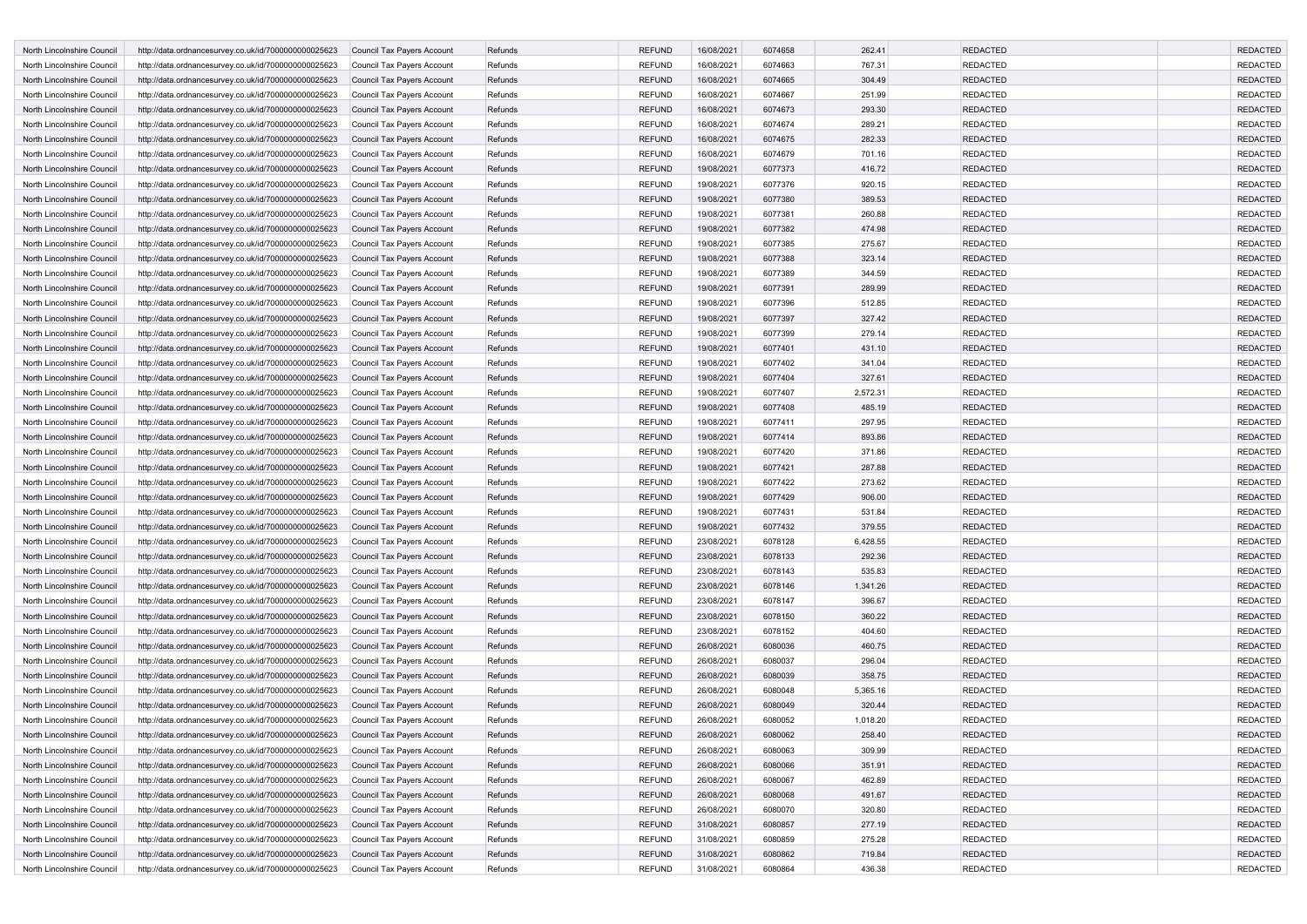| <b>North Lincolnshire Council</b> | http://data.ordnancesurvey.co.uk/id/7000000000025623<br>Council Tax Payers Account        | Refunds | <b>REFUND</b> | 16/08/2021 | 6074658 | 262.41   | <b>REDACTED</b> | <b>REDACTED</b> |
|-----------------------------------|-------------------------------------------------------------------------------------------|---------|---------------|------------|---------|----------|-----------------|-----------------|
| North Lincolnshire Council        | http://data.ordnancesurvey.co.uk/id/7000000000025623<br>Council Tax Payers Account        | Refunds | <b>REFUND</b> | 16/08/2021 | 6074663 | 767.31   | <b>REDACTED</b> | <b>REDACTED</b> |
| North Lincolnshire Council        | http://data.ordnancesurvey.co.uk/id/7000000000025623<br>Council Tax Payers Account        | Refunds | <b>REFUND</b> | 16/08/2021 | 6074665 | 304.49   | <b>REDACTED</b> | <b>REDACTED</b> |
| North Lincolnshire Council        | http://data.ordnancesurvey.co.uk/id/7000000000025623<br>Council Tax Payers Account        | Refunds | <b>REFUND</b> | 16/08/2021 | 6074667 | 251.99   | <b>REDACTED</b> | <b>REDACTED</b> |
| North Lincolnshire Council        | http://data.ordnancesurvey.co.uk/id/7000000000025623<br>Council Tax Payers Account        | Refunds | <b>REFUND</b> | 16/08/2021 | 6074673 | 293.30   | <b>REDACTED</b> | <b>REDACTED</b> |
| North Lincolnshire Council        | Council Tax Payers Account<br>http://data.ordnancesurvey.co.uk/id/7000000000025623        | Refunds | <b>REFUND</b> | 16/08/2021 | 6074674 | 289.21   | <b>REDACTED</b> | <b>REDACTED</b> |
| North Lincolnshire Council        | http://data.ordnancesurvey.co.uk/id/7000000000025623<br>Council Tax Payers Account        | Refunds | <b>REFUND</b> | 16/08/2021 | 6074675 | 282.33   | <b>REDACTED</b> | <b>REDACTED</b> |
| North Lincolnshire Council        | http://data.ordnancesurvey.co.uk/id/7000000000025623<br>Council Tax Payers Account        | Refunds | <b>REFUND</b> | 16/08/2021 | 6074679 | 701.16   | <b>REDACTED</b> | <b>REDACTED</b> |
| North Lincolnshire Council        | http://data.ordnancesurvey.co.uk/id/7000000000025623<br>Council Tax Payers Account        | Refunds | <b>REFUND</b> | 19/08/2021 | 6077373 | 416.72   | <b>REDACTED</b> | <b>REDACTED</b> |
| North Lincolnshire Council        | http://data.ordnancesurvey.co.uk/id/7000000000025623<br>Council Tax Payers Account        | Refunds | <b>REFUND</b> | 19/08/2021 | 6077376 | 920.15   | <b>REDACTED</b> | <b>REDACTED</b> |
| North Lincolnshire Council        | http://data.ordnancesurvey.co.uk/id/7000000000025623<br><b>Council Tax Payers Account</b> | Refunds | <b>REFUND</b> | 19/08/2021 | 6077380 | 389.53   | <b>REDACTED</b> | <b>REDACTED</b> |
| North Lincolnshire Council        | http://data.ordnancesurvey.co.uk/id/7000000000025623<br>Council Tax Payers Account        | Refunds | <b>REFUND</b> | 19/08/2021 | 6077381 | 260.88   | <b>REDACTED</b> | <b>REDACTED</b> |
| North Lincolnshire Council        | http://data.ordnancesurvey.co.uk/id/7000000000025623<br>Council Tax Payers Account        | Refunds | <b>REFUND</b> | 19/08/2021 | 6077382 | 474.98   | <b>REDACTED</b> | <b>REDACTED</b> |
| North Lincolnshire Council        | http://data.ordnancesurvey.co.uk/id/7000000000025623<br>Council Tax Payers Account        | Refunds | <b>REFUND</b> | 19/08/2021 | 6077385 | 275.67   | <b>REDACTED</b> | <b>REDACTED</b> |
| North Lincolnshire Council        | http://data.ordnancesurvey.co.uk/id/7000000000025623<br>Council Tax Payers Account        | Refunds | <b>REFUND</b> | 19/08/2021 | 6077388 | 323.14   | <b>REDACTED</b> | <b>REDACTED</b> |
| North Lincolnshire Council        | Council Tax Payers Account<br>http://data.ordnancesurvey.co.uk/id/7000000000025623        | Refunds | <b>REFUND</b> | 19/08/2021 | 6077389 | 344.59   | <b>REDACTED</b> | <b>REDACTED</b> |
| North Lincolnshire Council        | http://data.ordnancesurvey.co.uk/id/7000000000025623<br>Council Tax Payers Account        | Refunds | <b>REFUND</b> | 19/08/2021 | 6077391 | 289.99   | <b>REDACTED</b> | <b>REDACTED</b> |
| North Lincolnshire Council        | http://data.ordnancesurvey.co.uk/id/7000000000025623<br>Council Tax Payers Account        | Refunds | <b>REFUND</b> | 19/08/2021 | 6077396 | 512.85   | <b>REDACTED</b> | <b>REDACTED</b> |
| North Lincolnshire Council        | http://data.ordnancesurvey.co.uk/id/7000000000025623<br>Council Tax Payers Account        | Refunds | <b>REFUND</b> | 19/08/2021 | 6077397 | 327.42   | <b>REDACTED</b> | <b>REDACTED</b> |
| North Lincolnshire Council        | http://data.ordnancesurvey.co.uk/id/7000000000025623<br>Council Tax Payers Account        | Refunds | <b>REFUND</b> | 19/08/2021 | 6077399 | 279.14   | <b>REDACTED</b> | <b>REDACTED</b> |
| North Lincolnshire Council        | http://data.ordnancesurvey.co.uk/id/7000000000025623<br><b>Council Tax Payers Account</b> | Refunds | <b>REFUND</b> | 19/08/2021 | 6077401 | 431.10   | <b>REDACTED</b> | <b>REDACTED</b> |
| North Lincolnshire Council        | http://data.ordnancesurvey.co.uk/id/7000000000025623<br>Council Tax Payers Account        | Refunds | <b>REFUND</b> | 19/08/2021 | 6077402 | 341.04   | <b>REDACTED</b> | <b>REDACTED</b> |
| North Lincolnshire Council        | http://data.ordnancesurvey.co.uk/id/7000000000025623<br>Council Tax Payers Account        | Refunds | <b>REFUND</b> | 19/08/2021 | 6077404 | 327.61   | <b>REDACTED</b> | <b>REDACTED</b> |
| North Lincolnshire Council        | Council Tax Payers Account<br>http://data.ordnancesurvey.co.uk/id/7000000000025623        | Refunds | <b>REFUND</b> | 19/08/2021 | 6077407 | 2,572.31 | REDACTED        | <b>REDACTED</b> |
| North Lincolnshire Council        | http://data.ordnancesurvey.co.uk/id/7000000000025623<br>Council Tax Payers Account        | Refunds | <b>REFUND</b> | 19/08/2021 | 6077408 | 485.19   | <b>REDACTED</b> | <b>REDACTED</b> |
| North Lincolnshire Council        | Council Tax Payers Account<br>http://data.ordnancesurvey.co.uk/id/7000000000025623        | Refunds | <b>REFUND</b> | 19/08/2021 | 6077411 | 297.95   | <b>REDACTED</b> | <b>REDACTED</b> |
| North Lincolnshire Council        | http://data.ordnancesurvey.co.uk/id/7000000000025623<br>Council Tax Payers Account        | Refunds | <b>REFUND</b> | 19/08/2021 | 6077414 | 893.86   | <b>REDACTED</b> | <b>REDACTED</b> |
| North Lincolnshire Council        | http://data.ordnancesurvey.co.uk/id/7000000000025623<br>Council Tax Payers Account        | Refunds | <b>REFUND</b> | 19/08/2021 | 6077420 | 371.86   | <b>REDACTED</b> | <b>REDACTED</b> |
| North Lincolnshire Council        | Council Tax Payers Account<br>http://data.ordnancesurvey.co.uk/id/7000000000025623        | Refunds | <b>REFUND</b> | 19/08/2021 | 6077421 | 287.88   | <b>REDACTED</b> | <b>REDACTED</b> |
| North Lincolnshire Council        | http://data.ordnancesurvey.co.uk/id/7000000000025623<br>Council Tax Payers Account        | Refunds | <b>REFUND</b> | 19/08/2021 | 6077422 | 273.62   | <b>REDACTED</b> | <b>REDACTED</b> |
| North Lincolnshire Council        | http://data.ordnancesurvey.co.uk/id/7000000000025623<br>Council Tax Payers Account        | Refunds | <b>REFUND</b> | 19/08/2021 | 6077429 | 906.00   | <b>REDACTED</b> | <b>REDACTED</b> |
| North Lincolnshire Council        | http://data.ordnancesurvey.co.uk/id/7000000000025623<br>Council Tax Payers Account        | Refunds | <b>REFUND</b> | 19/08/2021 | 6077431 | 531.84   | <b>REDACTED</b> | <b>REDACTED</b> |
| North Lincolnshire Council        | http://data.ordnancesurvey.co.uk/id/7000000000025623<br>Council Tax Payers Account        | Refunds | <b>REFUND</b> | 19/08/2021 | 6077432 | 379.55   | <b>REDACTED</b> | <b>REDACTED</b> |
| North Lincolnshire Council        | Council Tax Payers Account<br>http://data.ordnancesurvey.co.uk/id/7000000000025623        | Refunds | <b>REFUND</b> | 23/08/2021 | 6078128 | 6,428.55 | <b>REDACTED</b> | <b>REDACTED</b> |
| North Lincolnshire Council        | http://data.ordnancesurvey.co.uk/id/7000000000025623<br>Council Tax Payers Account        | Refunds | <b>REFUND</b> | 23/08/2021 | 6078133 | 292.36   | <b>REDACTED</b> | <b>REDACTED</b> |
| North Lincolnshire Council        | Council Tax Payers Account<br>http://data.ordnancesurvey.co.uk/id/7000000000025623        | Refunds | <b>REFUND</b> | 23/08/2021 | 6078143 | 535.83   | <b>REDACTED</b> | <b>REDACTED</b> |
| North Lincolnshire Council        | http://data.ordnancesurvey.co.uk/id/7000000000025623<br>Council Tax Payers Account        | Refunds | <b>REFUND</b> | 23/08/2021 | 6078146 | 1,341.26 | <b>REDACTED</b> | <b>REDACTED</b> |
| North Lincolnshire Council        | http://data.ordnancesurvey.co.uk/id/7000000000025623<br>Council Tax Payers Account        | Refunds | <b>REFUND</b> | 23/08/2021 | 6078147 | 396.67   | <b>REDACTED</b> | <b>REDACTED</b> |
| North Lincolnshire Council        | Council Tax Payers Account<br>http://data.ordnancesurvey.co.uk/id/7000000000025623        | Refunds | <b>REFUND</b> | 23/08/2021 | 6078150 | 360.22   | <b>REDACTED</b> | <b>REDACTED</b> |
| North Lincolnshire Council        | http://data.ordnancesurvey.co.uk/id/7000000000025623<br>Council Tax Payers Account        | Refunds | <b>REFUND</b> | 23/08/2021 | 6078152 | 404.60   | <b>REDACTED</b> | <b>REDACTED</b> |
| North Lincolnshire Council        | http://data.ordnancesurvey.co.uk/id/7000000000025623<br>Council Tax Payers Account        | Refunds | <b>REFUND</b> | 26/08/2021 | 6080036 | 460.75   | <b>REDACTED</b> | <b>REDACTED</b> |
| North Lincolnshire Council        | http://data.ordnancesurvey.co.uk/id/7000000000025623<br>Council Tax Payers Account        | Refunds | <b>REFUND</b> | 26/08/2021 | 6080037 | 296.04   | <b>REDACTED</b> | <b>REDACTED</b> |
| North Lincolnshire Council        | http://data.ordnancesurvey.co.uk/id/7000000000025623<br><b>Council Tax Payers Account</b> | Refunds | <b>REFUND</b> | 26/08/2021 | 6080039 | 358.75   | <b>REDACTED</b> | <b>REDACTED</b> |
| North Lincolnshire Council        | http://data.ordnancesurvey.co.uk/id/7000000000025623<br>Council Tax Payers Account        | Refunds | <b>REFUND</b> | 26/08/2021 | 6080048 | 5,365.16 | REDACTED        | <b>REDACTED</b> |
| North Lincolnshire Council        | http://data.ordnancesurvey.co.uk/id/7000000000025623<br>Council Tax Payers Account        | Refunds | <b>REFUND</b> | 26/08/2021 | 6080049 | 320.44   | <b>REDACTED</b> | <b>REDACTED</b> |
| North Lincolnshire Council        | http://data.ordnancesurvey.co.uk/id/7000000000025623<br>Council Tax Payers Account        | Refunds | <b>REFUND</b> | 26/08/2021 | 6080052 | 1,018.20 | <b>REDACTED</b> | <b>REDACTED</b> |
| North Lincolnshire Council        | http://data.ordnancesurvey.co.uk/id/7000000000025623<br>Council Tax Payers Account        | Refunds | <b>REFUND</b> | 26/08/2021 | 6080062 | 258.40   | <b>REDACTED</b> | <b>REDACTED</b> |
| North Lincolnshire Council        | http://data.ordnancesurvey.co.uk/id/7000000000025623<br>Council Tax Payers Account        | Refunds | <b>REFUND</b> | 26/08/2021 | 6080063 | 309.99   | <b>REDACTED</b> | <b>REDACTED</b> |
| North Lincolnshire Council        | http://data.ordnancesurvey.co.uk/id/7000000000025623<br>Council Tax Payers Account        | Refunds | <b>REFUND</b> | 26/08/2021 | 6080066 | 351.91   | <b>REDACTED</b> | <b>REDACTED</b> |
| North Lincolnshire Council        | http://data.ordnancesurvey.co.uk/id/7000000000025623<br>Council Tax Payers Account        | Refunds | <b>REFUND</b> | 26/08/2021 | 6080067 | 462.89   | <b>REDACTED</b> | <b>REDACTED</b> |
| North Lincolnshire Council        | http://data.ordnancesurvey.co.uk/id/7000000000025623<br>Council Tax Payers Account        | Refunds | <b>REFUND</b> | 26/08/2021 | 6080068 | 491.67   | <b>REDACTED</b> | <b>REDACTED</b> |
| North Lincolnshire Council        | http://data.ordnancesurvey.co.uk/id/7000000000025623<br>Council Tax Payers Account        | Refunds | <b>REFUND</b> | 26/08/2021 | 6080070 | 320.80   | <b>REDACTED</b> | <b>REDACTED</b> |
| North Lincolnshire Council        | http://data.ordnancesurvey.co.uk/id/7000000000025623<br>Council Tax Payers Account        | Refunds | <b>REFUND</b> | 31/08/2021 | 6080857 | 277.19   | <b>REDACTED</b> | <b>REDACTED</b> |
| North Lincolnshire Council        | http://data.ordnancesurvey.co.uk/id/7000000000025623<br>Council Tax Payers Account        | Refunds | <b>REFUND</b> | 31/08/2021 | 6080859 | 275.28   | <b>REDACTED</b> | <b>REDACTED</b> |
| North Lincolnshire Council        | http://data.ordnancesurvey.co.uk/id/7000000000025623<br>Council Tax Payers Account        | Refunds | <b>REFUND</b> | 31/08/2021 | 6080862 | 719.84   | <b>REDACTED</b> | <b>REDACTED</b> |
| North Lincolnshire Council        | http://data.ordnancesurvey.co.uk/id/7000000000025623<br>Council Tax Payers Account        | Refunds | <b>REFUND</b> | 31/08/2021 | 6080864 | 436.38   | <b>REDACTED</b> | REDACTED        |
|                                   |                                                                                           |         |               |            |         |          |                 |                 |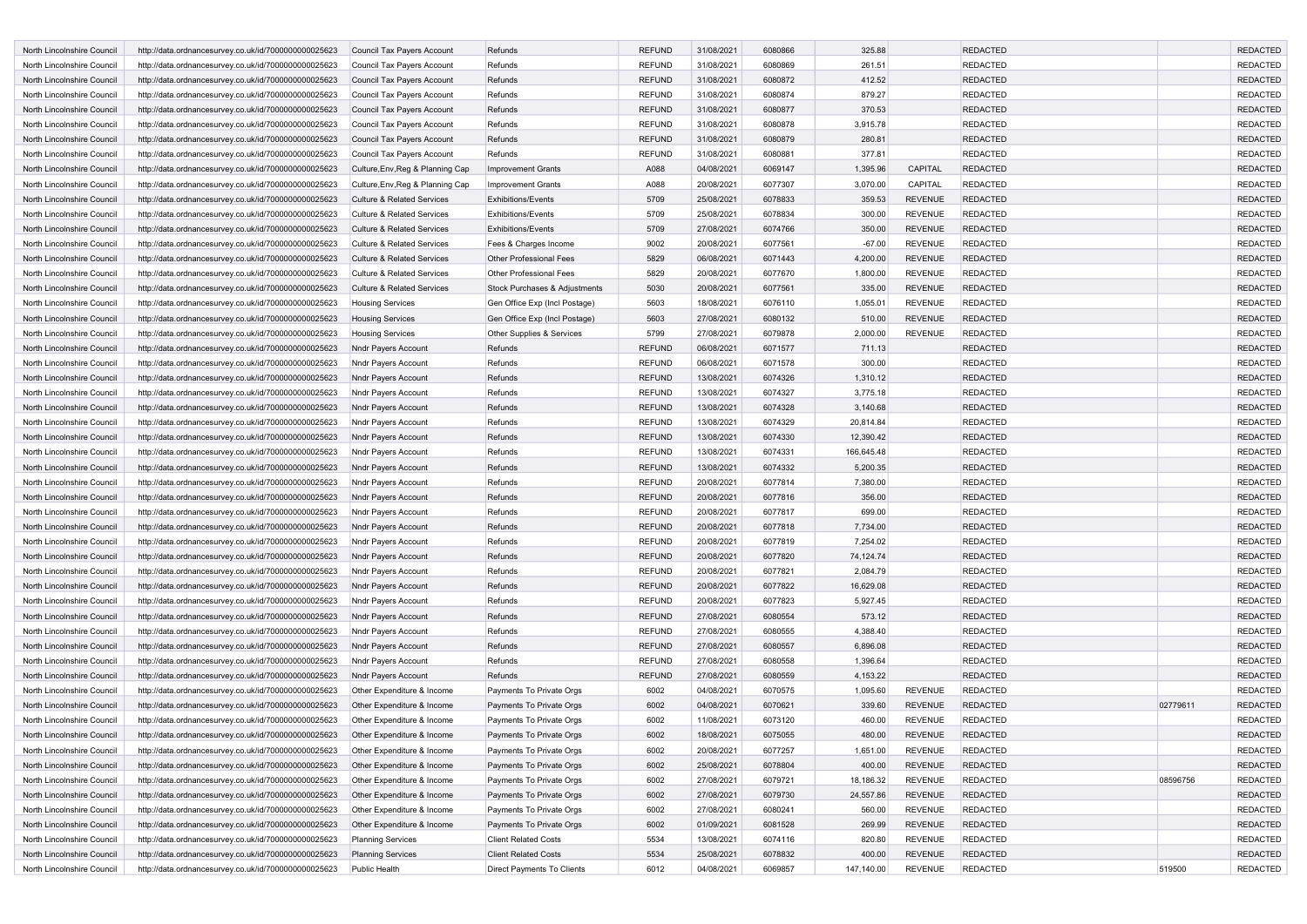| North Lincolnshire Council                               | http://data.ordnancesurvey.co.uk/id/7000000000025623 | Council Tax Payers Account                               | Refunds                        | <b>REFUND</b> | 31/08/2021 | 6080866 | 325.88     |                | <b>REDACTED</b> |          | <b>REDACTED</b> |
|----------------------------------------------------------|------------------------------------------------------|----------------------------------------------------------|--------------------------------|---------------|------------|---------|------------|----------------|-----------------|----------|-----------------|
| North Lincolnshire Council                               | http://data.ordnancesurvey.co.uk/id/7000000000025623 | Council Tax Payers Account                               | Refunds                        | REFUND        | 31/08/2021 | 6080869 | 261.51     |                | <b>REDACTED</b> |          | <b>REDACTED</b> |
| North Lincolnshire Council                               | http://data.ordnancesurvey.co.uk/id/7000000000025623 | Council Tax Payers Account                               | Refunds                        | <b>REFUND</b> | 31/08/2021 | 6080872 | 412.52     |                | <b>REDACTED</b> |          | <b>REDACTED</b> |
| North Lincolnshire Council                               | http://data.ordnancesurvey.co.uk/id/7000000000025623 | Council Tax Payers Account                               | Refunds                        | <b>REFUND</b> | 31/08/2021 | 6080874 | 879.27     |                | <b>REDACTED</b> |          | <b>REDACTED</b> |
| North Lincolnshire Council                               | http://data.ordnancesurvey.co.uk/id/7000000000025623 | Council Tax Payers Account                               | Refunds                        | <b>REFUND</b> | 31/08/2021 | 6080877 | 370.53     |                | <b>REDACTED</b> |          | <b>REDACTED</b> |
| North Lincolnshire Council                               | http://data.ordnancesurvey.co.uk/id/7000000000025623 | Council Tax Payers Account                               | Refunds                        | <b>REFUND</b> | 31/08/2021 | 6080878 | 3,915.78   |                | <b>REDACTED</b> |          | REDACTED        |
| North Lincolnshire Council                               | http://data.ordnancesurvey.co.uk/id/7000000000025623 | Council Tax Payers Account                               | Refunds                        | <b>REFUND</b> | 31/08/2021 | 6080879 | 280.81     |                | <b>REDACTED</b> |          | REDACTED        |
| North Lincolnshire Council                               | http://data.ordnancesurvey.co.uk/id/7000000000025623 | Council Tax Payers Account                               | Refunds                        | <b>REFUND</b> | 31/08/2021 | 608088  | 377.81     |                | <b>REDACTED</b> |          | <b>REDACTED</b> |
| North Lincolnshire Council                               | http://data.ordnancesurvey.co.uk/id/7000000000025623 | Culture, Env, Reg & Planning Cap                         | <b>Improvement Grants</b>      | A088          | 04/08/2021 | 6069147 | 1,395.96   | CAPITAL        | <b>REDACTED</b> |          | <b>REDACTED</b> |
| North Lincolnshire Council                               | http://data.ordnancesurvey.co.uk/id/7000000000025623 | Culture, Env, Reg & Planning Cap                         | <b>Improvement Grants</b>      | A088          | 20/08/2021 | 6077307 | 3,070.00   | CAPITAL        | <b>REDACTED</b> |          | <b>REDACTED</b> |
| North Lincolnshire Council                               | http://data.ordnancesurvey.co.uk/id/7000000000025623 | Culture & Related Services                               | <b>Exhibitions/Events</b>      | 5709          | 25/08/2021 | 6078833 | 359.53     | <b>REVENUE</b> | <b>REDACTED</b> |          | REDACTED        |
| North Lincolnshire Council                               | http://data.ordnancesurvey.co.uk/id/7000000000025623 | <b>Culture &amp; Related Services</b>                    | <b>Exhibitions/Events</b>      | 5709          | 25/08/2021 | 6078834 | 300.00     | <b>REVENUE</b> | <b>REDACTED</b> |          | REDACTED        |
|                                                          |                                                      |                                                          |                                |               |            |         |            |                |                 |          |                 |
| North Lincolnshire Council                               | http://data.ordnancesurvey.co.uk/id/7000000000025623 | <b>Culture &amp; Related Services</b>                    | <b>Exhibitions/Events</b>      | 5709          | 27/08/2021 | 6074766 | 350.00     | <b>REVENUE</b> | <b>REDACTED</b> |          | REDACTED        |
| North Lincolnshire Council                               | http://data.ordnancesurvey.co.uk/id/7000000000025623 | Culture & Related Services                               | Fees & Charges Income          | 9002          | 20/08/2021 | 6077561 | $-67.00$   | <b>REVENUE</b> | <b>REDACTED</b> |          | <b>REDACTED</b> |
| North Lincolnshire Council                               | http://data.ordnancesurvey.co.uk/id/7000000000025623 | <b>Culture &amp; Related Services</b>                    | <b>Other Professional Fees</b> | 5829          | 06/08/2021 | 6071443 | 4,200.00   | <b>REVENUE</b> | <b>REDACTED</b> |          | <b>REDACTED</b> |
| North Lincolnshire Council                               | http://data.ordnancesurvey.co.uk/id/7000000000025623 | <b>Culture &amp; Related Services</b>                    | <b>Other Professional Fees</b> | 5829          | 20/08/2021 | 6077670 | 1,800.00   | <b>REVENUE</b> | <b>REDACTED</b> |          | REDACTED        |
| North Lincolnshire Council                               | http://data.ordnancesurvey.co.uk/id/7000000000025623 | <b>Culture &amp; Related Services</b>                    | Stock Purchases & Adjustments  | 5030          | 20/08/2021 | 6077561 | 335.00     | <b>REVENUE</b> | <b>REDACTED</b> |          | REDACTED        |
| North Lincolnshire Council                               | http://data.ordnancesurvey.co.uk/id/7000000000025623 | <b>Housing Services</b>                                  | Gen Office Exp (Incl Postage)  | 5603          | 18/08/2021 | 6076110 | 1,055.01   | <b>REVENUE</b> | <b>REDACTED</b> |          | REDACTED        |
| North Lincolnshire Council                               | http://data.ordnancesurvey.co.uk/id/7000000000025623 | <b>Housing Services</b>                                  | Gen Office Exp (Incl Postage)  | 5603          | 27/08/2021 | 6080132 | 510.00     | <b>REVENUE</b> | <b>REDACTED</b> |          | <b>REDACTED</b> |
| North Lincolnshire Council                               | http://data.ordnancesurvey.co.uk/id/7000000000025623 | <b>Housing Services</b>                                  | Other Supplies & Services      | 5799          | 27/08/2021 | 6079878 | 2,000.00   | <b>REVENUE</b> | <b>REDACTED</b> |          | <b>REDACTED</b> |
| North Lincolnshire Council                               | http://data.ordnancesurvey.co.uk/id/7000000000025623 | Nndr Payers Account                                      | Refunds                        | <b>REFUND</b> | 06/08/2021 | 6071577 | 711.13     |                | <b>REDACTED</b> |          | <b>REDACTED</b> |
| North Lincolnshire Council                               | http://data.ordnancesurvey.co.uk/id/7000000000025623 | Nndr Payers Account                                      | Refunds                        | <b>REFUND</b> | 06/08/2021 | 6071578 | 300.00     |                | <b>REDACTED</b> |          | <b>REDACTED</b> |
| North Lincolnshire Council                               | http://data.ordnancesurvey.co.uk/id/7000000000025623 | <b>Nndr Payers Account</b>                               | Refunds                        | <b>REFUND</b> | 13/08/2021 | 6074326 | 1,310.12   |                | <b>REDACTED</b> |          | <b>REDACTED</b> |
| North Lincolnshire Council                               | http://data.ordnancesurvey.co.uk/id/7000000000025623 | Nndr Payers Account                                      | Refunds                        | <b>REFUND</b> | 13/08/2021 | 6074327 | 3,775.18   |                | <b>REDACTED</b> |          | <b>REDACTED</b> |
| North Lincolnshire Council                               | http://data.ordnancesurvey.co.uk/id/7000000000025623 | <b>Nndr Payers Account</b>                               | Refunds                        | <b>REFUND</b> | 13/08/2021 | 6074328 | 3,140.68   |                | <b>REDACTED</b> |          | <b>REDACTED</b> |
| North Lincolnshire Council                               | http://data.ordnancesurvey.co.uk/id/7000000000025623 | Nndr Payers Account                                      | Refunds                        | <b>REFUND</b> | 13/08/2021 | 6074329 | 20,814.84  |                | <b>REDACTED</b> |          | <b>REDACTED</b> |
| North Lincolnshire Council                               | http://data.ordnancesurvey.co.uk/id/7000000000025623 | <b>Nndr Payers Account</b>                               | Refunds                        | REFUND        | 13/08/2021 | 6074330 | 12,390.42  |                | <b>REDACTED</b> |          | <b>REDACTED</b> |
| North Lincolnshire Council                               | http://data.ordnancesurvey.co.uk/id/7000000000025623 | Nndr Payers Account                                      | Refunds                        | <b>REFUND</b> | 13/08/2021 | 6074331 | 166,645.48 |                | <b>REDACTED</b> |          | <b>REDACTED</b> |
| North Lincolnshire Council                               | http://data.ordnancesurvey.co.uk/id/7000000000025623 |                                                          | Refunds                        | <b>REFUND</b> | 13/08/2021 | 6074332 | 5,200.35   |                | <b>REDACTED</b> |          | <b>REDACTED</b> |
|                                                          |                                                      | <b>Nndr Payers Account</b>                               |                                |               |            | 6077814 |            |                |                 |          | <b>REDACTED</b> |
| North Lincolnshire Council                               | http://data.ordnancesurvey.co.uk/id/7000000000025623 | Nndr Payers Account                                      | Refunds                        | REFUND        | 20/08/2021 |         | 7,380.00   |                | <b>REDACTED</b> |          |                 |
| North Lincolnshire Council                               | http://data.ordnancesurvey.co.uk/id/7000000000025623 | Nndr Payers Account                                      | Refunds                        | <b>REFUND</b> | 20/08/2021 | 6077816 | 356.00     |                | <b>REDACTED</b> |          | <b>REDACTED</b> |
| North Lincolnshire Council                               | http://data.ordnancesurvey.co.uk/id/7000000000025623 | Nndr Payers Account                                      | Refunds                        | <b>REFUND</b> | 20/08/2021 | 6077817 | 699.00     |                | <b>REDACTED</b> |          | <b>REDACTED</b> |
| North Lincolnshire Council                               | http://data.ordnancesurvey.co.uk/id/7000000000025623 | Nndr Payers Account                                      | Refunds                        | <b>REFUND</b> | 20/08/2021 | 6077818 | 7,734.00   |                | <b>REDACTED</b> |          | <b>REDACTED</b> |
| North Lincolnshire Council                               | http://data.ordnancesurvey.co.uk/id/7000000000025623 | Nndr Payers Account                                      | Refunds                        | <b>REFUND</b> | 20/08/2021 | 6077819 | 7,254.02   |                | <b>REDACTED</b> |          | <b>REDACTED</b> |
| North Lincolnshire Council                               | http://data.ordnancesurvey.co.uk/id/7000000000025623 | Nndr Payers Account                                      | Refunds                        | <b>REFUND</b> | 20/08/2021 | 6077820 | 74,124.74  |                | <b>REDACTED</b> |          | <b>REDACTED</b> |
| North Lincolnshire Council                               | http://data.ordnancesurvey.co.uk/id/7000000000025623 | Nndr Payers Account                                      | Refunds                        | <b>REFUND</b> | 20/08/2021 | 6077821 | 2,084.79   |                | <b>REDACTED</b> |          | <b>REDACTED</b> |
| North Lincolnshire Council                               | http://data.ordnancesurvey.co.uk/id/7000000000025623 | Nndr Payers Account                                      | Refunds                        | REFUND        | 20/08/2021 | 6077822 | 16,629.08  |                | <b>REDACTED</b> |          | <b>REDACTED</b> |
| North Lincolnshire Council                               | http://data.ordnancesurvey.co.uk/id/7000000000025623 | Nndr Payers Account                                      | Refunds                        | <b>REFUND</b> | 20/08/2021 | 6077823 | 5,927.45   |                | <b>REDACTED</b> |          | <b>REDACTED</b> |
| North Lincolnshire Council                               | http://data.ordnancesurvey.co.uk/id/7000000000025623 | Nndr Payers Account                                      | Refunds                        | <b>REFUND</b> | 27/08/2021 | 6080554 | 573.12     |                | <b>REDACTED</b> |          | <b>REDACTED</b> |
| North Lincolnshire Council                               | http://data.ordnancesurvey.co.uk/id/7000000000025623 | Nndr Payers Account                                      | Refunds                        | <b>REFUND</b> | 27/08/2021 | 6080555 | 4,388.40   |                | <b>REDACTED</b> |          | <b>REDACTED</b> |
| North Lincolnshire Council                               | http://data.ordnancesurvey.co.uk/id/7000000000025623 | Nndr Payers Account                                      | Refunds                        | <b>REFUND</b> | 27/08/2021 | 6080557 | 6,896.08   |                | <b>REDACTED</b> |          | <b>REDACTED</b> |
| North Lincolnshire Council                               | http://data.ordnancesurvey.co.uk/id/7000000000025623 | Nndr Payers Account                                      | Refunds                        | <b>REFUND</b> | 27/08/2021 | 6080558 | 1,396.64   |                | <b>REDACTED</b> |          | <b>REDACTED</b> |
| North Lincolnshire Council                               | http://data.ordnancesurvey.co.uk/id/7000000000025623 | Nndr Payers Account                                      | Refunds                        | <b>REFUND</b> | 27/08/2021 | 6080559 | 4,153.22   |                | <b>REDACTED</b> |          | REDACTED        |
| North Lincolnshire Council                               | http://data.ordnancesurvey.co.uk/id/7000000000025623 | Other Expenditure & Income                               | Payments To Private Orgs       | 6002          | 04/08/2021 | 6070575 | 1,095.60   | REVENUE        | <b>REDACTED</b> |          | <b>REDACTED</b> |
| North Lincolnshire Council                               | http://data.ordnancesurvey.co.uk/id/7000000000025623 | Other Expenditure & Income                               | Payments To Private Orgs       | 6002          | 04/08/202  | 6070621 | 339.60     | <b>REVENUE</b> | <b>REDACTED</b> | 02779611 | <b>REDACTED</b> |
| North Lincolnshire Council                               | http://data.ordnancesurvey.co.uk/id/7000000000025623 | Other Expenditure & Income                               | Payments To Private Orgs       | 6002          | 11/08/2021 | 6073120 | 460.00     | <b>REVENUE</b> | <b>REDACTED</b> |          | <b>REDACTED</b> |
| North Lincolnshire Council                               | http://data.ordnancesurvey.co.uk/id/7000000000025623 | Other Expenditure & Income                               | Payments To Private Orgs       | 6002          | 18/08/2021 | 6075055 | 480.00     | <b>REVENUE</b> | <b>REDACTED</b> |          | <b>REDACTED</b> |
|                                                          | http://data.ordnancesurvey.co.uk/id/7000000000025623 |                                                          | Payments To Private Orgs       |               | 20/08/2021 | 6077257 | 1,651.00   | REVENUE        | <b>REDACTED</b> |          | <b>REDACTED</b> |
| North Lincolnshire Council<br>North Lincolnshire Council |                                                      | Other Expenditure & Income<br>Other Expenditure & Income | Payments To Private Orgs       | 6002          |            |         |            |                |                 |          |                 |
|                                                          | http://data.ordnancesurvey.co.uk/id/7000000000025623 |                                                          |                                | 6002          | 25/08/2021 | 6078804 | 400.00     | <b>REVENUE</b> | <b>REDACTED</b> |          | <b>REDACTED</b> |
| North Lincolnshire Council                               | http://data.ordnancesurvey.co.uk/id/7000000000025623 | Other Expenditure & Income                               | Payments To Private Orgs       | 6002          | 27/08/2021 | 6079721 | 18,186.32  | REVENUE        | <b>REDACTED</b> | 08596756 | <b>REDACTED</b> |
| North Lincolnshire Council                               | http://data.ordnancesurvey.co.uk/id/7000000000025623 | Other Expenditure & Income                               | Payments To Private Orgs       | 6002          | 27/08/2021 | 6079730 | 24,557.86  | <b>REVENUE</b> | <b>REDACTED</b> |          | <b>REDACTED</b> |
| North Lincolnshire Council                               | http://data.ordnancesurvey.co.uk/id/7000000000025623 | Other Expenditure & Income                               | Payments To Private Orgs       | 6002          | 27/08/2021 | 6080241 | 560.00     | <b>REVENUE</b> | <b>REDACTED</b> |          | <b>REDACTED</b> |
| North Lincolnshire Council                               | http://data.ordnancesurvey.co.uk/id/7000000000025623 | Other Expenditure & Income                               | Payments To Private Orgs       | 6002          | 01/09/2021 | 6081528 | 269.99     | <b>REVENUE</b> | <b>REDACTED</b> |          | <b>REDACTED</b> |
| North Lincolnshire Council                               | http://data.ordnancesurvey.co.uk/id/7000000000025623 | <b>Planning Services</b>                                 | <b>Client Related Costs</b>    | 5534          | 13/08/2021 | 6074116 | 820.80     | REVENUE        | <b>REDACTED</b> |          | <b>REDACTED</b> |
| North Lincolnshire Council                               | http://data.ordnancesurvey.co.uk/id/7000000000025623 | <b>Planning Services</b>                                 | <b>Client Related Costs</b>    | 5534          | 25/08/2021 | 6078832 | 400.00     | <b>REVENUE</b> | <b>REDACTED</b> |          | <b>REDACTED</b> |
| North Lincolnshire Council                               | http://data.ordnancesurvey.co.uk/id/7000000000025623 | Public Health                                            | Direct Payments To Clients     | 6012          | 04/08/2021 | 6069857 | 147,140.00 | REVENUE        | <b>REDACTED</b> | 519500   | <b>REDACTED</b> |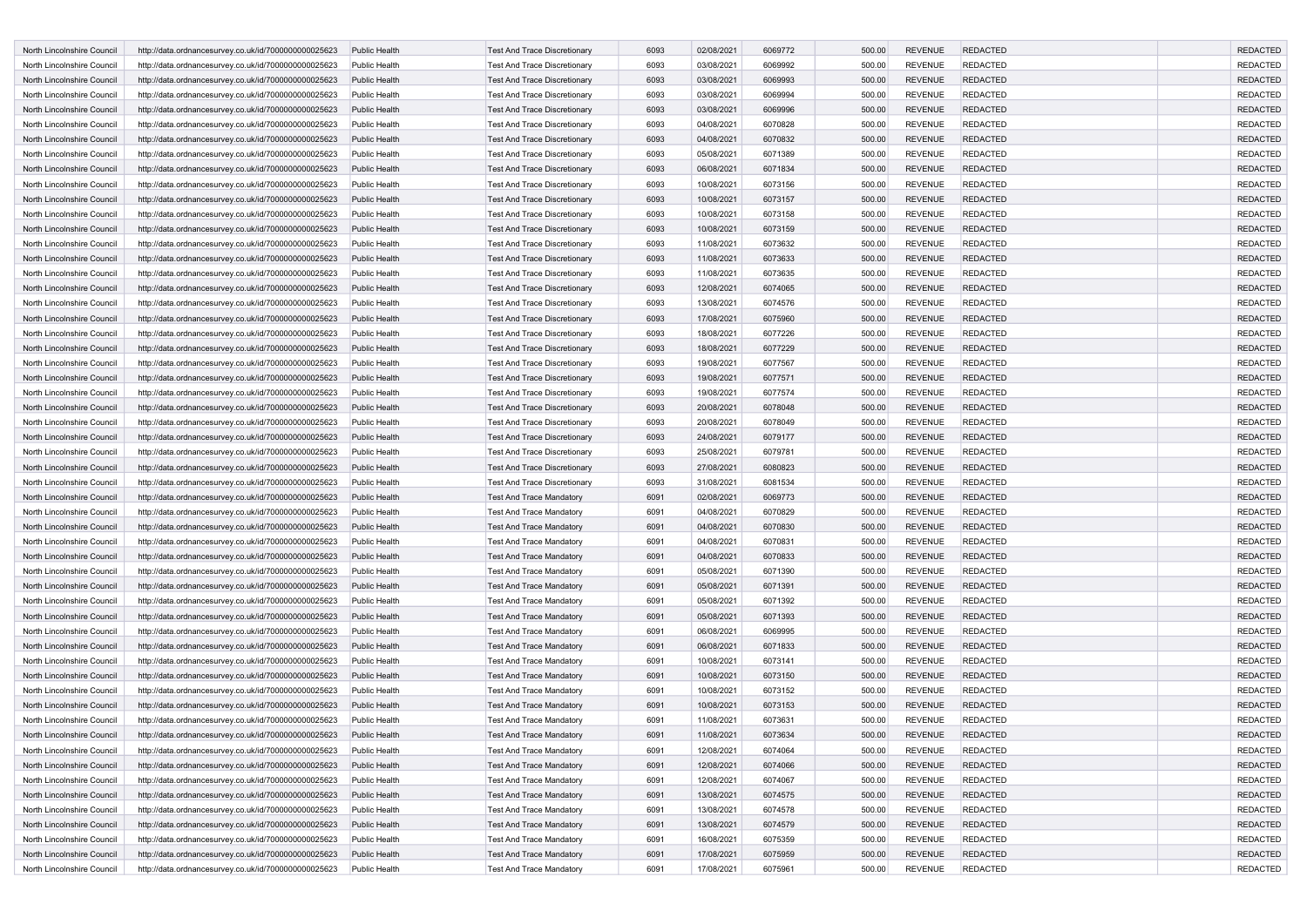| North Lincolnshire Council                               | http://data.ordnancesurvey.co.uk/id/7000000000025623                                                         | <b>Public Health</b>                  | <b>Test And Trace Discretionary</b>                                | 6093         | 02/08/202                | 6069772 | 500.00 | <b>REVENUE</b>                   | <b>REDACTED</b> | <b>REDACTED</b> |
|----------------------------------------------------------|--------------------------------------------------------------------------------------------------------------|---------------------------------------|--------------------------------------------------------------------|--------------|--------------------------|---------|--------|----------------------------------|-----------------|-----------------|
| North Lincolnshire Council                               | http://data.ordnancesurvey.co.uk/id/7000000000025623                                                         | Public Health                         | <b>Test And Trace Discretionary</b>                                | 6093         | 03/08/2021               | 6069992 | 500.00 | <b>REVENUE</b>                   | <b>REDACTED</b> | <b>REDACTED</b> |
| North Lincolnshire Council                               | http://data.ordnancesurvey.co.uk/id/7000000000025623                                                         | Public Health                         | <b>Test And Trace Discretionary</b>                                | 6093         | 03/08/2021               | 6069993 | 500.00 | <b>REVENUE</b>                   | <b>REDACTED</b> | <b>REDACTED</b> |
| North Lincolnshire Council                               | http://data.ordnancesurvey.co.uk/id/7000000000025623                                                         | Public Health                         | <b>Test And Trace Discretionary</b>                                | 6093         | 03/08/2021               | 6069994 | 500.00 | <b>REVENUE</b>                   | <b>REDACTED</b> | <b>REDACTED</b> |
| North Lincolnshire Council                               | http://data.ordnancesurvey.co.uk/id/7000000000025623                                                         | Public Health                         | <b>Test And Trace Discretionary</b>                                | 6093         | 03/08/2021               | 6069996 | 500.00 | <b>REVENUE</b>                   | <b>REDACTED</b> | <b>REDACTED</b> |
| North Lincolnshire Council                               | http://data.ordnancesurvey.co.uk/id/7000000000025623                                                         | Public Health                         | Test And Trace Discretionary                                       | 6093         | 04/08/2021               | 6070828 | 500.00 | <b>REVENUE</b>                   | <b>REDACTED</b> | <b>REDACTED</b> |
| North Lincolnshire Council                               | http://data.ordnancesurvey.co.uk/id/7000000000025623                                                         | <b>Public Health</b>                  | <b>Test And Trace Discretionary</b>                                | 6093         | 04/08/2021               | 6070832 | 500.00 | <b>REVENUE</b>                   | <b>REDACTED</b> | <b>REDACTED</b> |
| North Lincolnshire Council                               | http://data.ordnancesurvey.co.uk/id/7000000000025623                                                         | Public Health                         | <b>Test And Trace Discretionary</b>                                | 6093         | 05/08/2021               | 6071389 | 500.00 | <b>REVENUE</b>                   | <b>REDACTED</b> | <b>REDACTED</b> |
| North Lincolnshire Council                               | http://data.ordnancesurvey.co.uk/id/7000000000025623                                                         | Public Health                         | <b>Test And Trace Discretionary</b>                                | 6093         | 06/08/2021               | 6071834 | 500.00 | <b>REVENUE</b>                   | <b>REDACTED</b> | <b>REDACTED</b> |
| North Lincolnshire Council                               | http://data.ordnancesurvey.co.uk/id/7000000000025623                                                         | Public Health                         | <b>Test And Trace Discretionary</b>                                | 6093         | 10/08/2021               | 6073156 | 500.00 | <b>REVENUE</b>                   | <b>REDACTED</b> | <b>REDACTED</b> |
| North Lincolnshire Council                               | http://data.ordnancesurvey.co.uk/id/7000000000025623                                                         | Public Health                         | <b>Test And Trace Discretionary</b>                                | 6093         | 10/08/2021               | 6073157 | 500.00 | <b>REVENUE</b>                   | <b>REDACTED</b> | <b>REDACTED</b> |
| North Lincolnshire Council                               | http://data.ordnancesurvey.co.uk/id/7000000000025623                                                         | Public Health                         | <b>Test And Trace Discretionary</b>                                | 6093         | 10/08/2021               | 6073158 | 500.00 | <b>REVENUE</b>                   | <b>REDACTED</b> | <b>REDACTED</b> |
| North Lincolnshire Council                               | http://data.ordnancesurvey.co.uk/id/7000000000025623                                                         | Public Health                         | <b>Test And Trace Discretionary</b>                                | 6093         | 10/08/2021               | 6073159 | 500.00 | <b>REVENUE</b>                   | <b>REDACTED</b> | <b>REDACTED</b> |
| North Lincolnshire Council                               | http://data.ordnancesurvey.co.uk/id/7000000000025623                                                         | <b>Public Health</b>                  | <b>Test And Trace Discretionary</b>                                | 6093         | 11/08/2021               | 6073632 | 500.00 | <b>REVENUE</b>                   | <b>REDACTED</b> | <b>REDACTED</b> |
| North Lincolnshire Council                               | http://data.ordnancesurvey.co.uk/id/7000000000025623                                                         | Public Health                         | <b>Test And Trace Discretionary</b>                                | 6093         | 11/08/2021               | 6073633 | 500.00 | <b>REVENUE</b>                   | <b>REDACTED</b> | <b>REDACTED</b> |
| North Lincolnshire Council                               | http://data.ordnancesurvey.co.uk/id/7000000000025623                                                         | Public Health                         | Test And Trace Discretionary                                       | 6093         | 11/08/2021               | 6073635 | 500.00 | <b>REVENUE</b>                   | <b>REDACTED</b> | <b>REDACTED</b> |
| North Lincolnshire Council                               | http://data.ordnancesurvey.co.uk/id/7000000000025623                                                         | <b>Public Health</b>                  | <b>Test And Trace Discretionary</b>                                | 6093         | 12/08/2021               | 6074065 | 500.00 | <b>REVENUE</b>                   | <b>REDACTED</b> | <b>REDACTED</b> |
| North Lincolnshire Council                               | http://data.ordnancesurvey.co.uk/id/7000000000025623                                                         | Public Health                         | <b>Test And Trace Discretionary</b>                                | 6093         | 13/08/2021               | 6074576 | 500.00 | <b>REVENUE</b>                   | <b>REDACTED</b> | <b>REDACTED</b> |
| North Lincolnshire Council                               | http://data.ordnancesurvey.co.uk/id/7000000000025623                                                         | Public Health                         | <b>Test And Trace Discretionary</b>                                | 6093         | 17/08/2021               | 6075960 | 500.00 | <b>REVENUE</b>                   | <b>REDACTED</b> | <b>REDACTED</b> |
| North Lincolnshire Council                               | http://data.ordnancesurvey.co.uk/id/7000000000025623                                                         | Public Health                         | Test And Trace Discretionary                                       | 6093         | 18/08/2021               | 6077226 | 500.00 | <b>REVENUE</b>                   | <b>REDACTED</b> | <b>REDACTED</b> |
| North Lincolnshire Council                               | http://data.ordnancesurvey.co.uk/id/7000000000025623                                                         | Public Health                         | <b>Test And Trace Discretionary</b>                                | 6093         | 18/08/2021               | 6077229 | 500.00 | <b>REVENUE</b>                   | <b>REDACTED</b> | <b>REDACTED</b> |
| North Lincolnshire Council                               | http://data.ordnancesurvey.co.uk/id/7000000000025623                                                         | Public Health                         | Test And Trace Discretionary                                       | 6093         | 19/08/2021               | 6077567 | 500.00 | <b>REVENUE</b>                   | <b>REDACTED</b> | <b>REDACTED</b> |
| North Lincolnshire Council                               | http://data.ordnancesurvey.co.uk/id/7000000000025623                                                         | <b>Public Health</b>                  | <b>Test And Trace Discretionary</b>                                | 6093         | 19/08/2021               | 6077571 | 500.00 | <b>REVENUE</b>                   | <b>REDACTED</b> | <b>REDACTED</b> |
| North Lincolnshire Council                               | http://data.ordnancesurvey.co.uk/id/7000000000025623                                                         | Public Health                         | Test And Trace Discretionary                                       | 6093         | 19/08/2021               | 6077574 | 500.00 | <b>REVENUE</b>                   | REDACTED        | <b>REDACTED</b> |
| North Lincolnshire Council                               | http://data.ordnancesurvey.co.uk/id/7000000000025623                                                         | Public Health                         | <b>Test And Trace Discretionary</b>                                | 6093         | 20/08/2021               | 6078048 | 500.00 | <b>REVENUE</b>                   | <b>REDACTED</b> | <b>REDACTED</b> |
| North Lincolnshire Council                               | http://data.ordnancesurvey.co.uk/id/7000000000025623                                                         | Public Health                         | Test And Trace Discretionary                                       | 6093         | 20/08/2021               | 6078049 | 500.00 | <b>REVENUE</b>                   | <b>REDACTED</b> | <b>REDACTED</b> |
| North Lincolnshire Council                               | http://data.ordnancesurvey.co.uk/id/7000000000025623                                                         | <b>Public Health</b>                  | <b>Test And Trace Discretionary</b>                                | 6093         | 24/08/2021               | 6079177 | 500.00 | <b>REVENUE</b>                   | <b>REDACTED</b> | <b>REDACTED</b> |
| North Lincolnshire Council                               | http://data.ordnancesurvey.co.uk/id/7000000000025623                                                         | Public Health                         | <b>Test And Trace Discretionary</b>                                | 6093         | 25/08/2021               | 6079781 | 500.00 | <b>REVENUE</b>                   | <b>REDACTED</b> | <b>REDACTED</b> |
| North Lincolnshire Council                               | http://data.ordnancesurvey.co.uk/id/7000000000025623                                                         | <b>Public Health</b>                  | Test And Trace Discretionary                                       | 6093         | 27/08/2021               | 6080823 | 500.00 | <b>REVENUE</b>                   | <b>REDACTED</b> | <b>REDACTED</b> |
| North Lincolnshire Council                               | http://data.ordnancesurvey.co.uk/id/7000000000025623                                                         | Public Health                         | <b>Test And Trace Discretionary</b>                                | 6093         | 31/08/2021               | 6081534 | 500.00 | <b>REVENUE</b>                   | <b>REDACTED</b> | <b>REDACTED</b> |
| North Lincolnshire Council                               | http://data.ordnancesurvey.co.uk/id/7000000000025623                                                         | Public Health                         | <b>Test And Trace Mandatory</b>                                    | 6091         | 02/08/2021               | 6069773 | 500.00 | <b>REVENUE</b>                   | <b>REDACTED</b> | <b>REDACTED</b> |
| North Lincolnshire Council                               | http://data.ordnancesurvey.co.uk/id/7000000000025623                                                         | Public Health                         | <b>Test And Trace Mandatory</b>                                    | 6091         | 04/08/2021               | 6070829 | 500.00 | <b>REVENUE</b>                   | <b>REDACTED</b> | <b>REDACTED</b> |
| North Lincolnshire Council                               | http://data.ordnancesurvey.co.uk/id/7000000000025623                                                         | Public Health                         | <b>Test And Trace Mandatory</b>                                    | 6091         | 04/08/2021               | 6070830 | 500.00 | <b>REVENUE</b>                   | <b>REDACTED</b> | <b>REDACTED</b> |
| North Lincolnshire Council                               | http://data.ordnancesurvey.co.uk/id/7000000000025623                                                         | Public Health                         | <b>Test And Trace Mandatory</b>                                    | 6091         | 04/08/2021               | 6070831 | 500.00 | <b>REVENUE</b>                   | REDACTED        | <b>REDACTED</b> |
| North Lincolnshire Council                               | http://data.ordnancesurvey.co.uk/id/7000000000025623                                                         | Public Health                         | <b>Test And Trace Mandatory</b>                                    | 6091         | 04/08/2021               | 6070833 | 500.00 | <b>REVENUE</b>                   | <b>REDACTED</b> | <b>REDACTED</b> |
| North Lincolnshire Council                               | http://data.ordnancesurvey.co.uk/id/7000000000025623                                                         | Public Health                         | <b>Test And Trace Mandatory</b>                                    | 6091         | 05/08/2021               | 6071390 | 500.00 | <b>REVENUE</b>                   | <b>REDACTED</b> | <b>REDACTED</b> |
| North Lincolnshire Council                               | http://data.ordnancesurvey.co.uk/id/7000000000025623                                                         | Public Health                         | <b>Test And Trace Mandatory</b>                                    | 6091         | 05/08/2021               | 6071391 | 500.00 | <b>REVENUE</b>                   | <b>REDACTED</b> | <b>REDACTED</b> |
| North Lincolnshire Council                               | http://data.ordnancesurvey.co.uk/id/7000000000025623                                                         | <b>Public Health</b>                  | <b>Test And Trace Mandatory</b>                                    | 6091         | 05/08/2021               | 6071392 | 500.00 | <b>REVENUE</b>                   | <b>REDACTED</b> | <b>REDACTED</b> |
| North Lincolnshire Council                               | http://data.ordnancesurvey.co.uk/id/7000000000025623                                                         | <b>Public Health</b>                  | <b>Test And Trace Mandatory</b>                                    | 6091         | 05/08/2021               | 6071393 | 500.00 | <b>REVENUE</b>                   | <b>REDACTED</b> | <b>REDACTED</b> |
| North Lincolnshire Council                               | http://data.ordnancesurvey.co.uk/id/7000000000025623                                                         | Public Health                         | <b>Test And Trace Mandatory</b>                                    | 6091         | 06/08/2021               | 6069995 | 500.00 | <b>REVENUE</b>                   | <b>REDACTED</b> | <b>REDACTED</b> |
| North Lincolnshire Council                               | http://data.ordnancesurvey.co.uk/id/7000000000025623                                                         | Public Health                         | <b>Test And Trace Mandatory</b>                                    | 6091         | 06/08/2021               | 6071833 | 500.00 | <b>REVENUE</b>                   | <b>REDACTED</b> | <b>REDACTED</b> |
| North Lincolnshire Council                               | http://data.ordnancesurvey.co.uk/id/7000000000025623                                                         | Public Health                         | <b>Test And Trace Mandatory</b>                                    | 6091         | 10/08/2021               | 6073141 | 500.00 | <b>REVENUE</b>                   | <b>REDACTED</b> | <b>REDACTED</b> |
| North Lincolnshire Council                               | http://data.ordnancesurvey.co.uk/id/7000000000025623                                                         | Public Health                         | <b>Test And Trace Mandatory</b>                                    | 6091         | 10/08/2021               | 6073150 | 500.00 | <b>REVENUE</b>                   | REDACTED        | <b>REDACTED</b> |
| North Lincolnshire Council                               | http://data.ordnancesurvey.co.uk/id/7000000000025623                                                         | Public Health                         | <b>Test And Trace Mandatory</b>                                    | 6091         | 10/08/2021               | 6073152 | 500.00 | <b>REVENUE</b>                   | REDACTED        | <b>REDACTED</b> |
| North Lincolnshire Council                               | http://data.ordnancesurvey.co.uk/id/7000000000025623                                                         | Public Health                         | <b>Test And Trace Mandatory</b>                                    | 6091         | 10/08/202                | 6073153 | 500.00 | <b>REVENUE</b>                   | <b>REDACTED</b> | <b>REDACTED</b> |
|                                                          |                                                                                                              |                                       |                                                                    | 6091         |                          | 6073631 | 500.00 |                                  | <b>REDACTED</b> | <b>REDACTED</b> |
| North Lincolnshire Council<br>North Lincolnshire Council | http://data.ordnancesurvey.co.uk/id/7000000000025623                                                         | Public Health<br><b>Public Health</b> | <b>Test And Trace Mandatory</b>                                    | 6091         | 11/08/2021<br>11/08/2021 | 6073634 | 500.00 | <b>REVENUE</b><br><b>REVENUE</b> | <b>REDACTED</b> | <b>REDACTED</b> |
| North Lincolnshire Council                               | http://data.ordnancesurvey.co.uk/id/7000000000025623<br>http://data.ordnancesurvey.co.uk/id/7000000000025623 | Public Health                         | <b>Test And Trace Mandatory</b><br><b>Test And Trace Mandatory</b> | 6091         | 12/08/2021               | 6074064 | 500.00 | <b>REVENUE</b>                   | <b>REDACTED</b> | <b>REDACTED</b> |
| North Lincolnshire Council                               | http://data.ordnancesurvey.co.uk/id/7000000000025623                                                         | <b>Public Health</b>                  | <b>Test And Trace Mandatory</b>                                    |              | 12/08/2021               | 6074066 | 500.00 |                                  | <b>REDACTED</b> | <b>REDACTED</b> |
| North Lincolnshire Council                               | http://data.ordnancesurvey.co.uk/id/7000000000025623                                                         | Public Health                         | <b>Test And Trace Mandatory</b>                                    | 6091<br>6091 | 12/08/2021               | 6074067 | 500.00 | <b>REVENUE</b><br><b>REVENUE</b> | <b>REDACTED</b> | <b>REDACTED</b> |
|                                                          |                                                                                                              |                                       |                                                                    |              |                          |         |        |                                  |                 |                 |
| North Lincolnshire Council                               | http://data.ordnancesurvey.co.uk/id/7000000000025623                                                         | <b>Public Health</b>                  | <b>Test And Trace Mandatory</b>                                    | 6091         | 13/08/2021               | 6074575 | 500.00 | <b>REVENUE</b>                   | <b>REDACTED</b> | <b>REDACTED</b> |
| North Lincolnshire Council                               | http://data.ordnancesurvey.co.uk/id/7000000000025623                                                         | <b>Public Health</b>                  | <b>Test And Trace Mandatory</b>                                    | 6091         | 13/08/2021               | 6074578 | 500.00 | <b>REVENUE</b>                   | <b>REDACTED</b> | <b>REDACTED</b> |
| North Lincolnshire Council                               | http://data.ordnancesurvey.co.uk/id/7000000000025623                                                         | <b>Public Health</b>                  | <b>Test And Trace Mandatory</b>                                    | 6091         | 13/08/2021               | 6074579 | 500.00 | <b>REVENUE</b>                   | <b>REDACTED</b> | <b>REDACTED</b> |
| North Lincolnshire Council                               | http://data.ordnancesurvey.co.uk/id/7000000000025623                                                         | Public Health                         | <b>Test And Trace Mandatory</b>                                    | 6091         | 16/08/2021               | 6075359 | 500.00 | <b>REVENUE</b>                   | <b>REDACTED</b> | <b>REDACTED</b> |
| North Lincolnshire Council                               | http://data.ordnancesurvey.co.uk/id/7000000000025623                                                         | Public Health                         | <b>Test And Trace Mandatory</b>                                    | 6091         | 17/08/2021               | 6075959 | 500.00 | <b>REVENUE</b>                   | <b>REDACTED</b> | <b>REDACTED</b> |
| North Lincolnshire Council                               | http://data.ordnancesurvey.co.uk/id/7000000000025623                                                         | Public Health                         | <b>Test And Trace Mandatory</b>                                    | 6091         | 17/08/2021               | 6075961 | 500.00 | <b>REVENUE</b>                   | <b>REDACTED</b> | REDACTED        |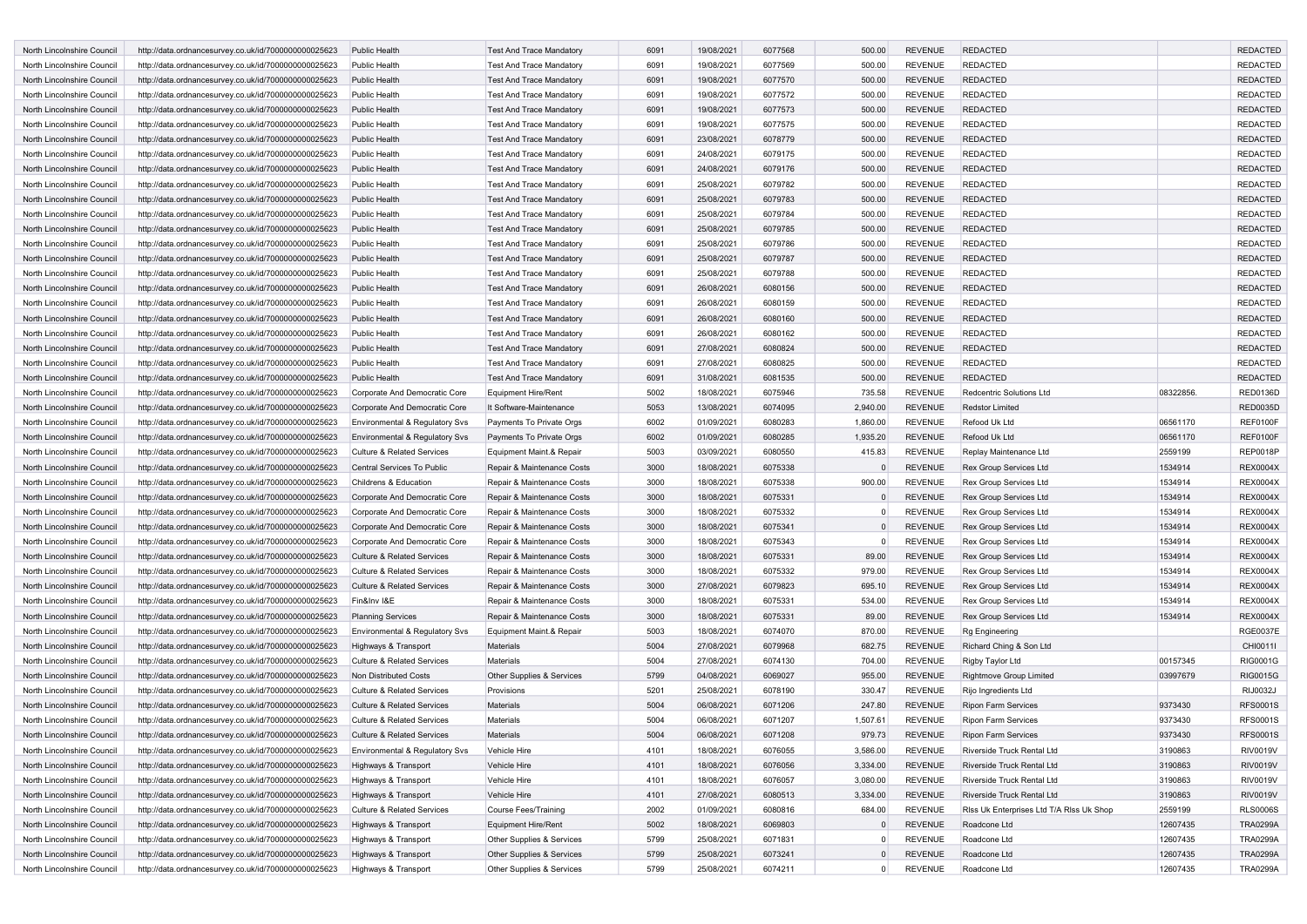| <b>North Lincolnshire Council</b>                        | http://data.ordnancesurvey.co.uk/id/7000000000025623 | Public Health                                | Test And Trace Mandatory        | 6091 | 19/08/2021 | 6077568 | 500.00         | <b>REVENUE</b> | <b>REDACTED</b>                          |           | <b>REDACTED</b> |
|----------------------------------------------------------|------------------------------------------------------|----------------------------------------------|---------------------------------|------|------------|---------|----------------|----------------|------------------------------------------|-----------|-----------------|
| North Lincolnshire Council                               | http://data.ordnancesurvey.co.uk/id/7000000000025623 | Public Health                                | <b>Test And Trace Mandatory</b> | 6091 | 19/08/2021 | 6077569 | 500.00         | <b>REVENUE</b> | <b>REDACTED</b>                          |           | <b>REDACTED</b> |
| North Lincolnshire Council                               | http://data.ordnancesurvey.co.uk/id/7000000000025623 | Public Health                                | <b>Test And Trace Mandatory</b> | 6091 | 19/08/2021 | 6077570 | 500.00         | <b>REVENUE</b> | <b>REDACTED</b>                          |           | <b>REDACTED</b> |
| North Lincolnshire Council                               | http://data.ordnancesurvey.co.uk/id/7000000000025623 | Public Health                                | <b>Test And Trace Mandatory</b> | 6091 | 19/08/2021 | 6077572 | 500.00         | <b>REVENUE</b> | <b>REDACTED</b>                          |           | <b>REDACTED</b> |
| North Lincolnshire Council                               | http://data.ordnancesurvey.co.uk/id/7000000000025623 | <b>Public Health</b>                         | <b>Test And Trace Mandatory</b> | 6091 | 19/08/2021 | 6077573 | 500.00         | <b>REVENUE</b> | <b>REDACTED</b>                          |           | <b>REDACTED</b> |
| North Lincolnshire Council                               | http://data.ordnancesurvey.co.uk/id/7000000000025623 | Public Health                                | <b>Test And Trace Mandatory</b> | 6091 | 19/08/2021 | 6077575 | 500.00         | <b>REVENUE</b> | <b>REDACTED</b>                          |           | <b>REDACTED</b> |
| North Lincolnshire Council                               | http://data.ordnancesurvey.co.uk/id/7000000000025623 | <b>Public Health</b>                         | <b>Test And Trace Mandatory</b> | 6091 | 23/08/2021 | 6078779 | 500.00         | <b>REVENUE</b> | <b>REDACTED</b>                          |           | <b>REDACTED</b> |
| North Lincolnshire Council                               | http://data.ordnancesurvey.co.uk/id/7000000000025623 | <b>Public Health</b>                         | <b>Test And Trace Mandatory</b> | 6091 | 24/08/2021 | 6079175 | 500.00         | <b>REVENUE</b> | <b>REDACTED</b>                          |           | <b>REDACTED</b> |
| North Lincolnshire Council                               | http://data.ordnancesurvey.co.uk/id/7000000000025623 | Public Health                                | <b>Test And Trace Mandatory</b> | 6091 | 24/08/2021 | 6079176 | 500.00         | <b>REVENUE</b> | <b>REDACTED</b>                          |           | <b>REDACTED</b> |
| North Lincolnshire Council                               | http://data.ordnancesurvey.co.uk/id/7000000000025623 | Public Health                                | <b>Test And Trace Mandatory</b> | 6091 | 25/08/2021 | 6079782 | 500.00         | <b>REVENUE</b> | <b>REDACTED</b>                          |           | <b>REDACTED</b> |
| North Lincolnshire Council                               | http://data.ordnancesurvey.co.uk/id/7000000000025623 | <b>Public Health</b>                         | <b>Test And Trace Mandatory</b> | 6091 | 25/08/2021 | 6079783 | 500.00         | <b>REVENUE</b> | <b>REDACTED</b>                          |           | <b>REDACTED</b> |
| North Lincolnshire Council                               | http://data.ordnancesurvey.co.uk/id/7000000000025623 | Public Health                                | <b>Test And Trace Mandatory</b> | 6091 | 25/08/2021 | 6079784 | 500.00         | <b>REVENUE</b> | <b>REDACTED</b>                          |           | <b>REDACTED</b> |
| North Lincolnshire Council                               | http://data.ordnancesurvey.co.uk/id/7000000000025623 | <b>Public Health</b>                         | <b>Test And Trace Mandatory</b> | 6091 | 25/08/2021 | 6079785 | 500.00         | <b>REVENUE</b> | <b>REDACTED</b>                          |           | <b>REDACTED</b> |
| North Lincolnshire Council                               | http://data.ordnancesurvey.co.uk/id/7000000000025623 | Public Health                                | <b>Test And Trace Mandatory</b> | 6091 | 25/08/2021 | 6079786 | 500.00         | <b>REVENUE</b> | <b>REDACTED</b>                          |           | <b>REDACTED</b> |
| North Lincolnshire Council                               | http://data.ordnancesurvey.co.uk/id/7000000000025623 | <b>Public Health</b>                         | <b>Test And Trace Mandatory</b> | 6091 | 25/08/2021 | 6079787 | 500.00         | <b>REVENUE</b> | <b>REDACTED</b>                          |           | <b>REDACTED</b> |
| North Lincolnshire Council                               | http://data.ordnancesurvey.co.uk/id/7000000000025623 | <b>Public Health</b>                         | <b>Test And Trace Mandatory</b> | 6091 | 25/08/2021 | 6079788 | 500.00         | <b>REVENUE</b> | <b>REDACTED</b>                          |           | <b>REDACTED</b> |
| North Lincolnshire Council                               | http://data.ordnancesurvey.co.uk/id/7000000000025623 | <b>Public Health</b>                         | <b>Test And Trace Mandatory</b> | 6091 | 26/08/2021 | 6080156 | 500.00         | <b>REVENUE</b> | <b>REDACTED</b>                          |           | <b>REDACTED</b> |
| North Lincolnshire Council                               | http://data.ordnancesurvey.co.uk/id/7000000000025623 | <b>Public Health</b>                         | <b>Test And Trace Mandatory</b> | 6091 | 26/08/2021 | 6080159 | 500.00         | <b>REVENUE</b> | <b>REDACTED</b>                          |           | <b>REDACTED</b> |
| North Lincolnshire Council                               | http://data.ordnancesurvey.co.uk/id/7000000000025623 | Public Health                                | <b>Test And Trace Mandatory</b> | 6091 | 26/08/2021 | 6080160 | 500.00         | <b>REVENUE</b> | <b>REDACTED</b>                          |           | <b>REDACTED</b> |
| North Lincolnshire Council                               | http://data.ordnancesurvey.co.uk/id/7000000000025623 | Public Health                                | <b>Test And Trace Mandatory</b> | 6091 | 26/08/2021 | 6080162 | 500.00         | <b>REVENUE</b> | <b>REDACTED</b>                          |           | <b>REDACTED</b> |
| North Lincolnshire Council                               | http://data.ordnancesurvey.co.uk/id/7000000000025623 | <b>Public Health</b>                         | <b>Test And Trace Mandatory</b> | 6091 | 27/08/2021 | 6080824 | 500.00         | <b>REVENUE</b> | <b>REDACTED</b>                          |           | <b>REDACTED</b> |
| North Lincolnshire Council                               | http://data.ordnancesurvey.co.uk/id/7000000000025623 | Public Health                                | <b>Test And Trace Mandatory</b> | 6091 | 27/08/2021 | 6080825 | 500.00         | <b>REVENUE</b> | <b>REDACTED</b>                          |           | <b>REDACTED</b> |
| North Lincolnshire Council                               | http://data.ordnancesurvey.co.uk/id/7000000000025623 | <b>Public Health</b>                         | <b>Test And Trace Mandatory</b> | 6091 | 31/08/2021 | 6081535 | 500.00         | <b>REVENUE</b> | <b>REDACTED</b>                          |           | <b>REDACTED</b> |
| North Lincolnshire Council                               | http://data.ordnancesurvey.co.uk/id/7000000000025623 | Corporate And Democratic Core                | <b>Equipment Hire/Rent</b>      | 5002 | 18/08/2021 | 6075946 | 735.58         | <b>REVENUE</b> | Redcentric Solutions Ltd                 | 08322856. | <b>RED0136D</b> |
| North Lincolnshire Council                               | http://data.ordnancesurvey.co.uk/id/7000000000025623 | Corporate And Democratic Core                | It Software-Maintenance         | 5053 | 13/08/2021 | 6074095 | 2,940.00       | <b>REVENUE</b> | <b>Redstor Limited</b>                   |           | <b>RED0035D</b> |
| North Lincolnshire Council                               | http://data.ordnancesurvey.co.uk/id/7000000000025623 | Environmental & Regulatory Svs               | Payments To Private Orgs        | 6002 | 01/09/2021 | 6080283 | 1,860.00       | <b>REVENUE</b> | Refood Uk Ltd                            | 06561170  | REF0100F        |
| North Lincolnshire Council                               | http://data.ordnancesurvey.co.uk/id/7000000000025623 | <b>Environmental &amp; Regulatory Svs</b>    | Payments To Private Orgs        | 6002 | 01/09/2021 | 6080285 | 1,935.20       | <b>REVENUE</b> | Refood Uk Ltd                            | 06561170  | REF0100F        |
| North Lincolnshire Council                               | http://data.ordnancesurvey.co.uk/id/7000000000025623 | <b>Culture &amp; Related Services</b>        | Equipment Maint.& Repair        | 5003 | 03/09/2021 | 6080550 | 415.83         | <b>REVENUE</b> | Replay Maintenance Ltd                   | 2559199   | <b>REP0018P</b> |
| North Lincolnshire Council                               | http://data.ordnancesurvey.co.uk/id/7000000000025623 | Central Services To Public                   | Repair & Maintenance Costs      | 3000 | 18/08/2021 | 6075338 |                | <b>REVENUE</b> | Rex Group Services Ltd                   | 1534914   | <b>REX0004X</b> |
| North Lincolnshire Council                               | http://data.ordnancesurvey.co.uk/id/7000000000025623 | Childrens & Education                        | Repair & Maintenance Costs      | 3000 | 18/08/2021 | 6075338 | 900.00         | <b>REVENUE</b> | Rex Group Services Ltd                   | 1534914   | <b>REX0004X</b> |
| North Lincolnshire Council                               | http://data.ordnancesurvey.co.uk/id/7000000000025623 | Corporate And Democratic Core                | Repair & Maintenance Costs      | 3000 | 18/08/2021 | 6075331 |                | <b>REVENUE</b> | <b>Rex Group Services Ltd</b>            | 1534914   | <b>REX0004X</b> |
| North Lincolnshire Council                               | http://data.ordnancesurvey.co.uk/id/7000000000025623 | Corporate And Democratic Core                | Repair & Maintenance Costs      | 3000 | 18/08/2021 | 6075332 |                | <b>REVENUE</b> | Rex Group Services Ltd                   | 1534914   | <b>REX0004X</b> |
| North Lincolnshire Council                               | http://data.ordnancesurvey.co.uk/id/7000000000025623 | Corporate And Democratic Core                | Repair & Maintenance Costs      | 3000 | 18/08/2021 | 6075341 | $\Omega$       | <b>REVENUE</b> | Rex Group Services Ltd                   | 1534914   | <b>REX0004X</b> |
| North Lincolnshire Council                               | http://data.ordnancesurvey.co.uk/id/7000000000025623 | Corporate And Democratic Core                | Repair & Maintenance Costs      | 3000 | 18/08/2021 | 6075343 |                | <b>REVENUE</b> | Rex Group Services Ltd                   | 1534914   | <b>REX0004X</b> |
| North Lincolnshire Council                               | http://data.ordnancesurvey.co.uk/id/7000000000025623 | <b>Culture &amp; Related Services</b>        | Repair & Maintenance Costs      | 3000 | 18/08/2021 | 6075331 | 89.00          | <b>REVENUE</b> | Rex Group Services Ltd                   | 1534914   | <b>REX0004X</b> |
| North Lincolnshire Council                               | http://data.ordnancesurvey.co.uk/id/7000000000025623 | <b>Culture &amp; Related Services</b>        | Repair & Maintenance Costs      | 3000 | 18/08/2021 | 6075332 | 979.00         | <b>REVENUE</b> | <b>Rex Group Services Ltd</b>            | 1534914   | <b>REX0004X</b> |
| North Lincolnshire Council                               | http://data.ordnancesurvey.co.uk/id/7000000000025623 | <b>Culture &amp; Related Services</b>        | Repair & Maintenance Costs      | 3000 | 27/08/2021 | 6079823 | 695.10         | <b>REVENUE</b> | Rex Group Services Ltd                   | 1534914   | <b>REX0004X</b> |
| North Lincolnshire Council                               | http://data.ordnancesurvey.co.uk/id/7000000000025623 | Fin&Inv I&E                                  | Repair & Maintenance Costs      | 3000 | 18/08/2021 | 6075331 | 534.00         | <b>REVENUE</b> | Rex Group Services Ltd                   | 1534914   | <b>REX0004X</b> |
| North Lincolnshire Council                               | http://data.ordnancesurvey.co.uk/id/7000000000025623 | <b>Planning Services</b>                     | Repair & Maintenance Costs      | 3000 | 18/08/2021 | 6075331 | 89.00          | <b>REVENUE</b> | Rex Group Services Ltd                   | 1534914   | <b>REX0004X</b> |
| North Lincolnshire Council                               | http://data.ordnancesurvey.co.uk/id/7000000000025623 | Environmental & Regulatory Svs               | Equipment Maint.& Repair        | 5003 | 18/08/2021 | 6074070 | 870.00         | <b>REVENUE</b> | <b>Rg Engineering</b>                    |           | <b>RGE0037E</b> |
| North Lincolnshire Council                               | http://data.ordnancesurvey.co.uk/id/7000000000025623 | Highways & Transport                         | Materials                       | 5004 | 27/08/2021 | 6079968 | 682.75         | <b>REVENUE</b> | Richard Ching & Son Ltd                  |           | CHI0011I        |
| North Lincolnshire Council                               | http://data.ordnancesurvey.co.uk/id/7000000000025623 | <b>Culture &amp; Related Services</b>        | Materials                       | 5004 | 27/08/2021 | 6074130 | 704.00         | <b>REVENUE</b> | Rigby Taylor Ltd                         | 00157345  | <b>RIG0001G</b> |
| North Lincolnshire Council                               | http://data.ordnancesurvey.co.uk/id/7000000000025623 | Non Distributed Costs                        | Other Supplies & Services       | 5799 | 04/08/2021 | 6069027 | 955.00         | <b>REVENUE</b> | <b>Rightmove Group Limited</b>           | 03997679  | <b>RIG0015G</b> |
| North Lincolnshire Council                               | http://data.ordnancesurvey.co.uk/id/7000000000025623 | <b>Culture &amp; Related Services</b>        | Provisions                      | 5201 | 25/08/2021 | 6078190 | 330.47         | <b>REVENUE</b> | Rijo Ingredients Ltd                     |           | <b>RIJ0032J</b> |
| North Lincolnshire Council                               | http://data.ordnancesurvey.co.uk/id/7000000000025623 | <b>Culture &amp; Related Services</b>        | Materials                       | 5004 | 06/08/2021 | 6071206 | 247.80         | <b>REVENUE</b> | <b>Ripon Farm Services</b>               | 9373430   | <b>RFS0001S</b> |
| North Lincolnshire Council                               | http://data.ordnancesurvey.co.uk/id/7000000000025623 | <b>Culture &amp; Related Services</b>        | Materials                       | 5004 | 06/08/2021 | 6071207 | 1,507.61       | <b>REVENUE</b> | <b>Ripon Farm Services</b>               | 9373430   | <b>RFS0001S</b> |
| North Lincolnshire Council                               | http://data.ordnancesurvey.co.uk/id/7000000000025623 | <b>Culture &amp; Related Services</b>        | <b>Materials</b>                | 5004 | 06/08/2021 | 6071208 | 979.73         | <b>REVENUE</b> | <b>Ripon Farm Services</b>               | 9373430   | <b>RFS0001S</b> |
| North Lincolnshire Council                               | http://data.ordnancesurvey.co.uk/id/7000000000025623 | Environmental & Regulatory Svs               | Vehicle Hire                    | 4101 | 18/08/2021 | 6076055 | 3,586.00       | REVENUE        | Riverside Truck Rental Ltd               | 3190863   | <b>RIV0019V</b> |
| North Lincolnshire Council                               | http://data.ordnancesurvey.co.uk/id/7000000000025623 | Highways & Transport                         | Vehicle Hire                    | 4101 | 18/08/2021 | 6076056 | 3,334.00       | <b>REVENUE</b> | Riverside Truck Rental Ltd               | 3190863   | <b>RIV0019V</b> |
| North Lincolnshire Council                               | http://data.ordnancesurvey.co.uk/id/7000000000025623 | Highways & Transport                         | Vehicle Hire                    | 4101 | 18/08/2021 | 6076057 | 3,080.00       | <b>REVENUE</b> | Riverside Truck Rental Ltd               | 3190863   | <b>RIV0019V</b> |
| North Lincolnshire Council                               | http://data.ordnancesurvey.co.uk/id/7000000000025623 | Highways & Transport                         | Vehicle Hire                    | 4101 | 27/08/2021 | 6080513 | 3,334.00       | <b>REVENUE</b> | Riverside Truck Rental Ltd               | 3190863   | <b>RIV0019V</b> |
| North Lincolnshire Council                               | http://data.ordnancesurvey.co.uk/id/7000000000025623 | Culture & Related Services                   | <b>Course Fees/Training</b>     | 2002 | 01/09/2021 | 6080816 | 684.00         | <b>REVENUE</b> | Riss Uk Enterprises Ltd T/A Riss Uk Shop | 2559199   | <b>RLS0006S</b> |
|                                                          | http://data.ordnancesurvey.co.uk/id/7000000000025623 |                                              | <b>Equipment Hire/Rent</b>      | 5002 | 18/08/2021 | 6069803 | $\mathbf{0}$   | REVENUE        | Roadcone Ltd                             | 12607435  | <b>TRA0299A</b> |
| North Lincolnshire Council<br>North Lincolnshire Council | http://data.ordnancesurvey.co.uk/id/7000000000025623 | Highways & Transport<br>Highways & Transport | Other Supplies & Services       | 5799 | 25/08/2021 | 6071831 | $\Omega$       | <b>REVENUE</b> | Roadcone Ltd                             | 12607435  | <b>TRA0299A</b> |
| North Lincolnshire Council                               | http://data.ordnancesurvey.co.uk/id/7000000000025623 | Highways & Transport                         | Other Supplies & Services       | 5799 | 25/08/2021 | 6073241 | $\mathbf{0}$   | <b>REVENUE</b> | Roadcone Ltd                             | 12607435  | <b>TRA0299A</b> |
| North Lincolnshire Council                               | http://data.ordnancesurvey.co.uk/id/7000000000025623 | Highways & Transport                         | Other Supplies & Services       | 5799 | 25/08/2021 | 6074211 | $\overline{0}$ | <b>REVENUE</b> | Roadcone Ltd                             | 12607435  | <b>TRA0299A</b> |
|                                                          |                                                      |                                              |                                 |      |            |         |                |                |                                          |           |                 |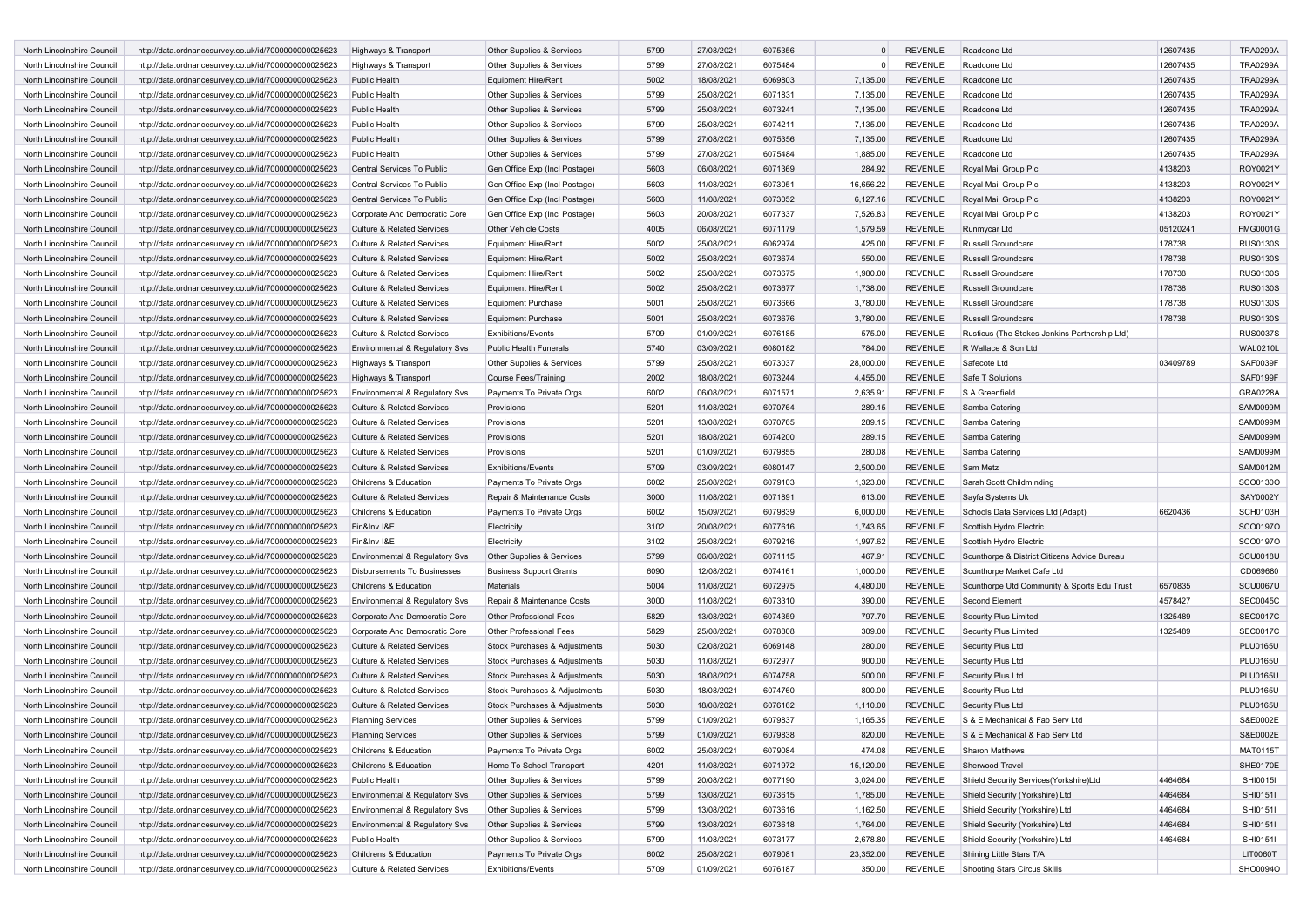| North Lincolnshire Council | http://data.ordnancesurvey.co.uk/id/7000000000025623 | Highways & Transport                      | Other Supplies & Services      | 5799 | 27/08/2021 | 6075356 | $\Omega$    | <b>REVENUE</b> | Roadcone Ltd                                  | 12607435 | <b>TRA0299A</b> |
|----------------------------|------------------------------------------------------|-------------------------------------------|--------------------------------|------|------------|---------|-------------|----------------|-----------------------------------------------|----------|-----------------|
| North Lincolnshire Council | http://data.ordnancesurvey.co.uk/id/7000000000025623 | Highways & Transport                      | Other Supplies & Services      | 5799 | 27/08/2021 | 6075484 | $\mathbf 0$ | REVENUE        | Roadcone Ltd                                  | 12607435 | <b>TRA0299A</b> |
| North Lincolnshire Council | http://data.ordnancesurvey.co.uk/id/7000000000025623 | Public Health                             | <b>Equipment Hire/Rent</b>     | 5002 | 18/08/2021 | 6069803 | 7,135.00    | <b>REVENUE</b> | Roadcone Ltd                                  | 12607435 | <b>TRA0299A</b> |
| North Lincolnshire Council | http://data.ordnancesurvey.co.uk/id/7000000000025623 | <b>Public Health</b>                      | Other Supplies & Services      | 5799 | 25/08/2021 | 6071831 | 7,135.00    | <b>REVENUE</b> | Roadcone Ltd                                  | 12607435 | <b>TRA0299A</b> |
| North Lincolnshire Council | http://data.ordnancesurvey.co.uk/id/7000000000025623 | <b>Public Health</b>                      | Other Supplies & Services      | 5799 | 25/08/2021 | 6073241 | 7,135.00    | <b>REVENUE</b> | Roadcone Ltd                                  | 12607435 | <b>TRA0299A</b> |
| North Lincolnshire Council | http://data.ordnancesurvey.co.uk/id/7000000000025623 | <b>Public Health</b>                      | Other Supplies & Services      | 5799 | 25/08/2021 | 6074211 | 7,135.00    | <b>REVENUE</b> | Roadcone Ltd                                  | 12607435 | <b>TRA0299A</b> |
| North Lincolnshire Council | http://data.ordnancesurvey.co.uk/id/7000000000025623 | <b>Public Health</b>                      | Other Supplies & Services      | 5799 | 27/08/2021 | 6075356 | 7,135.00    | <b>REVENUE</b> | Roadcone Ltd                                  | 12607435 | <b>TRA0299A</b> |
| North Lincolnshire Council | http://data.ordnancesurvey.co.uk/id/7000000000025623 | Public Health                             | Other Supplies & Services      | 5799 | 27/08/2021 | 6075484 | 1,885.00    | REVENUE        | Roadcone Ltd                                  | 12607435 | <b>TRA0299A</b> |
| North Lincolnshire Council | http://data.ordnancesurvey.co.uk/id/7000000000025623 | Central Services To Public                | Gen Office Exp (Incl Postage)  | 5603 | 06/08/2021 | 6071369 | 284.92      | <b>REVENUE</b> | Royal Mail Group Plc                          | 4138203  | ROY0021Y        |
| North Lincolnshire Council | http://data.ordnancesurvey.co.uk/id/7000000000025623 | Central Services To Public                | Gen Office Exp (Incl Postage)  | 5603 | 11/08/2021 | 6073051 | 16,656.22   | <b>REVENUE</b> | Royal Mail Group Plc                          | 4138203  | ROY0021Y        |
| North Lincolnshire Council | http://data.ordnancesurvey.co.uk/id/7000000000025623 | Central Services To Public                | Gen Office Exp (Incl Postage)  | 5603 | 11/08/2021 | 6073052 | 6,127.16    | <b>REVENUE</b> | Royal Mail Group Plc                          | 4138203  | ROY0021Y        |
|                            |                                                      |                                           | Gen Office Exp (Incl Postage)  |      |            |         |             |                |                                               |          | ROY0021Y        |
| North Lincolnshire Council | http://data.ordnancesurvey.co.uk/id/7000000000025623 | Corporate And Democratic Core             |                                | 5603 | 20/08/2021 | 6077337 | 7,526.83    | <b>REVENUE</b> | Royal Mail Group Plc                          | 4138203  |                 |
| North Lincolnshire Council | http://data.ordnancesurvey.co.uk/id/7000000000025623 | <b>Culture &amp; Related Services</b>     | <b>Other Vehicle Costs</b>     | 4005 | 06/08/2021 | 6071179 | 1,579.59    | REVENUE        | Runmycar Ltd                                  | 05120241 | <b>FMG0001G</b> |
| North Lincolnshire Council | http://data.ordnancesurvey.co.uk/id/7000000000025623 | Culture & Related Services                | <b>Equipment Hire/Rent</b>     | 5002 | 25/08/2021 | 6062974 | 425.00      | <b>REVENUE</b> | Russell Groundcare                            | 178738   | <b>RUS0130S</b> |
| North Lincolnshire Council | http://data.ordnancesurvey.co.uk/id/7000000000025623 | <b>Culture &amp; Related Services</b>     | <b>Equipment Hire/Rent</b>     | 5002 | 25/08/2021 | 6073674 | 550.00      | <b>REVENUE</b> | Russell Groundcare                            | 178738   | <b>RUS0130S</b> |
| North Lincolnshire Council | http://data.ordnancesurvey.co.uk/id/7000000000025623 | <b>Culture &amp; Related Services</b>     | <b>Equipment Hire/Rent</b>     | 5002 | 25/08/2021 | 6073675 | 1,980.00    | <b>REVENUE</b> | Russell Groundcare                            | 178738   | <b>RUS0130S</b> |
| North Lincolnshire Council | http://data.ordnancesurvey.co.uk/id/7000000000025623 | <b>Culture &amp; Related Services</b>     | <b>Equipment Hire/Rent</b>     | 5002 | 25/08/2021 | 6073677 | 1,738.00    | <b>REVENUE</b> | <b>Russell Groundcare</b>                     | 178738   | <b>RUS0130S</b> |
| North Lincolnshire Council | http://data.ordnancesurvey.co.uk/id/7000000000025623 | <b>Culture &amp; Related Services</b>     | <b>Equipment Purchase</b>      | 5001 | 25/08/2021 | 6073666 | 3,780.00    | REVENUE        | Russell Groundcare                            | 178738   | <b>RUS0130S</b> |
| North Lincolnshire Council | http://data.ordnancesurvey.co.uk/id/7000000000025623 | <b>Culture &amp; Related Services</b>     | <b>Equipment Purchase</b>      | 5001 | 25/08/2021 | 6073676 | 3,780.00    | <b>REVENUE</b> | <b>Russell Groundcare</b>                     | 178738   | <b>RUS0130S</b> |
| North Lincolnshire Council | http://data.ordnancesurvey.co.uk/id/7000000000025623 | <b>Culture &amp; Related Services</b>     | <b>Exhibitions/Events</b>      | 5709 | 01/09/2021 | 6076185 | 575.00      | <b>REVENUE</b> | Rusticus (The Stokes Jenkins Partnership Ltd) |          | <b>RUS0037S</b> |
| North Lincolnshire Council | http://data.ordnancesurvey.co.uk/id/7000000000025623 | <b>Environmental &amp; Regulatory Svs</b> | <b>Public Health Funerals</b>  | 5740 | 03/09/2021 | 6080182 | 784.00      | <b>REVENUE</b> | R Wallace & Son Ltd                           |          | <b>WAL0210L</b> |
| North Lincolnshire Council | http://data.ordnancesurvey.co.uk/id/7000000000025623 | Highways & Transport                      | Other Supplies & Services      | 5799 | 25/08/2021 | 6073037 | 28,000.00   | <b>REVENUE</b> | Safecote Ltd                                  | 03409789 | <b>SAF0039F</b> |
| North Lincolnshire Council | http://data.ordnancesurvey.co.uk/id/7000000000025623 | Highways & Transport                      | Course Fees/Training           | 2002 | 18/08/2021 | 6073244 | 4,455.00    | <b>REVENUE</b> | Safe T Solutions                              |          | SAF0199F        |
| North Lincolnshire Council | http://data.ordnancesurvey.co.uk/id/7000000000025623 | Environmental & Regulatory Svs            | Payments To Private Orgs       | 6002 | 06/08/2021 | 6071571 | 2,635.91    | <b>REVENUE</b> | S A Greenfield                                |          | GRA0228A        |
| North Lincolnshire Council | http://data.ordnancesurvey.co.uk/id/7000000000025623 | <b>Culture &amp; Related Services</b>     | Provisions                     | 5201 | 11/08/2021 | 6070764 | 289.15      | <b>REVENUE</b> | Samba Catering                                |          | <b>SAM0099M</b> |
| North Lincolnshire Council | http://data.ordnancesurvey.co.uk/id/7000000000025623 | <b>Culture &amp; Related Services</b>     | Provisions                     | 5201 | 13/08/2021 | 6070765 | 289.15      | <b>REVENUE</b> | Samba Catering                                |          | <b>SAM0099M</b> |
| North Lincolnshire Council | http://data.ordnancesurvey.co.uk/id/7000000000025623 | <b>Culture &amp; Related Services</b>     | Provisions                     | 5201 | 18/08/2021 | 6074200 | 289.15      | <b>REVENUE</b> | Samba Catering                                |          | <b>SAM0099M</b> |
| North Lincolnshire Council | http://data.ordnancesurvey.co.uk/id/7000000000025623 | <b>Culture &amp; Related Services</b>     | Provisions                     | 5201 | 01/09/2021 | 6079855 | 280.08      | <b>REVENUE</b> | Samba Catering                                |          | <b>SAM0099M</b> |
| North Lincolnshire Council |                                                      | <b>Culture &amp; Related Services</b>     | <b>Exhibitions/Events</b>      | 5709 | 03/09/2021 | 6080147 | 2,500.00    | <b>REVENUE</b> | Sam Metz                                      |          | <b>SAM0012M</b> |
|                            | http://data.ordnancesurvey.co.uk/id/7000000000025623 |                                           |                                |      |            |         |             |                | Sarah Scott Childminding                      |          | SCO0130O        |
| North Lincolnshire Council | http://data.ordnancesurvey.co.uk/id/7000000000025623 | Childrens & Education                     | Payments To Private Orgs       | 6002 | 25/08/2021 | 6079103 | 1,323.00    | <b>REVENUE</b> |                                               |          |                 |
| North Lincolnshire Council | http://data.ordnancesurvey.co.uk/id/7000000000025623 | <b>Culture &amp; Related Services</b>     | Repair & Maintenance Costs     | 3000 | 11/08/2021 | 6071891 | 613.00      | <b>REVENUE</b> | Sayfa Systems Uk                              |          | SAY0002Y        |
| North Lincolnshire Council | http://data.ordnancesurvey.co.uk/id/7000000000025623 | Childrens & Education                     | Payments To Private Orgs       | 6002 | 15/09/2021 | 6079839 | 6,000.00    | <b>REVENUE</b> | Schools Data Services Ltd (Adapt)             | 6620436  | <b>SCH0103H</b> |
| North Lincolnshire Council | http://data.ordnancesurvey.co.uk/id/7000000000025623 | Fin&Inv I&E                               | Electricity                    | 3102 | 20/08/2021 | 6077616 | 1,743.65    | REVENUE        | Scottish Hydro Electric                       |          | SCO0197O        |
| North Lincolnshire Council | http://data.ordnancesurvey.co.uk/id/7000000000025623 | Fin&Inv I&E                               | Electricity                    | 3102 | 25/08/2021 | 6079216 | 1,997.62    | <b>REVENUE</b> | Scottish Hydro Electric                       |          | SCO0197O        |
| North Lincolnshire Council | http://data.ordnancesurvey.co.uk/id/7000000000025623 | Environmental & Regulatory Svs            | Other Supplies & Services      | 5799 | 06/08/2021 | 6071115 | 467.91      | <b>REVENUE</b> | Scunthorpe & District Citizens Advice Bureau  |          | <b>SCU0018U</b> |
| North Lincolnshire Council | http://data.ordnancesurvey.co.uk/id/7000000000025623 | Disbursements To Businesses               | <b>Business Support Grants</b> | 6090 | 12/08/2021 | 6074161 | 1,000.00    | <b>REVENUE</b> | Scunthorpe Market Cafe Ltd                    |          | CD069680        |
| North Lincolnshire Council | http://data.ordnancesurvey.co.uk/id/7000000000025623 | Childrens & Education                     | Materials                      | 5004 | 11/08/2021 | 6072975 | 4,480.00    | <b>REVENUE</b> | Scunthorpe Utd Community & Sports Edu Trust   | 6570835  | <b>SCU0067U</b> |
| North Lincolnshire Council | http://data.ordnancesurvey.co.uk/id/7000000000025623 | Environmental & Regulatory Svs            | Repair & Maintenance Costs     | 3000 | 11/08/2021 | 6073310 | 390.00      | REVENUE        | Second Element                                | 4578427  | <b>SEC0045C</b> |
| North Lincolnshire Council | http://data.ordnancesurvey.co.uk/id/7000000000025623 | Corporate And Democratic Core             | <b>Other Professional Fees</b> | 5829 | 13/08/2021 | 6074359 | 797.70      | <b>REVENUE</b> | Security Plus Limited                         | 1325489  | <b>SEC0017C</b> |
| North Lincolnshire Council | http://data.ordnancesurvey.co.uk/id/7000000000025623 | Corporate And Democratic Core             | Other Professional Fees        | 5829 | 25/08/2021 | 6078808 | 309.00      | <b>REVENUE</b> | Security Plus Limited                         | 1325489  | <b>SEC0017C</b> |
| North Lincolnshire Council | http://data.ordnancesurvey.co.uk/id/7000000000025623 | <b>Culture &amp; Related Services</b>     | Stock Purchases & Adjustments  | 5030 | 02/08/2021 | 6069148 | 280.00      | <b>REVENUE</b> | Security Plus Ltd                             |          | <b>PLU0165U</b> |
| North Lincolnshire Council | http://data.ordnancesurvey.co.uk/id/7000000000025623 | <b>Culture &amp; Related Services</b>     | Stock Purchases & Adjustments  | 5030 | 11/08/2021 | 6072977 | 900.00      | <b>REVENUE</b> | Security Plus Ltd                             |          | <b>PLU0165U</b> |
| North Lincolnshire Council | http://data.ordnancesurvey.co.uk/id/7000000000025623 | <b>Culture &amp; Related Services</b>     | Stock Purchases & Adjustments  | 5030 | 18/08/2021 | 6074758 | 500.00      | REVENUE        | Security Plus Ltd                             |          | <b>PLU0165U</b> |
| North Lincolnshire Council | http://data.ordnancesurvey.co.uk/id/7000000000025623 | <b>Culture &amp; Related Services</b>     | Stock Purchases & Adjustments  | 5030 | 18/08/2021 | 6074760 | 800.00      | REVENUE        | Security Plus Ltd                             |          | <b>PLU0165U</b> |
| North Lincolnshire Council | http://data.ordnancesurvey.co.uk/id/7000000000025623 | <b>Culture &amp; Related Services</b>     | Stock Purchases & Adjustments  | 5030 | 18/08/2021 | 6076162 | 1,110.00    | <b>REVENUE</b> | Security Plus Ltd                             |          | <b>PLU0165U</b> |
| North Lincolnshire Council | http://data.ordnancesurvey.co.uk/id/7000000000025623 | <b>Planning Services</b>                  | Other Supplies & Services      | 5799 | 01/09/2021 | 6079837 | 1,165.35    | <b>REVENUE</b> | S & E Mechanical & Fab Serv Ltd               |          | S&E0002E        |
| North Lincolnshire Council | http://data.ordnancesurvey.co.uk/id/7000000000025623 | <b>Planning Services</b>                  | Other Supplies & Services      | 5799 | 01/09/2021 | 6079838 | 820.00      | <b>REVENUE</b> | S & E Mechanical & Fab Serv Ltd               |          | S&E0002E        |
|                            |                                                      |                                           |                                |      |            |         |             |                |                                               |          |                 |
| North Lincolnshire Council | http://data.ordnancesurvey.co.uk/id/7000000000025623 | Childrens & Education                     | Payments To Private Orgs       | 6002 | 25/08/2021 | 6079084 | 474.08      | REVENUE        | <b>Sharon Matthews</b>                        |          | MAT0115T        |
| North Lincolnshire Council | http://data.ordnancesurvey.co.uk/id/7000000000025623 | Childrens & Education                     | Home To School Transport       | 4201 | 11/08/2021 | 6071972 | 15,120.00   | REVENUE        | Sherwood Travel                               |          | SHE0170E        |
| North Lincolnshire Council | http://data.ordnancesurvey.co.uk/id/7000000000025623 | Public Health                             | Other Supplies & Services      | 5799 | 20/08/2021 | 6077190 | 3,024.00    | REVENUE        | Shield Security Services(Yorkshire)Ltd        | 4464684  | SHI0015I        |
| North Lincolnshire Council | http://data.ordnancesurvey.co.uk/id/7000000000025623 | Environmental & Regulatory Svs            | Other Supplies & Services      | 5799 | 13/08/2021 | 6073615 | 1,785.00    | REVENUE        | Shield Security (Yorkshire) Ltd               | 4464684  | SHI0151I        |
| North Lincolnshire Council | http://data.ordnancesurvey.co.uk/id/7000000000025623 | Environmental & Regulatory Svs            | Other Supplies & Services      | 5799 | 13/08/2021 | 6073616 | 1,162.50    | REVENUE        | Shield Security (Yorkshire) Ltd               | 4464684  | SHI0151I        |
| North Lincolnshire Council | http://data.ordnancesurvey.co.uk/id/7000000000025623 | <b>Environmental &amp; Regulatory Svs</b> | Other Supplies & Services      | 5799 | 13/08/2021 | 6073618 | 1,764.00    | REVENUE        | Shield Security (Yorkshire) Ltd               | 4464684  | SHI0151I        |
| North Lincolnshire Council | http://data.ordnancesurvey.co.uk/id/7000000000025623 | Public Health                             | Other Supplies & Services      | 5799 | 11/08/2021 | 6073177 | 2,678.80    | REVENUE        | Shield Security (Yorkshire) Ltd               | 4464684  | SHI0151I        |
| North Lincolnshire Council | http://data.ordnancesurvey.co.uk/id/7000000000025623 | Childrens & Education                     | Payments To Private Orgs       | 6002 | 25/08/2021 | 6079081 | 23,352.00   | REVENUE        | Shining Little Stars T/A                      |          | LIT0060T        |
| North Lincolnshire Council | http://data.ordnancesurvey.co.uk/id/7000000000025623 | Culture & Related Services                | Exhibitions/Events             | 5709 | 01/09/2021 | 6076187 | 350.00      | REVENUE        | Shooting Stars Circus Skills                  |          | SHO0094O        |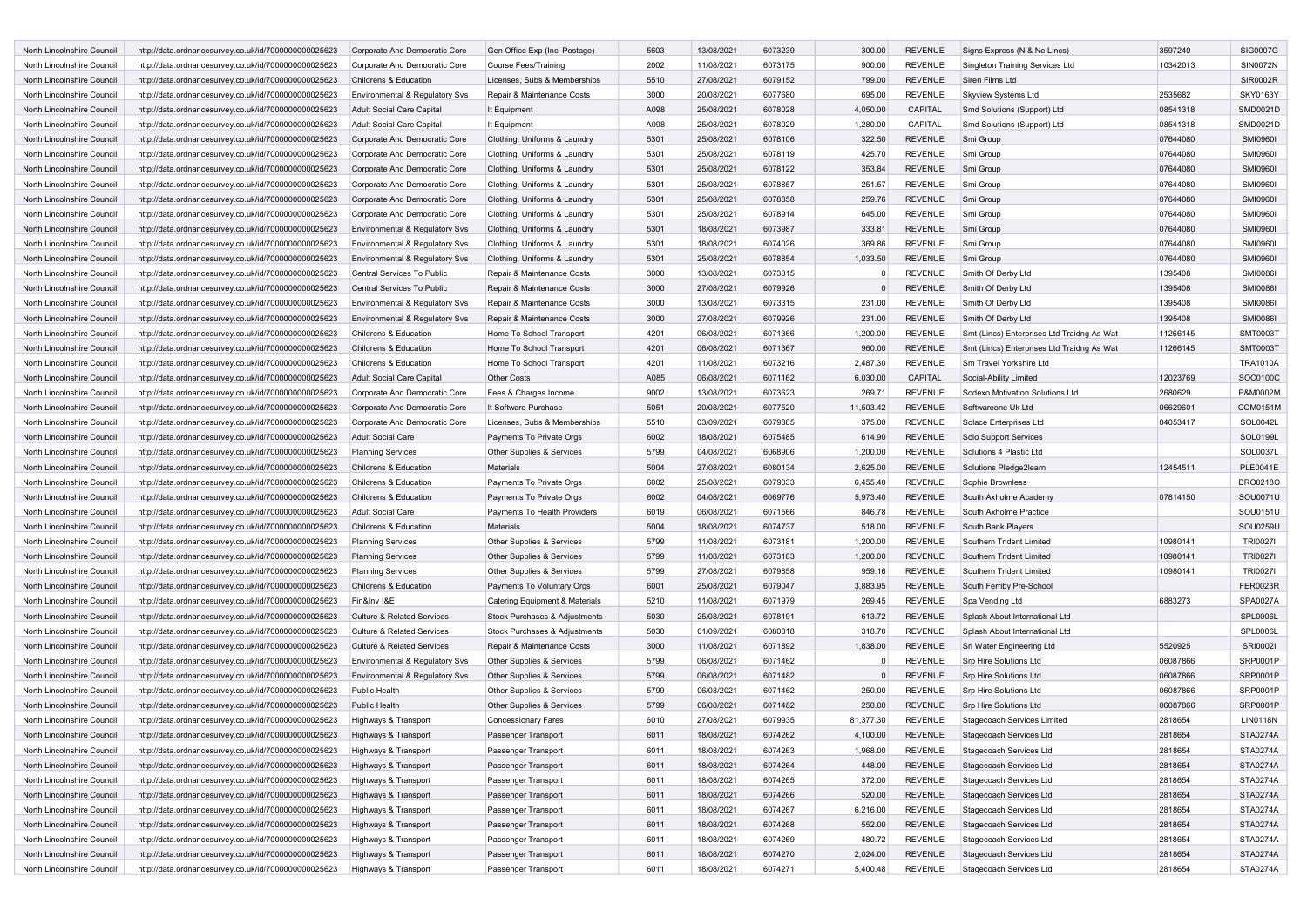| North Lincolnshire Council | http://data.ordnancesurvey.co.uk/id/7000000000025623 | Corporate And Democratic Core             | Gen Office Exp (Incl Postage)  | 5603 | 13/08/2021 | 6073239 | 300.00    | <b>REVENUE</b> | Signs Express (N & Ne Lincs)               | 3597240  | SIG0007G        |
|----------------------------|------------------------------------------------------|-------------------------------------------|--------------------------------|------|------------|---------|-----------|----------------|--------------------------------------------|----------|-----------------|
| North Lincolnshire Council | http://data.ordnancesurvey.co.uk/id/7000000000025623 | Corporate And Democratic Core             | Course Fees/Training           | 2002 | 11/08/2021 | 6073175 | 900.00    | REVENUE        | <b>Singleton Training Services Ltd</b>     | 10342013 | <b>SIN0072N</b> |
| North Lincolnshire Council | http://data.ordnancesurvey.co.uk/id/7000000000025623 | Childrens & Education                     | Licenses, Subs & Memberships   | 5510 | 27/08/2021 | 6079152 | 799.00    | <b>REVENUE</b> | Siren Films Ltd                            |          | SIR0002R        |
| North Lincolnshire Council | http://data.ordnancesurvey.co.uk/id/7000000000025623 | Environmental & Regulatory Svs            | Repair & Maintenance Costs     | 3000 | 20/08/2021 | 6077680 | 695.00    | <b>REVENUE</b> | Skyview Systems Ltd                        | 2535682  | <b>SKY0163Y</b> |
| North Lincolnshire Council | http://data.ordnancesurvey.co.uk/id/7000000000025623 | <b>Adult Social Care Capital</b>          | It Equipment                   | A098 | 25/08/2021 | 6078028 | 4,050.00  | CAPITAL        | Smd Solutions (Support) Ltd                | 08541318 | SMD0021D        |
| North Lincolnshire Council | http://data.ordnancesurvey.co.uk/id/7000000000025623 | <b>Adult Social Care Capital</b>          | It Equipment                   | A098 | 25/08/2021 | 6078029 | 1,280.00  | CAPITAL        | Smd Solutions (Support) Ltd                | 08541318 | SMD0021D        |
| North Lincolnshire Council | http://data.ordnancesurvey.co.uk/id/7000000000025623 | Corporate And Democratic Core             | Clothing, Uniforms & Laundry   | 5301 | 25/08/2021 | 6078106 | 322.50    | <b>REVENUE</b> | Smi Group                                  | 07644080 | <b>SMI09601</b> |
| North Lincolnshire Council | http://data.ordnancesurvey.co.uk/id/7000000000025623 | Corporate And Democratic Core             | Clothing, Uniforms & Laundry   | 5301 | 25/08/2021 | 6078119 | 425.70    | REVENUE        | Smi Group                                  | 07644080 | <b>SMI09601</b> |
| North Lincolnshire Council | http://data.ordnancesurvey.co.uk/id/7000000000025623 | Corporate And Democratic Core             | Clothing, Uniforms & Laundry   | 5301 | 25/08/2021 | 6078122 | 353.84    | <b>REVENUE</b> | Smi Group                                  | 07644080 | <b>SMI09601</b> |
| North Lincolnshire Council | http://data.ordnancesurvey.co.uk/id/7000000000025623 | Corporate And Democratic Core             | Clothing, Uniforms & Laundry   | 5301 | 25/08/2021 | 6078857 | 251.57    | <b>REVENUE</b> | Smi Group                                  | 07644080 | <b>SMI09601</b> |
| North Lincolnshire Council | http://data.ordnancesurvey.co.uk/id/7000000000025623 | Corporate And Democratic Core             | Clothing, Uniforms & Laundry   | 5301 | 25/08/2021 | 6078858 | 259.76    | <b>REVENUE</b> | Smi Group                                  | 07644080 | <b>SMI09601</b> |
| North Lincolnshire Council | http://data.ordnancesurvey.co.uk/id/7000000000025623 | Corporate And Democratic Core             | Clothing, Uniforms & Laundry   | 5301 | 25/08/2021 | 6078914 | 645.00    | <b>REVENUE</b> | Smi Group                                  | 07644080 | <b>SMI09601</b> |
| North Lincolnshire Council | http://data.ordnancesurvey.co.uk/id/7000000000025623 |                                           |                                | 5301 | 18/08/2021 | 6073987 | 333.81    | <b>REVENUE</b> | Smi Group                                  | 07644080 | <b>SMI09601</b> |
| North Lincolnshire Council |                                                      | <b>Environmental &amp; Regulatory Svs</b> | Clothing, Uniforms & Laundry   | 5301 |            |         |           | REVENUE        |                                            |          |                 |
|                            | http://data.ordnancesurvey.co.uk/id/7000000000025623 | Environmental & Regulatory Svs            | Clothing, Uniforms & Laundry   |      | 18/08/2021 | 6074026 | 369.86    |                | Smi Group                                  | 07644080 | <b>SMI09601</b> |
| North Lincolnshire Council | http://data.ordnancesurvey.co.uk/id/7000000000025623 | Environmental & Regulatory Svs            | Clothing, Uniforms & Laundry   | 5301 | 25/08/2021 | 6078854 | 1,033.50  | REVENUE        | Smi Group                                  | 07644080 | <b>SMI09601</b> |
| North Lincolnshire Council | http://data.ordnancesurvey.co.uk/id/7000000000025623 | Central Services To Public                | Repair & Maintenance Costs     | 3000 | 13/08/2021 | 6073315 |           | <b>REVENUE</b> | Smith Of Derby Ltd                         | 1395408  | <b>SMI0086</b>  |
| North Lincolnshire Council | http://data.ordnancesurvey.co.uk/id/7000000000025623 | Central Services To Public                | Repair & Maintenance Costs     | 3000 | 27/08/2021 | 6079926 |           | <b>REVENUE</b> | Smith Of Derby Ltd                         | 1395408  | <b>SMI0086I</b> |
| North Lincolnshire Council | http://data.ordnancesurvey.co.uk/id/7000000000025623 | Environmental & Regulatory Svs            | Repair & Maintenance Costs     | 3000 | 13/08/2021 | 6073315 | 231.00    | <b>REVENUE</b> | Smith Of Derby Ltd                         | 1395408  | <b>SMI00861</b> |
| North Lincolnshire Council | http://data.ordnancesurvey.co.uk/id/7000000000025623 | Environmental & Regulatory Svs            | Repair & Maintenance Costs     | 3000 | 27/08/2021 | 6079926 | 231.00    | <b>REVENUE</b> | Smith Of Derby Ltd                         | 1395408  | <b>SMI00861</b> |
| North Lincolnshire Council | http://data.ordnancesurvey.co.uk/id/7000000000025623 | Childrens & Education                     | Home To School Transport       | 4201 | 06/08/2021 | 6071366 | 1,200.00  | <b>REVENUE</b> | Smt (Lincs) Enterprises Ltd Traidng As Wat | 11266145 | <b>SMT0003T</b> |
| North Lincolnshire Council | http://data.ordnancesurvey.co.uk/id/7000000000025623 | Childrens & Education                     | Home To School Transport       | 4201 | 06/08/2021 | 6071367 | 960.00    | <b>REVENUE</b> | Smt (Lincs) Enterprises Ltd Traidng As Wat | 11266145 | <b>SMT0003T</b> |
| North Lincolnshire Council | http://data.ordnancesurvey.co.uk/id/7000000000025623 | Childrens & Education                     | Home To School Transport       | 4201 | 11/08/2021 | 6073216 | 2,487.30  | <b>REVENUE</b> | Sm Travel Yorkshire Ltd                    |          | <b>TRA1010A</b> |
| North Lincolnshire Council | http://data.ordnancesurvey.co.uk/id/7000000000025623 | <b>Adult Social Care Capital</b>          | <b>Other Costs</b>             | A085 | 06/08/2021 | 6071162 | 6,030.00  | CAPITAL        | Social-Ability Limited                     | 12023769 | SOC0100C        |
| North Lincolnshire Council | http://data.ordnancesurvey.co.uk/id/7000000000025623 | Corporate And Democratic Core             | Fees & Charges Income          | 9002 | 13/08/2021 | 6073623 | 269.71    | <b>REVENUE</b> | Sodexo Motivation Solutions Ltd            | 2680629  | P&M0002M        |
| North Lincolnshire Council | http://data.ordnancesurvey.co.uk/id/7000000000025623 | Corporate And Democratic Core             | It Software-Purchase           | 5051 | 20/08/2021 | 6077520 | 11,503.42 | <b>REVENUE</b> | Softwareone Uk Ltd                         | 06629601 | COM0151M        |
| North Lincolnshire Council | http://data.ordnancesurvey.co.uk/id/7000000000025623 | Corporate And Democratic Core             | Licenses, Subs & Memberships   | 5510 | 03/09/2021 | 6079885 | 375.00    | <b>REVENUE</b> | Solace Enterprises Ltd                     | 04053417 | SOL0042L        |
| North Lincolnshire Council | http://data.ordnancesurvey.co.uk/id/7000000000025623 | <b>Adult Social Care</b>                  | Payments To Private Orgs       | 6002 | 18/08/2021 | 6075485 | 614.90    | <b>REVENUE</b> | Solo Support Services                      |          | <b>SOL0199L</b> |
| North Lincolnshire Council | http://data.ordnancesurvey.co.uk/id/7000000000025623 | <b>Planning Services</b>                  | Other Supplies & Services      | 5799 | 04/08/2021 | 6068906 | 1,200.00  | <b>REVENUE</b> | Solutions 4 Plastic Ltd                    |          | SOL0037L        |
| North Lincolnshire Council | http://data.ordnancesurvey.co.uk/id/7000000000025623 | Childrens & Education                     | Materials                      | 5004 | 27/08/2021 | 6080134 | 2,625.00  | <b>REVENUE</b> | Solutions Pledge2learn                     | 12454511 | PLE0041E        |
| North Lincolnshire Council | http://data.ordnancesurvey.co.uk/id/7000000000025623 | Childrens & Education                     | Payments To Private Orgs       | 6002 | 25/08/2021 | 6079033 | 6,455.40  | <b>REVENUE</b> | Sophie Brownless                           |          | BRO0218O        |
| North Lincolnshire Council | http://data.ordnancesurvey.co.uk/id/7000000000025623 | Childrens & Education                     | Payments To Private Orgs       | 6002 | 04/08/2021 | 6069776 | 5,973.40  | <b>REVENUE</b> | South Axholme Academy                      | 07814150 | SOU0071U        |
| North Lincolnshire Council | http://data.ordnancesurvey.co.uk/id/7000000000025623 | <b>Adult Social Care</b>                  | Payments To Health Providers   | 6019 | 06/08/2021 | 6071566 | 846.78    | <b>REVENUE</b> | South Axholme Practice                     |          | SOU0151U        |
| North Lincolnshire Council | http://data.ordnancesurvey.co.uk/id/7000000000025623 | Childrens & Education                     | Materials                      | 5004 | 18/08/2021 | 6074737 | 518.00    | REVENUE        | South Bank Players                         |          | SOU0259U        |
| North Lincolnshire Council | http://data.ordnancesurvey.co.uk/id/7000000000025623 | <b>Planning Services</b>                  | Other Supplies & Services      | 5799 | 11/08/2021 | 6073181 | 1,200.00  | <b>REVENUE</b> | Southern Trident Limited                   | 10980141 | <b>TRI0027I</b> |
| North Lincolnshire Council |                                                      |                                           |                                | 5799 |            | 6073183 |           | <b>REVENUE</b> | Southern Trident Limited                   | 10980141 | <b>TRI0027I</b> |
|                            | http://data.ordnancesurvey.co.uk/id/7000000000025623 | <b>Planning Services</b>                  | Other Supplies & Services      |      | 11/08/2021 |         | 1,200.00  |                |                                            |          |                 |
| North Lincolnshire Council | http://data.ordnancesurvey.co.uk/id/7000000000025623 | <b>Planning Services</b>                  | Other Supplies & Services      | 5799 | 27/08/2021 | 6079858 | 959.16    | <b>REVENUE</b> | Southern Trident Limited                   | 10980141 | <b>TRI00271</b> |
| North Lincolnshire Council | http://data.ordnancesurvey.co.uk/id/7000000000025623 | Childrens & Education                     | Payments To Voluntary Orgs     | 6001 | 25/08/2021 | 6079047 | 3,883.95  | <b>REVENUE</b> | South Ferriby Pre-School                   |          | <b>FER0023R</b> |
| North Lincolnshire Council | http://data.ordnancesurvey.co.uk/id/7000000000025623 | Fin&Inv I&E                               | Catering Equipment & Materials | 5210 | 11/08/2021 | 6071979 | 269.45    | <b>REVENUE</b> | Spa Vending Ltd                            | 6883273  | <b>SPA0027A</b> |
| North Lincolnshire Council | http://data.ordnancesurvey.co.uk/id/7000000000025623 | <b>Culture &amp; Related Services</b>     | Stock Purchases & Adjustments  | 5030 | 25/08/2021 | 6078191 | 613.72    | <b>REVENUE</b> | Splash About International Ltd             |          | <b>SPL0006L</b> |
| North Lincolnshire Council | http://data.ordnancesurvey.co.uk/id/7000000000025623 | <b>Culture &amp; Related Services</b>     | Stock Purchases & Adjustments  | 5030 | 01/09/2021 | 6080818 | 318.70    | <b>REVENUE</b> | Splash About International Ltd             |          | <b>SPL0006L</b> |
| North Lincolnshire Council | http://data.ordnancesurvey.co.uk/id/7000000000025623 | <b>Culture &amp; Related Services</b>     | Repair & Maintenance Costs     | 3000 | 11/08/2021 | 6071892 | 1,838.00  | <b>REVENUE</b> | Sri Water Engineering Ltd                  | 5520925  | SRI0002I        |
| North Lincolnshire Council | http://data.ordnancesurvey.co.uk/id/7000000000025623 | Environmental & Regulatory Svs            | Other Supplies & Services      | 5799 | 06/08/2021 | 6071462 | $\Omega$  | <b>REVENUE</b> | Srp Hire Solutions Ltd                     | 06087866 | SRP0001P        |
| North Lincolnshire Council | http://data.ordnancesurvey.co.uk/id/7000000000025623 | Environmental & Regulatory Svs            | Other Supplies & Services      | 5799 | 06/08/2021 | 6071482 | $\Omega$  | <b>REVENUE</b> | Srp Hire Solutions Ltd                     | 06087866 | SRP0001P        |
| North Lincolnshire Council | http://data.ordnancesurvey.co.uk/id/7000000000025623 | Public Health                             | Other Supplies & Services      | 5799 | 06/08/2021 | 6071462 | 250.00    | <b>REVENUE</b> | Srp Hire Solutions Ltd                     | 06087866 | SRP0001P        |
| North Lincolnshire Council | http://data.ordnancesurvey.co.uk/id/7000000000025623 | Public Health                             | Other Supplies & Services      | 5799 | 06/08/2021 | 6071482 | 250.00    | <b>REVENUE</b> | Srp Hire Solutions Ltd                     | 06087866 | SRP0001P        |
| North Lincolnshire Council | http://data.ordnancesurvey.co.uk/id/7000000000025623 | Highways & Transport                      | <b>Concessionary Fares</b>     | 6010 | 27/08/2021 | 6079935 | 81,377.30 | <b>REVENUE</b> | Stagecoach Services Limited                | 2818654  | <b>LIN0118N</b> |
| North Lincolnshire Council | http://data.ordnancesurvey.co.uk/id/7000000000025623 | Highways & Transport                      | Passenger Transport            | 6011 | 18/08/2021 | 6074262 | 4,100.00  | <b>REVENUE</b> | Stagecoach Services Ltd                    | 2818654  | <b>STA0274A</b> |
| North Lincolnshire Council | http://data.ordnancesurvey.co.uk/id/7000000000025623 | Highways & Transport                      | Passenger Transport            | 6011 | 18/08/2021 | 6074263 | 1,968.00  | REVENUE        | Stagecoach Services Ltd                    | 2818654  | STA0274A        |
| North Lincolnshire Council | http://data.ordnancesurvey.co.uk/id/7000000000025623 | Highways & Transport                      | Passenger Transport            | 6011 | 18/08/2021 | 6074264 | 448.00    | <b>REVENUE</b> | Stagecoach Services Ltd                    | 2818654  | STA0274A        |
| North Lincolnshire Council | http://data.ordnancesurvey.co.uk/id/7000000000025623 | Highways & Transport                      | Passenger Transport            | 6011 | 18/08/2021 | 6074265 | 372.00    | REVENUE        | Stagecoach Services Ltd                    | 2818654  | STA0274A        |
| North Lincolnshire Council | http://data.ordnancesurvey.co.uk/id/7000000000025623 | Highways & Transport                      | Passenger Transport            | 6011 | 18/08/2021 | 6074266 | 520.00    | REVENUE        | Stagecoach Services Ltd                    | 2818654  | STA0274A        |
| North Lincolnshire Council | http://data.ordnancesurvey.co.uk/id/7000000000025623 | Highways & Transport                      | Passenger Transport            | 6011 | 18/08/2021 | 6074267 | 6,216.00  | REVENUE        | Stagecoach Services Ltd                    | 2818654  | STA0274A        |
| North Lincolnshire Council | http://data.ordnancesurvey.co.uk/id/7000000000025623 | Highways & Transport                      | Passenger Transport            | 6011 | 18/08/2021 | 6074268 | 552.00    | REVENUE        | Stagecoach Services Ltd                    | 2818654  | <b>STA0274A</b> |
| North Lincolnshire Council | http://data.ordnancesurvey.co.uk/id/7000000000025623 | Highways & Transport                      | Passenger Transport            | 6011 | 18/08/2021 | 6074269 | 480.72    | REVENUE        | Stagecoach Services Ltd                    | 2818654  | STA0274A        |
| North Lincolnshire Council | http://data.ordnancesurvey.co.uk/id/7000000000025623 | Highways & Transport                      | Passenger Transport            | 6011 | 18/08/2021 | 6074270 | 2,024.00  | REVENUE        | Stagecoach Services Ltd                    | 2818654  | <b>STA0274A</b> |
| North Lincolnshire Council | http://data.ordnancesurvey.co.uk/id/7000000000025623 |                                           |                                | 6011 | 18/08/2021 | 6074271 | 5,400.48  | REVENUE        | Stagecoach Services Ltd                    | 2818654  | STA0274A        |
|                            |                                                      | Highways & Transport                      | Passenger Transport            |      |            |         |           |                |                                            |          |                 |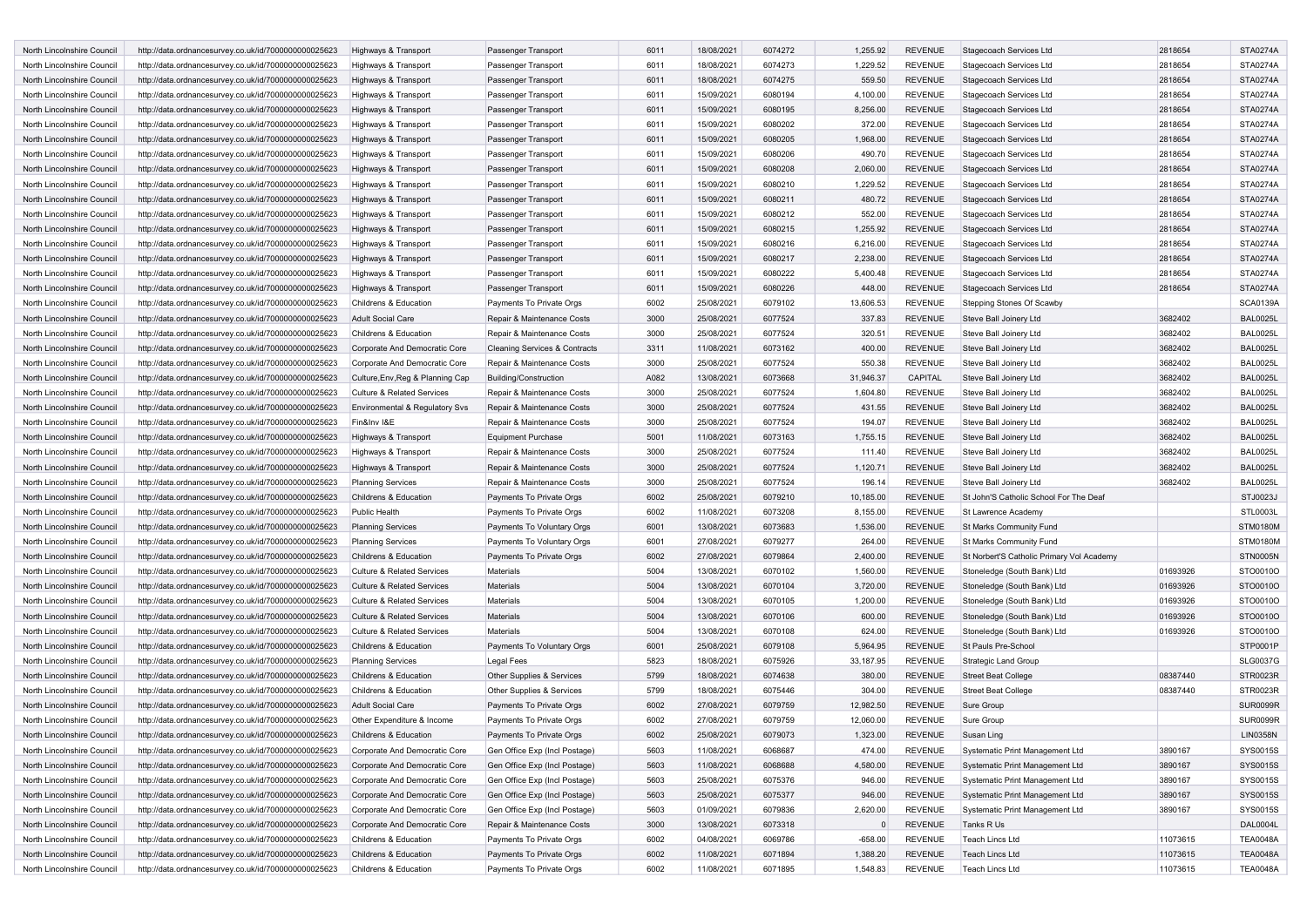| <b>North Lincolnshire Council</b> | http://data.ordnancesurvey.co.uk/id/7000000000025623 | Highways & Transport                                           | Passenger Transport                      | 6011 | 18/08/2021 | 6074272 | 1,255.92  | <b>REVENUE</b> | Stagecoach Services Ltd                   | 2818654  | STA0274A        |
|-----------------------------------|------------------------------------------------------|----------------------------------------------------------------|------------------------------------------|------|------------|---------|-----------|----------------|-------------------------------------------|----------|-----------------|
| North Lincolnshire Council        | http://data.ordnancesurvey.co.uk/id/7000000000025623 | Highways & Transport                                           | Passenger Transport                      | 6011 | 18/08/2021 | 6074273 | 1,229.52  | <b>REVENUE</b> | Stagecoach Services Ltd                   | 2818654  | STA0274A        |
| North Lincolnshire Council        | http://data.ordnancesurvey.co.uk/id/7000000000025623 | Highways & Transport                                           | Passenger Transport                      | 6011 | 18/08/2021 | 6074275 | 559.50    | <b>REVENUE</b> | Stagecoach Services Ltd                   | 2818654  | STA0274A        |
| North Lincolnshire Council        | http://data.ordnancesurvey.co.uk/id/7000000000025623 | Highways & Transport                                           | Passenger Transport                      | 6011 | 15/09/2021 | 6080194 | 4,100.00  | <b>REVENUE</b> | Stagecoach Services Ltd                   | 2818654  | <b>STA0274A</b> |
| North Lincolnshire Council        | http://data.ordnancesurvey.co.uk/id/7000000000025623 | Highways & Transport                                           | Passenger Transport                      | 6011 | 15/09/2021 | 6080195 | 8,256.00  | <b>REVENUE</b> | Stagecoach Services Ltd                   | 2818654  | STA0274A        |
| North Lincolnshire Council        | http://data.ordnancesurvey.co.uk/id/7000000000025623 | Highways & Transport                                           | Passenger Transport                      | 6011 | 15/09/2021 | 6080202 | 372.00    | <b>REVENUE</b> | Stagecoach Services Ltd                   | 2818654  | STA0274A        |
| North Lincolnshire Council        | http://data.ordnancesurvey.co.uk/id/7000000000025623 | Highways & Transport                                           | Passenger Transport                      | 6011 | 15/09/2021 | 6080205 | 1,968.00  | <b>REVENUE</b> | Stagecoach Services Ltd                   | 2818654  | <b>STA0274A</b> |
| North Lincolnshire Council        |                                                      |                                                                |                                          |      |            |         |           |                |                                           |          |                 |
|                                   | http://data.ordnancesurvey.co.uk/id/7000000000025623 | Highways & Transport                                           | Passenger Transport                      | 6011 | 15/09/2021 | 6080206 | 490.70    | <b>REVENUE</b> | Stagecoach Services Ltd                   | 2818654  | STA0274A        |
| North Lincolnshire Council        | http://data.ordnancesurvey.co.uk/id/7000000000025623 | Highways & Transport                                           | Passenger Transport                      | 6011 | 15/09/2021 | 6080208 | 2,060.00  | <b>REVENUE</b> | Stagecoach Services Ltd                   | 2818654  | STA0274A        |
| North Lincolnshire Council        | http://data.ordnancesurvey.co.uk/id/7000000000025623 | Highways & Transport                                           | Passenger Transport                      | 6011 | 15/09/2021 | 6080210 | 1,229.52  | <b>REVENUE</b> | Stagecoach Services Ltd                   | 2818654  | STA0274A        |
| North Lincolnshire Council        | http://data.ordnancesurvey.co.uk/id/7000000000025623 | Highways & Transport                                           | Passenger Transport                      | 6011 | 15/09/2021 | 6080211 | 480.72    | <b>REVENUE</b> | Stagecoach Services Ltd                   | 2818654  | STA0274A        |
| North Lincolnshire Council        | http://data.ordnancesurvey.co.uk/id/7000000000025623 | Highways & Transport                                           | Passenger Transport                      | 6011 | 15/09/2021 | 6080212 | 552.00    | <b>REVENUE</b> | <b>Stagecoach Services Ltd</b>            | 2818654  | <b>STA0274A</b> |
| North Lincolnshire Council        | http://data.ordnancesurvey.co.uk/id/7000000000025623 | Highways & Transport                                           | Passenger Transport                      | 6011 | 15/09/2021 | 6080215 | 1,255.92  | <b>REVENUE</b> | Stagecoach Services Ltd                   | 2818654  | <b>STA0274A</b> |
| North Lincolnshire Council        | http://data.ordnancesurvey.co.uk/id/7000000000025623 | Highways & Transport                                           | Passenger Transport                      | 6011 | 15/09/2021 | 6080216 | 6,216.00  | <b>REVENUE</b> | Stagecoach Services Ltd                   | 2818654  | STA0274A        |
| North Lincolnshire Council        | http://data.ordnancesurvey.co.uk/id/7000000000025623 | Highways & Transport                                           | Passenger Transport                      | 6011 | 15/09/2021 | 6080217 | 2,238.00  | <b>REVENUE</b> | Stagecoach Services Ltd                   | 2818654  | STA0274A        |
| North Lincolnshire Council        | http://data.ordnancesurvey.co.uk/id/7000000000025623 | Highways & Transport                                           | Passenger Transport                      | 6011 | 15/09/2021 | 6080222 | 5,400.48  | <b>REVENUE</b> | Stagecoach Services Ltd                   | 2818654  | STA0274A        |
| North Lincolnshire Council        | http://data.ordnancesurvey.co.uk/id/7000000000025623 | Highways & Transport                                           | Passenger Transport                      | 6011 | 15/09/2021 | 6080226 | 448.00    | <b>REVENUE</b> | Stagecoach Services Ltd                   | 2818654  | <b>STA0274A</b> |
| North Lincolnshire Council        | http://data.ordnancesurvey.co.uk/id/7000000000025623 | Childrens & Education                                          | Payments To Private Orgs                 | 6002 | 25/08/2021 | 6079102 | 13,606.53 | <b>REVENUE</b> | Stepping Stones Of Scawby                 |          | <b>SCA0139A</b> |
| North Lincolnshire Council        | http://data.ordnancesurvey.co.uk/id/7000000000025623 | Adult Social Care                                              | Repair & Maintenance Costs               | 3000 | 25/08/2021 | 6077524 | 337.83    | <b>REVENUE</b> | Steve Ball Joinery Ltd                    | 3682402  | <b>BAL0025L</b> |
| North Lincolnshire Council        | http://data.ordnancesurvey.co.uk/id/7000000000025623 | Childrens & Education                                          | Repair & Maintenance Costs               | 3000 | 25/08/2021 | 6077524 | 320.51    | <b>REVENUE</b> | Steve Ball Joinery Ltd                    | 3682402  | <b>BAL0025L</b> |
| North Lincolnshire Council        | http://data.ordnancesurvey.co.uk/id/7000000000025623 | Corporate And Democratic Core                                  | <b>Cleaning Services &amp; Contracts</b> | 3311 | 11/08/2021 | 6073162 | 400.00    | <b>REVENUE</b> | Steve Ball Joinery Ltd                    | 3682402  | <b>BAL0025L</b> |
| North Lincolnshire Council        | http://data.ordnancesurvey.co.uk/id/7000000000025623 | Corporate And Democratic Core                                  | Repair & Maintenance Costs               | 3000 | 25/08/2021 | 6077524 | 550.38    | <b>REVENUE</b> | Steve Ball Joinery Ltd                    | 3682402  | <b>BAL0025L</b> |
| North Lincolnshire Council        | http://data.ordnancesurvey.co.uk/id/7000000000025623 | Culture, Env, Reg & Planning Cap                               | <b>Building/Construction</b>             | A082 | 13/08/2021 | 6073668 | 31,946.37 | CAPITAL        | Steve Ball Joinery Ltd                    | 3682402  | <b>BAL0025L</b> |
| North Lincolnshire Council        | http://data.ordnancesurvey.co.uk/id/7000000000025623 | <b>Culture &amp; Related Services</b>                          | Repair & Maintenance Costs               | 3000 | 25/08/2021 | 6077524 | 1,604.80  | <b>REVENUE</b> | Steve Ball Joinery Ltd                    | 3682402  | <b>BAL0025L</b> |
| North Lincolnshire Council        | http://data.ordnancesurvey.co.uk/id/7000000000025623 | <b>Environmental &amp; Regulatory Svs</b>                      | Repair & Maintenance Costs               | 3000 | 25/08/2021 | 6077524 | 431.55    | <b>REVENUE</b> | Steve Ball Joinery Ltd                    | 3682402  | <b>BAL0025L</b> |
| North Lincolnshire Council        | http://data.ordnancesurvey.co.uk/id/7000000000025623 | Fin&Inv I&E                                                    | Repair & Maintenance Costs               | 3000 | 25/08/2021 | 6077524 | 194.07    | <b>REVENUE</b> | Steve Ball Joinery Ltd                    | 3682402  | <b>BAL0025L</b> |
| North Lincolnshire Council        |                                                      |                                                                |                                          | 5001 | 11/08/2021 | 6073163 |           | <b>REVENUE</b> |                                           | 3682402  | <b>BAL0025L</b> |
|                                   | http://data.ordnancesurvey.co.uk/id/7000000000025623 | Highways & Transport                                           | <b>Equipment Purchase</b>                |      |            |         | 1,755.15  |                | Steve Ball Joinery Ltd                    |          |                 |
| North Lincolnshire Council        | http://data.ordnancesurvey.co.uk/id/7000000000025623 | Highways & Transport                                           | Repair & Maintenance Costs               | 3000 | 25/08/2021 | 6077524 | 111.40    | <b>REVENUE</b> | Steve Ball Joinery Ltd                    | 3682402  | <b>BAL0025L</b> |
| North Lincolnshire Council        | http://data.ordnancesurvey.co.uk/id/7000000000025623 | Highways & Transport                                           | Repair & Maintenance Costs               | 3000 | 25/08/2021 | 6077524 | 1,120.71  | <b>REVENUE</b> | Steve Ball Joinery Ltd                    | 3682402  | <b>BAL0025L</b> |
| North Lincolnshire Council        | http://data.ordnancesurvey.co.uk/id/7000000000025623 | <b>Planning Services</b>                                       | Repair & Maintenance Costs               | 3000 | 25/08/2021 | 6077524 | 196.14    | <b>REVENUE</b> | Steve Ball Joinery Ltd                    | 3682402  | <b>BAL0025L</b> |
| North Lincolnshire Council        | http://data.ordnancesurvey.co.uk/id/7000000000025623 | Childrens & Education                                          | Payments To Private Orgs                 | 6002 | 25/08/2021 | 6079210 | 10,185.00 | <b>REVENUE</b> | St John'S Catholic School For The Deaf    |          | STJ0023J        |
| North Lincolnshire Council        | http://data.ordnancesurvey.co.uk/id/7000000000025623 | Public Health                                                  | Payments To Private Orgs                 | 6002 | 11/08/2021 | 6073208 | 8,155.00  | <b>REVENUE</b> | St Lawrence Academy                       |          | STL0003L        |
| North Lincolnshire Council        | http://data.ordnancesurvey.co.uk/id/7000000000025623 | <b>Planning Services</b>                                       | Payments To Voluntary Orgs               | 6001 | 13/08/2021 | 6073683 | 1,536.00  | <b>REVENUE</b> | St Marks Community Fund                   |          | <b>STM0180M</b> |
| North Lincolnshire Council        | http://data.ordnancesurvey.co.uk/id/7000000000025623 | <b>Planning Services</b>                                       | Payments To Voluntary Orgs               | 6001 | 27/08/2021 | 6079277 | 264.00    | <b>REVENUE</b> | St Marks Community Fund                   |          | <b>STM0180M</b> |
| North Lincolnshire Council        | http://data.ordnancesurvey.co.uk/id/7000000000025623 | Childrens & Education                                          | Payments To Private Orgs                 | 6002 | 27/08/2021 | 6079864 | 2,400.00  | <b>REVENUE</b> | St Norbert'S Catholic Primary Vol Academy |          | <b>STN0005N</b> |
| North Lincolnshire Council        | http://data.ordnancesurvey.co.uk/id/7000000000025623 | <b>Culture &amp; Related Services</b>                          | Materials                                | 5004 | 13/08/2021 | 6070102 | 1,560.00  | <b>REVENUE</b> | Stoneledge (South Bank) Ltd               | 01693926 | STO0010O        |
| North Lincolnshire Council        | http://data.ordnancesurvey.co.uk/id/7000000000025623 | <b>Culture &amp; Related Services</b>                          | Materials                                | 5004 | 13/08/2021 | 6070104 | 3,720.00  | <b>REVENUE</b> | Stoneledge (South Bank) Ltd               | 01693926 | STO0010O        |
| North Lincolnshire Council        | http://data.ordnancesurvey.co.uk/id/7000000000025623 | <b>Culture &amp; Related Services</b>                          | Materials                                | 5004 | 13/08/2021 | 6070105 | 1,200.00  | <b>REVENUE</b> | Stoneledge (South Bank) Ltd               | 01693926 | STO0010O        |
| North Lincolnshire Council        | http://data.ordnancesurvey.co.uk/id/7000000000025623 | <b>Culture &amp; Related Services</b>                          | Materials                                | 5004 | 13/08/2021 | 6070106 | 600.00    | <b>REVENUE</b> | Stoneledge (South Bank) Ltd               | 01693926 | STO0010O        |
| North Lincolnshire Council        | http://data.ordnancesurvey.co.uk/id/7000000000025623 | <b>Culture &amp; Related Services</b>                          | Materials                                | 5004 | 13/08/2021 | 6070108 | 624.00    | <b>REVENUE</b> | Stoneledge (South Bank) Ltd               | 01693926 | STO0010O        |
| North Lincolnshire Council        | http://data.ordnancesurvey.co.uk/id/7000000000025623 | Childrens & Education                                          | Payments To Voluntary Orgs               | 6001 | 25/08/2021 | 6079108 | 5,964.95  | <b>REVENUE</b> | St Pauls Pre-School                       |          | STP0001P        |
| North Lincolnshire Council        | http://data.ordnancesurvey.co.uk/id/7000000000025623 | <b>Planning Services</b>                                       | <b>Legal Fees</b>                        | 5823 | 18/08/2021 | 6075926 | 33,187.95 | <b>REVENUE</b> | <b>Strategic Land Group</b>               |          | <b>SLG0037G</b> |
| North Lincolnshire Council        | http://data.ordnancesurvey.co.uk/id/7000000000025623 | Childrens & Education                                          | Other Supplies & Services                | 5799 | 18/08/2021 | 6074638 | 380.00    | <b>REVENUE</b> | <b>Street Beat College</b>                | 08387440 | STR0023R        |
| North Lincolnshire Council        | http://data.ordnancesurvey.co.uk/id/7000000000025623 | Childrens & Education                                          | Other Supplies & Services                | 5799 | 18/08/2021 | 6075446 | 304.00    | <b>REVENUE</b> | <b>Street Beat College</b>                | 08387440 | STR0023R        |
| North Lincolnshire Council        | http://data.ordnancesurvey.co.uk/id/7000000000025623 | <b>Adult Social Care</b>                                       | Payments To Private Orgs                 | 6002 | 27/08/2021 | 6079759 | 12,982.50 | <b>REVENUE</b> | Sure Group                                |          | <b>SUR0099R</b> |
| North Lincolnshire Council        | http://data.ordnancesurvey.co.uk/id/7000000000025623 | Other Expenditure & Income                                     | Payments To Private Orgs                 | 6002 | 27/08/2021 | 6079759 | 12,060.00 | <b>REVENUE</b> | Sure Group                                |          | <b>SUR0099R</b> |
| North Lincolnshire Council        | http://data.ordnancesurvey.co.uk/id/7000000000025623 | Childrens & Education                                          | Payments To Private Orgs                 | 6002 | 25/08/2021 | 6079073 | 1,323.00  | <b>REVENUE</b> | Susan Ling                                |          | <b>LIN0358N</b> |
|                                   | http://data.ordnancesurvey.co.uk/id/7000000000025623 |                                                                |                                          |      | 11/08/2021 | 6068687 | 474.00    | REVENUE        | Systematic Print Management Ltd           | 3890167  | SYS0015S        |
| North Lincolnshire Council        |                                                      | Corporate And Democratic Core<br>Corporate And Democratic Core | Gen Office Exp (Incl Postage)            | 5603 |            |         |           |                |                                           |          |                 |
| North Lincolnshire Council        | http://data.ordnancesurvey.co.uk/id/7000000000025623 |                                                                | Gen Office Exp (Incl Postage)            | 5603 | 11/08/2021 | 6068688 | 4,580.00  | <b>REVENUE</b> | Systematic Print Management Ltd           | 3890167  | SYS0015S        |
| North Lincolnshire Council        | http://data.ordnancesurvey.co.uk/id/7000000000025623 | Corporate And Democratic Core                                  | Gen Office Exp (Incl Postage)            | 5603 | 25/08/2021 | 6075376 | 946.00    | <b>REVENUE</b> | Systematic Print Management Ltd           | 3890167  | SYS0015S        |
| North Lincolnshire Council        | http://data.ordnancesurvey.co.uk/id/7000000000025623 | Corporate And Democratic Core                                  | Gen Office Exp (Incl Postage)            | 5603 | 25/08/2021 | 6075377 | 946.00    | REVENUE        | Systematic Print Management Ltd           | 3890167  | SYS0015S        |
| North Lincolnshire Council        | http://data.ordnancesurvey.co.uk/id/7000000000025623 | Corporate And Democratic Core                                  | Gen Office Exp (Incl Postage)            | 5603 | 01/09/2021 | 6079836 | 2,620.00  | <b>REVENUE</b> | Systematic Print Management Ltd           | 3890167  | SYS0015S        |
| North Lincolnshire Council        | http://data.ordnancesurvey.co.uk/id/7000000000025623 | Corporate And Democratic Core                                  | Repair & Maintenance Costs               | 3000 | 13/08/2021 | 6073318 | 0         | REVENUE        | Tanks R Us                                |          | DAL0004L        |
| North Lincolnshire Council        | http://data.ordnancesurvey.co.uk/id/7000000000025623 | Childrens & Education                                          | Payments To Private Orgs                 | 6002 | 04/08/2021 | 6069786 | $-658.00$ | <b>REVENUE</b> | <b>Teach Lincs Ltd</b>                    | 11073615 | <b>TEA0048A</b> |
| North Lincolnshire Council        | http://data.ordnancesurvey.co.uk/id/7000000000025623 | Childrens & Education                                          | Payments To Private Orgs                 | 6002 | 11/08/2021 | 6071894 | 1,388.20  | <b>REVENUE</b> | <b>Teach Lincs Ltd</b>                    | 11073615 | <b>TEA0048A</b> |
| North Lincolnshire Council        | http://data.ordnancesurvey.co.uk/id/7000000000025623 | Childrens & Education                                          | Payments To Private Orgs                 | 6002 | 11/08/2021 | 6071895 | 1,548.83  | REVENUE        | Teach Lincs Ltd                           | 11073615 | <b>TEA0048A</b> |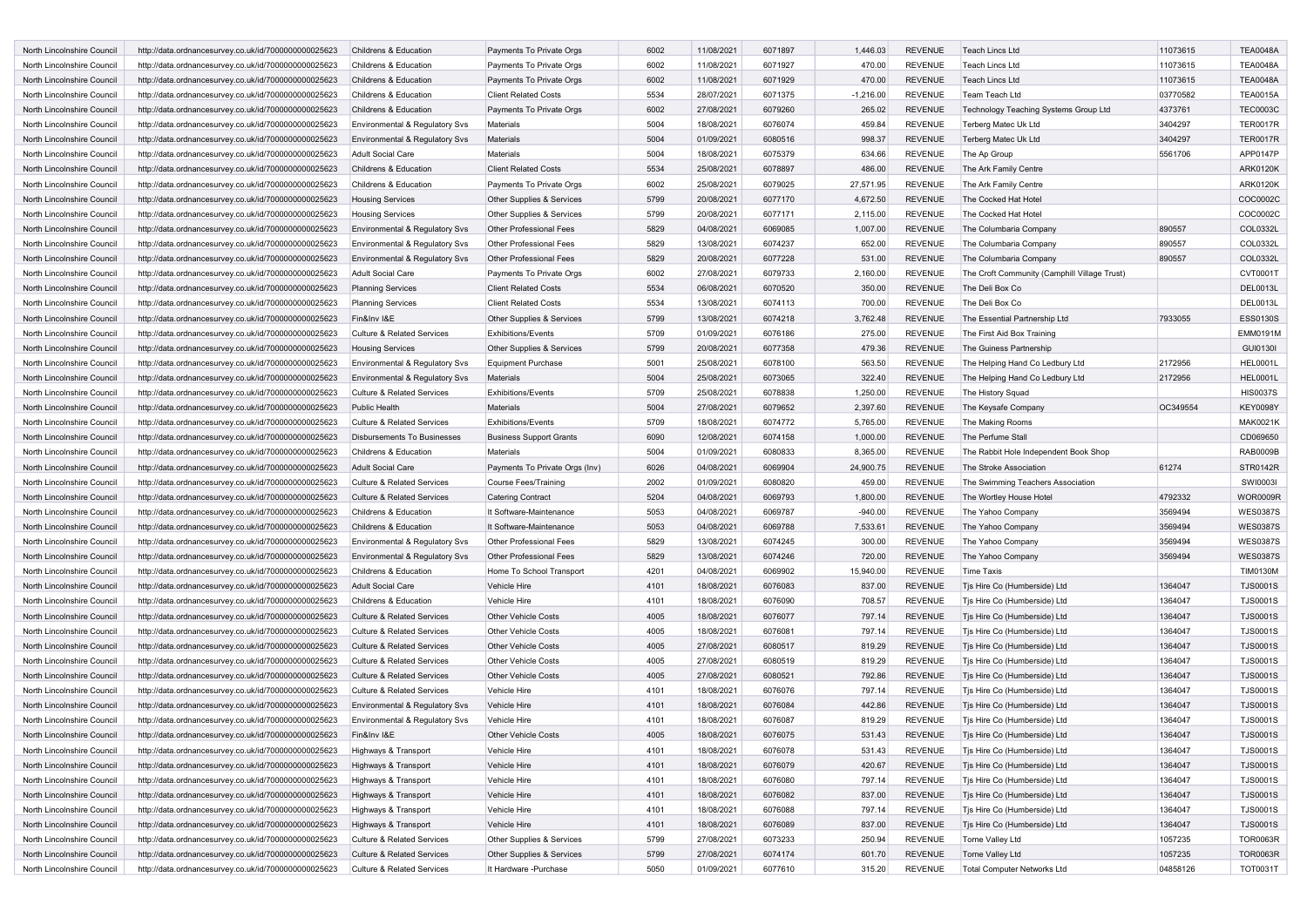| <b>North Lincolnshire Council</b>                        | http://data.ordnancesurvey.co.uk/id/7000000000025623                                                         | Childrens & Education                                               | Payments To Private Orgs                           | 6002         | 11/08/2021               | 6071897            | 1,446.03         | <b>REVENUE</b>     | <b>Teach Lincs Ltd</b>                                 | 11073615            | <b>TEA0048A</b>             |
|----------------------------------------------------------|--------------------------------------------------------------------------------------------------------------|---------------------------------------------------------------------|----------------------------------------------------|--------------|--------------------------|--------------------|------------------|--------------------|--------------------------------------------------------|---------------------|-----------------------------|
| North Lincolnshire Council                               | http://data.ordnancesurvey.co.uk/id/7000000000025623                                                         | Childrens & Education                                               | Payments To Private Orgs                           | 6002         | 11/08/2021               | 6071927            | 470.00           | <b>REVENUE</b>     | Teach Lincs Ltd                                        | 11073615            | <b>TEA0048A</b>             |
| North Lincolnshire Council                               | http://data.ordnancesurvey.co.uk/id/7000000000025623                                                         | Childrens & Education                                               | Payments To Private Orgs                           | 6002         | 11/08/2021               | 6071929            | 470.00           | <b>REVENUE</b>     | <b>Teach Lincs Ltd</b>                                 | 11073615            | <b>TEA0048A</b>             |
| North Lincolnshire Council                               | http://data.ordnancesurvey.co.uk/id/7000000000025623                                                         | Childrens & Education                                               | <b>Client Related Costs</b>                        | 5534         | 28/07/2021               | 6071375            | $-1,216.00$      | <b>REVENUE</b>     | Team Teach Ltd                                         | 03770582            | <b>TEA0015A</b>             |
| North Lincolnshire Council                               | http://data.ordnancesurvey.co.uk/id/7000000000025623                                                         | Childrens & Education                                               | Payments To Private Orgs                           | 6002         | 27/08/2021               | 6079260            | 265.02           | <b>REVENUE</b>     | Technology Teaching Systems Group Ltd                  | 4373761             | <b>TEC0003C</b>             |
| North Lincolnshire Council                               | http://data.ordnancesurvey.co.uk/id/7000000000025623                                                         | Environmental & Regulatory Svs                                      | Materials                                          | 5004         | 18/08/2021               | 6076074            | 459.84           | <b>REVENUE</b>     | Terberg Matec Uk Ltd                                   | 3404297             | <b>TER0017R</b>             |
| North Lincolnshire Council                               | http://data.ordnancesurvey.co.uk/id/7000000000025623                                                         | Environmental & Regulatory Sys                                      | Materials                                          | 5004         | 01/09/2021               | 6080516            | 998.37           | <b>REVENUE</b>     | Terberg Matec Uk Ltd                                   | 3404297             | <b>TER0017R</b>             |
| North Lincolnshire Council                               | http://data.ordnancesurvey.co.uk/id/7000000000025623                                                         | <b>Adult Social Care</b>                                            | <b>Materials</b>                                   | 5004         | 18/08/2021               | 6075379            | 634.66           | <b>REVENUE</b>     | The Ap Group                                           | 5561706             | APP0147P                    |
| North Lincolnshire Council                               | http://data.ordnancesurvey.co.uk/id/7000000000025623                                                         | Childrens & Education                                               | <b>Client Related Costs</b>                        | 5534         | 25/08/2021               | 6078897            | 486.00           | <b>REVENUE</b>     | The Ark Family Centre                                  |                     | <b>ARK0120K</b>             |
| North Lincolnshire Council                               | http://data.ordnancesurvey.co.uk/id/7000000000025623                                                         | Childrens & Education                                               | Payments To Private Orgs                           | 6002         | 25/08/2021               | 6079025            | 27,571.95        | <b>REVENUE</b>     | The Ark Family Centre                                  |                     | <b>ARK0120K</b>             |
| North Lincolnshire Council                               | http://data.ordnancesurvey.co.uk/id/7000000000025623                                                         | <b>Housing Services</b>                                             | Other Supplies & Services                          | 5799         | 20/08/2021               | 6077170            | 4,672.50         | <b>REVENUE</b>     | The Cocked Hat Hotel                                   |                     | COC0002C                    |
| North Lincolnshire Council                               | http://data.ordnancesurvey.co.uk/id/7000000000025623                                                         | <b>Housing Services</b>                                             | Other Supplies & Services                          | 5799         | 20/08/2021               | 6077171            | 2,115.00         | <b>REVENUE</b>     | The Cocked Hat Hotel                                   |                     | COC0002C                    |
| North Lincolnshire Council                               | http://data.ordnancesurvey.co.uk/id/7000000000025623                                                         | Environmental & Regulatory Svs                                      | <b>Other Professional Fees</b>                     | 5829         | 04/08/2021               | 6069085            | 1,007.00         | <b>REVENUE</b>     | The Columbaria Company                                 | 890557              | COL0332L                    |
| North Lincolnshire Council                               | http://data.ordnancesurvey.co.uk/id/7000000000025623                                                         | Environmental & Regulatory Svs                                      | Other Professional Fees                            | 5829         | 13/08/2021               | 6074237            | 652.00           | <b>REVENUE</b>     | The Columbaria Company                                 | 890557              | COL0332L                    |
| North Lincolnshire Council                               | http://data.ordnancesurvey.co.uk/id/7000000000025623                                                         | Environmental & Regulatory Svs                                      | <b>Other Professional Fees</b>                     | 5829         | 20/08/2021               | 6077228            | 531.00           | <b>REVENUE</b>     | The Columbaria Company                                 | 890557              | COL0332L                    |
| North Lincolnshire Council                               | http://data.ordnancesurvey.co.uk/id/7000000000025623                                                         | <b>Adult Social Care</b>                                            | Payments To Private Orgs                           | 6002         | 27/08/2021               | 6079733            | 2,160.00         | <b>REVENUE</b>     | The Croft Community (Camphill Village Trust)           |                     | CVT0001T                    |
| North Lincolnshire Council                               | http://data.ordnancesurvey.co.uk/id/7000000000025623                                                         | <b>Planning Services</b>                                            | <b>Client Related Costs</b>                        | 5534         | 06/08/2021               | 6070520            | 350.00           | <b>REVENUE</b>     | The Deli Box Co                                        |                     | <b>DEL0013L</b>             |
| North Lincolnshire Council                               | http://data.ordnancesurvey.co.uk/id/7000000000025623                                                         | <b>Planning Services</b>                                            | <b>Client Related Costs</b>                        | 5534         | 13/08/2021               | 6074113            | 700.00           | <b>REVENUE</b>     | The Deli Box Co                                        |                     | DEL0013L                    |
| North Lincolnshire Council                               | http://data.ordnancesurvey.co.uk/id/7000000000025623                                                         | Fin&Inv I&E                                                         | Other Supplies & Services                          | 5799         | 13/08/2021               | 6074218            | 3,762.48         | <b>REVENUE</b>     | The Essential Partnership Ltd                          | 7933055             | <b>ESS0130S</b>             |
| North Lincolnshire Council                               | http://data.ordnancesurvey.co.uk/id/7000000000025623                                                         | <b>Culture &amp; Related Services</b>                               | <b>Exhibitions/Events</b>                          | 5709         | 01/09/2021               | 6076186            | 275.00           | <b>REVENUE</b>     | The First Aid Box Training                             |                     | <b>EMM0191M</b>             |
| North Lincolnshire Council                               | http://data.ordnancesurvey.co.uk/id/7000000000025623                                                         | <b>Housing Services</b>                                             | Other Supplies & Services                          | 5799         | 20/08/2021               | 6077358            | 479.36           | <b>REVENUE</b>     | The Guiness Partnership                                |                     | GUI0130I                    |
| North Lincolnshire Council                               | http://data.ordnancesurvey.co.uk/id/7000000000025623                                                         | Environmental & Regulatory Svs                                      | <b>Equipment Purchase</b>                          | 5001         | 25/08/2021               | 6078100            | 563.50           | <b>REVENUE</b>     | The Helping Hand Co Ledbury Ltd                        | 2172956             | <b>HEL0001L</b>             |
| North Lincolnshire Council                               | http://data.ordnancesurvey.co.uk/id/7000000000025623                                                         | Environmental & Regulatory Svs                                      | Materials                                          | 5004         | 25/08/2021               | 6073065            | 322.40           | <b>REVENUE</b>     | The Helping Hand Co Ledbury Ltd                        | 2172956             | <b>HEL0001L</b>             |
| North Lincolnshire Council                               | http://data.ordnancesurvey.co.uk/id/7000000000025623                                                         | <b>Culture &amp; Related Services</b>                               | <b>Exhibitions/Events</b>                          | 5709         | 25/08/2021               | 6078838            | 1,250.00         | <b>REVENUE</b>     | The History Squad                                      |                     | <b>HIS0037S</b>             |
| North Lincolnshire Council                               | http://data.ordnancesurvey.co.uk/id/7000000000025623                                                         | <b>Public Health</b>                                                | <b>Materials</b>                                   | 5004         | 27/08/2021               | 6079652            | 2,397.60         | <b>REVENUE</b>     | The Keysafe Company                                    | OC349554            | <b>KEY0098Y</b>             |
| North Lincolnshire Council                               | http://data.ordnancesurvey.co.uk/id/7000000000025623                                                         | <b>Culture &amp; Related Services</b>                               | <b>Exhibitions/Events</b>                          | 5709         | 18/08/2021               | 6074772            | 5,765.00         | <b>REVENUE</b>     | The Making Rooms                                       |                     | <b>MAK0021K</b>             |
| North Lincolnshire Council                               | http://data.ordnancesurvey.co.uk/id/7000000000025623                                                         | <b>Disbursements To Businesses</b>                                  | <b>Business Support Grants</b>                     | 6090         | 12/08/2021               | 6074158            | 1,000.00         | <b>REVENUE</b>     | The Perfume Stall                                      |                     | CD069650                    |
| North Lincolnshire Council                               | http://data.ordnancesurvey.co.uk/id/7000000000025623                                                         | Childrens & Education                                               | Materials                                          | 5004         | 01/09/2021               | 6080833            | 8,365.00         | <b>REVENUE</b>     | The Rabbit Hole Independent Book Shop                  |                     | RAB0009B                    |
|                                                          |                                                                                                              |                                                                     |                                                    |              |                          |                    |                  |                    |                                                        |                     |                             |
|                                                          |                                                                                                              |                                                                     |                                                    |              |                          |                    |                  |                    |                                                        |                     |                             |
| North Lincolnshire Council                               | http://data.ordnancesurvey.co.uk/id/7000000000025623                                                         | <b>Adult Social Care</b>                                            | Payments To Private Orgs (Inv)                     | 6026         | 04/08/2021               | 6069904            | 24,900.75        | <b>REVENUE</b>     | The Stroke Association                                 | 61274               | STR0142R                    |
| North Lincolnshire Council                               | http://data.ordnancesurvey.co.uk/id/7000000000025623                                                         | <b>Culture &amp; Related Services</b>                               | Course Fees/Training                               | 2002         | 01/09/2021               | 6080820            | 459.00           | <b>REVENUE</b>     | The Swimming Teachers Association                      |                     | SWI0003I                    |
| North Lincolnshire Council                               | http://data.ordnancesurvey.co.uk/id/7000000000025623                                                         | <b>Culture &amp; Related Services</b>                               | <b>Catering Contract</b>                           | 5204         | 04/08/2021               | 6069793            | 1,800.00         | <b>REVENUE</b>     | The Wortley House Hote                                 | 4792332             | <b>WOR0009R</b>             |
| North Lincolnshire Council                               | http://data.ordnancesurvey.co.uk/id/7000000000025623                                                         | Childrens & Education                                               | It Software-Maintenance                            | 5053         | 04/08/2021               | 6069787            | $-940.00$        | <b>REVENUE</b>     | The Yahoo Company                                      | 3569494             | <b>WES0387S</b>             |
| North Lincolnshire Council                               | http://data.ordnancesurvey.co.uk/id/7000000000025623                                                         | Childrens & Education                                               | It Software-Maintenance                            | 5053         | 04/08/2021               | 6069788            | 7,533.61         | <b>REVENUE</b>     | The Yahoo Company                                      | 3569494             | <b>WES0387S</b>             |
| North Lincolnshire Council                               | http://data.ordnancesurvey.co.uk/id/7000000000025623                                                         | Environmental & Regulatory Svs                                      | Other Professional Fees                            | 5829         | 13/08/2021               | 6074245            | 300.00           | <b>REVENUE</b>     | The Yahoo Company                                      | 3569494             | <b>WES0387S</b>             |
| North Lincolnshire Council                               | http://data.ordnancesurvey.co.uk/id/7000000000025623                                                         | Environmental & Regulatory Svs                                      | <b>Other Professional Fees</b>                     | 5829         | 13/08/2021               | 6074246            | 720.00           | <b>REVENUE</b>     | The Yahoo Company                                      | 3569494             | <b>WES0387S</b>             |
| North Lincolnshire Council                               | http://data.ordnancesurvey.co.uk/id/7000000000025623                                                         | Childrens & Education                                               | Home To School Transport                           | 4201         | 04/08/2021               | 6069902            | 15,940.00        | <b>REVENUE</b>     | <b>Time Taxis</b>                                      |                     | <b>TIM0130M</b>             |
| North Lincolnshire Council                               | http://data.ordnancesurvey.co.uk/id/7000000000025623                                                         | <b>Adult Social Care</b>                                            | Vehicle Hire                                       | 4101         | 18/08/2021               | 6076083            | 837.00           | <b>REVENUE</b>     | Tjs Hire Co (Humberside) Ltd                           | 1364047             | <b>TJS0001S</b>             |
| North Lincolnshire Council                               | http://data.ordnancesurvey.co.uk/id/7000000000025623                                                         | Childrens & Education                                               | Vehicle Hire                                       | 4101         | 18/08/2021               | 6076090            | 708.57           | <b>REVENUE</b>     | Tjs Hire Co (Humberside) Ltd                           | 1364047             | <b>TJS0001S</b>             |
| North Lincolnshire Council                               | http://data.ordnancesurvey.co.uk/id/7000000000025623                                                         | <b>Culture &amp; Related Services</b>                               | <b>Other Vehicle Costs</b>                         | 4005         | 18/08/2021               | 6076077            | 797.14           | <b>REVENUE</b>     | Tjs Hire Co (Humberside) Ltd                           | 1364047             | <b>TJS0001S</b>             |
| North Lincolnshire Council                               | http://data.ordnancesurvey.co.uk/id/7000000000025623                                                         | <b>Culture &amp; Related Services</b>                               | <b>Other Vehicle Costs</b>                         | 4005         | 18/08/2021               | 6076081            | 797.14           | <b>REVENUE</b>     | Tjs Hire Co (Humberside) Ltd                           | 1364047             | <b>TJS0001S</b>             |
| North Lincolnshire Council                               | http://data.ordnancesurvey.co.uk/id/7000000000025623                                                         | <b>Culture &amp; Related Services</b>                               | <b>Other Vehicle Costs</b>                         | 4005         | 27/08/2021               | 6080517            | 819.29           | <b>REVENUE</b>     | Tjs Hire Co (Humberside) Ltd                           | 1364047             | <b>TJS0001S</b>             |
| North Lincolnshire Council                               | http://data.ordnancesurvey.co.uk/id/7000000000025623                                                         | <b>Culture &amp; Related Services</b>                               | <b>Other Vehicle Costs</b>                         | 4005         | 27/08/2021               | 6080519            | 819.29           | <b>REVENUE</b>     | Tis Hire Co (Humberside) Ltd                           | 1364047             | <b>TJS0001S</b>             |
| North Lincolnshire Council                               | http://data.ordnancesurvey.co.uk/id/7000000000025623                                                         | <b>Culture &amp; Related Services</b>                               | <b>Other Vehicle Costs</b>                         | 4005         | 27/08/2021               | 6080521            | 792.86           | <b>REVENUE</b>     | Tjs Hire Co (Humberside) Ltd                           | 1364047             | <b>TJS0001S</b>             |
| North Lincolnshire Council                               | http://data.ordnancesurvey.co.uk/id/7000000000025623                                                         | <b>Culture &amp; Related Services</b>                               | Vehicle Hire                                       | 4101         | 18/08/2021               | 6076076            | 797.14           | <b>REVENUE</b>     | Tjs Hire Co (Humberside) Ltd                           | 1364047             | <b>TJS0001S</b>             |
| North Lincolnshire Council                               | http://data.ordnancesurvey.co.uk/id/7000000000025623                                                         | Environmental & Regulatory Svs                                      | Vehicle Hire                                       | 4101         | 18/08/2021               | 6076084            | 442.86           | <b>REVENUE</b>     | Tjs Hire Co (Humberside) Ltd                           | 1364047             | <b>TJS0001S</b>             |
| North Lincolnshire Council                               | http://data.ordnancesurvey.co.uk/id/7000000000025623                                                         | Environmental & Regulatory Svs                                      | Vehicle Hire                                       | 4101         | 18/08/2021               | 6076087            | 819.29           | <b>REVENUE</b>     | Tis Hire Co (Humberside) Ltd                           | 1364047             | <b>TJS0001S</b>             |
| North Lincolnshire Council                               | http://data.ordnancesurvey.co.uk/id/7000000000025623                                                         | Fin&Inv I&E                                                         | <b>Other Vehicle Costs</b>                         | 4005         | 18/08/2021               | 6076075            | 531.43           | <b>REVENUE</b>     | Tjs Hire Co (Humberside) Ltd                           | 1364047             | <b>TJS0001S</b>             |
| North Lincolnshire Council                               | http://data.ordnancesurvey.co.uk/id/7000000000025623                                                         | Highways & Transport                                                | Vehicle Hire                                       | 4101         | 18/08/2021               | 6076078            | 531.43           | REVENUE            | Tjs Hire Co (Humberside) Ltd                           | 1364047             | <b>TJS0001S</b>             |
| North Lincolnshire Council                               | http://data.ordnancesurvey.co.uk/id/7000000000025623                                                         | Highways & Transport                                                | Vehicle Hire                                       | 4101         | 18/08/2021               | 6076079            | 420.67           | <b>REVENUE</b>     | Tjs Hire Co (Humberside) Ltd                           | 1364047             | <b>TJS0001S</b>             |
| North Lincolnshire Council                               | http://data.ordnancesurvey.co.uk/id/7000000000025623                                                         | Highways & Transport                                                | Vehicle Hire                                       | 4101         | 18/08/2021               | 6076080            | 797.14           | <b>REVENUE</b>     | Tjs Hire Co (Humberside) Ltd                           | 1364047             | <b>TJS0001S</b>             |
| North Lincolnshire Council                               | http://data.ordnancesurvey.co.uk/id/7000000000025623                                                         | Highways & Transport                                                | Vehicle Hire                                       | 4101         | 18/08/2021               | 6076082            | 837.00           | <b>REVENUE</b>     | Tis Hire Co (Humberside) Ltd                           | 1364047             | <b>TJS0001S</b>             |
| North Lincolnshire Council                               | http://data.ordnancesurvey.co.uk/id/7000000000025623                                                         | Highways & Transport                                                | Vehicle Hire                                       | 4101         | 18/08/2021               | 6076088            | 797.14           | <b>REVENUE</b>     | Tjs Hire Co (Humberside) Ltd                           | 1364047             | <b>TJS0001S</b>             |
| North Lincolnshire Council                               | http://data.ordnancesurvey.co.uk/id/7000000000025623                                                         | Highways & Transport                                                | Vehicle Hire                                       | 4101         | 18/08/2021               | 6076089            | 837.00           | REVENUE            | Tjs Hire Co (Humberside) Ltd                           | 1364047             | <b>TJS0001S</b>             |
| North Lincolnshire Council                               | http://data.ordnancesurvey.co.uk/id/7000000000025623                                                         | <b>Culture &amp; Related Services</b>                               | Other Supplies & Services                          | 5799         | 27/08/2021               | 6073233            | 250.94           | REVENUE            | Torne Valley Ltd                                       | 1057235             | <b>TOR0063R</b>             |
| North Lincolnshire Council<br>North Lincolnshire Council | http://data.ordnancesurvey.co.uk/id/7000000000025623<br>http://data.ordnancesurvey.co.uk/id/7000000000025623 | <b>Culture &amp; Related Services</b><br>Culture & Related Services | Other Supplies & Services<br>It Hardware -Purchase | 5799<br>5050 | 27/08/2021<br>01/09/2021 | 6074174<br>6077610 | 601.70<br>315.20 | REVENUE<br>REVENUE | <b>Torne Valley Ltd</b><br>Total Computer Networks Ltd | 1057235<br>04858126 | <b>TOR0063R</b><br>TOT0031T |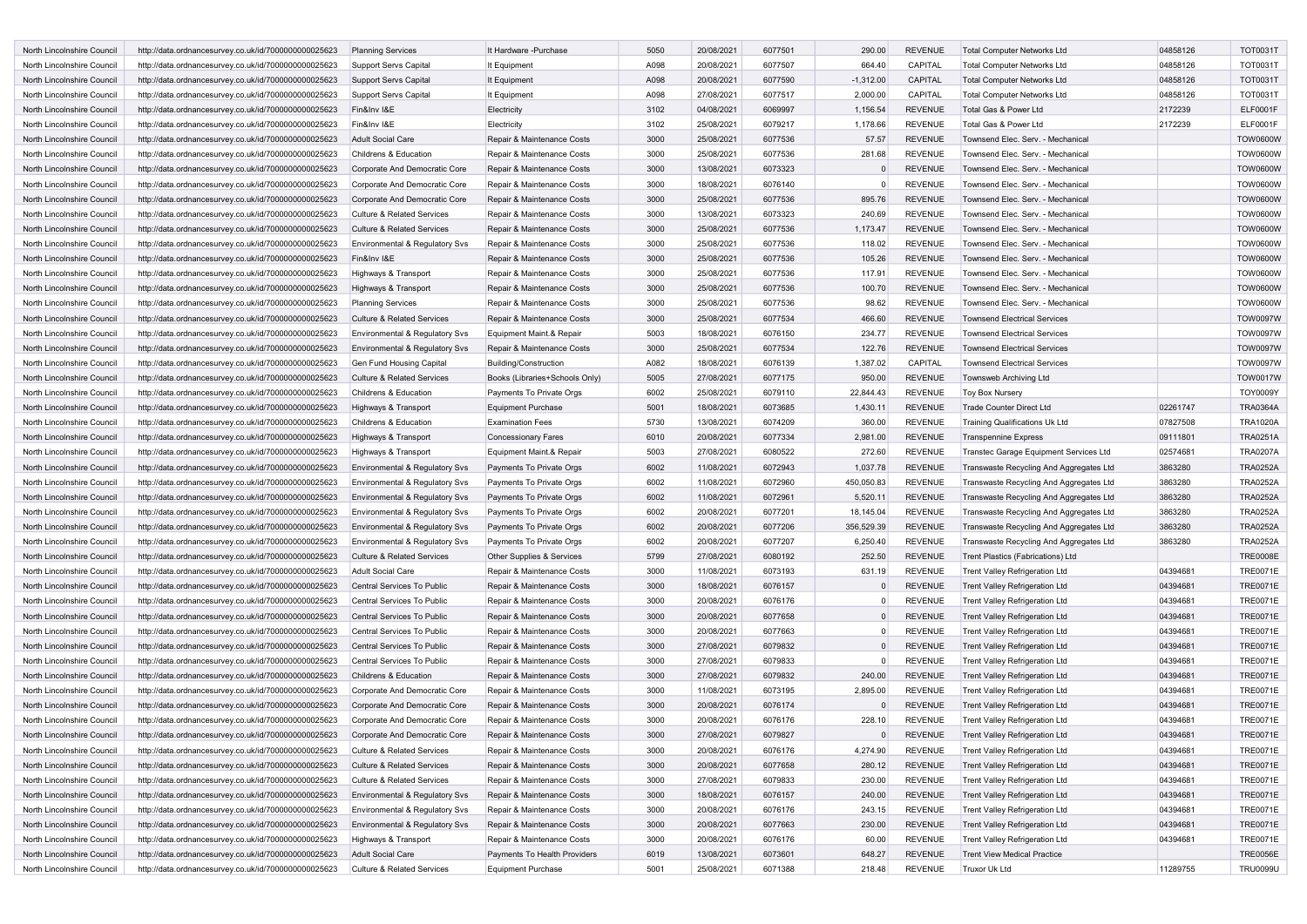| North Lincolnshire Council | http://data.ordnancesurvey.co.uk/id/7000000000025623 | <b>Planning Services</b>              | It Hardware -Purchase          | 5050 | 20/08/2021 | 6077501 | 290.00      | <b>REVENUE</b> | <b>Total Computer Networks Ltd</b>      | 04858126 | <b>TOT0031T</b> |
|----------------------------|------------------------------------------------------|---------------------------------------|--------------------------------|------|------------|---------|-------------|----------------|-----------------------------------------|----------|-----------------|
| North Lincolnshire Council | http://data.ordnancesurvey.co.uk/id/7000000000025623 | Support Servs Capital                 | It Equipment                   | A098 | 20/08/2021 | 6077507 | 664.40      | CAPITAL        | <b>Total Computer Networks Ltd</b>      | 04858126 | TOT0031T        |
| North Lincolnshire Council | http://data.ordnancesurvey.co.uk/id/7000000000025623 | <b>Support Servs Capital</b>          | It Equipment                   | A098 | 20/08/2021 | 6077590 | $-1,312.00$ | CAPITAL        | <b>Total Computer Networks Ltd</b>      | 04858126 | <b>TOT0031T</b> |
| North Lincolnshire Council | http://data.ordnancesurvey.co.uk/id/7000000000025623 | <b>Support Servs Capital</b>          | It Equipment                   | A098 | 27/08/2021 | 6077517 | 2,000.00    | CAPITAL        | <b>Total Computer Networks Ltd</b>      | 04858126 | <b>TOT0031T</b> |
| North Lincolnshire Council | http://data.ordnancesurvey.co.uk/id/7000000000025623 | Fin&Inv I&E                           | Electricity                    | 3102 | 04/08/2021 | 6069997 | 1,156.54    | <b>REVENUE</b> | Total Gas & Power Ltd                   | 2172239  | <b>ELF0001F</b> |
| North Lincolnshire Council | http://data.ordnancesurvey.co.uk/id/7000000000025623 | Fin&Inv I&E                           | Electricity                    | 3102 | 25/08/2021 | 6079217 | 1,178.66    | <b>REVENUE</b> | Total Gas & Power Ltd                   | 2172239  | <b>ELF0001F</b> |
| North Lincolnshire Council | http://data.ordnancesurvey.co.uk/id/7000000000025623 | <b>Adult Social Care</b>              | Repair & Maintenance Costs     | 3000 | 25/08/2021 | 6077536 | 57.57       | <b>REVENUE</b> | Townsend Elec. Serv. - Mechanical       |          | <b>TOW0600W</b> |
| North Lincolnshire Council | http://data.ordnancesurvey.co.uk/id/7000000000025623 | Childrens & Education                 | Repair & Maintenance Costs     | 3000 | 25/08/2021 | 6077536 | 281.68      | <b>REVENUE</b> | Townsend Elec. Serv. - Mechanical       |          | <b>TOW0600W</b> |
| North Lincolnshire Council | http://data.ordnancesurvey.co.uk/id/7000000000025623 | Corporate And Democratic Core         | Repair & Maintenance Costs     | 3000 | 13/08/2021 | 6073323 |             | <b>REVENUE</b> | Townsend Elec. Serv. - Mechanical       |          | <b>TOW0600W</b> |
| North Lincolnshire Council | http://data.ordnancesurvey.co.uk/id/7000000000025623 | Corporate And Democratic Core         | Repair & Maintenance Costs     | 3000 | 18/08/2021 | 6076140 | $\Omega$    | <b>REVENUE</b> | Townsend Elec. Serv. - Mechanical       |          | <b>TOW0600W</b> |
| North Lincolnshire Council | http://data.ordnancesurvey.co.uk/id/7000000000025623 | Corporate And Democratic Core         | Repair & Maintenance Costs     | 3000 | 25/08/2021 | 6077536 | 895.76      | <b>REVENUE</b> | Townsend Elec. Serv. - Mechanical       |          | <b>TOW0600W</b> |
| North Lincolnshire Council | http://data.ordnancesurvey.co.uk/id/7000000000025623 | <b>Culture &amp; Related Services</b> | Repair & Maintenance Costs     | 3000 | 13/08/2021 | 6073323 | 240.69      | <b>REVENUE</b> | Townsend Elec. Serv. - Mechanical       |          | <b>TOW0600W</b> |
| North Lincolnshire Council | http://data.ordnancesurvey.co.uk/id/7000000000025623 | <b>Culture &amp; Related Services</b> | Repair & Maintenance Costs     | 3000 | 25/08/2021 | 6077536 | 1,173.47    | <b>REVENUE</b> | Townsend Elec. Serv. - Mechanical       |          | <b>TOW0600W</b> |
| North Lincolnshire Council | http://data.ordnancesurvey.co.uk/id/7000000000025623 | Environmental & Regulatory Svs        | Repair & Maintenance Costs     | 3000 | 25/08/2021 | 6077536 | 118.02      | <b>REVENUE</b> | Townsend Elec. Serv. - Mechanical       |          | <b>TOW0600W</b> |
| North Lincolnshire Council | http://data.ordnancesurvey.co.uk/id/7000000000025623 | Fin&Inv I&E                           | Repair & Maintenance Costs     | 3000 | 25/08/2021 | 6077536 | 105.26      | <b>REVENUE</b> | Townsend Elec. Serv. - Mechanical       |          | <b>TOW0600W</b> |
| North Lincolnshire Council | http://data.ordnancesurvey.co.uk/id/7000000000025623 | Highways & Transport                  | Repair & Maintenance Costs     | 3000 | 25/08/2021 | 6077536 | 117.91      | <b>REVENUE</b> | Townsend Elec. Serv. - Mechanical       |          | <b>TOW0600W</b> |
| North Lincolnshire Council | http://data.ordnancesurvey.co.uk/id/7000000000025623 | Highways & Transport                  | Repair & Maintenance Costs     | 3000 | 25/08/2021 | 6077536 | 100.70      | <b>REVENUE</b> | Townsend Elec. Serv. - Mechanical       |          | <b>TOW0600W</b> |
| North Lincolnshire Council | http://data.ordnancesurvey.co.uk/id/7000000000025623 | <b>Planning Services</b>              | Repair & Maintenance Costs     | 3000 | 25/08/2021 | 6077536 | 98.62       | <b>REVENUE</b> | Townsend Elec. Serv. - Mechanical       |          | <b>TOW0600W</b> |
| North Lincolnshire Council | http://data.ordnancesurvey.co.uk/id/7000000000025623 | <b>Culture &amp; Related Services</b> | Repair & Maintenance Costs     | 3000 | 25/08/2021 | 6077534 | 466.60      | <b>REVENUE</b> | <b>Townsend Electrical Services</b>     |          | <b>TOW0097W</b> |
| North Lincolnshire Council | http://data.ordnancesurvey.co.uk/id/7000000000025623 | Environmental & Regulatory Svs        | Equipment Maint.& Repair       | 5003 | 18/08/2021 | 6076150 | 234.77      | <b>REVENUE</b> | <b>Townsend Electrical Services</b>     |          | <b>TOW0097W</b> |
| North Lincolnshire Council | http://data.ordnancesurvey.co.uk/id/7000000000025623 | Environmental & Regulatory Svs        | Repair & Maintenance Costs     | 3000 | 25/08/2021 | 6077534 | 122.76      | <b>REVENUE</b> | <b>Townsend Electrical Services</b>     |          | <b>TOW0097W</b> |
| North Lincolnshire Council | http://data.ordnancesurvey.co.uk/id/7000000000025623 | Gen Fund Housing Capital              | <b>Building/Construction</b>   | A082 | 18/08/2021 | 6076139 | 1,387.02    | CAPITAL        | <b>Townsend Electrical Services</b>     |          | <b>TOW0097W</b> |
| North Lincolnshire Council | http://data.ordnancesurvey.co.uk/id/7000000000025623 | <b>Culture &amp; Related Services</b> | Books (Libraries+Schools Only) | 5005 | 27/08/2021 | 6077175 | 950.00      | <b>REVENUE</b> | Townsweb Archiving Ltd                  |          | <b>TOW0017W</b> |
| North Lincolnshire Council |                                                      |                                       |                                | 6002 | 25/08/2021 | 6079110 |             | <b>REVENUE</b> |                                         |          | <b>TOY0009Y</b> |
| North Lincolnshire Council | http://data.ordnancesurvey.co.uk/id/7000000000025623 | Childrens & Education                 | Payments To Private Orgs       | 5001 |            | 6073685 | 22,844.43   | <b>REVENUE</b> | <b>Toy Box Nursery</b>                  |          |                 |
|                            | http://data.ordnancesurvey.co.uk/id/7000000000025623 | Highways & Transport                  | <b>Equipment Purchase</b>      |      | 18/08/2021 |         | 1,430.11    |                | <b>Trade Counter Direct Ltd</b>         | 02261747 | <b>TRA0364A</b> |
| North Lincolnshire Council | http://data.ordnancesurvey.co.uk/id/7000000000025623 | Childrens & Education                 | <b>Examination Fees</b>        | 5730 | 13/08/2021 | 6074209 | 360.00      | <b>REVENUE</b> | <b>Training Qualifications Uk Ltd</b>   | 07827508 | <b>TRA1020A</b> |
| North Lincolnshire Council | http://data.ordnancesurvey.co.uk/id/7000000000025623 | Highways & Transport                  | <b>Concessionary Fares</b>     | 6010 | 20/08/2021 | 6077334 | 2,981.00    | <b>REVENUE</b> | <b>Transpennine Express</b>             | 09111801 | <b>TRA0251A</b> |
| North Lincolnshire Council | http://data.ordnancesurvey.co.uk/id/7000000000025623 | Highways & Transport                  | Equipment Maint.& Repair       | 5003 | 27/08/2021 | 6080522 | 272.60      | <b>REVENUE</b> | Transtec Garage Equipment Services Ltd  | 02574681 | <b>TRA0207A</b> |
| North Lincolnshire Council | http://data.ordnancesurvey.co.uk/id/7000000000025623 | Environmental & Regulatory Svs        | Payments To Private Orgs       | 6002 | 11/08/2021 | 6072943 | 1,037.78    | <b>REVENUE</b> | Transwaste Recycling And Aggregates Ltd | 3863280  | <b>TRA0252A</b> |
| North Lincolnshire Council | http://data.ordnancesurvey.co.uk/id/7000000000025623 | Environmental & Regulatory Svs        | Payments To Private Orgs       | 6002 | 11/08/2021 | 6072960 | 450,050.83  | <b>REVENUE</b> | Transwaste Recycling And Aggregates Ltd | 3863280  | <b>TRA0252A</b> |
| North Lincolnshire Council | http://data.ordnancesurvey.co.uk/id/7000000000025623 | Environmental & Regulatory Svs        | Payments To Private Orgs       | 6002 | 11/08/2021 | 6072961 | 5,520.11    | <b>REVENUE</b> | Transwaste Recycling And Aggregates Ltd | 3863280  | <b>TRA0252A</b> |
| North Lincolnshire Council | http://data.ordnancesurvey.co.uk/id/7000000000025623 | Environmental & Regulatory Svs        | Payments To Private Orgs       | 6002 | 20/08/2021 | 6077201 | 18,145.04   | <b>REVENUE</b> | Transwaste Recycling And Aggregates Ltd | 3863280  | <b>TRA0252A</b> |
| North Lincolnshire Council | http://data.ordnancesurvey.co.uk/id/7000000000025623 | Environmental & Regulatory Svs        | Payments To Private Orgs       | 6002 | 20/08/2021 | 6077206 | 356,529.39  | <b>REVENUE</b> | Transwaste Recycling And Aggregates Ltd | 3863280  | <b>TRA0252A</b> |
| North Lincolnshire Council | http://data.ordnancesurvey.co.uk/id/7000000000025623 | Environmental & Regulatory Svs        | Payments To Private Orgs       | 6002 | 20/08/2021 | 6077207 | 6,250.40    | <b>REVENUE</b> | Transwaste Recycling And Aggregates Ltd | 3863280  | <b>TRA0252A</b> |
| North Lincolnshire Council | http://data.ordnancesurvey.co.uk/id/7000000000025623 | <b>Culture &amp; Related Services</b> | Other Supplies & Services      | 5799 | 27/08/2021 | 6080192 | 252.50      | <b>REVENUE</b> | Trent Plastics (Fabrications) Ltd       |          | <b>TRE0008E</b> |
| North Lincolnshire Council | http://data.ordnancesurvey.co.uk/id/7000000000025623 | <b>Adult Social Care</b>              | Repair & Maintenance Costs     | 3000 | 11/08/2021 | 6073193 | 631.19      | <b>REVENUE</b> | <b>Trent Valley Refrigeration Ltd</b>   | 04394681 | <b>TRE0071E</b> |
| North Lincolnshire Council | http://data.ordnancesurvey.co.uk/id/7000000000025623 | Central Services To Public            | Repair & Maintenance Costs     | 3000 | 18/08/2021 | 6076157 | $\Omega$    | <b>REVENUE</b> | <b>Trent Valley Refrigeration Ltd</b>   | 04394681 | <b>TRE0071E</b> |
| North Lincolnshire Council | http://data.ordnancesurvey.co.uk/id/7000000000025623 | Central Services To Public            | Repair & Maintenance Costs     | 3000 | 20/08/2021 | 6076176 |             | <b>REVENUE</b> | <b>Trent Valley Refrigeration Ltd</b>   | 04394681 | <b>TRE0071E</b> |
| North Lincolnshire Council | http://data.ordnancesurvey.co.uk/id/7000000000025623 | Central Services To Public            | Repair & Maintenance Costs     | 3000 | 20/08/2021 | 6077658 |             | <b>REVENUE</b> | <b>Trent Valley Refrigeration Ltd</b>   | 04394681 | <b>TRE0071E</b> |
| North Lincolnshire Council | http://data.ordnancesurvey.co.uk/id/7000000000025623 | Central Services To Public            | Repair & Maintenance Costs     | 3000 | 20/08/2021 | 6077663 | $\Omega$    | <b>REVENUE</b> | <b>Trent Valley Refrigeration Ltd</b>   | 04394681 | <b>TRE0071E</b> |
| North Lincolnshire Council | http://data.ordnancesurvey.co.uk/id/7000000000025623 | Central Services To Public            | Repair & Maintenance Costs     | 3000 | 27/08/2021 | 6079832 |             | <b>REVENUE</b> | <b>Trent Valley Refrigeration Ltd</b>   | 04394681 | <b>TRE0071E</b> |
| North Lincolnshire Council | http://data.ordnancesurvey.co.uk/id/7000000000025623 | Central Services To Public            | Repair & Maintenance Costs     | 3000 | 27/08/2021 | 6079833 | $\Omega$    | <b>REVENUE</b> | <b>Trent Valley Refrigeration Ltd</b>   | 04394681 | <b>TRE0071E</b> |
| North Lincolnshire Council | http://data.ordnancesurvey.co.uk/id/7000000000025623 | Childrens & Education                 | Repair & Maintenance Costs     | 3000 | 27/08/2021 | 6079832 | 240.00      | <b>REVENUE</b> | <b>Trent Valley Refrigeration Ltd</b>   | 04394681 | <b>TRE0071E</b> |
| North Lincolnshire Council | http://data.ordnancesurvey.co.uk/id/7000000000025623 | Corporate And Democratic Core         | Repair & Maintenance Costs     | 3000 | 11/08/2021 | 6073195 | 2,895.00    | <b>REVENUE</b> | <b>Trent Valley Refrigeration Ltd</b>   | 04394681 | <b>TRE0071E</b> |
| North Lincolnshire Council | http://data.ordnancesurvey.co.uk/id/7000000000025623 | Corporate And Democratic Core         | Repair & Maintenance Costs     | 3000 | 20/08/2021 | 6076174 |             | <b>REVENUE</b> | <b>Trent Valley Refrigeration Ltd</b>   | 04394681 | <b>TRE0071E</b> |
| North Lincolnshire Council | http://data.ordnancesurvey.co.uk/id/7000000000025623 | Corporate And Democratic Core         | Repair & Maintenance Costs     | 3000 | 20/08/2021 | 6076176 | 228.10      | <b>REVENUE</b> | <b>Trent Valley Refrigeration Ltd</b>   | 04394681 | <b>TRE0071E</b> |
| North Lincolnshire Council | http://data.ordnancesurvey.co.uk/id/7000000000025623 | Corporate And Democratic Core         | Repair & Maintenance Costs     | 3000 | 27/08/2021 | 6079827 | $\Omega$    | <b>REVENUE</b> | <b>Trent Valley Refrigeration Ltd</b>   | 04394681 | <b>TRE0071E</b> |
| North Lincolnshire Council | http://data.ordnancesurvey.co.uk/id/7000000000025623 | Culture & Related Services            | Repair & Maintenance Costs     | 3000 | 20/08/2021 | 6076176 | 4,274.90    | <b>REVENUE</b> | <b>Trent Valley Refrigeration Ltd</b>   | 04394681 | TRE0071E        |
| North Lincolnshire Council | http://data.ordnancesurvey.co.uk/id/7000000000025623 | <b>Culture &amp; Related Services</b> | Repair & Maintenance Costs     | 3000 | 20/08/2021 | 6077658 | 280.12      | <b>REVENUE</b> | <b>Trent Valley Refrigeration Ltd</b>   | 04394681 | TRE0071E        |
| North Lincolnshire Council | http://data.ordnancesurvey.co.uk/id/7000000000025623 | Culture & Related Services            | Repair & Maintenance Costs     | 3000 | 27/08/2021 | 6079833 | 230.00      | <b>REVENUE</b> | Trent Valley Refrigeration Ltd          | 04394681 | TRE0071E        |
| North Lincolnshire Council | http://data.ordnancesurvey.co.uk/id/7000000000025623 | Environmental & Regulatory Svs        | Repair & Maintenance Costs     | 3000 | 18/08/2021 | 6076157 | 240.00      | <b>REVENUE</b> | <b>Trent Valley Refrigeration Ltd</b>   | 04394681 | TRE0071E        |
| North Lincolnshire Council | http://data.ordnancesurvey.co.uk/id/7000000000025623 | Environmental & Regulatory Svs        | Repair & Maintenance Costs     | 3000 | 20/08/2021 | 6076176 | 243.15      | <b>REVENUE</b> | <b>Trent Valley Refrigeration Ltd</b>   | 04394681 | TRE0071E        |
|                            | http://data.ordnancesurvey.co.uk/id/7000000000025623 | Environmental & Regulatory Svs        | Repair & Maintenance Costs     | 3000 | 20/08/2021 | 6077663 | 230.00      | <b>REVENUE</b> | <b>Trent Valley Refrigeration Ltd</b>   | 04394681 | <b>TRE0071E</b> |
| North Lincolnshire Council |                                                      |                                       |                                |      |            |         |             |                |                                         |          |                 |
| North Lincolnshire Council | http://data.ordnancesurvey.co.uk/id/7000000000025623 | Highways & Transport                  | Repair & Maintenance Costs     | 3000 | 20/08/2021 | 6076176 | 60.00       | <b>REVENUE</b> | <b>Trent Valley Refrigeration Ltd</b>   | 04394681 | TRE0071E        |
| North Lincolnshire Council | http://data.ordnancesurvey.co.uk/id/7000000000025623 | <b>Adult Social Care</b>              | Payments To Health Providers   | 6019 | 13/08/2021 | 6073601 | 648.27      | <b>REVENUE</b> | <b>Trent View Medical Practice</b>      |          | <b>TRE0056E</b> |
| North Lincolnshire Council | http://data.ordnancesurvey.co.uk/id/7000000000025623 | Culture & Related Services            | <b>Equipment Purchase</b>      | 5001 | 25/08/2021 | 6071388 | 218.48      | REVENUE        | <b>Truxor Uk Ltd</b>                    | 11289755 | <b>TRU0099U</b> |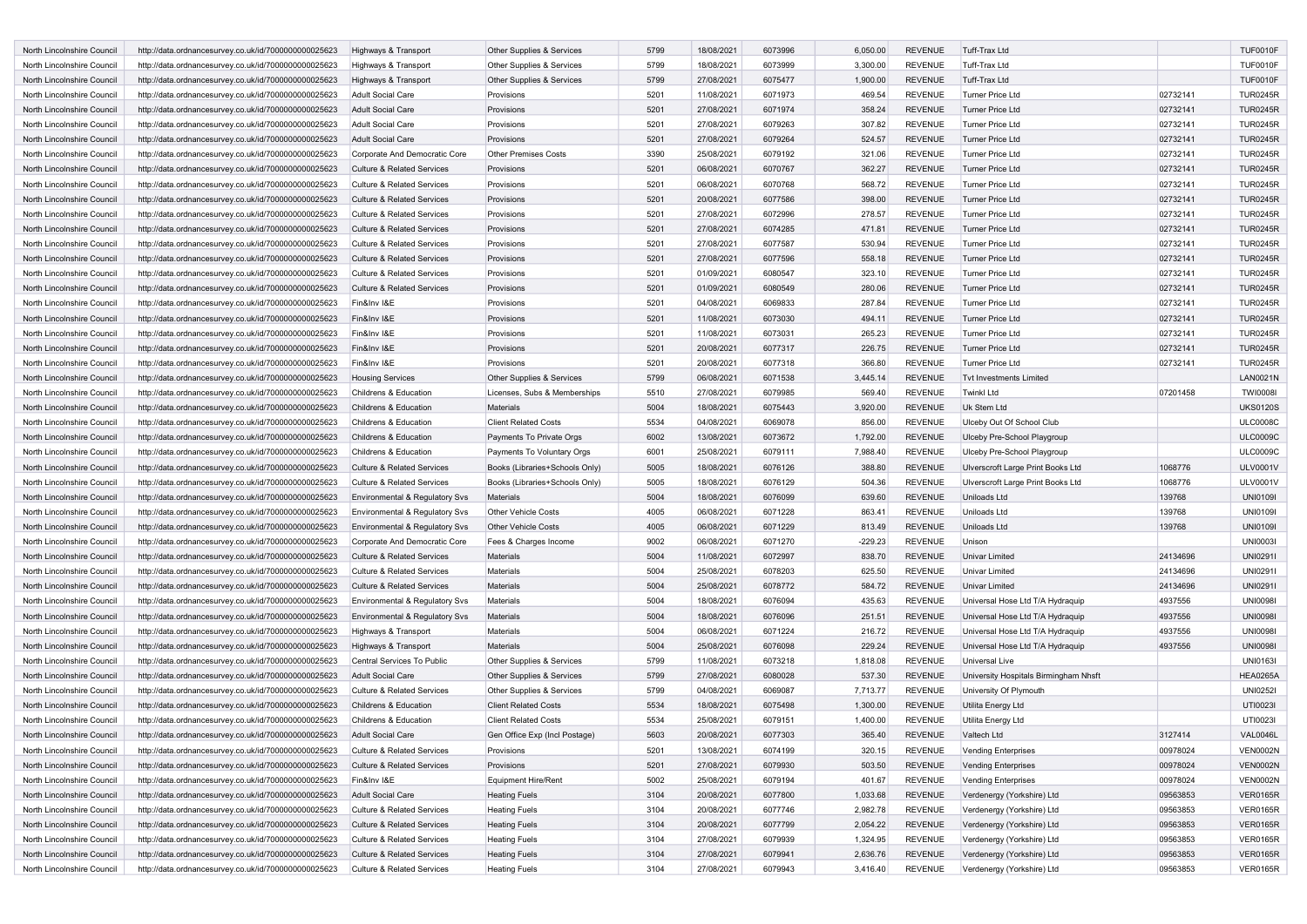| North Lincolnshire Council | http://data.ordnancesurvey.co.uk/id/7000000000025623 | Highways & Transport                                                | Other Supplies & Services      | 5799 | 18/08/2021 | 6073996 | 6,050.00  | <b>REVENUE</b> | <b>Tuff-Trax Ltd</b>                                     |          | <b>TUF0010F</b> |
|----------------------------|------------------------------------------------------|---------------------------------------------------------------------|--------------------------------|------|------------|---------|-----------|----------------|----------------------------------------------------------|----------|-----------------|
| North Lincolnshire Council | http://data.ordnancesurvey.co.uk/id/7000000000025623 | Highways & Transport                                                | Other Supplies & Services      | 5799 | 18/08/2021 | 6073999 | 3,300.00  | <b>REVENUE</b> | <b>Tuff-Trax Ltd</b>                                     |          | <b>TUF0010F</b> |
| North Lincolnshire Council | http://data.ordnancesurvey.co.uk/id/7000000000025623 | Highways & Transport                                                | Other Supplies & Services      | 5799 | 27/08/2021 | 6075477 | 1,900.00  | <b>REVENUE</b> | Tuff-Trax Ltd                                            |          | <b>TUF0010F</b> |
| North Lincolnshire Council | http://data.ordnancesurvey.co.uk/id/7000000000025623 | <b>Adult Social Care</b>                                            | Provisions                     | 5201 | 11/08/2021 | 6071973 | 469.54    | <b>REVENUE</b> | <b>Turner Price Ltd</b>                                  | 02732141 | <b>TUR0245R</b> |
| North Lincolnshire Council | http://data.ordnancesurvey.co.uk/id/7000000000025623 | <b>Adult Social Care</b>                                            | Provisions                     | 5201 | 27/08/2021 | 6071974 | 358.24    | <b>REVENUE</b> | <b>Turner Price Ltd</b>                                  | 02732141 | <b>TUR0245R</b> |
| North Lincolnshire Council | http://data.ordnancesurvey.co.uk/id/7000000000025623 | <b>Adult Social Care</b>                                            | Provisions                     | 5201 | 27/08/2021 | 6079263 | 307.82    | <b>REVENUE</b> | <b>Turner Price Ltd</b>                                  | 02732141 | <b>TUR0245R</b> |
| North Lincolnshire Council | http://data.ordnancesurvey.co.uk/id/7000000000025623 | Adult Social Care                                                   | Provisions                     | 5201 | 27/08/2021 | 6079264 | 524.57    | <b>REVENUE</b> | <b>Turner Price Ltd</b>                                  | 02732141 | <b>TUR0245R</b> |
| North Lincolnshire Council | http://data.ordnancesurvey.co.uk/id/7000000000025623 | Corporate And Democratic Core                                       | <b>Other Premises Costs</b>    | 3390 | 25/08/2021 | 6079192 | 321.06    | REVENUE        | <b>Turner Price Ltd</b>                                  | 02732141 | <b>TUR0245R</b> |
| North Lincolnshire Council | http://data.ordnancesurvey.co.uk/id/7000000000025623 | <b>Culture &amp; Related Services</b>                               | Provisions                     | 5201 | 06/08/2021 | 6070767 | 362.27    | <b>REVENUE</b> | <b>Turner Price Ltd</b>                                  | 02732141 | <b>TUR0245R</b> |
| North Lincolnshire Council | http://data.ordnancesurvey.co.uk/id/7000000000025623 | <b>Culture &amp; Related Services</b>                               | Provisions                     | 5201 | 06/08/2021 | 6070768 | 568.72    | <b>REVENUE</b> | <b>Turner Price Ltd</b>                                  | 02732141 | <b>TUR0245R</b> |
| North Lincolnshire Council | http://data.ordnancesurvey.co.uk/id/7000000000025623 | <b>Culture &amp; Related Services</b>                               | Provisions                     | 5201 | 20/08/2021 | 6077586 | 398.00    | <b>REVENUE</b> | <b>Turner Price Ltd</b>                                  | 02732141 | <b>TUR0245R</b> |
| North Lincolnshire Council | http://data.ordnancesurvey.co.uk/id/7000000000025623 | <b>Culture &amp; Related Services</b>                               | Provisions                     | 5201 | 27/08/2021 | 6072996 | 278.57    | <b>REVENUE</b> | <b>Turner Price Ltd</b>                                  | 02732141 | <b>TUR0245R</b> |
| North Lincolnshire Council | http://data.ordnancesurvey.co.uk/id/7000000000025623 | <b>Culture &amp; Related Services</b>                               | Provisions                     | 5201 | 27/08/2021 | 6074285 | 471.81    | <b>REVENUE</b> | <b>Turner Price Ltd</b>                                  |          | <b>TUR0245R</b> |
|                            |                                                      |                                                                     |                                |      |            |         | 530.94    | <b>REVENUE</b> | <b>Turner Price Ltd</b>                                  | 02732141 | <b>TUR0245R</b> |
| North Lincolnshire Council | http://data.ordnancesurvey.co.uk/id/7000000000025623 | <b>Culture &amp; Related Services</b>                               | Provisions                     | 5201 | 27/08/2021 | 6077587 |           |                |                                                          | 02732141 |                 |
| North Lincolnshire Council | http://data.ordnancesurvey.co.uk/id/7000000000025623 | <b>Culture &amp; Related Services</b>                               | Provisions                     | 5201 | 27/08/2021 | 6077596 | 558.18    | <b>REVENUE</b> | <b>Turner Price Ltd</b>                                  | 02732141 | <b>TUR0245R</b> |
| North Lincolnshire Council | http://data.ordnancesurvey.co.uk/id/7000000000025623 | <b>Culture &amp; Related Services</b>                               | Provisions                     | 5201 | 01/09/2021 | 6080547 | 323.10    | <b>REVENUE</b> | <b>Turner Price Ltd</b>                                  | 02732141 | <b>TUR0245R</b> |
| North Lincolnshire Council | http://data.ordnancesurvey.co.uk/id/7000000000025623 | <b>Culture &amp; Related Services</b>                               | Provisions                     | 5201 | 01/09/2021 | 6080549 | 280.06    | <b>REVENUE</b> | <b>Turner Price Ltd</b>                                  | 02732141 | <b>TUR0245R</b> |
| North Lincolnshire Council | http://data.ordnancesurvey.co.uk/id/7000000000025623 | Fin&Inv I&E                                                         | Provisions                     | 5201 | 04/08/2021 | 6069833 | 287.84    | REVENUE        | <b>Turner Price Ltd</b>                                  | 02732141 | <b>TUR0245R</b> |
| North Lincolnshire Council | http://data.ordnancesurvey.co.uk/id/7000000000025623 | Fin&Inv I&E                                                         | Provisions                     | 5201 | 11/08/2021 | 6073030 | 494.11    | <b>REVENUE</b> | <b>Turner Price Ltd</b>                                  | 02732141 | <b>TUR0245R</b> |
| North Lincolnshire Council | http://data.ordnancesurvey.co.uk/id/7000000000025623 | Fin&Inv I&E                                                         | Provisions                     | 5201 | 11/08/2021 | 6073031 | 265.23    | <b>REVENUE</b> | <b>Turner Price Ltd</b>                                  | 02732141 | <b>TUR0245R</b> |
| North Lincolnshire Council | http://data.ordnancesurvey.co.uk/id/7000000000025623 | Fin&Inv I&E                                                         | Provisions                     | 5201 | 20/08/2021 | 6077317 | 226.75    | <b>REVENUE</b> | <b>Turner Price Ltd</b>                                  | 02732141 | <b>TUR0245R</b> |
| North Lincolnshire Council | http://data.ordnancesurvey.co.uk/id/7000000000025623 | Fin&Inv I&E                                                         | Provisions                     | 5201 | 20/08/2021 | 6077318 | 366.80    | <b>REVENUE</b> | <b>Turner Price Ltd</b>                                  | 02732141 | <b>TUR0245R</b> |
| North Lincolnshire Council | http://data.ordnancesurvey.co.uk/id/7000000000025623 | <b>Housing Services</b>                                             | Other Supplies & Services      | 5799 | 06/08/2021 | 6071538 | 3,445.14  | <b>REVENUE</b> | <b>Tvt Investments Limited</b>                           |          | <b>LAN0021N</b> |
| North Lincolnshire Council | http://data.ordnancesurvey.co.uk/id/7000000000025623 | Childrens & Education                                               | Licenses, Subs & Memberships   | 5510 | 27/08/2021 | 6079985 | 569.40    | REVENUE        | <b>Twinkl Ltd</b>                                        | 07201458 | <b>TWI0008I</b> |
| North Lincolnshire Council | http://data.ordnancesurvey.co.uk/id/7000000000025623 | Childrens & Education                                               | Materials                      | 5004 | 18/08/2021 | 6075443 | 3,920.00  | <b>REVENUE</b> | Uk Stem Ltd                                              |          | <b>UKS0120S</b> |
| North Lincolnshire Council | http://data.ordnancesurvey.co.uk/id/7000000000025623 | Childrens & Education                                               | <b>Client Related Costs</b>    | 5534 | 04/08/2021 | 6069078 | 856.00    | <b>REVENUE</b> | Ulceby Out Of School Club                                |          | <b>ULC0008C</b> |
| North Lincolnshire Council | http://data.ordnancesurvey.co.uk/id/7000000000025623 | Childrens & Education                                               | Payments To Private Orgs       | 6002 | 13/08/2021 | 6073672 | 1,792.00  | <b>REVENUE</b> | Ulceby Pre-School Playgroup                              |          | <b>ULC0009C</b> |
| North Lincolnshire Council | http://data.ordnancesurvey.co.uk/id/7000000000025623 | Childrens & Education                                               | Payments To Voluntary Orgs     | 6001 | 25/08/2021 | 6079111 | 7,988.40  | REVENUE        | Ulceby Pre-School Playgroup                              |          | <b>ULC0009C</b> |
| North Lincolnshire Council | http://data.ordnancesurvey.co.uk/id/7000000000025623 | <b>Culture &amp; Related Services</b>                               | Books (Libraries+Schools Only) | 5005 | 18/08/2021 | 6076126 | 388.80    | <b>REVENUE</b> | Ulverscroft Large Print Books Ltd                        | 1068776  | <b>ULV0001V</b> |
| North Lincolnshire Council | http://data.ordnancesurvey.co.uk/id/7000000000025623 | Culture & Related Services                                          | Books (Libraries+Schools Only) | 5005 | 18/08/2021 | 6076129 | 504.36    | <b>REVENUE</b> | Ulverscroft Large Print Books Ltd                        | 1068776  | <b>ULV0001V</b> |
| North Lincolnshire Council | http://data.ordnancesurvey.co.uk/id/7000000000025623 | <b>Environmental &amp; Regulatory Svs</b>                           | <b>Materials</b>               | 5004 | 18/08/2021 | 6076099 | 639.60    | <b>REVENUE</b> | Uniloads Ltd                                             | 139768   | <b>UNI01091</b> |
| North Lincolnshire Council |                                                      |                                                                     | <b>Other Vehicle Costs</b>     | 4005 | 06/08/2021 | 6071228 | 863.41    | <b>REVENUE</b> | Uniloads Ltd                                             | 139768   | <b>UNI01091</b> |
|                            | http://data.ordnancesurvey.co.uk/id/7000000000025623 | Environmental & Regulatory Svs                                      |                                |      |            |         |           |                |                                                          |          |                 |
| North Lincolnshire Council | http://data.ordnancesurvey.co.uk/id/7000000000025623 | Environmental & Regulatory Svs                                      | <b>Other Vehicle Costs</b>     | 4005 | 06/08/2021 | 6071229 | 813.49    | <b>REVENUE</b> | Uniloads Ltd                                             | 139768   | <b>UNI01091</b> |
| North Lincolnshire Council | http://data.ordnancesurvey.co.uk/id/7000000000025623 | Corporate And Democratic Core                                       | Fees & Charges Income          | 9002 | 06/08/2021 | 6071270 | $-229.23$ | <b>REVENUE</b> | Unison                                                   |          | <b>UNI0003I</b> |
| North Lincolnshire Council | http://data.ordnancesurvey.co.uk/id/7000000000025623 | <b>Culture &amp; Related Services</b>                               | Materials                      | 5004 | 11/08/2021 | 6072997 | 838.70    | <b>REVENUE</b> | <b>Univar Limited</b>                                    | 24134696 | <b>UNI0291I</b> |
| North Lincolnshire Council | http://data.ordnancesurvey.co.uk/id/7000000000025623 | <b>Culture &amp; Related Services</b>                               | Materials                      | 5004 | 25/08/2021 | 6078203 | 625.50    | REVENUE        | Univar Limited                                           | 24134696 | UNI0291I        |
| North Lincolnshire Council | http://data.ordnancesurvey.co.uk/id/7000000000025623 | <b>Culture &amp; Related Services</b>                               | Materials                      | 5004 | 25/08/2021 | 6078772 | 584.72    | <b>REVENUE</b> | Univar Limited                                           | 24134696 | <b>UNI0291I</b> |
| North Lincolnshire Council | http://data.ordnancesurvey.co.uk/id/7000000000025623 | Environmental & Regulatory Svs                                      | Materials                      | 5004 | 18/08/2021 | 6076094 | 435.63    | REVENUE        | Universal Hose Ltd T/A Hydraquip                         | 4937556  | <b>UNI0098I</b> |
| North Lincolnshire Council | http://data.ordnancesurvey.co.uk/id/7000000000025623 | <b>Environmental &amp; Regulatory Svs</b>                           | Materials                      | 5004 | 18/08/2021 | 6076096 | 251.51    | <b>REVENUE</b> | Universal Hose Ltd T/A Hydraquip                         | 4937556  | <b>UNI0098I</b> |
| North Lincolnshire Council | http://data.ordnancesurvey.co.uk/id/7000000000025623 | Highways & Transport                                                | Materials                      | 5004 | 06/08/2021 | 6071224 | 216.72    | <b>REVENUE</b> | Universal Hose Ltd T/A Hydraquip                         | 4937556  | <b>UNI00981</b> |
| North Lincolnshire Council | http://data.ordnancesurvey.co.uk/id/7000000000025623 | Highways & Transport                                                | <b>Materials</b>               | 5004 | 25/08/2021 | 6076098 | 229.24    | <b>REVENUE</b> | Universal Hose Ltd T/A Hydraquip                         | 4937556  | <b>UNI00981</b> |
| North Lincolnshire Council | http://data.ordnancesurvey.co.uk/id/7000000000025623 | Central Services To Public                                          | Other Supplies & Services      | 5799 | 11/08/2021 | 6073218 | 1,818.08  | <b>REVENUE</b> | Universal Live                                           |          | <b>UNI0163I</b> |
| North Lincolnshire Council | http://data.ordnancesurvey.co.uk/id/7000000000025623 | <b>Adult Social Care</b>                                            | Other Supplies & Services      | 5799 | 27/08/2021 | 6080028 | 537.30    | <b>REVENUE</b> | University Hospitals Birmingham Nhsft                    |          | <b>HEA0265A</b> |
| North Lincolnshire Council | http://data.ordnancesurvey.co.uk/id/7000000000025623 | <b>Culture &amp; Related Services</b>                               | Other Supplies & Services      | 5799 | 04/08/2021 | 6069087 | 7,713.77  | <b>REVENUE</b> | University Of Plymouth                                   |          | <b>UNI0252I</b> |
| North Lincolnshire Council | http://data.ordnancesurvey.co.uk/id/7000000000025623 | Childrens & Education                                               | <b>Client Related Costs</b>    | 5534 | 18/08/2021 | 6075498 | 1,300.00  | <b>REVENUE</b> | Utilita Energy Ltd                                       |          | UTI0023         |
| North Lincolnshire Council | http://data.ordnancesurvey.co.uk/id/7000000000025623 | Childrens & Education                                               | <b>Client Related Costs</b>    | 5534 | 25/08/2021 | 6079151 | 1,400.00  | REVENUE        | Utilita Energy Ltd                                       |          | UTI0023I        |
| North Lincolnshire Council | http://data.ordnancesurvey.co.uk/id/7000000000025623 | Adult Social Care                                                   | Gen Office Exp (Incl Postage)  | 5603 | 20/08/2021 | 6077303 | 365.40    | <b>REVENUE</b> | Valtech Ltd                                              | 3127414  | VAL0046L        |
| North Lincolnshire Council | http://data.ordnancesurvey.co.uk/id/7000000000025623 | Culture & Related Services                                          | Provisions                     | 5201 | 13/08/2021 | 6074199 | 320.15    | REVENUE        | <b>Vending Enterprises</b>                               | 00978024 | <b>VEN0002N</b> |
| North Lincolnshire Council | http://data.ordnancesurvey.co.uk/id/7000000000025623 | Culture & Related Services                                          | Provisions                     | 5201 | 27/08/2021 | 6079930 | 503.50    | <b>REVENUE</b> | <b>Vending Enterprises</b>                               | 00978024 | <b>VEN0002N</b> |
| North Lincolnshire Council | http://data.ordnancesurvey.co.uk/id/7000000000025623 | Fin&Inv I&E                                                         | <b>Equipment Hire/Rent</b>     | 5002 | 25/08/2021 | 6079194 | 401.67    | <b>REVENUE</b> | <b>Vending Enterprises</b>                               | 00978024 | <b>VEN0002N</b> |
| North Lincolnshire Council | http://data.ordnancesurvey.co.uk/id/7000000000025623 | <b>Adult Social Care</b>                                            | <b>Heating Fuels</b>           | 3104 | 20/08/2021 | 6077800 | 1,033.68  | <b>REVENUE</b> | Verdenergy (Yorkshire) Ltd                               | 09563853 | <b>VER0165R</b> |
| North Lincolnshire Council |                                                      |                                                                     |                                | 3104 |            |         | 2,982.78  | <b>REVENUE</b> |                                                          | 09563853 | <b>VER0165R</b> |
| North Lincolnshire Council | http://data.ordnancesurvey.co.uk/id/7000000000025623 | Culture & Related Services<br><b>Culture &amp; Related Services</b> | <b>Heating Fuels</b>           | 3104 | 20/08/2021 | 6077746 |           |                | Verdenergy (Yorkshire) Ltd<br>Verdenergy (Yorkshire) Ltd | 09563853 | <b>VER0165R</b> |
|                            | http://data.ordnancesurvey.co.uk/id/7000000000025623 |                                                                     | <b>Heating Fuels</b>           |      | 20/08/2021 | 6077799 | 2,054.22  | <b>REVENUE</b> |                                                          |          |                 |
| North Lincolnshire Council | http://data.ordnancesurvey.co.uk/id/7000000000025623 | Culture & Related Services                                          | <b>Heating Fuels</b>           | 3104 | 27/08/2021 | 6079939 | 1,324.95  | <b>REVENUE</b> | Verdenergy (Yorkshire) Ltd                               | 09563853 | <b>VER0165R</b> |
| North Lincolnshire Council | http://data.ordnancesurvey.co.uk/id/7000000000025623 | Culture & Related Services                                          | <b>Heating Fuels</b>           | 3104 | 27/08/2021 | 6079941 | 2,636.76  | <b>REVENUE</b> | Verdenergy (Yorkshire) Ltd                               | 09563853 | <b>VER0165R</b> |
| North Lincolnshire Council | http://data.ordnancesurvey.co.uk/id/7000000000025623 | Culture & Related Services                                          | <b>Heating Fuels</b>           | 3104 | 27/08/2021 | 6079943 | 3,416.40  | <b>REVENUE</b> | Verdenergy (Yorkshire) Ltd                               | 09563853 | <b>VER0165R</b> |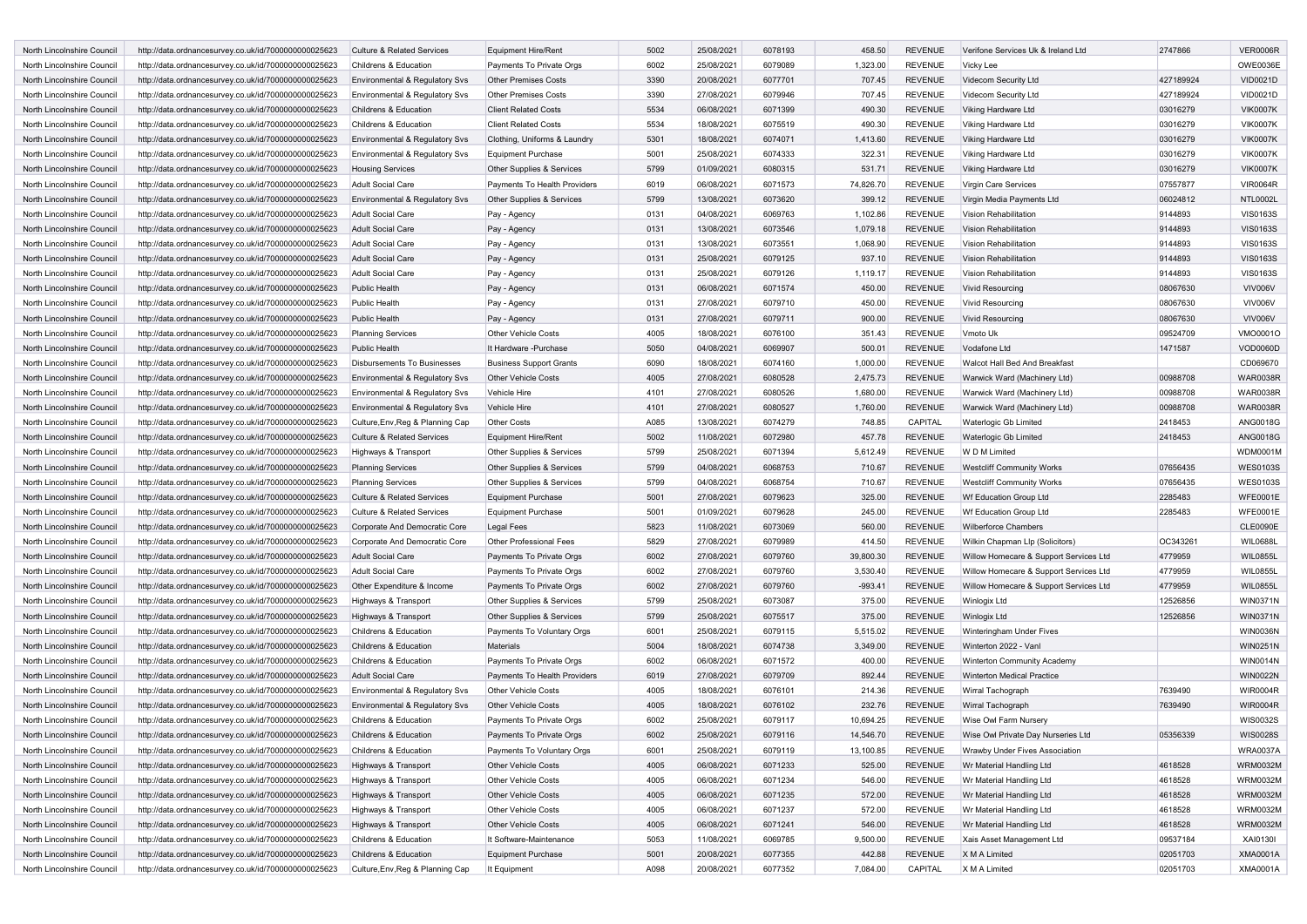| <b>North Lincolnshire Council</b> | http://data.ordnancesurvey.co.uk/id/7000000000025623 | <b>Culture &amp; Related Services</b>     | <b>Equipment Hire/Rent</b>     | 5002 | 25/08/2021 | 6078193 | 458.50    | <b>REVENUE</b> | Verifone Services Uk & Ireland Ltd     | 2747866   | <b>VER0006R</b> |
|-----------------------------------|------------------------------------------------------|-------------------------------------------|--------------------------------|------|------------|---------|-----------|----------------|----------------------------------------|-----------|-----------------|
| North Lincolnshire Council        | http://data.ordnancesurvey.co.uk/id/7000000000025623 | Childrens & Education                     | Payments To Private Orgs       | 6002 | 25/08/2021 | 6079089 | 1,323.00  | <b>REVENUE</b> | Vicky Lee                              |           | OWE0036E        |
| North Lincolnshire Council        | http://data.ordnancesurvey.co.uk/id/7000000000025623 | <b>Environmental &amp; Regulatory Svs</b> | <b>Other Premises Costs</b>    | 3390 | 20/08/2021 | 6077701 | 707.45    | <b>REVENUE</b> | Videcom Security Ltd                   | 427189924 | VID0021D        |
| North Lincolnshire Council        | http://data.ordnancesurvey.co.uk/id/7000000000025623 | Environmental & Regulatory Svs            | <b>Other Premises Costs</b>    | 3390 | 27/08/2021 | 6079946 | 707.45    | <b>REVENUE</b> | Videcom Security Ltd                   | 427189924 | VID0021D        |
| North Lincolnshire Council        | http://data.ordnancesurvey.co.uk/id/7000000000025623 | Childrens & Education                     | <b>Client Related Costs</b>    | 5534 | 06/08/2021 | 6071399 | 490.30    | <b>REVENUE</b> | Viking Hardware Ltd                    | 03016279  | <b>VIK0007K</b> |
| North Lincolnshire Council        | http://data.ordnancesurvey.co.uk/id/7000000000025623 | Childrens & Education                     | <b>Client Related Costs</b>    | 5534 | 18/08/2021 | 6075519 | 490.30    | <b>REVENUE</b> | Viking Hardware Ltd                    | 03016279  | <b>VIK0007K</b> |
| North Lincolnshire Council        | http://data.ordnancesurvey.co.uk/id/7000000000025623 | <b>Environmental &amp; Regulatory Sys</b> | Clothing, Uniforms & Laundry   | 5301 | 18/08/2021 | 6074071 | 1,413.60  | <b>REVENUE</b> | Viking Hardware Ltd                    | 03016279  | <b>VIK0007K</b> |
| North Lincolnshire Council        | http://data.ordnancesurvey.co.uk/id/7000000000025623 | Environmental & Regulatory Svs            | <b>Equipment Purchase</b>      | 5001 | 25/08/2021 | 6074333 | 322.31    | <b>REVENUE</b> | Viking Hardware Ltd                    | 03016279  | <b>VIK0007K</b> |
| North Lincolnshire Council        | http://data.ordnancesurvey.co.uk/id/7000000000025623 | <b>Housing Services</b>                   | Other Supplies & Services      | 5799 | 01/09/2021 | 6080315 | 531.71    | <b>REVENUE</b> | Viking Hardware Ltd                    | 03016279  | <b>VIK0007K</b> |
| North Lincolnshire Council        | http://data.ordnancesurvey.co.uk/id/7000000000025623 | <b>Adult Social Care</b>                  | Payments To Health Providers   | 6019 | 06/08/2021 | 6071573 | 74,826.70 | <b>REVENUE</b> | Virgin Care Services                   | 07557877  | <b>VIR0064R</b> |
| North Lincolnshire Council        | http://data.ordnancesurvey.co.uk/id/7000000000025623 | <b>Environmental &amp; Regulatory Svs</b> | Other Supplies & Services      | 5799 | 13/08/2021 | 6073620 | 399.12    | <b>REVENUE</b> | Virgin Media Payments Ltd              | 06024812  | <b>NTL0002L</b> |
| North Lincolnshire Council        | http://data.ordnancesurvey.co.uk/id/7000000000025623 | <b>Adult Social Care</b>                  | Pay - Agency                   | 0131 | 04/08/2021 | 6069763 | 1,102.86  | <b>REVENUE</b> | Vision Rehabilitation                  | 9144893   | <b>VIS0163S</b> |
| North Lincolnshire Council        | http://data.ordnancesurvey.co.uk/id/7000000000025623 | <b>Adult Social Care</b>                  | Pay - Agency                   | 0131 | 13/08/2021 | 6073546 | 1,079.18  | <b>REVENUE</b> | <b>Vision Rehabilitation</b>           | 9144893   | <b>VIS0163S</b> |
| North Lincolnshire Council        | http://data.ordnancesurvey.co.uk/id/7000000000025623 | Adult Social Care                         | Pay - Agency                   | 0131 | 13/08/2021 | 6073551 | 1,068.90  | <b>REVENUE</b> | <b>Vision Rehabilitation</b>           | 9144893   | <b>VIS0163S</b> |
| North Lincolnshire Council        | http://data.ordnancesurvey.co.uk/id/7000000000025623 | <b>Adult Social Care</b>                  | Pay - Agency                   | 0131 | 25/08/2021 | 6079125 | 937.10    | <b>REVENUE</b> | <b>Vision Rehabilitation</b>           | 9144893   | <b>VIS0163S</b> |
| North Lincolnshire Council        | http://data.ordnancesurvey.co.uk/id/7000000000025623 | Adult Social Care                         | Pay - Agency                   | 0131 | 25/08/2021 | 6079126 | 1,119.17  | <b>REVENUE</b> | Vision Rehabilitation                  | 9144893   | <b>VIS0163S</b> |
| North Lincolnshire Council        | http://data.ordnancesurvey.co.uk/id/7000000000025623 | <b>Public Health</b>                      |                                | 0131 | 06/08/2021 | 6071574 | 450.00    | <b>REVENUE</b> | <b>Vivid Resourcing</b>                | 08067630  | VIV006V         |
|                                   |                                                      |                                           | Pay - Agency                   | 0131 | 27/08/2021 | 6079710 | 450.00    | <b>REVENUE</b> | <b>Vivid Resourcing</b>                |           | <b>VIV006V</b>  |
| North Lincolnshire Council        | http://data.ordnancesurvey.co.uk/id/7000000000025623 | <b>Public Health</b>                      | Pay - Agency                   |      |            |         |           |                |                                        | 08067630  |                 |
| North Lincolnshire Council        | http://data.ordnancesurvey.co.uk/id/7000000000025623 | Public Health                             | Pay - Agency                   | 0131 | 27/08/2021 | 6079711 | 900.00    | <b>REVENUE</b> | <b>Vivid Resourcing</b>                | 08067630  | VIV006V         |
| North Lincolnshire Council        | http://data.ordnancesurvey.co.uk/id/7000000000025623 | <b>Planning Services</b>                  | <b>Other Vehicle Costs</b>     | 4005 | 18/08/2021 | 6076100 | 351.43    | <b>REVENUE</b> | Vmoto Uk                               | 09524709  | VMO0001O        |
| North Lincolnshire Council        | http://data.ordnancesurvey.co.uk/id/7000000000025623 | <b>Public Health</b>                      | It Hardware -Purchase          | 5050 | 04/08/2021 | 6069907 | 500.01    | <b>REVENUE</b> | Vodafone Ltd                           | 1471587   | VOD0060D        |
| North Lincolnshire Council        | http://data.ordnancesurvey.co.uk/id/7000000000025623 | <b>Disbursements To Businesses</b>        | <b>Business Support Grants</b> | 6090 | 18/08/2021 | 6074160 | 1,000.00  | <b>REVENUE</b> | Walcot Hall Bed And Breakfast          |           | CD069670        |
| North Lincolnshire Council        | http://data.ordnancesurvey.co.uk/id/7000000000025623 | Environmental & Regulatory Svs            | <b>Other Vehicle Costs</b>     | 4005 | 27/08/2021 | 6080528 | 2,475.73  | <b>REVENUE</b> | Warwick Ward (Machinery Ltd)           | 00988708  | <b>WAR0038R</b> |
| North Lincolnshire Council        | http://data.ordnancesurvey.co.uk/id/7000000000025623 | Environmental & Regulatory Sys            | Vehicle Hire                   | 4101 | 27/08/2021 | 6080526 | 1,680.00  | <b>REVENUE</b> | Warwick Ward (Machinery Ltd)           | 00988708  | <b>WAR0038R</b> |
| North Lincolnshire Council        | http://data.ordnancesurvey.co.uk/id/7000000000025623 | Environmental & Regulatory Svs            | Vehicle Hire                   | 4101 | 27/08/2021 | 6080527 | 1,760.00  | <b>REVENUE</b> | Warwick Ward (Machinery Ltd)           | 00988708  | <b>WAR0038R</b> |
| North Lincolnshire Council        | http://data.ordnancesurvey.co.uk/id/7000000000025623 | Culture, Env, Reg & Planning Cap          | Other Costs                    | A085 | 13/08/2021 | 6074279 | 748.85    | CAPITAL        | <b>Waterlogic Gb Limited</b>           | 2418453   | <b>ANG0018G</b> |
| North Lincolnshire Council        | http://data.ordnancesurvey.co.uk/id/7000000000025623 | <b>Culture &amp; Related Services</b>     | <b>Equipment Hire/Rent</b>     | 5002 | 11/08/2021 | 6072980 | 457.78    | <b>REVENUE</b> | Waterlogic Gb Limited                  | 2418453   | <b>ANG0018G</b> |
| North Lincolnshire Council        | http://data.ordnancesurvey.co.uk/id/7000000000025623 | Highways & Transport                      | Other Supplies & Services      | 5799 | 25/08/2021 | 6071394 | 5,612.49  | <b>REVENUE</b> | W D M Limited                          |           | <b>WDM0001M</b> |
| North Lincolnshire Council        | http://data.ordnancesurvey.co.uk/id/7000000000025623 | <b>Planning Services</b>                  | Other Supplies & Services      | 5799 | 04/08/2021 | 6068753 | 710.67    | <b>REVENUE</b> | <b>Westcliff Community Works</b>       | 07656435  | <b>WES0103S</b> |
| North Lincolnshire Council        | http://data.ordnancesurvey.co.uk/id/7000000000025623 | <b>Planning Services</b>                  | Other Supplies & Services      | 5799 | 04/08/2021 | 6068754 | 710.67    | <b>REVENUE</b> | <b>Westcliff Community Works</b>       | 07656435  | <b>WES0103S</b> |
| North Lincolnshire Council        | http://data.ordnancesurvey.co.uk/id/7000000000025623 | <b>Culture &amp; Related Services</b>     | <b>Equipment Purchase</b>      | 5001 | 27/08/2021 | 6079623 | 325.00    | <b>REVENUE</b> | Wf Education Group Ltd                 | 2285483   | <b>WFE0001E</b> |
| North Lincolnshire Council        | http://data.ordnancesurvey.co.uk/id/7000000000025623 | <b>Culture &amp; Related Services</b>     | <b>Equipment Purchase</b>      | 5001 | 01/09/2021 | 6079628 | 245.00    | <b>REVENUE</b> | Wf Education Group Ltd                 | 2285483   | <b>WFE0001E</b> |
| North Lincolnshire Council        | http://data.ordnancesurvey.co.uk/id/7000000000025623 | Corporate And Democratic Core             | <b>Legal Fees</b>              | 5823 | 11/08/2021 | 6073069 | 560.00    | <b>REVENUE</b> | <b>Wilberforce Chambers</b>            |           | CLE0090E        |
| North Lincolnshire Council        | http://data.ordnancesurvey.co.uk/id/7000000000025623 | Corporate And Democratic Core             | <b>Other Professional Fees</b> | 5829 | 27/08/2021 | 6079989 | 414.50    | <b>REVENUE</b> | Wilkin Chapman Llp (Solicitors)        | OC343261  | <b>WIL0688L</b> |
| North Lincolnshire Council        | http://data.ordnancesurvey.co.uk/id/7000000000025623 | <b>Adult Social Care</b>                  | Payments To Private Orgs       | 6002 | 27/08/2021 | 6079760 | 39,800.30 | <b>REVENUE</b> | Willow Homecare & Support Services Ltd | 4779959   | <b>WIL0855L</b> |
| North Lincolnshire Council        | http://data.ordnancesurvey.co.uk/id/7000000000025623 | Adult Social Care                         | Payments To Private Orgs       | 6002 | 27/08/2021 | 6079760 | 3,530.40  | <b>REVENUE</b> | Willow Homecare & Support Services Ltd | 4779959   | <b>WIL0855L</b> |
| North Lincolnshire Council        | http://data.ordnancesurvey.co.uk/id/7000000000025623 | Other Expenditure & Income                | Payments To Private Orgs       | 6002 | 27/08/2021 | 6079760 | $-993.41$ | <b>REVENUE</b> | Willow Homecare & Support Services Ltd | 4779959   | <b>WIL0855L</b> |
| North Lincolnshire Council        | http://data.ordnancesurvey.co.uk/id/7000000000025623 | Highways & Transport                      | Other Supplies & Services      | 5799 | 25/08/2021 | 6073087 | 375.00    | <b>REVENUE</b> | <b>Winlogix Ltd</b>                    | 12526856  | <b>WIN0371N</b> |
| North Lincolnshire Council        | http://data.ordnancesurvey.co.uk/id/7000000000025623 | Highways & Transport                      | Other Supplies & Services      | 5799 | 25/08/2021 | 6075517 | 375.00    | <b>REVENUE</b> | <b>Winlogix Ltd</b>                    | 12526856  | <b>WIN0371N</b> |
| North Lincolnshire Council        |                                                      | Childrens & Education                     | Payments To Voluntary Orgs     | 6001 | 25/08/2021 | 6079115 | 5,515.02  | <b>REVENUE</b> | Winteringham Under Fives               |           | <b>WIN0036N</b> |
|                                   | http://data.ordnancesurvey.co.uk/id/7000000000025623 |                                           |                                |      |            |         |           |                |                                        |           |                 |
| North Lincolnshire Council        | http://data.ordnancesurvey.co.uk/id/7000000000025623 | Childrens & Education                     | Materials                      | 5004 | 18/08/2021 | 6074738 | 3,349.00  | <b>REVENUE</b> | Winterton 2022 - Vanl                  |           | <b>WIN0251N</b> |
| North Lincolnshire Council        | http://data.ordnancesurvey.co.uk/id/7000000000025623 | Childrens & Education                     | Payments To Private Orgs       | 6002 | 06/08/2021 | 6071572 | 400.00    | <b>REVENUE</b> | Winterton Community Academy            |           | <b>WIN0014N</b> |
| North Lincolnshire Council        | http://data.ordnancesurvey.co.uk/id/7000000000025623 | <b>Adult Social Care</b>                  | Payments To Health Providers   | 6019 | 27/08/2021 | 6079709 | 892.44    | <b>REVENUE</b> | Winterton Medical Practice             |           | <b>WIN0022N</b> |
| North Lincolnshire Council        | http://data.ordnancesurvey.co.uk/id/7000000000025623 | Environmental & Regulatory Svs            | <b>Other Vehicle Costs</b>     | 4005 | 18/08/2021 | 6076101 | 214.36    | <b>REVENUE</b> | Wirral Tachograph                      | 7639490   | <b>WIR0004R</b> |
| North Lincolnshire Council        | http://data.ordnancesurvey.co.uk/id/7000000000025623 | Environmental & Regulatory Svs            | <b>Other Vehicle Costs</b>     | 4005 | 18/08/2021 | 6076102 | 232.76    | <b>REVENUE</b> | Wirral Tachograph                      | 7639490   | <b>WIR0004R</b> |
| North Lincolnshire Council        | http://data.ordnancesurvey.co.uk/id/7000000000025623 | Childrens & Education                     | Payments To Private Orgs       | 6002 | 25/08/2021 | 6079117 | 10,694.25 | <b>REVENUE</b> | Wise Owl Farm Nursery                  |           | <b>WIS0032S</b> |
| North Lincolnshire Council        | http://data.ordnancesurvey.co.uk/id/7000000000025623 | Childrens & Education                     | Payments To Private Orgs       | 6002 | 25/08/2021 | 6079116 | 14.546.70 | <b>REVENUE</b> | Wise Owl Private Day Nurseries Ltd     | 05356339  | <b>WIS0028S</b> |
| North Lincolnshire Council        | http://data.ordnancesurvey.co.uk/id/7000000000025623 | Childrens & Education                     | Payments To Voluntary Orgs     | 6001 | 25/08/2021 | 6079119 | 13,100.85 | REVENUE        | Wrawby Under Fives Association         |           | <b>WRA0037A</b> |
| North Lincolnshire Council        | http://data.ordnancesurvey.co.uk/id/7000000000025623 | Highways & Transport                      | <b>Other Vehicle Costs</b>     | 4005 | 06/08/2021 | 6071233 | 525.00    | <b>REVENUE</b> | Wr Material Handling Ltd               | 4618528   | <b>WRM0032M</b> |
| North Lincolnshire Council        | http://data.ordnancesurvey.co.uk/id/7000000000025623 | Highways & Transport                      | Other Vehicle Costs            | 4005 | 06/08/2021 | 6071234 | 546.00    | <b>REVENUE</b> | Wr Material Handling Ltd               | 4618528   | <b>WRM0032M</b> |
| North Lincolnshire Council        | http://data.ordnancesurvey.co.uk/id/7000000000025623 | Highways & Transport                      | <b>Other Vehicle Costs</b>     | 4005 | 06/08/2021 | 6071235 | 572.00    | <b>REVENUE</b> | Wr Material Handling Ltd               | 4618528   | <b>WRM0032M</b> |
| North Lincolnshire Council        | http://data.ordnancesurvey.co.uk/id/7000000000025623 | Highways & Transport                      | Other Vehicle Costs            | 4005 | 06/08/2021 | 6071237 | 572.00    | <b>REVENUE</b> | Wr Material Handling Ltd               | 4618528   | <b>WRM0032M</b> |
| North Lincolnshire Council        | http://data.ordnancesurvey.co.uk/id/7000000000025623 | Highways & Transport                      | Other Vehicle Costs            | 4005 | 06/08/2021 | 6071241 | 546.00    | REVENUE        | Wr Material Handling Ltd               | 4618528   | <b>WRM0032M</b> |
| North Lincolnshire Council        | http://data.ordnancesurvey.co.uk/id/7000000000025623 | Childrens & Education                     | It Software-Maintenance        | 5053 | 11/08/2021 | 6069785 | 9,500.00  | <b>REVENUE</b> | Xais Asset Management Ltd              | 09537184  | XAI01301        |
| North Lincolnshire Council        | http://data.ordnancesurvey.co.uk/id/7000000000025623 | Childrens & Education                     | <b>Equipment Purchase</b>      | 5001 | 20/08/2021 | 6077355 | 442.88    | REVENUE        | X M A Limited                          | 02051703  | XMA0001A        |
| North Lincolnshire Council        | http://data.ordnancesurvey.co.uk/id/7000000000025623 | Culture, Env, Reg & Planning Cap          | It Equipment                   | A098 | 20/08/2021 | 6077352 | 7,084.00  | CAPITAL        | X M A Limited                          | 02051703  | XMA0001A        |